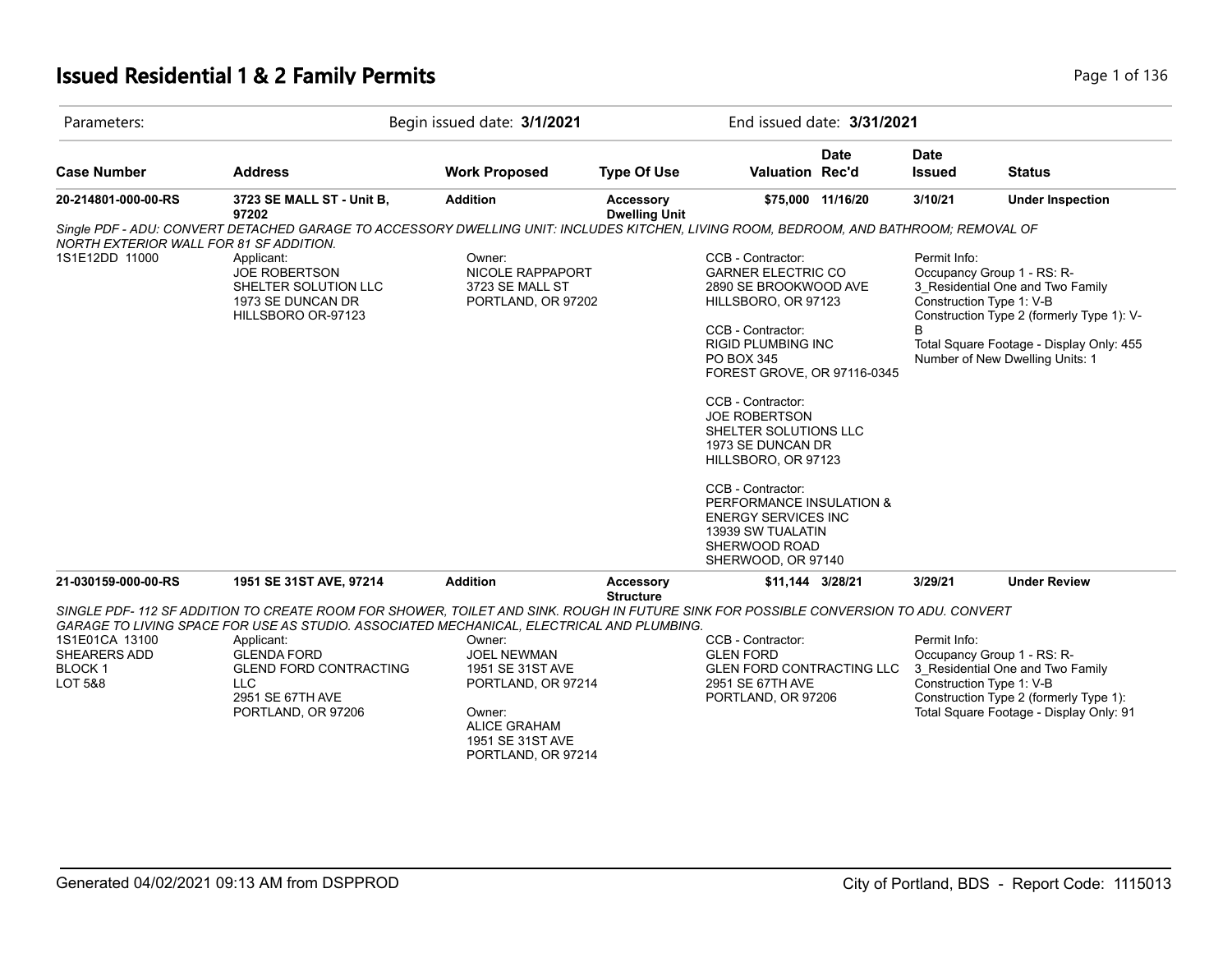## **Issued Residential 1 & 2 Family Permits Page 1 of 136** Page 1 of 136

| Parameters:                                                           |                                                                                                                                                                                                                                                                                                                                                               | Begin issued date: 3/1/2021                                                                                                                       |                                   | End issued date: 3/31/2021                                                                                                                                                                                                                                                                                                                                                                                                           |                   |                                                          |                                                                                                                                                                                            |
|-----------------------------------------------------------------------|---------------------------------------------------------------------------------------------------------------------------------------------------------------------------------------------------------------------------------------------------------------------------------------------------------------------------------------------------------------|---------------------------------------------------------------------------------------------------------------------------------------------------|-----------------------------------|--------------------------------------------------------------------------------------------------------------------------------------------------------------------------------------------------------------------------------------------------------------------------------------------------------------------------------------------------------------------------------------------------------------------------------------|-------------------|----------------------------------------------------------|--------------------------------------------------------------------------------------------------------------------------------------------------------------------------------------------|
| <b>Case Number</b>                                                    | <b>Address</b>                                                                                                                                                                                                                                                                                                                                                | <b>Work Proposed</b>                                                                                                                              | <b>Type Of Use</b>                | Valuation Rec'd                                                                                                                                                                                                                                                                                                                                                                                                                      | <b>Date</b>       | <b>Date</b><br><b>Issued</b>                             | <b>Status</b>                                                                                                                                                                              |
| 20-214801-000-00-RS                                                   | 3723 SE MALL ST - Unit B,<br>97202                                                                                                                                                                                                                                                                                                                            | <b>Addition</b>                                                                                                                                   | Accessory<br><b>Dwelling Unit</b> |                                                                                                                                                                                                                                                                                                                                                                                                                                      | \$75,000 11/16/20 | 3/10/21                                                  | <b>Under Inspection</b>                                                                                                                                                                    |
| NORTH EXTERIOR WALL FOR 81 SF ADDITION.                               | Single PDF - ADU: CONVERT DETACHED GARAGE TO ACCESSORY DWELLING UNIT: INCLUDES KITCHEN, LIVING ROOM, BEDROOM, AND BATHROOM; REMOVAL OF                                                                                                                                                                                                                        |                                                                                                                                                   |                                   |                                                                                                                                                                                                                                                                                                                                                                                                                                      |                   |                                                          |                                                                                                                                                                                            |
| 1S1E12DD 11000                                                        | Applicant:<br><b>JOE ROBERTSON</b><br>SHELTER SOLUTION LLC<br>1973 SE DUNCAN DR<br>HILLSBORO OR-97123                                                                                                                                                                                                                                                         | Owner:<br>NICOLE RAPPAPORT<br>3723 SE MALL ST<br>PORTLAND, OR 97202                                                                               |                                   | CCB - Contractor:<br><b>GARNER ELECTRIC CO</b><br>2890 SE BROOKWOOD AVE<br>HILLSBORO, OR 97123<br>CCB - Contractor:<br><b>RIGID PLUMBING INC</b><br>PO BOX 345<br>FOREST GROVE, OR 97116-0345<br>CCB - Contractor:<br><b>JOE ROBERTSON</b><br>SHELTER SOLUTIONS LLC<br>1973 SE DUNCAN DR<br>HILLSBORO, OR 97123<br>CCB - Contractor:<br>PERFORMANCE INSULATION &<br><b>ENERGY SERVICES INC</b><br>13939 SW TUALATIN<br>SHERWOOD ROAD |                   | Permit Info:<br>Construction Type 1: V-B<br><sub>R</sub> | Occupancy Group 1 - RS: R-<br>3 Residential One and Two Family<br>Construction Type 2 (formerly Type 1): V-<br>Total Square Footage - Display Only: 455<br>Number of New Dwelling Units: 1 |
| 21-030159-000-00-RS                                                   | 1951 SE 31ST AVE, 97214                                                                                                                                                                                                                                                                                                                                       | <b>Addition</b>                                                                                                                                   | Accessory                         | SHERWOOD, OR 97140<br>\$11,144 3/28/21                                                                                                                                                                                                                                                                                                                                                                                               |                   | 3/29/21                                                  | <b>Under Review</b>                                                                                                                                                                        |
| 1S1E01CA 13100<br>SHEARERS ADD<br><b>BLOCK1</b><br><b>LOT 5&amp;8</b> | SINGLE PDF-112 SF ADDITION TO CREATE ROOM FOR SHOWER, TOILET AND SINK. ROUGH IN FUTURE SINK FOR POSSIBLE CONVERSION TO ADU. CONVERT<br>GARAGE TO LIVING SPACE FOR USE AS STUDIO. ASSOCIATED MECHANICAL, ELECTRICAL AND PLUMBING.<br>Applicant:<br><b>GLENDA FORD</b><br><b>GLEND FORD CONTRACTING</b><br><b>LLC</b><br>2951 SE 67TH AVE<br>PORTLAND, OR 97206 | Owner:<br><b>JOEL NEWMAN</b><br>1951 SE 31ST AVE<br>PORTLAND, OR 97214<br>Owner:<br><b>ALICE GRAHAM</b><br>1951 SE 31ST AVE<br>PORTLAND, OR 97214 | <b>Structure</b>                  | CCB - Contractor:<br><b>GLEN FORD</b><br><b>GLEN FORD CONTRACTING LLC</b><br>2951 SE 67TH AVE<br>PORTLAND, OR 97206                                                                                                                                                                                                                                                                                                                  |                   | Permit Info:<br>Construction Type 1: V-B                 | Occupancy Group 1 - RS: R-<br>3 Residential One and Two Family<br>Construction Type 2 (formerly Type 1):<br>Total Square Footage - Display Only: 91                                        |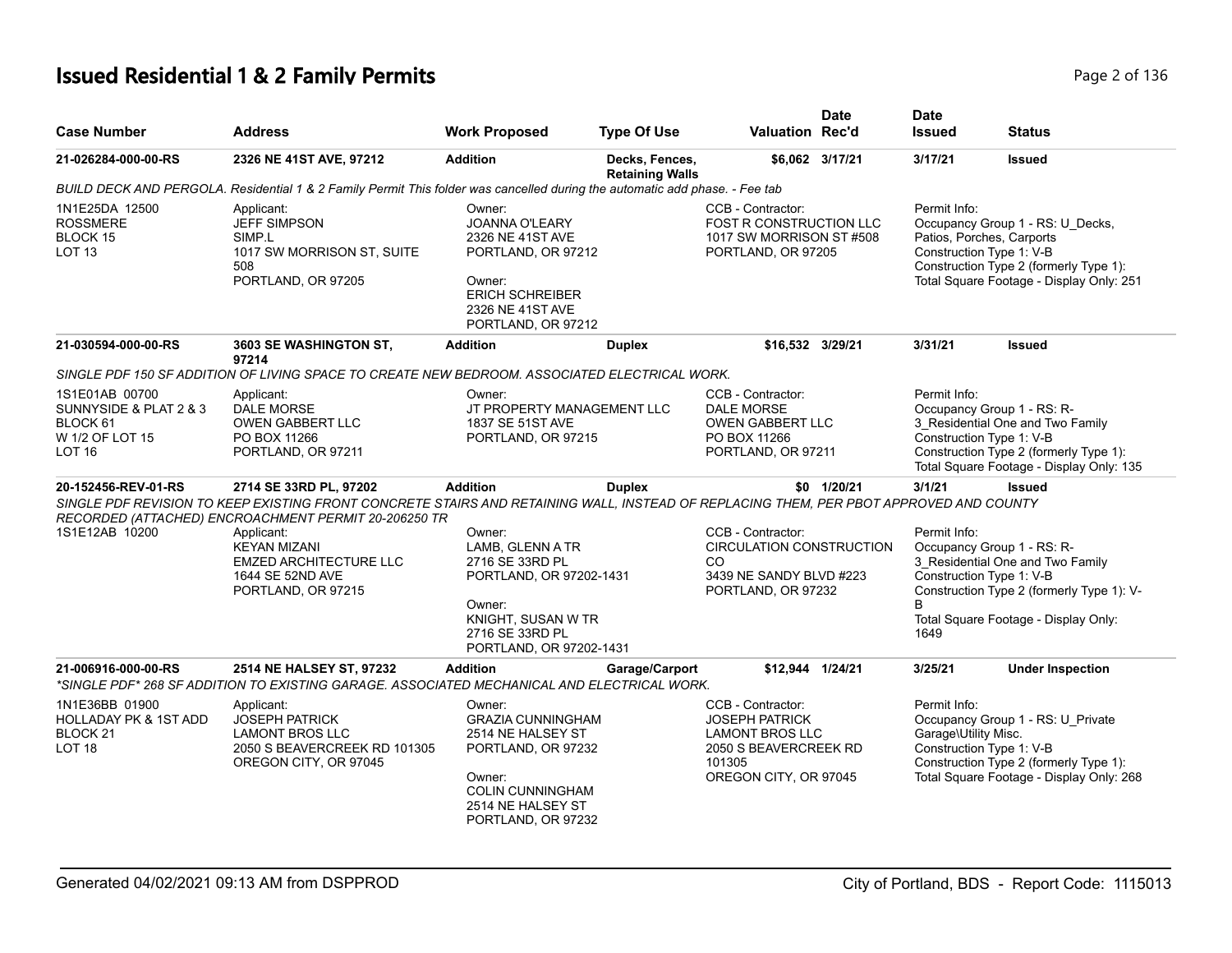# **Issued Residential 1 & 2 Family Permits Page 2 of 136 Page 2 of 136**

| <b>Case Number</b>                                                                             | Address                                                                                                                                                                                                                  | <b>Work Proposed</b>                                                                                                                                          | <b>Type Of Use</b>                       | <b>Valuation Rec'd</b>                                                                                                           | <b>Date</b>     | <b>Date</b><br><b>Issued</b>                                          | <b>Status</b>                                                                                                                                        |
|------------------------------------------------------------------------------------------------|--------------------------------------------------------------------------------------------------------------------------------------------------------------------------------------------------------------------------|---------------------------------------------------------------------------------------------------------------------------------------------------------------|------------------------------------------|----------------------------------------------------------------------------------------------------------------------------------|-----------------|-----------------------------------------------------------------------|------------------------------------------------------------------------------------------------------------------------------------------------------|
| 21-026284-000-00-RS                                                                            | 2326 NE 41ST AVE, 97212                                                                                                                                                                                                  | <b>Addition</b>                                                                                                                                               | Decks, Fences,<br><b>Retaining Walls</b> |                                                                                                                                  | \$6,062 3/17/21 | 3/17/21                                                               | <b>Issued</b>                                                                                                                                        |
|                                                                                                | BUILD DECK AND PERGOLA. Residential 1 & 2 Family Permit This folder was cancelled during the automatic add phase. - Fee tab                                                                                              |                                                                                                                                                               |                                          |                                                                                                                                  |                 |                                                                       |                                                                                                                                                      |
| 1N1E25DA 12500<br><b>ROSSMERE</b><br>BLOCK 15<br>LOT <sub>13</sub>                             | Applicant:<br><b>JEFF SIMPSON</b><br>SIMP.L<br>1017 SW MORRISON ST, SUITE<br>508<br>PORTLAND, OR 97205                                                                                                                   | Owner:<br><b>JOANNA O'LEARY</b><br>2326 NE 41ST AVE<br>PORTLAND, OR 97212<br>Owner:<br><b>ERICH SCHREIBER</b><br>2326 NE 41ST AVE<br>PORTLAND, OR 97212       |                                          | CCB - Contractor:<br>FOST R CONSTRUCTION LLC<br>1017 SW MORRISON ST #508<br>PORTLAND, OR 97205                                   |                 | Permit Info:<br>Patios, Porches, Carports<br>Construction Type 1: V-B | Occupancy Group 1 - RS: U_Decks,<br>Construction Type 2 (formerly Type 1):<br>Total Square Footage - Display Only: 251                               |
| 21-030594-000-00-RS                                                                            | <b>3603 SE WASHINGTON ST.</b><br>97214                                                                                                                                                                                   | <b>Addition</b>                                                                                                                                               | <b>Duplex</b>                            | \$16,532 3/29/21                                                                                                                 |                 | 3/31/21                                                               | <b>Issued</b>                                                                                                                                        |
|                                                                                                | SINGLE PDF 150 SF ADDITION OF LIVING SPACE TO CREATE NEW BEDROOM. ASSOCIATED ELECTRICAL WORK.                                                                                                                            |                                                                                                                                                               |                                          |                                                                                                                                  |                 |                                                                       |                                                                                                                                                      |
| 1S1E01AB 00700<br>SUNNYSIDE & PLAT 2 & 3<br>BLOCK 61<br>W 1/2 OF LOT 15<br>LOT 16              | Applicant:<br>DALE MORSE<br><b>OWEN GABBERT LLC</b><br>PO BOX 11266<br>PORTLAND, OR 97211                                                                                                                                | Owner:<br>JT PROPERTY MANAGEMENT LLC<br>1837 SE 51ST AVE<br>PORTLAND, OR 97215                                                                                |                                          | CCB - Contractor:<br><b>DALE MORSE</b><br><b>OWEN GABBERT LLC</b><br>PO BOX 11266<br>PORTLAND, OR 97211                          |                 | Permit Info:<br>Construction Type 1: V-B                              | Occupancy Group 1 - RS: R-<br>3 Residential One and Two Family<br>Construction Type 2 (formerly Type 1):<br>Total Square Footage - Display Only: 135 |
| 20-152456-REV-01-RS                                                                            | 2714 SE 33RD PL, 97202<br>SINGLE PDF REVISION TO KEEP EXISTING FRONT CONCRETE STAIRS AND RETAINING WALL, INSTEAD OF REPLACING THEM, PER PBOT APPROVED AND COUNTY<br>RECORDED (ATTACHED) ENCROACHMENT PERMIT 20-206250 TR | <b>Addition</b>                                                                                                                                               | <b>Duplex</b>                            |                                                                                                                                  | \$0 1/20/21     | 3/1/21                                                                | <b>Issued</b>                                                                                                                                        |
| 1S1E12AB 10200                                                                                 | Applicant:<br><b>KEYAN MIZANI</b><br><b>EMZED ARCHITECTURE LLC</b><br>1644 SE 52ND AVE<br>PORTLAND, OR 97215                                                                                                             | Owner:<br>LAMB, GLENN A TR<br>2716 SE 33RD PL<br>PORTLAND, OR 97202-1431<br>Owner:<br>KNIGHT, SUSAN W TR<br>2716 SE 33RD PL<br>PORTLAND, OR 97202-1431        |                                          | CCB - Contractor:<br><b>CIRCULATION CONSTRUCTION</b><br>CO.<br>3439 NE SANDY BLVD #223<br>PORTLAND, OR 97232                     |                 | Permit Info:<br>Construction Type 1: V-B<br>1649                      | Occupancy Group 1 - RS: R-<br>3 Residential One and Two Family<br>Construction Type 2 (formerly Type 1): V-<br>Total Square Footage - Display Only:  |
| 21-006916-000-00-RS                                                                            | 2514 NE HALSEY ST, 97232<br>*SINGLE PDF* 268 SF ADDITION TO EXISTING GARAGE. ASSOCIATED MECHANICAL AND ELECTRICAL WORK.                                                                                                  | <b>Addition</b>                                                                                                                                               | Garage/Carport                           | \$12,944 1/24/21                                                                                                                 |                 | 3/25/21                                                               | <b>Under Inspection</b>                                                                                                                              |
| 1N1E36BB 01900<br><b>HOLLADAY PK &amp; 1ST ADD</b><br>BLOCK <sub>21</sub><br>LOT <sub>18</sub> | Applicant:<br><b>JOSEPH PATRICK</b><br><b>LAMONT BROS LLC</b><br>2050 S BEAVERCREEK RD 101305<br>OREGON CITY, OR 97045                                                                                                   | Owner:<br><b>GRAZIA CUNNINGHAM</b><br>2514 NE HALSEY ST<br>PORTLAND, OR 97232<br>Owner:<br><b>COLIN CUNNINGHAM</b><br>2514 NE HALSEY ST<br>PORTLAND, OR 97232 |                                          | CCB - Contractor:<br><b>JOSEPH PATRICK</b><br><b>LAMONT BROS LLC</b><br>2050 S BEAVERCREEK RD<br>101305<br>OREGON CITY, OR 97045 |                 | Permit Info:<br>Garage\Utility Misc.<br>Construction Type 1: V-B      | Occupancy Group 1 - RS: U_Private<br>Construction Type 2 (formerly Type 1):<br>Total Square Footage - Display Only: 268                              |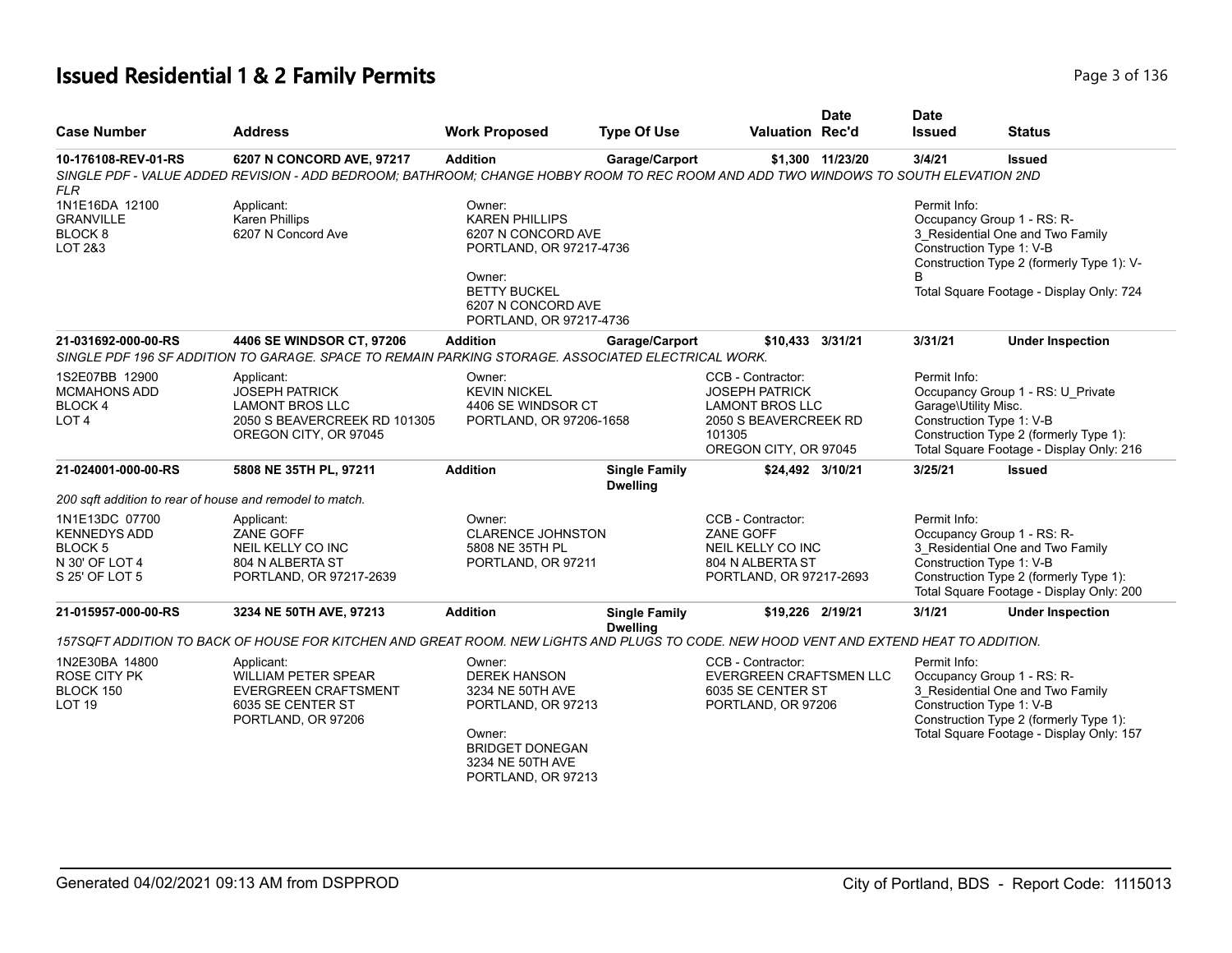## **Issued Residential 1 & 2 Family Permits Page 1136** 2 **Page 3 of 136**

| <b>Case Number</b>                                                                              | <b>Address</b>                                                                                                                         | <b>Work Proposed</b>                                                                                                                                               | <b>Type Of Use</b>                      | <b>Valuation Rec'd</b>                                                                                                           | Date             | <b>Date</b><br><b>Issued</b>         | <b>Status</b>                                                                                                                                                                       |
|-------------------------------------------------------------------------------------------------|----------------------------------------------------------------------------------------------------------------------------------------|--------------------------------------------------------------------------------------------------------------------------------------------------------------------|-----------------------------------------|----------------------------------------------------------------------------------------------------------------------------------|------------------|--------------------------------------|-------------------------------------------------------------------------------------------------------------------------------------------------------------------------------------|
| 10-176108-REV-01-RS                                                                             | 6207 N CONCORD AVE, 97217                                                                                                              | <b>Addition</b>                                                                                                                                                    | Garage/Carport                          |                                                                                                                                  | \$1,300 11/23/20 | 3/4/21                               | <b>Issued</b>                                                                                                                                                                       |
| <b>FLR</b>                                                                                      | SINGLE PDF - VALUE ADDED REVISION - ADD BEDROOM; BATHROOM; CHANGE HOBBY ROOM TO REC ROOM AND ADD TWO WINDOWS TO SOUTH ELEVATION 2ND    |                                                                                                                                                                    |                                         |                                                                                                                                  |                  |                                      |                                                                                                                                                                                     |
| 1N1E16DA 12100<br><b>GRANVILLE</b><br>BLOCK <sub>8</sub><br>LOT 2&3                             | Applicant:<br>Karen Phillips<br>6207 N Concord Ave                                                                                     | Owner:<br><b>KAREN PHILLIPS</b><br>6207 N CONCORD AVE<br>PORTLAND, OR 97217-4736<br>Owner:<br><b>BETTY BUCKEL</b><br>6207 N CONCORD AVE<br>PORTLAND, OR 97217-4736 |                                         |                                                                                                                                  |                  | Permit Info:<br>R                    | Occupancy Group 1 - RS: R-<br>3_Residential One and Two Family<br>Construction Type 1: V-B<br>Construction Type 2 (formerly Type 1): V-<br>Total Square Footage - Display Only: 724 |
| 21-031692-000-00-RS                                                                             | 4406 SE WINDSOR CT, 97206<br>SINGLE PDF 196 SF ADDITION TO GARAGE. SPACE TO REMAIN PARKING STORAGE. ASSOCIATED ELECTRICAL WORK.        | <b>Addition</b>                                                                                                                                                    | Garage/Carport                          | \$10,433 3/31/21                                                                                                                 |                  | 3/31/21                              | <b>Under Inspection</b>                                                                                                                                                             |
| 1S2E07BB 12900<br><b>MCMAHONS ADD</b><br><b>BLOCK4</b><br>LOT 4                                 | Applicant:<br><b>JOSEPH PATRICK</b><br><b>LAMONT BROS LLC</b><br>2050 S BEAVERCREEK RD 101305<br>OREGON CITY, OR 97045                 | Owner:<br><b>KEVIN NICKEL</b><br>4406 SE WINDSOR CT<br>PORTLAND, OR 97206-1658                                                                                     |                                         | CCB - Contractor:<br><b>JOSEPH PATRICK</b><br><b>LAMONT BROS LLC</b><br>2050 S BEAVERCREEK RD<br>101305<br>OREGON CITY, OR 97045 |                  | Permit Info:<br>Garage\Utility Misc. | Occupancy Group 1 - RS: U_Private<br>Construction Type 1: V-B<br>Construction Type 2 (formerly Type 1):<br>Total Square Footage - Display Only: 216                                 |
| 21-024001-000-00-RS                                                                             | 5808 NE 35TH PL, 97211                                                                                                                 | <b>Addition</b>                                                                                                                                                    | <b>Single Family</b><br><b>Dwelling</b> | \$24,492 3/10/21                                                                                                                 |                  | 3/25/21                              | <b>Issued</b>                                                                                                                                                                       |
| 200 sqft addition to rear of house and remodel to match.                                        |                                                                                                                                        |                                                                                                                                                                    |                                         |                                                                                                                                  |                  |                                      |                                                                                                                                                                                     |
| 1N1E13DC 07700<br><b>KENNEDYS ADD</b><br>BLOCK <sub>5</sub><br>N 30' OF LOT 4<br>S 25' OF LOT 5 | Applicant:<br>ZANE GOFF<br>NEIL KELLY CO INC<br>804 N ALBERTA ST<br>PORTLAND, OR 97217-2639                                            | Owner:<br><b>CLARENCE JOHNSTON</b><br>5808 NE 35TH PL<br>PORTLAND, OR 97211                                                                                        |                                         | CCB - Contractor:<br><b>ZANE GOFF</b><br>NEIL KELLY CO INC<br>804 N ALBERTA ST<br>PORTLAND, OR 97217-2693                        |                  | Permit Info:                         | Occupancy Group 1 - RS: R-<br>3_Residential One and Two Family<br>Construction Type 1: V-B<br>Construction Type 2 (formerly Type 1):<br>Total Square Footage - Display Only: 200    |
| 21-015957-000-00-RS                                                                             | 3234 NE 50TH AVE, 97213                                                                                                                | <b>Addition</b>                                                                                                                                                    | <b>Single Family</b><br><b>Dwelling</b> | \$19,226 2/19/21                                                                                                                 |                  | 3/1/21                               | <b>Under Inspection</b>                                                                                                                                                             |
|                                                                                                 | 157SQFT ADDITION TO BACK OF HOUSE FOR KITCHEN AND GREAT ROOM. NEW LIGHTS AND PLUGS TO CODE. NEW HOOD VENT AND EXTEND HEAT TO ADDITION. |                                                                                                                                                                    |                                         |                                                                                                                                  |                  |                                      |                                                                                                                                                                                     |
| 1N2E30BA 14800<br><b>ROSE CITY PK</b><br>BLOCK 150<br><b>LOT 19</b>                             | Applicant:<br><b>WILLIAM PETER SPEAR</b><br>EVERGREEN CRAFTSMENT<br>6035 SE CENTER ST<br>PORTLAND, OR 97206                            | Owner:<br><b>DEREK HANSON</b><br>3234 NE 50TH AVE<br>PORTLAND, OR 97213<br>Owner:<br><b>BRIDGET DONEGAN</b><br>3234 NE 50TH AVE<br>PORTLAND, OR 97213              |                                         | CCB - Contractor:<br><b>EVERGREEN CRAFTSMEN LLC</b><br>6035 SE CENTER ST<br>PORTLAND, OR 97206                                   |                  | Permit Info:                         | Occupancy Group 1 - RS: R-<br>3_Residential One and Two Family<br>Construction Type 1: V-B<br>Construction Type 2 (formerly Type 1):<br>Total Square Footage - Display Only: 157    |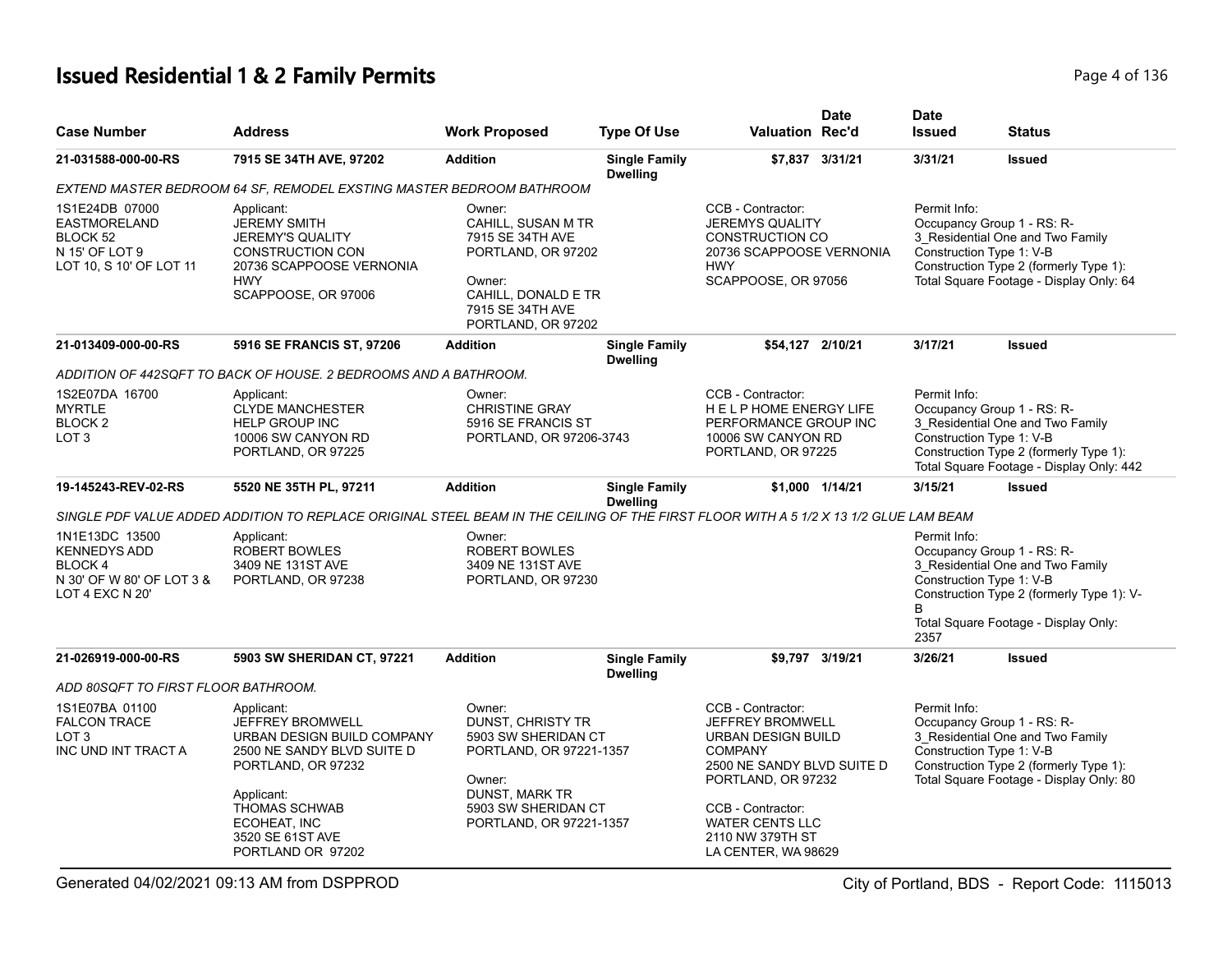# **Issued Residential 1 & 2 Family Permits** Page 4 of 136

| <b>Case Number</b>                                                                                     | <b>Address</b>                                                                                                                                                                                                         | <b>Work Proposed</b>                                                                                                                                               | <b>Type Of Use</b>                      | <b>Valuation Rec'd</b>                                                                                                                                                                                                      | <b>Date</b>     | <b>Date</b><br><b>Issued</b>                     | <b>Status</b>                                                                                                                                        |
|--------------------------------------------------------------------------------------------------------|------------------------------------------------------------------------------------------------------------------------------------------------------------------------------------------------------------------------|--------------------------------------------------------------------------------------------------------------------------------------------------------------------|-----------------------------------------|-----------------------------------------------------------------------------------------------------------------------------------------------------------------------------------------------------------------------------|-----------------|--------------------------------------------------|------------------------------------------------------------------------------------------------------------------------------------------------------|
| 21-031588-000-00-RS                                                                                    | 7915 SE 34TH AVE, 97202                                                                                                                                                                                                | <b>Addition</b>                                                                                                                                                    | <b>Single Family</b><br><b>Dwelling</b> |                                                                                                                                                                                                                             | \$7,837 3/31/21 | 3/31/21                                          | <b>Issued</b>                                                                                                                                        |
|                                                                                                        | EXTEND MASTER BEDROOM 64 SF, REMODEL EXSTING MASTER BEDROOM BATHROOM                                                                                                                                                   |                                                                                                                                                                    |                                         |                                                                                                                                                                                                                             |                 |                                                  |                                                                                                                                                      |
| 1S1E24DB 07000<br><b>EASTMORELAND</b><br>BLOCK 52<br>N 15' OF LOT 9<br>LOT 10, S 10' OF LOT 11         | Applicant:<br><b>JEREMY SMITH</b><br><b>JEREMY'S QUALITY</b><br><b>CONSTRUCTION CON</b><br>20736 SCAPPOOSE VERNONIA<br><b>HWY</b><br>SCAPPOOSE, OR 97006                                                               | Owner:<br>CAHILL, SUSAN M TR<br>7915 SE 34TH AVE<br>PORTLAND, OR 97202<br>Owner:<br>CAHILL, DONALD E TR<br>7915 SE 34TH AVE<br>PORTLAND, OR 97202                  |                                         | CCB - Contractor:<br><b>JEREMYS QUALITY</b><br><b>CONSTRUCTION CO</b><br>20736 SCAPPOOSE VERNONIA<br><b>HWY</b><br>SCAPPOOSE, OR 97056                                                                                      |                 | Permit Info:<br>Construction Type 1: V-B         | Occupancy Group 1 - RS: R-<br>3_Residential One and Two Family<br>Construction Type 2 (formerly Type 1):<br>Total Square Footage - Display Only: 64  |
| 21-013409-000-00-RS                                                                                    | 5916 SE FRANCIS ST, 97206                                                                                                                                                                                              | <b>Addition</b>                                                                                                                                                    | <b>Single Family</b><br><b>Dwelling</b> | \$54,127 2/10/21                                                                                                                                                                                                            |                 | 3/17/21                                          | <b>Issued</b>                                                                                                                                        |
|                                                                                                        | ADDITION OF 442SQFT TO BACK OF HOUSE. 2 BEDROOMS AND A BATHROOM.                                                                                                                                                       |                                                                                                                                                                    |                                         |                                                                                                                                                                                                                             |                 |                                                  |                                                                                                                                                      |
| 1S2E07DA 16700<br><b>MYRTLE</b><br>BLOCK <sub>2</sub><br>LOT <sub>3</sub>                              | Applicant:<br><b>CLYDE MANCHESTER</b><br><b>HELP GROUP INC</b><br>10006 SW CANYON RD<br>PORTLAND, OR 97225                                                                                                             | Owner:<br><b>CHRISTINE GRAY</b><br>5916 SE FRANCIS ST<br>PORTLAND, OR 97206-3743                                                                                   |                                         | CCB - Contractor:<br>HELPHOME ENERGY LIFE<br>PERFORMANCE GROUP INC<br>10006 SW CANYON RD<br>PORTLAND, OR 97225                                                                                                              |                 | Permit Info:<br>Construction Type 1: V-B         | Occupancy Group 1 - RS: R-<br>3 Residential One and Two Family<br>Construction Type 2 (formerly Type 1):<br>Total Square Footage - Display Only: 442 |
| 19-145243-REV-02-RS                                                                                    | 5520 NE 35TH PL, 97211                                                                                                                                                                                                 | <b>Addition</b>                                                                                                                                                    | <b>Single Family</b><br><b>Dwelling</b> |                                                                                                                                                                                                                             | \$1,000 1/14/21 | 3/15/21                                          | <b>Issued</b>                                                                                                                                        |
|                                                                                                        | SINGLE PDF VALUE ADDED ADDITION TO REPLACE ORIGINAL STEEL BEAM IN THE CEILING OF THE FIRST FLOOR WITH A 5 1/2 X 13 1/2 GLUE LAM BEAM                                                                                   |                                                                                                                                                                    |                                         |                                                                                                                                                                                                                             |                 |                                                  |                                                                                                                                                      |
| 1N1E13DC 13500<br><b>KENNEDYS ADD</b><br><b>BLOCK4</b><br>N 30' OF W 80' OF LOT 3 &<br>LOT 4 EXC N 20' | Applicant:<br><b>ROBERT BOWLES</b><br>3409 NE 131ST AVE<br>PORTLAND, OR 97238                                                                                                                                          | Owner:<br><b>ROBERT BOWLES</b><br>3409 NE 131ST AVE<br>PORTLAND, OR 97230                                                                                          |                                         |                                                                                                                                                                                                                             |                 | Permit Info:<br>Construction Type 1: V-B<br>2357 | Occupancy Group 1 - RS: R-<br>3 Residential One and Two Family<br>Construction Type 2 (formerly Type 1): V-<br>Total Square Footage - Display Only:  |
| 21-026919-000-00-RS                                                                                    | 5903 SW SHERIDAN CT, 97221                                                                                                                                                                                             | <b>Addition</b>                                                                                                                                                    | <b>Single Family</b><br><b>Dwelling</b> | \$9,797 3/19/21                                                                                                                                                                                                             |                 | 3/26/21                                          | <b>Issued</b>                                                                                                                                        |
| ADD 80SQFT TO FIRST FLOOR BATHROOM.                                                                    |                                                                                                                                                                                                                        |                                                                                                                                                                    |                                         |                                                                                                                                                                                                                             |                 |                                                  |                                                                                                                                                      |
| 1S1E07BA 01100<br><b>FALCON TRACE</b><br>LOT <sub>3</sub><br>INC UND INT TRACT A                       | Applicant:<br><b>JEFFREY BROMWELL</b><br>URBAN DESIGN BUILD COMPANY<br>2500 NE SANDY BLVD SUITE D<br>PORTLAND, OR 97232<br>Applicant:<br><b>THOMAS SCHWAB</b><br>ECOHEAT, INC<br>3520 SE 61ST AVE<br>PORTLAND OR 97202 | Owner:<br>DUNST, CHRISTY TR<br>5903 SW SHERIDAN CT<br>PORTLAND, OR 97221-1357<br>Owner:<br><b>DUNST, MARK TR</b><br>5903 SW SHERIDAN CT<br>PORTLAND, OR 97221-1357 |                                         | CCB - Contractor:<br>JEFFREY BROMWELL<br>URBAN DESIGN BUILD<br><b>COMPANY</b><br>2500 NE SANDY BLVD SUITE D<br>PORTLAND, OR 97232<br>CCB - Contractor:<br><b>WATER CENTS LLC</b><br>2110 NW 379TH ST<br>LA CENTER, WA 98629 |                 | Permit Info:<br>Construction Type 1: V-B         | Occupancy Group 1 - RS: R-<br>3 Residential One and Two Family<br>Construction Type 2 (formerly Type 1):<br>Total Square Footage - Display Only: 80  |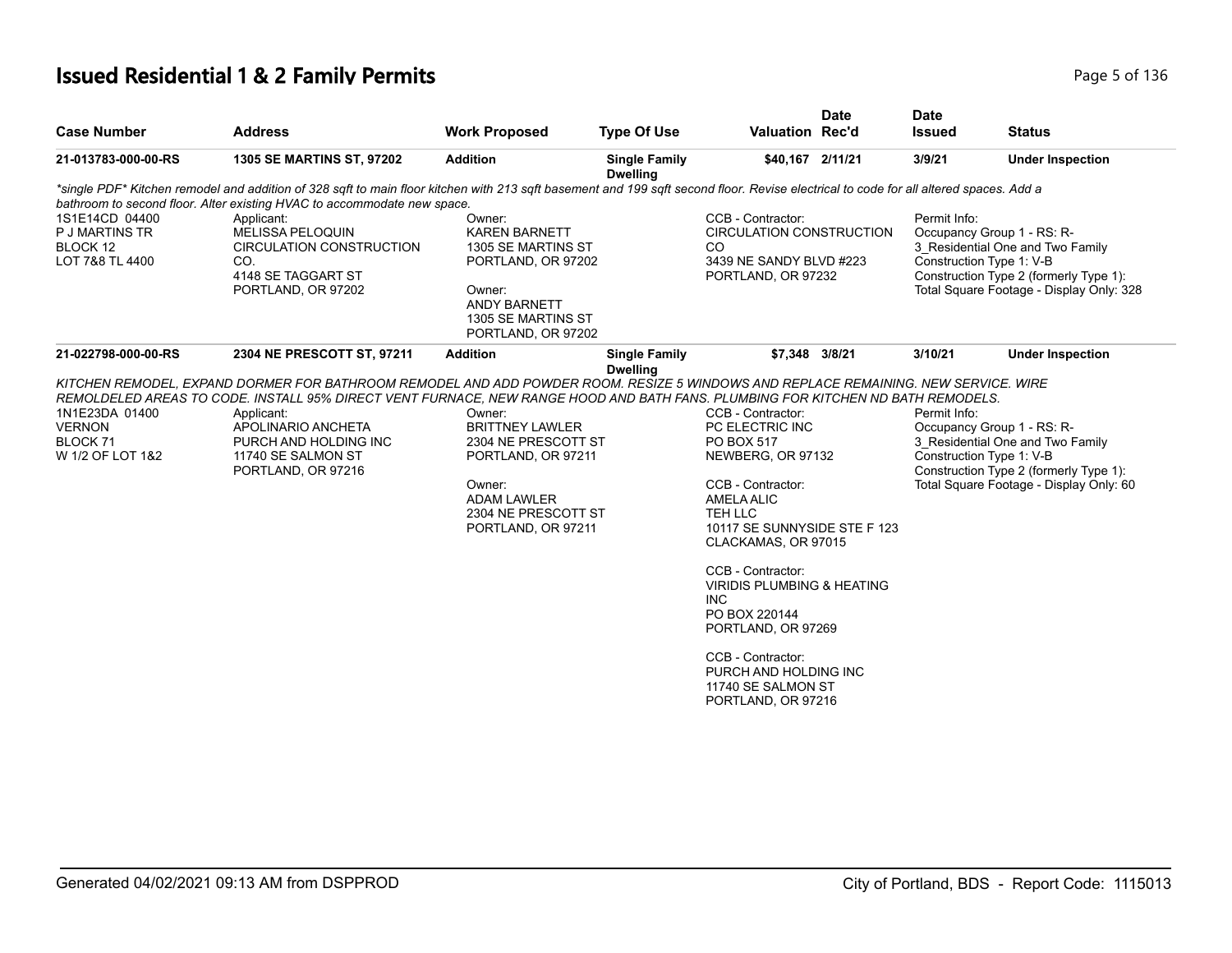## **Issued Residential 1 & 2 Family Permits** Page 5 of 136

|                                                                            |                                                                                                                                                                                                                                                                                                                                                                                |                                                                                                                                                            |                                         |                                                                                                                                                                                                                                                                                                                                                                                                  | <b>Date</b> | <b>Date</b>   |                                                                                                                                                                                  |
|----------------------------------------------------------------------------|--------------------------------------------------------------------------------------------------------------------------------------------------------------------------------------------------------------------------------------------------------------------------------------------------------------------------------------------------------------------------------|------------------------------------------------------------------------------------------------------------------------------------------------------------|-----------------------------------------|--------------------------------------------------------------------------------------------------------------------------------------------------------------------------------------------------------------------------------------------------------------------------------------------------------------------------------------------------------------------------------------------------|-------------|---------------|----------------------------------------------------------------------------------------------------------------------------------------------------------------------------------|
| <b>Case Number</b>                                                         | <b>Address</b>                                                                                                                                                                                                                                                                                                                                                                 | <b>Work Proposed</b>                                                                                                                                       | <b>Type Of Use</b>                      | Valuation Rec'd                                                                                                                                                                                                                                                                                                                                                                                  |             | <b>Issued</b> | <b>Status</b>                                                                                                                                                                    |
| 21-013783-000-00-RS                                                        | <b>1305 SE MARTINS ST, 97202</b>                                                                                                                                                                                                                                                                                                                                               | <b>Addition</b>                                                                                                                                            | <b>Single Family</b><br><b>Dwelling</b> | \$40,167 2/11/21                                                                                                                                                                                                                                                                                                                                                                                 |             | 3/9/21        | <b>Under Inspection</b>                                                                                                                                                          |
|                                                                            | *single PDF* Kitchen remodel and addition of 328 sqft to main floor kitchen with 213 sqft basement and 199 sqft second floor. Revise electrical to code for all altered spaces. Add a<br>bathroom to second floor. Alter existing HVAC to accommodate new space.                                                                                                               |                                                                                                                                                            |                                         |                                                                                                                                                                                                                                                                                                                                                                                                  |             |               |                                                                                                                                                                                  |
| 1S1E14CD 04400<br>P J MARTINS TR<br>BLOCK 12<br>LOT 7&8 TL 4400            | Applicant:<br><b>MELISSA PELOQUIN</b><br><b>CIRCULATION CONSTRUCTION</b><br>CO.<br>4148 SE TAGGART ST<br>PORTLAND, OR 97202                                                                                                                                                                                                                                                    | Owner:<br><b>KAREN BARNETT</b><br>1305 SE MARTINS ST<br>PORTLAND, OR 97202<br>Owner:<br><b>ANDY BARNETT</b><br>1305 SE MARTINS ST<br>PORTLAND, OR 97202    |                                         | CCB - Contractor:<br><b>CIRCULATION CONSTRUCTION</b><br>CO.<br>3439 NE SANDY BLVD #223<br>PORTLAND, OR 97232                                                                                                                                                                                                                                                                                     |             | Permit Info:  | Occupancy Group 1 - RS: R-<br>3 Residential One and Two Family<br>Construction Type 1: V-B<br>Construction Type 2 (formerly Type 1):<br>Total Square Footage - Display Only: 328 |
| 21-022798-000-00-RS                                                        | 2304 NE PRESCOTT ST, 97211                                                                                                                                                                                                                                                                                                                                                     | <b>Addition</b>                                                                                                                                            | <b>Single Family</b><br><b>Dwelling</b> | \$7,348 3/8/21                                                                                                                                                                                                                                                                                                                                                                                   |             | 3/10/21       | <b>Under Inspection</b>                                                                                                                                                          |
| 1N1E23DA 01400<br><b>VERNON</b><br>BLOCK <sub>71</sub><br>W 1/2 OF LOT 1&2 | KITCHEN REMODEL, EXPAND DORMER FOR BATHROOM REMODEL AND ADD POWDER ROOM. RESIZE 5 WINDOWS AND REPLACE REMAINING. NEW SERVICE. WIRE<br>REMOLDELED AREAS TO CODE. INSTALL 95% DIRECT VENT FURNACE, NEW RANGE HOOD AND BATH FANS. PLUMBING FOR KITCHEN ND BATH REMODELS.<br>Applicant:<br>APOLINARIO ANCHETA<br>PURCH AND HOLDING INC<br>11740 SE SALMON ST<br>PORTLAND, OR 97216 | Owner:<br><b>BRITTNEY LAWLER</b><br>2304 NE PRESCOTT ST<br>PORTLAND, OR 97211<br>Owner:<br><b>ADAM LAWLER</b><br>2304 NE PRESCOTT ST<br>PORTLAND, OR 97211 |                                         | CCB - Contractor:<br>PC ELECTRIC INC<br>PO BOX 517<br>NEWBERG, OR 97132<br>CCB - Contractor:<br><b>AMELA ALIC</b><br>TEH LLC<br>10117 SE SUNNYSIDE STE F 123<br>CLACKAMAS, OR 97015<br>CCB - Contractor:<br><b>VIRIDIS PLUMBING &amp; HEATING</b><br><b>INC</b><br>PO BOX 220144<br>PORTLAND, OR 97269<br>CCB - Contractor:<br>PURCH AND HOLDING INC<br>11740 SE SALMON ST<br>PORTLAND, OR 97216 |             | Permit Info:  | Occupancy Group 1 - RS: R-<br>3 Residential One and Two Family<br>Construction Type 1: V-B<br>Construction Type 2 (formerly Type 1):<br>Total Square Footage - Display Only: 60  |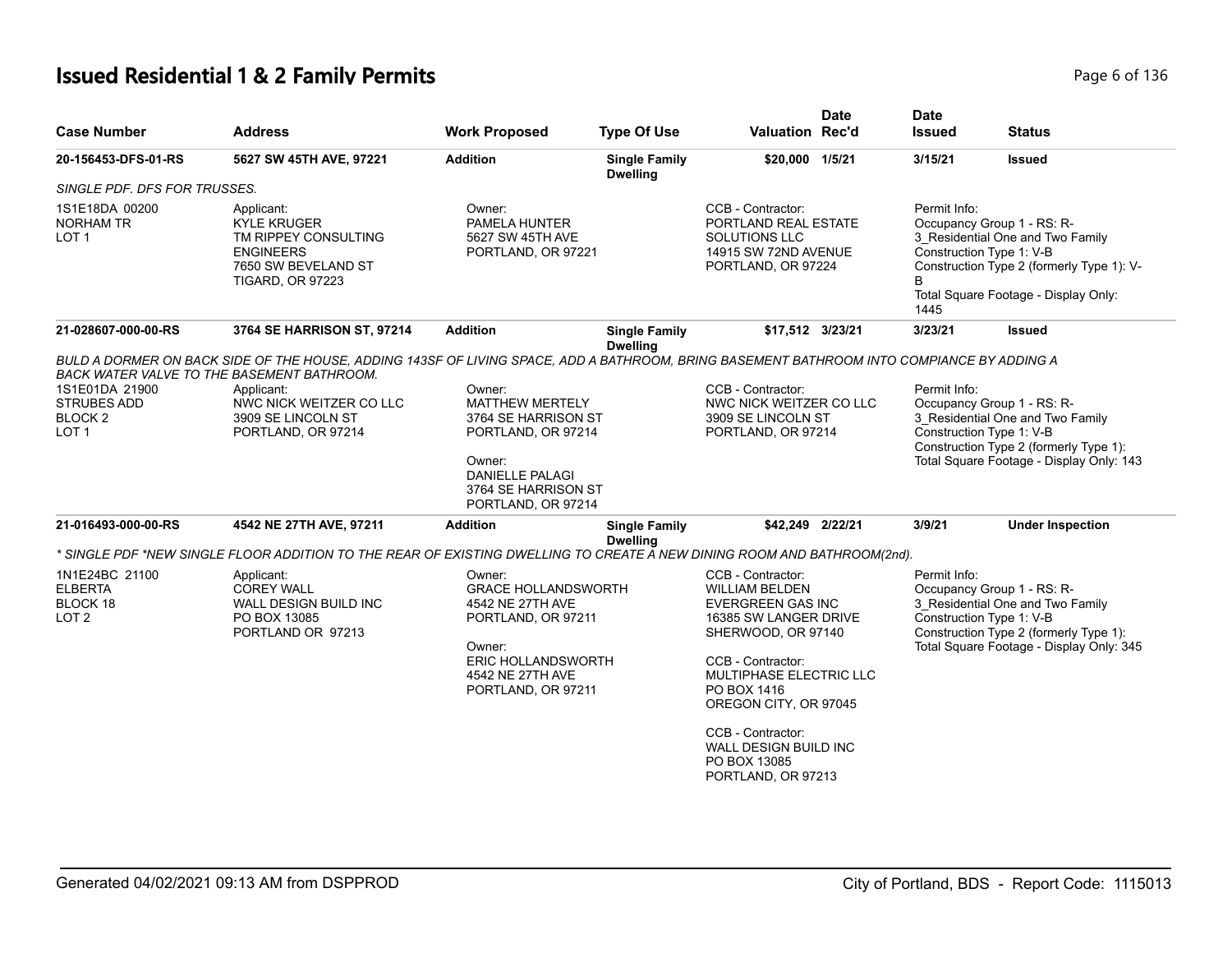# **Issued Residential 1 & 2 Family Permits** Page 6 of 136

| <b>Case Number</b>                                                  | <b>Address</b>                                                                                                                                                                                                                                                               | <b>Work Proposed</b>                                                                                                                                            | <b>Type Of Use</b>                      | <b>Valuation Rec'd</b>                                                                                                                                                                                                                                                      | <b>Date</b> | <b>Date</b><br><b>Issued</b>             | <b>Status</b>                                                                                                                                                                    |
|---------------------------------------------------------------------|------------------------------------------------------------------------------------------------------------------------------------------------------------------------------------------------------------------------------------------------------------------------------|-----------------------------------------------------------------------------------------------------------------------------------------------------------------|-----------------------------------------|-----------------------------------------------------------------------------------------------------------------------------------------------------------------------------------------------------------------------------------------------------------------------------|-------------|------------------------------------------|----------------------------------------------------------------------------------------------------------------------------------------------------------------------------------|
| 20-156453-DFS-01-RS                                                 | 5627 SW 45TH AVE, 97221                                                                                                                                                                                                                                                      | <b>Addition</b>                                                                                                                                                 | <b>Single Family</b><br><b>Dwelling</b> | \$20,000 1/5/21                                                                                                                                                                                                                                                             |             | 3/15/21                                  | <b>Issued</b>                                                                                                                                                                    |
| <b>SINGLE PDF. DFS FOR TRUSSES.</b>                                 |                                                                                                                                                                                                                                                                              |                                                                                                                                                                 |                                         |                                                                                                                                                                                                                                                                             |             |                                          |                                                                                                                                                                                  |
| 1S1E18DA 00200<br><b>NORHAM TR</b><br>LOT 1                         | Applicant:<br><b>KYLE KRUGER</b><br>TM RIPPEY CONSULTING<br><b>ENGINEERS</b><br>7650 SW BEVELAND ST<br><b>TIGARD, OR 97223</b>                                                                                                                                               | Owner:<br>PAMELA HUNTER<br>5627 SW 45TH AVE<br>PORTLAND, OR 97221                                                                                               |                                         | CCB - Contractor:<br>PORTLAND REAL ESTATE<br>SOLUTIONS LLC<br>14915 SW 72ND AVENUE<br>PORTLAND, OR 97224                                                                                                                                                                    |             | Permit Info:<br>1445                     | Occupancy Group 1 - RS: R-<br>3_Residential One and Two Family<br>Construction Type 1: V-B<br>Construction Type 2 (formerly Type 1): V-<br>Total Square Footage - Display Only:  |
| 21-028607-000-00-RS                                                 | 3764 SE HARRISON ST, 97214                                                                                                                                                                                                                                                   | <b>Addition</b>                                                                                                                                                 | <b>Single Family</b><br><b>Dwelling</b> | \$17,512 3/23/21                                                                                                                                                                                                                                                            |             | 3/23/21                                  | <b>Issued</b>                                                                                                                                                                    |
| 1S1E01DA 21900<br><b>STRUBES ADD</b><br>BLOCK <sub>2</sub><br>LOT 1 | BULD A DORMER ON BACK SIDE OF THE HOUSE, ADDING 143SF OF LIVING SPACE, ADD A BATHROOM, BRING BASEMENT BATHROOM INTO COMPIANCE BY ADDING A<br>BACK WATER VALVE TO THE BASEMENT BATHROOM.<br>Applicant:<br>NWC NICK WEITZER CO LLC<br>3909 SE LINCOLN ST<br>PORTLAND, OR 97214 | Owner:<br><b>MATTHEW MERTELY</b><br>3764 SE HARRISON ST<br>PORTLAND, OR 97214<br>Owner:<br><b>DANIELLE PALAGI</b><br>3764 SE HARRISON ST<br>PORTLAND, OR 97214  |                                         | CCB - Contractor:<br>NWC NICK WEITZER CO LLC<br>3909 SE LINCOLN ST<br>PORTLAND, OR 97214                                                                                                                                                                                    |             | Permit Info:<br>Construction Type 1: V-B | Occupancy Group 1 - RS: R-<br>3_Residential One and Two Family<br>Construction Type 2 (formerly Type 1):<br>Total Square Footage - Display Only: 143                             |
| 21-016493-000-00-RS                                                 | 4542 NE 27TH AVE, 97211                                                                                                                                                                                                                                                      | <b>Addition</b>                                                                                                                                                 | <b>Single Family</b><br><b>Dwelling</b> | \$42,249 2/22/21                                                                                                                                                                                                                                                            |             | 3/9/21                                   | <b>Under Inspection</b>                                                                                                                                                          |
|                                                                     | * SINGLE PDF *NEW SINGLE FLOOR ADDITION TO THE REAR OF EXISTING DWELLING TO CREATE A NEW DINING ROOM AND BATHROOM(2nd).                                                                                                                                                      |                                                                                                                                                                 |                                         |                                                                                                                                                                                                                                                                             |             |                                          |                                                                                                                                                                                  |
| 1N1E24BC 21100<br><b>ELBERTA</b><br>BLOCK 18<br>LOT <sub>2</sub>    | Applicant:<br><b>COREY WALL</b><br>WALL DESIGN BUILD INC<br>PO BOX 13085<br>PORTLAND OR 97213                                                                                                                                                                                | Owner:<br><b>GRACE HOLLANDSWORTH</b><br>4542 NE 27TH AVE<br>PORTLAND, OR 97211<br>Owner:<br><b>ERIC HOLLANDSWORTH</b><br>4542 NE 27TH AVE<br>PORTLAND, OR 97211 |                                         | CCB - Contractor:<br><b>WILLIAM BELDEN</b><br><b>EVERGREEN GAS INC</b><br>16385 SW LANGER DRIVE<br>SHERWOOD, OR 97140<br>CCB - Contractor:<br>MULTIPHASE ELECTRIC LLC<br>PO BOX 1416<br>OREGON CITY, OR 97045<br>CCB - Contractor:<br>WALL DESIGN BUILD INC<br>PO BOX 13085 |             | Permit Info:                             | Occupancy Group 1 - RS: R-<br>3_Residential One and Two Family<br>Construction Type 1: V-B<br>Construction Type 2 (formerly Type 1):<br>Total Square Footage - Display Only: 345 |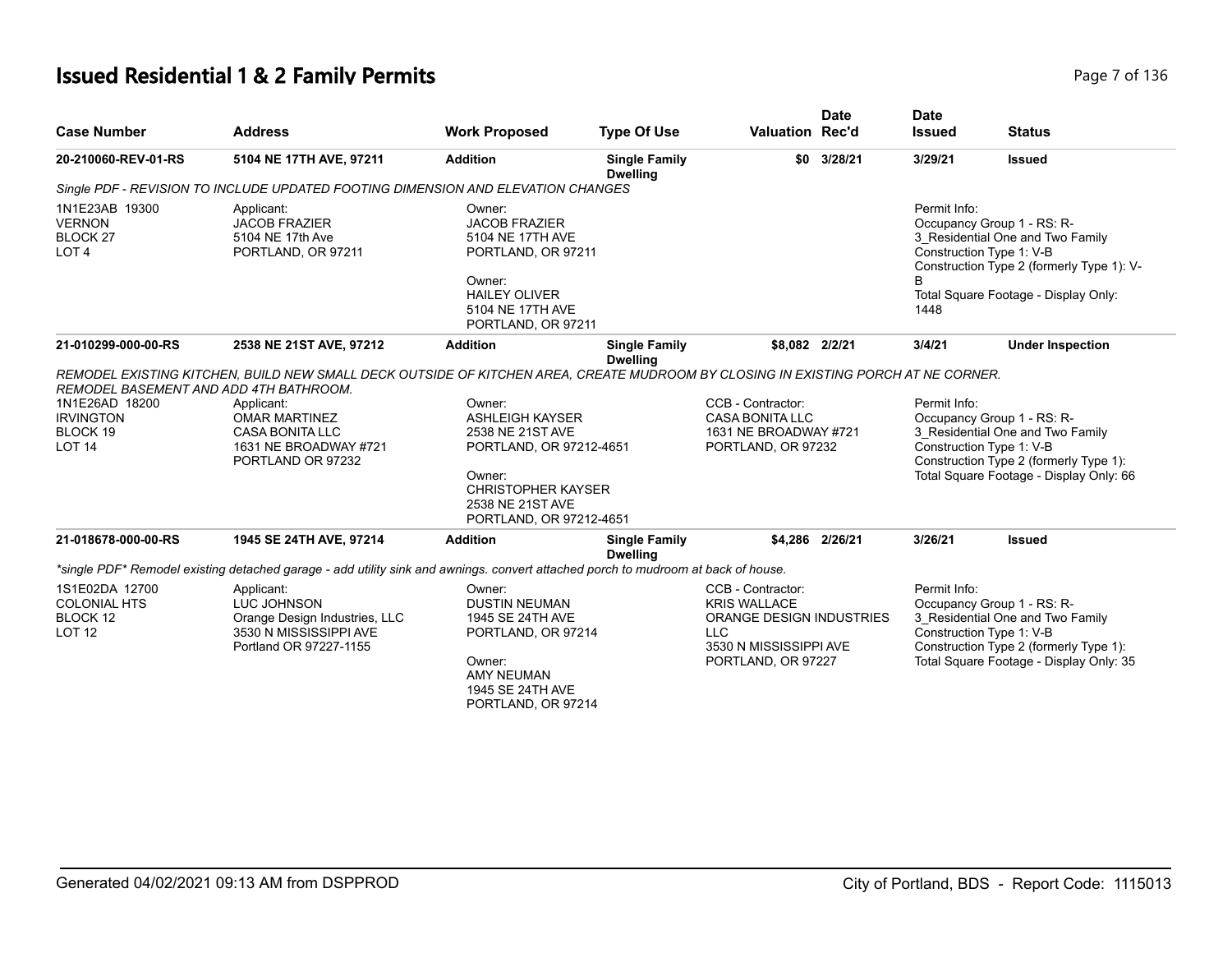## **Issued Residential 1 & 2 Family Permits Page 7 of 136 Page 7 of 136**

| <b>Case Number</b>                                                         | <b>Address</b>                                                                                                                    | <b>Work Proposed</b>                                                                                                                                           | <b>Type Of Use</b>                      | <b>Valuation Rec'd</b>                                                                                                                    | <b>Date</b>     | <b>Date</b><br><b>Issued</b> | <b>Status</b>                                                                                                                                                                   |
|----------------------------------------------------------------------------|-----------------------------------------------------------------------------------------------------------------------------------|----------------------------------------------------------------------------------------------------------------------------------------------------------------|-----------------------------------------|-------------------------------------------------------------------------------------------------------------------------------------------|-----------------|------------------------------|---------------------------------------------------------------------------------------------------------------------------------------------------------------------------------|
| 20-210060-REV-01-RS                                                        | 5104 NE 17TH AVE, 97211                                                                                                           | <b>Addition</b>                                                                                                                                                | <b>Single Family</b><br><b>Dwelling</b> | \$0                                                                                                                                       | 3/28/21         | 3/29/21                      | <b>Issued</b>                                                                                                                                                                   |
|                                                                            | Single PDF - REVISION TO INCLUDE UPDATED FOOTING DIMENSION AND ELEVATION CHANGES                                                  |                                                                                                                                                                |                                         |                                                                                                                                           |                 |                              |                                                                                                                                                                                 |
| 1N1E23AB 19300<br><b>VERNON</b><br>BLOCK <sub>27</sub><br>LOT <sub>4</sub> | Applicant:<br><b>JACOB FRAZIER</b><br>5104 NE 17th Ave<br>PORTLAND, OR 97211                                                      | Owner:<br><b>JACOB FRAZIER</b><br>5104 NE 17TH AVE<br>PORTLAND, OR 97211<br>Owner:<br><b>HAILEY OLIVER</b>                                                     |                                         |                                                                                                                                           |                 | Permit Info:                 | Occupancy Group 1 - RS: R-<br>3_Residential One and Two Family<br>Construction Type 1: V-B<br>Construction Type 2 (formerly Type 1): V-<br>Total Square Footage - Display Only: |
|                                                                            |                                                                                                                                   | 5104 NE 17TH AVE<br>PORTLAND, OR 97211                                                                                                                         |                                         |                                                                                                                                           |                 | 1448                         |                                                                                                                                                                                 |
| 21-010299-000-00-RS                                                        | 2538 NE 21ST AVE, 97212                                                                                                           | <b>Addition</b>                                                                                                                                                | <b>Single Family</b><br><b>Dwelling</b> | \$8,082 2/2/21                                                                                                                            |                 | 3/4/21                       | <b>Under Inspection</b>                                                                                                                                                         |
| REMODEL BASEMENT AND ADD 4TH BATHROOM.                                     | REMODEL EXISTING KITCHEN, BUILD NEW SMALL DECK OUTSIDE OF KITCHEN AREA, CREATE MUDROOM BY CLOSING IN EXISTING PORCH AT NE CORNER. |                                                                                                                                                                |                                         |                                                                                                                                           |                 |                              |                                                                                                                                                                                 |
| 1N1E26AD 18200<br><b>IRVINGTON</b><br><b>BLOCK 19</b><br><b>LOT 14</b>     | Applicant:<br><b>OMAR MARTINEZ</b><br><b>CASA BONITA LLC</b><br>1631 NE BROADWAY #721<br>PORTLAND OR 97232                        | Owner:<br><b>ASHLEIGH KAYSER</b><br>2538 NE 21ST AVE<br>PORTLAND, OR 97212-4651<br>Owner:<br>CHRISTOPHER KAYSER<br>2538 NE 21ST AVE<br>PORTLAND, OR 97212-4651 |                                         | CCB - Contractor:<br><b>CASA BONITA LLC</b><br>1631 NE BROADWAY #721<br>PORTLAND, OR 97232                                                |                 | Permit Info:                 | Occupancy Group 1 - RS: R-<br>3_Residential One and Two Family<br>Construction Type 1: V-B<br>Construction Type 2 (formerly Type 1):<br>Total Square Footage - Display Only: 66 |
| 21-018678-000-00-RS                                                        | 1945 SE 24TH AVE, 97214                                                                                                           | <b>Addition</b>                                                                                                                                                | <b>Single Family</b><br><b>Dwelling</b> |                                                                                                                                           | \$4.286 2/26/21 | 3/26/21                      | <b>Issued</b>                                                                                                                                                                   |
|                                                                            | *single PDF* Remodel existing detached garage - add utility sink and awnings, convert attached porch to mudroom at back of house. |                                                                                                                                                                |                                         |                                                                                                                                           |                 |                              |                                                                                                                                                                                 |
| 1S1E02DA 12700<br><b>COLONIAL HTS</b><br>BLOCK 12<br><b>LOT 12</b>         | Applicant:<br>LUC JOHNSON<br>Orange Design Industries, LLC<br>3530 N MISSISSIPPI AVE<br>Portland OR 97227-1155                    | Owner:<br><b>DUSTIN NEUMAN</b><br>1945 SE 24TH AVE<br>PORTLAND, OR 97214<br>Owner:<br><b>AMY NEUMAN</b><br>1945 SE 24TH AVE<br>PORTLAND, OR 97214              |                                         | CCB - Contractor:<br><b>KRIS WALLACE</b><br><b>ORANGE DESIGN INDUSTRIES</b><br><b>LLC</b><br>3530 N MISSISSIPPI AVE<br>PORTLAND, OR 97227 |                 | Permit Info:                 | Occupancy Group 1 - RS: R-<br>3_Residential One and Two Family<br>Construction Type 1: V-B<br>Construction Type 2 (formerly Type 1):<br>Total Square Footage - Display Only: 35 |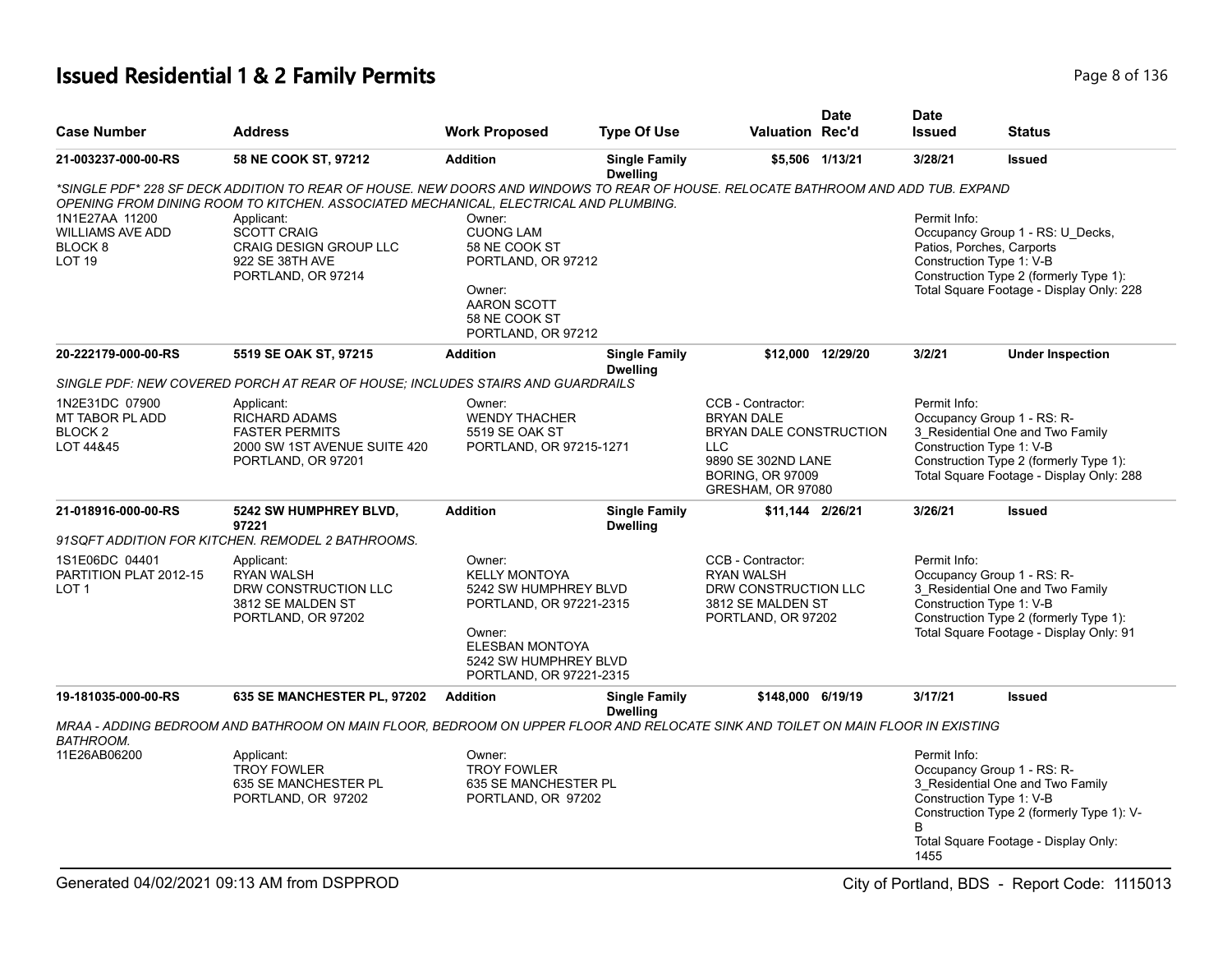# **Issued Residential 1 & 2 Family Permits Page 8 of 136** Page 8 of 136

| <b>Case Number</b>                                                                   | <b>Address</b>                                                                                                                    | <b>Work Proposed</b>                                                                                                                                                       | <b>Type Of Use</b>                      | <b>Valuation Rec'd</b>                                                                                                                                | <b>Date</b>       | <b>Date</b><br><b>Issued</b> | <b>Status</b>                                                                                                                                                                    |
|--------------------------------------------------------------------------------------|-----------------------------------------------------------------------------------------------------------------------------------|----------------------------------------------------------------------------------------------------------------------------------------------------------------------------|-----------------------------------------|-------------------------------------------------------------------------------------------------------------------------------------------------------|-------------------|------------------------------|----------------------------------------------------------------------------------------------------------------------------------------------------------------------------------|
| 21-003237-000-00-RS                                                                  | 58 NE COOK ST, 97212                                                                                                              | <b>Addition</b>                                                                                                                                                            | <b>Single Family</b><br><b>Dwelling</b> |                                                                                                                                                       | \$5,506 1/13/21   | 3/28/21                      | <b>Issued</b>                                                                                                                                                                    |
|                                                                                      | *SINGLE PDF* 228 SF DECK ADDITION TO REAR OF HOUSE. NEW DOORS AND WINDOWS TO REAR OF HOUSE. RELOCATE BATHROOM AND ADD TUB. EXPAND |                                                                                                                                                                            |                                         |                                                                                                                                                       |                   |                              |                                                                                                                                                                                  |
|                                                                                      | OPENING FROM DINING ROOM TO KITCHEN. ASSOCIATED MECHANICAL, ELECTRICAL AND PLUMBING.                                              |                                                                                                                                                                            |                                         |                                                                                                                                                       |                   |                              |                                                                                                                                                                                  |
| 1N1E27AA 11200<br><b>WILLIAMS AVE ADD</b><br>BLOCK <sub>8</sub><br>LOT <sub>19</sub> | Applicant:<br><b>SCOTT CRAIG</b><br><b>CRAIG DESIGN GROUP LLC</b><br>922 SE 38TH AVE<br>PORTLAND, OR 97214                        | Owner:<br><b>CUONG LAM</b><br>58 NE COOK ST<br>PORTLAND, OR 97212<br>Owner:<br>AARON SCOTT<br>58 NE COOK ST<br>PORTLAND, OR 97212                                          |                                         |                                                                                                                                                       |                   | Permit Info:                 | Occupancy Group 1 - RS: U_Decks,<br>Patios, Porches, Carports<br>Construction Type 1: V-B<br>Construction Type 2 (formerly Type 1):<br>Total Square Footage - Display Only: 228  |
| 20-222179-000-00-RS                                                                  | 5519 SE OAK ST, 97215                                                                                                             | <b>Addition</b>                                                                                                                                                            | <b>Single Family</b><br><b>Dwelling</b> |                                                                                                                                                       | \$12,000 12/29/20 | 3/2/21                       | <b>Under Inspection</b>                                                                                                                                                          |
|                                                                                      | SINGLE PDF: NEW COVERED PORCH AT REAR OF HOUSE; INCLUDES STAIRS AND GUARDRAILS                                                    |                                                                                                                                                                            |                                         |                                                                                                                                                       |                   |                              |                                                                                                                                                                                  |
| 1N2E31DC 07900<br>MT TABOR PL ADD<br>BLOCK <sub>2</sub><br>LOT 44&45                 | Applicant:<br><b>RICHARD ADAMS</b><br><b>FASTER PERMITS</b><br>2000 SW 1ST AVENUE SUITE 420<br>PORTLAND, OR 97201                 | Owner:<br><b>WENDY THACHER</b><br>5519 SE OAK ST<br>PORTLAND, OR 97215-1271                                                                                                |                                         | CCB - Contractor:<br><b>BRYAN DALE</b><br>BRYAN DALE CONSTRUCTION<br><b>LLC</b><br>9890 SE 302ND LANE<br><b>BORING, OR 97009</b><br>GRESHAM, OR 97080 |                   | Permit Info:                 | Occupancy Group 1 - RS: R-<br>3_Residential One and Two Family<br>Construction Type 1: V-B<br>Construction Type 2 (formerly Type 1):<br>Total Square Footage - Display Only: 288 |
| 21-018916-000-00-RS                                                                  | 5242 SW HUMPHREY BLVD,<br>97221                                                                                                   | <b>Addition</b>                                                                                                                                                            | <b>Single Family</b><br><b>Dwelling</b> | \$11,144 2/26/21                                                                                                                                      |                   | 3/26/21                      | <b>Issued</b>                                                                                                                                                                    |
|                                                                                      | 91SQFT ADDITION FOR KITCHEN. REMODEL 2 BATHROOMS.                                                                                 |                                                                                                                                                                            |                                         |                                                                                                                                                       |                   |                              |                                                                                                                                                                                  |
| 1S1E06DC 04401<br>PARTITION PLAT 2012-15<br>LOT <sub>1</sub>                         | Applicant:<br><b>RYAN WALSH</b><br>DRW CONSTRUCTION LLC<br>3812 SE MALDEN ST<br>PORTLAND, OR 97202                                | Owner:<br><b>KELLY MONTOYA</b><br>5242 SW HUMPHREY BLVD<br>PORTLAND, OR 97221-2315<br>Owner:<br><b>ELESBAN MONTOYA</b><br>5242 SW HUMPHREY BLVD<br>PORTLAND, OR 97221-2315 |                                         | CCB - Contractor:<br><b>RYAN WALSH</b><br>DRW CONSTRUCTION LLC<br>3812 SE MALDEN ST<br>PORTLAND, OR 97202                                             |                   | Permit Info:                 | Occupancy Group 1 - RS: R-<br>3_Residential One and Two Family<br>Construction Type 1: V-B<br>Construction Type 2 (formerly Type 1):<br>Total Square Footage - Display Only: 91  |
| 19-181035-000-00-RS                                                                  | 635 SE MANCHESTER PL, 97202                                                                                                       | <b>Addition</b>                                                                                                                                                            | <b>Single Family</b><br><b>Dwelling</b> | \$148,000 6/19/19                                                                                                                                     |                   | 3/17/21                      | Issued                                                                                                                                                                           |
| <b>BATHROOM.</b>                                                                     | MRAA - ADDING BEDROOM AND BATHROOM ON MAIN FLOOR, BEDROOM ON UPPER FLOOR AND RELOCATE SINK AND TOILET ON MAIN FLOOR IN EXISTING   |                                                                                                                                                                            |                                         |                                                                                                                                                       |                   |                              |                                                                                                                                                                                  |
| 11E26AB06200                                                                         | Applicant:<br><b>TROY FOWLER</b><br>635 SE MANCHESTER PL<br>PORTLAND, OR 97202                                                    | Owner:<br><b>TROY FOWLER</b><br>635 SE MANCHESTER PL<br>PORTLAND, OR 97202                                                                                                 |                                         |                                                                                                                                                       |                   | Permit Info:<br>1455         | Occupancy Group 1 - RS: R-<br>3_Residential One and Two Family<br>Construction Type 1: V-B<br>Construction Type 2 (formerly Type 1): V-<br>Total Square Footage - Display Only:  |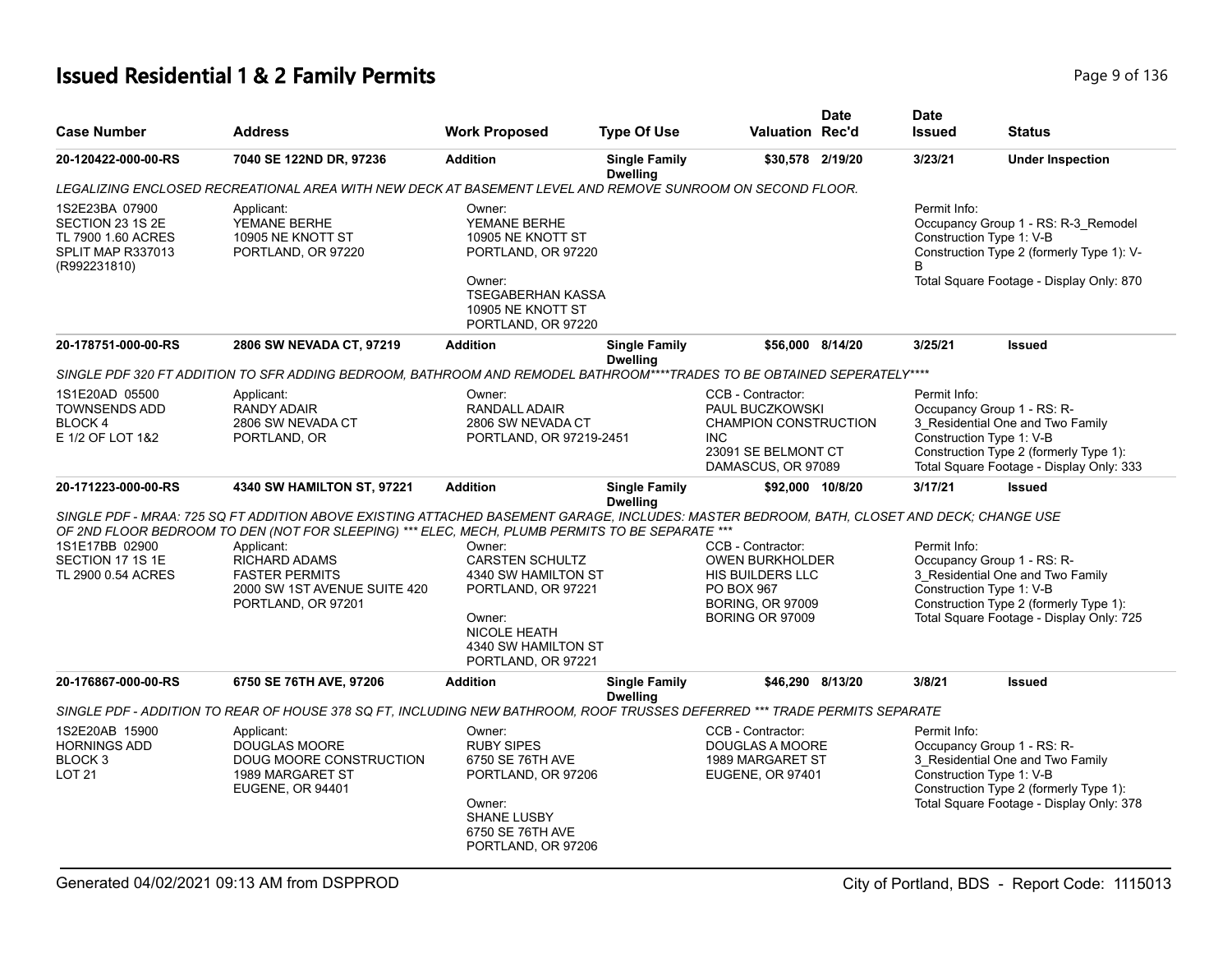## **Issued Residential 1 & 2 Family Permits** Page 9 of 136

| <b>Case Number</b>                                                                            | <b>Address</b>                                                                                                                                                                                                                                                                                                                                                     | <b>Work Proposed</b>                                                                                                                               | <b>Type Of Use</b>                      | <b>Valuation Rec'd</b>                                                                                                             | Date | <b>Date</b><br><b>Issued</b>                   | <b>Status</b>                                                                                                                                        |
|-----------------------------------------------------------------------------------------------|--------------------------------------------------------------------------------------------------------------------------------------------------------------------------------------------------------------------------------------------------------------------------------------------------------------------------------------------------------------------|----------------------------------------------------------------------------------------------------------------------------------------------------|-----------------------------------------|------------------------------------------------------------------------------------------------------------------------------------|------|------------------------------------------------|------------------------------------------------------------------------------------------------------------------------------------------------------|
| 20-120422-000-00-RS                                                                           | 7040 SE 122ND DR, 97236                                                                                                                                                                                                                                                                                                                                            | <b>Addition</b>                                                                                                                                    | <b>Single Family</b><br><b>Dwelling</b> | \$30,578 2/19/20                                                                                                                   |      | 3/23/21                                        | <b>Under Inspection</b>                                                                                                                              |
|                                                                                               | LEGALIZING ENCLOSED RECREATIONAL AREA WITH NEW DECK AT BASEMENT LEVEL AND REMOVE SUNROOM ON SECOND FLOOR.                                                                                                                                                                                                                                                          |                                                                                                                                                    |                                         |                                                                                                                                    |      |                                                |                                                                                                                                                      |
| 1S2E23BA 07900<br>SECTION 23 1S 2E<br>TL 7900 1.60 ACRES<br>SPLIT MAP R337013<br>(R992231810) | Applicant:<br>YEMANE BERHE<br>10905 NE KNOTT ST<br>PORTLAND, OR 97220                                                                                                                                                                                                                                                                                              | Owner:<br>YEMANE BERHE<br>10905 NE KNOTT ST<br>PORTLAND, OR 97220<br>Owner:<br><b>TSEGABERHAN KASSA</b><br>10905 NE KNOTT ST<br>PORTLAND, OR 97220 |                                         |                                                                                                                                    |      | Permit Info:<br>Construction Type 1: V-B<br>B. | Occupancy Group 1 - RS: R-3_Remodel<br>Construction Type 2 (formerly Type 1): V-<br>Total Square Footage - Display Only: 870                         |
| 20-178751-000-00-RS                                                                           | 2806 SW NEVADA CT, 97219                                                                                                                                                                                                                                                                                                                                           | <b>Addition</b>                                                                                                                                    | <b>Single Family</b><br><b>Dwelling</b> | \$56,000 8/14/20                                                                                                                   |      | 3/25/21                                        | <b>Issued</b>                                                                                                                                        |
|                                                                                               | SINGLE PDF 320 FT ADDITION TO SFR ADDING BEDROOM, BATHROOM AND REMODEL BATHROOM****TRADES TO BE OBTAINED SEPERATELY****                                                                                                                                                                                                                                            |                                                                                                                                                    |                                         |                                                                                                                                    |      |                                                |                                                                                                                                                      |
| 1S1E20AD 05500<br><b>TOWNSENDS ADD</b><br><b>BLOCK4</b><br>E 1/2 OF LOT 1&2                   | Applicant:<br><b>RANDY ADAIR</b><br>2806 SW NEVADA CT<br>PORTLAND, OR                                                                                                                                                                                                                                                                                              | Owner:<br><b>RANDALL ADAIR</b><br>2806 SW NEVADA CT<br>PORTLAND, OR 97219-2451                                                                     |                                         | CCB - Contractor:<br><b>PAUL BUCZKOWSKI</b><br>CHAMPION CONSTRUCTION<br>INC.<br>23091 SE BELMONT CT<br>DAMASCUS, OR 97089          |      | Permit Info:<br>Construction Type 1: V-B       | Occupancy Group 1 - RS: R-<br>3_Residential One and Two Family<br>Construction Type 2 (formerly Type 1):<br>Total Square Footage - Display Only: 333 |
| 20-171223-000-00-RS                                                                           | 4340 SW HAMILTON ST, 97221                                                                                                                                                                                                                                                                                                                                         | <b>Addition</b>                                                                                                                                    | <b>Single Family</b><br><b>Dwelling</b> | \$92,000 10/8/20                                                                                                                   |      | 3/17/21                                        | <b>Issued</b>                                                                                                                                        |
| 1S1E17BB 02900<br>SECTION 17 1S 1E<br>TL 2900 0.54 ACRES                                      | SINGLE PDF - MRAA: 725 SQ FT ADDITION ABOVE EXISTING ATTACHED BASEMENT GARAGE, INCLUDES: MASTER BEDROOM, BATH, CLOSET AND DECK; CHANGE USE<br>OF 2ND FLOOR BEDROOM TO DEN (NOT FOR SLEEPING) *** ELEC, MECH, PLUMB PERMITS TO BE SEPARATE ***<br>Applicant:<br><b>RICHARD ADAMS</b><br><b>FASTER PERMITS</b><br>2000 SW 1ST AVENUE SUITE 420<br>PORTLAND, OR 97201 | Owner:<br>CARSTEN SCHULTZ<br>4340 SW HAMILTON ST<br>PORTLAND, OR 97221<br>Owner:<br>NICOLE HEATH<br>4340 SW HAMILTON ST<br>PORTLAND, OR 97221      |                                         | CCB - Contractor:<br><b>OWEN BURKHOLDER</b><br>HIS BUILDERS LLC<br>PO BOX 967<br><b>BORING, OR 97009</b><br><b>BORING OR 97009</b> |      | Permit Info:<br>Construction Type 1: V-B       | Occupancy Group 1 - RS: R-<br>3_Residential One and Two Family<br>Construction Type 2 (formerly Type 1):<br>Total Square Footage - Display Only: 725 |
| 20-176867-000-00-RS                                                                           | 6750 SE 76TH AVE, 97206                                                                                                                                                                                                                                                                                                                                            | <b>Addition</b>                                                                                                                                    | <b>Single Family</b><br><b>Dwelling</b> | \$46.290 8/13/20                                                                                                                   |      | 3/8/21                                         | <b>Issued</b>                                                                                                                                        |
|                                                                                               | SINGLE PDF - ADDITION TO REAR OF HOUSE 378 SQ FT, INCLUDING NEW BATHROOM, ROOF TRUSSES DEFERRED *** TRADE PERMITS SEPARATE                                                                                                                                                                                                                                         |                                                                                                                                                    |                                         |                                                                                                                                    |      |                                                |                                                                                                                                                      |
| 1S2E20AB 15900<br><b>HORNINGS ADD</b><br>BLOCK 3<br><b>LOT 21</b>                             | Applicant:<br>DOUGLAS MOORE<br>DOUG MOORE CONSTRUCTION<br>1989 MARGARET ST<br><b>EUGENE, OR 94401</b>                                                                                                                                                                                                                                                              | Owner:<br><b>RUBY SIPES</b><br>6750 SE 76TH AVE<br>PORTLAND, OR 97206<br>Owner:<br>SHANE LUSBY<br>6750 SE 76TH AVE<br>PORTLAND, OR 97206           |                                         | CCB - Contractor:<br>DOUGLAS A MOORE<br>1989 MARGARET ST<br><b>EUGENE, OR 97401</b>                                                |      | Permit Info:<br>Construction Type 1: V-B       | Occupancy Group 1 - RS: R-<br>3 Residential One and Two Family<br>Construction Type 2 (formerly Type 1):<br>Total Square Footage - Display Only: 378 |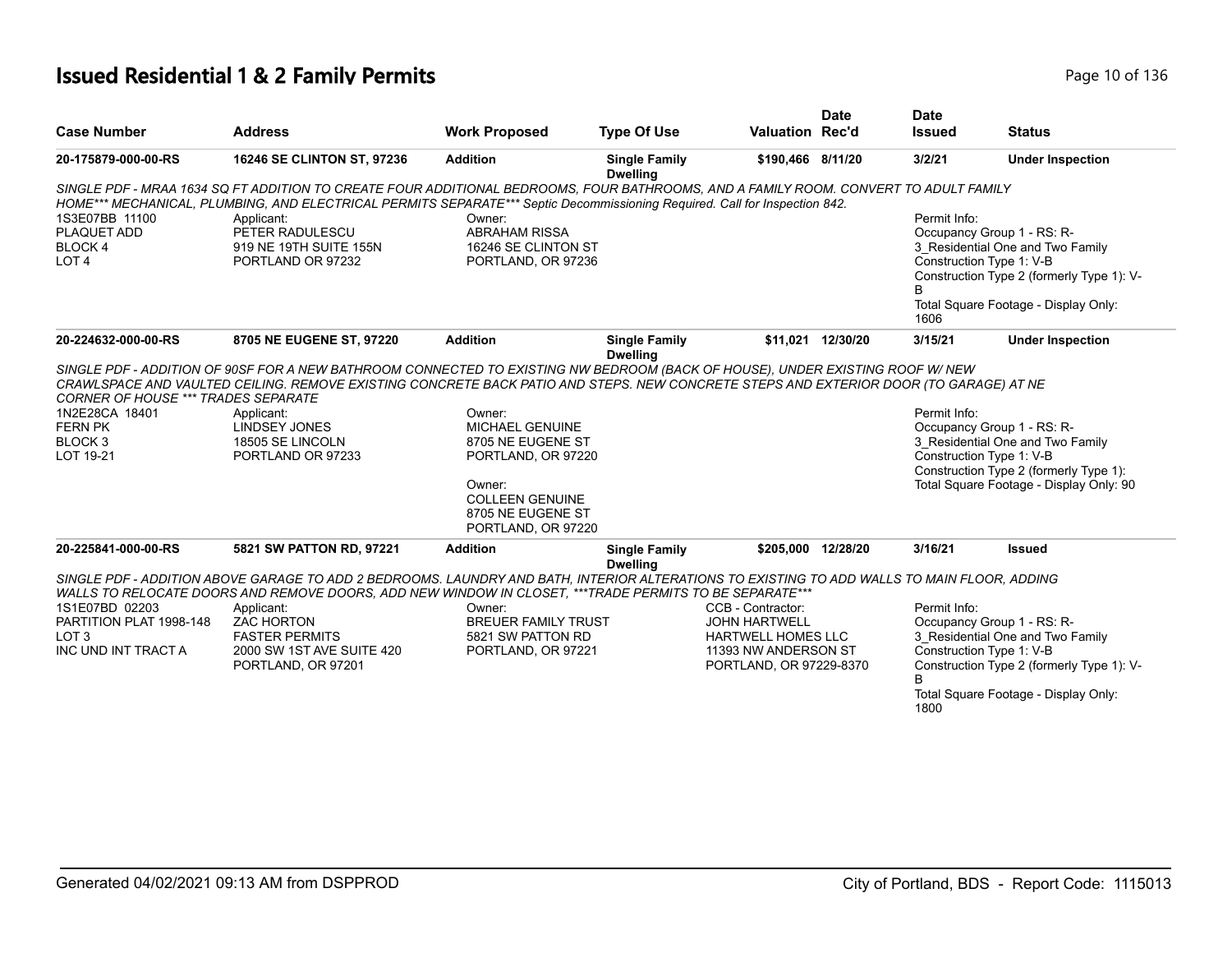## **Issued Residential 1 & 2 Family Permits Page 10 of 136** Page 10 of 136

|                                                                                                                                          |                                                                                                                                                                                                                                                                    |                                                                                                                                                                               |                                         |                           | <b>Date</b>        | <b>Date</b>             |                                                                                                                                                                                                  |
|------------------------------------------------------------------------------------------------------------------------------------------|--------------------------------------------------------------------------------------------------------------------------------------------------------------------------------------------------------------------------------------------------------------------|-------------------------------------------------------------------------------------------------------------------------------------------------------------------------------|-----------------------------------------|---------------------------|--------------------|-------------------------|--------------------------------------------------------------------------------------------------------------------------------------------------------------------------------------------------|
| <b>Case Number</b>                                                                                                                       | <b>Address</b>                                                                                                                                                                                                                                                     | <b>Work Proposed</b>                                                                                                                                                          | <b>Type Of Use</b>                      | <b>Valuation Rec'd</b>    |                    | <b>Issued</b>           | <b>Status</b>                                                                                                                                                                                    |
| 20-175879-000-00-RS                                                                                                                      | <b>16246 SE CLINTON ST, 97236</b>                                                                                                                                                                                                                                  | <b>Addition</b>                                                                                                                                                               | <b>Single Family</b><br><b>Dwelling</b> | \$190.466 8/11/20         |                    | 3/2/21                  | <b>Under Inspection</b>                                                                                                                                                                          |
|                                                                                                                                          | SINGLE PDF - MRAA 1634 SQ FT ADDITION TO CREATE FOUR ADDITIONAL BEDROOMS, FOUR BATHROOMS, AND A FAMILY ROOM. CONVERT TO ADULT FAMILY<br>HOME*** MECHANICAL, PLUMBING, AND ELECTRICAL PERMITS SEPARATE*** Septic Decommissioning Required. Call for Inspection 842. |                                                                                                                                                                               |                                         |                           |                    |                         |                                                                                                                                                                                                  |
| 1S3E07BB 11100                                                                                                                           | Applicant:                                                                                                                                                                                                                                                         | Owner:                                                                                                                                                                        |                                         |                           |                    | Permit Info:            |                                                                                                                                                                                                  |
| PLAQUET ADD                                                                                                                              | PETER RADULESCU                                                                                                                                                                                                                                                    | <b>ABRAHAM RISSA</b>                                                                                                                                                          |                                         |                           |                    |                         | Occupancy Group 1 - RS: R-                                                                                                                                                                       |
| <b>BLOCK4</b>                                                                                                                            | 919 NE 19TH SUITE 155N                                                                                                                                                                                                                                             | 16246 SE CLINTON ST                                                                                                                                                           |                                         |                           |                    |                         | 3_Residential One and Two Family                                                                                                                                                                 |
| LOT <sub>4</sub>                                                                                                                         | PORTLAND OR 97232                                                                                                                                                                                                                                                  | PORTLAND, OR 97236                                                                                                                                                            |                                         |                           |                    |                         | Construction Type 1: V-B                                                                                                                                                                         |
|                                                                                                                                          |                                                                                                                                                                                                                                                                    |                                                                                                                                                                               |                                         |                           |                    | B                       | Construction Type 2 (formerly Type 1): V-                                                                                                                                                        |
|                                                                                                                                          |                                                                                                                                                                                                                                                                    |                                                                                                                                                                               |                                         |                           |                    | 1606                    | Total Square Footage - Display Only:                                                                                                                                                             |
| 20-224632-000-00-RS                                                                                                                      | 8705 NE EUGENE ST, 97220                                                                                                                                                                                                                                           | <b>Addition</b>                                                                                                                                                               | <b>Single Family</b><br><b>Dwelling</b> | \$11,021                  | 12/30/20           | 3/15/21                 | <b>Under Inspection</b>                                                                                                                                                                          |
| <b>CORNER OF HOUSE *** TRADES SEPARATE</b><br>1N2E28CA 18401<br><b>FERN PK</b><br>BLOCK <sub>3</sub><br>LOT 19-21<br>20-225841-000-00-RS | CRAWLSPACE AND VAULTED CEILING. REMOVE EXISTING CONCRETE BACK PATIO AND STEPS. NEW CONCRETE STEPS AND EXTERIOR DOOR (TO GARAGE) AT NE<br>Applicant:<br><b>LINDSEY JONES</b><br>18505 SE LINCOLN<br>PORTLAND OR 97233<br>5821 SW PATTON RD, 97221                   | Owner:<br><b>MICHAEL GENUINE</b><br>8705 NE EUGENE ST<br>PORTLAND, OR 97220<br>Owner:<br><b>COLLEEN GENUINE</b><br>8705 NE EUGENE ST<br>PORTLAND, OR 97220<br><b>Addition</b> | <b>Single Family</b>                    |                           | \$205.000 12/28/20 | Permit Info:<br>3/16/21 | Occupancy Group 1 - RS: R-<br>3 Residential One and Two Family<br>Construction Type 1: V-B<br>Construction Type 2 (formerly Type 1):<br>Total Square Footage - Display Only: 90<br><b>Issued</b> |
|                                                                                                                                          |                                                                                                                                                                                                                                                                    |                                                                                                                                                                               | <b>Dwelling</b>                         |                           |                    |                         |                                                                                                                                                                                                  |
|                                                                                                                                          | SINGLE PDF - ADDITION ABOVE GARAGE TO ADD 2 BEDROOMS. LAUNDRY AND BATH, INTERIOR ALTERATIONS TO EXISTING TO ADD WALLS TO MAIN FLOOR, ADDING<br>WALLS TO RELOCATE DOORS AND REMOVE DOORS, ADD NEW WINDOW IN CLOSET, ***TRADE PERMITS TO BE SEPARATE***              |                                                                                                                                                                               |                                         |                           |                    |                         |                                                                                                                                                                                                  |
| 1S1E07BD 02203                                                                                                                           | Applicant:                                                                                                                                                                                                                                                         | Owner:                                                                                                                                                                        |                                         | CCB - Contractor:         |                    | Permit Info:            |                                                                                                                                                                                                  |
| PARTITION PLAT 1998-148                                                                                                                  | <b>ZAC HORTON</b>                                                                                                                                                                                                                                                  | <b>BREUER FAMILY TRUST</b>                                                                                                                                                    |                                         | <b>JOHN HARTWELL</b>      |                    |                         | Occupancy Group 1 - RS: R-                                                                                                                                                                       |
| LOT <sub>3</sub>                                                                                                                         | <b>FASTER PERMITS</b>                                                                                                                                                                                                                                              | 5821 SW PATTON RD                                                                                                                                                             |                                         | <b>HARTWELL HOMES LLC</b> |                    |                         | 3 Residential One and Two Family                                                                                                                                                                 |
| INC UND INT TRACT A                                                                                                                      | 2000 SW 1ST AVE SUITE 420                                                                                                                                                                                                                                          | PORTLAND, OR 97221                                                                                                                                                            |                                         | 11393 NW ANDERSON ST      |                    |                         | Construction Type 1: V-B                                                                                                                                                                         |
|                                                                                                                                          | PORTLAND, OR 97201                                                                                                                                                                                                                                                 |                                                                                                                                                                               |                                         | PORTLAND, OR 97229-8370   |                    | B.                      | Construction Type 2 (formerly Type 1): V-                                                                                                                                                        |
|                                                                                                                                          |                                                                                                                                                                                                                                                                    |                                                                                                                                                                               |                                         |                           |                    | 1800                    | Total Square Footage - Display Only:                                                                                                                                                             |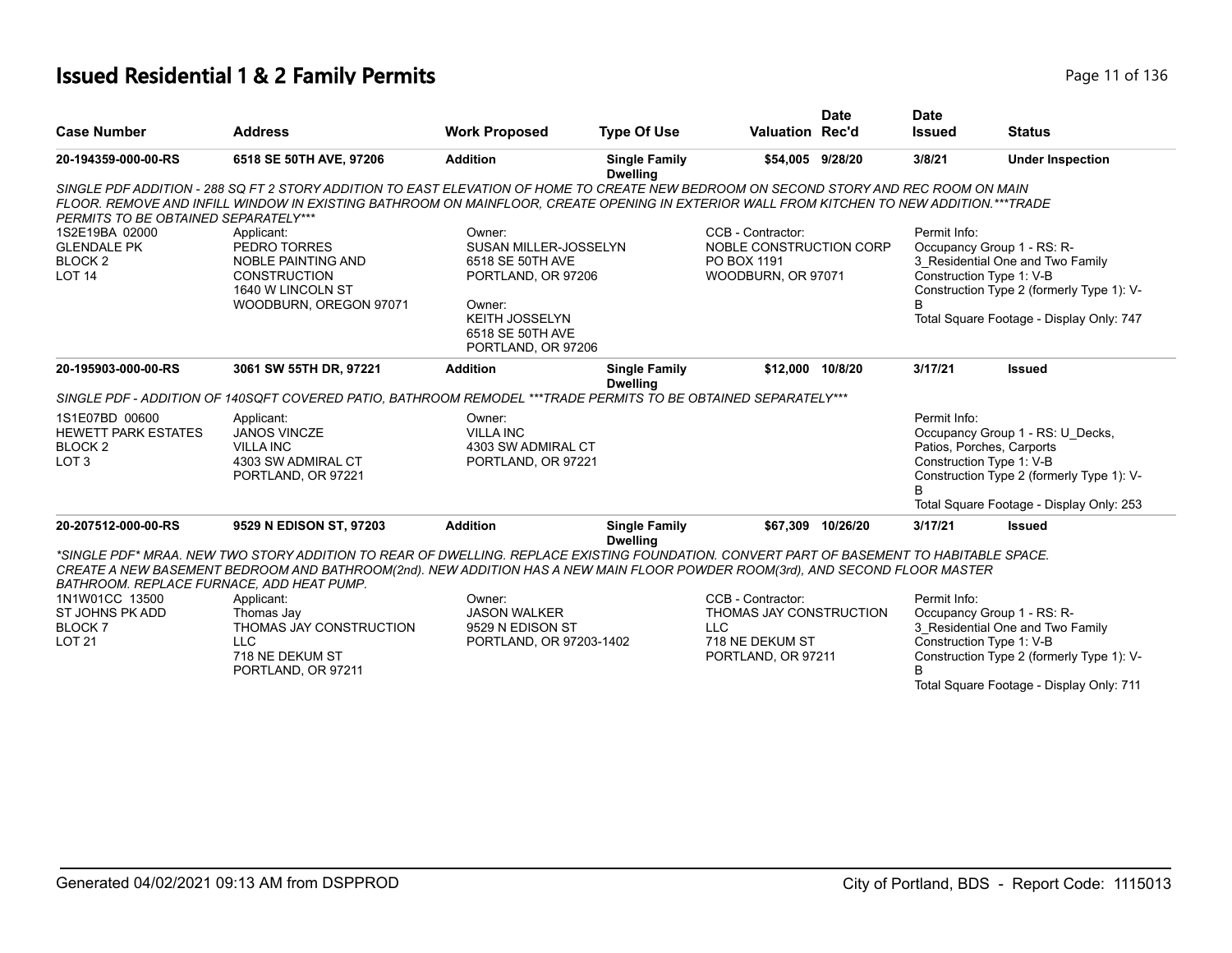## **Issued Residential 1 & 2 Family Permits Page 11 of 136** Page 11 of 136

|                                           |                                                                                                                                                                                                                                                                                   |                                                                 |                                         |                         | <b>Date</b>       | <b>Date</b>              |                                           |
|-------------------------------------------|-----------------------------------------------------------------------------------------------------------------------------------------------------------------------------------------------------------------------------------------------------------------------------------|-----------------------------------------------------------------|-----------------------------------------|-------------------------|-------------------|--------------------------|-------------------------------------------|
| <b>Case Number</b>                        | <b>Address</b>                                                                                                                                                                                                                                                                    | <b>Work Proposed</b>                                            | <b>Type Of Use</b>                      | <b>Valuation Rec'd</b>  |                   | <b>Issued</b>            | <b>Status</b>                             |
| 20-194359-000-00-RS                       | 6518 SE 50TH AVE, 97206                                                                                                                                                                                                                                                           | <b>Addition</b>                                                 | <b>Single Family</b><br><b>Dwelling</b> | \$54.005 9/28/20        |                   | 3/8/21                   | <b>Under Inspection</b>                   |
| PERMITS TO BE OBTAINED SEPARATELY***      | SINGLE PDF ADDITION - 288 SQ FT 2 STORY ADDITION TO EAST ELEVATION OF HOME TO CREATE NEW BEDROOM ON SECOND STORY AND REC ROOM ON MAIN<br>FLOOR. REMOVE AND INFILL WINDOW IN EXISTING BATHROOM ON MAINFLOOR, CREATE OPENING IN EXTERIOR WALL FROM KITCHEN TO NEW ADDITION.***TRADE |                                                                 |                                         |                         |                   |                          |                                           |
| 1S2E19BA 02000                            | Applicant:                                                                                                                                                                                                                                                                        | Owner:                                                          |                                         | CCB - Contractor:       |                   | Permit Info:             |                                           |
| <b>GLENDALE PK</b>                        | PEDRO TORRES                                                                                                                                                                                                                                                                      | SUSAN MILLER-JOSSELYN                                           |                                         | NOBLE CONSTRUCTION CORP |                   |                          | Occupancy Group 1 - RS: R-                |
| BLOCK <sub>2</sub>                        | <b>NOBLE PAINTING AND</b>                                                                                                                                                                                                                                                         | 6518 SE 50TH AVE                                                |                                         | PO BOX 1191             |                   |                          | 3 Residential One and Two Family          |
| LOT <sub>14</sub>                         | <b>CONSTRUCTION</b><br>1640 W LINCOLN ST                                                                                                                                                                                                                                          | PORTLAND, OR 97206                                              |                                         | WOODBURN, OR 97071      |                   | Construction Type 1: V-B | Construction Type 2 (formerly Type 1): V- |
|                                           | WOODBURN, OREGON 97071                                                                                                                                                                                                                                                            | Owner:                                                          |                                         |                         |                   |                          |                                           |
|                                           |                                                                                                                                                                                                                                                                                   | <b>KEITH JOSSELYN</b><br>6518 SE 50TH AVE<br>PORTLAND, OR 97206 |                                         |                         |                   |                          | Total Square Footage - Display Only: 747  |
| 20-195903-000-00-RS                       | 3061 SW 55TH DR, 97221                                                                                                                                                                                                                                                            | <b>Addition</b>                                                 | <b>Single Family</b><br><b>Dwelling</b> | \$12.000                | 10/8/20           | 3/17/21                  | <b>Issued</b>                             |
|                                           | SINGLE PDF - ADDITION OF 140SQFT COVERED PATIO, BATHROOM REMODEL ***TRADE PERMITS TO BE OBTAINED SEPARATELY***                                                                                                                                                                    |                                                                 |                                         |                         |                   |                          |                                           |
| 1S1E07BD 00600                            | Applicant:                                                                                                                                                                                                                                                                        | Owner:                                                          |                                         |                         |                   | Permit Info:             |                                           |
| <b>HEWETT PARK ESTATES</b>                | <b>JANOS VINCZE</b>                                                                                                                                                                                                                                                               | <b>VILLA INC</b>                                                |                                         |                         |                   |                          | Occupancy Group 1 - RS: U_Decks,          |
| <b>BLOCK2</b>                             | <b>VILLA INC</b>                                                                                                                                                                                                                                                                  | 4303 SW ADMIRAL CT                                              |                                         |                         |                   |                          | Patios, Porches, Carports                 |
| LOT <sub>3</sub>                          | 4303 SW ADMIRAL CT                                                                                                                                                                                                                                                                | PORTLAND, OR 97221                                              |                                         |                         |                   | Construction Type 1: V-B |                                           |
|                                           | PORTLAND, OR 97221                                                                                                                                                                                                                                                                |                                                                 |                                         |                         |                   | B                        | Construction Type 2 (formerly Type 1): V- |
|                                           |                                                                                                                                                                                                                                                                                   |                                                                 |                                         |                         |                   |                          | Total Square Footage - Display Only: 253  |
| 20-207512-000-00-RS                       | 9529 N EDISON ST, 97203                                                                                                                                                                                                                                                           | <b>Addition</b>                                                 | <b>Single Family</b><br><b>Dwelling</b> |                         | \$67.309 10/26/20 | 3/17/21                  | <b>Issued</b>                             |
|                                           | *SINGLE PDF* MRAA. NEW TWO STORY ADDITION TO REAR OF DWELLING. REPLACE EXISTING FOUNDATION. CONVERT PART OF BASEMENT TO HABITABLE SPACE.                                                                                                                                          |                                                                 |                                         |                         |                   |                          |                                           |
|                                           | CREATE A NEW BASEMENT BEDROOM AND BATHROOM(2nd). NEW ADDITION HAS A NEW MAIN FLOOR POWDER ROOM(3rd), AND SECOND FLOOR MASTER                                                                                                                                                      |                                                                 |                                         |                         |                   |                          |                                           |
| BATHROOM. REPLACE FURNACE, ADD HEAT PUMP. |                                                                                                                                                                                                                                                                                   |                                                                 |                                         |                         |                   |                          |                                           |
| 1N1W01CC 13500                            | Applicant:                                                                                                                                                                                                                                                                        | Owner:                                                          |                                         | CCB - Contractor:       |                   | Permit Info:             |                                           |
| ST JOHNS PK ADD                           | Thomas Jay                                                                                                                                                                                                                                                                        | <b>JASON WALKER</b>                                             |                                         | THOMAS JAY CONSTRUCTION |                   |                          | Occupancy Group 1 - RS: R-                |
| BLOCK <sub>7</sub>                        | THOMAS JAY CONSTRUCTION                                                                                                                                                                                                                                                           | 9529 N EDISON ST                                                |                                         | <b>LLC</b>              |                   |                          | 3 Residential One and Two Family          |
| <b>LOT 21</b>                             | <b>LLC</b>                                                                                                                                                                                                                                                                        | PORTLAND, OR 97203-1402                                         |                                         | 718 NE DEKUM ST         |                   | Construction Type 1: V-B |                                           |
|                                           | 718 NE DEKUM ST                                                                                                                                                                                                                                                                   |                                                                 |                                         | PORTLAND, OR 97211      |                   |                          | Construction Type 2 (formerly Type 1): V- |
|                                           | PORTLAND, OR 97211                                                                                                                                                                                                                                                                |                                                                 |                                         |                         |                   |                          |                                           |
|                                           |                                                                                                                                                                                                                                                                                   |                                                                 |                                         |                         |                   |                          | Total Square Footage - Display Only: 711  |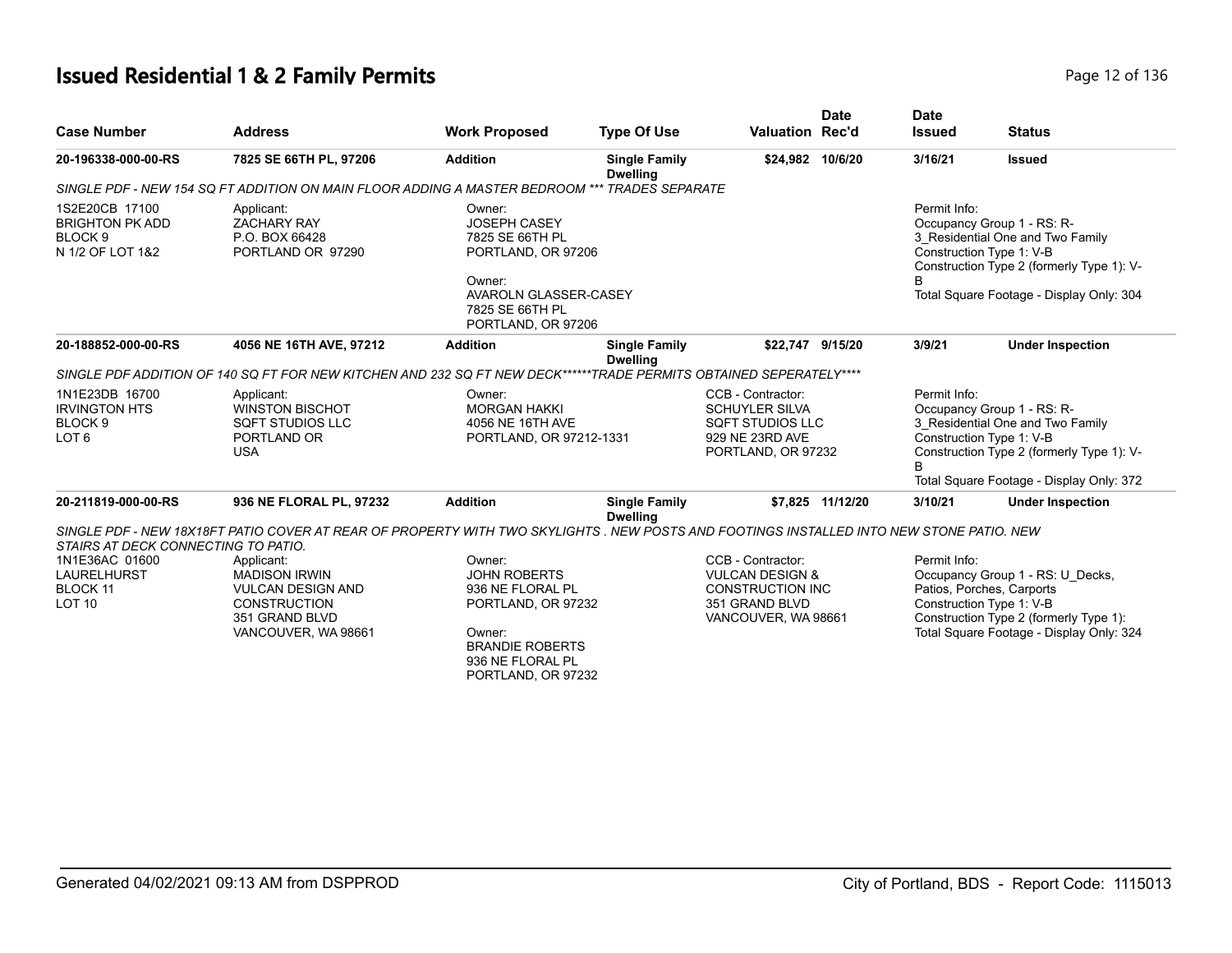# **Issued Residential 1 & 2 Family Permits Page 12 of 136** Page 12 of 136

| <b>Case Number</b>                                                                 | <b>Address</b>                                                                                                                           | <b>Work Proposed</b>                                                                                                                                  | <b>Type Of Use</b>                      | <b>Valuation Rec'd</b>                                                                                              | <b>Date</b>      | <b>Date</b><br><b>Issued</b> | <b>Status</b>                                                                                                                                                                       |
|------------------------------------------------------------------------------------|------------------------------------------------------------------------------------------------------------------------------------------|-------------------------------------------------------------------------------------------------------------------------------------------------------|-----------------------------------------|---------------------------------------------------------------------------------------------------------------------|------------------|------------------------------|-------------------------------------------------------------------------------------------------------------------------------------------------------------------------------------|
| 20-196338-000-00-RS                                                                | 7825 SE 66TH PL, 97206                                                                                                                   | <b>Addition</b>                                                                                                                                       | <b>Single Family</b><br><b>Dwelling</b> | \$24,982 10/6/20                                                                                                    |                  | 3/16/21                      | <b>Issued</b>                                                                                                                                                                       |
|                                                                                    | SINGLE PDF - NEW 154 SQ FT ADDITION ON MAIN FLOOR ADDING A MASTER BEDROOM **                                                             |                                                                                                                                                       | <b>TRADES SEPARATE</b>                  |                                                                                                                     |                  |                              |                                                                                                                                                                                     |
| 1S2E20CB 17100<br><b>BRIGHTON PK ADD</b><br>BLOCK <sub>9</sub><br>N 1/2 OF LOT 1&2 | Applicant:<br><b>ZACHARY RAY</b><br>P.O. BOX 66428<br>PORTLAND OR 97290                                                                  | Owner:<br><b>JOSEPH CASEY</b><br>7825 SE 66TH PL<br>PORTLAND, OR 97206<br>Owner:<br>AVAROLN GLASSER-CASEY<br>7825 SE 66TH PL<br>PORTLAND, OR 97206    |                                         |                                                                                                                     |                  | Permit Info:                 | Occupancy Group 1 - RS: R-<br>3 Residential One and Two Family<br>Construction Type 1: V-B<br>Construction Type 2 (formerly Type 1): V-<br>Total Square Footage - Display Only: 304 |
| 20-188852-000-00-RS                                                                | 4056 NE 16TH AVE, 97212                                                                                                                  | <b>Addition</b>                                                                                                                                       | <b>Single Family</b><br><b>Dwelling</b> | \$22,747 9/15/20                                                                                                    |                  | 3/9/21                       | <b>Under Inspection</b>                                                                                                                                                             |
|                                                                                    | SINGLE PDF ADDITION OF 140 SQ FT FOR NEW KITCHEN AND 232 SQ FT NEW DECK******TRADE PERMITS OBTAINED SEPERATELY****                       |                                                                                                                                                       |                                         |                                                                                                                     |                  |                              |                                                                                                                                                                                     |
| 1N1E23DB 16700<br><b>IRVINGTON HTS</b><br>BLOCK <sub>9</sub><br>LOT <sub>6</sub>   | Applicant:<br><b>WINSTON BISCHOT</b><br><b>SQFT STUDIOS LLC</b><br>PORTLAND OR<br><b>USA</b>                                             | Owner:<br><b>MORGAN HAKKI</b><br>4056 NE 16TH AVE<br>PORTLAND, OR 97212-1331                                                                          |                                         | CCB - Contractor:<br><b>SCHUYLER SILVA</b><br><b>SQFT STUDIOS LLC</b><br>929 NE 23RD AVE<br>PORTLAND, OR 97232      |                  | Permit Info:                 | Occupancy Group 1 - RS: R-<br>3_Residential One and Two Family<br>Construction Type 1: V-B<br>Construction Type 2 (formerly Type 1): V-<br>Total Square Footage - Display Only: 372 |
| 20-211819-000-00-RS                                                                | 936 NE FLORAL PL, 97232                                                                                                                  | <b>Addition</b>                                                                                                                                       | <b>Single Family</b><br><b>Dwelling</b> |                                                                                                                     | \$7,825 11/12/20 | 3/10/21                      | <b>Under Inspection</b>                                                                                                                                                             |
| STAIRS AT DECK CONNECTING TO PATIO.                                                | SINGLE PDF - NEW 18X18FT PATIO COVER AT REAR OF PROPERTY WITH TWO SKYLIGHTS . NEW POSTS AND FOOTINGS INSTALLED INTO NEW STONE PATIO. NEW |                                                                                                                                                       |                                         |                                                                                                                     |                  |                              |                                                                                                                                                                                     |
| 1N1E36AC 01600<br><b>LAURELHURST</b><br><b>BLOCK 11</b><br>LOT <sub>10</sub>       | Applicant:<br><b>MADISON IRWIN</b><br><b>VULCAN DESIGN AND</b><br><b>CONSTRUCTION</b><br>351 GRAND BLVD<br>VANCOUVER, WA 98661           | Owner:<br><b>JOHN ROBERTS</b><br>936 NE FLORAL PL<br>PORTLAND, OR 97232<br>Owner:<br><b>BRANDIE ROBERTS</b><br>936 NE FLORAL PL<br>PORTLAND, OR 97232 |                                         | CCB - Contractor:<br><b>VULCAN DESIGN &amp;</b><br><b>CONSTRUCTION INC</b><br>351 GRAND BLVD<br>VANCOUVER, WA 98661 |                  | Permit Info:                 | Occupancy Group 1 - RS: U Decks,<br>Patios, Porches, Carports<br>Construction Type 1: V-B<br>Construction Type 2 (formerly Type 1):<br>Total Square Footage - Display Only: 324     |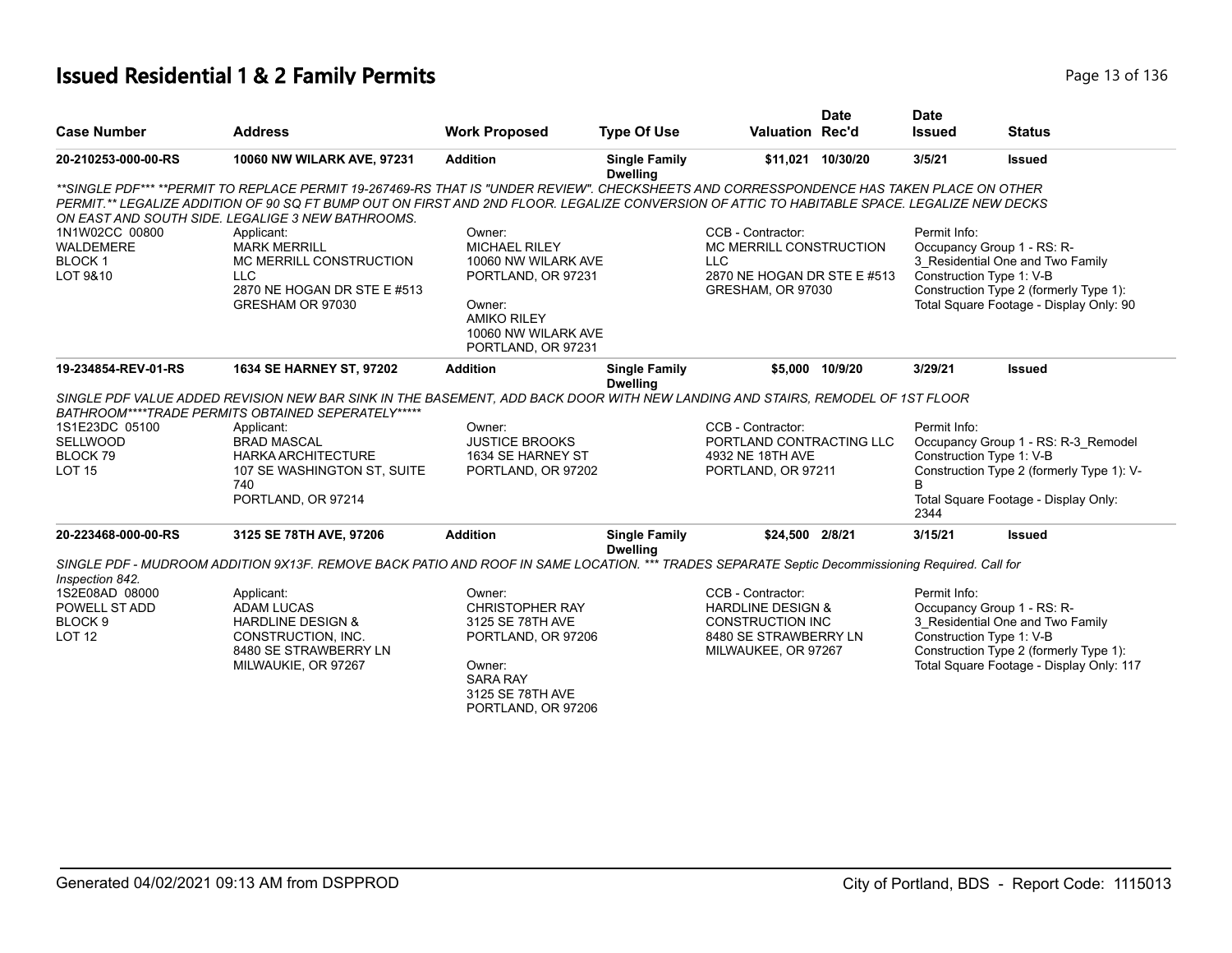## **Issued Residential 1 & 2 Family Permits Page 13 of 136** Page 13 of 136

| <b>Case Number</b>                                                     | <b>Address</b>                                                                                                                                                                                                                                                                                                                                | <b>Work Proposed</b>                                                                                                                                     | <b>Type Of Use</b>                      | <b>Valuation Rec'd</b>                                                                                                       | <b>Date</b>       | <b>Date</b><br><b>Issued</b> | <b>Status</b>                                                                                                                                                                    |
|------------------------------------------------------------------------|-----------------------------------------------------------------------------------------------------------------------------------------------------------------------------------------------------------------------------------------------------------------------------------------------------------------------------------------------|----------------------------------------------------------------------------------------------------------------------------------------------------------|-----------------------------------------|------------------------------------------------------------------------------------------------------------------------------|-------------------|------------------------------|----------------------------------------------------------------------------------------------------------------------------------------------------------------------------------|
| 20-210253-000-00-RS                                                    | 10060 NW WILARK AVE, 97231                                                                                                                                                                                                                                                                                                                    | <b>Addition</b>                                                                                                                                          | <b>Single Family</b>                    |                                                                                                                              | \$11.021 10/30/20 | 3/5/21                       | <b>Issued</b>                                                                                                                                                                    |
|                                                                        |                                                                                                                                                                                                                                                                                                                                               |                                                                                                                                                          | <b>Dwelling</b>                         |                                                                                                                              |                   |                              |                                                                                                                                                                                  |
|                                                                        | **SINGLE PDF*** **PERMIT TO REPLACE PERMIT 19-267469-RS THAT IS "UNDER REVIEW". CHECKSHEETS AND CORRESSPONDENCE HAS TAKEN PLACE ON OTHER<br>PERMIT.** LEGALIZE ADDITION OF 90 SQ FT BUMP OUT ON FIRST AND 2ND FLOOR. LEGALIZE CONVERSION OF ATTIC TO HABITABLE SPACE. LEGALIZE NEW DECKS<br>ON EAST AND SOUTH SIDE. LEGALIGE 3 NEW BATHROOMS. |                                                                                                                                                          |                                         |                                                                                                                              |                   |                              |                                                                                                                                                                                  |
| 1N1W02CC 00800<br><b>WALDEMERE</b><br><b>BLOCK1</b><br>LOT 9&10        | Applicant:<br><b>MARK MERRILL</b><br>MC MERRILL CONSTRUCTION<br><b>LLC</b><br>2870 NE HOGAN DR STE E #513<br>GRESHAM OR 97030                                                                                                                                                                                                                 | Owner:<br><b>MICHAEL RILEY</b><br>10060 NW WILARK AVE<br>PORTLAND, OR 97231<br>Owner:<br><b>AMIKO RILEY</b><br>10060 NW WILARK AVE<br>PORTLAND, OR 97231 |                                         | CCB - Contractor:<br>MC MERRILL CONSTRUCTION<br><b>LLC</b><br>2870 NE HOGAN DR STE E #513<br>GRESHAM, OR 97030               |                   | Permit Info:                 | Occupancy Group 1 - RS: R-<br>3 Residential One and Two Family<br>Construction Type 1: V-B<br>Construction Type 2 (formerly Type 1):<br>Total Square Footage - Display Only: 90  |
| 19-234854-REV-01-RS                                                    | 1634 SE HARNEY ST, 97202                                                                                                                                                                                                                                                                                                                      | <b>Addition</b>                                                                                                                                          | <b>Single Family</b><br><b>Dwelling</b> |                                                                                                                              | \$5,000 10/9/20   | 3/29/21                      | <b>Issued</b>                                                                                                                                                                    |
|                                                                        | SINGLE PDF VALUE ADDED REVISION NEW BAR SINK IN THE BASEMENT, ADD BACK DOOR WITH NEW LANDING AND STAIRS, REMODEL OF 1ST FLOOR<br>BATHROOM****TRADE PERMITS OBTAINED SEPERATELY*****                                                                                                                                                           |                                                                                                                                                          |                                         |                                                                                                                              |                   |                              |                                                                                                                                                                                  |
| 1S1E23DC 05100<br><b>SELLWOOD</b><br>BLOCK 79<br><b>LOT 15</b>         | Applicant:<br><b>BRAD MASCAL</b><br><b>HARKA ARCHITECTURE</b><br>107 SE WASHINGTON ST, SUITE<br>740<br>PORTLAND, OR 97214                                                                                                                                                                                                                     | Owner:<br><b>JUSTICE BROOKS</b><br>1634 SE HARNEY ST<br>PORTLAND, OR 97202                                                                               |                                         | CCB - Contractor:<br>PORTLAND CONTRACTING LLC<br>4932 NE 18TH AVE<br>PORTLAND, OR 97211                                      |                   | Permit Info:<br>B<br>2344    | Occupancy Group 1 - RS: R-3 Remodel<br>Construction Type 1: V-B<br>Construction Type 2 (formerly Type 1): V-<br>Total Square Footage - Display Only:                             |
| 20-223468-000-00-RS                                                    | 3125 SE 78TH AVE, 97206                                                                                                                                                                                                                                                                                                                       | <b>Addition</b>                                                                                                                                          | <b>Single Family</b><br><b>Dwelling</b> | \$24,500 2/8/21                                                                                                              |                   | 3/15/21                      | <b>Issued</b>                                                                                                                                                                    |
| Inspection 842.                                                        | SINGLE PDF - MUDROOM ADDITION 9X13F. REMOVE BACK PATIO AND ROOF IN SAME LOCATION. *** TRADES SEPARATE Septic Decommissioning Required. Call for                                                                                                                                                                                               |                                                                                                                                                          |                                         |                                                                                                                              |                   |                              |                                                                                                                                                                                  |
| 1S2E08AD 08000<br>POWELL ST ADD<br>BLOCK <sub>9</sub><br><b>LOT 12</b> | Applicant:<br><b>ADAM LUCAS</b><br><b>HARDLINE DESIGN &amp;</b><br>CONSTRUCTION, INC.<br>8480 SE STRAWBERRY LN<br>MILWAUKIE, OR 97267                                                                                                                                                                                                         | Owner:<br><b>CHRISTOPHER RAY</b><br>3125 SE 78TH AVE<br>PORTLAND, OR 97206<br>Owner:<br><b>SARA RAY</b><br>3125 SE 78TH AVE<br>PORTLAND, OR 97206        |                                         | CCB - Contractor:<br><b>HARDLINE DESIGN &amp;</b><br><b>CONSTRUCTION INC</b><br>8480 SE STRAWBERRY LN<br>MILWAUKEE, OR 97267 |                   | Permit Info:                 | Occupancy Group 1 - RS: R-<br>3 Residential One and Two Family<br>Construction Type 1: V-B<br>Construction Type 2 (formerly Type 1):<br>Total Square Footage - Display Only: 117 |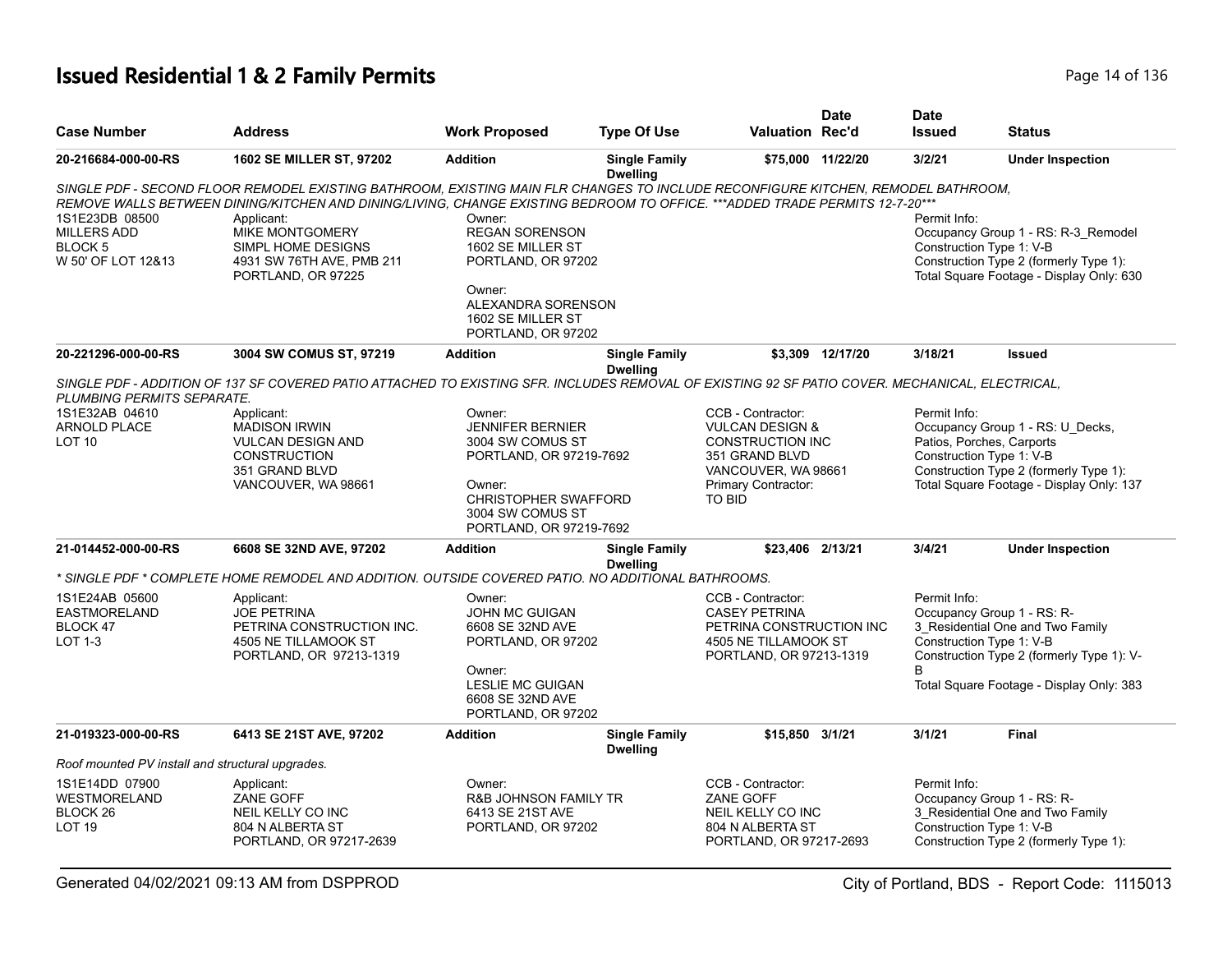## **Issued Residential 1 & 2 Family Permits Page 14 of 136** Page 14 of 136

| <b>Case Number</b>                                                               | <b>Address</b>                                                                                                                                  | <b>Work Proposed</b>                                                                 | <b>Type Of Use</b>                      | Valuation Rec'd                                                                                    | <b>Date</b>       | <b>Date</b><br><b>Issued</b> | <b>Status</b>                                                                                                                                         |
|----------------------------------------------------------------------------------|-------------------------------------------------------------------------------------------------------------------------------------------------|--------------------------------------------------------------------------------------|-----------------------------------------|----------------------------------------------------------------------------------------------------|-------------------|------------------------------|-------------------------------------------------------------------------------------------------------------------------------------------------------|
| 20-216684-000-00-RS                                                              | <b>1602 SE MILLER ST, 97202</b>                                                                                                                 | <b>Addition</b>                                                                      | <b>Single Family</b><br><b>Dwelling</b> |                                                                                                    | \$75,000 11/22/20 | 3/2/21                       | <b>Under Inspection</b>                                                                                                                               |
|                                                                                  | SINGLE PDF - SECOND FLOOR REMODEL EXISTING BATHROOM. EXISTING MAIN FLR CHANGES TO INCLUDE RECONFIGURE KITCHEN. REMODEL BATHROOM.                |                                                                                      |                                         |                                                                                                    |                   |                              |                                                                                                                                                       |
|                                                                                  | REMOVE WALLS BETWEEN DINING/KITCHEN AND DINING/LIVING, CHANGE EXISTING BEDROOM TO OFFICE. ***ADDED TRADE PERMITS 12-7-20***                     |                                                                                      |                                         |                                                                                                    |                   |                              |                                                                                                                                                       |
| 1S1E23DB 08500<br><b>MILLERS ADD</b><br>BLOCK <sub>5</sub><br>W 50' OF LOT 12&13 | Applicant:<br><b>MIKE MONTGOMERY</b><br>SIMPL HOME DESIGNS<br>4931 SW 76TH AVE, PMB 211<br>PORTLAND, OR 97225                                   | Owner:<br><b>REGAN SORENSON</b><br>1602 SE MILLER ST<br>PORTLAND, OR 97202           |                                         |                                                                                                    |                   | Permit Info:                 | Occupancy Group 1 - RS: R-3_Remodel<br>Construction Type 1: V-B<br>Construction Type 2 (formerly Type 1):<br>Total Square Footage - Display Only: 630 |
|                                                                                  |                                                                                                                                                 | Owner:<br>ALEXANDRA SORENSON<br>1602 SE MILLER ST<br>PORTLAND, OR 97202              |                                         |                                                                                                    |                   |                              |                                                                                                                                                       |
| 20-221296-000-00-RS                                                              | 3004 SW COMUS ST, 97219                                                                                                                         | <b>Addition</b>                                                                      | <b>Single Family</b><br><b>Dwelling</b> |                                                                                                    | \$3,309 12/17/20  | 3/18/21                      | <b>Issued</b>                                                                                                                                         |
| PLUMBING PERMITS SEPARATE.                                                       | SINGLE PDF - ADDITION OF 137 SF COVERED PATIO ATTACHED TO EXISTING SFR. INCLUDES REMOVAL OF EXISTING 92 SF PATIO COVER. MECHANICAL, ELECTRICAL, |                                                                                      |                                         |                                                                                                    |                   |                              |                                                                                                                                                       |
| 1S1E32AB 04610                                                                   | Applicant:                                                                                                                                      | Owner:                                                                               |                                         | CCB - Contractor:                                                                                  |                   | Permit Info:                 |                                                                                                                                                       |
| <b>ARNOLD PLACE</b>                                                              | <b>MADISON IRWIN</b>                                                                                                                            | <b>JENNIFER BERNIER</b>                                                              |                                         | <b>VULCAN DESIGN &amp;</b>                                                                         |                   |                              | Occupancy Group 1 - RS: U_Decks,                                                                                                                      |
| LOT <sub>10</sub>                                                                | <b>VULCAN DESIGN AND</b>                                                                                                                        | 3004 SW COMUS ST                                                                     |                                         | <b>CONSTRUCTION INC</b>                                                                            |                   |                              | Patios, Porches, Carports                                                                                                                             |
|                                                                                  | <b>CONSTRUCTION</b>                                                                                                                             | PORTLAND, OR 97219-7692                                                              |                                         | 351 GRAND BLVD                                                                                     |                   |                              | Construction Type 1: V-B                                                                                                                              |
|                                                                                  | 351 GRAND BLVD                                                                                                                                  |                                                                                      |                                         | VANCOUVER, WA 98661                                                                                |                   |                              | Construction Type 2 (formerly Type 1):                                                                                                                |
|                                                                                  | VANCOUVER, WA 98661                                                                                                                             | Owner:<br><b>CHRISTOPHER SWAFFORD</b><br>3004 SW COMUS ST<br>PORTLAND, OR 97219-7692 |                                         | Primary Contractor:<br><b>TO BID</b>                                                               |                   |                              | Total Square Footage - Display Only: 137                                                                                                              |
| 21-014452-000-00-RS                                                              | 6608 SE 32ND AVE, 97202                                                                                                                         | <b>Addition</b>                                                                      | <b>Single Family</b><br><b>Dwelling</b> | \$23.406 2/13/21                                                                                   |                   | 3/4/21                       | <b>Under Inspection</b>                                                                                                                               |
|                                                                                  | SINGLE PDF * COMPLETE HOME REMODEL AND ADDITION. OUTSIDE COVERED PATIO. NO ADDITIONAL BATHROOMS. *                                              |                                                                                      |                                         |                                                                                                    |                   |                              |                                                                                                                                                       |
| 1S1E24AB 05600                                                                   | Applicant:                                                                                                                                      | Owner:                                                                               |                                         | CCB - Contractor:                                                                                  |                   | Permit Info:                 |                                                                                                                                                       |
| <b>EASTMORELAND</b>                                                              | <b>JOE PETRINA</b>                                                                                                                              | <b>JOHN MC GUIGAN</b>                                                                |                                         | <b>CASEY PETRINA</b>                                                                               |                   |                              | Occupancy Group 1 - RS: R-                                                                                                                            |
| BLOCK 47                                                                         | PETRINA CONSTRUCTION INC.                                                                                                                       | 6608 SE 32ND AVE                                                                     |                                         | PETRINA CONSTRUCTION INC                                                                           |                   |                              | 3 Residential One and Two Family                                                                                                                      |
| LOT 1-3                                                                          | 4505 NE TILLAMOOK ST<br>PORTLAND, OR 97213-1319                                                                                                 | PORTLAND, OR 97202                                                                   |                                         | 4505 NE TILLAMOOK ST<br>PORTLAND, OR 97213-1319                                                    |                   |                              | Construction Type 1: V-B<br>Construction Type 2 (formerly Type 1): V-                                                                                 |
|                                                                                  |                                                                                                                                                 | Owner:<br><b>LESLIE MC GUIGAN</b><br>6608 SE 32ND AVE<br>PORTLAND, OR 97202          |                                         |                                                                                                    |                   | B                            | Total Square Footage - Display Only: 383                                                                                                              |
| 21-019323-000-00-RS                                                              | 6413 SE 21ST AVE, 97202                                                                                                                         | <b>Addition</b>                                                                      | <b>Single Family</b><br><b>Dwelling</b> | \$15,850 3/1/21                                                                                    |                   | 3/1/21                       | <b>Final</b>                                                                                                                                          |
| Roof mounted PV install and structural upgrades.                                 |                                                                                                                                                 |                                                                                      |                                         |                                                                                                    |                   |                              |                                                                                                                                                       |
| 1S1E14DD 07900<br>WESTMORELAND<br>BLOCK 26<br><b>LOT 19</b>                      | Applicant:<br>ZANE GOFF<br>NEIL KELLY CO INC<br>804 N ALBERTA ST<br>PORTLAND, OR 97217-2639                                                     | Owner:<br>R&B JOHNSON FAMILY TR<br>6413 SE 21ST AVE<br>PORTLAND, OR 97202            |                                         | CCB - Contractor:<br>ZANE GOFF<br>NEIL KELLY CO INC<br>804 N ALBERTA ST<br>PORTLAND, OR 97217-2693 |                   | Permit Info:                 | Occupancy Group 1 - RS: R-<br>3_Residential One and Two Family<br>Construction Type 1: V-B<br>Construction Type 2 (formerly Type 1):                  |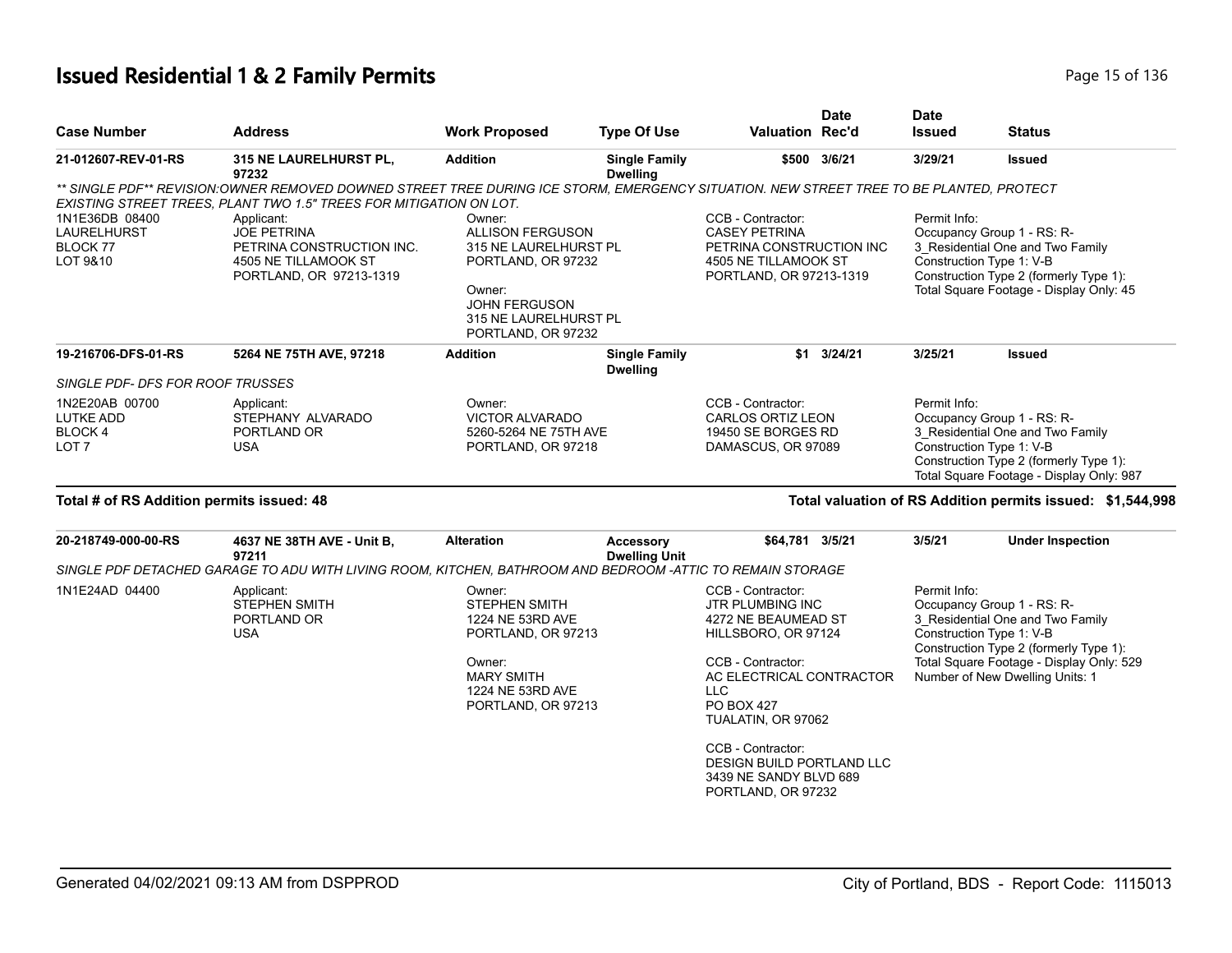## **Issued Residential 1 & 2 Family Permits Page 15 of 136** Page 15 of 136

| <b>Case Number</b>                                                  | <b>Address</b>                                                                                                                                                                                                | <b>Work Proposed</b>                                                                                                                                              | <b>Type Of Use</b>                      | <b>Valuation Rec'd</b>                                                                                                                                                  | <b>Date</b>  | <b>Date</b><br><b>Issued</b>             | <b>Status</b>                                                                                                                                                                           |
|---------------------------------------------------------------------|---------------------------------------------------------------------------------------------------------------------------------------------------------------------------------------------------------------|-------------------------------------------------------------------------------------------------------------------------------------------------------------------|-----------------------------------------|-------------------------------------------------------------------------------------------------------------------------------------------------------------------------|--------------|------------------------------------------|-----------------------------------------------------------------------------------------------------------------------------------------------------------------------------------------|
| 21-012607-REV-01-RS                                                 | 315 NE LAURELHURST PL,<br>97232                                                                                                                                                                               | <b>Addition</b>                                                                                                                                                   | <b>Single Family</b><br><b>Dwelling</b> |                                                                                                                                                                         | \$500 3/6/21 | 3/29/21                                  | <b>Issued</b>                                                                                                                                                                           |
|                                                                     | ** SINGLE PDF** REVISION:OWNER REMOVED DOWNED STREET TREE DURING ICE STORM, EMERGENCY SITUATION. NEW STREET TREE TO BE PLANTED, PROTECT<br>EXISTING STREET TREES, PLANT TWO 1.5" TREES FOR MITIGATION ON LOT. |                                                                                                                                                                   |                                         |                                                                                                                                                                         |              |                                          |                                                                                                                                                                                         |
| 1N1E36DB 08400<br><b>LAURELHURST</b><br><b>BLOCK 77</b><br>LOT 9&10 | Applicant:<br><b>JOE PETRINA</b><br>PETRINA CONSTRUCTION INC.<br>4505 NE TILLAMOOK ST<br>PORTLAND, OR 97213-1319                                                                                              | Owner:<br><b>ALLISON FERGUSON</b><br>315 NE LAURELHURST PL<br>PORTLAND, OR 97232<br>Owner:<br><b>JOHN FERGUSON</b><br>315 NE LAURELHURST PL<br>PORTLAND, OR 97232 |                                         | CCB - Contractor:<br><b>CASEY PETRINA</b><br>PETRINA CONSTRUCTION INC<br>4505 NE TILLAMOOK ST<br>PORTLAND, OR 97213-1319                                                |              | Permit Info:<br>Construction Type 1: V-B | Occupancy Group 1 - RS: R-<br>3 Residential One and Two Family<br>Construction Type 2 (formerly Type 1):<br>Total Square Footage - Display Only: 45                                     |
| 19-216706-DFS-01-RS                                                 | 5264 NE 75TH AVE, 97218                                                                                                                                                                                       | <b>Addition</b>                                                                                                                                                   | <b>Single Family</b><br><b>Dwelling</b> |                                                                                                                                                                         | \$1 3/24/21  | 3/25/21                                  | <b>Issued</b>                                                                                                                                                                           |
| SINGLE PDF- DFS FOR ROOF TRUSSES                                    |                                                                                                                                                                                                               |                                                                                                                                                                   |                                         |                                                                                                                                                                         |              |                                          |                                                                                                                                                                                         |
| 1N2E20AB 00700<br><b>LUTKE ADD</b><br>BLOCK 4<br>LOT <sub>7</sub>   | Applicant:<br>STEPHANY ALVARADO<br>PORTLAND OR<br><b>USA</b>                                                                                                                                                  | Owner:<br><b>VICTOR ALVARADO</b><br>5260-5264 NE 75TH AVE<br>PORTLAND, OR 97218                                                                                   |                                         | CCB - Contractor:<br><b>CARLOS ORTIZ LEON</b><br>19450 SE BORGES RD<br>DAMASCUS, OR 97089                                                                               |              | Permit Info:<br>Construction Type 1: V-B | Occupancy Group 1 - RS: R-<br>3 Residential One and Two Family<br>Construction Type 2 (formerly Type 1):<br>Total Square Footage - Display Only: 987                                    |
| Total # of RS Addition permits issued: 48                           |                                                                                                                                                                                                               |                                                                                                                                                                   |                                         |                                                                                                                                                                         |              |                                          | Total valuation of RS Addition permits issued: \$1,544,998                                                                                                                              |
| 20-218749-000-00-RS                                                 | 4637 NE 38TH AVE - Unit B,<br>97211                                                                                                                                                                           | <b>Alteration</b>                                                                                                                                                 | Accessory<br><b>Dwelling Unit</b>       | \$64,781 3/5/21                                                                                                                                                         |              | 3/5/21                                   | <b>Under Inspection</b>                                                                                                                                                                 |
|                                                                     | SINGLE PDF DETACHED GARAGE TO ADU WITH LIVING ROOM, KITCHEN, BATHROOM AND BEDROOM -ATTIC TO REMAIN STORAGE                                                                                                    |                                                                                                                                                                   |                                         |                                                                                                                                                                         |              |                                          |                                                                                                                                                                                         |
| 1N1E24AD 04400                                                      | Applicant:<br><b>STEPHEN SMITH</b><br>PORTLAND OR<br><b>USA</b>                                                                                                                                               | Owner:<br><b>STEPHEN SMITH</b><br>1224 NE 53RD AVE<br>PORTLAND, OR 97213<br>Owner:<br><b>MARY SMITH</b><br>1224 NE 53RD AVE<br>PORTLAND, OR 97213                 |                                         | CCB - Contractor:<br>JTR PLUMBING INC<br>4272 NE BEAUMEAD ST<br>HILLSBORO, OR 97124<br>CCB - Contractor:<br>AC ELECTRICAL CONTRACTOR<br><b>LLC</b><br><b>PO BOX 427</b> |              | Permit Info:<br>Construction Type 1: V-B | Occupancy Group 1 - RS: R-<br>3 Residential One and Two Family<br>Construction Type 2 (formerly Type 1):<br>Total Square Footage - Display Only: 529<br>Number of New Dwelling Units: 1 |
|                                                                     |                                                                                                                                                                                                               |                                                                                                                                                                   |                                         | TUALATIN, OR 97062<br>CCB - Contractor:<br><b>DESIGN BUILD PORTLAND LLC</b><br>3439 NE SANDY BLVD 689<br>PORTLAND, OR 97232                                             |              |                                          |                                                                                                                                                                                         |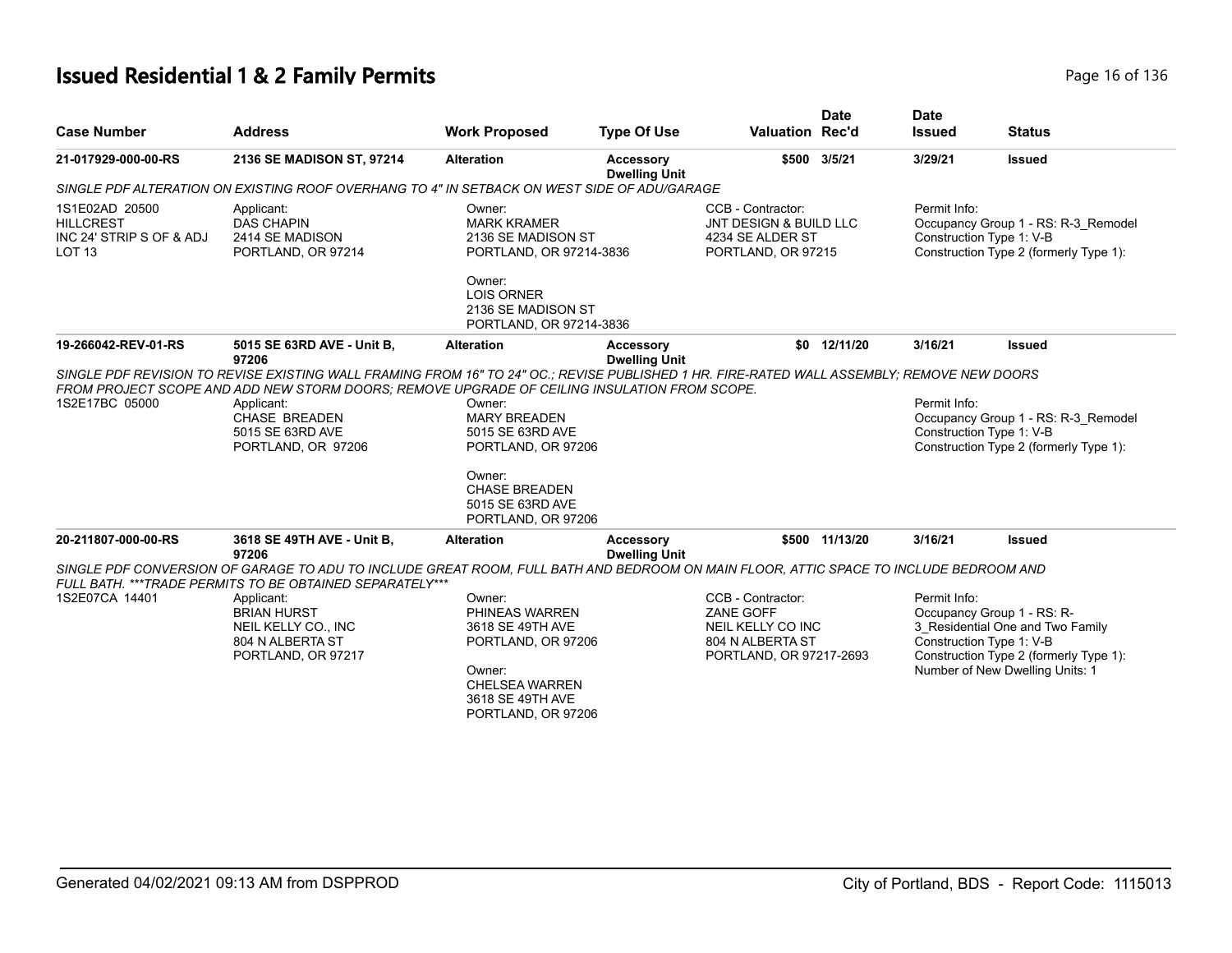## **Issued Residential 1 & 2 Family Permits Page 16 of 136** Page 16 of 136

| <b>Case Number</b>                                                                  | <b>Address</b>                                                                                                                                                                                                                                                                                                                                           | <b>Work Proposed</b>                                                                                                                                              | <b>Type Of Use</b>                       | <b>Valuation Rec'd</b>                                                                             | <b>Date</b>  | <b>Date</b><br><b>Issued</b> | <b>Status</b>                                                                                                                                                           |
|-------------------------------------------------------------------------------------|----------------------------------------------------------------------------------------------------------------------------------------------------------------------------------------------------------------------------------------------------------------------------------------------------------------------------------------------------------|-------------------------------------------------------------------------------------------------------------------------------------------------------------------|------------------------------------------|----------------------------------------------------------------------------------------------------|--------------|------------------------------|-------------------------------------------------------------------------------------------------------------------------------------------------------------------------|
| 21-017929-000-00-RS                                                                 | 2136 SE MADISON ST, 97214                                                                                                                                                                                                                                                                                                                                | <b>Alteration</b>                                                                                                                                                 | <b>Accessory</b><br><b>Dwelling Unit</b> | \$500                                                                                              | 3/5/21       | 3/29/21                      | <b>Issued</b>                                                                                                                                                           |
|                                                                                     | SINGLE PDF ALTERATION ON EXISTING ROOF OVERHANG TO 4" IN SETBACK ON WEST SIDE OF ADU/GARAGE                                                                                                                                                                                                                                                              |                                                                                                                                                                   |                                          |                                                                                                    |              |                              |                                                                                                                                                                         |
| 1S1E02AD 20500<br><b>HILLCREST</b><br>INC 24' STRIP S OF & ADJ<br>LOT <sub>13</sub> | Applicant:<br><b>DAS CHAPIN</b><br>2414 SE MADISON<br>PORTLAND, OR 97214                                                                                                                                                                                                                                                                                 | Owner:<br><b>MARK KRAMER</b><br>2136 SE MADISON ST<br>PORTLAND, OR 97214-3836                                                                                     |                                          | CCB - Contractor:<br>JNT DESIGN & BUILD LLC<br>4234 SE ALDER ST<br>PORTLAND, OR 97215              |              | Permit Info:                 | Occupancy Group 1 - RS: R-3_Remodel<br>Construction Type 1: V-B<br>Construction Type 2 (formerly Type 1):                                                               |
|                                                                                     |                                                                                                                                                                                                                                                                                                                                                          | Owner:<br><b>LOIS ORNER</b><br>2136 SE MADISON ST<br>PORTLAND, OR 97214-3836                                                                                      |                                          |                                                                                                    |              |                              |                                                                                                                                                                         |
| 19-266042-REV-01-RS                                                                 | 5015 SE 63RD AVE - Unit B,<br>97206                                                                                                                                                                                                                                                                                                                      | <b>Alteration</b>                                                                                                                                                 | Accessory<br><b>Dwelling Unit</b>        |                                                                                                    | \$0 12/11/20 | 3/16/21                      | <b>Issued</b>                                                                                                                                                           |
| 1S2E17BC 05000<br>20-211807-000-00-RS                                               | SINGLE PDF REVISION TO REVISE EXISTING WALL FRAMING FROM 16" TO 24" OC.; REVISE PUBLISHED 1 HR. FIRE-RATED WALL ASSEMBLY; REMOVE NEW DOORS<br>FROM PROJECT SCOPE AND ADD NEW STORM DOORS: REMOVE UPGRADE OF CEILING INSULATION FROM SCOPE.<br>Applicant:<br><b>CHASE BREADEN</b><br>5015 SE 63RD AVE<br>PORTLAND, OR 97206<br>3618 SE 49TH AVE - Unit B, | Owner:<br><b>MARY BREADEN</b><br>5015 SE 63RD AVE<br>PORTLAND, OR 97206<br>Owner:<br>CHASE BREADEN<br>5015 SE 63RD AVE<br>PORTLAND, OR 97206<br><b>Alteration</b> | <b>Accessory</b>                         | \$500                                                                                              | 11/13/20     | Permit Info:<br>3/16/21      | Occupancy Group 1 - RS: R-3_Remodel<br>Construction Type 1: V-B<br>Construction Type 2 (formerly Type 1):<br><b>Issued</b>                                              |
|                                                                                     | 97206                                                                                                                                                                                                                                                                                                                                                    |                                                                                                                                                                   | <b>Dwelling Unit</b>                     |                                                                                                    |              |                              |                                                                                                                                                                         |
|                                                                                     | SINGLE PDF CONVERSION OF GARAGE TO ADU TO INCLUDE GREAT ROOM, FULL BATH AND BEDROOM ON MAIN FLOOR, ATTIC SPACE TO INCLUDE BEDROOM AND<br>FULL BATH. *** TRADE PERMITS TO BE OBTAINED SEPARATELY***                                                                                                                                                       |                                                                                                                                                                   |                                          |                                                                                                    |              |                              |                                                                                                                                                                         |
| 1S2E07CA 14401                                                                      | Applicant:<br><b>BRIAN HURST</b><br>NEIL KELLY CO., INC<br>804 N ALBERTA ST<br>PORTLAND, OR 97217                                                                                                                                                                                                                                                        | Owner:<br>PHINEAS WARREN<br>3618 SE 49TH AVE<br>PORTLAND, OR 97206<br>Owner:<br><b>CHELSEA WARREN</b><br>3618 SE 49TH AVE<br>PORTLAND, OR 97206                   |                                          | CCB - Contractor:<br>ZANE GOFF<br>NEIL KELLY CO INC<br>804 N ALBERTA ST<br>PORTLAND, OR 97217-2693 |              | Permit Info:                 | Occupancy Group 1 - RS: R-<br>3 Residential One and Two Family<br>Construction Type 1: V-B<br>Construction Type 2 (formerly Type 1):<br>Number of New Dwelling Units: 1 |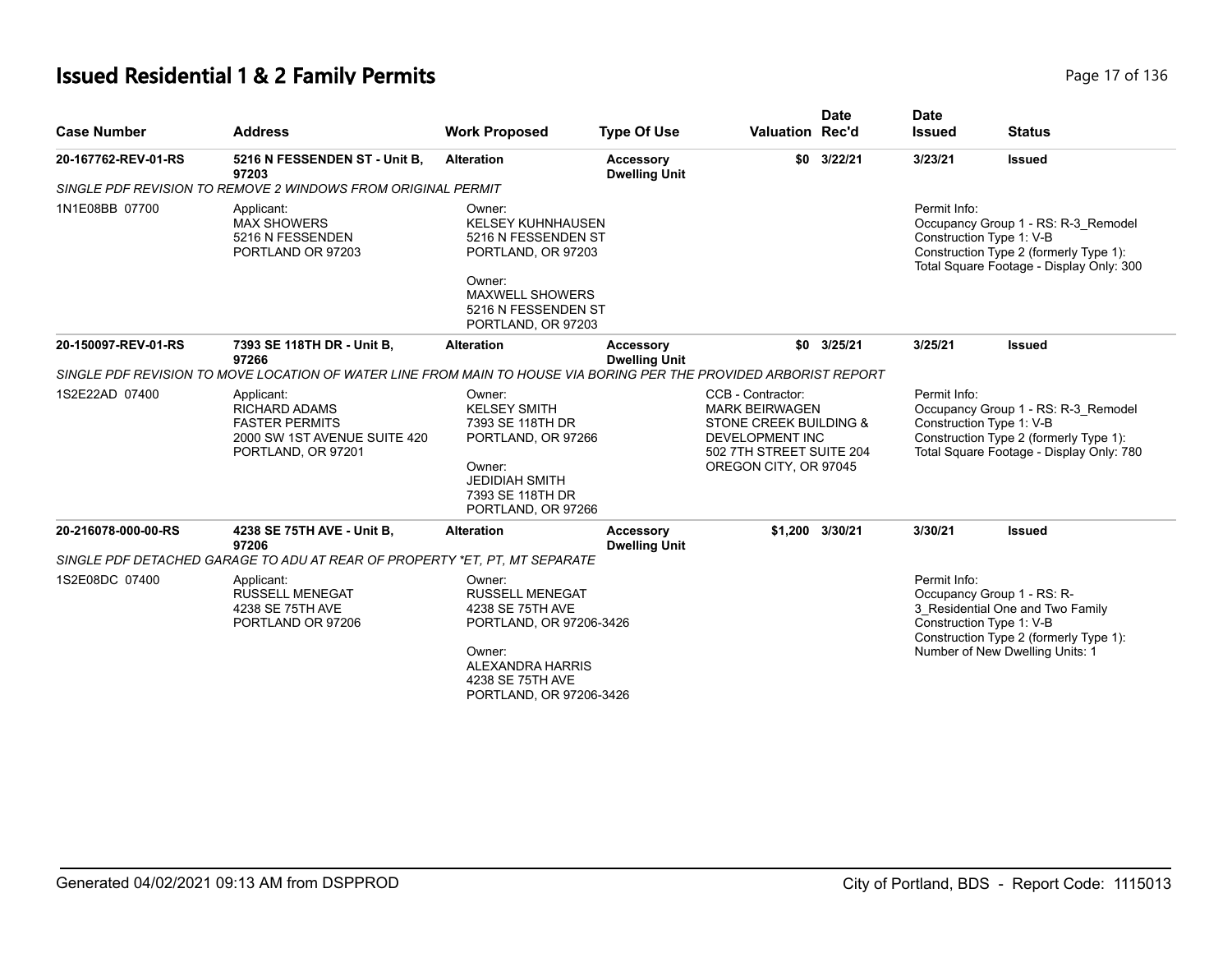# **Issued Residential 1 & 2 Family Permits Page 17 of 136** Page 17 of 136

| <b>Case Number</b>  | <b>Address</b>                                                                                                    | <b>Work Proposed</b>                                                                                                                                                | <b>Type Of Use</b>                       | <b>Valuation Rec'd</b>                                                                                                                              | <b>Date</b>     | <b>Date</b><br><b>Issued</b>             | <b>Status</b>                                                                                                                               |
|---------------------|-------------------------------------------------------------------------------------------------------------------|---------------------------------------------------------------------------------------------------------------------------------------------------------------------|------------------------------------------|-----------------------------------------------------------------------------------------------------------------------------------------------------|-----------------|------------------------------------------|---------------------------------------------------------------------------------------------------------------------------------------------|
| 20-167762-REV-01-RS | 5216 N FESSENDEN ST - Unit B,<br>97203                                                                            | <b>Alteration</b>                                                                                                                                                   | <b>Accessory</b><br><b>Dwelling Unit</b> |                                                                                                                                                     | \$0 3/22/21     | 3/23/21                                  | <b>Issued</b>                                                                                                                               |
|                     | SINGLE PDF REVISION TO REMOVE 2 WINDOWS FROM ORIGINAL PERMIT                                                      |                                                                                                                                                                     |                                          |                                                                                                                                                     |                 |                                          |                                                                                                                                             |
| 1N1E08BB 07700      | Applicant:<br><b>MAX SHOWERS</b><br>5216 N FESSENDEN<br>PORTLAND OR 97203                                         | Owner:<br><b>KELSEY KUHNHAUSEN</b><br>5216 N FESSENDEN ST<br>PORTLAND, OR 97203<br>Owner:<br><b>MAXWELL SHOWERS</b><br>5216 N FESSENDEN ST<br>PORTLAND, OR 97203    |                                          |                                                                                                                                                     |                 | Permit Info:<br>Construction Type 1: V-B | Occupancy Group 1 - RS: R-3 Remodel<br>Construction Type 2 (formerly Type 1):<br>Total Square Footage - Display Only: 300                   |
| 20-150097-REV-01-RS | 7393 SE 118TH DR - Unit B,<br>97266                                                                               | <b>Alteration</b>                                                                                                                                                   | Accessory<br><b>Dwelling Unit</b>        |                                                                                                                                                     | $$0$ 3/25/21    | 3/25/21                                  | <b>Issued</b>                                                                                                                               |
|                     | SINGLE PDF REVISION TO MOVE LOCATION OF WATER LINE FROM MAIN TO HOUSE VIA BORING PER THE PROVIDED ARBORIST REPORT |                                                                                                                                                                     |                                          |                                                                                                                                                     |                 |                                          |                                                                                                                                             |
| 1S2E22AD 07400      | Applicant:<br><b>RICHARD ADAMS</b><br><b>FASTER PERMITS</b><br>2000 SW 1ST AVENUE SUITE 420<br>PORTLAND, OR 97201 | Owner:<br><b>KELSEY SMITH</b><br>7393 SE 118TH DR<br>PORTLAND, OR 97266<br>Owner:<br><b>JEDIDIAH SMITH</b><br>7393 SE 118TH DR<br>PORTLAND, OR 97266                |                                          | CCB - Contractor:<br><b>MARK BEIRWAGEN</b><br>STONE CREEK BUILDING &<br><b>DEVELOPMENT INC</b><br>502 7TH STREET SUITE 204<br>OREGON CITY, OR 97045 |                 | Permit Info:<br>Construction Type 1: V-B | Occupancy Group 1 - RS: R-3 Remodel<br>Construction Type 2 (formerly Type 1):<br>Total Square Footage - Display Only: 780                   |
| 20-216078-000-00-RS | 4238 SE 75TH AVE - Unit B,<br>97206                                                                               | <b>Alteration</b>                                                                                                                                                   | Accessory<br><b>Dwelling Unit</b>        |                                                                                                                                                     | \$1,200 3/30/21 | 3/30/21                                  | <b>Issued</b>                                                                                                                               |
|                     | SINGLE PDF DETACHED GARAGE TO ADU AT REAR OF PROPERTY *ET. PT. MT SEPARATE                                        |                                                                                                                                                                     |                                          |                                                                                                                                                     |                 |                                          |                                                                                                                                             |
| 1S2E08DC 07400      | Applicant:<br><b>RUSSELL MENEGAT</b><br>4238 SE 75TH AVE<br>PORTLAND OR 97206                                     | Owner:<br><b>RUSSELL MENEGAT</b><br>4238 SE 75TH AVE<br>PORTLAND, OR 97206-3426<br>Owner:<br><b>ALEXANDRA HARRIS</b><br>4238 SE 75TH AVE<br>PORTLAND, OR 97206-3426 |                                          |                                                                                                                                                     |                 | Permit Info:<br>Construction Type 1: V-B | Occupancy Group 1 - RS: R-<br>3_Residential One and Two Family<br>Construction Type 2 (formerly Type 1):<br>Number of New Dwelling Units: 1 |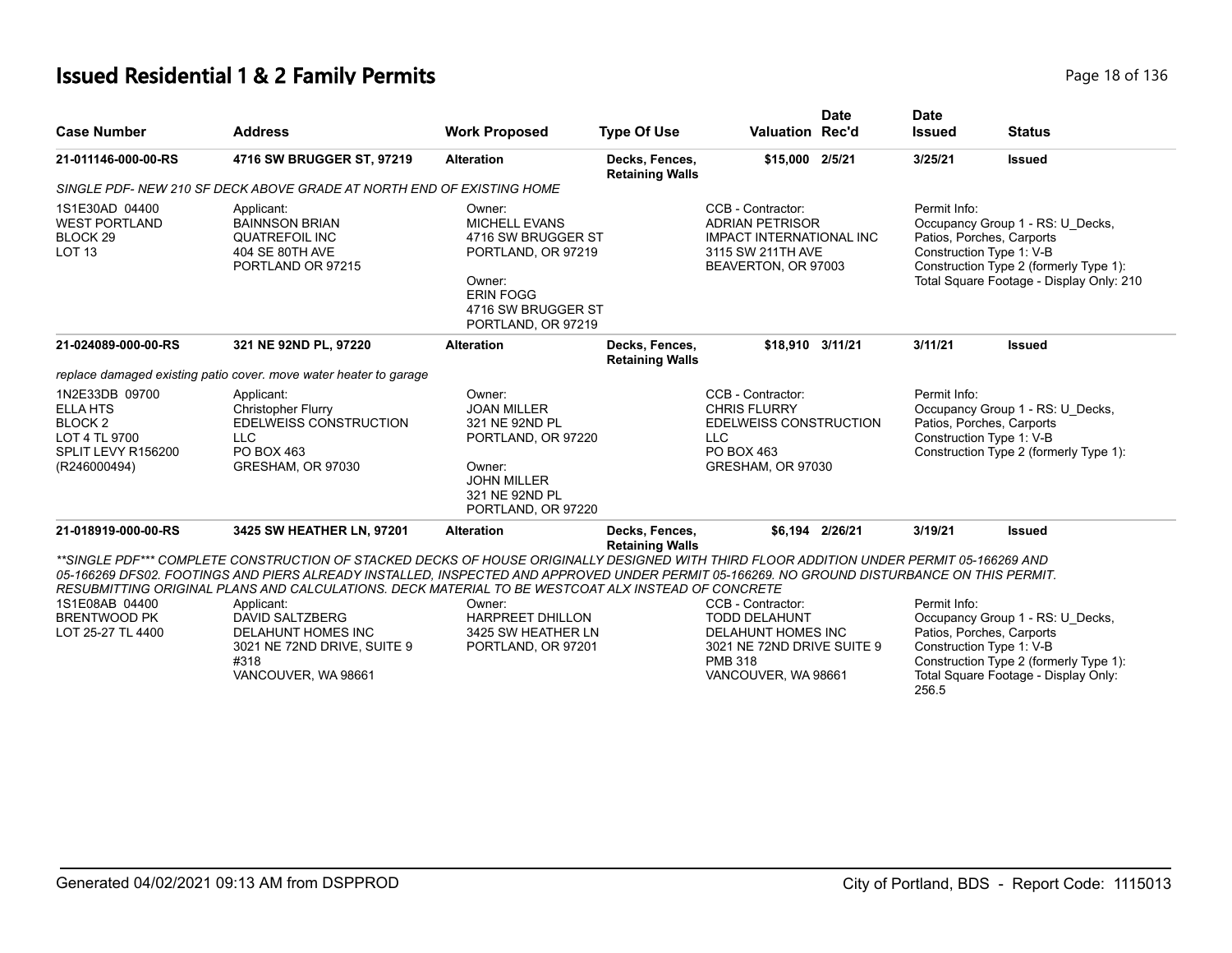## **Issued Residential 1 & 2 Family Permits Page 18 of 136** Page 18 of 136

| <b>Case Number</b>                                                                                             | <b>Address</b>                                                                                                                                                                                                                                                                                                                                                                                                                                                                                                            | <b>Work Proposed</b>                                                                                                                                 | <b>Type Of Use</b>                       | <b>Valuation Rec'd</b>                                                                                                                 | <b>Date</b>     | <b>Date</b><br><b>Issued</b>                                                                                                                        | <b>Status</b>                                                                                                                                                                   |
|----------------------------------------------------------------------------------------------------------------|---------------------------------------------------------------------------------------------------------------------------------------------------------------------------------------------------------------------------------------------------------------------------------------------------------------------------------------------------------------------------------------------------------------------------------------------------------------------------------------------------------------------------|------------------------------------------------------------------------------------------------------------------------------------------------------|------------------------------------------|----------------------------------------------------------------------------------------------------------------------------------------|-----------------|-----------------------------------------------------------------------------------------------------------------------------------------------------|---------------------------------------------------------------------------------------------------------------------------------------------------------------------------------|
| 21-011146-000-00-RS                                                                                            | 4716 SW BRUGGER ST, 97219                                                                                                                                                                                                                                                                                                                                                                                                                                                                                                 | <b>Alteration</b>                                                                                                                                    | Decks, Fences,<br><b>Retaining Walls</b> | \$15,000 2/5/21                                                                                                                        |                 | 3/25/21                                                                                                                                             | <b>Issued</b>                                                                                                                                                                   |
|                                                                                                                | SINGLE PDF- NEW 210 SF DECK ABOVE GRADE AT NORTH END OF EXISTING HOME                                                                                                                                                                                                                                                                                                                                                                                                                                                     |                                                                                                                                                      |                                          |                                                                                                                                        |                 |                                                                                                                                                     |                                                                                                                                                                                 |
| 1S1E30AD 04400<br><b>WEST PORTLAND</b><br>BLOCK <sub>29</sub><br><b>LOT 13</b>                                 | Applicant:<br><b>BAINNSON BRIAN</b><br><b>QUATREFOIL INC</b><br>404 SE 80TH AVE<br>PORTLAND OR 97215                                                                                                                                                                                                                                                                                                                                                                                                                      | Owner:<br><b>MICHELL EVANS</b><br>4716 SW BRUGGER ST<br>PORTLAND, OR 97219<br>Owner:<br><b>ERIN FOGG</b><br>4716 SW BRUGGER ST<br>PORTLAND, OR 97219 |                                          | CCB - Contractor:<br><b>ADRIAN PETRISOR</b><br><b>IMPACT INTERNATIONAL INC</b><br>3115 SW 211TH AVE<br>BEAVERTON, OR 97003             |                 | Permit Info:                                                                                                                                        | Occupancy Group 1 - RS: U Decks,<br>Patios, Porches, Carports<br>Construction Type 1: V-B<br>Construction Type 2 (formerly Type 1):<br>Total Square Footage - Display Only: 210 |
| 21-024089-000-00-RS                                                                                            | 321 NE 92ND PL, 97220                                                                                                                                                                                                                                                                                                                                                                                                                                                                                                     | <b>Alteration</b>                                                                                                                                    | Decks, Fences,<br><b>Retaining Walls</b> | \$18,910 3/11/21                                                                                                                       |                 | 3/11/21                                                                                                                                             | <b>Issued</b>                                                                                                                                                                   |
|                                                                                                                | replace damaged existing patio cover. move water heater to garage                                                                                                                                                                                                                                                                                                                                                                                                                                                         |                                                                                                                                                      |                                          |                                                                                                                                        |                 |                                                                                                                                                     |                                                                                                                                                                                 |
| 1N2E33DB 09700<br><b>ELLA HTS</b><br>BLOCK <sub>2</sub><br>LOT 4 TL 9700<br>SPLIT LEVY R156200<br>(R246000494) | Applicant:<br><b>Christopher Flurry</b><br><b>EDELWEISS CONSTRUCTION</b><br><b>LLC</b><br>PO BOX 463<br>GRESHAM, OR 97030                                                                                                                                                                                                                                                                                                                                                                                                 | Owner:<br><b>JOAN MILLER</b><br>321 NE 92ND PL<br>PORTLAND, OR 97220<br>Owner:<br><b>JOHN MILLER</b><br>321 NE 92ND PL<br>PORTLAND, OR 97220         |                                          | CCB - Contractor:<br><b>CHRIS FLURRY</b><br><b>EDELWEISS CONSTRUCTION</b><br><b>LLC</b><br>PO BOX 463<br>GRESHAM, OR 97030             |                 | Permit Info:<br>Occupancy Group 1 - RS: U_Decks,<br>Patios, Porches, Carports<br>Construction Type 1: V-B<br>Construction Type 2 (formerly Type 1): |                                                                                                                                                                                 |
| 21-018919-000-00-RS                                                                                            | 3425 SW HEATHER LN, 97201                                                                                                                                                                                                                                                                                                                                                                                                                                                                                                 | <b>Alteration</b>                                                                                                                                    | Decks, Fences,                           |                                                                                                                                        | \$6.194 2/26/21 | 3/19/21                                                                                                                                             | <b>Issued</b>                                                                                                                                                                   |
| 1S1E08AB 04400<br><b>BRENTWOOD PK</b><br>LOT 25-27 TL 4400                                                     | **SINGLE PDF*** COMPLETE CONSTRUCTION OF STACKED DECKS OF HOUSE ORIGINALLY DESIGNED WITH THIRD FLOOR ADDITION UNDER PERMIT 05-166269 AND<br>05-166269 DFS02. FOOTINGS AND PIERS ALREADY INSTALLED, INSPECTED AND APPROVED UNDER PERMIT 05-166269. NO GROUND DISTURBANCE ON THIS PERMIT.<br>RESUBMITTING ORIGINAL PLANS AND CALCULATIONS. DECK MATERIAL TO BE WESTCOAT ALX INSTEAD OF CONCRETE<br>Applicant:<br><b>DAVID SALTZBERG</b><br>DELAHUNT HOMES INC<br>3021 NE 72ND DRIVE, SUITE 9<br>#318<br>VANCOUVER, WA 98661 | Owner:<br><b>HARPREET DHILLON</b><br>3425 SW HEATHER LN<br>PORTLAND, OR 97201                                                                        | <b>Retaining Walls</b>                   | CCB - Contractor:<br><b>TODD DELAHUNT</b><br>DELAHUNT HOMES INC<br>3021 NE 72ND DRIVE SUITE 9<br><b>PMB 318</b><br>VANCOUVER, WA 98661 |                 | Permit Info:<br>256.5                                                                                                                               | Occupancy Group 1 - RS: U Decks,<br>Patios, Porches, Carports<br>Construction Type 1: V-B<br>Construction Type 2 (formerly Type 1):<br>Total Square Footage - Display Only:     |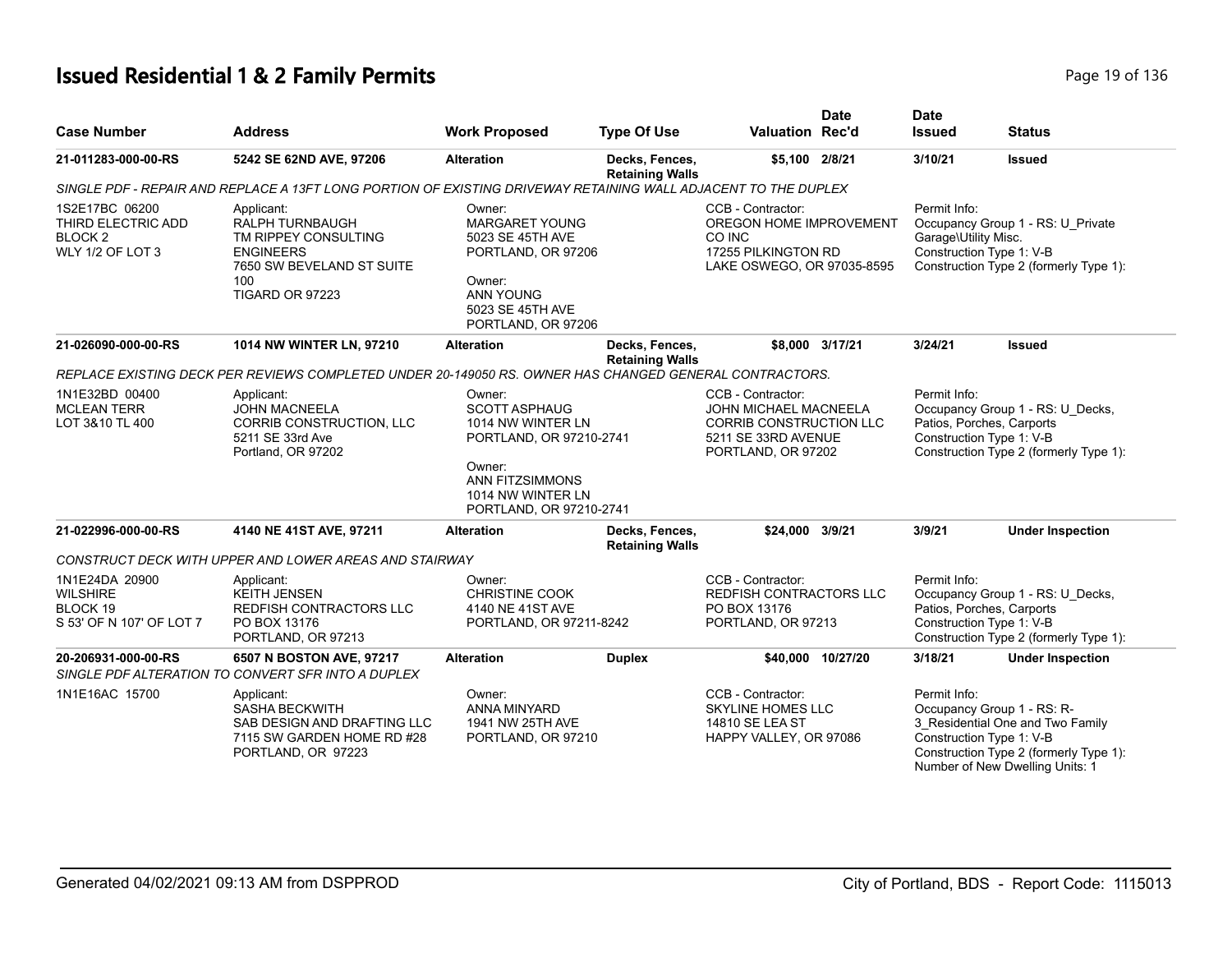# **Issued Residential 1 & 2 Family Permits Page 19 of 136** Page 19 of 136

|                                                                                       |                                                                                                                                  |                                                                                                                                                                    |                                          |                                                                                                                           | <b>Date</b>       | <b>Date</b>                                                           |                                                                                                                                             |
|---------------------------------------------------------------------------------------|----------------------------------------------------------------------------------------------------------------------------------|--------------------------------------------------------------------------------------------------------------------------------------------------------------------|------------------------------------------|---------------------------------------------------------------------------------------------------------------------------|-------------------|-----------------------------------------------------------------------|---------------------------------------------------------------------------------------------------------------------------------------------|
| <b>Case Number</b>                                                                    | <b>Address</b>                                                                                                                   | <b>Work Proposed</b>                                                                                                                                               | <b>Type Of Use</b>                       | <b>Valuation Rec'd</b>                                                                                                    |                   | <b>Issued</b>                                                         | <b>Status</b>                                                                                                                               |
| 21-011283-000-00-RS                                                                   | 5242 SE 62ND AVE, 97206                                                                                                          | <b>Alteration</b>                                                                                                                                                  | Decks, Fences,<br><b>Retaining Walls</b> | \$5,100 2/8/21                                                                                                            |                   | 3/10/21                                                               | <b>Issued</b>                                                                                                                               |
|                                                                                       | SINGLE PDF - REPAIR AND REPLACE A 13FT LONG PORTION OF EXISTING DRIVEWAY RETAINING WALL ADJACENT TO THE DUPLEX                   |                                                                                                                                                                    |                                          |                                                                                                                           |                   |                                                                       |                                                                                                                                             |
| 1S2E17BC 06200<br>THIRD ELECTRIC ADD<br>BLOCK <sub>2</sub><br><b>WLY 1/2 OF LOT 3</b> | Applicant:<br>RALPH TURNBAUGH<br>TM RIPPEY CONSULTING<br><b>ENGINEERS</b><br>7650 SW BEVELAND ST SUITE<br>100<br>TIGARD OR 97223 | Owner:<br><b>MARGARET YOUNG</b><br>5023 SE 45TH AVE<br>PORTLAND, OR 97206<br>Owner:<br><b>ANN YOUNG</b><br>5023 SE 45TH AVE<br>PORTLAND, OR 97206                  |                                          | CCB - Contractor:<br>OREGON HOME IMPROVEMENT<br>CO INC<br>17255 PILKINGTON RD<br>LAKE OSWEGO, OR 97035-8595               |                   | Permit Info:<br>Garage\Utility Misc.<br>Construction Type 1: V-B      | Occupancy Group 1 - RS: U Private<br>Construction Type 2 (formerly Type 1):                                                                 |
| 21-026090-000-00-RS                                                                   | 1014 NW WINTER LN, 97210                                                                                                         | <b>Alteration</b>                                                                                                                                                  | Decks, Fences,<br><b>Retaining Walls</b> |                                                                                                                           | \$8.000 3/17/21   | 3/24/21                                                               | <b>Issued</b>                                                                                                                               |
|                                                                                       | REPLACE EXISTING DECK PER REVIEWS COMPLETED UNDER 20-149050 RS. OWNER HAS CHANGED GENERAL CONTRACTORS.                           |                                                                                                                                                                    |                                          |                                                                                                                           |                   |                                                                       |                                                                                                                                             |
| 1N1E32BD 00400<br><b>MCLEAN TERR</b><br>LOT 3&10 TL 400                               | Applicant:<br><b>JOHN MACNEELA</b><br>CORRIB CONSTRUCTION, LLC<br>5211 SE 33rd Ave<br>Portland, OR 97202                         | Owner:<br><b>SCOTT ASPHAUG</b><br>1014 NW WINTER LN<br>PORTLAND, OR 97210-2741<br>Owner:<br><b>ANN FITZSIMMONS</b><br>1014 NW WINTER LN<br>PORTLAND, OR 97210-2741 |                                          | CCB - Contractor:<br>JOHN MICHAEL MACNEELA<br><b>CORRIB CONSTRUCTION LLC</b><br>5211 SE 33RD AVENUE<br>PORTLAND, OR 97202 |                   | Permit Info:<br>Patios, Porches, Carports<br>Construction Type 1: V-B | Occupancy Group 1 - RS: U_Decks,<br>Construction Type 2 (formerly Type 1):                                                                  |
| 21-022996-000-00-RS                                                                   | 4140 NE 41ST AVE, 97211                                                                                                          | <b>Alteration</b>                                                                                                                                                  | Decks, Fences,<br><b>Retaining Walls</b> | \$24,000 3/9/21                                                                                                           |                   | 3/9/21                                                                | <b>Under Inspection</b>                                                                                                                     |
|                                                                                       | CONSTRUCT DECK WITH UPPER AND LOWER AREAS AND STAIRWAY                                                                           |                                                                                                                                                                    |                                          |                                                                                                                           |                   |                                                                       |                                                                                                                                             |
| 1N1E24DA 20900<br><b>WILSHIRE</b><br>BLOCK 19<br>S 53' OF N 107' OF LOT 7             | Applicant:<br><b>KEITH JENSEN</b><br>REDFISH CONTRACTORS LLC<br>PO BOX 13176<br>PORTLAND, OR 97213                               | Owner:<br><b>CHRISTINE COOK</b><br>4140 NE 41ST AVE<br>PORTLAND, OR 97211-8242                                                                                     |                                          | CCB - Contractor:<br><b>REDFISH CONTRACTORS LLC</b><br>PO BOX 13176<br>PORTLAND, OR 97213                                 |                   | Permit Info:<br>Patios, Porches, Carports<br>Construction Type 1: V-B | Occupancy Group 1 - RS: U_Decks,<br>Construction Type 2 (formerly Type 1):                                                                  |
| 20-206931-000-00-RS                                                                   | 6507 N BOSTON AVE, 97217<br>SINGLE PDF ALTERATION TO CONVERT SFR INTO A DUPLEX                                                   | <b>Alteration</b>                                                                                                                                                  | <b>Duplex</b>                            |                                                                                                                           | \$40,000 10/27/20 | 3/18/21                                                               | <b>Under Inspection</b>                                                                                                                     |
| 1N1E16AC 15700                                                                        | Applicant:<br><b>SASHA BECKWITH</b><br>SAB DESIGN AND DRAFTING LLC<br>7115 SW GARDEN HOME RD #28<br>PORTLAND, OR 97223           | Owner:<br>ANNA MINYARD<br>1941 NW 25TH AVE<br>PORTLAND, OR 97210                                                                                                   |                                          | CCB - Contractor:<br><b>SKYLINE HOMES LLC</b><br>14810 SE LEA ST<br>HAPPY VALLEY, OR 97086                                |                   | Permit Info:<br>Construction Type 1: V-B                              | Occupancy Group 1 - RS: R-<br>3 Residential One and Two Family<br>Construction Type 2 (formerly Type 1):<br>Number of New Dwelling Units: 1 |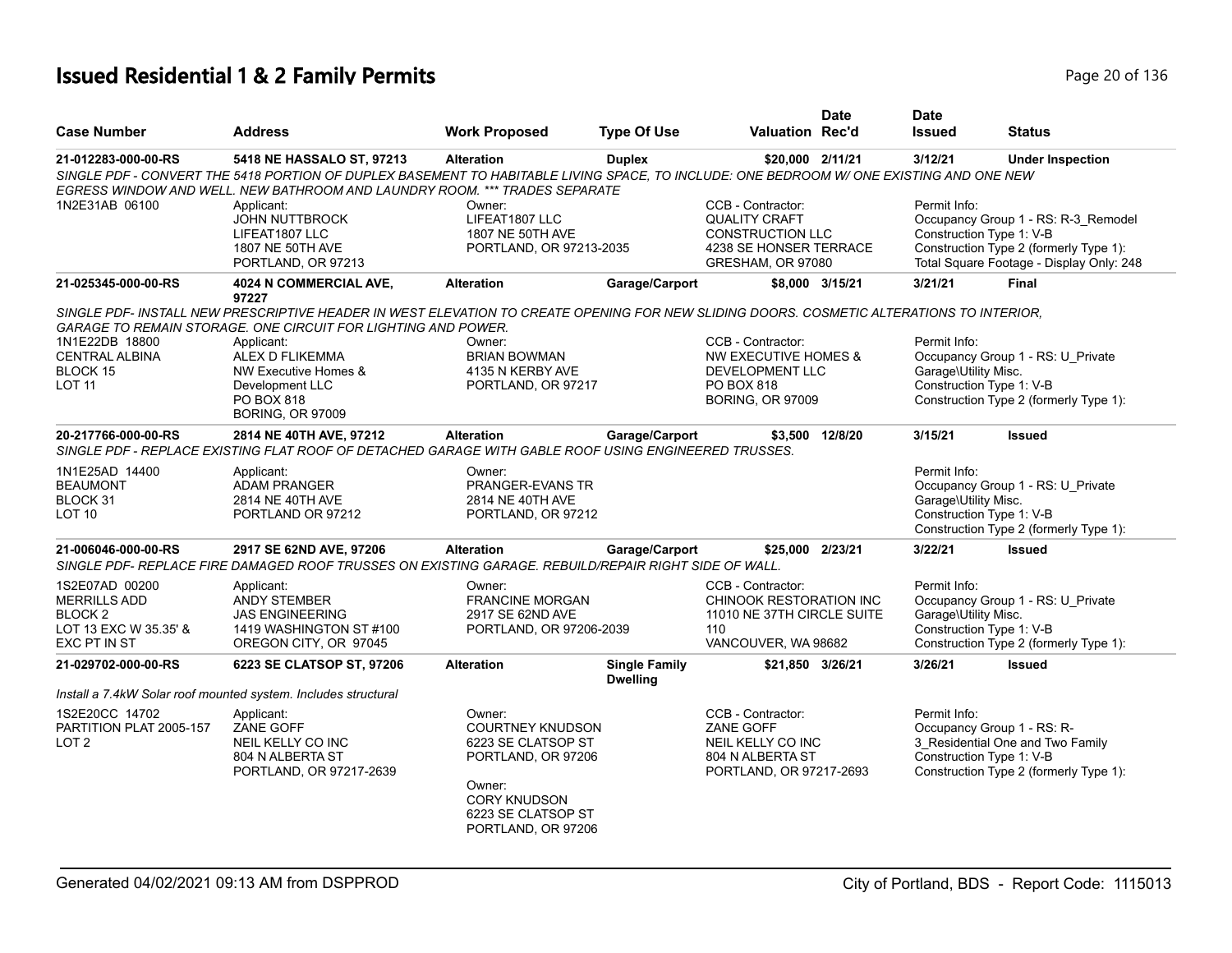## **Issued Residential 1 & 2 Family Permits Page 20 of 136** Page 20 of 136

|                                                                                                      |                                                                                                                                                                                                                                                    |                                                                                                                                                            |                                         |                                                                                                                     | <b>Date</b>     | <b>Date</b>                                                      |                                                                                                                           |
|------------------------------------------------------------------------------------------------------|----------------------------------------------------------------------------------------------------------------------------------------------------------------------------------------------------------------------------------------------------|------------------------------------------------------------------------------------------------------------------------------------------------------------|-----------------------------------------|---------------------------------------------------------------------------------------------------------------------|-----------------|------------------------------------------------------------------|---------------------------------------------------------------------------------------------------------------------------|
| <b>Case Number</b>                                                                                   | <b>Address</b>                                                                                                                                                                                                                                     | <b>Work Proposed</b>                                                                                                                                       | <b>Type Of Use</b>                      | <b>Valuation Rec'd</b>                                                                                              |                 | <b>Issued</b>                                                    | <b>Status</b>                                                                                                             |
| 21-012283-000-00-RS                                                                                  | 5418 NE HASSALO ST, 97213<br>SINGLE PDF - CONVERT THE 5418 PORTION OF DUPLEX BASEMENT TO HABITABLE LIVING SPACE, TO INCLUDE: ONE BEDROOM W/ ONE EXISTING AND ONE NEW<br>EGRESS WINDOW AND WELL. NEW BATHROOM AND LAUNDRY ROOM. *** TRADES SEPARATE | <b>Alteration</b>                                                                                                                                          | <b>Duplex</b>                           | \$20,000 2/11/21                                                                                                    |                 | 3/12/21                                                          | <b>Under Inspection</b>                                                                                                   |
| 1N2E31AB 06100                                                                                       | Applicant:<br><b>JOHN NUTTBROCK</b><br>LIFEAT1807 LLC<br>1807 NE 50TH AVE<br>PORTLAND, OR 97213                                                                                                                                                    | Owner:<br>LIFEAT1807 LLC<br>1807 NE 50TH AVE<br>PORTLAND, OR 97213-2035                                                                                    |                                         | CCB - Contractor:<br><b>QUALITY CRAFT</b><br><b>CONSTRUCTION LLC</b><br>4238 SE HONSER TERRACE<br>GRESHAM, OR 97080 |                 | Permit Info:<br>Construction Type 1: V-B                         | Occupancy Group 1 - RS: R-3_Remodel<br>Construction Type 2 (formerly Type 1):<br>Total Square Footage - Display Only: 248 |
| 21-025345-000-00-RS                                                                                  | 4024 N COMMERCIAL AVE,<br>97227                                                                                                                                                                                                                    | <b>Alteration</b>                                                                                                                                          | Garage/Carport                          |                                                                                                                     | \$8,000 3/15/21 | 3/21/21                                                          | Final                                                                                                                     |
|                                                                                                      | SINGLE PDF- INSTALL NEW PRESCRIPTIVE HEADER IN WEST ELEVATION TO CREATE OPENING FOR NEW SLIDING DOORS. COSMETIC ALTERATIONS TO INTERIOR,<br><b>GARAGE TO REMAIN STORAGE. ONE CIRCUIT FOR LIGHTING AND POWER.</b>                                   |                                                                                                                                                            |                                         |                                                                                                                     |                 |                                                                  |                                                                                                                           |
| 1N1E22DB 18800<br><b>CENTRAL ALBINA</b><br>BLOCK 15<br>LOT <sub>11</sub>                             | Applicant:<br><b>ALEX D FLIKEMMA</b><br>NW Executive Homes &<br>Development LLC<br>PO BOX 818<br><b>BORING, OR 97009</b>                                                                                                                           | Owner:<br><b>BRIAN BOWMAN</b><br>4135 N KERBY AVE<br>PORTLAND, OR 97217                                                                                    |                                         | CCB - Contractor:<br><b>NW EXECUTIVE HOMES &amp;</b><br>DEVELOPMENT LLC<br>PO BOX 818<br><b>BORING, OR 97009</b>    |                 | Permit Info:<br>Garage\Utility Misc.<br>Construction Type 1: V-B | Occupancy Group 1 - RS: U Private<br>Construction Type 2 (formerly Type 1):                                               |
| 20-217766-000-00-RS                                                                                  | 2814 NE 40TH AVE, 97212<br>SINGLE PDF - REPLACE EXISTING FLAT ROOF OF DETACHED GARAGE WITH GABLE ROOF USING ENGINEERED TRUSSES.                                                                                                                    | <b>Alteration</b>                                                                                                                                          | Garage/Carport                          |                                                                                                                     | \$3,500 12/8/20 | 3/15/21                                                          | <b>Issued</b>                                                                                                             |
| 1N1E25AD 14400<br><b>BEAUMONT</b><br>BLOCK 31<br><b>LOT 10</b>                                       | Applicant:<br><b>ADAM PRANGER</b><br>2814 NE 40TH AVE<br>PORTLAND OR 97212                                                                                                                                                                         | Owner:<br>PRANGER-EVANS TR<br>2814 NE 40TH AVE<br>PORTLAND, OR 97212                                                                                       |                                         |                                                                                                                     |                 | Permit Info:<br>Garage\Utility Misc.<br>Construction Type 1: V-B | Occupancy Group 1 - RS: U_Private<br>Construction Type 2 (formerly Type 1):                                               |
| 21-006046-000-00-RS                                                                                  | 2917 SE 62ND AVE, 97206<br>SINGLE PDF- REPLACE FIRE DAMAGED ROOF TRUSSES ON EXISTING GARAGE. REBUILD/REPAIR RIGHT SIDE OF WALL.                                                                                                                    | <b>Alteration</b>                                                                                                                                          | Garage/Carport                          | \$25,000 2/23/21                                                                                                    |                 | 3/22/21                                                          | <b>Issued</b>                                                                                                             |
| 1S2E07AD 00200<br><b>MERRILLS ADD</b><br>BLOCK <sub>2</sub><br>LOT 13 EXC W 35.35' &<br>EXC PT IN ST | Applicant:<br><b>ANDY STEMBER</b><br><b>JAS ENGINEERING</b><br>1419 WASHINGTON ST #100<br>OREGON CITY, OR 97045                                                                                                                                    | Owner:<br><b>FRANCINE MORGAN</b><br>2917 SE 62ND AVE<br>PORTLAND, OR 97206-2039                                                                            |                                         | CCB - Contractor:<br>CHINOOK RESTORATION INC<br>11010 NE 37TH CIRCLE SUITE<br>110<br>VANCOUVER, WA 98682            |                 | Permit Info:<br>Garage\Utility Misc.<br>Construction Type 1: V-B | Occupancy Group 1 - RS: U_Private<br>Construction Type 2 (formerly Type 1):                                               |
| 21-029702-000-00-RS                                                                                  | 6223 SE CLATSOP ST, 97206                                                                                                                                                                                                                          | <b>Alteration</b>                                                                                                                                          | <b>Single Family</b><br><b>Dwelling</b> | \$21,850 3/26/21                                                                                                    |                 | 3/26/21                                                          | <b>Issued</b>                                                                                                             |
|                                                                                                      | Install a 7.4kW Solar roof mounted system. Includes structural                                                                                                                                                                                     |                                                                                                                                                            |                                         |                                                                                                                     |                 |                                                                  |                                                                                                                           |
| 1S2E20CC 14702<br>PARTITION PLAT 2005-157<br>LOT <sub>2</sub>                                        | Applicant:<br>ZANE GOFF<br>NEIL KELLY CO INC<br>804 N ALBERTA ST<br>PORTLAND, OR 97217-2639                                                                                                                                                        | Owner:<br><b>COURTNEY KNUDSON</b><br>6223 SE CLATSOP ST<br>PORTLAND, OR 97206<br>Owner:<br><b>CORY KNUDSON</b><br>6223 SE CLATSOP ST<br>PORTLAND, OR 97206 |                                         | CCB - Contractor:<br>ZANE GOFF<br>NEIL KELLY CO INC<br>804 N ALBERTA ST<br>PORTLAND, OR 97217-2693                  |                 | Permit Info:<br>Construction Type 1: V-B                         | Occupancy Group 1 - RS: R-<br>3_Residential One and Two Family<br>Construction Type 2 (formerly Type 1):                  |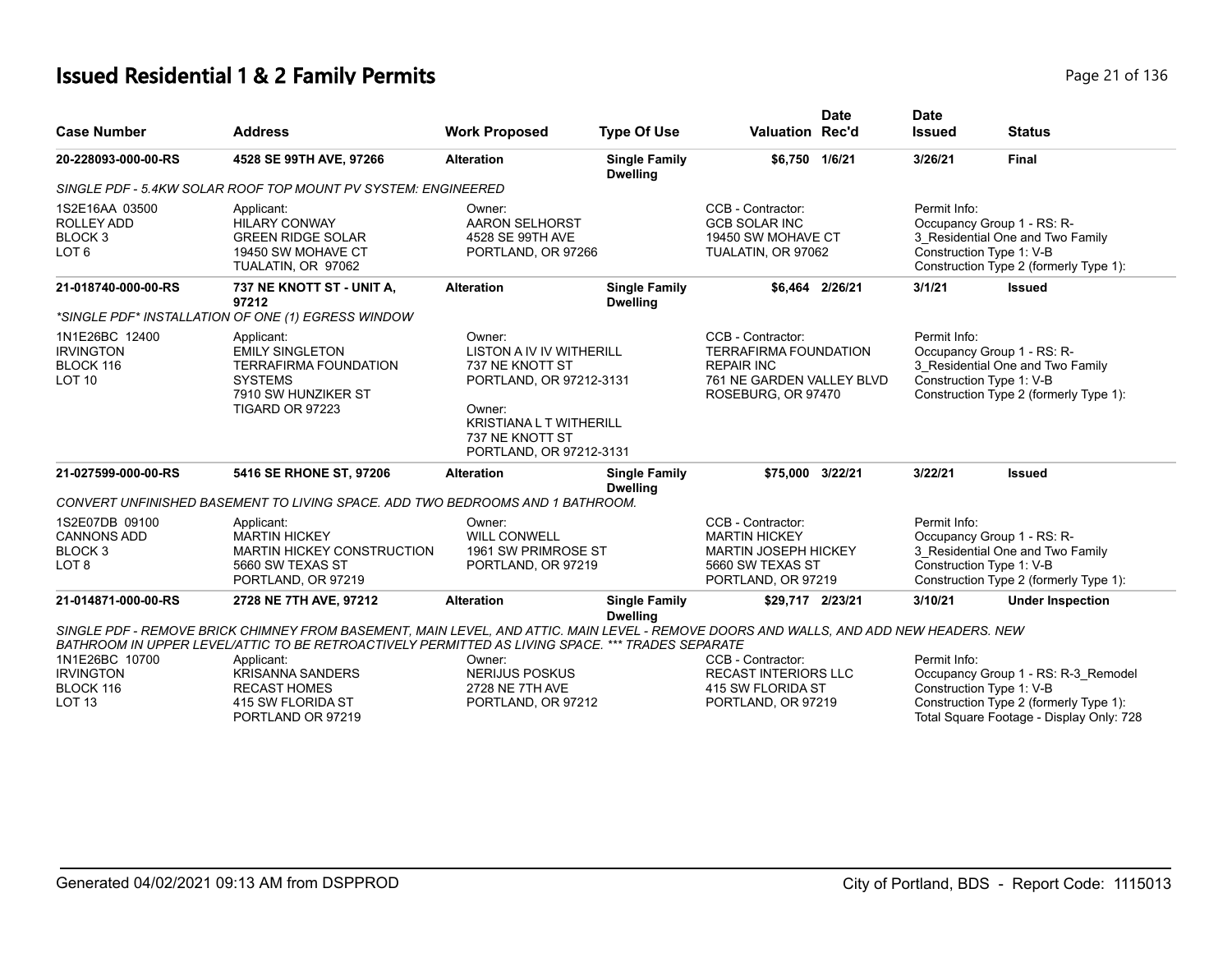## **Issued Residential 1 & 2 Family Permits Page 21 of 136** Page 21 of 136

| <b>Case Number</b>                                                             | <b>Address</b>                                                                                                                                                                                             | <b>Work Proposed</b>                                                                                                                                                              | <b>Type Of Use</b>                      | <b>Valuation Rec'd</b>                                                                                                    | <b>Date</b>     | <b>Date</b><br><b>Issued</b> | <b>Status</b>                                                                                                                                         |
|--------------------------------------------------------------------------------|------------------------------------------------------------------------------------------------------------------------------------------------------------------------------------------------------------|-----------------------------------------------------------------------------------------------------------------------------------------------------------------------------------|-----------------------------------------|---------------------------------------------------------------------------------------------------------------------------|-----------------|------------------------------|-------------------------------------------------------------------------------------------------------------------------------------------------------|
| 20-228093-000-00-RS                                                            | 4528 SE 99TH AVE, 97266                                                                                                                                                                                    | <b>Alteration</b>                                                                                                                                                                 | <b>Single Family</b><br><b>Dwelling</b> | \$6,750 1/6/21                                                                                                            |                 | 3/26/21                      | <b>Final</b>                                                                                                                                          |
|                                                                                | SINGLE PDF - 5.4KW SOLAR ROOF TOP MOUNT PV SYSTEM: ENGINEERED                                                                                                                                              |                                                                                                                                                                                   |                                         |                                                                                                                           |                 |                              |                                                                                                                                                       |
| 1S2E16AA 03500<br>ROLLEY ADD<br>BLOCK <sub>3</sub><br>LOT <sub>6</sub>         | Applicant:<br><b>HILARY CONWAY</b><br><b>GREEN RIDGE SOLAR</b><br>19450 SW MOHAVE CT<br>TUALATIN, OR 97062                                                                                                 | Owner:<br><b>AARON SELHORST</b><br>4528 SE 99TH AVE<br>PORTLAND, OR 97266                                                                                                         |                                         | CCB - Contractor:<br><b>GCB SOLAR INC</b><br>19450 SW MOHAVE CT<br>TUALATIN, OR 97062                                     |                 | Permit Info:                 | Occupancy Group 1 - RS: R-<br>3 Residential One and Two Family<br>Construction Type 1: V-B<br>Construction Type 2 (formerly Type 1):                  |
| 21-018740-000-00-RS                                                            | 737 NE KNOTT ST - UNIT A,<br>97212<br>*SINGLE PDF* INSTALLATION OF ONE (1) EGRESS WINDOW                                                                                                                   | <b>Alteration</b>                                                                                                                                                                 | <b>Single Family</b><br><b>Dwelling</b> |                                                                                                                           | \$6,464 2/26/21 | 3/1/21                       | <b>Issued</b>                                                                                                                                         |
| 1N1E26BC 12400<br><b>IRVINGTON</b><br>BLOCK 116<br><b>LOT 10</b>               | Applicant:<br><b>EMILY SINGLETON</b><br><b>TERRAFIRMA FOUNDATION</b><br><b>SYSTEMS</b><br>7910 SW HUNZIKER ST<br>TIGARD OR 97223                                                                           | Owner:<br><b>LISTON A IV IV WITHERILL</b><br>737 NE KNOTT ST<br>PORTLAND, OR 97212-3131<br>Owner:<br><b>KRISTIANA L T WITHERILL</b><br>737 NE KNOTT ST<br>PORTLAND, OR 97212-3131 |                                         | CCB - Contractor:<br><b>TERRAFIRMA FOUNDATION</b><br><b>REPAIR INC</b><br>761 NE GARDEN VALLEY BLVD<br>ROSEBURG, OR 97470 |                 | Permit Info:                 | Occupancy Group 1 - RS: R-<br>3_Residential One and Two Family<br>Construction Type 1: V-B<br>Construction Type 2 (formerly Type 1):                  |
| 21-027599-000-00-RS                                                            | 5416 SE RHONE ST, 97206                                                                                                                                                                                    | <b>Alteration</b>                                                                                                                                                                 | <b>Single Family</b><br><b>Dwelling</b> | \$75,000 3/22/21                                                                                                          |                 | 3/22/21                      | <b>Issued</b>                                                                                                                                         |
|                                                                                | CONVERT UNFINISHED BASEMENT TO LIVING SPACE, ADD TWO BEDROOMS AND 1 BATHROOM.                                                                                                                              |                                                                                                                                                                                   |                                         |                                                                                                                           |                 |                              |                                                                                                                                                       |
| 1S2E07DB 09100<br><b>CANNONS ADD</b><br>BLOCK <sub>3</sub><br>LOT <sub>8</sub> | Applicant:<br><b>MARTIN HICKEY</b><br><b>MARTIN HICKEY CONSTRUCTION</b><br>5660 SW TEXAS ST<br>PORTLAND, OR 97219                                                                                          | Owner:<br>WILL CONWELL<br>1961 SW PRIMROSE ST<br>PORTLAND, OR 97219                                                                                                               |                                         | CCB - Contractor:<br><b>MARTIN HICKEY</b><br><b>MARTIN JOSEPH HICKEY</b><br>5660 SW TEXAS ST<br>PORTLAND, OR 97219        |                 | Permit Info:                 | Occupancy Group 1 - RS: R-<br>3 Residential One and Two Family<br>Construction Type 1: V-B<br>Construction Type 2 (formerly Type 1):                  |
| 21-014871-000-00-RS                                                            | 2728 NE 7TH AVE, 97212                                                                                                                                                                                     | <b>Alteration</b>                                                                                                                                                                 | <b>Single Family</b><br><b>Dwelling</b> | \$29,717 2/23/21                                                                                                          |                 | 3/10/21                      | <b>Under Inspection</b>                                                                                                                               |
|                                                                                | SINGLE PDF - REMOVE BRICK CHIMNEY FROM BASEMENT, MAIN LEVEL, AND ATTIC. MAIN LEVEL - REMOVE DOORS AND WALLS, AND ADD NEW HEADERS. NEW                                                                      |                                                                                                                                                                                   |                                         |                                                                                                                           |                 |                              |                                                                                                                                                       |
| 1N1E26BC 10700<br><b>IRVINGTON</b><br>BLOCK 116<br>LOT <sub>13</sub>           | BATHROOM IN UPPER LEVEL/ATTIC TO BE RETROACTIVELY PERMITTED AS LIVING SPACE. *** TRADES SEPARATE<br>Applicant:<br><b>KRISANNA SANDERS</b><br><b>RECAST HOMES</b><br>415 SW FLORIDA ST<br>PORTLAND OR 97219 | Owner:<br><b>NERIJUS POSKUS</b><br>2728 NE 7TH AVE<br>PORTLAND, OR 97212                                                                                                          |                                         | CCB - Contractor:<br><b>RECAST INTERIORS LLC</b><br>415 SW FLORIDA ST<br>PORTLAND, OR 97219                               |                 | Permit Info:                 | Occupancy Group 1 - RS: R-3_Remodel<br>Construction Type 1: V-B<br>Construction Type 2 (formerly Type 1):<br>Total Square Footage - Display Only: 728 |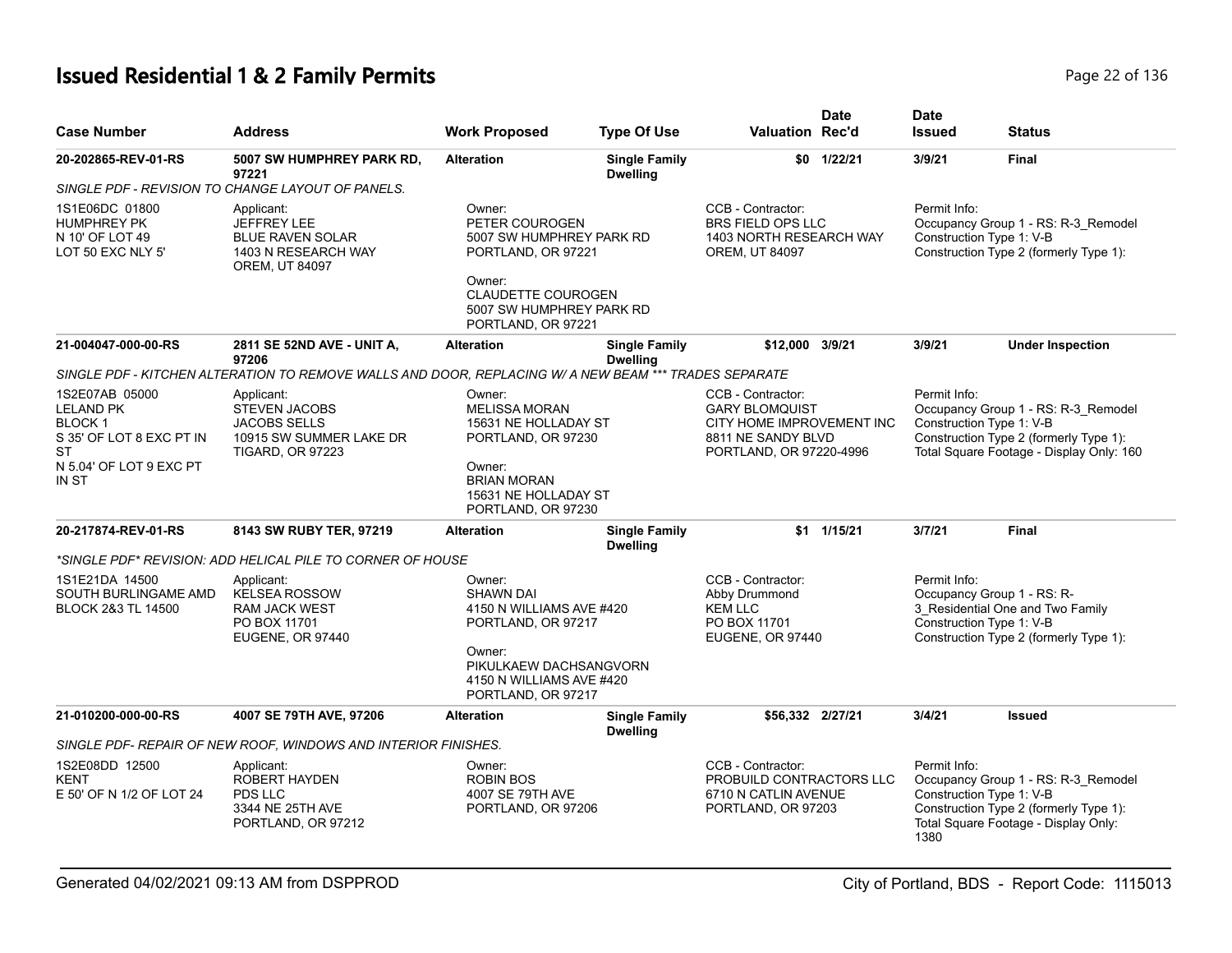# **Issued Residential 1 & 2 Family Permits Page 136** 22 of 136

| <b>Case Number</b>                                                                                                  | <b>Address</b>                                                                                                                                                                                                           | <b>Work Proposed</b>                                                                                                                                                | <b>Type Of Use</b>                      | <b>Valuation Rec'd</b>                                                                                                   | <b>Date</b>    | <b>Date</b><br><b>Issued</b>                     | <b>Status</b>                                                                                                             |
|---------------------------------------------------------------------------------------------------------------------|--------------------------------------------------------------------------------------------------------------------------------------------------------------------------------------------------------------------------|---------------------------------------------------------------------------------------------------------------------------------------------------------------------|-----------------------------------------|--------------------------------------------------------------------------------------------------------------------------|----------------|--------------------------------------------------|---------------------------------------------------------------------------------------------------------------------------|
| 20-202865-REV-01-RS                                                                                                 | 5007 SW HUMPHREY PARK RD,<br>97221<br>SINGLE PDF - REVISION TO CHANGE LAYOUT OF PANELS.                                                                                                                                  | <b>Alteration</b>                                                                                                                                                   | <b>Single Family</b><br><b>Dwelling</b> |                                                                                                                          | \$0 1/22/21    | 3/9/21                                           | <b>Final</b>                                                                                                              |
| 1S1E06DC 01800<br><b>HUMPHREY PK</b><br>N 10' OF LOT 49<br>LOT 50 EXC NLY 5'                                        | Applicant:<br><b>JEFFREY LEE</b><br><b>BLUE RAVEN SOLAR</b><br>1403 N RESEARCH WAY<br><b>OREM, UT 84097</b>                                                                                                              | Owner:<br>PETER COUROGEN<br>5007 SW HUMPHREY PARK RD<br>PORTLAND, OR 97221<br>Owner:<br><b>CLAUDETTE COUROGEN</b><br>5007 SW HUMPHREY PARK RD<br>PORTLAND, OR 97221 |                                         | CCB - Contractor:<br>BRS FIELD OPS LLC<br>1403 NORTH RESEARCH WAY<br>OREM, UT 84097                                      |                | Permit Info:<br>Construction Type 1: V-B         | Occupancy Group 1 - RS: R-3_Remodel<br>Construction Type 2 (formerly Type 1):                                             |
| 21-004047-000-00-RS                                                                                                 | 2811 SE 52ND AVE - UNIT A,<br>97206                                                                                                                                                                                      | <b>Alteration</b>                                                                                                                                                   | <b>Single Family</b><br><b>Dwelling</b> | \$12,000 3/9/21                                                                                                          |                | 3/9/21                                           | <b>Under Inspection</b>                                                                                                   |
| 1S2E07AB 05000<br><b>LELAND PK</b><br>BLOCK 1<br>S 35' OF LOT 8 EXC PT IN<br>ST<br>N 5.04' OF LOT 9 EXC PT<br>IN ST | SINGLE PDF - KITCHEN ALTERATION TO REMOVE WALLS AND DOOR. REPLACING W/ A NEW BEAM *** TRADES SEPARATE<br>Applicant:<br><b>STEVEN JACOBS</b><br><b>JACOBS SELLS</b><br>10915 SW SUMMER LAKE DR<br><b>TIGARD, OR 97223</b> | Owner:<br><b>MELISSA MORAN</b><br>15631 NE HOLLADAY ST<br>PORTLAND, OR 97230<br>Owner:<br><b>BRIAN MORAN</b><br>15631 NE HOLLADAY ST<br>PORTLAND, OR 97230          |                                         | CCB - Contractor:<br><b>GARY BLOMQUIST</b><br>CITY HOME IMPROVEMENT INC<br>8811 NE SANDY BLVD<br>PORTLAND, OR 97220-4996 |                | Permit Info:<br>Construction Type 1: V-B         | Occupancy Group 1 - RS: R-3_Remodel<br>Construction Type 2 (formerly Type 1):<br>Total Square Footage - Display Only: 160 |
| 20-217874-REV-01-RS                                                                                                 | 8143 SW RUBY TER, 97219                                                                                                                                                                                                  | <b>Alteration</b>                                                                                                                                                   | <b>Single Family</b><br><b>Dwelling</b> |                                                                                                                          | $$1$ $1/15/21$ | 3/7/21                                           | <b>Final</b>                                                                                                              |
|                                                                                                                     | *SINGLE PDF* REVISION: ADD HELICAL PILE TO CORNER OF HOUSE                                                                                                                                                               |                                                                                                                                                                     |                                         |                                                                                                                          |                |                                                  |                                                                                                                           |
| 1S1E21DA 14500<br>SOUTH BURLINGAME AMD<br><b>BLOCK 2&amp;3 TL 14500</b>                                             | Applicant:<br><b>KELSEA ROSSOW</b><br><b>RAM JACK WEST</b><br>PO BOX 11701<br><b>EUGENE, OR 97440</b>                                                                                                                    | Owner:<br><b>SHAWN DAI</b><br>4150 N WILLIAMS AVE #420<br>PORTLAND, OR 97217<br>Owner:<br>PIKULKAEW DACHSANGVORN<br>4150 N WILLIAMS AVE #420<br>PORTLAND, OR 97217  |                                         | CCB - Contractor:<br>Abby Drummond<br><b>KEM LLC</b><br>PO BOX 11701<br><b>EUGENE, OR 97440</b>                          |                | Permit Info:<br>Construction Type 1: V-B         | Occupancy Group 1 - RS: R-<br>3 Residential One and Two Family<br>Construction Type 2 (formerly Type 1):                  |
| 21-010200-000-00-RS                                                                                                 | 4007 SE 79TH AVE, 97206                                                                                                                                                                                                  | <b>Alteration</b>                                                                                                                                                   | <b>Single Family</b><br><b>Dwelling</b> | \$56,332 2/27/21                                                                                                         |                | 3/4/21                                           | <b>Issued</b>                                                                                                             |
|                                                                                                                     | SINGLE PDF- REPAIR OF NEW ROOF, WINDOWS AND INTERIOR FINISHES.                                                                                                                                                           |                                                                                                                                                                     |                                         |                                                                                                                          |                |                                                  |                                                                                                                           |
| 1S2E08DD 12500<br><b>KENT</b><br>E 50' OF N 1/2 OF LOT 24                                                           | Applicant:<br><b>ROBERT HAYDEN</b><br>PDS LLC<br>3344 NE 25TH AVE<br>PORTLAND, OR 97212                                                                                                                                  | Owner:<br><b>ROBIN BOS</b><br>4007 SE 79TH AVE<br>PORTLAND, OR 97206                                                                                                |                                         | CCB - Contractor:<br>PROBUILD CONTRACTORS LLC<br>6710 N CATLIN AVENUE<br>PORTLAND, OR 97203                              |                | Permit Info:<br>Construction Type 1: V-B<br>1380 | Occupancy Group 1 - RS: R-3_Remodel<br>Construction Type 2 (formerly Type 1):<br>Total Square Footage - Display Only:     |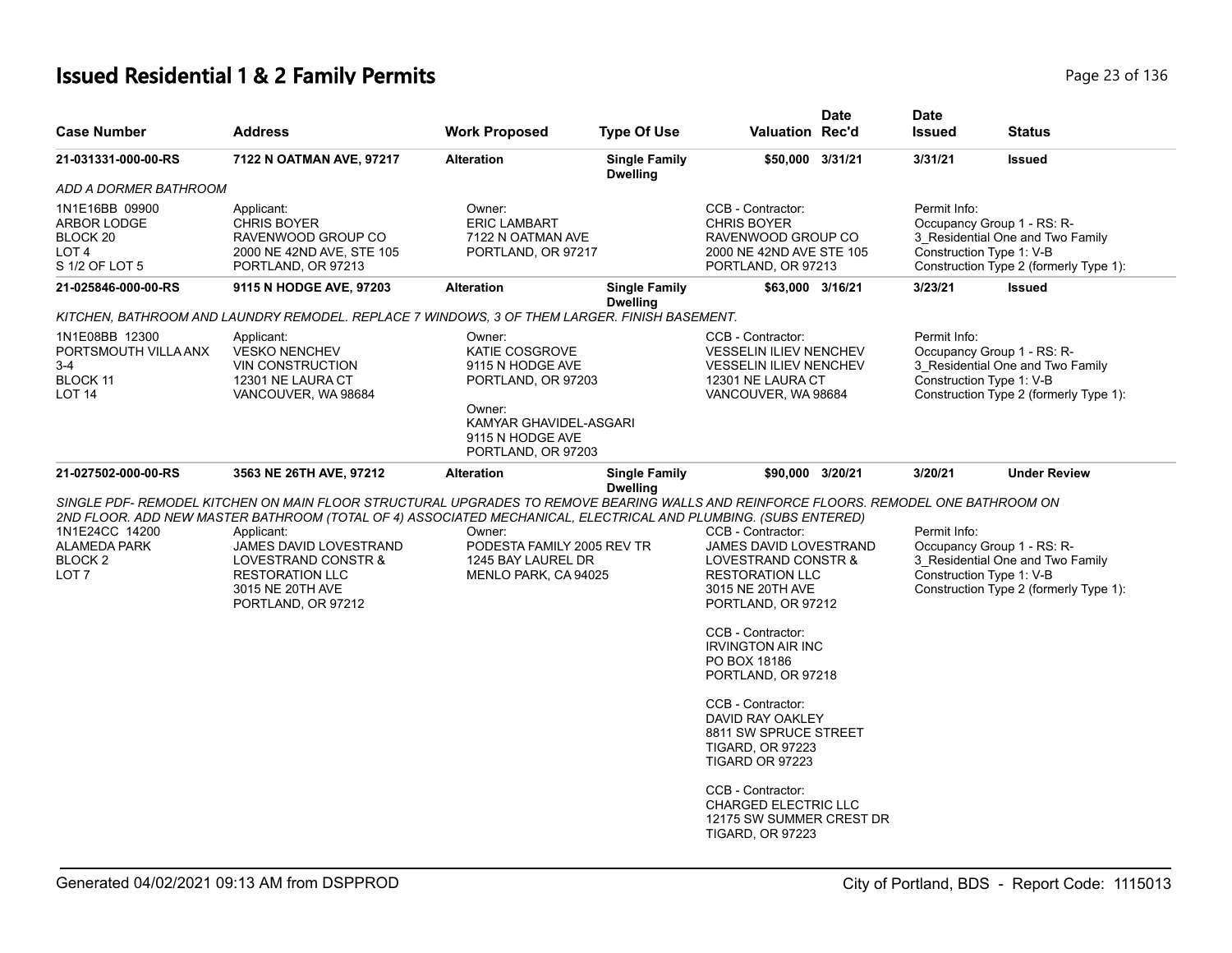# **Issued Residential 1 & 2 Family Permits Page 23 of 136** Page 23 of 136

| <b>Case Number</b>                                                              | Address                                                                                                                                                                                                                                           | <b>Work Proposed</b>                                                                                                                                    | <b>Type Of Use</b>                      | <b>Valuation Rec'd</b>                                                                                                                 | <b>Date</b> | <b>Date</b><br><b>Issued</b>             | <b>Status</b>                                                                                            |
|---------------------------------------------------------------------------------|---------------------------------------------------------------------------------------------------------------------------------------------------------------------------------------------------------------------------------------------------|---------------------------------------------------------------------------------------------------------------------------------------------------------|-----------------------------------------|----------------------------------------------------------------------------------------------------------------------------------------|-------------|------------------------------------------|----------------------------------------------------------------------------------------------------------|
| 21-031331-000-00-RS                                                             | 7122 N OATMAN AVE, 97217                                                                                                                                                                                                                          | <b>Alteration</b>                                                                                                                                       | <b>Single Family</b><br><b>Dwelling</b> | \$50,000 3/31/21                                                                                                                       |             | 3/31/21                                  | <b>Issued</b>                                                                                            |
| ADD A DORMER BATHROOM                                                           |                                                                                                                                                                                                                                                   |                                                                                                                                                         |                                         |                                                                                                                                        |             |                                          |                                                                                                          |
| 1N1E16BB 09900<br>ARBOR LODGE<br>BLOCK 20<br>LOT <sub>4</sub><br>S 1/2 OF LOT 5 | Applicant:<br><b>CHRIS BOYER</b><br>RAVENWOOD GROUP CO<br>2000 NE 42ND AVE, STE 105<br>PORTLAND, OR 97213                                                                                                                                         | Owner:<br><b>ERIC LAMBART</b><br>7122 N OATMAN AVE<br>PORTLAND, OR 97217                                                                                |                                         | CCB - Contractor:<br><b>CHRIS BOYER</b><br>RAVENWOOD GROUP CO<br>2000 NE 42ND AVE STE 105<br>PORTLAND, OR 97213                        |             | Permit Info:<br>Construction Type 1: V-B | Occupancy Group 1 - RS: R-<br>3_Residential One and Two Family<br>Construction Type 2 (formerly Type 1): |
| 21-025846-000-00-RS                                                             | 9115 N HODGE AVE, 97203                                                                                                                                                                                                                           | <b>Alteration</b>                                                                                                                                       | <b>Single Family</b><br><b>Dwelling</b> | \$63,000 3/16/21                                                                                                                       |             | 3/23/21                                  | <b>Issued</b>                                                                                            |
|                                                                                 | KITCHEN, BATHROOM AND LAUNDRY REMODEL. REPLACE 7 WINDOWS, 3 OF THEM LARGER. FINISH BASEMENT.                                                                                                                                                      |                                                                                                                                                         |                                         |                                                                                                                                        |             |                                          |                                                                                                          |
| 1N1E08BB 12300<br>PORTSMOUTH VILLA ANX<br>3-4<br>BLOCK 11<br>LOT <sub>14</sub>  | Applicant:<br><b>VESKO NENCHEV</b><br><b>VIN CONSTRUCTION</b><br>12301 NE LAURA CT<br>VANCOUVER, WA 98684                                                                                                                                         | Owner:<br><b>KATIE COSGROVE</b><br>9115 N HODGE AVE<br>PORTLAND, OR 97203<br>Owner:<br>KAMYAR GHAVIDEL-ASGARI<br>9115 N HODGE AVE<br>PORTLAND, OR 97203 |                                         | CCB - Contractor:<br><b>VESSELIN ILIEV NENCHEV</b><br><b>VESSELIN ILIEV NENCHEV</b><br>12301 NE LAURA CT<br>VANCOUVER, WA 98684        |             | Permit Info:<br>Construction Type 1: V-B | Occupancy Group 1 - RS: R-<br>3_Residential One and Two Family<br>Construction Type 2 (formerly Type 1): |
| 21-027502-000-00-RS                                                             | 3563 NE 26TH AVE, 97212                                                                                                                                                                                                                           | <b>Alteration</b>                                                                                                                                       | <b>Single Family</b><br><b>Dwelling</b> | \$90,000 3/20/21                                                                                                                       |             | 3/20/21                                  | <b>Under Review</b>                                                                                      |
|                                                                                 | SINGLE PDF- REMODEL KITCHEN ON MAIN FLOOR STRUCTURAL UPGRADES TO REMOVE BEARING WALLS AND REINFORCE FLOORS. REMODEL ONE BATHROOM ON                                                                                                               |                                                                                                                                                         |                                         |                                                                                                                                        |             |                                          |                                                                                                          |
| 1N1E24CC 14200<br><b>ALAMEDA PARK</b><br>BLOCK <sub>2</sub><br>LOT <sub>7</sub> | 2ND FLOOR. ADD NEW MASTER BATHROOM (TOTAL OF 4) ASSOCIATED MECHANICAL, ELECTRICAL AND PLUMBING. (SUBS ENTERED)<br>Applicant:<br>JAMES DAVID LOVESTRAND<br>LOVESTRAND CONSTR &<br><b>RESTORATION LLC</b><br>3015 NE 20TH AVE<br>PORTLAND, OR 97212 | Owner:<br>PODESTA FAMILY 2005 REV TR<br>1245 BAY LAUREL DR<br>MENLO PARK, CA 94025                                                                      |                                         | CCB - Contractor:<br>JAMES DAVID LOVESTRAND<br>LOVESTRAND CONSTR &<br><b>RESTORATION LLC</b><br>3015 NE 20TH AVE<br>PORTLAND, OR 97212 |             | Permit Info:<br>Construction Type 1: V-B | Occupancy Group 1 - RS: R-<br>3 Residential One and Two Family<br>Construction Type 2 (formerly Type 1): |
|                                                                                 |                                                                                                                                                                                                                                                   |                                                                                                                                                         |                                         | CCB - Contractor:<br><b>IRVINGTON AIR INC</b><br>PO BOX 18186<br>PORTLAND, OR 97218                                                    |             |                                          |                                                                                                          |
|                                                                                 |                                                                                                                                                                                                                                                   |                                                                                                                                                         |                                         | CCB - Contractor:<br>DAVID RAY OAKLEY<br>8811 SW SPRUCE STREET<br><b>TIGARD, OR 97223</b><br>TIGARD OR 97223                           |             |                                          |                                                                                                          |
|                                                                                 |                                                                                                                                                                                                                                                   |                                                                                                                                                         |                                         | CCB - Contractor:<br><b>CHARGED ELECTRIC LLC</b><br>12175 SW SUMMER CREST DR<br><b>TIGARD, OR 97223</b>                                |             |                                          |                                                                                                          |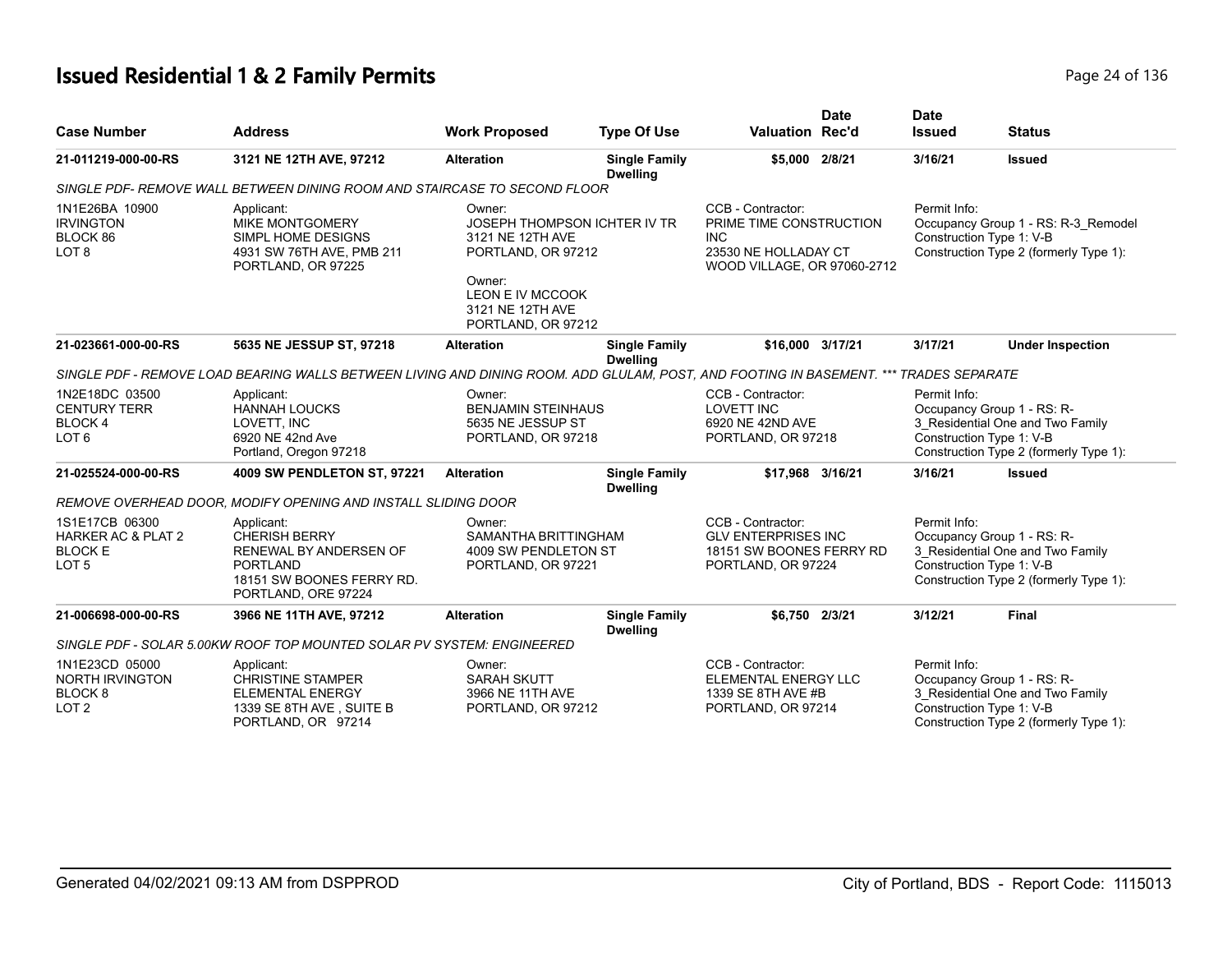## **Issued Residential 1 & 2 Family Permits Page 24 of 136** Page 24 of 136

| <b>Case Number</b>                                                                    | <b>Address</b>                                                                                                                        | <b>Work Proposed</b>                                                                                                                                     | <b>Type Of Use</b>                      | <b>Valuation Rec'd</b>                                                                                      | <b>Date</b> | <b>Date</b><br><b>Issued</b>             | <b>Status</b>                                                                                            |
|---------------------------------------------------------------------------------------|---------------------------------------------------------------------------------------------------------------------------------------|----------------------------------------------------------------------------------------------------------------------------------------------------------|-----------------------------------------|-------------------------------------------------------------------------------------------------------------|-------------|------------------------------------------|----------------------------------------------------------------------------------------------------------|
| 21-011219-000-00-RS                                                                   | 3121 NE 12TH AVE, 97212                                                                                                               | <b>Alteration</b>                                                                                                                                        | <b>Single Family</b><br><b>Dwelling</b> | \$5,000 2/8/21                                                                                              |             | 3/16/21                                  | <b>Issued</b>                                                                                            |
|                                                                                       | SINGLE PDF- REMOVE WALL BETWEEN DINING ROOM AND STAIRCASE TO SECOND FLOOR                                                             |                                                                                                                                                          |                                         |                                                                                                             |             |                                          |                                                                                                          |
| 1N1E26BA 10900<br><b>IRVINGTON</b><br>BLOCK 86<br>LOT <sub>8</sub>                    | Applicant:<br><b>MIKE MONTGOMERY</b><br>SIMPL HOME DESIGNS<br>4931 SW 76TH AVE, PMB 211<br>PORTLAND, OR 97225                         | Owner:<br>JOSEPH THOMPSON ICHTER IV TR<br>3121 NE 12TH AVE<br>PORTLAND, OR 97212<br>Owner:<br>LEON E IV MCCOOK<br>3121 NE 12TH AVE<br>PORTLAND, OR 97212 |                                         | CCB - Contractor:<br>PRIME TIME CONSTRUCTION<br>INC.<br>23530 NE HOLLADAY CT<br>WOOD VILLAGE, OR 97060-2712 |             | Permit Info:<br>Construction Type 1: V-B | Occupancy Group 1 - RS: R-3_Remodel<br>Construction Type 2 (formerly Type 1):                            |
| 21-023661-000-00-RS                                                                   | 5635 NE JESSUP ST, 97218                                                                                                              | <b>Alteration</b>                                                                                                                                        | <b>Single Family</b><br><b>Dwelling</b> | \$16,000 3/17/21                                                                                            |             | 3/17/21                                  | <b>Under Inspection</b>                                                                                  |
|                                                                                       | SINGLE PDF - REMOVE LOAD BEARING WALLS BETWEEN LIVING AND DINING ROOM. ADD GLULAM, POST, AND FOOTING IN BASEMENT. *** TRADES SEPARATE |                                                                                                                                                          |                                         |                                                                                                             |             |                                          |                                                                                                          |
| 1N2E18DC 03500<br><b>CENTURY TERR</b><br><b>BLOCK4</b><br>LOT <sub>6</sub>            | Applicant:<br><b>HANNAH LOUCKS</b><br>LOVETT, INC<br>6920 NE 42nd Ave<br>Portland, Oregon 97218                                       | Owner:<br><b>BENJAMIN STEINHAUS</b><br>5635 NE JESSUP ST<br>PORTLAND, OR 97218                                                                           |                                         | CCB - Contractor:<br><b>LOVETT INC</b><br>6920 NE 42ND AVE<br>PORTLAND, OR 97218                            |             | Permit Info:<br>Construction Type 1: V-B | Occupancy Group 1 - RS: R-<br>3_Residential One and Two Family<br>Construction Type 2 (formerly Type 1): |
| 21-025524-000-00-RS                                                                   | 4009 SW PENDLETON ST, 97221                                                                                                           | <b>Alteration</b>                                                                                                                                        | <b>Single Family</b><br><b>Dwelling</b> | \$17,968 3/16/21                                                                                            |             | 3/16/21                                  | <b>Issued</b>                                                                                            |
|                                                                                       | REMOVE OVERHEAD DOOR, MODIFY OPENING AND INSTALL SLIDING DOOR                                                                         |                                                                                                                                                          |                                         |                                                                                                             |             |                                          |                                                                                                          |
| 1S1E17CB 06300<br><b>HARKER AC &amp; PLAT 2</b><br><b>BLOCK E</b><br>LOT <sub>5</sub> | Applicant:<br><b>CHERISH BERRY</b><br>RENEWAL BY ANDERSEN OF<br>PORTLAND<br>18151 SW BOONES FERRY RD.<br>PORTLAND, ORE 97224          | Owner:<br>SAMANTHA BRITTINGHAM<br>4009 SW PENDLETON ST<br>PORTLAND, OR 97221                                                                             |                                         | CCB - Contractor:<br><b>GLV ENTERPRISES INC</b><br>18151 SW BOONES FERRY RD<br>PORTLAND, OR 97224           |             | Permit Info:<br>Construction Type 1: V-B | Occupancy Group 1 - RS: R-<br>3_Residential One and Two Family<br>Construction Type 2 (formerly Type 1): |
| 21-006698-000-00-RS                                                                   | 3966 NE 11TH AVE, 97212                                                                                                               | <b>Alteration</b>                                                                                                                                        | <b>Single Family</b><br><b>Dwelling</b> | \$6,750 2/3/21                                                                                              |             | 3/12/21                                  | <b>Final</b>                                                                                             |
|                                                                                       | SINGLE PDF - SOLAR 5.00KW ROOF TOP MOUNTED SOLAR PV SYSTEM: ENGINEERED                                                                |                                                                                                                                                          |                                         |                                                                                                             |             |                                          |                                                                                                          |
| 1N1E23CD 05000<br><b>NORTH IRVINGTON</b><br>BLOCK <sub>8</sub><br>LOT <sub>2</sub>    | Applicant:<br><b>CHRISTINE STAMPER</b><br><b>ELEMENTAL ENERGY</b><br>1339 SE 8TH AVE, SUITE B<br>PORTLAND, OR 97214                   | Owner:<br><b>SARAH SKUTT</b><br>3966 NE 11TH AVE<br>PORTLAND, OR 97212                                                                                   |                                         | CCB - Contractor:<br>ELEMENTAL ENERGY LLC<br>1339 SE 8TH AVE #B<br>PORTLAND, OR 97214                       |             | Permit Info:<br>Construction Type 1: V-B | Occupancy Group 1 - RS: R-<br>3_Residential One and Two Family<br>Construction Type 2 (formerly Type 1): |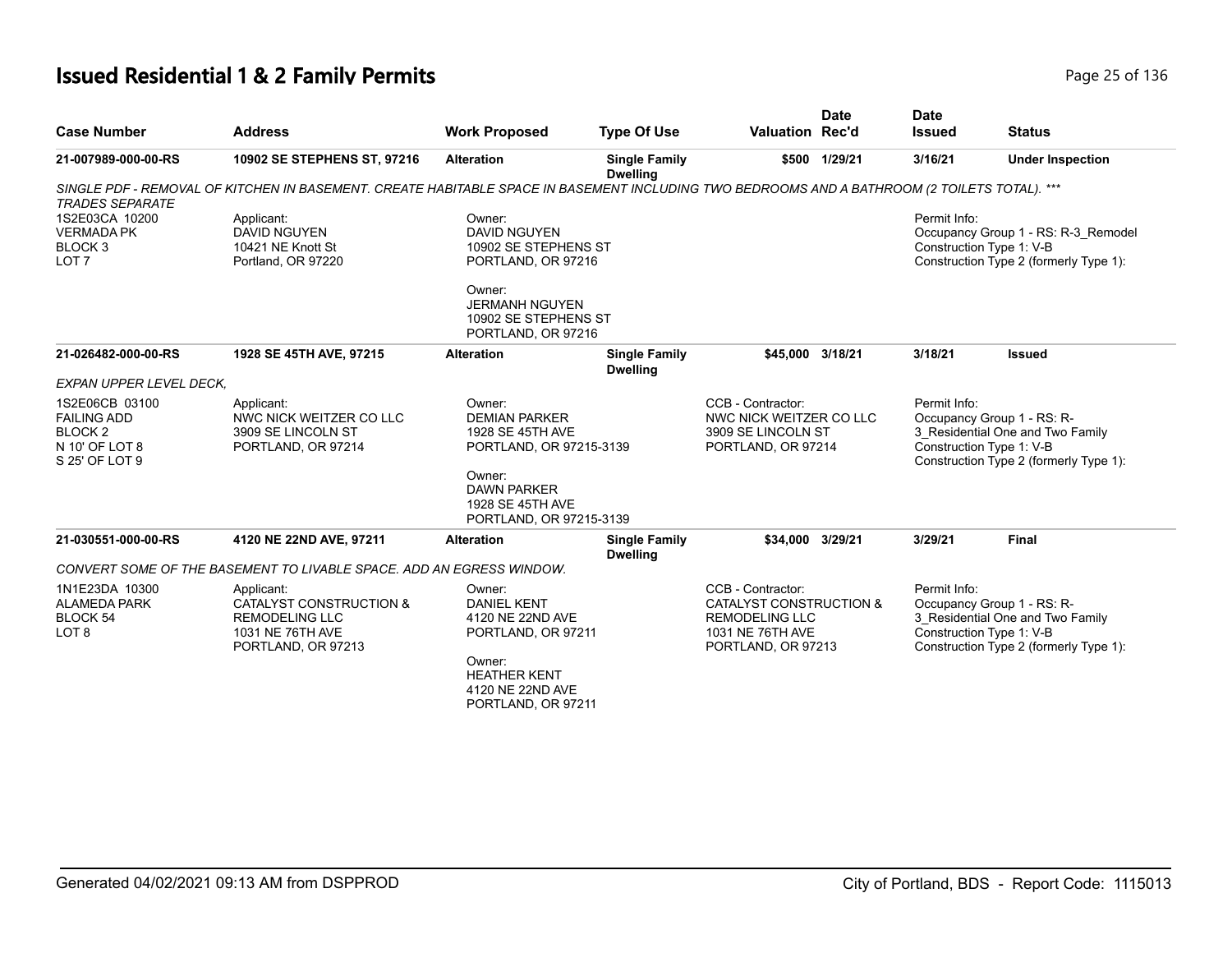## **Issued Residential 1 & 2 Family Permits Page 25 of 136** Page 25 of 136

| <b>Case Number</b>                                                                             | <b>Address</b>                                                                                                                               | <b>Work Proposed</b>                                                                    | <b>Type Of Use</b>                      | <b>Valuation Rec'd</b>                                                                                          | <b>Date</b> | <b>Date</b><br><b>Issued</b> | <b>Status</b>                                                                                                                        |
|------------------------------------------------------------------------------------------------|----------------------------------------------------------------------------------------------------------------------------------------------|-----------------------------------------------------------------------------------------|-----------------------------------------|-----------------------------------------------------------------------------------------------------------------|-------------|------------------------------|--------------------------------------------------------------------------------------------------------------------------------------|
| 21-007989-000-00-RS                                                                            | 10902 SE STEPHENS ST, 97216                                                                                                                  | <b>Alteration</b>                                                                       | <b>Single Family</b><br><b>Dwelling</b> | \$500                                                                                                           | 1/29/21     | 3/16/21                      | <b>Under Inspection</b>                                                                                                              |
| <b>TRADES SEPARATE</b>                                                                         | SINGLE PDF - REMOVAL OF KITCHEN IN BASEMENT. CREATE HABITABLE SPACE IN BASEMENT INCLUDING TWO BEDROOMS AND A BATHROOM (2 TOILETS TOTAL). *** |                                                                                         |                                         |                                                                                                                 |             |                              |                                                                                                                                      |
| 1S2E03CA 10200<br><b>VERMADA PK</b><br>BLOCK 3<br>LOT <sub>7</sub>                             | Applicant:<br><b>DAVID NGUYEN</b><br>10421 NE Knott St<br>Portland, OR 97220                                                                 | Owner:<br><b>DAVID NGUYEN</b><br>10902 SE STEPHENS ST<br>PORTLAND, OR 97216             |                                         |                                                                                                                 |             | Permit Info:                 | Occupancy Group 1 - RS: R-3_Remodel<br>Construction Type 1: V-B<br>Construction Type 2 (formerly Type 1):                            |
|                                                                                                |                                                                                                                                              | Owner:<br><b>JERMANH NGUYEN</b><br>10902 SE STEPHENS ST<br>PORTLAND, OR 97216           |                                         |                                                                                                                 |             |                              |                                                                                                                                      |
| 21-026482-000-00-RS                                                                            | 1928 SE 45TH AVE, 97215                                                                                                                      | <b>Alteration</b>                                                                       | <b>Single Family</b><br><b>Dwelling</b> | \$45,000                                                                                                        | 3/18/21     | 3/18/21                      | <b>Issued</b>                                                                                                                        |
| EXPAN UPPER LEVEL DECK.                                                                        |                                                                                                                                              |                                                                                         |                                         |                                                                                                                 |             |                              |                                                                                                                                      |
| 1S2E06CB 03100<br><b>FAILING ADD</b><br>BLOCK <sub>2</sub><br>N 10' OF LOT 8<br>S 25' OF LOT 9 | Applicant:<br>NWC NICK WEITZER CO LLC<br>3909 SE LINCOLN ST<br>PORTLAND, OR 97214                                                            | Owner:<br><b>DEMIAN PARKER</b><br>1928 SE 45TH AVE<br>PORTLAND, OR 97215-3139<br>Owner: |                                         | CCB - Contractor:<br>NWC NICK WEITZER CO LLC<br>3909 SE LINCOLN ST<br>PORTLAND, OR 97214                        |             | Permit Info:                 | Occupancy Group 1 - RS: R-<br>3_Residential One and Two Family<br>Construction Type 1: V-B<br>Construction Type 2 (formerly Type 1): |
|                                                                                                |                                                                                                                                              | <b>DAWN PARKER</b><br>1928 SE 45TH AVE<br>PORTLAND, OR 97215-3139                       |                                         |                                                                                                                 |             |                              |                                                                                                                                      |
| 21-030551-000-00-RS                                                                            | 4120 NE 22ND AVE, 97211                                                                                                                      | <b>Alteration</b>                                                                       | <b>Single Family</b><br><b>Dwelling</b> | \$34,000 3/29/21                                                                                                |             | 3/29/21                      | <b>Final</b>                                                                                                                         |
|                                                                                                | CONVERT SOME OF THE BASEMENT TO LIVABLE SPACE. ADD AN EGRESS WINDOW.                                                                         |                                                                                         |                                         |                                                                                                                 |             |                              |                                                                                                                                      |
| 1N1E23DA 10300<br><b>ALAMEDA PARK</b><br>BLOCK 54<br>LOT <sub>8</sub>                          | Applicant:<br>CATALYST CONSTRUCTION &<br><b>REMODELING LLC</b><br>1031 NE 76TH AVE<br>PORTLAND, OR 97213                                     | Owner:<br><b>DANIEL KENT</b><br>4120 NE 22ND AVE<br>PORTLAND, OR 97211                  |                                         | CCB - Contractor:<br>CATALYST CONSTRUCTION &<br><b>REMODELING LLC</b><br>1031 NE 76TH AVE<br>PORTLAND, OR 97213 |             | Permit Info:                 | Occupancy Group 1 - RS: R-<br>3 Residential One and Two Family<br>Construction Type 1: V-B<br>Construction Type 2 (formerly Type 1): |
|                                                                                                |                                                                                                                                              | Owner:<br><b>HEATHER KENT</b><br>4120 NE 22ND AVE<br>PORTLAND, OR 97211                 |                                         |                                                                                                                 |             |                              |                                                                                                                                      |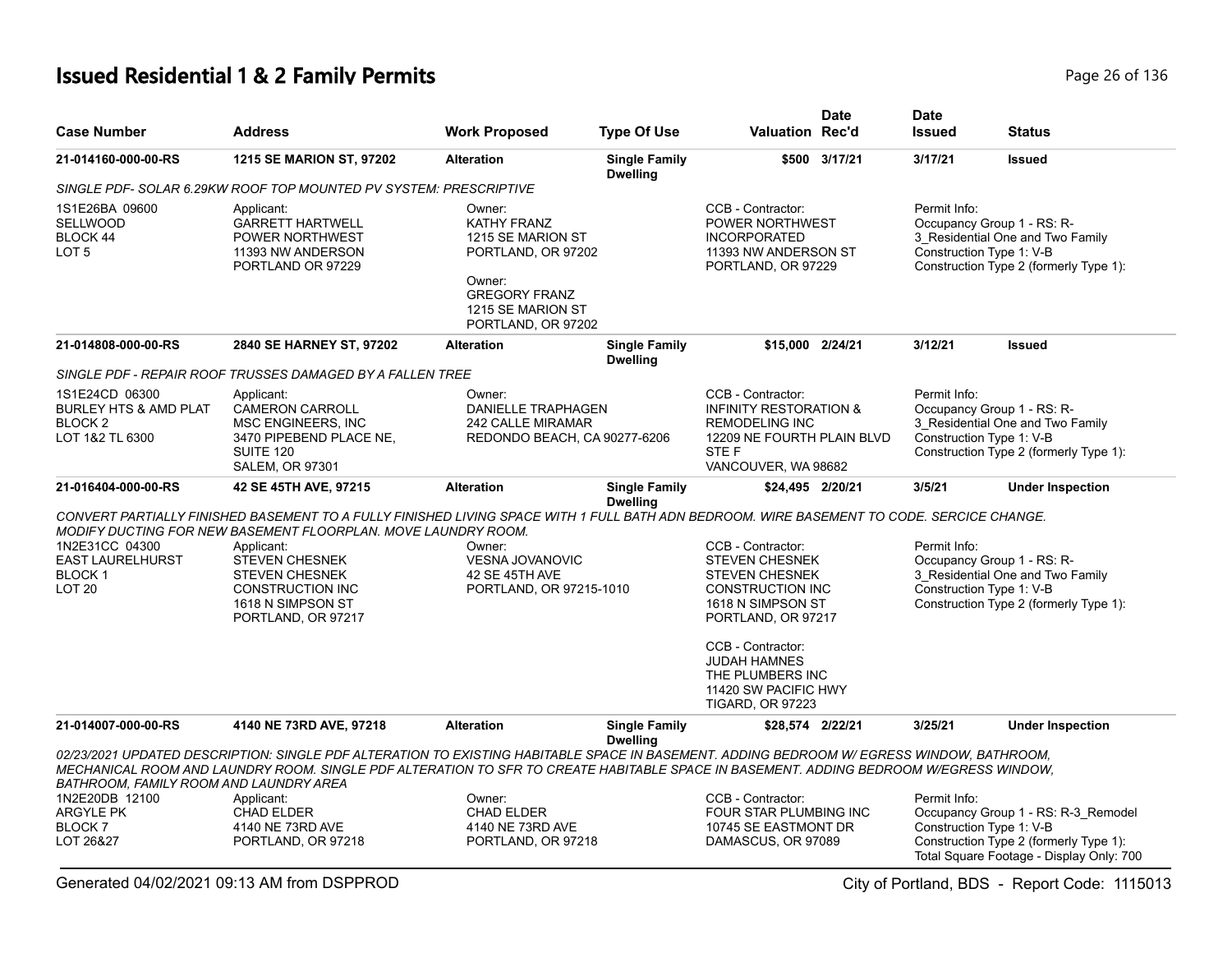## **Issued Residential 1 & 2 Family Permits Page 26 of 136** Page 26 of 136

| <b>Case Number</b>                                                                          | <b>Address</b>                                                                                                                                                                                                                                                                     | <b>Work Proposed</b>                                                                                                                          | <b>Type Of Use</b>                      | <b>Valuation Rec'd</b>                                                                                                                        | Date          | <b>Date</b><br><b>Issued</b>             | <b>Status</b>                                                                                                             |
|---------------------------------------------------------------------------------------------|------------------------------------------------------------------------------------------------------------------------------------------------------------------------------------------------------------------------------------------------------------------------------------|-----------------------------------------------------------------------------------------------------------------------------------------------|-----------------------------------------|-----------------------------------------------------------------------------------------------------------------------------------------------|---------------|------------------------------------------|---------------------------------------------------------------------------------------------------------------------------|
| 21-014160-000-00-RS                                                                         | <b>1215 SE MARION ST, 97202</b>                                                                                                                                                                                                                                                    | <b>Alteration</b>                                                                                                                             | <b>Single Family</b><br><b>Dwelling</b> |                                                                                                                                               | \$500 3/17/21 | 3/17/21                                  | <b>Issued</b>                                                                                                             |
|                                                                                             | SINGLE PDF- SOLAR 6.29KW ROOF TOP MOUNTED PV SYSTEM: PRESCRIPTIVE                                                                                                                                                                                                                  |                                                                                                                                               |                                         |                                                                                                                                               |               |                                          |                                                                                                                           |
| 1S1E26BA 09600<br><b>SELLWOOD</b><br>BLOCK 44<br>LOT <sub>5</sub>                           | Applicant:<br><b>GARRETT HARTWELL</b><br>POWER NORTHWEST<br>11393 NW ANDERSON<br>PORTLAND OR 97229                                                                                                                                                                                 | Owner:<br>KATHY FRANZ<br>1215 SE MARION ST<br>PORTLAND, OR 97202<br>Owner:<br><b>GREGORY FRANZ</b><br>1215 SE MARION ST<br>PORTLAND, OR 97202 |                                         | CCB - Contractor:<br>POWER NORTHWEST<br><b>INCORPORATED</b><br>11393 NW ANDERSON ST<br>PORTLAND, OR 97229                                     |               | Permit Info:<br>Construction Type 1: V-B | Occupancy Group 1 - RS: R-<br>3_Residential One and Two Family<br>Construction Type 2 (formerly Type 1):                  |
| 21-014808-000-00-RS                                                                         | 2840 SE HARNEY ST, 97202                                                                                                                                                                                                                                                           | <b>Alteration</b>                                                                                                                             | <b>Single Family</b><br><b>Dwelling</b> | \$15,000 2/24/21                                                                                                                              |               | 3/12/21                                  | <b>Issued</b>                                                                                                             |
|                                                                                             | SINGLE PDF - REPAIR ROOF TRUSSES DAMAGED BY A FALLEN TREE                                                                                                                                                                                                                          |                                                                                                                                               |                                         |                                                                                                                                               |               |                                          |                                                                                                                           |
| 1S1E24CD 06300<br><b>BURLEY HTS &amp; AMD PLAT</b><br>BLOCK <sub>2</sub><br>LOT 1&2 TL 6300 | Applicant:<br><b>CAMERON CARROLL</b><br>MSC ENGINEERS, INC<br>3470 PIPEBEND PLACE NE,<br>SUITE 120<br><b>SALEM, OR 97301</b>                                                                                                                                                       | Owner:<br><b>DANIELLE TRAPHAGEN</b><br>242 CALLE MIRAMAR<br>REDONDO BEACH, CA 90277-6206                                                      |                                         | CCB - Contractor:<br><b>INFINITY RESTORATION &amp;</b><br><b>REMODELING INC</b><br>12209 NE FOURTH PLAIN BLVD<br>STE F<br>VANCOUVER, WA 98682 |               | Permit Info:<br>Construction Type 1: V-B | Occupancy Group 1 - RS: R-<br>3 Residential One and Two Family<br>Construction Type 2 (formerly Type 1):                  |
| 21-016404-000-00-RS                                                                         | 42 SE 45TH AVE, 97215                                                                                                                                                                                                                                                              | <b>Alteration</b>                                                                                                                             | <b>Single Family</b><br><b>Dwelling</b> | \$24,495 2/20/21                                                                                                                              |               | 3/5/21                                   | <b>Under Inspection</b>                                                                                                   |
|                                                                                             | CONVERT PARTIALLY FINISHED BASEMENT TO A FULLY FINISHED LIVING SPACE WITH 1 FULL BATH ADN BEDROOM. WIRE BASEMENT TO CODE. SERCICE CHANGE.                                                                                                                                          |                                                                                                                                               |                                         |                                                                                                                                               |               |                                          |                                                                                                                           |
|                                                                                             | MODIFY DUCTING FOR NEW BASEMENT FLOORPLAN. MOVE LAUNDRY ROOM.                                                                                                                                                                                                                      |                                                                                                                                               |                                         |                                                                                                                                               |               |                                          |                                                                                                                           |
| 1N2E31CC 04300<br><b>EAST LAURELHURST</b><br><b>BLOCK1</b><br>LOT <sub>20</sub>             | Applicant:<br><b>STEVEN CHESNEK</b><br><b>STEVEN CHESNEK</b><br><b>CONSTRUCTION INC</b><br>1618 N SIMPSON ST<br>PORTLAND, OR 97217                                                                                                                                                 | Owner:<br><b>VESNA JOVANOVIC</b><br>42 SE 45TH AVE<br>PORTLAND, OR 97215-1010                                                                 |                                         | CCB - Contractor:<br><b>STEVEN CHESNEK</b><br><b>STEVEN CHESNEK</b><br><b>CONSTRUCTION INC</b><br>1618 N SIMPSON ST<br>PORTLAND, OR 97217     |               | Permit Info:<br>Construction Type 1: V-B | Occupancy Group 1 - RS: R-<br>3 Residential One and Two Family<br>Construction Type 2 (formerly Type 1):                  |
|                                                                                             |                                                                                                                                                                                                                                                                                    |                                                                                                                                               |                                         | CCB - Contractor:<br><b>JUDAH HAMNES</b><br>THE PLUMBERS INC<br>11420 SW PACIFIC HWY<br><b>TIGARD, OR 97223</b>                               |               |                                          |                                                                                                                           |
| 21-014007-000-00-RS                                                                         | 4140 NE 73RD AVE, 97218                                                                                                                                                                                                                                                            | <b>Alteration</b>                                                                                                                             | <b>Single Family</b><br><b>Dwelling</b> | \$28,574 2/22/21                                                                                                                              |               | 3/25/21                                  | <b>Under Inspection</b>                                                                                                   |
| BATHROOM, FAMILY ROOM AND LAUNDRY AREA                                                      | 02/23/2021 UPDATED DESCRIPTION: SINGLE PDF ALTERATION TO EXISTING HABITABLE SPACE IN BASEMENT. ADDING BEDROOM W/ EGRESS WINDOW, BATHROOM,<br>MECHANICAL ROOM AND LAUNDRY ROOM. SINGLE PDF ALTERATION TO SFR TO CREATE HABITABLE SPACE IN BASEMENT. ADDING BEDROOM W/EGRESS WINDOW. |                                                                                                                                               |                                         |                                                                                                                                               |               |                                          |                                                                                                                           |
| 1N2E20DB 12100<br><b>ARGYLE PK</b><br><b>BLOCK 7</b><br>LOT 26&27                           | Applicant:<br><b>CHAD ELDER</b><br>4140 NE 73RD AVE<br>PORTLAND, OR 97218                                                                                                                                                                                                          | Owner:<br><b>CHAD ELDER</b><br>4140 NE 73RD AVE<br>PORTLAND, OR 97218                                                                         |                                         | CCB - Contractor:<br><b>FOUR STAR PLUMBING INC</b><br>10745 SE EASTMONT DR<br>DAMASCUS, OR 97089                                              |               | Permit Info:<br>Construction Type 1: V-B | Occupancy Group 1 - RS: R-3_Remodel<br>Construction Type 2 (formerly Type 1):<br>Total Square Footage - Display Only: 700 |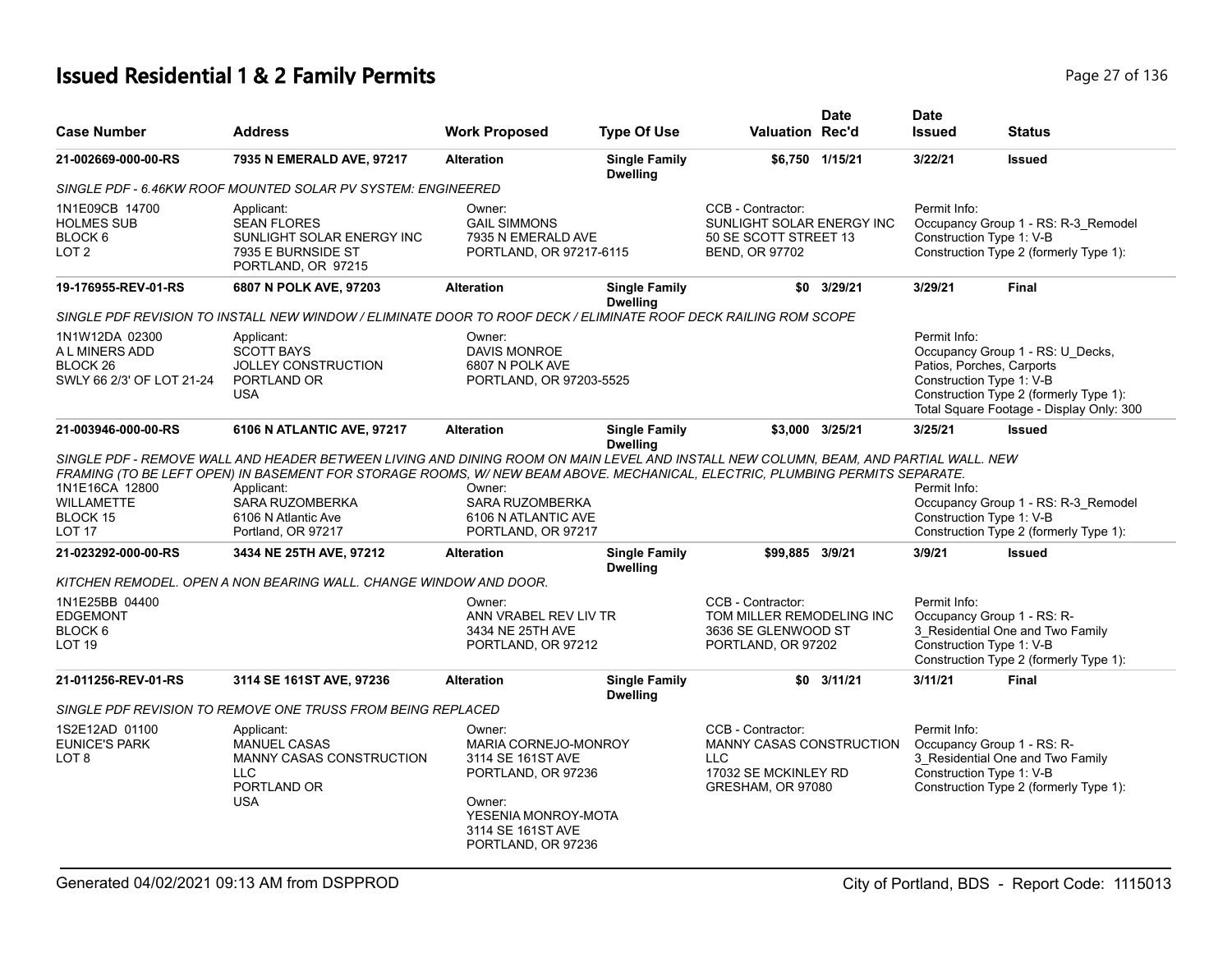## **Issued Residential 1 & 2 Family Permits Page 27 of 136 Page 27 of 136**

| <b>Case Number</b>                                                        | <b>Address</b>                                                                                                                                                                                            | <b>Work Proposed</b>                                                                                       | <b>Type Of Use</b>                      | Valuation Rec'd                                                                                                 | <b>Date</b>     | <b>Date</b><br><b>Issued</b>             | <b>Status</b>                                                                                                                                       |
|---------------------------------------------------------------------------|-----------------------------------------------------------------------------------------------------------------------------------------------------------------------------------------------------------|------------------------------------------------------------------------------------------------------------|-----------------------------------------|-----------------------------------------------------------------------------------------------------------------|-----------------|------------------------------------------|-----------------------------------------------------------------------------------------------------------------------------------------------------|
| 21-002669-000-00-RS                                                       | 7935 N EMERALD AVE, 97217                                                                                                                                                                                 | <b>Alteration</b>                                                                                          | <b>Single Family</b><br><b>Dwelling</b> |                                                                                                                 | \$6,750 1/15/21 | 3/22/21                                  | <b>Issued</b>                                                                                                                                       |
|                                                                           | SINGLE PDF - 6.46KW ROOF MOUNTED SOLAR PV SYSTEM: ENGINEERED                                                                                                                                              |                                                                                                            |                                         |                                                                                                                 |                 |                                          |                                                                                                                                                     |
| 1N1E09CB 14700<br><b>HOLMES SUB</b><br>BLOCK 6<br>LOT <sub>2</sub>        | Applicant:<br><b>SEAN FLORES</b><br>SUNLIGHT SOLAR ENERGY INC<br>7935 E BURNSIDE ST<br>PORTLAND, OR 97215                                                                                                 | Owner:<br><b>GAIL SIMMONS</b><br>7935 N EMERALD AVE<br>PORTLAND, OR 97217-6115                             |                                         | CCB - Contractor:<br>SUNLIGHT SOLAR ENERGY INC<br>50 SE SCOTT STREET 13<br>BEND, OR 97702                       |                 | Permit Info:<br>Construction Type 1: V-B | Occupancy Group 1 - RS: R-3 Remodel<br>Construction Type 2 (formerly Type 1):                                                                       |
| 19-176955-REV-01-RS                                                       | 6807 N POLK AVE, 97203                                                                                                                                                                                    | <b>Alteration</b>                                                                                          | <b>Single Family</b><br><b>Dwelling</b> |                                                                                                                 | $$0$ 3/29/21    | 3/29/21                                  | <b>Final</b>                                                                                                                                        |
|                                                                           | SINGLE PDF REVISION TO INSTALL NEW WINDOW / ELIMINATE DOOR TO ROOF DECK / ELIMINATE ROOF DECK RAILING ROM SCOPE                                                                                           |                                                                                                            |                                         |                                                                                                                 |                 |                                          |                                                                                                                                                     |
| 1N1W12DA 02300<br>A L MINERS ADD<br>BLOCK 26<br>SWLY 66 2/3' OF LOT 21-24 | Applicant:<br><b>SCOTT BAYS</b><br><b>JOLLEY CONSTRUCTION</b><br>PORTLAND OR<br><b>USA</b>                                                                                                                | Owner:<br><b>DAVIS MONROE</b><br>6807 N POLK AVE<br>PORTLAND, OR 97203-5525                                |                                         |                                                                                                                 |                 | Permit Info:<br>Construction Type 1: V-B | Occupancy Group 1 - RS: U_Decks,<br>Patios, Porches, Carports<br>Construction Type 2 (formerly Type 1):<br>Total Square Footage - Display Only: 300 |
| 21-003946-000-00-RS                                                       | 6106 N ATLANTIC AVE, 97217                                                                                                                                                                                | <b>Alteration</b>                                                                                          | <b>Single Family</b><br><b>Dwelling</b> |                                                                                                                 | \$3,000 3/25/21 | 3/25/21                                  | <b>Issued</b>                                                                                                                                       |
| 1N1E16CA 12800<br><b>WILLAMETTE</b><br>BLOCK 15<br><b>LOT 17</b>          | FRAMING (TO BE LEFT OPEN) IN BASEMENT FOR STORAGE ROOMS, W/NEW BEAM ABOVE. MECHANICAL, ELECTRIC, PLUMBING PERMITS SEPARATE.<br>Applicant:<br>SARA RUZOMBERKA<br>6106 N Atlantic Ave<br>Portland, OR 97217 | Owner:<br>SARA RUZOMBERKA<br>6106 N ATLANTIC AVE<br>PORTLAND, OR 97217                                     |                                         |                                                                                                                 |                 | Permit Info:<br>Construction Type 1: V-B | Occupancy Group 1 - RS: R-3_Remodel<br>Construction Type 2 (formerly Type 1):                                                                       |
| 21-023292-000-00-RS                                                       | 3434 NE 25TH AVE, 97212                                                                                                                                                                                   | <b>Alteration</b>                                                                                          | <b>Single Family</b><br><b>Dwelling</b> | \$99,885 3/9/21                                                                                                 |                 | 3/9/21                                   | <b>Issued</b>                                                                                                                                       |
|                                                                           | KITCHEN REMODEL. OPEN A NON BEARING WALL. CHANGE WINDOW AND DOOR.                                                                                                                                         |                                                                                                            |                                         |                                                                                                                 |                 |                                          |                                                                                                                                                     |
| 1N1E25BB 04400<br><b>EDGEMONT</b><br>BLOCK 6<br>LOT <sub>19</sub>         |                                                                                                                                                                                                           | Owner:<br>ANN VRABEL REV LIV TR<br>3434 NE 25TH AVE<br>PORTLAND, OR 97212                                  |                                         | CCB - Contractor:<br>TOM MILLER REMODELING INC<br>3636 SE GLENWOOD ST<br>PORTLAND, OR 97202                     |                 | Permit Info:<br>Construction Type 1: V-B | Occupancy Group 1 - RS: R-<br>3 Residential One and Two Family<br>Construction Type 2 (formerly Type 1):                                            |
| 21-011256-REV-01-RS                                                       | 3114 SE 161ST AVE, 97236                                                                                                                                                                                  | <b>Alteration</b>                                                                                          | <b>Single Family</b><br><b>Dwelling</b> |                                                                                                                 | $$0$ 3/11/21    | 3/11/21                                  | <b>Final</b>                                                                                                                                        |
|                                                                           | SINGLE PDF REVISION TO REMOVE ONE TRUSS FROM BEING REPLACED                                                                                                                                               |                                                                                                            |                                         |                                                                                                                 |                 |                                          |                                                                                                                                                     |
| 1S2E12AD 01100<br><b>EUNICE'S PARK</b><br>LOT <sub>8</sub>                | Applicant:<br><b>MANUEL CASAS</b><br>MANNY CASAS CONSTRUCTION<br><b>LLC</b><br>PORTLAND OR<br><b>USA</b>                                                                                                  | Owner:<br>MARIA CORNEJO-MONROY<br>3114 SE 161ST AVE<br>PORTLAND, OR 97236<br>Owner:<br>YESENIA MONROY-MOTA |                                         | CCB - Contractor:<br><b>MANNY CASAS CONSTRUCTION</b><br><b>LLC</b><br>17032 SE MCKINLEY RD<br>GRESHAM, OR 97080 |                 | Permit Info:<br>Construction Type 1: V-B | Occupancy Group 1 - RS: R-<br>3 Residential One and Two Family<br>Construction Type 2 (formerly Type 1):                                            |
|                                                                           |                                                                                                                                                                                                           | 3114 SE 161ST AVE<br>PORTLAND, OR 97236                                                                    |                                         |                                                                                                                 |                 |                                          |                                                                                                                                                     |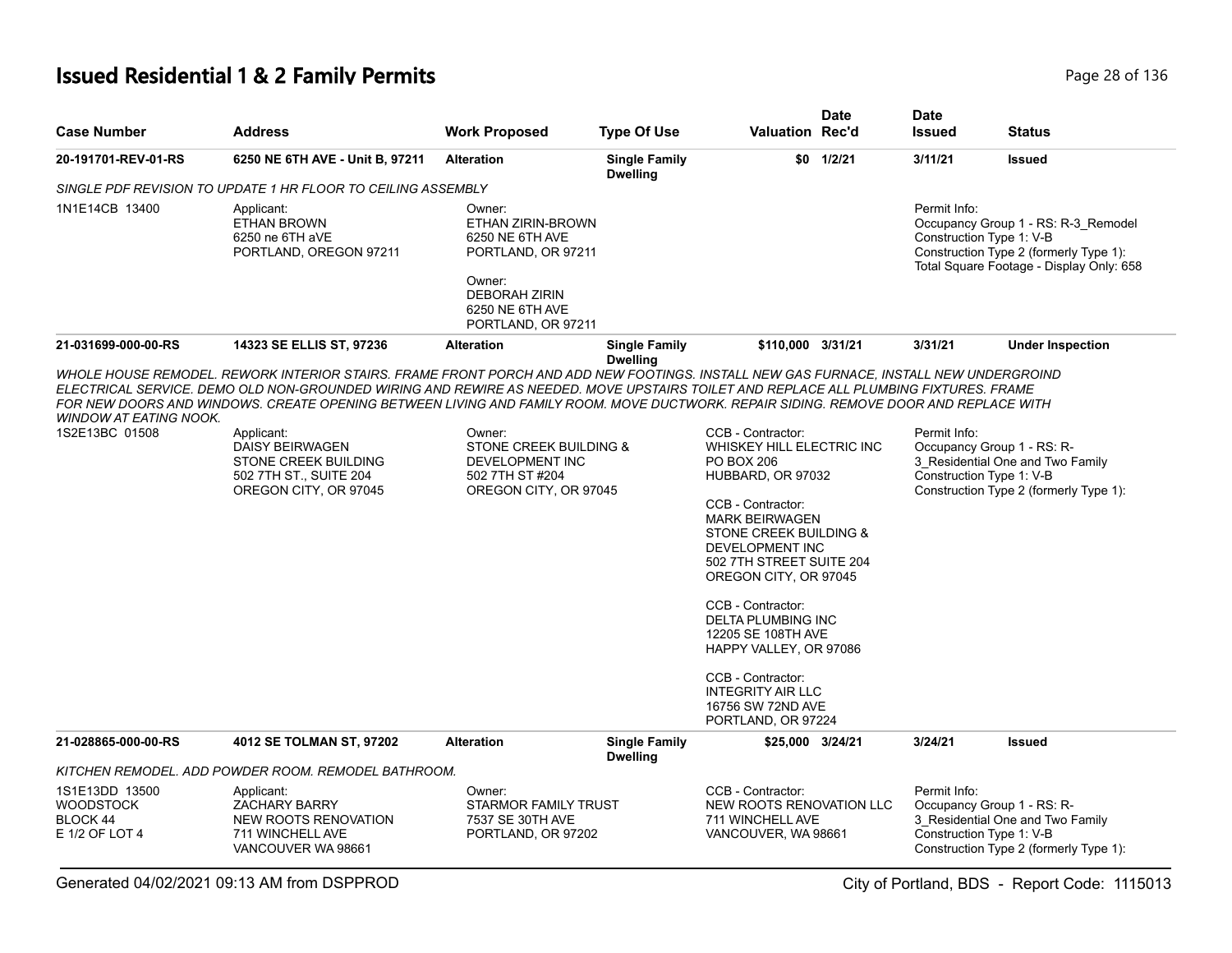## **Issued Residential 1 & 2 Family Permits Page 28 of 136** Page 28 of 136

| <b>Case Number</b>                                               | <b>Address</b>                                                                                                                                                                                                                                                                                                                                                                                                                                                                                                                           | <b>Work Proposed</b>                                                                                                                            | <b>Type Of Use</b>                      | <b>Valuation Rec'd</b>                                                                                                                                                                                                                                                                                                                                                                                                          | <b>Date</b> | <b>Date</b><br><b>Issued</b>             | <b>Status</b>                                                                                                             |
|------------------------------------------------------------------|------------------------------------------------------------------------------------------------------------------------------------------------------------------------------------------------------------------------------------------------------------------------------------------------------------------------------------------------------------------------------------------------------------------------------------------------------------------------------------------------------------------------------------------|-------------------------------------------------------------------------------------------------------------------------------------------------|-----------------------------------------|---------------------------------------------------------------------------------------------------------------------------------------------------------------------------------------------------------------------------------------------------------------------------------------------------------------------------------------------------------------------------------------------------------------------------------|-------------|------------------------------------------|---------------------------------------------------------------------------------------------------------------------------|
| 20-191701-REV-01-RS                                              | 6250 NE 6TH AVE - Unit B, 97211                                                                                                                                                                                                                                                                                                                                                                                                                                                                                                          | <b>Alteration</b>                                                                                                                               | <b>Single Family</b><br><b>Dwelling</b> |                                                                                                                                                                                                                                                                                                                                                                                                                                 | \$0 1/2/21  | 3/11/21                                  | <b>Issued</b>                                                                                                             |
|                                                                  | SINGLE PDF REVISION TO UPDATE 1 HR FLOOR TO CEILING ASSEMBLY                                                                                                                                                                                                                                                                                                                                                                                                                                                                             |                                                                                                                                                 |                                         |                                                                                                                                                                                                                                                                                                                                                                                                                                 |             |                                          |                                                                                                                           |
| 1N1E14CB 13400                                                   | Applicant:<br><b>ETHAN BROWN</b><br>6250 ne 6TH aVE<br>PORTLAND, OREGON 97211                                                                                                                                                                                                                                                                                                                                                                                                                                                            | Owner:<br>ETHAN ZIRIN-BROWN<br>6250 NE 6TH AVE<br>PORTLAND, OR 97211<br>Owner:<br><b>DEBORAH ZIRIN</b><br>6250 NE 6TH AVE<br>PORTLAND, OR 97211 |                                         |                                                                                                                                                                                                                                                                                                                                                                                                                                 |             | Permit Info:<br>Construction Type 1: V-B | Occupancy Group 1 - RS: R-3_Remodel<br>Construction Type 2 (formerly Type 1):<br>Total Square Footage - Display Only: 658 |
| 21-031699-000-00-RS                                              | 14323 SE ELLIS ST, 97236                                                                                                                                                                                                                                                                                                                                                                                                                                                                                                                 | <b>Alteration</b>                                                                                                                               | <b>Single Family</b><br><b>Dwelling</b> | \$110,000 3/31/21                                                                                                                                                                                                                                                                                                                                                                                                               |             | 3/31/21                                  | <b>Under Inspection</b>                                                                                                   |
| <b>WINDOW AT EATING NOOK.</b><br>1S2E13BC 01508                  | WHOLE HOUSE REMODEL. REWORK INTERIOR STAIRS. FRAME FRONT PORCH AND ADD NEW FOOTINGS. INSTALL NEW GAS FURNACE, INSTALL NEW UNDERGROIND<br>ELECTRICAL SERVICE. DEMO OLD NON-GROUNDED WIRING AND REWIRE AS NEEDED. MOVE UPSTAIRS TOILET AND REPLACE ALL PLUMBING FIXTURES. FRAME<br>FOR NEW DOORS AND WINDOWS. CREATE OPENING BETWEEN LIVING AND FAMILY ROOM. MOVE DUCTWORK. REPAIR SIDING. REMOVE DOOR AND REPLACE WITH<br>Applicant:<br><b>DAISY BEIRWAGEN</b><br>STONE CREEK BUILDING<br>502 7TH ST., SUITE 204<br>OREGON CITY, OR 97045 | Owner:<br>STONE CREEK BUILDING &<br>DEVELOPMENT INC<br>502 7TH ST #204<br>OREGON CITY, OR 97045                                                 |                                         | CCB - Contractor:<br>WHISKEY HILL ELECTRIC INC<br><b>PO BOX 206</b><br>HUBBARD, OR 97032<br>CCB - Contractor:<br><b>MARK BEIRWAGEN</b><br>STONE CREEK BUILDING &<br>DEVELOPMENT INC<br>502 7TH STREET SUITE 204<br>OREGON CITY, OR 97045<br>CCB - Contractor:<br>DELTA PLUMBING INC<br>12205 SE 108TH AVE<br>HAPPY VALLEY, OR 97086<br>CCB - Contractor:<br><b>INTEGRITY AIR LLC</b><br>16756 SW 72ND AVE<br>PORTLAND, OR 97224 |             | Permit Info:<br>Construction Type 1: V-B | Occupancy Group 1 - RS: R-<br>3 Residential One and Two Family<br>Construction Type 2 (formerly Type 1):                  |
| 21-028865-000-00-RS                                              | 4012 SE TOLMAN ST, 97202                                                                                                                                                                                                                                                                                                                                                                                                                                                                                                                 | <b>Alteration</b>                                                                                                                               | <b>Single Family</b><br><b>Dwelling</b> | \$25,000 3/24/21                                                                                                                                                                                                                                                                                                                                                                                                                |             | 3/24/21                                  | <b>Issued</b>                                                                                                             |
|                                                                  | KITCHEN REMODEL. ADD POWDER ROOM. REMODEL BATHROOM.                                                                                                                                                                                                                                                                                                                                                                                                                                                                                      |                                                                                                                                                 |                                         |                                                                                                                                                                                                                                                                                                                                                                                                                                 |             |                                          |                                                                                                                           |
| 1S1E13DD 13500<br><b>WOODSTOCK</b><br>BLOCK 44<br>E 1/2 OF LOT 4 | Applicant:<br><b>ZACHARY BARRY</b><br>NEW ROOTS RENOVATION<br>711 WINCHELL AVE<br>VANCOUVER WA 98661                                                                                                                                                                                                                                                                                                                                                                                                                                     | Owner:<br>STARMOR FAMILY TRUST<br>7537 SE 30TH AVE<br>PORTLAND, OR 97202                                                                        |                                         | CCB - Contractor:<br>NEW ROOTS RENOVATION LLC<br>711 WINCHELL AVE<br>VANCOUVER, WA 98661                                                                                                                                                                                                                                                                                                                                        |             | Permit Info:<br>Construction Type 1: V-B | Occupancy Group 1 - RS: R-<br>3 Residential One and Two Family<br>Construction Type 2 (formerly Type 1):                  |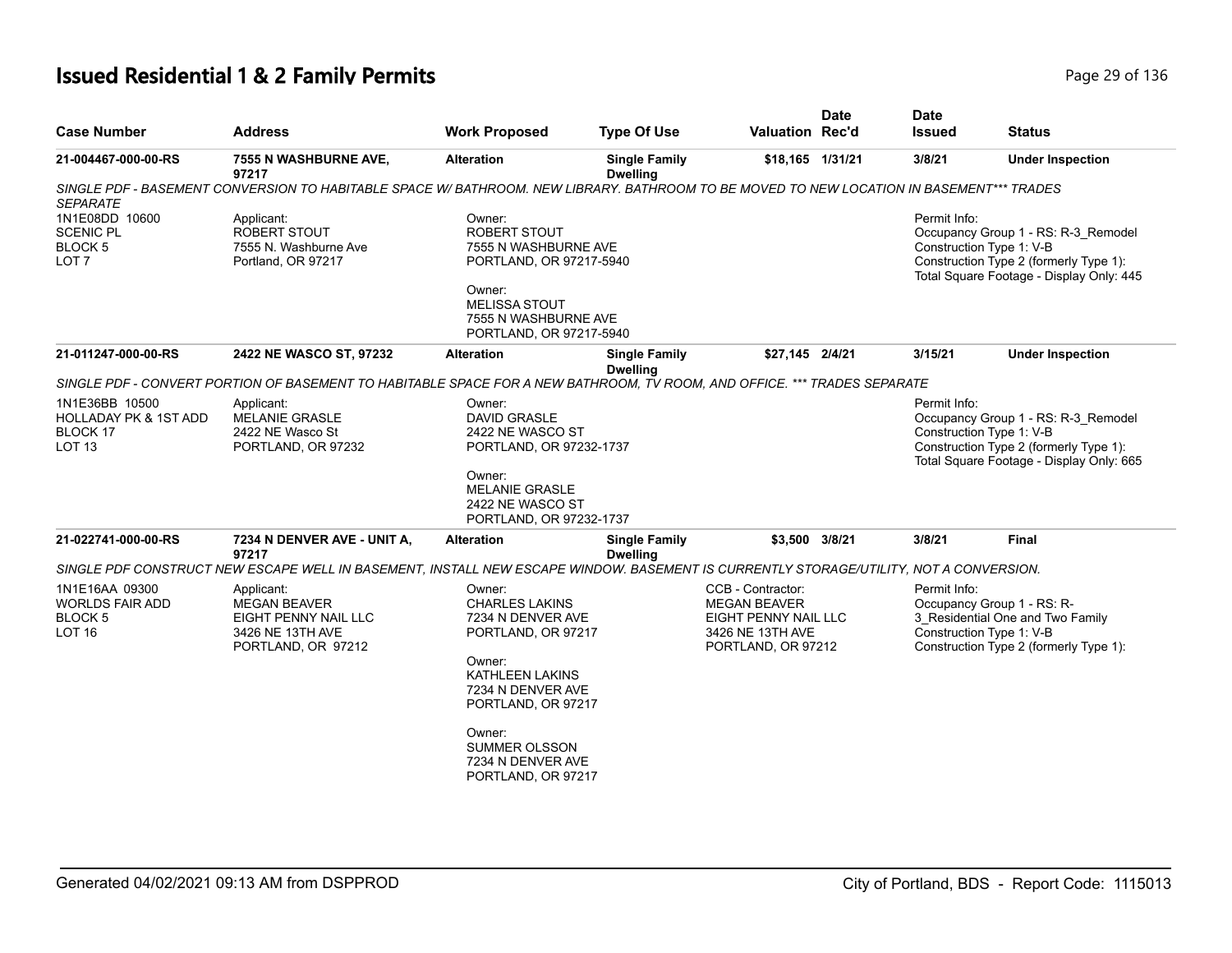## **Issued Residential 1 & 2 Family Permits Page 136** 29 of 136

| <b>Case Number</b>                                                                                                                                                                                                       | <b>Address</b>                                                                                                                           | <b>Work Proposed</b>                                                                                                                               | <b>Type Of Use</b>                      | <b>Valuation Rec'd</b>                                                                                     | <b>Date</b> | <b>Date</b><br><b>Issued</b> | <b>Status</b>                                                                                                                                         |
|--------------------------------------------------------------------------------------------------------------------------------------------------------------------------------------------------------------------------|------------------------------------------------------------------------------------------------------------------------------------------|----------------------------------------------------------------------------------------------------------------------------------------------------|-----------------------------------------|------------------------------------------------------------------------------------------------------------|-------------|------------------------------|-------------------------------------------------------------------------------------------------------------------------------------------------------|
| 21-004467-000-00-RS                                                                                                                                                                                                      | 7555 N WASHBURNE AVE,<br>97217                                                                                                           | <b>Alteration</b>                                                                                                                                  | <b>Single Family</b><br><b>Dwelling</b> | \$18,165 1/31/21                                                                                           |             | 3/8/21                       | <b>Under Inspection</b>                                                                                                                               |
| <b>SEPARATE</b>                                                                                                                                                                                                          | SINGLE PDF - BASEMENT CONVERSION TO HABITABLE SPACE W/ BATHROOM. NEW LIBRARY, BATHROOM TO BE MOVED TO NEW LOCATION IN BASEMENT*** TRADES |                                                                                                                                                    |                                         |                                                                                                            |             |                              |                                                                                                                                                       |
| 1N1E08DD 10600<br><b>SCENIC PL</b><br><b>BLOCK 5</b><br>LOT <sub>7</sub>                                                                                                                                                 | Applicant:<br><b>ROBERT STOUT</b><br>7555 N. Washburne Ave<br>Portland, OR 97217                                                         | Owner:<br><b>ROBERT STOUT</b><br>7555 N WASHBURNE AVE<br>PORTLAND, OR 97217-5940                                                                   |                                         |                                                                                                            |             | Permit Info:                 | Occupancy Group 1 - RS: R-3_Remodel<br>Construction Type 1: V-B<br>Construction Type 2 (formerly Type 1):<br>Total Square Footage - Display Only: 445 |
|                                                                                                                                                                                                                          |                                                                                                                                          | Owner:<br><b>MELISSA STOUT</b><br>7555 N WASHBURNE AVE<br>PORTLAND, OR 97217-5940                                                                  |                                         |                                                                                                            |             |                              |                                                                                                                                                       |
| 21-011247-000-00-RS                                                                                                                                                                                                      | 2422 NE WASCO ST, 97232                                                                                                                  | <b>Alteration</b>                                                                                                                                  | <b>Single Family</b><br><b>Dwelling</b> | \$27,145 2/4/21                                                                                            |             | 3/15/21                      | <b>Under Inspection</b>                                                                                                                               |
|                                                                                                                                                                                                                          | SINGLE PDF - CONVERT PORTION OF BASEMENT TO HABITABLE SPACE FOR A NEW BATHROOM, TV ROOM, AND OFFICE. *** TRADES SEPARATE                 |                                                                                                                                                    |                                         |                                                                                                            |             |                              |                                                                                                                                                       |
| 1N1E36BB 10500<br><b>HOLLADAY PK &amp; 1ST ADD</b><br>BLOCK 17<br>LOT <sub>13</sub>                                                                                                                                      | Applicant:<br>MELANIE GRASLE<br>2422 NE Wasco St<br>PORTLAND, OR 97232                                                                   | Owner:<br><b>DAVID GRASLE</b><br>2422 NE WASCO ST<br>PORTLAND, OR 97232-1737                                                                       |                                         |                                                                                                            |             | Permit Info:                 | Occupancy Group 1 - RS: R-3_Remodel<br>Construction Type 1: V-B<br>Construction Type 2 (formerly Type 1):<br>Total Square Footage - Display Only: 665 |
|                                                                                                                                                                                                                          |                                                                                                                                          | Owner:<br><b>MELANIE GRASLE</b><br>2422 NE WASCO ST<br>PORTLAND, OR 97232-1737                                                                     |                                         |                                                                                                            |             |                              |                                                                                                                                                       |
| 21-022741-000-00-RS                                                                                                                                                                                                      | 7234 N DENVER AVE - UNIT A,<br>97217                                                                                                     | <b>Alteration</b>                                                                                                                                  | <b>Single Family</b><br><b>Dwelling</b> | \$3,500 3/8/21                                                                                             |             | 3/8/21                       | Final                                                                                                                                                 |
| SINGLE PDF CONSTRUCT NEW ESCAPE WELL IN BASEMENT, INSTALL NEW ESCAPE WINDOW. BASEMENT IS CURRENTLY STORAGE/UTILITY, NOT A CONVERSION.<br>1N1E16AA 09300<br><b>WORLDS FAIR ADD</b><br><b>BLOCK 5</b><br>LOT <sub>16</sub> | Applicant:<br><b>MEGAN BEAVER</b><br>EIGHT PENNY NAIL LLC<br>3426 NE 13TH AVE<br>PORTLAND, OR 97212                                      | Owner:<br><b>CHARLES LAKINS</b><br>7234 N DENVER AVE<br>PORTLAND, OR 97217<br>Owner:<br>KATHLEEN LAKINS<br>7234 N DENVER AVE<br>PORTLAND, OR 97217 |                                         | CCB - Contractor:<br><b>MEGAN BEAVER</b><br>EIGHT PENNY NAIL LLC<br>3426 NE 13TH AVE<br>PORTLAND, OR 97212 |             | Permit Info:                 | Occupancy Group 1 - RS: R-<br>3 Residential One and Two Family<br>Construction Type 1: V-B<br>Construction Type 2 (formerly Type 1):                  |
|                                                                                                                                                                                                                          |                                                                                                                                          | Owner:<br>SUMMER OLSSON<br>7234 N DENVER AVE<br>PORTLAND, OR 97217                                                                                 |                                         |                                                                                                            |             |                              |                                                                                                                                                       |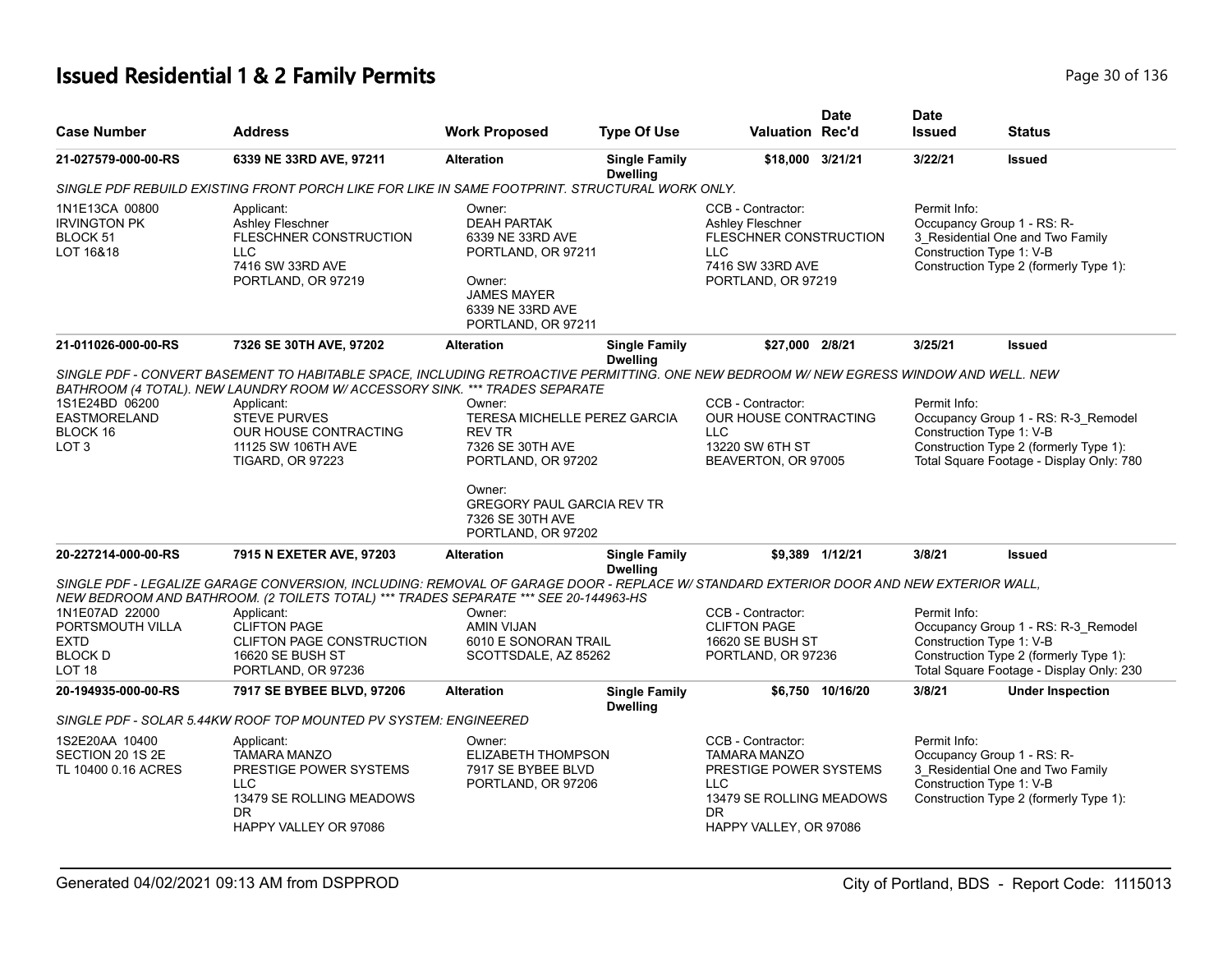# **Issued Residential 1 & 2 Family Permits Page 10 01 136** Page 30 of 136

| <b>Case Number</b>                                             | <b>Address</b>                                                                                                                                                                                                                | <b>Work Proposed</b>                                                                                                                             | <b>Type Of Use</b>                      | <b>Valuation Rec'd</b>                                                                                       | <b>Date</b>                                                                                                                                                                           | <b>Date</b><br><b>Issued</b>             | <b>Status</b>                                                                                            |
|----------------------------------------------------------------|-------------------------------------------------------------------------------------------------------------------------------------------------------------------------------------------------------------------------------|--------------------------------------------------------------------------------------------------------------------------------------------------|-----------------------------------------|--------------------------------------------------------------------------------------------------------------|---------------------------------------------------------------------------------------------------------------------------------------------------------------------------------------|------------------------------------------|----------------------------------------------------------------------------------------------------------|
| 21-027579-000-00-RS                                            | 6339 NE 33RD AVE, 97211                                                                                                                                                                                                       | <b>Alteration</b>                                                                                                                                | <b>Single Family</b><br><b>Dwelling</b> | \$18,000 3/21/21                                                                                             |                                                                                                                                                                                       | 3/22/21                                  | <b>Issued</b>                                                                                            |
|                                                                | SINGLE PDF REBUILD EXISTING FRONT PORCH LIKE FOR LIKE IN SAME FOOTPRINT. STRUCTURAL WORK ONLY.                                                                                                                                |                                                                                                                                                  |                                         |                                                                                                              |                                                                                                                                                                                       |                                          |                                                                                                          |
| 1N1E13CA 00800<br><b>IRVINGTON PK</b><br>BLOCK 51<br>LOT 16&18 | Applicant:<br><b>Ashley Fleschner</b><br><b>FLESCHNER CONSTRUCTION</b><br><b>LLC</b><br>7416 SW 33RD AVE<br>PORTLAND, OR 97219                                                                                                | Owner:<br><b>DEAH PARTAK</b><br>6339 NE 33RD AVE<br>PORTLAND, OR 97211<br>Owner:<br><b>JAMES MAYER</b><br>6339 NE 33RD AVE<br>PORTLAND, OR 97211 |                                         | CCB - Contractor:<br><b>Ashley Fleschner</b><br><b>LLC</b><br>7416 SW 33RD AVE<br>PORTLAND, OR 97219         | Permit Info:<br>Occupancy Group 1 - RS: R-<br>3_Residential One and Two Family<br><b>FLESCHNER CONSTRUCTION</b><br>Construction Type 1: V-B<br>Construction Type 2 (formerly Type 1): |                                          |                                                                                                          |
| 21-011026-000-00-RS                                            | 7326 SE 30TH AVE, 97202                                                                                                                                                                                                       | <b>Alteration</b>                                                                                                                                | <b>Single Family</b><br><b>Dwelling</b> | \$27,000 2/8/21                                                                                              |                                                                                                                                                                                       | 3/25/21                                  | <b>Issued</b>                                                                                            |
|                                                                | SINGLE PDF - CONVERT BASEMENT TO HABITABLE SPACE, INCLUDING RETROACTIVE PERMITTING. ONE NEW BEDROOM W/ NEW EGRESS WINDOW AND WELL. NEW<br>BATHROOM (4 TOTAL). NEW LAUNDRY ROOM W/ ACCESSORY SINK. *** TRADES SEPARATE         |                                                                                                                                                  |                                         |                                                                                                              |                                                                                                                                                                                       |                                          |                                                                                                          |
| 1S1E24BD 06200                                                 | Applicant:                                                                                                                                                                                                                    | Owner:                                                                                                                                           |                                         | CCB - Contractor:                                                                                            |                                                                                                                                                                                       | Permit Info:                             |                                                                                                          |
| <b>EASTMORELAND</b>                                            | <b>STEVE PURVES</b>                                                                                                                                                                                                           | TERESA MICHELLE PEREZ GARCIA                                                                                                                     |                                         | OUR HOUSE CONTRACTING                                                                                        |                                                                                                                                                                                       |                                          | Occupancy Group 1 - RS: R-3_Remodel                                                                      |
| BLOCK 16                                                       | OUR HOUSE CONTRACTING                                                                                                                                                                                                         | <b>REV TR</b>                                                                                                                                    |                                         | LLC.                                                                                                         |                                                                                                                                                                                       | Construction Type 1: V-B                 |                                                                                                          |
| LOT <sub>3</sub>                                               | 11125 SW 106TH AVE<br><b>TIGARD, OR 97223</b>                                                                                                                                                                                 | 7326 SE 30TH AVE<br>PORTLAND, OR 97202                                                                                                           |                                         | 13220 SW 6TH ST<br>BEAVERTON, OR 97005                                                                       |                                                                                                                                                                                       |                                          | Construction Type 2 (formerly Type 1):<br>Total Square Footage - Display Only: 780                       |
|                                                                |                                                                                                                                                                                                                               | Owner:<br><b>GREGORY PAUL GARCIA REV TR</b><br>7326 SE 30TH AVE<br>PORTLAND, OR 97202                                                            |                                         |                                                                                                              |                                                                                                                                                                                       |                                          |                                                                                                          |
| 20-227214-000-00-RS                                            | 7915 N EXETER AVE, 97203                                                                                                                                                                                                      | <b>Alteration</b>                                                                                                                                | <b>Single Family</b><br><b>Dwelling</b> |                                                                                                              | \$9,389 1/12/21                                                                                                                                                                       | 3/8/21                                   | <b>Issued</b>                                                                                            |
|                                                                | SINGLE PDF - LEGALIZE GARAGE CONVERSION, INCLUDING: REMOVAL OF GARAGE DOOR - REPLACE W/ STANDARD EXTERIOR DOOR AND NEW EXTERIOR WALL,<br>NEW BEDROOM AND BATHROOM. (2 TOILETS TOTAL) *** TRADES SEPARATE *** SEE 20-144963-HS |                                                                                                                                                  |                                         |                                                                                                              |                                                                                                                                                                                       |                                          |                                                                                                          |
| 1N1E07AD 22000                                                 | Applicant:                                                                                                                                                                                                                    | Owner:                                                                                                                                           |                                         | CCB - Contractor:                                                                                            |                                                                                                                                                                                       | Permit Info:                             |                                                                                                          |
| PORTSMOUTH VILLA                                               | <b>CLIFTON PAGE</b>                                                                                                                                                                                                           | AMIN VIJAN                                                                                                                                       |                                         | <b>CLIFTON PAGE</b>                                                                                          |                                                                                                                                                                                       |                                          | Occupancy Group 1 - RS: R-3_Remodel                                                                      |
| <b>EXTD</b>                                                    | <b>CLIFTON PAGE CONSTRUCTION</b>                                                                                                                                                                                              | 6010 E SONORAN TRAIL                                                                                                                             |                                         | 16620 SE BUSH ST                                                                                             |                                                                                                                                                                                       | Construction Type 1: V-B                 |                                                                                                          |
| <b>BLOCK D</b><br>LOT <sub>18</sub>                            | <b>16620 SE BUSH ST</b><br>PORTLAND, OR 97236                                                                                                                                                                                 | SCOTTSDALE, AZ 85262                                                                                                                             |                                         | PORTLAND, OR 97236                                                                                           |                                                                                                                                                                                       |                                          | Construction Type 2 (formerly Type 1):<br>Total Square Footage - Display Only: 230                       |
| 20-194935-000-00-RS                                            | 7917 SE BYBEE BLVD, 97206                                                                                                                                                                                                     | <b>Alteration</b>                                                                                                                                | <b>Single Family</b><br><b>Dwelling</b> |                                                                                                              | \$6,750 10/16/20                                                                                                                                                                      | 3/8/21                                   | <b>Under Inspection</b>                                                                                  |
|                                                                | SINGLE PDF - SOLAR 5.44KW ROOF TOP MOUNTED PV SYSTEM: ENGINEERED                                                                                                                                                              |                                                                                                                                                  |                                         |                                                                                                              |                                                                                                                                                                                       |                                          |                                                                                                          |
| 1S2E20AA 10400<br>SECTION 20 1S 2E<br>TL 10400 0.16 ACRES      | Applicant:<br><b>TAMARA MANZO</b><br>PRESTIGE POWER SYSTEMS<br><b>LLC</b><br>13479 SE ROLLING MEADOWS                                                                                                                         | Owner:<br>ELIZABETH THOMPSON<br>7917 SE BYBEE BLVD<br>PORTLAND, OR 97206                                                                         |                                         | CCB - Contractor:<br><b>TAMARA MANZO</b><br>PRESTIGE POWER SYSTEMS<br><b>LLC</b><br>13479 SE ROLLING MEADOWS |                                                                                                                                                                                       | Permit Info:<br>Construction Type 1: V-B | Occupancy Group 1 - RS: R-<br>3 Residential One and Two Family<br>Construction Type 2 (formerly Type 1): |
|                                                                | DR.<br>HAPPY VALLEY OR 97086                                                                                                                                                                                                  |                                                                                                                                                  |                                         | DR.<br>HAPPY VALLEY, OR 97086                                                                                |                                                                                                                                                                                       |                                          |                                                                                                          |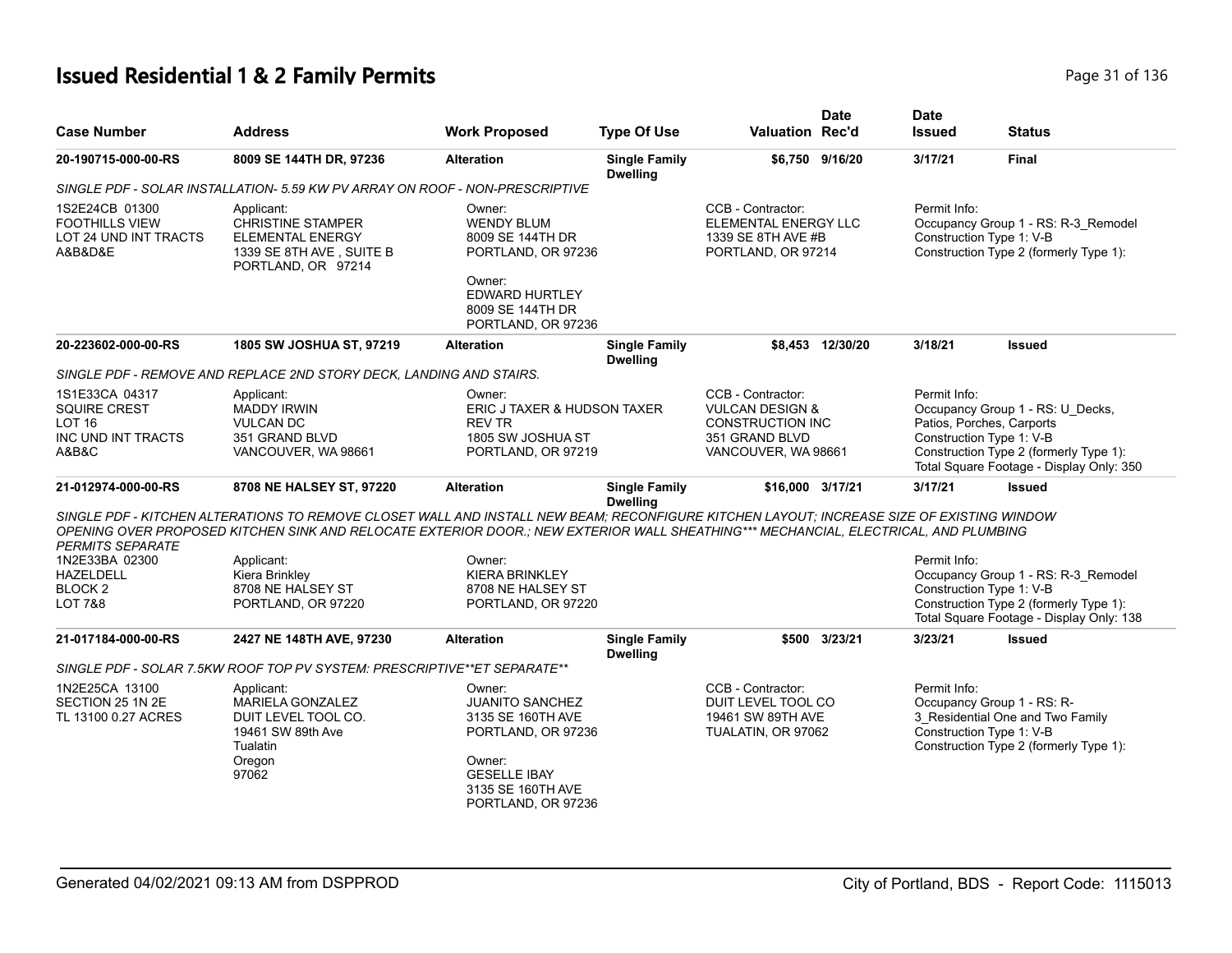## **Issued Residential 1 & 2 Family Permits Page 11 of 136 and 20 and 20 and 20 and 20 and 20 and 21 and 21 and 21 of 136 and 21 of 136 and 21 of 136 and 21 of 136 and 21 of 136 and 21 of 136 and 21 of 136 and 21 of 136 and**

|                                                                                    |                                                                                                                                                                                                                                                                                  |                                                                                                                                                         |                                         |                                                                                                              | <b>Date</b>      | <b>Date</b>   |                                                                                                                                                                                 |
|------------------------------------------------------------------------------------|----------------------------------------------------------------------------------------------------------------------------------------------------------------------------------------------------------------------------------------------------------------------------------|---------------------------------------------------------------------------------------------------------------------------------------------------------|-----------------------------------------|--------------------------------------------------------------------------------------------------------------|------------------|---------------|---------------------------------------------------------------------------------------------------------------------------------------------------------------------------------|
| <b>Case Number</b>                                                                 | <b>Address</b>                                                                                                                                                                                                                                                                   | <b>Work Proposed</b>                                                                                                                                    | <b>Type Of Use</b>                      | <b>Valuation Rec'd</b>                                                                                       |                  | <b>Issued</b> | <b>Status</b>                                                                                                                                                                   |
| 20-190715-000-00-RS                                                                | 8009 SE 144TH DR, 97236                                                                                                                                                                                                                                                          | <b>Alteration</b>                                                                                                                                       | <b>Single Family</b><br><b>Dwelling</b> |                                                                                                              | \$6,750 9/16/20  | 3/17/21       | Final                                                                                                                                                                           |
|                                                                                    | SINGLE PDF - SOLAR INSTALLATION- 5.59 KW PV ARRAY ON ROOF - NON-PRESCRIPTIVE                                                                                                                                                                                                     |                                                                                                                                                         |                                         |                                                                                                              |                  |               |                                                                                                                                                                                 |
| 1S2E24CB 01300<br><b>FOOTHILLS VIEW</b><br>LOT 24 UND INT TRACTS<br>A&B&D&E        | Applicant:<br><b>CHRISTINE STAMPER</b><br><b>ELEMENTAL ENERGY</b><br>1339 SE 8TH AVE, SUITE B<br>PORTLAND, OR 97214                                                                                                                                                              | Owner:<br><b>WENDY BLUM</b><br>8009 SE 144TH DR<br>PORTLAND, OR 97236<br>Owner:<br><b>EDWARD HURTLEY</b>                                                |                                         | CCB - Contractor:<br>ELEMENTAL ENERGY LLC<br>1339 SE 8TH AVE #B<br>PORTLAND, OR 97214                        |                  | Permit Info:  | Occupancy Group 1 - RS: R-3_Remodel<br>Construction Type 1: V-B<br>Construction Type 2 (formerly Type 1):                                                                       |
|                                                                                    |                                                                                                                                                                                                                                                                                  | 8009 SE 144TH DR<br>PORTLAND, OR 97236                                                                                                                  |                                         |                                                                                                              |                  |               |                                                                                                                                                                                 |
| 20-223602-000-00-RS                                                                | 1805 SW JOSHUA ST, 97219                                                                                                                                                                                                                                                         | <b>Alteration</b>                                                                                                                                       | <b>Single Family</b><br><b>Dwelling</b> |                                                                                                              | \$8,453 12/30/20 | 3/18/21       | <b>Issued</b>                                                                                                                                                                   |
|                                                                                    | SINGLE PDF - REMOVE AND REPLACE 2ND STORY DECK, LANDING AND STAIRS.                                                                                                                                                                                                              |                                                                                                                                                         |                                         |                                                                                                              |                  |               |                                                                                                                                                                                 |
| 1S1E33CA 04317<br>SQUIRE CREST<br>LOT <sub>16</sub><br>INC UND INT TRACTS<br>A&B&C | Applicant:<br><b>MADDY IRWIN</b><br><b>VULCAN DC</b><br>351 GRAND BLVD<br>VANCOUVER, WA 98661                                                                                                                                                                                    | Owner:<br>ERIC J TAXER & HUDSON TAXER<br><b>REV TR</b><br>1805 SW JOSHUA ST<br>PORTLAND, OR 97219                                                       |                                         | CCB - Contractor:<br><b>VULCAN DESIGN &amp;</b><br>CONSTRUCTION INC<br>351 GRAND BLVD<br>VANCOUVER, WA 98661 |                  | Permit Info:  | Occupancy Group 1 - RS: U_Decks,<br>Patios, Porches, Carports<br>Construction Type 1: V-B<br>Construction Type 2 (formerly Type 1):<br>Total Square Footage - Display Only: 350 |
| 21-012974-000-00-RS                                                                | 8708 NE HALSEY ST, 97220                                                                                                                                                                                                                                                         | <b>Alteration</b>                                                                                                                                       | <b>Single Family</b><br><b>Dwelling</b> | \$16,000 3/17/21                                                                                             |                  | 3/17/21       | <b>Issued</b>                                                                                                                                                                   |
| <b>PERMITS SEPARATE</b>                                                            | SINGLE PDF - KITCHEN ALTERATIONS TO REMOVE CLOSET WALL AND INSTALL NEW BEAM; RECONFIGURE KITCHEN LAYOUT; INCREASE SIZE OF EXISTING WINDOW<br>OPENING OVER PROPOSED KITCHEN SINK AND RELOCATE EXTERIOR DOOR.; NEW EXTERIOR WALL SHEATHING*** MECHANCIAL, ELECTRICAL, AND PLUMBING |                                                                                                                                                         |                                         |                                                                                                              |                  |               |                                                                                                                                                                                 |
| 1N2E33BA 02300<br><b>HAZELDELL</b><br><b>BLOCK2</b><br>LOT 7&8                     | Applicant:<br>Kiera Brinkley<br>8708 NE HALSEY ST<br>PORTLAND, OR 97220                                                                                                                                                                                                          | Owner:<br><b>KIERA BRINKLEY</b><br>8708 NE HALSEY ST<br>PORTLAND, OR 97220                                                                              |                                         |                                                                                                              |                  | Permit Info:  | Occupancy Group 1 - RS: R-3_Remodel<br>Construction Type 1: V-B<br>Construction Type 2 (formerly Type 1):<br>Total Square Footage - Display Only: 138                           |
| 21-017184-000-00-RS                                                                | 2427 NE 148TH AVE, 97230                                                                                                                                                                                                                                                         | <b>Alteration</b>                                                                                                                                       | <b>Single Family</b><br><b>Dwelling</b> |                                                                                                              | \$500 3/23/21    | 3/23/21       | <b>Issued</b>                                                                                                                                                                   |
|                                                                                    | SINGLE PDF - SOLAR 7.5KW ROOF TOP PV SYSTEM: PRESCRIPTIVE**ET SEPARATE**                                                                                                                                                                                                         |                                                                                                                                                         |                                         |                                                                                                              |                  |               |                                                                                                                                                                                 |
| 1N2E25CA 13100<br>SECTION 25 1N 2E<br>TL 13100 0.27 ACRES                          | Applicant:<br>MARIELA GONZALEZ<br>DUIT LEVEL TOOL CO.<br>19461 SW 89th Ave<br>Tualatin<br>Oregon<br>97062                                                                                                                                                                        | Owner:<br><b>JUANITO SANCHEZ</b><br>3135 SE 160TH AVE<br>PORTLAND, OR 97236<br>Owner:<br><b>GESELLE IBAY</b><br>3135 SE 160TH AVE<br>PORTLAND, OR 97236 |                                         | CCB - Contractor:<br>DUIT LEVEL TOOL CO<br>19461 SW 89TH AVE<br>TUALATIN, OR 97062                           |                  | Permit Info:  | Occupancy Group 1 - RS: R-<br>3 Residential One and Two Family<br>Construction Type 1: V-B<br>Construction Type 2 (formerly Type 1):                                            |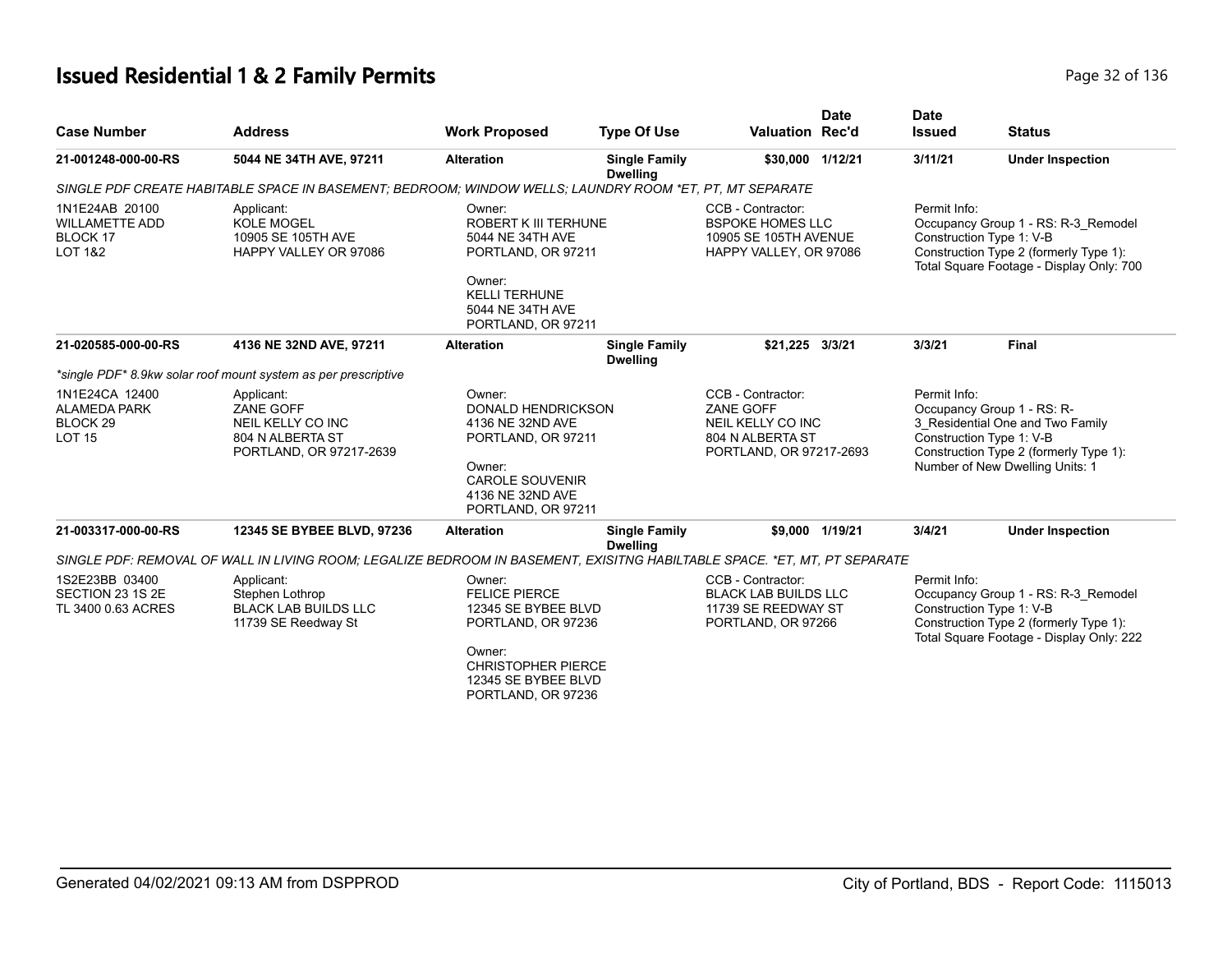# **Issued Residential 1 & 2 Family Permits Page 12 of 136** Page 32 of 136

| <b>Case Number</b>                                                            | <b>Address</b>                                                                                                            | <b>Work Proposed</b>                                                                                                                                            | <b>Type Of Use</b>                      | <b>Valuation Rec'd</b>                                                                                    | <b>Date</b>     | <b>Date</b><br><b>Issued</b> | <b>Status</b>                                                                                                                                                           |
|-------------------------------------------------------------------------------|---------------------------------------------------------------------------------------------------------------------------|-----------------------------------------------------------------------------------------------------------------------------------------------------------------|-----------------------------------------|-----------------------------------------------------------------------------------------------------------|-----------------|------------------------------|-------------------------------------------------------------------------------------------------------------------------------------------------------------------------|
| 21-001248-000-00-RS                                                           | 5044 NE 34TH AVE, 97211                                                                                                   | <b>Alteration</b>                                                                                                                                               | <b>Single Family</b><br><b>Dwelling</b> | \$30,000 1/12/21                                                                                          |                 | 3/11/21                      | <b>Under Inspection</b>                                                                                                                                                 |
|                                                                               | SINGLE PDF CREATE HABITABLE SPACE IN BASEMENT; BEDROOM; WINDOW WELLS; LAUNDRY ROOM *ET, PT, MT SEPARATE                   |                                                                                                                                                                 |                                         |                                                                                                           |                 |                              |                                                                                                                                                                         |
| 1N1E24AB 20100<br><b>WILLAMETTE ADD</b><br>BLOCK 17<br><b>LOT 1&amp;2</b>     | Applicant:<br><b>KOLE MOGEL</b><br>10905 SE 105TH AVE<br>HAPPY VALLEY OR 97086                                            | Owner:<br><b>ROBERT K III TERHUNE</b><br>5044 NE 34TH AVE<br>PORTLAND, OR 97211<br>Owner:<br><b>KELLI TERHUNE</b><br>5044 NE 34TH AVE<br>PORTLAND, OR 97211     |                                         | CCB - Contractor:<br><b>BSPOKE HOMES LLC</b><br>10905 SE 105TH AVENUE<br>HAPPY VALLEY, OR 97086           |                 | Permit Info:                 | Occupancy Group 1 - RS: R-3 Remodel<br>Construction Type 1: V-B<br>Construction Type 2 (formerly Type 1):<br>Total Square Footage - Display Only: 700                   |
| 21-020585-000-00-RS                                                           | 4136 NE 32ND AVE, 97211                                                                                                   | <b>Alteration</b>                                                                                                                                               | <b>Single Family</b><br><b>Dwelling</b> | \$21,225 3/3/21                                                                                           |                 | 3/3/21                       | <b>Final</b>                                                                                                                                                            |
|                                                                               | *single PDF* 8.9kw solar roof mount system as per prescriptive                                                            |                                                                                                                                                                 |                                         |                                                                                                           |                 |                              |                                                                                                                                                                         |
| 1N1E24CA 12400<br><b>ALAMEDA PARK</b><br>BLOCK <sub>29</sub><br><b>LOT 15</b> | Applicant:<br>ZANE GOFF<br>NEIL KELLY CO INC<br>804 N ALBERTA ST<br>PORTLAND, OR 97217-2639                               | Owner:<br><b>DONALD HENDRICKSON</b><br>4136 NE 32ND AVE<br>PORTLAND, OR 97211<br>Owner:<br><b>CAROLE SOUVENIR</b><br>4136 NE 32ND AVE<br>PORTLAND, OR 97211     |                                         | CCB - Contractor:<br><b>ZANE GOFF</b><br>NEIL KELLY CO INC<br>804 N ALBERTA ST<br>PORTLAND, OR 97217-2693 |                 | Permit Info:                 | Occupancy Group 1 - RS: R-<br>3_Residential One and Two Family<br>Construction Type 1: V-B<br>Construction Type 2 (formerly Type 1):<br>Number of New Dwelling Units: 1 |
| 21-003317-000-00-RS                                                           | 12345 SE BYBEE BLVD, 97236                                                                                                | <b>Alteration</b>                                                                                                                                               | <b>Single Family</b><br><b>Dwelling</b> |                                                                                                           | \$9,000 1/19/21 | 3/4/21                       | <b>Under Inspection</b>                                                                                                                                                 |
|                                                                               | SINGLE PDF: REMOVAL OF WALL IN LIVING ROOM: LEGALIZE BEDROOM IN BASEMENT, EXISITNG HABILTABLE SPACE. *ET, MT, PT SEPARATE |                                                                                                                                                                 |                                         |                                                                                                           |                 |                              |                                                                                                                                                                         |
| 1S2E23BB 03400<br>SECTION 23 1S 2E<br>TL 3400 0.63 ACRES                      | Applicant:<br>Stephen Lothrop<br><b>BLACK LAB BUILDS LLC</b><br>11739 SE Reedway St                                       | Owner:<br><b>FELICE PIERCE</b><br>12345 SE BYBEE BLVD<br>PORTLAND, OR 97236<br>Owner:<br><b>CHRISTOPHER PIERCE</b><br>12345 SE BYBEE BLVD<br>PORTLAND, OR 97236 |                                         | CCB - Contractor:<br><b>BLACK LAB BUILDS LLC</b><br>11739 SE REEDWAY ST<br>PORTLAND, OR 97266             |                 | Permit Info:                 | Occupancy Group 1 - RS: R-3 Remodel<br>Construction Type 1: V-B<br>Construction Type 2 (formerly Type 1):<br>Total Square Footage - Display Only: 222                   |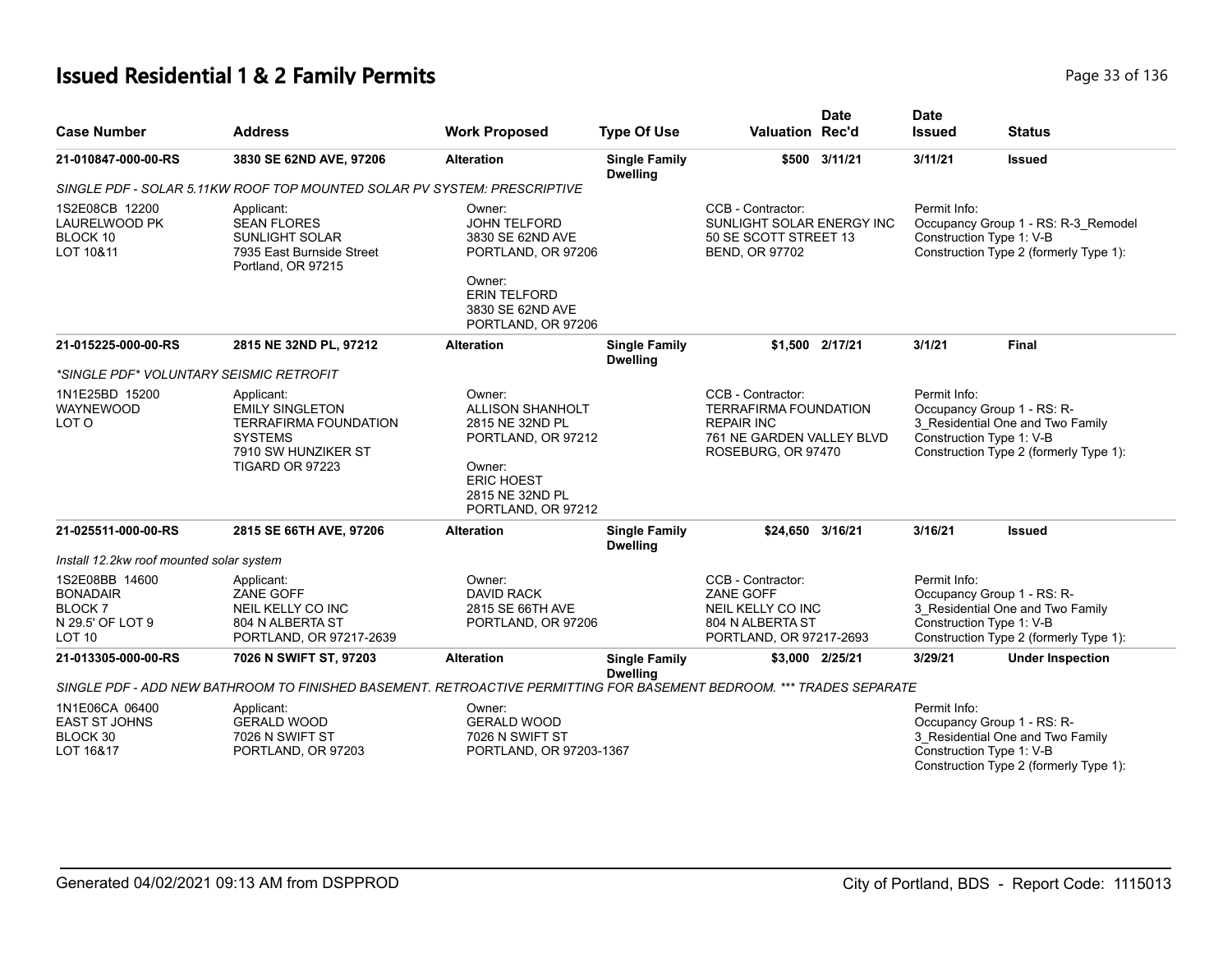# **Issued Residential 1 & 2 Family Permits Page 130 and 2012 136 and 2013 136 and 2013 136 and 2013 136 and 2013 136**

| <b>Case Number</b>                                                                      | <b>Address</b>                                                                                                                   | <b>Work Proposed</b>                                                                                                                               | <b>Type Of Use</b>                      | <b>Valuation Rec'd</b>                                                                                                    | <b>Date</b>     | <b>Date</b><br><b>Issued</b>             | <b>Status</b>                                                                                            |
|-----------------------------------------------------------------------------------------|----------------------------------------------------------------------------------------------------------------------------------|----------------------------------------------------------------------------------------------------------------------------------------------------|-----------------------------------------|---------------------------------------------------------------------------------------------------------------------------|-----------------|------------------------------------------|----------------------------------------------------------------------------------------------------------|
| 21-010847-000-00-RS                                                                     | 3830 SE 62ND AVE, 97206                                                                                                          | <b>Alteration</b>                                                                                                                                  | <b>Single Family</b><br><b>Dwelling</b> |                                                                                                                           | \$500 3/11/21   | 3/11/21                                  | <b>Issued</b>                                                                                            |
|                                                                                         | SINGLE PDF - SOLAR 5.11KW ROOF TOP MOUNTED SOLAR PV SYSTEM: PRESCRIPTIVE                                                         |                                                                                                                                                    |                                         |                                                                                                                           |                 |                                          |                                                                                                          |
| 1S2E08CB 12200<br>LAURELWOOD PK<br>BLOCK 10<br>LOT 10&11                                | Applicant:<br><b>SEAN FLORES</b><br><b>SUNLIGHT SOLAR</b><br>7935 East Burnside Street<br>Portland, OR 97215                     | Owner:<br><b>JOHN TELFORD</b><br>3830 SE 62ND AVE<br>PORTLAND, OR 97206<br>Owner:<br><b>ERIN TELFORD</b><br>3830 SE 62ND AVE<br>PORTLAND, OR 97206 |                                         | CCB - Contractor:<br>SUNLIGHT SOLAR ENERGY INC<br>50 SE SCOTT STREET 13<br><b>BEND, OR 97702</b>                          |                 | Permit Info:<br>Construction Type 1: V-B | Occupancy Group 1 - RS: R-3_Remodel<br>Construction Type 2 (formerly Type 1):                            |
| 21-015225-000-00-RS                                                                     | 2815 NE 32ND PL, 97212                                                                                                           | <b>Alteration</b>                                                                                                                                  | <b>Single Family</b><br><b>Dwelling</b> |                                                                                                                           | \$1.500 2/17/21 | 3/1/21                                   | Final                                                                                                    |
| *SINGLE PDF* VOLUNTARY SEISMIC RETROFIT                                                 |                                                                                                                                  |                                                                                                                                                    |                                         |                                                                                                                           |                 |                                          |                                                                                                          |
| 1N1E25BD 15200<br>WAYNEWOOD<br>LOT O                                                    | Applicant:<br><b>EMILY SINGLETON</b><br><b>TERRAFIRMA FOUNDATION</b><br><b>SYSTEMS</b><br>7910 SW HUNZIKER ST<br>TIGARD OR 97223 | Owner:<br><b>ALLISON SHANHOLT</b><br>2815 NE 32ND PL<br>PORTLAND, OR 97212<br>Owner:<br><b>ERIC HOEST</b><br>2815 NE 32ND PL<br>PORTLAND, OR 97212 |                                         | CCB - Contractor:<br><b>TERRAFIRMA FOUNDATION</b><br><b>REPAIR INC</b><br>761 NE GARDEN VALLEY BLVD<br>ROSEBURG, OR 97470 |                 | Permit Info:<br>Construction Type 1: V-B | Occupancy Group 1 - RS: R-<br>3 Residential One and Two Family<br>Construction Type 2 (formerly Type 1): |
| 21-025511-000-00-RS                                                                     | 2815 SE 66TH AVE, 97206                                                                                                          | <b>Alteration</b>                                                                                                                                  | <b>Single Family</b><br><b>Dwelling</b> | \$24,650 3/16/21                                                                                                          |                 | 3/16/21                                  | <b>Issued</b>                                                                                            |
| Install 12.2kw roof mounted solar system                                                |                                                                                                                                  |                                                                                                                                                    |                                         |                                                                                                                           |                 |                                          |                                                                                                          |
| 1S2E08BB 14600<br><b>BONADAIR</b><br><b>BLOCK7</b><br>N 29.5' OF LOT 9<br><b>LOT 10</b> | Applicant:<br><b>ZANE GOFF</b><br>NEIL KELLY CO INC<br>804 N ALBERTA ST<br>PORTLAND, OR 97217-2639                               | Owner:<br><b>DAVID RACK</b><br>2815 SE 66TH AVE<br>PORTLAND, OR 97206                                                                              |                                         | CCB - Contractor:<br>ZANE GOFF<br>NEIL KELLY CO INC<br>804 N ALBERTA ST<br>PORTLAND, OR 97217-2693                        |                 | Permit Info:<br>Construction Type 1: V-B | Occupancy Group 1 - RS: R-<br>3_Residential One and Two Family<br>Construction Type 2 (formerly Type 1): |
| 21-013305-000-00-RS                                                                     | 7026 N SWIFT ST, 97203                                                                                                           | <b>Alteration</b>                                                                                                                                  | <b>Single Family</b><br><b>Dwelling</b> |                                                                                                                           | \$3,000 2/25/21 | 3/29/21                                  | <b>Under Inspection</b>                                                                                  |
|                                                                                         | SINGLE PDF - ADD NEW BATHROOM TO FINISHED BASEMENT. RETROACTIVE PERMITTING FOR BASEMENT BEDROOM. *** TRADES SEPARATE             |                                                                                                                                                    |                                         |                                                                                                                           |                 |                                          |                                                                                                          |
| 1N1E06CA 06400<br><b>EAST ST JOHNS</b><br>BLOCK 30<br>LOT 16&17                         | Applicant:<br><b>GERALD WOOD</b><br>7026 N SWIFT ST<br>PORTLAND, OR 97203                                                        | Owner:<br><b>GERALD WOOD</b><br>7026 N SWIFT ST<br>PORTLAND, OR 97203-1367                                                                         |                                         |                                                                                                                           |                 | Permit Info:<br>Construction Type 1: V-B | Occupancy Group 1 - RS: R-<br>3 Residential One and Two Family<br>Construction Type 2 (formerly Type 1): |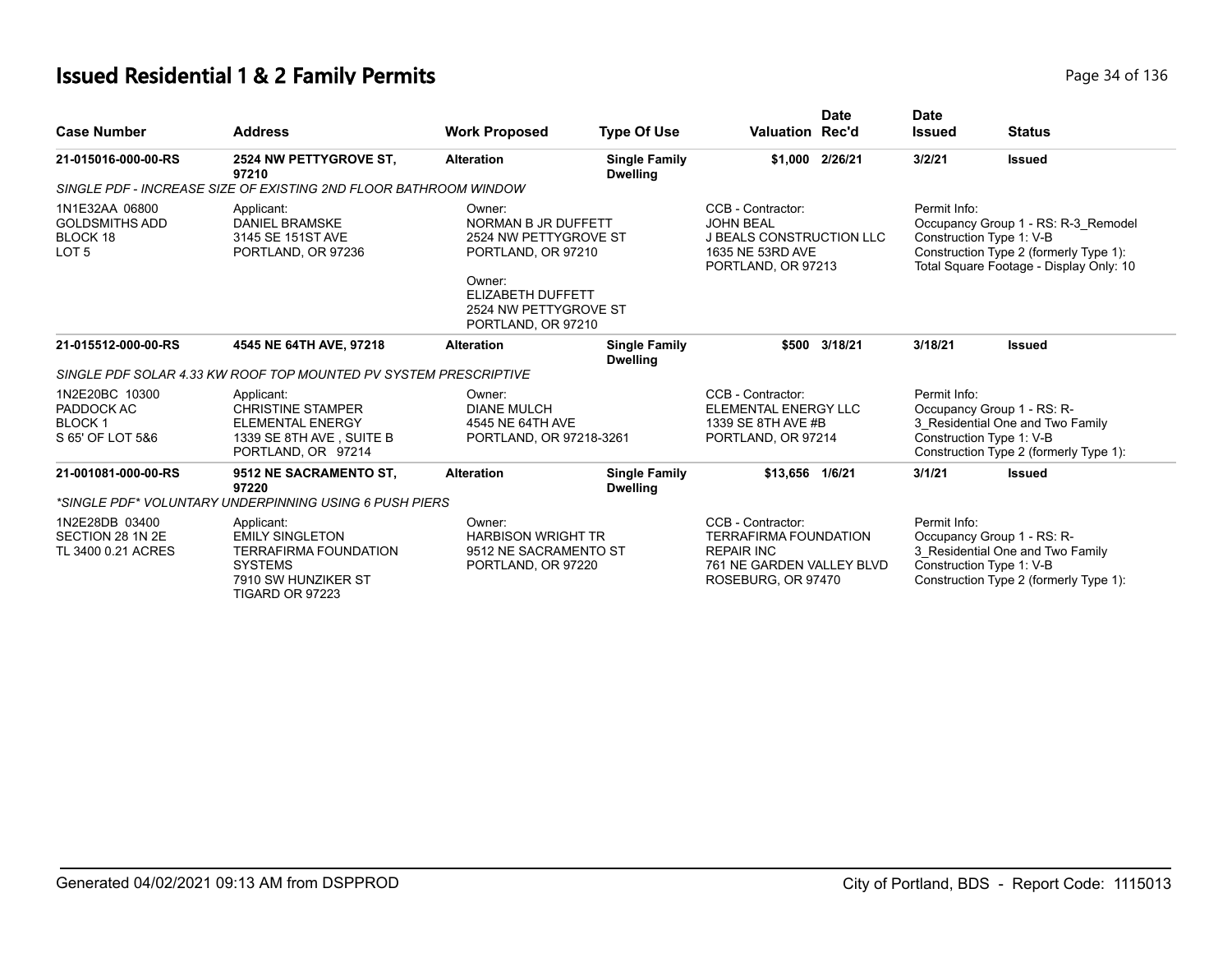# **Issued Residential 1 & 2 Family Permits Page 14 of 136** Page 34 of 136

| <b>Case Number</b>                                                      | <b>Address</b>                                                                                                                   | <b>Work Proposed</b>                                                                                                                                       | <b>Type Of Use</b>                      | <b>Date</b><br><b>Valuation Rec'd</b>                                                                                     | <b>Date</b><br><b>Issued</b> | <b>Status</b>                                                                                                                                        |
|-------------------------------------------------------------------------|----------------------------------------------------------------------------------------------------------------------------------|------------------------------------------------------------------------------------------------------------------------------------------------------------|-----------------------------------------|---------------------------------------------------------------------------------------------------------------------------|------------------------------|------------------------------------------------------------------------------------------------------------------------------------------------------|
| 21-015016-000-00-RS                                                     | 2524 NW PETTYGROVE ST.<br>97210                                                                                                  | <b>Alteration</b>                                                                                                                                          | <b>Single Family</b><br><b>Dwelling</b> | \$1.000 2/26/21                                                                                                           | 3/2/21                       | <b>Issued</b>                                                                                                                                        |
|                                                                         | SINGLE PDF - INCREASE SIZE OF EXISTING 2ND FLOOR BATHROOM WINDOW                                                                 |                                                                                                                                                            |                                         |                                                                                                                           |                              |                                                                                                                                                      |
| 1N1E32AA 06800<br><b>GOLDSMITHS ADD</b><br>BLOCK 18<br>LOT <sub>5</sub> | Applicant:<br><b>DANIEL BRAMSKE</b><br>3145 SE 151ST AVE<br>PORTLAND, OR 97236                                                   | Owner:<br>NORMAN B JR DUFFETT<br>2524 NW PETTYGROVE ST<br>PORTLAND, OR 97210<br>Owner:<br>ELIZABETH DUFFETT<br>2524 NW PETTYGROVE ST<br>PORTLAND, OR 97210 |                                         | CCB - Contractor:<br><b>JOHN BEAL</b><br><b>J BEALS CONSTRUCTION LLC</b><br>1635 NE 53RD AVE<br>PORTLAND, OR 97213        | Permit Info:                 | Occupancy Group 1 - RS: R-3 Remodel<br>Construction Type 1: V-B<br>Construction Type 2 (formerly Type 1):<br>Total Square Footage - Display Only: 10 |
| 21-015512-000-00-RS                                                     | 4545 NE 64TH AVE, 97218                                                                                                          | <b>Alteration</b>                                                                                                                                          | <b>Single Family</b><br><b>Dwelling</b> | 3/18/21<br>\$500                                                                                                          | 3/18/21                      | <b>Issued</b>                                                                                                                                        |
|                                                                         | SINGLE PDF SOLAR 4.33 KW ROOF TOP MOUNTED PV SYSTEM PRESCRIPTIVE                                                                 |                                                                                                                                                            |                                         |                                                                                                                           |                              |                                                                                                                                                      |
| 1N2E20BC 10300<br>PADDOCK AC<br><b>BLOCK1</b><br>S 65' OF LOT 5&6       | Applicant:<br><b>CHRISTINE STAMPER</b><br><b>ELEMENTAL ENERGY</b><br>1339 SE 8TH AVE, SUITE B<br>PORTLAND, OR 97214              | Owner:<br><b>DIANE MULCH</b><br>4545 NE 64TH AVE<br>PORTLAND, OR 97218-3261                                                                                |                                         | CCB - Contractor:<br>ELEMENTAL ENERGY LLC<br>1339 SE 8TH AVE #B<br>PORTLAND, OR 97214                                     | Permit Info:                 | Occupancy Group 1 - RS: R-<br>3 Residential One and Two Family<br>Construction Type 1: V-B<br>Construction Type 2 (formerly Type 1):                 |
| 21-001081-000-00-RS                                                     | 9512 NE SACRAMENTO ST,<br>97220                                                                                                  | <b>Alteration</b>                                                                                                                                          | <b>Single Family</b><br><b>Dwelling</b> | \$13.656 1/6/21                                                                                                           | 3/1/21                       | <b>Issued</b>                                                                                                                                        |
|                                                                         | *SINGLE PDF* VOLUNTARY UNDERPINNING USING 6 PUSH PIERS                                                                           |                                                                                                                                                            |                                         |                                                                                                                           |                              |                                                                                                                                                      |
| 1N2E28DB 03400<br>SECTION 28 1N 2E<br>TL 3400 0.21 ACRES                | Applicant:<br><b>EMILY SINGLETON</b><br><b>TERRAFIRMA FOUNDATION</b><br><b>SYSTEMS</b><br>7910 SW HUNZIKER ST<br>TIGARD OR 97223 | Owner:<br><b>HARBISON WRIGHT TR</b><br>9512 NE SACRAMENTO ST<br>PORTLAND, OR 97220                                                                         |                                         | CCB - Contractor:<br><b>TERRAFIRMA FOUNDATION</b><br><b>REPAIR INC</b><br>761 NE GARDEN VALLEY BLVD<br>ROSEBURG, OR 97470 | Permit Info:                 | Occupancy Group 1 - RS: R-<br>3 Residential One and Two Family<br>Construction Type 1: V-B<br>Construction Type 2 (formerly Type 1):                 |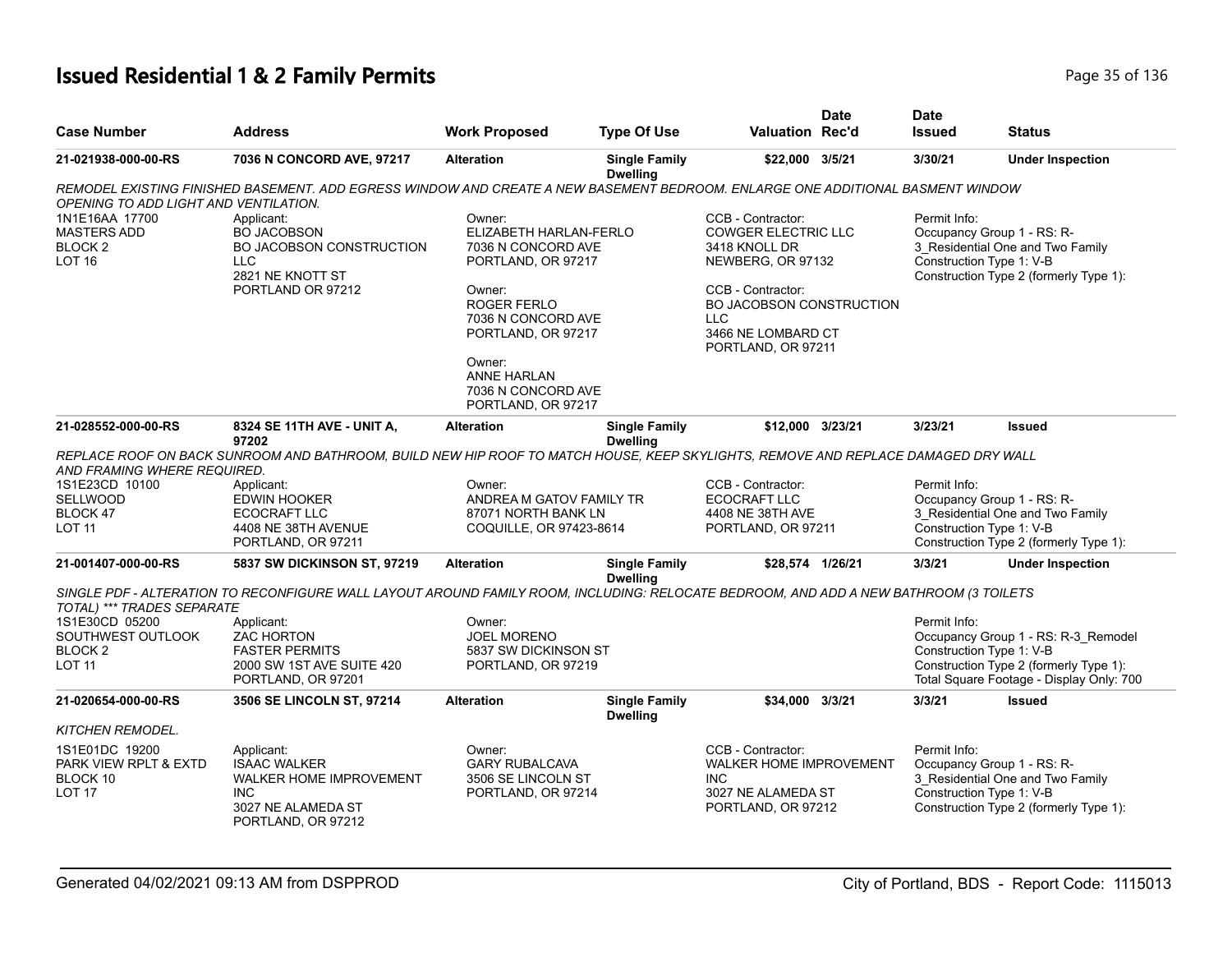## **Issued Residential 1 & 2 Family Permits Page 15 of 136** Page 35 of 136

| <b>Case Number</b>                                                          | <b>Address</b>                                                                                                                        | <b>Work Proposed</b>                                                                                                                                                              | <b>Type Of Use</b>                      | <b>Valuation Rec'd</b>                                                                                                                                                                           | <b>Date</b> | <b>Date</b><br><b>Issued</b> | <b>Status</b>                                                                                                                                         |
|-----------------------------------------------------------------------------|---------------------------------------------------------------------------------------------------------------------------------------|-----------------------------------------------------------------------------------------------------------------------------------------------------------------------------------|-----------------------------------------|--------------------------------------------------------------------------------------------------------------------------------------------------------------------------------------------------|-------------|------------------------------|-------------------------------------------------------------------------------------------------------------------------------------------------------|
| 21-021938-000-00-RS                                                         | 7036 N CONCORD AVE, 97217                                                                                                             | <b>Alteration</b>                                                                                                                                                                 | <b>Single Family</b><br><b>Dwelling</b> | \$22,000 3/5/21                                                                                                                                                                                  |             | 3/30/21                      | <b>Under Inspection</b>                                                                                                                               |
|                                                                             | REMODEL EXISTING FINISHED BASEMENT. ADD EGRESS WINDOW AND CREATE A NEW BASEMENT BEDROOM. ENLARGE ONE ADDITIONAL BASMENT WINDOW        |                                                                                                                                                                                   |                                         |                                                                                                                                                                                                  |             |                              |                                                                                                                                                       |
| OPENING TO ADD LIGHT AND VENTILATION.                                       |                                                                                                                                       |                                                                                                                                                                                   |                                         |                                                                                                                                                                                                  |             |                              |                                                                                                                                                       |
| 1N1E16AA 17700<br><b>MASTERS ADD</b><br>BLOCK <sub>2</sub><br><b>LOT 16</b> | Applicant:<br><b>BO JACOBSON</b><br>BO JACOBSON CONSTRUCTION<br><b>LLC</b><br>2821 NE KNOTT ST<br>PORTLAND OR 97212                   | Owner:<br>ELIZABETH HARLAN-FERLO<br>7036 N CONCORD AVE<br>PORTLAND, OR 97217<br>Owner:<br>ROGER FERLO<br>7036 N CONCORD AVE<br>PORTLAND, OR 97217<br>Owner:<br><b>ANNE HARLAN</b> |                                         | CCB - Contractor:<br><b>COWGER ELECTRIC LLC</b><br>3418 KNOLL DR<br>NEWBERG, OR 97132<br>CCB - Contractor:<br>BO JACOBSON CONSTRUCTION<br><b>LLC</b><br>3466 NE LOMBARD CT<br>PORTLAND, OR 97211 |             | Permit Info:                 | Occupancy Group 1 - RS: R-<br>3_Residential One and Two Family<br>Construction Type 1: V-B<br>Construction Type 2 (formerly Type 1):                  |
|                                                                             |                                                                                                                                       | 7036 N CONCORD AVE<br>PORTLAND, OR 97217                                                                                                                                          |                                         |                                                                                                                                                                                                  |             |                              |                                                                                                                                                       |
| 21-028552-000-00-RS                                                         | 8324 SE 11TH AVE - UNIT A,<br>97202                                                                                                   | <b>Alteration</b>                                                                                                                                                                 | <b>Single Family</b><br><b>Dwelling</b> | \$12,000 3/23/21                                                                                                                                                                                 |             | 3/23/21                      | <b>Issued</b>                                                                                                                                         |
| AND FRAMING WHERE REQUIRED.                                                 | REPLACE ROOF ON BACK SUNROOM AND BATHROOM, BUILD NEW HIP ROOF TO MATCH HOUSE, KEEP SKYLIGHTS, REMOVE AND REPLACE DAMAGED DRY WALL     |                                                                                                                                                                                   |                                         |                                                                                                                                                                                                  |             |                              |                                                                                                                                                       |
| 1S1E23CD 10100<br><b>SELLWOOD</b><br>BLOCK 47<br>LOT 11                     | Applicant:<br>EDWIN HOOKER<br>ECOCRAFT LLC<br>4408 NE 38TH AVENUE<br>PORTLAND, OR 97211                                               | Owner:<br>ANDREA M GATOV FAMILY TR<br>87071 NORTH BANK LN<br>COQUILLE, OR 97423-8614                                                                                              |                                         | CCB - Contractor:<br>ECOCRAFT LLC<br>4408 NE 38TH AVE<br>PORTLAND, OR 97211                                                                                                                      |             | Permit Info:                 | Occupancy Group 1 - RS: R-<br>3 Residential One and Two Family<br>Construction Type 1: V-B<br>Construction Type 2 (formerly Type 1):                  |
| 21-001407-000-00-RS                                                         | 5837 SW DICKINSON ST, 97219                                                                                                           | <b>Alteration</b>                                                                                                                                                                 | <b>Single Family</b><br><b>Dwelling</b> | \$28,574 1/26/21                                                                                                                                                                                 |             | 3/3/21                       | <b>Under Inspection</b>                                                                                                                               |
| TOTAL) *** TRADES SEPARATE                                                  | SINGLE PDF - ALTERATION TO RECONFIGURE WALL LAYOUT AROUND FAMILY ROOM, INCLUDING: RELOCATE BEDROOM, AND ADD A NEW BATHROOM (3 TOILETS |                                                                                                                                                                                   |                                         |                                                                                                                                                                                                  |             |                              |                                                                                                                                                       |
| 1S1E30CD 05200<br>SOUTHWEST OUTLOOK<br>BLOCK <sub>2</sub><br><b>LOT 11</b>  | Applicant:<br>ZAC HORTON<br><b>FASTER PERMITS</b><br>2000 SW 1ST AVE SUITE 420<br>PORTLAND, OR 97201                                  | Owner:<br><b>JOEL MORENO</b><br>5837 SW DICKINSON ST<br>PORTLAND, OR 97219                                                                                                        |                                         |                                                                                                                                                                                                  |             | Permit Info:                 | Occupancy Group 1 - RS: R-3_Remodel<br>Construction Type 1: V-B<br>Construction Type 2 (formerly Type 1):<br>Total Square Footage - Display Only: 700 |
| 21-020654-000-00-RS                                                         | <b>3506 SE LINCOLN ST, 97214</b>                                                                                                      | <b>Alteration</b>                                                                                                                                                                 | <b>Single Family</b><br><b>Dwelling</b> | \$34,000 3/3/21                                                                                                                                                                                  |             | 3/3/21                       | <b>Issued</b>                                                                                                                                         |
| <b>KITCHEN REMODEL.</b>                                                     |                                                                                                                                       |                                                                                                                                                                                   |                                         |                                                                                                                                                                                                  |             |                              |                                                                                                                                                       |
| 1S1E01DC 19200<br>PARK VIEW RPLT & EXTD<br>BLOCK 10<br><b>LOT 17</b>        | Applicant:<br><b>ISAAC WALKER</b><br><b>WALKER HOME IMPROVEMENT</b><br><b>INC</b><br>3027 NE ALAMEDA ST<br>PORTLAND, OR 97212         | Owner:<br><b>GARY RUBALCAVA</b><br>3506 SE LINCOLN ST<br>PORTLAND, OR 97214                                                                                                       |                                         | CCB - Contractor:<br><b>WALKER HOME IMPROVEMENT</b><br>INC.<br>3027 NE ALAMEDA ST<br>PORTLAND, OR 97212                                                                                          |             | Permit Info:                 | Occupancy Group 1 - RS: R-<br>3_Residential One and Two Family<br>Construction Type 1: V-B<br>Construction Type 2 (formerly Type 1):                  |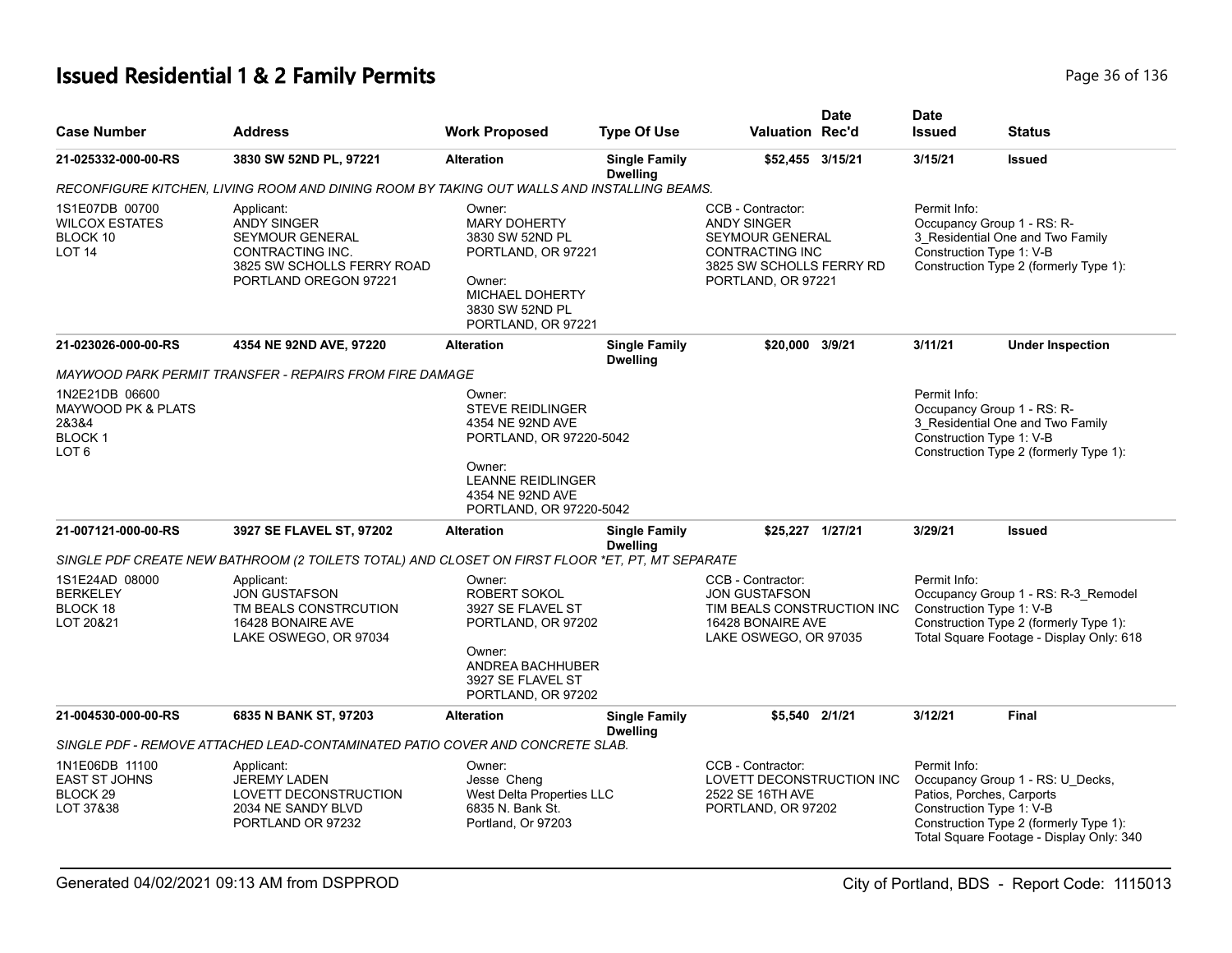# **Issued Residential 1 & 2 Family Permits Page 10 and 20 and 20 and 20 and 20 and 20 and 20 and 20 and 20 and 20 and 20 and 20 and 20 and 20 and 20 and 20 and 20 and 20 and 20 and 20 and 20 and 20 and 20 and 20 and 20 and**

| <b>Case Number</b>                                                                 | <b>Address</b>                                                                                                                        | <b>Work Proposed</b>                                                                                                                         | <b>Type Of Use</b>                      | <b>Valuation Rec'd</b>                                                                                                                        | <b>Date</b> | <b>Date</b><br><b>Issued</b>                                          | <b>Status</b>                                                                                                             |
|------------------------------------------------------------------------------------|---------------------------------------------------------------------------------------------------------------------------------------|----------------------------------------------------------------------------------------------------------------------------------------------|-----------------------------------------|-----------------------------------------------------------------------------------------------------------------------------------------------|-------------|-----------------------------------------------------------------------|---------------------------------------------------------------------------------------------------------------------------|
| 21-025332-000-00-RS                                                                | 3830 SW 52ND PL, 97221                                                                                                                | <b>Alteration</b>                                                                                                                            | <b>Single Family</b><br><b>Dwelling</b> | \$52,455 3/15/21                                                                                                                              |             | 3/15/21                                                               | <b>Issued</b>                                                                                                             |
|                                                                                    | RECONFIGURE KITCHEN, LIVING ROOM AND DINING ROOM BY TAKING OUT WALLS AND INSTALLING BEAMS.                                            |                                                                                                                                              |                                         |                                                                                                                                               |             |                                                                       |                                                                                                                           |
| 1S1E07DB 00700<br><b>WILCOX ESTATES</b><br>BLOCK 10<br><b>LOT 14</b>               | Applicant:<br><b>ANDY SINGER</b><br><b>SEYMOUR GENERAL</b><br>CONTRACTING INC.<br>3825 SW SCHOLLS FERRY ROAD<br>PORTLAND OREGON 97221 | Owner:<br><b>MARY DOHERTY</b><br>3830 SW 52ND PL<br>PORTLAND, OR 97221<br>Owner:<br>MICHAEL DOHERTY<br>3830 SW 52ND PL<br>PORTLAND, OR 97221 |                                         | CCB - Contractor:<br><b>ANDY SINGER</b><br><b>SEYMOUR GENERAL</b><br><b>CONTRACTING INC</b><br>3825 SW SCHOLLS FERRY RD<br>PORTLAND, OR 97221 |             | Permit Info:<br>Construction Type 1: V-B                              | Occupancy Group 1 - RS: R-<br>3_Residential One and Two Family<br>Construction Type 2 (formerly Type 1):                  |
| 21-023026-000-00-RS                                                                | 4354 NE 92ND AVE, 97220                                                                                                               | <b>Alteration</b>                                                                                                                            | <b>Single Family</b><br><b>Dwelling</b> | \$20,000 3/9/21                                                                                                                               |             | 3/11/21                                                               | <b>Under Inspection</b>                                                                                                   |
|                                                                                    | MAYWOOD PARK PERMIT TRANSFER - REPAIRS FROM FIRE DAMAGE                                                                               |                                                                                                                                              |                                         |                                                                                                                                               |             |                                                                       |                                                                                                                           |
| 1N2E21DB 06600<br>MAYWOOD PK & PLATS<br>28384<br><b>BLOCK1</b><br>LOT <sub>6</sub> |                                                                                                                                       | Owner:<br><b>STEVE REIDLINGER</b><br>4354 NE 92ND AVE<br>PORTLAND, OR 97220-5042<br>Owner:<br><b>LEANNE REIDLINGER</b><br>4354 NE 92ND AVE   |                                         |                                                                                                                                               |             | Permit Info:<br>Construction Type 1: V-B                              | Occupancy Group 1 - RS: R-<br>3 Residential One and Two Family<br>Construction Type 2 (formerly Type 1):                  |
| 21-007121-000-00-RS                                                                | 3927 SE FLAVEL ST, 97202                                                                                                              | PORTLAND, OR 97220-5042<br><b>Alteration</b>                                                                                                 | <b>Single Family</b>                    | \$25,227 1/27/21                                                                                                                              |             | 3/29/21                                                               | <b>Issued</b>                                                                                                             |
|                                                                                    | SINGLE PDF CREATE NEW BATHROOM (2 TOILETS TOTAL) AND CLOSET ON FIRST FLOOR *ET, PT, MT SEPARATE                                       |                                                                                                                                              | <b>Dwelling</b>                         |                                                                                                                                               |             |                                                                       |                                                                                                                           |
| 1S1E24AD 08000<br><b>BERKELEY</b><br>BLOCK 18<br>LOT 20&21                         | Applicant:<br><b>JON GUSTAFSON</b><br>TM BEALS CONSTRCUTION<br>16428 BONAIRE AVE<br>LAKE OSWEGO, OR 97034                             | Owner:<br>ROBERT SOKOL<br>3927 SE FLAVEL ST<br>PORTLAND, OR 97202<br>Owner:<br>ANDREA BACHHUBER<br>3927 SE FLAVEL ST<br>PORTLAND, OR 97202   |                                         | CCB - Contractor:<br><b>JON GUSTAFSON</b><br>TIM BEALS CONSTRUCTION INC<br>16428 BONAIRE AVE<br>LAKE OSWEGO, OR 97035                         |             | Permit Info:<br>Construction Type 1: V-B                              | Occupancy Group 1 - RS: R-3_Remodel<br>Construction Type 2 (formerly Type 1):<br>Total Square Footage - Display Only: 618 |
| 21-004530-000-00-RS                                                                | 6835 N BANK ST, 97203                                                                                                                 | <b>Alteration</b>                                                                                                                            | <b>Single Family</b><br><b>Dwelling</b> | \$5,540 2/1/21                                                                                                                                |             | 3/12/21                                                               | <b>Final</b>                                                                                                              |
|                                                                                    | SINGLE PDF - REMOVE ATTACHED LEAD-CONTAMINATED PATIO COVER AND CONCRETE SLAB.                                                         |                                                                                                                                              |                                         |                                                                                                                                               |             |                                                                       |                                                                                                                           |
| 1N1E06DB 11100<br><b>EAST ST JOHNS</b><br>BLOCK <sub>29</sub><br>LOT 37&38         | Applicant:<br><b>JEREMY LADEN</b><br>LOVETT DECONSTRUCTION<br>2034 NE SANDY BLVD<br>PORTLAND OR 97232                                 | Owner:<br>Jesse Cheng<br>West Delta Properties LLC<br>6835 N. Bank St.<br>Portland, Or 97203                                                 |                                         | CCB - Contractor:<br>LOVETT DECONSTRUCTION INC<br>2522 SE 16TH AVE<br>PORTLAND, OR 97202                                                      |             | Permit Info:<br>Patios, Porches, Carports<br>Construction Type 1: V-B | Occupancy Group 1 - RS: U_Decks,<br>Construction Type 2 (formerly Type 1):<br>Total Square Footage - Display Only: 340    |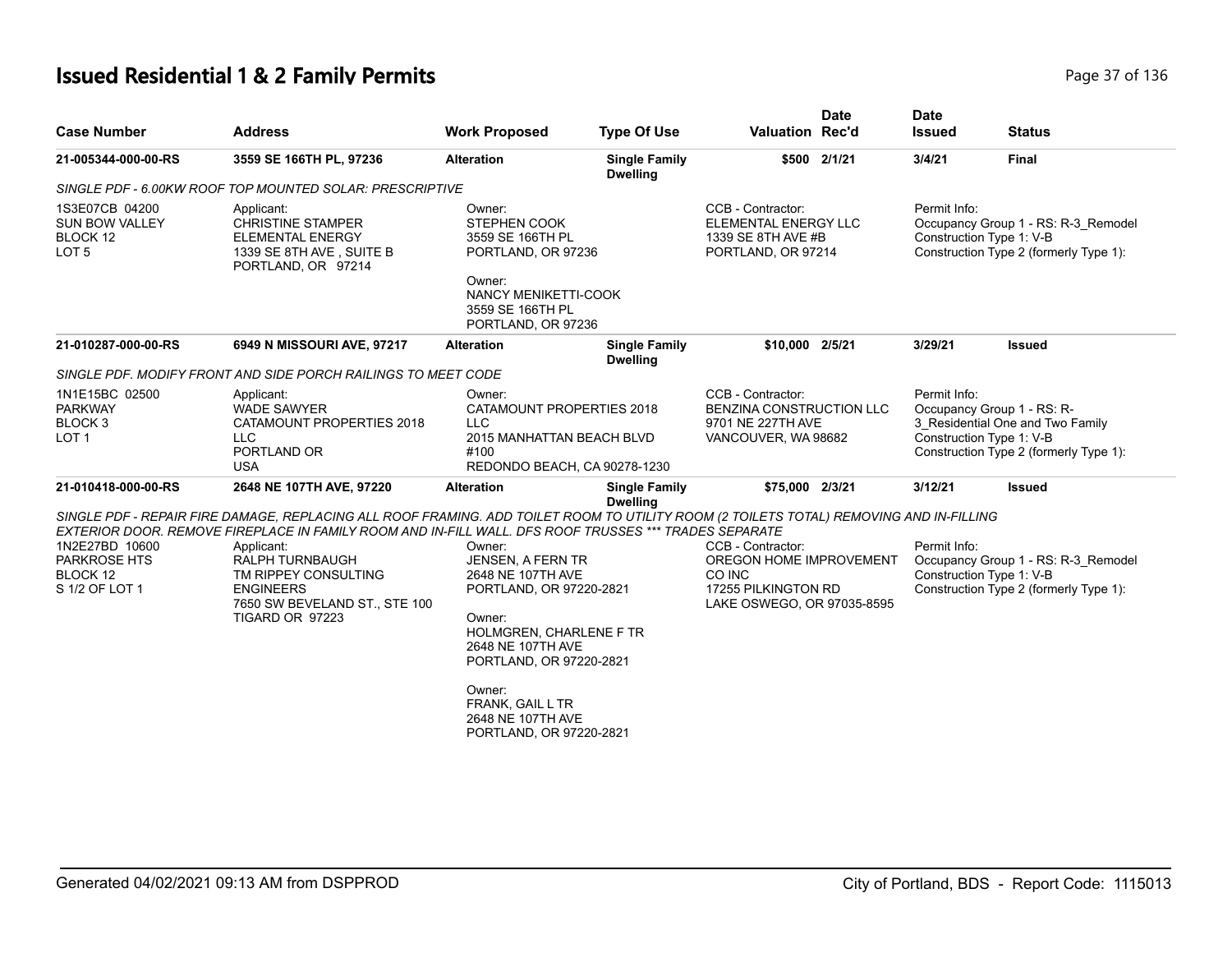# **Issued Residential 1 & 2 Family Permits Page 17 of 136** Page 37 of 136

| <b>Case Number</b>                                                         | <b>Address</b>                                                                                                                                                                                                                                  | <b>Work Proposed</b>                                                                                                                                             | <b>Type Of Use</b>                      | <b>Valuation Rec'd</b>                                                                                      | <b>Date</b>  | <b>Date</b><br><b>Issued</b> | <b>Status</b>                                                                                                                        |
|----------------------------------------------------------------------------|-------------------------------------------------------------------------------------------------------------------------------------------------------------------------------------------------------------------------------------------------|------------------------------------------------------------------------------------------------------------------------------------------------------------------|-----------------------------------------|-------------------------------------------------------------------------------------------------------------|--------------|------------------------------|--------------------------------------------------------------------------------------------------------------------------------------|
| 21-005344-000-00-RS                                                        | 3559 SE 166TH PL, 97236                                                                                                                                                                                                                         | <b>Alteration</b>                                                                                                                                                | <b>Single Family</b><br><b>Dwelling</b> |                                                                                                             | \$500 2/1/21 | 3/4/21                       | <b>Final</b>                                                                                                                         |
|                                                                            | SINGLE PDF - 6.00KW ROOF TOP MOUNTED SOLAR: PRESCRIPTIVE                                                                                                                                                                                        |                                                                                                                                                                  |                                         |                                                                                                             |              |                              |                                                                                                                                      |
| 1S3E07CB 04200<br><b>SUN BOW VALLEY</b><br>BLOCK 12<br>LOT <sub>5</sub>    | Applicant:<br><b>CHRISTINE STAMPER</b><br><b>ELEMENTAL ENERGY</b><br>1339 SE 8TH AVE, SUITE B<br>PORTLAND, OR 97214                                                                                                                             | Owner:<br>STEPHEN COOK<br>3559 SE 166TH PL<br>PORTLAND, OR 97236<br>Owner:                                                                                       |                                         | CCB - Contractor:<br>ELEMENTAL ENERGY LLC<br>1339 SE 8TH AVE #B<br>PORTLAND, OR 97214                       |              | Permit Info:                 | Occupancy Group 1 - RS: R-3_Remodel<br>Construction Type 1: V-B<br>Construction Type 2 (formerly Type 1):                            |
|                                                                            |                                                                                                                                                                                                                                                 | NANCY MENIKETTI-COOK<br>3559 SE 166TH PL<br>PORTLAND, OR 97236                                                                                                   |                                         |                                                                                                             |              |                              |                                                                                                                                      |
| 21-010287-000-00-RS                                                        | 6949 N MISSOURI AVE, 97217                                                                                                                                                                                                                      | <b>Alteration</b>                                                                                                                                                | <b>Single Family</b><br><b>Dwelling</b> | \$10,000 2/5/21                                                                                             |              | 3/29/21                      | <b>Issued</b>                                                                                                                        |
|                                                                            | SINGLE PDF. MODIFY FRONT AND SIDE PORCH RAILINGS TO MEET CODE                                                                                                                                                                                   |                                                                                                                                                                  |                                         |                                                                                                             |              |                              |                                                                                                                                      |
| 1N1E15BC 02500<br><b>PARKWAY</b><br>BLOCK <sub>3</sub><br>LOT <sub>1</sub> | Applicant:<br><b>WADE SAWYER</b><br>CATAMOUNT PROPERTIES 2018<br>LLC.<br>PORTLAND OR<br><b>USA</b>                                                                                                                                              | Owner:<br>CATAMOUNT PROPERTIES 2018<br><b>LLC</b><br>2015 MANHATTAN BEACH BLVD<br>#100<br>REDONDO BEACH, CA 90278-1230                                           |                                         | CCB - Contractor:<br>BENZINA CONSTRUCTION LLC<br>9701 NE 227TH AVE<br>VANCOUVER, WA 98682                   |              | Permit Info:                 | Occupancy Group 1 - RS: R-<br>3 Residential One and Two Family<br>Construction Type 1: V-B<br>Construction Type 2 (formerly Type 1): |
| 21-010418-000-00-RS                                                        | 2648 NE 107TH AVE, 97220                                                                                                                                                                                                                        | <b>Alteration</b>                                                                                                                                                | <b>Single Family</b><br><b>Dwelling</b> | \$75,000 2/3/21                                                                                             |              | 3/12/21                      | <b>Issued</b>                                                                                                                        |
|                                                                            | SINGLE PDF - REPAIR FIRE DAMAGE, REPLACING ALL ROOF FRAMING. ADD TOILET ROOM TO UTILITY ROOM (2 TOILETS TOTAL) REMOVING AND IN-FILLING<br>EXTERIOR DOOR. REMOVE FIREPLACE IN FAMILY ROOM AND IN-FILL WALL. DFS ROOF TRUSSES *** TRADES SEPARATE |                                                                                                                                                                  |                                         |                                                                                                             |              |                              |                                                                                                                                      |
| 1N2E27BD 10600<br><b>PARKROSE HTS</b><br>BLOCK 12<br>S 1/2 OF LOT 1        | Applicant:<br>RALPH TURNBAUGH<br>TM RIPPEY CONSULTING<br><b>ENGINEERS</b><br>7650 SW BEVELAND ST., STE 100<br>TIGARD OR 97223                                                                                                                   | Owner:<br>JENSEN, A FERN TR<br>2648 NE 107TH AVE<br>PORTLAND, OR 97220-2821<br>Owner:<br>HOLMGREN, CHARLENE F TR<br>2648 NE 107TH AVE<br>PORTLAND, OR 97220-2821 |                                         | CCB - Contractor:<br>OREGON HOME IMPROVEMENT<br>CO INC<br>17255 PILKINGTON RD<br>LAKE OSWEGO, OR 97035-8595 |              | Permit Info:                 | Occupancy Group 1 - RS: R-3 Remodel<br>Construction Type 1: V-B<br>Construction Type 2 (formerly Type 1):                            |
|                                                                            |                                                                                                                                                                                                                                                 | Owner:<br>FRANK, GAIL L TR<br>2648 NE 107TH AVE<br>PORTLAND, OR 97220-2821                                                                                       |                                         |                                                                                                             |              |                              |                                                                                                                                      |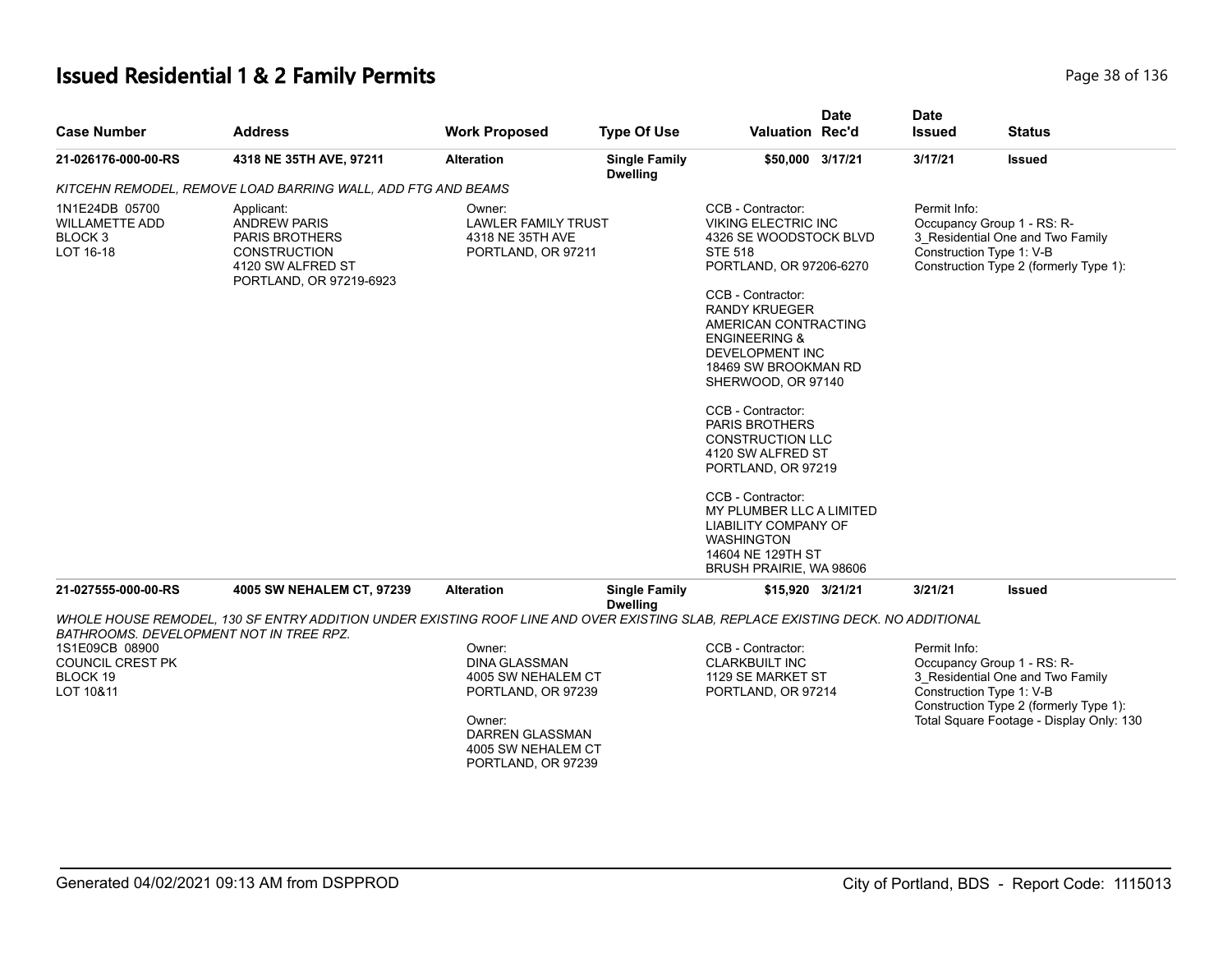# **Issued Residential 1 & 2 Family Permits Page 18 of 136** Page 38 of 136

|                                                                            |                                                                                                                                   |                                                                                |                                         | <b>Valuation Rec'd</b>                                                                                                                                                                                                                                                                                                                                                                                                                                                                                                                                            | <b>Date</b> | <b>Date</b>                                                            |                                                                            |
|----------------------------------------------------------------------------|-----------------------------------------------------------------------------------------------------------------------------------|--------------------------------------------------------------------------------|-----------------------------------------|-------------------------------------------------------------------------------------------------------------------------------------------------------------------------------------------------------------------------------------------------------------------------------------------------------------------------------------------------------------------------------------------------------------------------------------------------------------------------------------------------------------------------------------------------------------------|-------------|------------------------------------------------------------------------|----------------------------------------------------------------------------|
| <b>Case Number</b>                                                         | <b>Address</b>                                                                                                                    | <b>Work Proposed</b>                                                           | <b>Type Of Use</b>                      |                                                                                                                                                                                                                                                                                                                                                                                                                                                                                                                                                                   |             | <b>Issued</b>                                                          | <b>Status</b>                                                              |
| 21-026176-000-00-RS                                                        | 4318 NE 35TH AVE, 97211                                                                                                           | <b>Alteration</b>                                                              | <b>Single Family</b><br><b>Dwelling</b> | \$50,000 3/17/21                                                                                                                                                                                                                                                                                                                                                                                                                                                                                                                                                  |             | 3/17/21                                                                | Issued                                                                     |
|                                                                            | KITCEHN REMODEL, REMOVE LOAD BARRING WALL, ADD FTG AND BEAMS                                                                      |                                                                                |                                         |                                                                                                                                                                                                                                                                                                                                                                                                                                                                                                                                                                   |             |                                                                        |                                                                            |
| 1N1E24DB 05700<br><b>WILLAMETTE ADD</b><br>BLOCK <sub>3</sub><br>LOT 16-18 | Applicant:<br><b>ANDREW PARIS</b><br><b>PARIS BROTHERS</b><br><b>CONSTRUCTION</b><br>4120 SW ALFRED ST<br>PORTLAND, OR 97219-6923 | Owner:<br><b>LAWLER FAMILY TRUST</b><br>4318 NE 35TH AVE<br>PORTLAND, OR 97211 |                                         | CCB - Contractor:<br><b>VIKING ELECTRIC INC</b><br>4326 SE WOODSTOCK BLVD<br><b>STE 518</b><br>PORTLAND, OR 97206-6270<br>CCB - Contractor:<br><b>RANDY KRUEGER</b><br>AMERICAN CONTRACTING<br><b>ENGINEERING &amp;</b><br><b>DEVELOPMENT INC</b><br>18469 SW BROOKMAN RD<br>SHERWOOD, OR 97140<br>CCB - Contractor:<br><b>PARIS BROTHERS</b><br><b>CONSTRUCTION LLC</b><br>4120 SW ALFRED ST<br>PORTLAND, OR 97219<br>CCB - Contractor:<br>MY PLUMBER LLC A LIMITED<br>LIABILITY COMPANY OF<br><b>WASHINGTON</b><br>14604 NE 129TH ST<br>BRUSH PRAIRIE, WA 98606 |             | Permit Info:<br>Occupancy Group 1 - RS: R-<br>Construction Type 1: V-B | 3_Residential One and Two Family<br>Construction Type 2 (formerly Type 1): |
| 21-027555-000-00-RS                                                        | 4005 SW NEHALEM CT, 97239                                                                                                         | <b>Alteration</b>                                                              | <b>Single Family</b>                    | \$15,920 3/21/21                                                                                                                                                                                                                                                                                                                                                                                                                                                                                                                                                  |             | 3/21/21                                                                | <b>Issued</b>                                                              |
|                                                                            | WHOLE HOUSE REMODEL, 130 SF ENTRY ADDITION UNDER EXISTING ROOF LINE AND OVER EXISTING SLAB, REPLACE EXISTING DECK. NO ADDITIONAL  |                                                                                | <b>Dwelling</b>                         |                                                                                                                                                                                                                                                                                                                                                                                                                                                                                                                                                                   |             |                                                                        |                                                                            |
| BATHROOMS. DEVELOPMENT NOT IN TREE RPZ.<br>1S1E09CB 08900                  |                                                                                                                                   | Owner:                                                                         |                                         | CCB - Contractor:                                                                                                                                                                                                                                                                                                                                                                                                                                                                                                                                                 |             | Permit Info:                                                           |                                                                            |
| <b>COUNCIL CREST PK</b>                                                    |                                                                                                                                   | <b>DINA GLASSMAN</b>                                                           |                                         | <b>CLARKBUILT INC</b>                                                                                                                                                                                                                                                                                                                                                                                                                                                                                                                                             |             | Occupancy Group 1 - RS: R-                                             |                                                                            |
| BLOCK 19                                                                   |                                                                                                                                   | 4005 SW NEHALEM CT                                                             |                                         | 1129 SE MARKET ST                                                                                                                                                                                                                                                                                                                                                                                                                                                                                                                                                 |             |                                                                        | 3_Residential One and Two Family                                           |
| LOT 10&11                                                                  |                                                                                                                                   | PORTLAND, OR 97239                                                             |                                         | PORTLAND, OR 97214                                                                                                                                                                                                                                                                                                                                                                                                                                                                                                                                                |             | Construction Type 1: V-B                                               |                                                                            |
|                                                                            |                                                                                                                                   |                                                                                |                                         |                                                                                                                                                                                                                                                                                                                                                                                                                                                                                                                                                                   |             |                                                                        | Construction Type 2 (formerly Type 1):                                     |
|                                                                            |                                                                                                                                   | Owner:                                                                         |                                         |                                                                                                                                                                                                                                                                                                                                                                                                                                                                                                                                                                   |             |                                                                        | Total Square Footage - Display Only: 130                                   |
|                                                                            |                                                                                                                                   | <b>DARREN GLASSMAN</b>                                                         |                                         |                                                                                                                                                                                                                                                                                                                                                                                                                                                                                                                                                                   |             |                                                                        |                                                                            |
|                                                                            |                                                                                                                                   | 4005 SW NEHALEM CT                                                             |                                         |                                                                                                                                                                                                                                                                                                                                                                                                                                                                                                                                                                   |             |                                                                        |                                                                            |
|                                                                            |                                                                                                                                   | PORTLAND, OR 97239                                                             |                                         |                                                                                                                                                                                                                                                                                                                                                                                                                                                                                                                                                                   |             |                                                                        |                                                                            |
|                                                                            |                                                                                                                                   |                                                                                |                                         |                                                                                                                                                                                                                                                                                                                                                                                                                                                                                                                                                                   |             |                                                                        |                                                                            |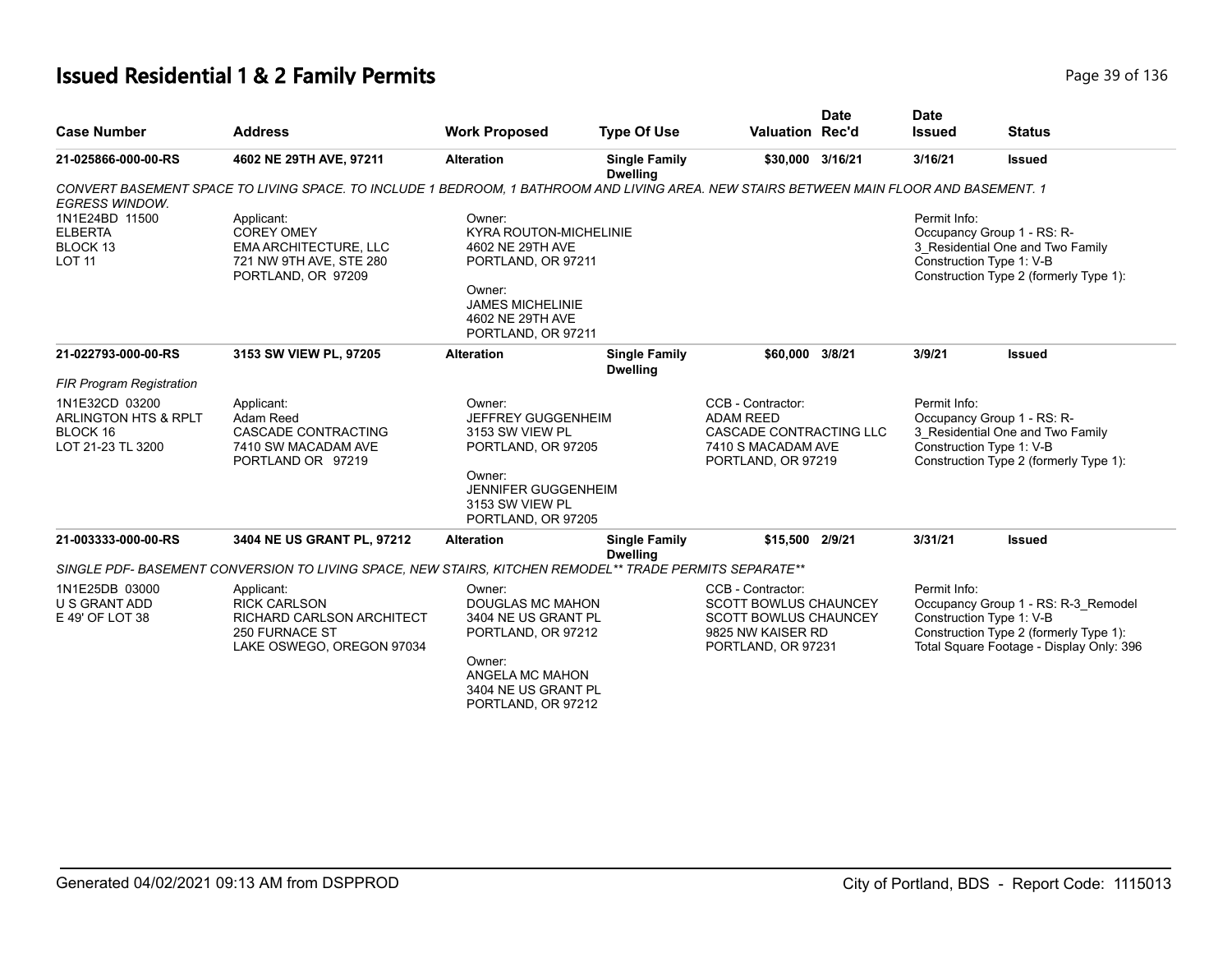# **Issued Residential 1 & 2 Family Permits Page 116 and 20 and 20 and 20 and 20 and 20 and 20 and 20 and 20 and 20 and 20 and 20 and 20 and 20 and 20 and 20 and 20 and 20 and 20 and 20 and 20 and 20 and 20 and 20 and 20 an**

| <b>Case Number</b>                                                      | <b>Address</b>                                                                                                                          | <b>Work Proposed</b>                                                                                                                                      | <b>Type Of Use</b>                      | Valuation Rec'd                                                                                                              | <b>Date</b> | <b>Date</b><br><b>Issued</b> | <b>Status</b>                                                                                                                                         |
|-------------------------------------------------------------------------|-----------------------------------------------------------------------------------------------------------------------------------------|-----------------------------------------------------------------------------------------------------------------------------------------------------------|-----------------------------------------|------------------------------------------------------------------------------------------------------------------------------|-------------|------------------------------|-------------------------------------------------------------------------------------------------------------------------------------------------------|
|                                                                         |                                                                                                                                         |                                                                                                                                                           |                                         |                                                                                                                              |             |                              |                                                                                                                                                       |
| 21-025866-000-00-RS                                                     | 4602 NE 29TH AVE, 97211                                                                                                                 | <b>Alteration</b>                                                                                                                                         | <b>Single Family</b><br><b>Dwelling</b> | \$30,000 3/16/21                                                                                                             |             | 3/16/21                      | <b>Issued</b>                                                                                                                                         |
| <b>EGRESS WINDOW.</b>                                                   | CONVERT BASEMENT SPACE TO LIVING SPACE. TO INCLUDE 1 BEDROOM, 1 BATHROOM AND LIVING AREA. NEW STAIRS BETWEEN MAIN FLOOR AND BASEMENT. 1 |                                                                                                                                                           |                                         |                                                                                                                              |             |                              |                                                                                                                                                       |
| 1N1E24BD 11500<br><b>ELBERTA</b><br>BLOCK 13<br><b>LOT 11</b>           | Applicant:<br><b>COREY OMEY</b><br><b>EMA ARCHITECTURE, LLC</b><br>721 NW 9TH AVE, STE 280<br>PORTLAND, OR 97209                        | Owner:<br><b>KYRA ROUTON-MICHELINIE</b><br>4602 NE 29TH AVE<br>PORTLAND, OR 97211<br>Owner:<br>JAMES MICHELINIE<br>4602 NE 29TH AVE<br>PORTLAND, OR 97211 |                                         |                                                                                                                              |             | Permit Info:                 | Occupancy Group 1 - RS: R-<br>3_Residential One and Two Family<br>Construction Type 1: V-B<br>Construction Type 2 (formerly Type 1):                  |
| 21-022793-000-00-RS                                                     | 3153 SW VIEW PL, 97205                                                                                                                  | <b>Alteration</b>                                                                                                                                         | <b>Single Family</b><br><b>Dwelling</b> | \$60,000 3/8/21                                                                                                              |             | 3/9/21                       | <b>Issued</b>                                                                                                                                         |
| <b>FIR Program Registration</b>                                         |                                                                                                                                         |                                                                                                                                                           |                                         |                                                                                                                              |             |                              |                                                                                                                                                       |
| 1N1E32CD 03200<br>ARLINGTON HTS & RPLT<br>BLOCK 16<br>LOT 21-23 TL 3200 | Applicant:<br>Adam Reed<br><b>CASCADE CONTRACTING</b><br>7410 SW MACADAM AVE<br>PORTLAND OR 97219                                       | Owner:<br><b>JEFFREY GUGGENHEIM</b><br>3153 SW VIEW PL<br>PORTLAND, OR 97205<br>Owner:                                                                    |                                         | CCB - Contractor:<br><b>ADAM REED</b><br>CASCADE CONTRACTING LLC<br>7410 S MACADAM AVE<br>PORTLAND, OR 97219                 |             | Permit Info:                 | Occupancy Group 1 - RS: R-<br>3 Residential One and Two Family<br>Construction Type 1: V-B<br>Construction Type 2 (formerly Type 1):                  |
|                                                                         |                                                                                                                                         | <b>JENNIFER GUGGENHEIM</b><br>3153 SW VIEW PL<br>PORTLAND, OR 97205                                                                                       |                                         |                                                                                                                              |             |                              |                                                                                                                                                       |
| 21-003333-000-00-RS                                                     | 3404 NE US GRANT PL, 97212                                                                                                              | <b>Alteration</b>                                                                                                                                         | <b>Single Family</b><br><b>Dwelling</b> | \$15,500 2/9/21                                                                                                              |             | 3/31/21                      | <b>Issued</b>                                                                                                                                         |
|                                                                         | SINGLE PDF- BASEMENT CONVERSION TO LIVING SPACE, NEW STAIRS, KITCHEN REMODEL** TRADE PERMITS SEPARATE**                                 |                                                                                                                                                           |                                         |                                                                                                                              |             |                              |                                                                                                                                                       |
| 1N1E25DB 03000<br>U S GRANT ADD<br>E 49' OF LOT 38                      | Applicant:<br><b>RICK CARLSON</b><br><b>RICHARD CARLSON ARCHITECT</b><br><b>250 FURNACE ST</b><br>LAKE OSWEGO, OREGON 97034             | Owner:<br><b>DOUGLAS MC MAHON</b><br>3404 NE US GRANT PL<br>PORTLAND, OR 97212<br>Owner:<br>ANGELA MC MAHON                                               |                                         | CCB - Contractor:<br><b>SCOTT BOWLUS CHAUNCEY</b><br><b>SCOTT BOWLUS CHAUNCEY</b><br>9825 NW KAISER RD<br>PORTLAND, OR 97231 |             | Permit Info:                 | Occupancy Group 1 - RS: R-3_Remodel<br>Construction Type 1: V-B<br>Construction Type 2 (formerly Type 1):<br>Total Square Footage - Display Only: 396 |
|                                                                         |                                                                                                                                         | 3404 NE US GRANT PL<br>PORTLAND, OR 97212                                                                                                                 |                                         |                                                                                                                              |             |                              |                                                                                                                                                       |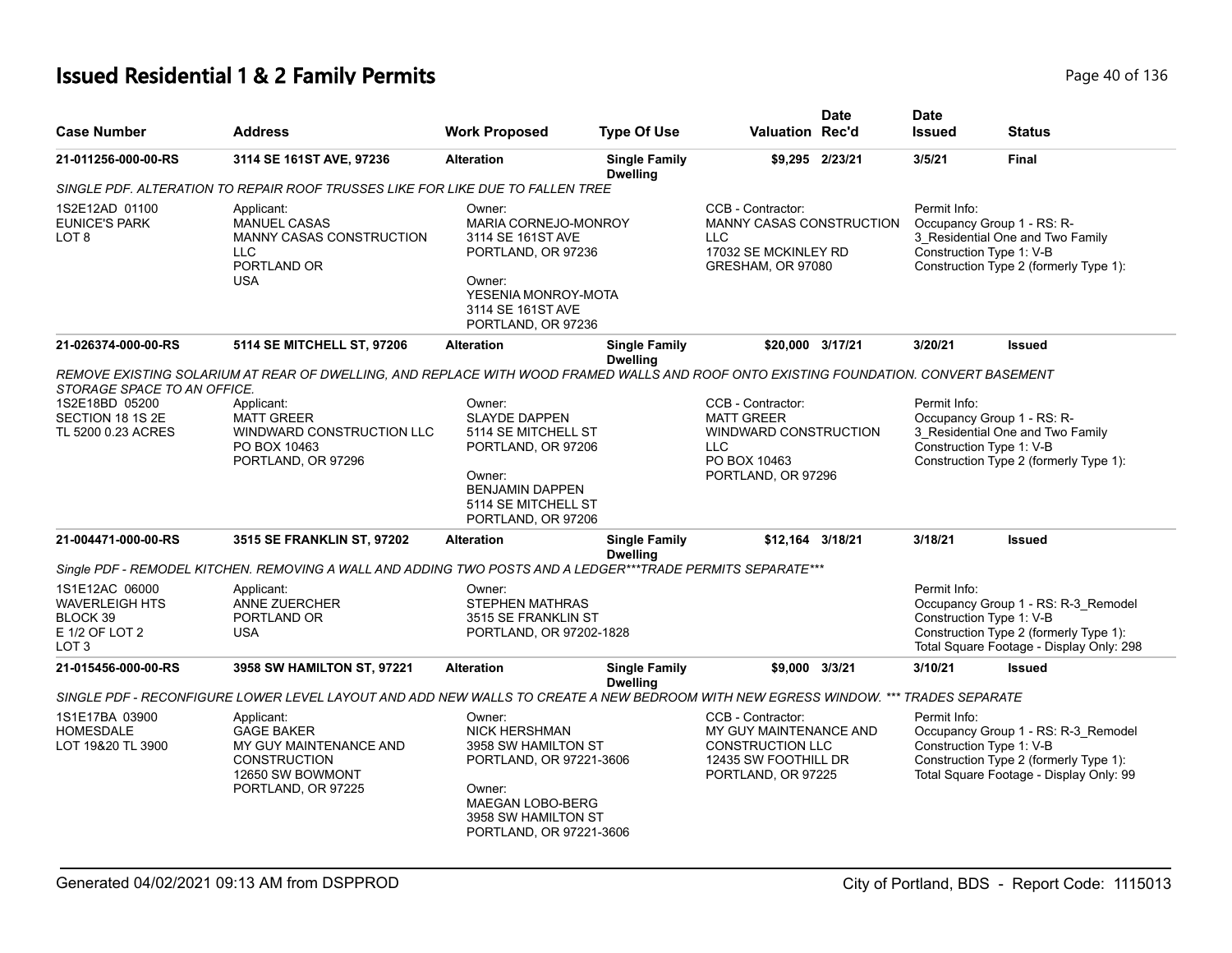# **Issued Residential 1 & 2 Family Permits Page 10 of 136** Page 40 of 136

| <b>Case Number</b>                                         | <b>Address</b>                                                                                                                       | <b>Work Proposed</b>                                                                                                                                  | <b>Type Of Use</b>                      | <b>Valuation Rec'd</b>                                                                            | <b>Date</b>     | <b>Date</b><br><b>Issued</b>             | <b>Status</b>                                                                                            |
|------------------------------------------------------------|--------------------------------------------------------------------------------------------------------------------------------------|-------------------------------------------------------------------------------------------------------------------------------------------------------|-----------------------------------------|---------------------------------------------------------------------------------------------------|-----------------|------------------------------------------|----------------------------------------------------------------------------------------------------------|
| 21-011256-000-00-RS                                        | 3114 SE 161ST AVE, 97236                                                                                                             | <b>Alteration</b>                                                                                                                                     | <b>Single Family</b><br><b>Dwelling</b> |                                                                                                   | \$9,295 2/23/21 | 3/5/21                                   | <b>Final</b>                                                                                             |
|                                                            | SINGLE PDF. ALTERATION TO REPAIR ROOF TRUSSES LIKE FOR LIKE DUE TO FALLEN TREE                                                       |                                                                                                                                                       |                                         |                                                                                                   |                 |                                          |                                                                                                          |
| 1S2E12AD 01100<br><b>EUNICE'S PARK</b><br>LOT <sub>8</sub> | Applicant:<br><b>MANUEL CASAS</b><br><b>MANNY CASAS CONSTRUCTION</b><br>LLC<br>PORTLAND OR<br><b>USA</b>                             | Owner:<br>MARIA CORNEJO-MONROY<br>3114 SE 161ST AVE<br>PORTLAND, OR 97236<br>Owner:<br>YESENIA MONROY-MOTA<br>3114 SE 161ST AVE<br>PORTLAND, OR 97236 |                                         | CCB - Contractor:<br>MANNY CASAS CONSTRUCTION<br>LLC<br>17032 SE MCKINLEY RD<br>GRESHAM, OR 97080 |                 | Permit Info:<br>Construction Type 1: V-B | Occupancy Group 1 - RS: R-<br>3 Residential One and Two Family<br>Construction Type 2 (formerly Type 1): |
| 21-026374-000-00-RS                                        | 5114 SE MITCHELL ST, 97206                                                                                                           | <b>Alteration</b>                                                                                                                                     | <b>Single Family</b>                    | \$20,000 3/17/21                                                                                  |                 | 3/20/21                                  | <b>Issued</b>                                                                                            |
|                                                            |                                                                                                                                      |                                                                                                                                                       | <b>Dwelling</b>                         |                                                                                                   |                 |                                          |                                                                                                          |
| STORAGE SPACE TO AN OFFICE.                                | REMOVE EXISTING SOLARIUM AT REAR OF DWELLING. AND REPLACE WITH WOOD FRAMED WALLS AND ROOF ONTO EXISTING FOUNDATION. CONVERT BASEMENT |                                                                                                                                                       |                                         |                                                                                                   |                 |                                          |                                                                                                          |
| 1S2E18BD 05200                                             | Applicant:                                                                                                                           | Owner:                                                                                                                                                |                                         | CCB - Contractor:                                                                                 |                 | Permit Info:                             |                                                                                                          |
| SECTION 18 1S 2E                                           | <b>MATT GREER</b>                                                                                                                    | <b>SLAYDE DAPPEN</b>                                                                                                                                  |                                         | <b>MATT GREER</b>                                                                                 |                 |                                          | Occupancy Group 1 - RS: R-                                                                               |
| TL 5200 0.23 ACRES                                         | WINDWARD CONSTRUCTION LLC                                                                                                            | 5114 SE MITCHELL ST                                                                                                                                   |                                         | WINDWARD CONSTRUCTION                                                                             |                 |                                          | 3_Residential One and Two Family                                                                         |
|                                                            | PO BOX 10463                                                                                                                         | PORTLAND, OR 97206                                                                                                                                    |                                         | <b>LLC</b>                                                                                        |                 | Construction Type 1: V-B                 |                                                                                                          |
|                                                            | PORTLAND, OR 97296                                                                                                                   |                                                                                                                                                       |                                         | PO BOX 10463                                                                                      |                 |                                          | Construction Type 2 (formerly Type 1):                                                                   |
|                                                            |                                                                                                                                      | Owner:<br><b>BENJAMIN DAPPEN</b><br>5114 SE MITCHELL ST<br>PORTLAND, OR 97206                                                                         |                                         | PORTLAND, OR 97296                                                                                |                 |                                          |                                                                                                          |
| 21-004471-000-00-RS                                        | <b>3515 SE FRANKLIN ST, 97202</b>                                                                                                    | <b>Alteration</b>                                                                                                                                     | <b>Single Family</b>                    | \$12,164 3/18/21                                                                                  |                 | 3/18/21                                  | <b>Issued</b>                                                                                            |
|                                                            |                                                                                                                                      |                                                                                                                                                       | <b>Dwelling</b>                         |                                                                                                   |                 |                                          |                                                                                                          |
|                                                            | Single PDF - REMODEL KITCHEN. REMOVING A WALL AND ADDING TWO POSTS AND A LEDGER***TRADE PERMITS SEPARATE***                          |                                                                                                                                                       |                                         |                                                                                                   |                 |                                          |                                                                                                          |
| 1S1E12AC 06000                                             | Applicant:                                                                                                                           | Owner:                                                                                                                                                |                                         |                                                                                                   |                 | Permit Info:                             |                                                                                                          |
| WAVERLEIGH HTS                                             | ANNE ZUERCHER                                                                                                                        | <b>STEPHEN MATHRAS</b>                                                                                                                                |                                         |                                                                                                   |                 |                                          | Occupancy Group 1 - RS: R-3_Remodel                                                                      |
| BLOCK 39                                                   | PORTLAND OR                                                                                                                          | 3515 SE FRANKLIN ST                                                                                                                                   |                                         |                                                                                                   |                 | Construction Type 1: V-B                 |                                                                                                          |
| E 1/2 OF LOT 2                                             | <b>USA</b>                                                                                                                           | PORTLAND, OR 97202-1828                                                                                                                               |                                         |                                                                                                   |                 |                                          | Construction Type 2 (formerly Type 1):                                                                   |
| LOT <sub>3</sub>                                           |                                                                                                                                      |                                                                                                                                                       |                                         |                                                                                                   |                 |                                          | Total Square Footage - Display Only: 298                                                                 |
| 21-015456-000-00-RS                                        | 3958 SW HAMILTON ST, 97221                                                                                                           | <b>Alteration</b>                                                                                                                                     | <b>Single Family</b>                    | \$9,000 3/3/21                                                                                    |                 | 3/10/21                                  | <b>Issued</b>                                                                                            |
|                                                            | SINGLE PDF - RECONFIGURE LOWER LEVEL LAYOUT AND ADD NEW WALLS TO CREATE A NEW BEDROOM WITH NEW EGRESS WINDOW. *** TRADES SEPARATE    |                                                                                                                                                       | <b>Dwelling</b>                         |                                                                                                   |                 |                                          |                                                                                                          |
|                                                            |                                                                                                                                      |                                                                                                                                                       |                                         |                                                                                                   |                 |                                          |                                                                                                          |
| 1S1E17BA 03900                                             | Applicant:                                                                                                                           | Owner:                                                                                                                                                |                                         | CCB - Contractor:                                                                                 |                 | Permit Info:                             |                                                                                                          |
| <b>HOMESDALE</b>                                           | <b>GAGE BAKER</b>                                                                                                                    | <b>NICK HERSHMAN</b>                                                                                                                                  |                                         | MY GUY MAINTENANCE AND                                                                            |                 |                                          | Occupancy Group 1 - RS: R-3_Remodel                                                                      |
| LOT 19&20 TL 3900                                          | MY GUY MAINTENANCE AND<br><b>CONSTRUCTION</b>                                                                                        | 3958 SW HAMILTON ST<br>PORTLAND, OR 97221-3606                                                                                                        |                                         | <b>CONSTRUCTION LLC</b><br>12435 SW FOOTHILL DR                                                   |                 | Construction Type 1: V-B                 | Construction Type 2 (formerly Type 1):                                                                   |
|                                                            | 12650 SW BOWMONT                                                                                                                     |                                                                                                                                                       |                                         |                                                                                                   |                 |                                          | Total Square Footage - Display Only: 99                                                                  |
|                                                            | PORTLAND, OR 97225                                                                                                                   | Owner:                                                                                                                                                |                                         | PORTLAND, OR 97225                                                                                |                 |                                          |                                                                                                          |
|                                                            |                                                                                                                                      | MAEGAN LOBO-BERG                                                                                                                                      |                                         |                                                                                                   |                 |                                          |                                                                                                          |
|                                                            |                                                                                                                                      | 3958 SW HAMILTON ST                                                                                                                                   |                                         |                                                                                                   |                 |                                          |                                                                                                          |
|                                                            |                                                                                                                                      | PORTLAND, OR 97221-3606                                                                                                                               |                                         |                                                                                                   |                 |                                          |                                                                                                          |
|                                                            |                                                                                                                                      |                                                                                                                                                       |                                         |                                                                                                   |                 |                                          |                                                                                                          |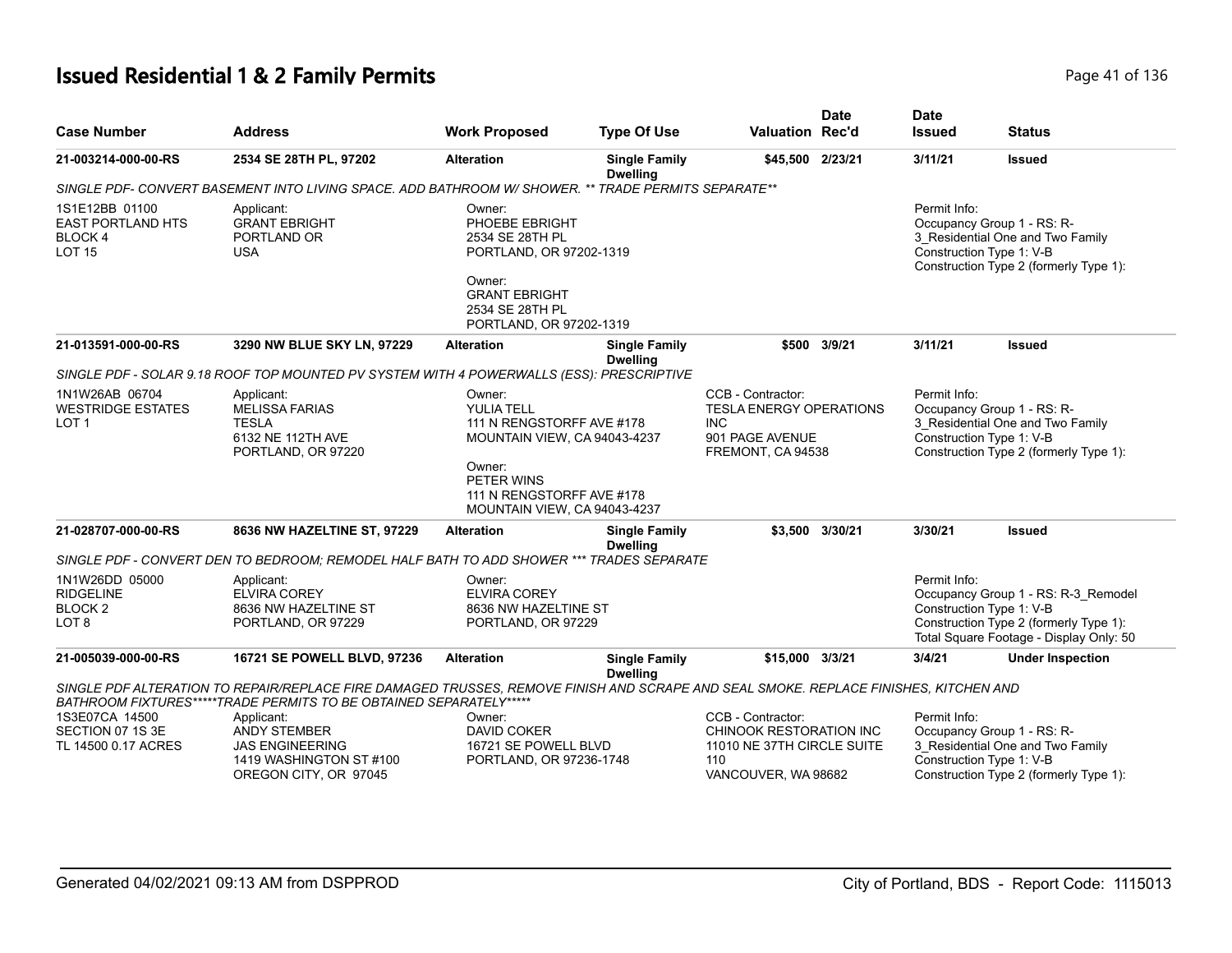# **Issued Residential 1 & 2 Family Permits Page 11 of 136** Page 41 of 136

| <b>Case Number</b>                                                           | <b>Address</b>                                                                                                                                                                                             | <b>Work Proposed</b>                                                                                                                                                   | <b>Type Of Use</b>                      | <b>Valuation Rec'd</b>                                                                                    | <b>Date</b>     | <b>Date</b><br><b>Issued</b>             | <b>Status</b>                                                                                                            |
|------------------------------------------------------------------------------|------------------------------------------------------------------------------------------------------------------------------------------------------------------------------------------------------------|------------------------------------------------------------------------------------------------------------------------------------------------------------------------|-----------------------------------------|-----------------------------------------------------------------------------------------------------------|-----------------|------------------------------------------|--------------------------------------------------------------------------------------------------------------------------|
| 21-003214-000-00-RS                                                          | 2534 SE 28TH PL, 97202                                                                                                                                                                                     | <b>Alteration</b>                                                                                                                                                      | <b>Single Family</b><br><b>Dwelling</b> | \$45,500 2/23/21                                                                                          |                 | 3/11/21                                  | <b>Issued</b>                                                                                                            |
|                                                                              | SINGLE PDF- CONVERT BASEMENT INTO LIVING SPACE. ADD BATHROOM W/ SHOWER. ** TRADE PERMITS SEPARATE**                                                                                                        |                                                                                                                                                                        |                                         |                                                                                                           |                 |                                          |                                                                                                                          |
| 1S1E12BB 01100<br><b>EAST PORTLAND HTS</b><br><b>BLOCK4</b><br><b>LOT 15</b> | Applicant:<br><b>GRANT EBRIGHT</b><br>PORTLAND OR<br><b>USA</b>                                                                                                                                            | Owner:<br>PHOEBE EBRIGHT<br>2534 SE 28TH PL<br>PORTLAND, OR 97202-1319<br>Owner:<br><b>GRANT EBRIGHT</b><br>2534 SE 28TH PL<br>PORTLAND, OR 97202-1319                 |                                         |                                                                                                           |                 | Permit Info:<br>Construction Type 1: V-B | Occupancy Group 1 - RS: R-<br>3_Residential One and Two Family<br>Construction Type 2 (formerly Type 1):                 |
| 21-013591-000-00-RS                                                          | 3290 NW BLUE SKY LN, 97229                                                                                                                                                                                 | <b>Alteration</b>                                                                                                                                                      | <b>Single Family</b><br><b>Dwelling</b> |                                                                                                           | \$500 3/9/21    | 3/11/21                                  | <b>Issued</b>                                                                                                            |
|                                                                              | SINGLE PDF - SOLAR 9.18 ROOF TOP MOUNTED PV SYSTEM WITH 4 POWERWALLS (ESS): PRESCRIPTIVE                                                                                                                   |                                                                                                                                                                        |                                         |                                                                                                           |                 |                                          |                                                                                                                          |
| 1N1W26AB 06704<br><b>WESTRIDGE ESTATES</b><br>LOT <sub>1</sub>               | Applicant:<br><b>MELISSA FARIAS</b><br><b>TESLA</b><br>6132 NE 112TH AVE<br>PORTLAND, OR 97220                                                                                                             | Owner:<br>YULIA TELL<br>111 N RENGSTORFF AVE #178<br>MOUNTAIN VIEW, CA 94043-4237<br>Owner:<br>PETER WINS<br>111 N RENGSTORFF AVE #178<br>MOUNTAIN VIEW, CA 94043-4237 |                                         | CCB - Contractor:<br><b>TESLA ENERGY OPERATIONS</b><br><b>INC</b><br>901 PAGE AVENUE<br>FREMONT, CA 94538 |                 | Permit Info:<br>Construction Type 1: V-B | Occupancy Group 1 - RS: R-<br>3 Residential One and Two Family<br>Construction Type 2 (formerly Type 1):                 |
| 21-028707-000-00-RS                                                          | 8636 NW HAZELTINE ST, 97229                                                                                                                                                                                | <b>Alteration</b>                                                                                                                                                      | <b>Single Family</b><br><b>Dwelling</b> |                                                                                                           | \$3,500 3/30/21 | 3/30/21                                  | <b>Issued</b>                                                                                                            |
|                                                                              | SINGLE PDF - CONVERT DEN TO BEDROOM: REMODEL HALF BATH TO ADD SHOWER *** TRADES SEPARATE                                                                                                                   |                                                                                                                                                                        |                                         |                                                                                                           |                 |                                          |                                                                                                                          |
| 1N1W26DD 05000<br><b>RIDGELINE</b><br>BLOCK <sub>2</sub><br>LOT 8            | Applicant:<br><b>ELVIRA COREY</b><br>8636 NW HAZELTINE ST<br>PORTLAND, OR 97229                                                                                                                            | Owner:<br><b>ELVIRA COREY</b><br>8636 NW HAZELTINE ST<br>PORTLAND, OR 97229                                                                                            |                                         |                                                                                                           |                 | Permit Info:<br>Construction Type 1: V-B | Occupancy Group 1 - RS: R-3_Remodel<br>Construction Type 2 (formerly Type 1):<br>Total Square Footage - Display Only: 50 |
| 21-005039-000-00-RS                                                          | 16721 SE POWELL BLVD, 97236                                                                                                                                                                                | <b>Alteration</b>                                                                                                                                                      | <b>Single Family</b><br><b>Dwelling</b> | \$15,000 3/3/21                                                                                           |                 | 3/4/21                                   | <b>Under Inspection</b>                                                                                                  |
|                                                                              | SINGLE PDF ALTERATION TO REPAIR/REPLACE FIRE DAMAGED TRUSSES, REMOVE FINISH AND SCRAPE AND SEAL SMOKE. REPLACE FINISHES, KITCHEN AND<br>BATHROOM FIXTURES*****TRADE PERMITS TO BE OBTAINED SEPARATELY***** |                                                                                                                                                                        |                                         |                                                                                                           |                 |                                          |                                                                                                                          |
| 1S3E07CA 14500<br>SECTION 07 1S 3E<br>TL 14500 0.17 ACRES                    | Applicant:<br><b>ANDY STEMBER</b><br><b>JAS ENGINEERING</b><br>1419 WASHINGTON ST #100<br>OREGON CITY, OR 97045                                                                                            | Owner:<br>DAVID COKER<br>16721 SE POWELL BLVD<br>PORTLAND, OR 97236-1748                                                                                               |                                         | CCB - Contractor:<br>CHINOOK RESTORATION INC<br>11010 NE 37TH CIRCLE SUITE<br>110<br>VANCOUVER, WA 98682  |                 | Permit Info:<br>Construction Type 1: V-B | Occupancy Group 1 - RS: R-<br>3 Residential One and Two Family<br>Construction Type 2 (formerly Type 1):                 |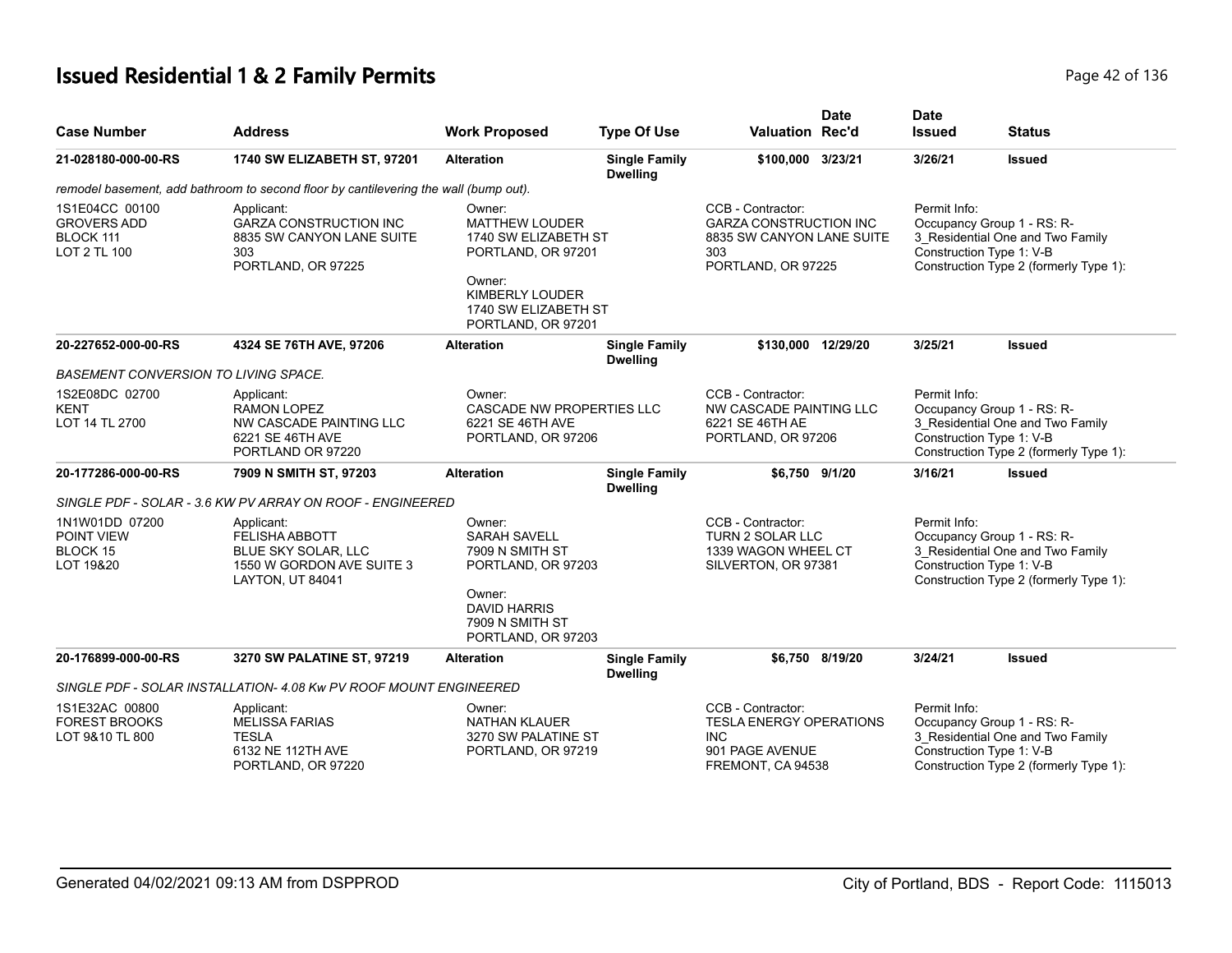# **Issued Residential 1 & 2 Family Permits Page 12 of 136** Page 42 of 136

| <b>Case Number</b>                                                       | <b>Address</b>                                                                                                     | <b>Work Proposed</b>                                                                                                                                            | <b>Type Of Use</b>                      | <b>Date</b><br>Valuation Rec'd                                                                               | <b>Date</b><br><b>Issued</b>             | <b>Status</b>                                                                                            |
|--------------------------------------------------------------------------|--------------------------------------------------------------------------------------------------------------------|-----------------------------------------------------------------------------------------------------------------------------------------------------------------|-----------------------------------------|--------------------------------------------------------------------------------------------------------------|------------------------------------------|----------------------------------------------------------------------------------------------------------|
| 21-028180-000-00-RS                                                      | 1740 SW ELIZABETH ST, 97201                                                                                        | <b>Alteration</b>                                                                                                                                               | <b>Single Family</b><br><b>Dwelling</b> | \$100,000 3/23/21                                                                                            | 3/26/21                                  | <b>Issued</b>                                                                                            |
|                                                                          | remodel basement, add bathroom to second floor by cantilevering the wall (bump out).                               |                                                                                                                                                                 |                                         |                                                                                                              |                                          |                                                                                                          |
| 1S1E04CC 00100<br><b>GROVERS ADD</b><br>BLOCK 111<br><b>LOT 2 TL 100</b> | Applicant:<br><b>GARZA CONSTRUCTION INC</b><br>8835 SW CANYON LANE SUITE<br>303<br>PORTLAND, OR 97225              | Owner:<br><b>MATTHEW LOUDER</b><br>1740 SW ELIZABETH ST<br>PORTLAND, OR 97201<br>Owner:<br><b>KIMBERLY LOUDER</b><br>1740 SW ELIZABETH ST<br>PORTLAND, OR 97201 |                                         | CCB - Contractor:<br><b>GARZA CONSTRUCTION INC</b><br>8835 SW CANYON LANE SUITE<br>303<br>PORTLAND, OR 97225 | Permit Info:<br>Construction Type 1: V-B | Occupancy Group 1 - RS: R-<br>3_Residential One and Two Family<br>Construction Type 2 (formerly Type 1): |
| 20-227652-000-00-RS                                                      | 4324 SE 76TH AVE, 97206                                                                                            | <b>Alteration</b>                                                                                                                                               | <b>Single Family</b><br><b>Dwelling</b> | \$130.000 12/29/20                                                                                           | 3/25/21                                  | <b>Issued</b>                                                                                            |
| <b>BASEMENT CONVERSION TO LIVING SPACE.</b>                              |                                                                                                                    |                                                                                                                                                                 |                                         |                                                                                                              |                                          |                                                                                                          |
| 1S2E08DC 02700<br>KENT<br>LOT 14 TL 2700                                 | Applicant:<br><b>RAMON LOPEZ</b><br>NW CASCADE PAINTING LLC<br>6221 SE 46TH AVE<br>PORTLAND OR 97220               | Owner:<br>CASCADE NW PROPERTIES LLC<br>6221 SE 46TH AVE<br>PORTLAND, OR 97206                                                                                   |                                         | CCB - Contractor:<br>NW CASCADE PAINTING LLC<br>6221 SE 46TH AE<br>PORTLAND, OR 97206                        | Permit Info:<br>Construction Type 1: V-B | Occupancy Group 1 - RS: R-<br>3_Residential One and Two Family<br>Construction Type 2 (formerly Type 1): |
| 20-177286-000-00-RS                                                      | 7909 N SMITH ST, 97203                                                                                             | <b>Alteration</b>                                                                                                                                               | <b>Single Family</b><br><b>Dwelling</b> | \$6,750 9/1/20                                                                                               | 3/16/21                                  | <b>Issued</b>                                                                                            |
|                                                                          | SINGLE PDF - SOLAR - 3.6 KW PV ARRAY ON ROOF - ENGINEERED                                                          |                                                                                                                                                                 |                                         |                                                                                                              |                                          |                                                                                                          |
| 1N1W01DD 07200<br>POINT VIEW<br><b>BLOCK 15</b><br>LOT 19&20             | Applicant:<br><b>FELISHA ABBOTT</b><br><b>BLUE SKY SOLAR, LLC</b><br>1550 W GORDON AVE SUITE 3<br>LAYTON, UT 84041 | Owner:<br><b>SARAH SAVELL</b><br>7909 N SMITH ST<br>PORTLAND, OR 97203<br>Owner:<br><b>DAVID HARRIS</b><br>7909 N SMITH ST<br>PORTLAND, OR 97203                |                                         | CCB - Contractor:<br><b>TURN 2 SOLAR LLC</b><br>1339 WAGON WHEEL CT<br>SILVERTON, OR 97381                   | Permit Info:<br>Construction Type 1: V-B | Occupancy Group 1 - RS: R-<br>3_Residential One and Two Family<br>Construction Type 2 (formerly Type 1): |
| 20-176899-000-00-RS                                                      | 3270 SW PALATINE ST, 97219                                                                                         | <b>Alteration</b>                                                                                                                                               | <b>Single Family</b><br><b>Dwelling</b> | \$6,750 8/19/20                                                                                              | 3/24/21                                  | <b>Issued</b>                                                                                            |
|                                                                          | SINGLE PDF - SOLAR INSTALLATION- 4.08 Kw PV ROOF MOUNT ENGINEERED                                                  |                                                                                                                                                                 |                                         |                                                                                                              |                                          |                                                                                                          |
| 1S1E32AC 00800<br><b>FOREST BROOKS</b><br>LOT 9&10 TL 800                | Applicant:<br>MELISSA FARIAS<br><b>TESLA</b><br>6132 NE 112TH AVE<br>PORTLAND, OR 97220                            | Owner:<br><b>NATHAN KLAUER</b><br>3270 SW PALATINE ST<br>PORTLAND, OR 97219                                                                                     |                                         | CCB - Contractor:<br><b>TESLA ENERGY OPERATIONS</b><br><b>INC</b><br>901 PAGE AVENUE<br>FREMONT, CA 94538    | Permit Info:<br>Construction Type 1: V-B | Occupancy Group 1 - RS: R-<br>3_Residential One and Two Family<br>Construction Type 2 (formerly Type 1): |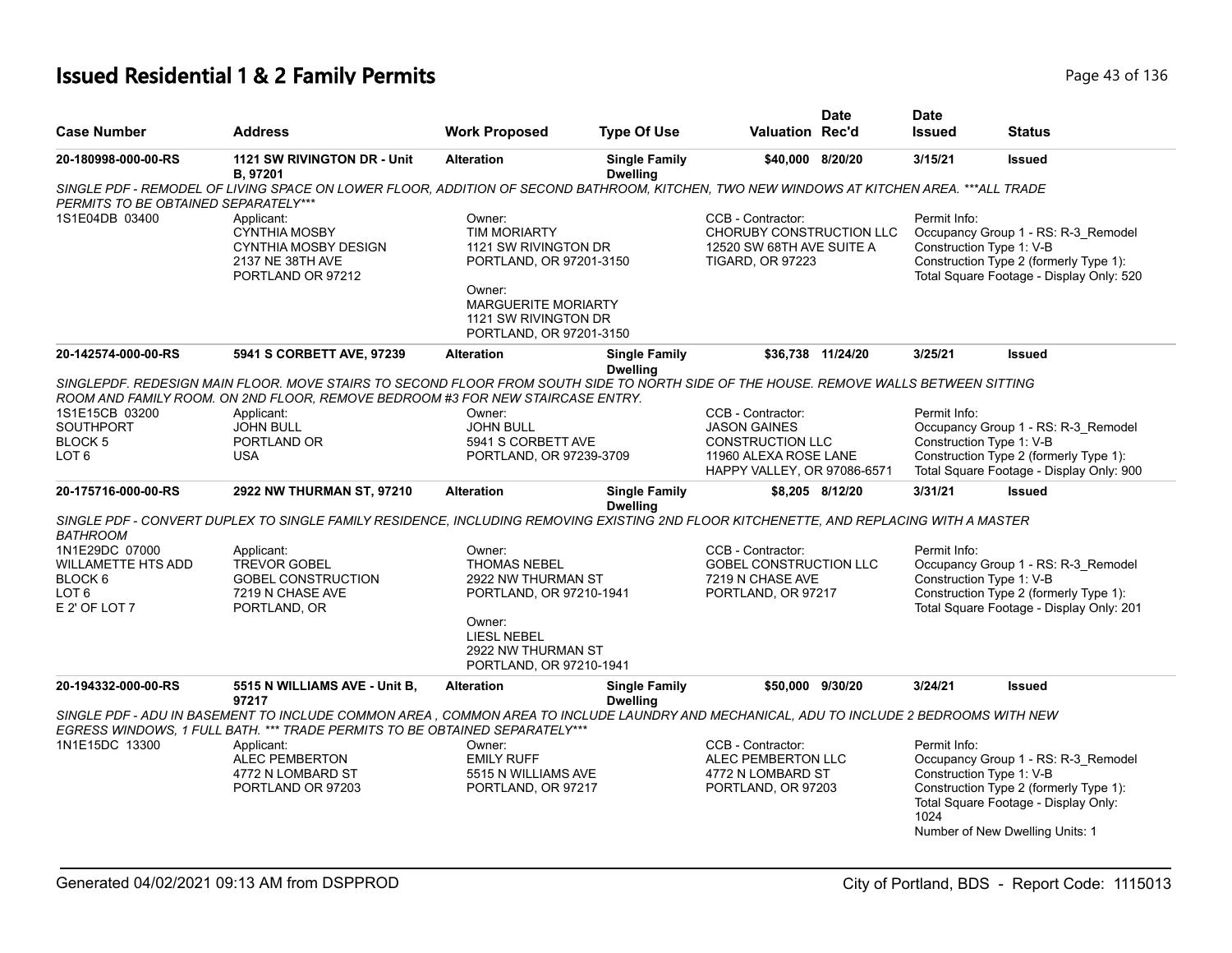# **Issued Residential 1 & 2 Family Permits Page 136** 2 **Page 43 of 136**

| <b>Case Number</b>                                                                          | <b>Address</b>                                                                                                                                                                                                                                                                        | <b>Work Proposed</b>                                                                                                                                            | <b>Type Of Use</b>                      | <b>Valuation Rec'd</b>                                                                                                      | <b>Date</b>       | <b>Date</b><br><b>Issued</b>             | <b>Status</b>                                                                                                             |
|---------------------------------------------------------------------------------------------|---------------------------------------------------------------------------------------------------------------------------------------------------------------------------------------------------------------------------------------------------------------------------------------|-----------------------------------------------------------------------------------------------------------------------------------------------------------------|-----------------------------------------|-----------------------------------------------------------------------------------------------------------------------------|-------------------|------------------------------------------|---------------------------------------------------------------------------------------------------------------------------|
| 20-180998-000-00-RS                                                                         | 1121 SW RIVINGTON DR - Unit<br>B. 97201                                                                                                                                                                                                                                               | <b>Alteration</b>                                                                                                                                               | <b>Single Family</b><br><b>Dwelling</b> | \$40,000 8/20/20                                                                                                            |                   | 3/15/21                                  | <b>Issued</b>                                                                                                             |
| PERMITS TO BE OBTAINED SEPARATELY***                                                        | SINGLE PDF - REMODEL OF LIVING SPACE ON LOWER FLOOR, ADDITION OF SECOND BATHROOM, KITCHEN, TWO NEW WINDOWS AT KITCHEN AREA. ***ALL TRADE                                                                                                                                              |                                                                                                                                                                 |                                         |                                                                                                                             |                   |                                          |                                                                                                                           |
| 1S1E04DB 03400                                                                              | Applicant:<br><b>CYNTHIA MOSBY</b><br><b>CYNTHIA MOSBY DESIGN</b><br>2137 NE 38TH AVE<br>PORTLAND OR 97212                                                                                                                                                                            | Owner:<br><b>TIM MORIARTY</b><br>1121 SW RIVINGTON DR<br>PORTLAND, OR 97201-3150<br>Owner:<br><b>MARGUERITE MORIARTY</b><br>1121 SW RIVINGTON DR                |                                         | CCB - Contractor:<br>CHORUBY CONSTRUCTION LLC<br>12520 SW 68TH AVE SUITE A<br><b>TIGARD, OR 97223</b>                       |                   | Permit Info:<br>Construction Type 1: V-B | Occupancy Group 1 - RS: R-3_Remodel<br>Construction Type 2 (formerly Type 1):<br>Total Square Footage - Display Only: 520 |
| 20-142574-000-00-RS                                                                         | 5941 S CORBETT AVE, 97239                                                                                                                                                                                                                                                             | PORTLAND, OR 97201-3150<br><b>Alteration</b>                                                                                                                    | <b>Single Family</b><br><b>Dwelling</b> |                                                                                                                             | \$36,738 11/24/20 | 3/25/21                                  | <b>Issued</b>                                                                                                             |
| 1S1E15CB 03200<br><b>SOUTHPORT</b><br>BLOCK <sub>5</sub><br>LOT 6                           | SINGLEPDF. REDESIGN MAIN FLOOR. MOVE STAIRS TO SECOND FLOOR FROM SOUTH SIDE TO NORTH SIDE OF THE HOUSE. REMOVE WALLS BETWEEN SITTING<br>ROOM AND FAMILY ROOM. ON 2ND FLOOR, REMOVE BEDROOM #3 FOR NEW STAIRCASE ENTRY.<br>Applicant:<br><b>JOHN BULL</b><br>PORTLAND OR<br><b>USA</b> | Owner:<br><b>JOHN BULL</b><br>5941 S CORBETT AVE<br>PORTLAND, OR 97239-3709                                                                                     |                                         | CCB - Contractor:<br><b>JASON GAINES</b><br><b>CONSTRUCTION LLC</b><br>11960 ALEXA ROSE LANE<br>HAPPY VALLEY, OR 97086-6571 |                   | Permit Info:<br>Construction Type 1: V-B | Occupancy Group 1 - RS: R-3_Remodel<br>Construction Type 2 (formerly Type 1):<br>Total Square Footage - Display Only: 900 |
| 20-175716-000-00-RS                                                                         | 2922 NW THURMAN ST, 97210                                                                                                                                                                                                                                                             | <b>Alteration</b>                                                                                                                                               | <b>Single Family</b><br><b>Dwelling</b> |                                                                                                                             | \$8.205 8/12/20   | 3/31/21                                  | <b>Issued</b>                                                                                                             |
| <b>BATHROOM</b>                                                                             | SINGLE PDF - CONVERT DUPLEX TO SINGLE FAMILY RESIDENCE, INCLUDING REMOVING EXISTING 2ND FLOOR KITCHENETTE, AND REPLACING WITH A MASTER                                                                                                                                                |                                                                                                                                                                 |                                         |                                                                                                                             |                   |                                          |                                                                                                                           |
| 1N1E29DC 07000<br><b>WILLAMETTE HTS ADD</b><br>BLOCK 6<br>LOT <sub>6</sub><br>E 2' OF LOT 7 | Applicant:<br><b>TREVOR GOBEL</b><br><b>GOBEL CONSTRUCTION</b><br>7219 N CHASE AVE<br>PORTLAND, OR                                                                                                                                                                                    | Owner:<br><b>THOMAS NEBEL</b><br>2922 NW THURMAN ST<br>PORTLAND, OR 97210-1941<br>Owner:<br><b>LIESL NEBEL</b><br>2922 NW THURMAN ST<br>PORTLAND, OR 97210-1941 |                                         | CCB - Contractor:<br>GOBEL CONSTRUCTION LLC<br>7219 N CHASE AVE<br>PORTLAND, OR 97217                                       |                   | Permit Info:<br>Construction Type 1: V-B | Occupancy Group 1 - RS: R-3_Remodel<br>Construction Type 2 (formerly Type 1):<br>Total Square Footage - Display Only: 201 |
| 20-194332-000-00-RS                                                                         | 5515 N WILLIAMS AVE - Unit B,<br>97217                                                                                                                                                                                                                                                | <b>Alteration</b>                                                                                                                                               | <b>Single Family</b><br><b>Dwelling</b> | \$50,000 9/30/20                                                                                                            |                   | 3/24/21                                  | Issued                                                                                                                    |
| 1N1E15DC 13300                                                                              | SINGLE PDF - ADU IN BASEMENT TO INCLUDE COMMON AREA, COMMON AREA TO INCLUDE LAUNDRY AND MECHANICAL, ADU TO INCLUDE 2 BEDROOMS WITH NEW<br>EGRESS WINDOWS, 1 FULL BATH. *** TRADE PERMITS TO BE OBTAINED SEPARATELY***<br>Applicant:<br><b>ALEC PEMBERTON</b><br>4772 N LOMBARD ST     | Owner:<br><b>EMILY RUFF</b><br>5515 N WILLIAMS AVE                                                                                                              |                                         | CCB - Contractor:<br>ALEC PEMBERTON LLC<br>4772 N LOMBARD ST                                                                |                   | Permit Info:<br>Construction Type 1: V-B | Occupancy Group 1 - RS: R-3_Remodel                                                                                       |
|                                                                                             | PORTLAND OR 97203                                                                                                                                                                                                                                                                     | PORTLAND, OR 97217                                                                                                                                              |                                         | PORTLAND, OR 97203                                                                                                          |                   | 1024                                     | Construction Type 2 (formerly Type 1):<br>Total Square Footage - Display Only:<br>Number of New Dwelling Units: 1         |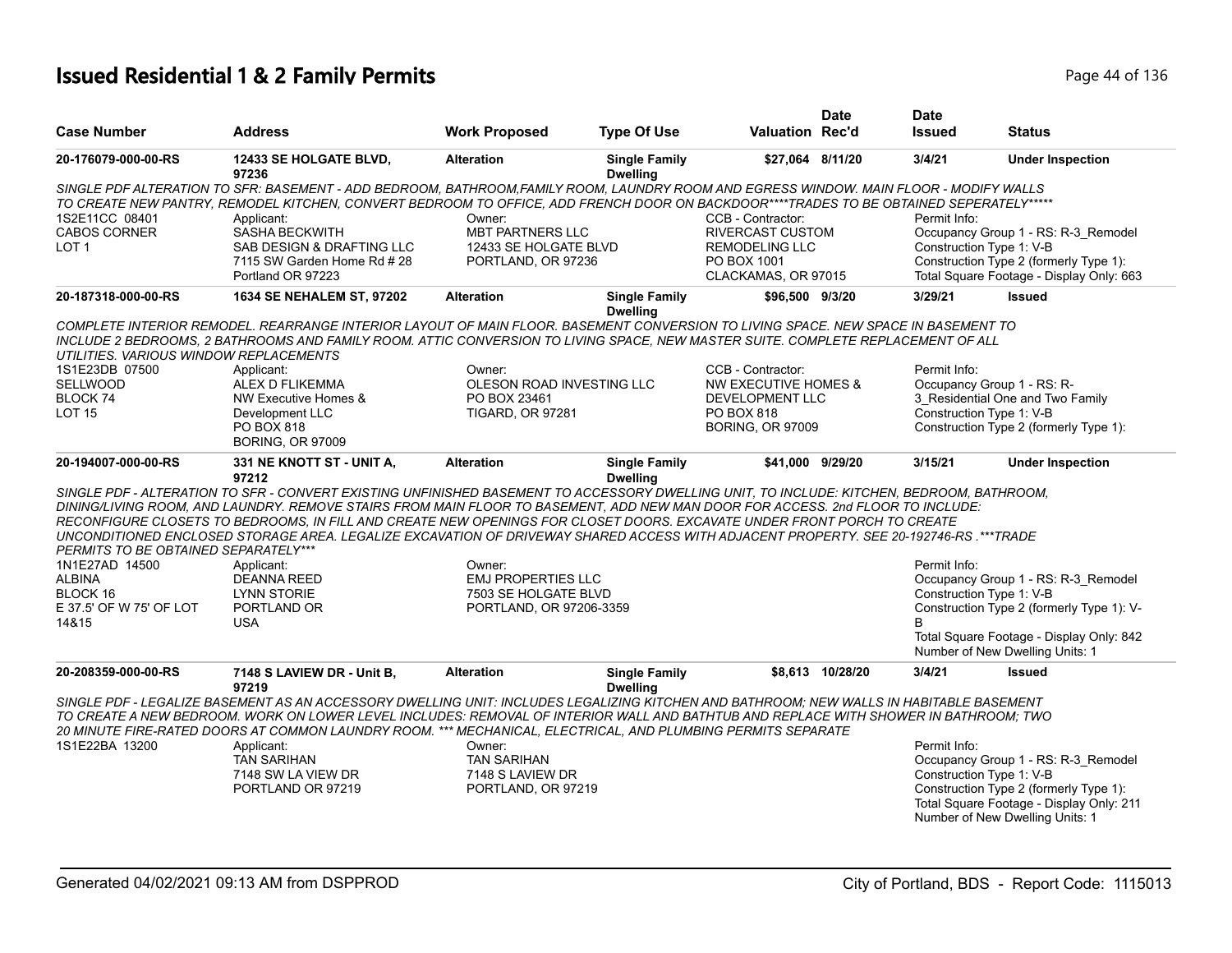# **Issued Residential 1 & 2 Family Permits Page 14 of 136** Page 44 of 136

|                                        |                                                                                                                                           |                                                   |                                         |                                    | <b>Date</b>      | <b>Date</b>                |                                                                                    |
|----------------------------------------|-------------------------------------------------------------------------------------------------------------------------------------------|---------------------------------------------------|-----------------------------------------|------------------------------------|------------------|----------------------------|------------------------------------------------------------------------------------|
| <b>Case Number</b>                     | <b>Address</b>                                                                                                                            | <b>Work Proposed</b>                              | <b>Type Of Use</b>                      | <b>Valuation Rec'd</b>             |                  | <b>Issued</b>              | <b>Status</b>                                                                      |
| 20-176079-000-00-RS                    | 12433 SE HOLGATE BLVD,<br>97236                                                                                                           | <b>Alteration</b>                                 | <b>Single Family</b><br><b>Dwelling</b> | \$27,064 8/11/20                   |                  | 3/4/21                     | <b>Under Inspection</b>                                                            |
|                                        | SINGLE PDF ALTERATION TO SFR: BASEMENT - ADD BEDROOM, BATHROOM,FAMILY ROOM, LAUNDRY ROOM AND EGRESS WINDOW. MAIN FLOOR - MODIFY WALLS     |                                                   |                                         |                                    |                  |                            |                                                                                    |
|                                        | TO CREATE NEW PANTRY, REMODEL KITCHEN, CONVERT BEDROOM TO OFFICE, ADD FRENCH DOOR ON BACKDOOR****TRADES TO BE OBTAINED SEPERATELY*****    |                                                   |                                         |                                    |                  |                            |                                                                                    |
| 1S2E11CC 08401                         | Applicant:                                                                                                                                | Owner:                                            |                                         | CCB - Contractor:                  |                  | Permit Info:               |                                                                                    |
| <b>CABOS CORNER</b>                    | SASHA BECKWITH                                                                                                                            | MBT PARTNERS LLC                                  |                                         | RIVERCAST CUSTOM                   |                  |                            | Occupancy Group 1 - RS: R-3 Remodel                                                |
| LOT <sub>1</sub>                       | SAB DESIGN & DRAFTING LLC                                                                                                                 | 12433 SE HOLGATE BLVD                             |                                         | <b>REMODELING LLC</b>              |                  | Construction Type 1: V-B   |                                                                                    |
|                                        | 7115 SW Garden Home Rd #28<br>Portland OR 97223                                                                                           | PORTLAND, OR 97236                                |                                         | PO BOX 1001<br>CLACKAMAS, OR 97015 |                  |                            | Construction Type 2 (formerly Type 1):<br>Total Square Footage - Display Only: 663 |
| 20-187318-000-00-RS                    | <b>1634 SE NEHALEM ST, 97202</b>                                                                                                          | <b>Alteration</b>                                 | <b>Single Family</b><br><b>Dwelling</b> | \$96.500 9/3/20                    |                  | 3/29/21                    | <b>Issued</b>                                                                      |
|                                        | COMPLETE INTERIOR REMODEL. REARRANGE INTERIOR LAYOUT OF MAIN FLOOR. BASEMENT CONVERSION TO LIVING SPACE. NEW SPACE IN BASEMENT TO         |                                                   |                                         |                                    |                  |                            |                                                                                    |
| UTILITIES. VARIOUS WINDOW REPLACEMENTS | INCLUDE 2 BEDROOMS, 2 BATHROOMS AND FAMILY ROOM. ATTIC CONVERSION TO LIVING SPACE, NEW MASTER SUITE. COMPLETE REPLACEMENT OF ALL          |                                                   |                                         |                                    |                  |                            |                                                                                    |
| 1S1E23DB 07500                         | Applicant:                                                                                                                                | Owner:                                            |                                         | CCB - Contractor:                  |                  | Permit Info:               |                                                                                    |
| <b>SELLWOOD</b>                        | ALEX D FLIKEMMA                                                                                                                           | OLESON ROAD INVESTING LLC                         |                                         | <b>NW EXECUTIVE HOMES &amp;</b>    |                  | Occupancy Group 1 - RS: R- |                                                                                    |
| BLOCK 74                               | NW Executive Homes &                                                                                                                      | PO BOX 23461                                      |                                         | DEVELOPMENT LLC                    |                  |                            | 3 Residential One and Two Family                                                   |
| <b>LOT 15</b>                          | Development LLC                                                                                                                           | <b>TIGARD, OR 97281</b>                           |                                         | <b>PO BOX 818</b>                  |                  | Construction Type 1: V-B   |                                                                                    |
|                                        | PO BOX 818<br><b>BORING, OR 97009</b>                                                                                                     |                                                   |                                         | <b>BORING, OR 97009</b>            |                  |                            | Construction Type 2 (formerly Type 1):                                             |
| 20-194007-000-00-RS                    | <b>331 NE KNOTT ST - UNIT A,</b><br>97212                                                                                                 | <b>Alteration</b>                                 | <b>Single Family</b><br><b>Dwelling</b> | \$41,000 9/29/20                   |                  | 3/15/21                    | <b>Under Inspection</b>                                                            |
|                                        | SINGLE PDF - ALTERATION TO SFR - CONVERT EXISTING UNFINISHED BASEMENT TO ACCESSORY DWELLING UNIT. TO INCLUDE: KITCHEN, BEDROOM, BATHROOM, |                                                   |                                         |                                    |                  |                            |                                                                                    |
|                                        | DINING/LIVING ROOM, AND LAUNDRY. REMOVE STAIRS FROM MAIN FLOOR TO BASEMENT, ADD NEW MAN DOOR FOR ACCESS. 2nd FLOOR TO INCLUDE:            |                                                   |                                         |                                    |                  |                            |                                                                                    |
|                                        | RECONFIGURE CLOSETS TO BEDROOMS, IN FILL AND CREATE NEW OPENINGS FOR CLOSET DOORS. EXCAVATE UNDER FRONT PORCH TO CREATE                   |                                                   |                                         |                                    |                  |                            |                                                                                    |
|                                        | UNCONDITIONED ENCLOSED STORAGE AREA. LEGALIZE EXCAVATION OF DRIVEWAY SHARED ACCESS WITH ADJACENT PROPERTY. SEE 20-192746-RS. ***TRADE     |                                                   |                                         |                                    |                  |                            |                                                                                    |
| PERMITS TO BE OBTAINED SEPARATELY***   |                                                                                                                                           |                                                   |                                         |                                    |                  |                            |                                                                                    |
| 1N1E27AD 14500                         | Applicant:                                                                                                                                | Owner:                                            |                                         |                                    |                  | Permit Info:               | Occupancy Group 1 - RS: R-3_Remodel                                                |
| <b>ALBINA</b><br>BLOCK 16              | <b>DEANNA REED</b><br>LYNN STORIE                                                                                                         | <b>EMJ PROPERTIES LLC</b><br>7503 SE HOLGATE BLVD |                                         |                                    |                  | Construction Type 1: V-B   |                                                                                    |
| E 37.5' OF W 75' OF LOT                | PORTLAND OR                                                                                                                               | PORTLAND, OR 97206-3359                           |                                         |                                    |                  |                            | Construction Type 2 (formerly Type 1): V-                                          |
| 14&15                                  | <b>USA</b>                                                                                                                                |                                                   |                                         |                                    |                  | B                          |                                                                                    |
|                                        |                                                                                                                                           |                                                   |                                         |                                    |                  |                            | Total Square Footage - Display Only: 842                                           |
|                                        |                                                                                                                                           |                                                   |                                         |                                    |                  |                            | Number of New Dwelling Units: 1                                                    |
| 20-208359-000-00-RS                    | 7148 S LAVIEW DR - Unit B,<br>97219                                                                                                       | <b>Alteration</b>                                 | <b>Single Family</b><br><b>Dwelling</b> |                                    | \$8,613 10/28/20 | 3/4/21                     | <b>Issued</b>                                                                      |
|                                        | SINGLE PDF - LEGALIZE BASEMENT AS AN ACCESSORY DWELLING UNIT: INCLUDES LEGALIZING KITCHEN AND BATHROOM; NEW WALLS IN HABITABLE BASEMENT   |                                                   |                                         |                                    |                  |                            |                                                                                    |
|                                        | TO CREATE A NEW BEDROOM. WORK ON LOWER LEVEL INCLUDES: REMOVAL OF INTERIOR WALL AND BATHTUB AND REPLACE WITH SHOWER IN BATHROOM; TWO      |                                                   |                                         |                                    |                  |                            |                                                                                    |
|                                        | 20 MINUTE FIRE-RATED DOORS AT COMMON LAUNDRY ROOM. *** MECHANICAL, ELECTRICAL, AND PLUMBING PERMITS SEPARATE                              |                                                   |                                         |                                    |                  |                            |                                                                                    |
| 1S1E22BA 13200                         | Applicant:                                                                                                                                | Owner:                                            |                                         |                                    |                  | Permit Info:               |                                                                                    |
|                                        | <b>TAN SARIHAN</b>                                                                                                                        | <b>TAN SARIHAN</b>                                |                                         |                                    |                  |                            | Occupancy Group 1 - RS: R-3_Remodel                                                |
|                                        | 7148 SW LA VIEW DR                                                                                                                        | 7148 S LAVIEW DR                                  |                                         |                                    |                  | Construction Type 1: V-B   |                                                                                    |
|                                        | PORTLAND OR 97219                                                                                                                         | PORTLAND, OR 97219                                |                                         |                                    |                  |                            | Construction Type 2 (formerly Type 1):                                             |
|                                        |                                                                                                                                           |                                                   |                                         |                                    |                  |                            | Total Square Footage - Display Only: 211                                           |
|                                        |                                                                                                                                           |                                                   |                                         |                                    |                  |                            | Number of New Dwelling Units: 1                                                    |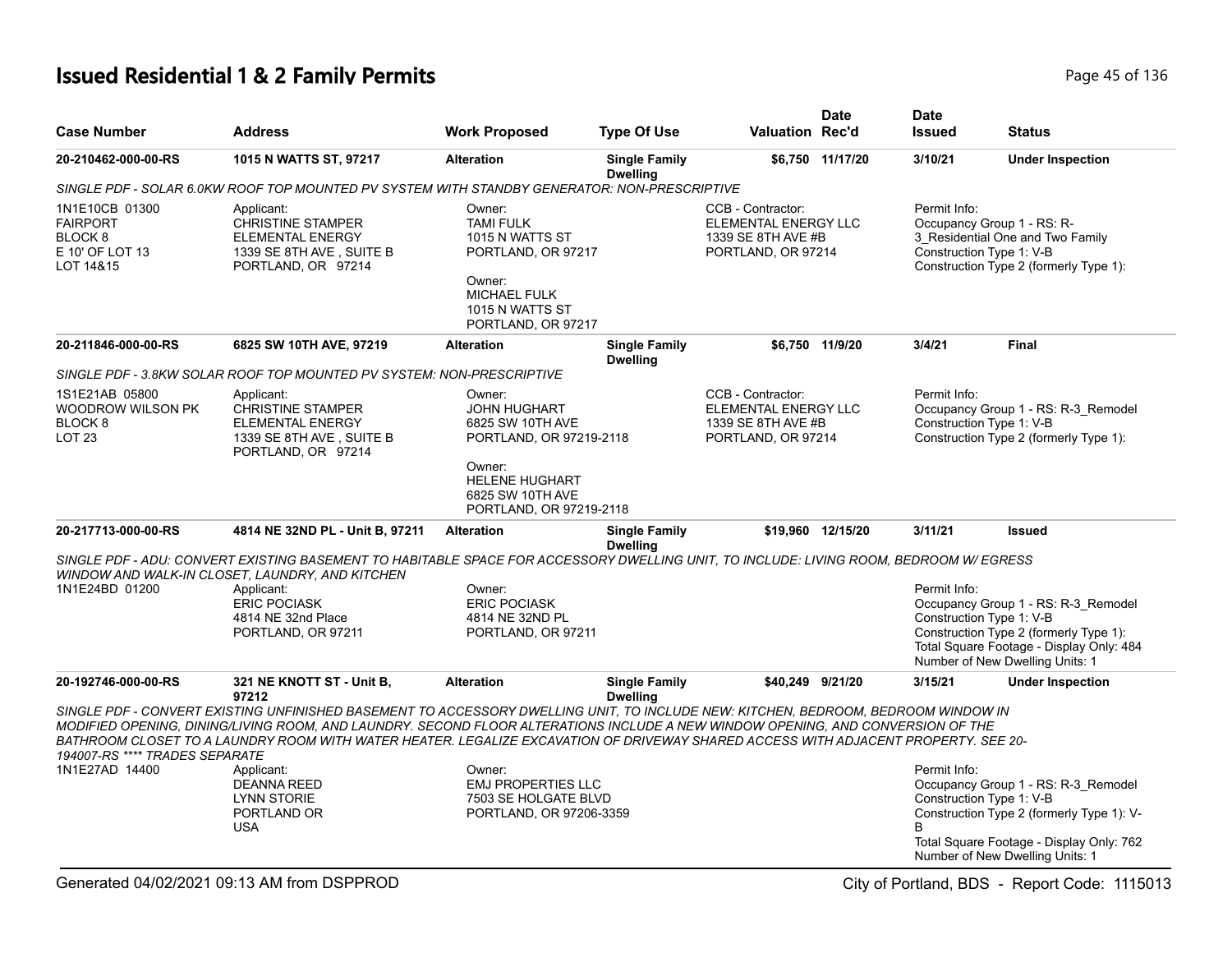# **Issued Residential 1 & 2 Family Permits Page 15 of 136** Page 45 of 136

| <b>Case Number</b>                                                                      | <b>Address</b>                                                                                                                                                                                                                                                                                                                                                                                             | <b>Work Proposed</b>                                                                                                                          | <b>Type Of Use</b>                      | <b>Valuation Rec'd</b>                                                                | <b>Date</b>       | <b>Date</b><br><b>Issued</b>             | <b>Status</b>                                                                                                                                                   |
|-----------------------------------------------------------------------------------------|------------------------------------------------------------------------------------------------------------------------------------------------------------------------------------------------------------------------------------------------------------------------------------------------------------------------------------------------------------------------------------------------------------|-----------------------------------------------------------------------------------------------------------------------------------------------|-----------------------------------------|---------------------------------------------------------------------------------------|-------------------|------------------------------------------|-----------------------------------------------------------------------------------------------------------------------------------------------------------------|
| 20-210462-000-00-RS                                                                     | 1015 N WATTS ST, 97217                                                                                                                                                                                                                                                                                                                                                                                     | <b>Alteration</b>                                                                                                                             | <b>Single Family</b><br><b>Dwelling</b> |                                                                                       | \$6,750 11/17/20  | 3/10/21                                  | <b>Under Inspection</b>                                                                                                                                         |
|                                                                                         | SINGLE PDF - SOLAR 6.0KW ROOF TOP MOUNTED PV SYSTEM WITH STANDBY GENERATOR: NON-PRESCRIPTIVE                                                                                                                                                                                                                                                                                                               |                                                                                                                                               |                                         |                                                                                       |                   |                                          |                                                                                                                                                                 |
| 1N1E10CB 01300<br><b>FAIRPORT</b><br>BLOCK <sub>8</sub><br>E 10' OF LOT 13<br>LOT 14&15 | Applicant:<br><b>CHRISTINE STAMPER</b><br>ELEMENTAL ENERGY<br>1339 SE 8TH AVE, SUITE B<br>PORTLAND, OR 97214                                                                                                                                                                                                                                                                                               | Owner:<br><b>TAMI FULK</b><br>1015 N WATTS ST<br>PORTLAND, OR 97217<br>Owner:<br><b>MICHAEL FULK</b><br>1015 N WATTS ST<br>PORTLAND, OR 97217 |                                         | CCB - Contractor:<br>ELEMENTAL ENERGY LLC<br>1339 SE 8TH AVE #B<br>PORTLAND, OR 97214 |                   | Permit Info:<br>Construction Type 1: V-B | Occupancy Group 1 - RS: R-<br>3_Residential One and Two Family<br>Construction Type 2 (formerly Type 1):                                                        |
| 20-211846-000-00-RS                                                                     | 6825 SW 10TH AVE, 97219                                                                                                                                                                                                                                                                                                                                                                                    | <b>Alteration</b>                                                                                                                             | <b>Single Family</b><br><b>Dwelling</b> |                                                                                       | \$6.750 11/9/20   | 3/4/21                                   | <b>Final</b>                                                                                                                                                    |
|                                                                                         | SINGLE PDF - 3.8KW SOLAR ROOF TOP MOUNTED PV SYSTEM: NON-PRESCRIPTIVE                                                                                                                                                                                                                                                                                                                                      |                                                                                                                                               |                                         |                                                                                       |                   |                                          |                                                                                                                                                                 |
| 1S1E21AB 05800<br>WOODROW WILSON PK<br>BLOCK <sub>8</sub><br><b>LOT 23</b>              | Applicant:<br><b>CHRISTINE STAMPER</b><br><b>ELEMENTAL ENERGY</b><br>1339 SE 8TH AVE, SUITE B<br>PORTLAND, OR 97214                                                                                                                                                                                                                                                                                        | Owner:<br><b>JOHN HUGHART</b><br>6825 SW 10TH AVE<br>PORTLAND, OR 97219-2118<br>Owner:                                                        |                                         | CCB - Contractor:<br>ELEMENTAL ENERGY LLC<br>1339 SE 8TH AVE #B<br>PORTLAND, OR 97214 |                   | Permit Info:<br>Construction Type 1: V-B | Occupancy Group 1 - RS: R-3_Remodel<br>Construction Type 2 (formerly Type 1):                                                                                   |
|                                                                                         |                                                                                                                                                                                                                                                                                                                                                                                                            | <b>HELENE HUGHART</b><br>6825 SW 10TH AVE<br>PORTLAND, OR 97219-2118                                                                          |                                         |                                                                                       |                   |                                          |                                                                                                                                                                 |
| 20-217713-000-00-RS                                                                     | 4814 NE 32ND PL - Unit B, 97211                                                                                                                                                                                                                                                                                                                                                                            | <b>Alteration</b>                                                                                                                             | <b>Single Family</b>                    |                                                                                       | \$19,960 12/15/20 | 3/11/21                                  | <b>Issued</b>                                                                                                                                                   |
| 1N1E24BD 01200                                                                          | SINGLE PDF - ADU: CONVERT EXISTING BASEMENT TO HABITABLE SPACE FOR ACCESSORY DWELLING UNIT. TO INCLUDE: LIVING ROOM, BEDROOM W/ EGRESS<br>WINDOW AND WALK-IN CLOSET, LAUNDRY, AND KITCHEN<br>Applicant:<br><b>ERIC POCIASK</b><br>4814 NE 32nd Place<br>PORTLAND, OR 97211                                                                                                                                 | Owner:<br><b>ERIC POCIASK</b><br>4814 NE 32ND PL<br>PORTLAND, OR 97211                                                                        | <b>Dwelling</b>                         |                                                                                       |                   | Permit Info:<br>Construction Type 1: V-B | Occupancy Group 1 - RS: R-3_Remodel<br>Construction Type 2 (formerly Type 1):<br>Total Square Footage - Display Only: 484<br>Number of New Dwelling Units: 1    |
| 20-192746-000-00-RS                                                                     | 321 NE KNOTT ST - Unit B,<br>97212                                                                                                                                                                                                                                                                                                                                                                         | <b>Alteration</b>                                                                                                                             | <b>Single Family</b><br><b>Dwelling</b> | \$40,249 9/21/20                                                                      |                   | 3/15/21                                  | <b>Under Inspection</b>                                                                                                                                         |
| 194007-RS **** TRADES SEPARATE                                                          | SINGLE PDF - CONVERT EXISTING UNFINISHED BASEMENT TO ACCESSORY DWELLING UNIT, TO INCLUDE NEW: KITCHEN, BEDROOM, BEDROOM WINDOW IN<br>MODIFIED OPENING. DINING/LIVING ROOM. AND LAUNDRY. SECOND FLOOR ALTERATIONS INCLUDE A NEW WINDOW OPENING. AND CONVERSION OF THE<br>BATHROOM CLOSET TO A LAUNDRY ROOM WITH WATER HEATER. LEGALIZE EXCAVATION OF DRIVEWAY SHARED ACCESS WITH ADJACENT PROPERTY. SEE 20- |                                                                                                                                               |                                         |                                                                                       |                   |                                          |                                                                                                                                                                 |
| 1N1E27AD 14400                                                                          | Applicant:<br><b>DEANNA REED</b><br>LYNN STORIE<br>PORTLAND OR<br><b>USA</b>                                                                                                                                                                                                                                                                                                                               | Owner:<br><b>EMJ PROPERTIES LLC</b><br>7503 SE HOLGATE BLVD<br>PORTLAND, OR 97206-3359                                                        |                                         |                                                                                       |                   | Permit Info:<br>Construction Type 1: V-B | Occupancy Group 1 - RS: R-3_Remodel<br>Construction Type 2 (formerly Type 1): V-<br>Total Square Footage - Display Only: 762<br>Number of New Dwelling Units: 1 |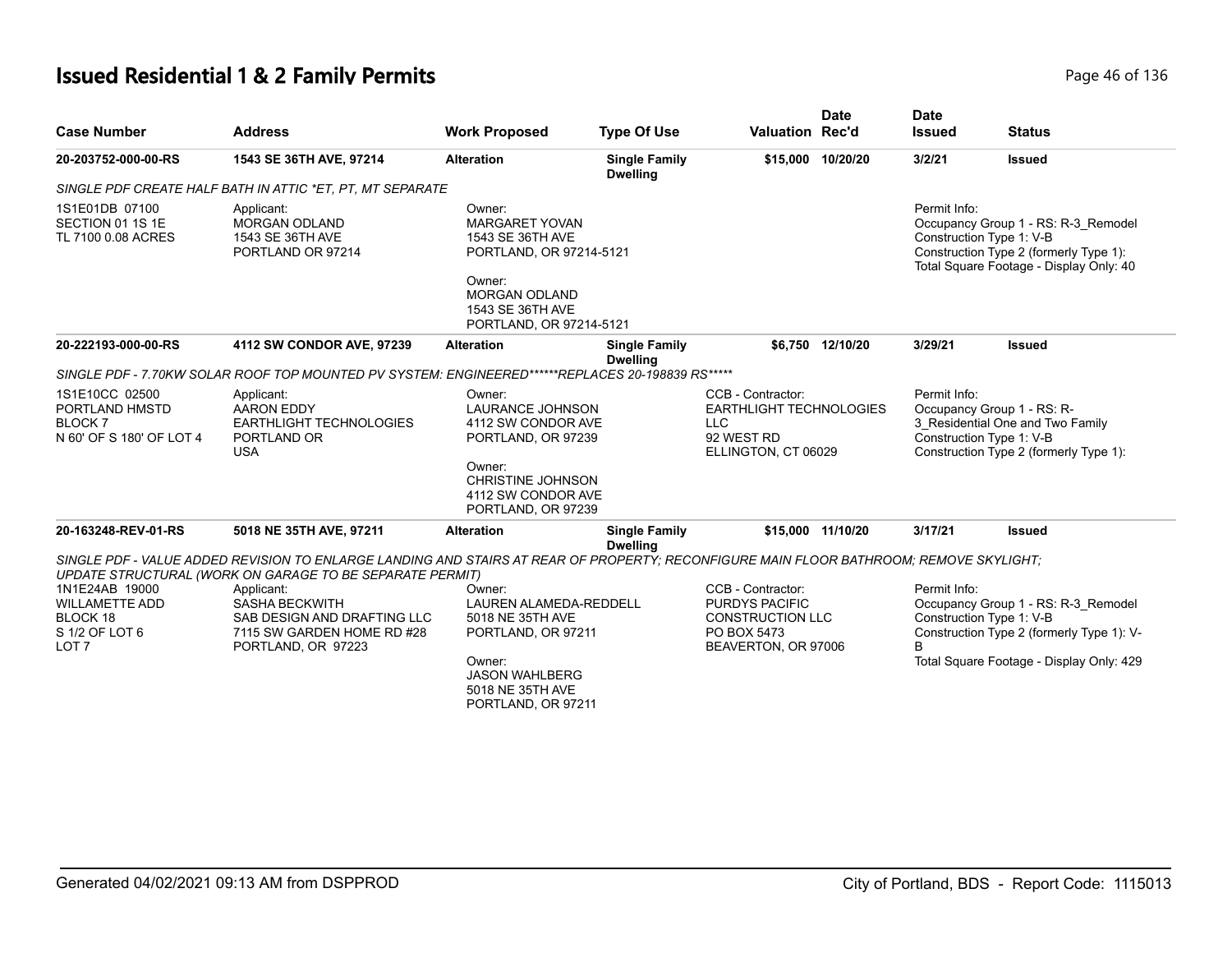# **Issued Residential 1 & 2 Family Permits Page 16 of 136** Page 46 of 136

| <b>Case Number</b>                                                                        | <b>Address</b>                                                                                                                                                                                     | <b>Work Proposed</b>                                                                                                                                           | <b>Type Of Use</b>                      | <b>Valuation Rec'd</b>                                                                                      | <b>Date</b>       | <b>Date</b><br><b>Issued</b> | <b>Status</b>                                                                                                                                            |
|-------------------------------------------------------------------------------------------|----------------------------------------------------------------------------------------------------------------------------------------------------------------------------------------------------|----------------------------------------------------------------------------------------------------------------------------------------------------------------|-----------------------------------------|-------------------------------------------------------------------------------------------------------------|-------------------|------------------------------|----------------------------------------------------------------------------------------------------------------------------------------------------------|
| 20-203752-000-00-RS                                                                       | 1543 SE 36TH AVE, 97214                                                                                                                                                                            | <b>Alteration</b>                                                                                                                                              | <b>Single Family</b><br><b>Dwelling</b> |                                                                                                             | \$15.000 10/20/20 | 3/2/21                       | <b>Issued</b>                                                                                                                                            |
|                                                                                           | SINGLE PDF CREATE HALF BATH IN ATTIC *ET, PT, MT SEPARATE                                                                                                                                          |                                                                                                                                                                |                                         |                                                                                                             |                   |                              |                                                                                                                                                          |
| 1S1E01DB 07100<br>SECTION 01 1S 1E<br>TL 7100 0.08 ACRES                                  | Applicant:<br><b>MORGAN ODLAND</b><br>1543 SE 36TH AVE<br>PORTLAND OR 97214                                                                                                                        | Owner:<br><b>MARGARET YOVAN</b><br>1543 SE 36TH AVE<br>PORTLAND, OR 97214-5121<br>Owner:                                                                       |                                         |                                                                                                             |                   | Permit Info:                 | Occupancy Group 1 - RS: R-3 Remodel<br>Construction Type 1: V-B<br>Construction Type 2 (formerly Type 1):<br>Total Square Footage - Display Only: 40     |
|                                                                                           |                                                                                                                                                                                                    | <b>MORGAN ODLAND</b><br>1543 SE 36TH AVE<br>PORTLAND, OR 97214-5121                                                                                            |                                         |                                                                                                             |                   |                              |                                                                                                                                                          |
| 20-222193-000-00-RS                                                                       | 4112 SW CONDOR AVE, 97239                                                                                                                                                                          | <b>Alteration</b>                                                                                                                                              | <b>Single Family</b><br><b>Dwelling</b> |                                                                                                             | \$6,750 12/10/20  | 3/29/21                      | <b>Issued</b>                                                                                                                                            |
|                                                                                           | SINGLE PDF - 7.70KW SOLAR ROOF TOP MOUNTED PV SYSTEM: ENGINEERED******REPLACES 20-198839 RS*****                                                                                                   |                                                                                                                                                                |                                         |                                                                                                             |                   |                              |                                                                                                                                                          |
| 1S1E10CC 02500<br>PORTLAND HMSTD<br><b>BLOCK7</b><br>N 60' OF S 180' OF LOT 4             | Applicant:<br><b>AARON EDDY</b><br>EARTHLIGHT TECHNOLOGIES<br>PORTLAND OR<br><b>USA</b>                                                                                                            | Owner:<br><b>LAURANCE JOHNSON</b><br>4112 SW CONDOR AVE<br>PORTLAND, OR 97239<br>Owner:                                                                        |                                         | CCB - Contractor:<br><b>EARTHLIGHT TECHNOLOGIES</b><br><b>LLC</b><br>92 WEST RD<br>ELLINGTON, CT 06029      |                   | Permit Info:                 | Occupancy Group 1 - RS: R-<br>3 Residential One and Two Family<br>Construction Type 1: V-B<br>Construction Type 2 (formerly Type 1):                     |
|                                                                                           |                                                                                                                                                                                                    | <b>CHRISTINE JOHNSON</b><br>4112 SW CONDOR AVE<br>PORTLAND, OR 97239                                                                                           |                                         |                                                                                                             |                   |                              |                                                                                                                                                          |
| 20-163248-REV-01-RS                                                                       | 5018 NE 35TH AVE, 97211                                                                                                                                                                            | <b>Alteration</b>                                                                                                                                              | <b>Single Family</b><br><b>Dwelling</b> |                                                                                                             | \$15,000 11/10/20 | 3/17/21                      | <b>Issued</b>                                                                                                                                            |
|                                                                                           | SINGLE PDF - VALUE ADDED REVISION TO ENLARGE LANDING AND STAIRS AT REAR OF PROPERTY: RECONFIGURE MAIN FLOOR BATHROOM: REMOVE SKYLIGHT:<br>UPDATE STRUCTURAL (WORK ON GARAGE TO BE SEPARATE PERMIT) |                                                                                                                                                                |                                         |                                                                                                             |                   |                              |                                                                                                                                                          |
| 1N1E24AB 19000<br><b>WILLAMETTE ADD</b><br>BLOCK 18<br>S 1/2 OF LOT 6<br>LOT <sub>7</sub> | Applicant:<br><b>SASHA BECKWITH</b><br>SAB DESIGN AND DRAFTING LLC<br>7115 SW GARDEN HOME RD #28<br>PORTLAND, OR 97223                                                                             | Owner:<br><b>LAUREN ALAMEDA-REDDELL</b><br>5018 NE 35TH AVE<br>PORTLAND, OR 97211<br>Owner:<br><b>JASON WAHLBERG</b><br>5018 NE 35TH AVE<br>PORTLAND, OR 97211 |                                         | CCB - Contractor:<br><b>PURDYS PACIFIC</b><br><b>CONSTRUCTION LLC</b><br>PO BOX 5473<br>BEAVERTON, OR 97006 |                   | Permit Info:<br>B            | Occupancy Group 1 - RS: R-3 Remodel<br>Construction Type 1: V-B<br>Construction Type 2 (formerly Type 1): V-<br>Total Square Footage - Display Only: 429 |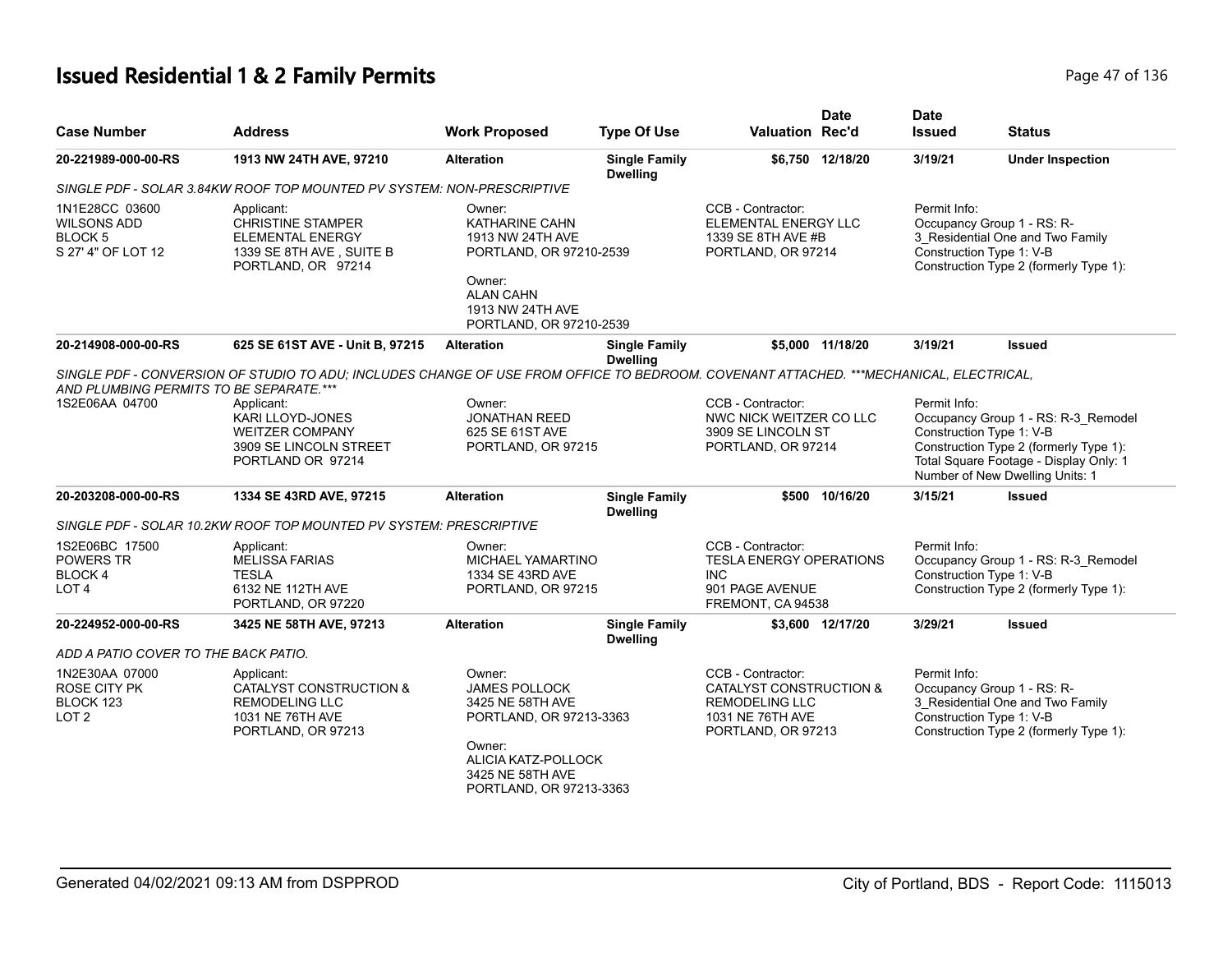# **Issued Residential 1 & 2 Family Permits Page 17 of 136** Page 47 of 136

| <b>Case Number</b>                                                          | <b>Address</b>                                                                                                                         | <b>Work Proposed</b>                                                                                                                                        | <b>Type Of Use</b>                      | <b>Valuation Rec'd</b>                                                                                          | <b>Date</b>      | <b>Date</b><br><b>Issued</b>             | <b>Status</b>                                                                                                                                              |
|-----------------------------------------------------------------------------|----------------------------------------------------------------------------------------------------------------------------------------|-------------------------------------------------------------------------------------------------------------------------------------------------------------|-----------------------------------------|-----------------------------------------------------------------------------------------------------------------|------------------|------------------------------------------|------------------------------------------------------------------------------------------------------------------------------------------------------------|
| 20-221989-000-00-RS                                                         | 1913 NW 24TH AVE, 97210                                                                                                                | <b>Alteration</b>                                                                                                                                           | <b>Single Family</b><br><b>Dwelling</b> |                                                                                                                 | \$6,750 12/18/20 | 3/19/21                                  | <b>Under Inspection</b>                                                                                                                                    |
|                                                                             | SINGLE PDF - SOLAR 3.84KW ROOF TOP MOUNTED PV SYSTEM: NON-PRESCRIPTIVE                                                                 |                                                                                                                                                             |                                         |                                                                                                                 |                  |                                          |                                                                                                                                                            |
| 1N1E28CC 03600<br><b>WILSONS ADD</b><br><b>BLOCK5</b><br>S 27' 4" OF LOT 12 | Applicant:<br><b>CHRISTINE STAMPER</b><br><b>ELEMENTAL ENERGY</b><br>1339 SE 8TH AVE, SUITE B<br>PORTLAND, OR 97214                    | Owner:<br><b>KATHARINE CAHN</b><br>1913 NW 24TH AVE<br>PORTLAND, OR 97210-2539<br>Owner:<br><b>ALAN CAHN</b><br>1913 NW 24TH AVE<br>PORTLAND, OR 97210-2539 |                                         | CCB - Contractor:<br>ELEMENTAL ENERGY LLC<br>1339 SE 8TH AVE #B<br>PORTLAND, OR 97214                           |                  | Permit Info:<br>Construction Type 1: V-B | Occupancy Group 1 - RS: R-<br>3_Residential One and Two Family<br>Construction Type 2 (formerly Type 1):                                                   |
| 20-214908-000-00-RS                                                         | 625 SE 61ST AVE - Unit B, 97215                                                                                                        | <b>Alteration</b>                                                                                                                                           | <b>Single Family</b><br><b>Dwelling</b> |                                                                                                                 | \$5,000 11/18/20 | 3/19/21                                  | <b>Issued</b>                                                                                                                                              |
| AND PLUMBING PERMITS TO BE SEPARATE.***                                     | SINGLE PDF - CONVERSION OF STUDIO TO ADU: INCLUDES CHANGE OF USE FROM OFFICE TO BEDROOM. COVENANT ATTACHED. ***MECHANICAL, ELECTRICAL, |                                                                                                                                                             |                                         |                                                                                                                 |                  |                                          |                                                                                                                                                            |
| 1S2E06AA 04700                                                              | Applicant:<br>KARI LLOYD-JONES<br><b>WEITZER COMPANY</b><br>3909 SE LINCOLN STREET<br>PORTLAND OR 97214                                | Owner:<br><b>JONATHAN REED</b><br>625 SE 61ST AVE<br>PORTLAND, OR 97215                                                                                     |                                         | CCB - Contractor:<br>NWC NICK WEITZER CO LLC<br>3909 SE LINCOLN ST<br>PORTLAND, OR 97214                        |                  | Permit Info:<br>Construction Type 1: V-B | Occupancy Group 1 - RS: R-3_Remodel<br>Construction Type 2 (formerly Type 1):<br>Total Square Footage - Display Only: 1<br>Number of New Dwelling Units: 1 |
| 20-203208-000-00-RS                                                         | 1334 SE 43RD AVE, 97215                                                                                                                | <b>Alteration</b>                                                                                                                                           | <b>Single Family</b><br><b>Dwelling</b> |                                                                                                                 | \$500 10/16/20   | 3/15/21                                  | <b>Issued</b>                                                                                                                                              |
|                                                                             | SINGLE PDF - SOLAR 10.2KW ROOF TOP MOUNTED PV SYSTEM: PRESCRIPTIVE                                                                     |                                                                                                                                                             |                                         |                                                                                                                 |                  |                                          |                                                                                                                                                            |
| 1S2E06BC 17500<br>POWERS TR<br><b>BLOCK4</b><br>LOT <sub>4</sub>            | Applicant:<br><b>MELISSA FARIAS</b><br><b>TESLA</b><br>6132 NE 112TH AVE<br>PORTLAND, OR 97220                                         | Owner:<br><b>MICHAEL YAMARTINO</b><br>1334 SE 43RD AVE<br>PORTLAND, OR 97215                                                                                |                                         | CCB - Contractor:<br><b>TESLA ENERGY OPERATIONS</b><br><b>INC</b><br>901 PAGE AVENUE<br>FREMONT, CA 94538       |                  | Permit Info:<br>Construction Type 1: V-B | Occupancy Group 1 - RS: R-3_Remodel<br>Construction Type 2 (formerly Type 1):                                                                              |
| 20-224952-000-00-RS                                                         | 3425 NE 58TH AVE, 97213                                                                                                                | <b>Alteration</b>                                                                                                                                           | <b>Single Family</b>                    |                                                                                                                 | \$3,600 12/17/20 | 3/29/21                                  | <b>Issued</b>                                                                                                                                              |
| ADD A PATIO COVER TO THE BACK PATIO.                                        |                                                                                                                                        |                                                                                                                                                             | <b>Dwelling</b>                         |                                                                                                                 |                  |                                          |                                                                                                                                                            |
| 1N2E30AA 07000<br><b>ROSE CITY PK</b><br>BLOCK 123<br>LOT <sub>2</sub>      | Applicant:<br>CATALYST CONSTRUCTION &<br><b>REMODELING LLC</b><br>1031 NE 76TH AVE<br>PORTLAND, OR 97213                               | Owner:<br>JAMES POLLOCK<br>3425 NE 58TH AVE<br>PORTLAND, OR 97213-3363<br>Owner:<br>ALICIA KATZ-POLLOCK<br>3425 NE 58TH AVE<br>PORTLAND, OR 97213-3363      |                                         | CCB - Contractor:<br>CATALYST CONSTRUCTION &<br><b>REMODELING LLC</b><br>1031 NE 76TH AVE<br>PORTLAND, OR 97213 |                  | Permit Info:<br>Construction Type 1: V-B | Occupancy Group 1 - RS: R-<br>3 Residential One and Two Family<br>Construction Type 2 (formerly Type 1):                                                   |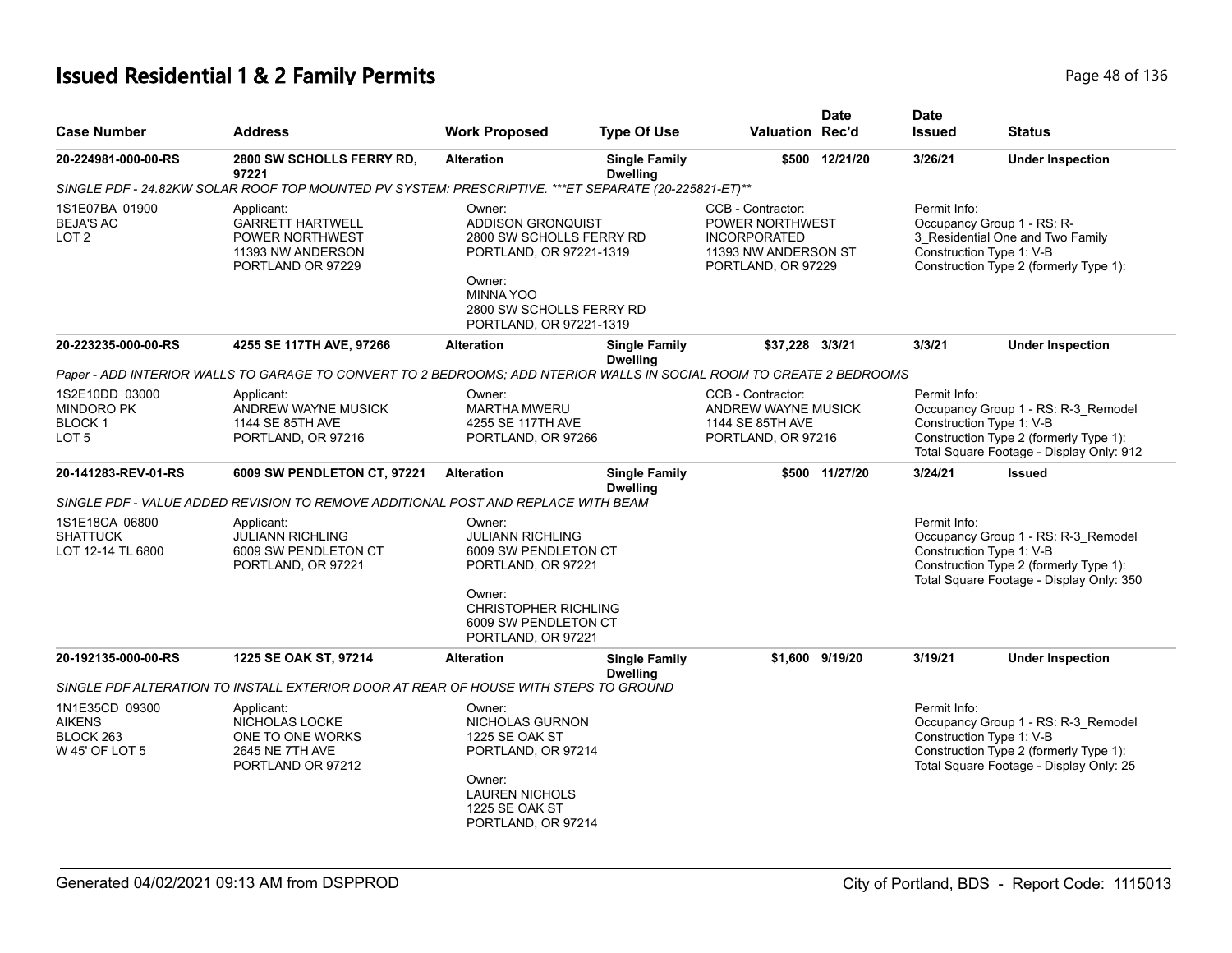# **Issued Residential 1 & 2 Family Permits Page 18 of 136** Page 48 of 136

| <b>Case Number</b>                                                       | <b>Address</b>                                                                                                       | <b>Work Proposed</b>                                                                                                                                                           | <b>Type Of Use</b>                      | Valuation Rec'd                                                                                                  | <b>Date</b>     | <b>Date</b><br><b>Issued</b>             | <b>Status</b>                                                                                                             |
|--------------------------------------------------------------------------|----------------------------------------------------------------------------------------------------------------------|--------------------------------------------------------------------------------------------------------------------------------------------------------------------------------|-----------------------------------------|------------------------------------------------------------------------------------------------------------------|-----------------|------------------------------------------|---------------------------------------------------------------------------------------------------------------------------|
| 20-224981-000-00-RS                                                      | 2800 SW SCHOLLS FERRY RD,<br>97221                                                                                   | <b>Alteration</b>                                                                                                                                                              | <b>Single Family</b><br><b>Dwelling</b> |                                                                                                                  | \$500 12/21/20  | 3/26/21                                  | <b>Under Inspection</b>                                                                                                   |
|                                                                          | SINGLE PDF - 24.82KW SOLAR ROOF TOP MOUNTED PV SYSTEM: PRESCRIPTIVE. *** ET SEPARATE (20-225821-ET)**                |                                                                                                                                                                                |                                         |                                                                                                                  |                 |                                          |                                                                                                                           |
| 1S1E07BA 01900<br><b>BEJA'S AC</b><br>LOT <sub>2</sub>                   | Applicant:<br><b>GARRETT HARTWELL</b><br>POWER NORTHWEST<br>11393 NW ANDERSON<br>PORTLAND OR 97229                   | Owner:<br><b>ADDISON GRONQUIST</b><br>2800 SW SCHOLLS FERRY RD<br>PORTLAND, OR 97221-1319<br>Owner:<br><b>MINNA YOO</b><br>2800 SW SCHOLLS FERRY RD<br>PORTLAND, OR 97221-1319 |                                         | CCB - Contractor:<br><b>POWER NORTHWEST</b><br><b>INCORPORATED</b><br>11393 NW ANDERSON ST<br>PORTLAND, OR 97229 |                 | Permit Info:<br>Construction Type 1: V-B | Occupancy Group 1 - RS: R-<br>3 Residential One and Two Family<br>Construction Type 2 (formerly Type 1):                  |
| 20-223235-000-00-RS                                                      | 4255 SE 117TH AVE, 97266                                                                                             | <b>Alteration</b>                                                                                                                                                              | <b>Single Family</b><br><b>Dwelling</b> | \$37,228 3/3/21                                                                                                  |                 | 3/3/21                                   | <b>Under Inspection</b>                                                                                                   |
|                                                                          | Paper - ADD INTERIOR WALLS TO GARAGE TO CONVERT TO 2 BEDROOMS: ADD NTERIOR WALLS IN SOCIAL ROOM TO CREATE 2 BEDROOMS |                                                                                                                                                                                |                                         |                                                                                                                  |                 |                                          |                                                                                                                           |
| 1S2E10DD 03000<br><b>MINDORO PK</b><br><b>BLOCK1</b><br>LOT <sub>5</sub> | Applicant:<br>ANDREW WAYNE MUSICK<br>1144 SE 85TH AVE<br>PORTLAND, OR 97216                                          | Owner:<br><b>MARTHA MWERU</b><br>4255 SE 117TH AVE<br>PORTLAND, OR 97266                                                                                                       |                                         | CCB - Contractor:<br>ANDREW WAYNE MUSICK<br>1144 SE 85TH AVE<br>PORTLAND, OR 97216                               |                 | Permit Info:<br>Construction Type 1: V-B | Occupancy Group 1 - RS: R-3_Remodel<br>Construction Type 2 (formerly Type 1):<br>Total Square Footage - Display Only: 912 |
| 20-141283-REV-01-RS                                                      | 6009 SW PENDLETON CT, 97221                                                                                          | <b>Alteration</b>                                                                                                                                                              | <b>Single Family</b><br><b>Dwelling</b> |                                                                                                                  | \$500 11/27/20  | 3/24/21                                  | <b>Issued</b>                                                                                                             |
|                                                                          | SINGLE PDF - VALUE ADDED REVISION TO REMOVE ADDITIONAL POST AND REPLACE WITH BEAM                                    |                                                                                                                                                                                |                                         |                                                                                                                  |                 |                                          |                                                                                                                           |
| 1S1E18CA 06800<br><b>SHATTUCK</b><br>LOT 12-14 TL 6800                   | Applicant:<br><b>JULIANN RICHLING</b><br>6009 SW PENDLETON CT<br>PORTLAND, OR 97221                                  | Owner:<br><b>JULIANN RICHLING</b><br>6009 SW PENDLETON CT<br>PORTLAND, OR 97221<br>Owner:                                                                                      |                                         |                                                                                                                  |                 | Permit Info:<br>Construction Type 1: V-B | Occupancy Group 1 - RS: R-3_Remodel<br>Construction Type 2 (formerly Type 1):<br>Total Square Footage - Display Only: 350 |
|                                                                          |                                                                                                                      | <b>CHRISTOPHER RICHLING</b><br>6009 SW PENDLETON CT<br>PORTLAND, OR 97221                                                                                                      |                                         |                                                                                                                  |                 |                                          |                                                                                                                           |
| 20-192135-000-00-RS                                                      | 1225 SE OAK ST, 97214                                                                                                | <b>Alteration</b>                                                                                                                                                              | <b>Single Family</b><br><b>Dwelling</b> |                                                                                                                  | \$1.600 9/19/20 | 3/19/21                                  | <b>Under Inspection</b>                                                                                                   |
|                                                                          | SINGLE PDF ALTERATION TO INSTALL EXTERIOR DOOR AT REAR OF HOUSE WITH STEPS TO GROUND                                 |                                                                                                                                                                                |                                         |                                                                                                                  |                 |                                          |                                                                                                                           |
| 1N1E35CD 09300<br><b>AIKENS</b><br>BLOCK 263<br>W 45' OF LOT 5           | Applicant:<br>NICHOLAS LOCKE<br>ONE TO ONE WORKS<br>2645 NE 7TH AVE<br>PORTLAND OR 97212                             | Owner:<br>NICHOLAS GURNON<br>1225 SE OAK ST<br>PORTLAND, OR 97214<br>Owner:<br><b>LAUREN NICHOLS</b><br>1225 SE OAK ST<br>PORTLAND, OR 97214                                   |                                         |                                                                                                                  |                 | Permit Info:<br>Construction Type 1: V-B | Occupancy Group 1 - RS: R-3_Remodel<br>Construction Type 2 (formerly Type 1):<br>Total Square Footage - Display Only: 25  |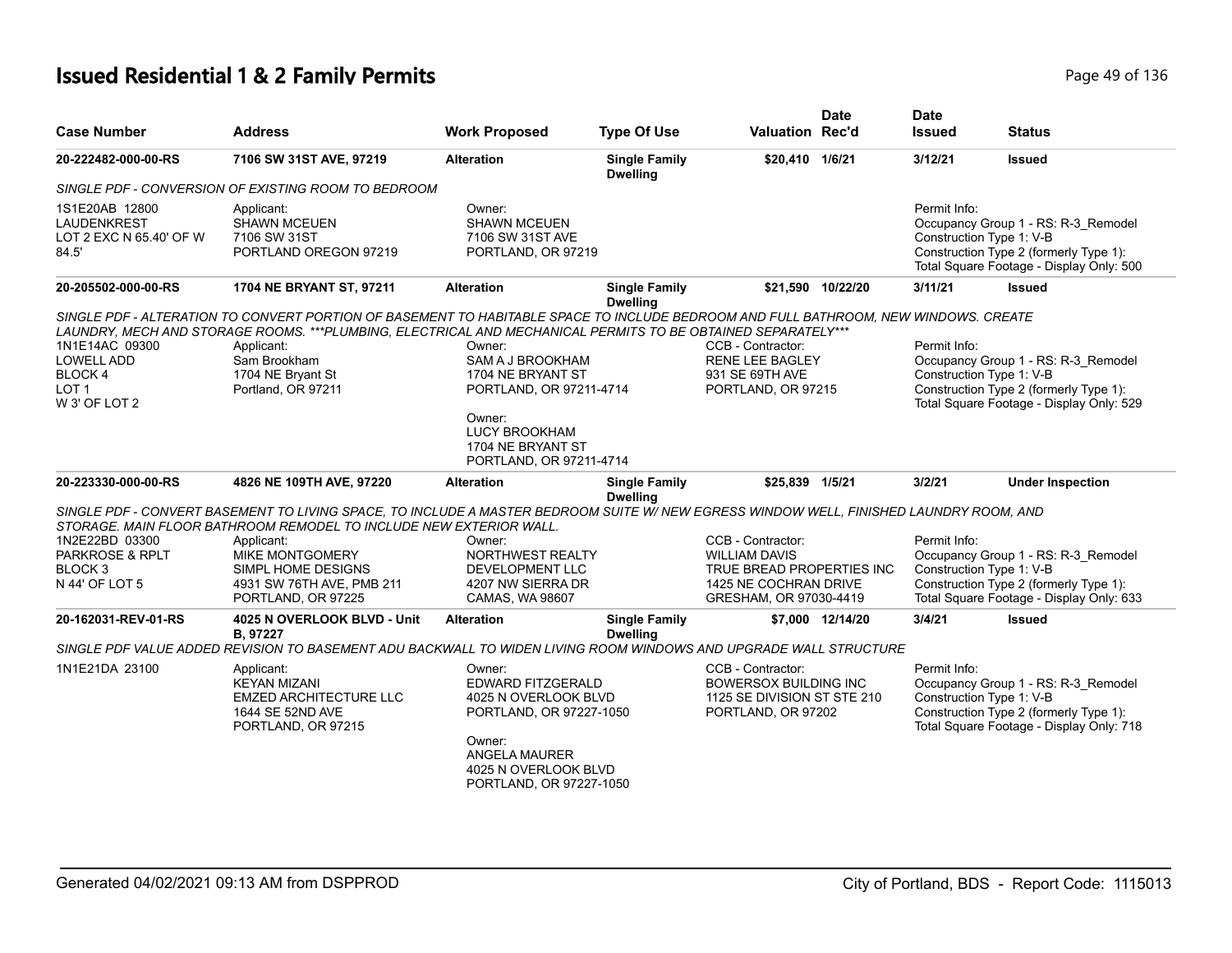# **Issued Residential 1 & 2 Family Permits Page 19 of 136** Page 49 of 136

| <b>Case Number</b>                                                                  | <b>Address</b>                                                                                                                                                                                               | <b>Work Proposed</b>                                                                                                                                                | <b>Type Of Use</b>                      | <b>Valuation Rec'd</b>                                                                                                    | <b>Date</b>       | <b>Date</b><br><b>Issued</b>             | <b>Status</b>                                                                                                             |
|-------------------------------------------------------------------------------------|--------------------------------------------------------------------------------------------------------------------------------------------------------------------------------------------------------------|---------------------------------------------------------------------------------------------------------------------------------------------------------------------|-----------------------------------------|---------------------------------------------------------------------------------------------------------------------------|-------------------|------------------------------------------|---------------------------------------------------------------------------------------------------------------------------|
| 20-222482-000-00-RS                                                                 | 7106 SW 31ST AVE, 97219                                                                                                                                                                                      | <b>Alteration</b>                                                                                                                                                   | <b>Single Family</b><br><b>Dwelling</b> | \$20,410 1/6/21                                                                                                           |                   | 3/12/21                                  | <b>Issued</b>                                                                                                             |
|                                                                                     | SINGLE PDF - CONVERSION OF EXISTING ROOM TO BEDROOM                                                                                                                                                          |                                                                                                                                                                     |                                         |                                                                                                                           |                   |                                          |                                                                                                                           |
| 1S1E20AB 12800<br><b>LAUDENKREST</b><br>LOT 2 EXC N 65.40' OF W<br>84.5'            | Applicant:<br><b>SHAWN MCEUEN</b><br>7106 SW 31ST<br>PORTLAND OREGON 97219                                                                                                                                   | Owner:<br><b>SHAWN MCEUEN</b><br>7106 SW 31ST AVE<br>PORTLAND, OR 97219                                                                                             |                                         |                                                                                                                           |                   | Permit Info:<br>Construction Type 1: V-B | Occupancy Group 1 - RS: R-3_Remodel<br>Construction Type 2 (formerly Type 1):<br>Total Square Footage - Display Only: 500 |
| 20-205502-000-00-RS                                                                 | 1704 NE BRYANT ST, 97211                                                                                                                                                                                     | <b>Alteration</b>                                                                                                                                                   | <b>Single Family</b><br><b>Dwelling</b> |                                                                                                                           | \$21,590 10/22/20 | 3/11/21                                  | <b>Issued</b>                                                                                                             |
| 1N1E14AC 09300<br><b>LOWELL ADD</b><br>BLOCK 4<br>LOT <sub>1</sub><br>W 3' OF LOT 2 | LAUNDRY, MECH AND STORAGE ROOMS. ***PLUMBING, ELECTRICAL AND MECHANICAL PERMITS TO BE OBTAINED SEPARATELY***<br>Applicant:<br>Sam Brookham<br>1704 NE Bryant St<br>Portland, OR 97211                        | Owner:<br>SAM A J BROOKHAM<br>1704 NE BRYANT ST<br>PORTLAND, OR 97211-4714<br>Owner:<br><b>LUCY BROOKHAM</b><br>1704 NE BRYANT ST<br>PORTLAND, OR 97211-4714        |                                         | CCB - Contractor:<br><b>RENE LEE BAGLEY</b><br>931 SE 69TH AVE<br>PORTLAND, OR 97215                                      |                   | Permit Info:<br>Construction Type 1: V-B | Occupancy Group 1 - RS: R-3_Remodel<br>Construction Type 2 (formerly Type 1):<br>Total Square Footage - Display Only: 529 |
| 20-223330-000-00-RS                                                                 | 4826 NE 109TH AVE, 97220                                                                                                                                                                                     | <b>Alteration</b>                                                                                                                                                   | <b>Single Family</b><br><b>Dwelling</b> | \$25,839 1/5/21                                                                                                           |                   | 3/2/21                                   | <b>Under Inspection</b>                                                                                                   |
|                                                                                     | SINGLE PDF - CONVERT BASEMENT TO LIVING SPACE, TO INCLUDE A MASTER BEDROOM SUITE W/ NEW EGRESS WINDOW WELL, FINISHED LAUNDRY ROOM, AND<br>STORAGE. MAIN FLOOR BATHROOM REMODEL TO INCLUDE NEW EXTERIOR WALL. |                                                                                                                                                                     |                                         |                                                                                                                           |                   |                                          |                                                                                                                           |
| 1N2E22BD 03300<br>PARKROSE & RPLT<br>BLOCK <sub>3</sub><br>N 44' OF LOT 5           | Applicant:<br><b>MIKE MONTGOMERY</b><br>SIMPL HOME DESIGNS<br>4931 SW 76TH AVE, PMB 211<br>PORTLAND, OR 97225                                                                                                | Owner:<br>NORTHWEST REALTY<br><b>DEVELOPMENT LLC</b><br>4207 NW SIERRA DR<br>CAMAS, WA 98607                                                                        |                                         | CCB - Contractor:<br><b>WILLIAM DAVIS</b><br>TRUE BREAD PROPERTIES INC<br>1425 NE COCHRAN DRIVE<br>GRESHAM, OR 97030-4419 |                   | Permit Info:<br>Construction Type 1: V-B | Occupancy Group 1 - RS: R-3_Remodel<br>Construction Type 2 (formerly Type 1):<br>Total Square Footage - Display Only: 633 |
| 20-162031-REV-01-RS                                                                 | 4025 N OVERLOOK BLVD - Unit<br>B, 97227                                                                                                                                                                      | <b>Alteration</b>                                                                                                                                                   | <b>Single Family</b><br><b>Dwelling</b> |                                                                                                                           | \$7.000 12/14/20  | 3/4/21                                   | <b>Issued</b>                                                                                                             |
|                                                                                     | SINGLE PDF VALUE ADDED REVISION TO BASEMENT ADU BACKWALL TO WIDEN LIVING ROOM WINDOWS AND UPGRADE WALL STRUCTURE                                                                                             |                                                                                                                                                                     |                                         |                                                                                                                           |                   |                                          |                                                                                                                           |
| 1N1E21DA 23100                                                                      | Applicant:<br><b>KEYAN MIZANI</b><br><b>EMZED ARCHITECTURE LLC</b><br>1644 SE 52ND AVE<br>PORTLAND, OR 97215                                                                                                 | Owner:<br><b>EDWARD FITZGERALD</b><br>4025 N OVERLOOK BLVD<br>PORTLAND, OR 97227-1050<br>Owner:<br>ANGELA MAURER<br>4025 N OVERLOOK BLVD<br>PORTLAND, OR 97227-1050 |                                         | CCB - Contractor:<br><b>BOWERSOX BUILDING INC</b><br>1125 SE DIVISION ST STE 210<br>PORTLAND, OR 97202                    |                   | Permit Info:<br>Construction Type 1: V-B | Occupancy Group 1 - RS: R-3_Remodel<br>Construction Type 2 (formerly Type 1):<br>Total Square Footage - Display Only: 718 |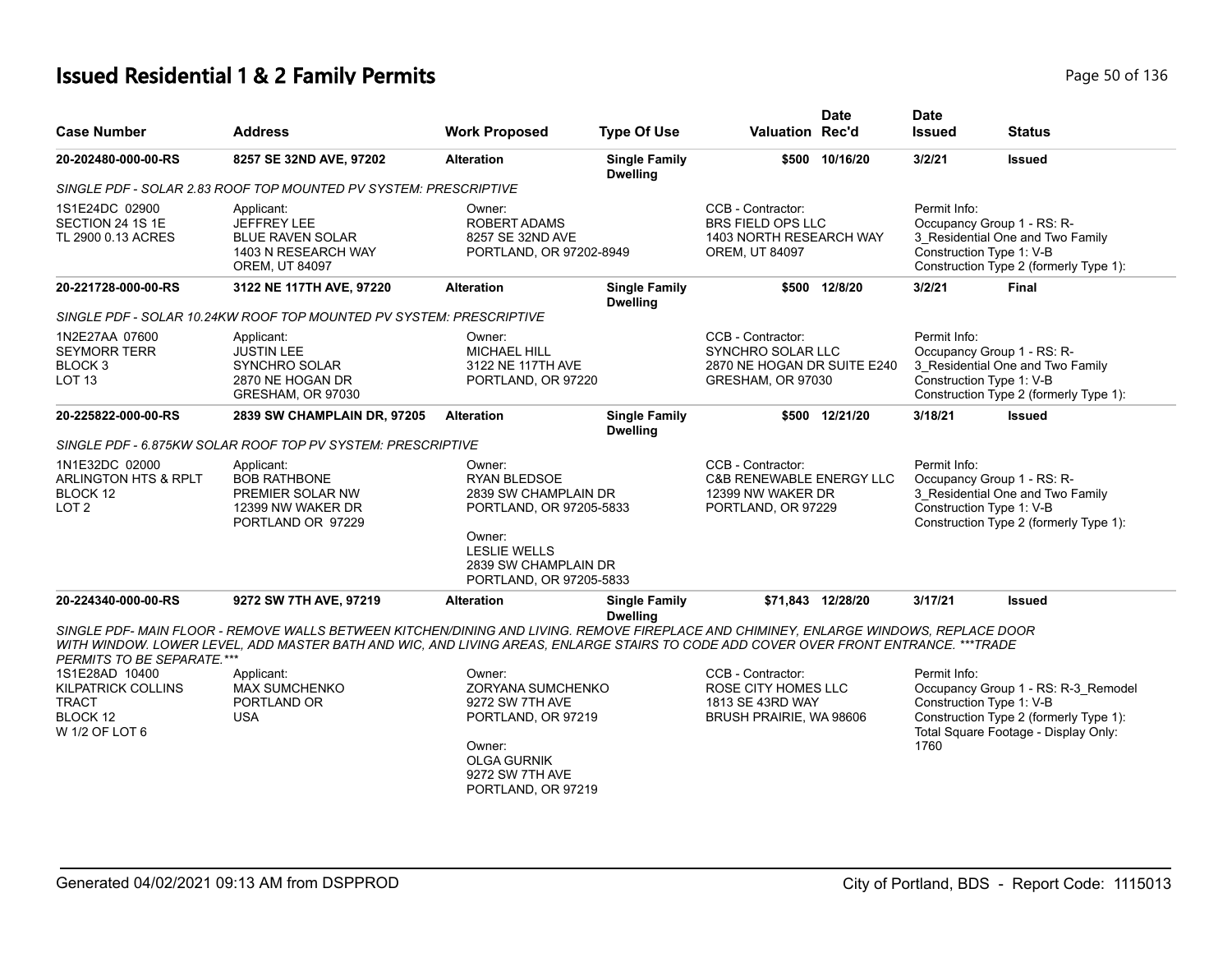# **Issued Residential 1 & 2 Family Permits Page 10 01 136** Page 50 of 136

| <b>Case Number</b>                                                               | <b>Address</b>                                                                                                                                                                                                                                                               | <b>Work Proposed</b>                                                                                                                                                 | <b>Type Of Use</b>                      | <b>Valuation Rec'd</b>                                                                              | <b>Date</b>    | <b>Date</b><br><b>Issued</b> | <b>Status</b>                                                                                                                        |
|----------------------------------------------------------------------------------|------------------------------------------------------------------------------------------------------------------------------------------------------------------------------------------------------------------------------------------------------------------------------|----------------------------------------------------------------------------------------------------------------------------------------------------------------------|-----------------------------------------|-----------------------------------------------------------------------------------------------------|----------------|------------------------------|--------------------------------------------------------------------------------------------------------------------------------------|
| 20-202480-000-00-RS                                                              | 8257 SE 32ND AVE, 97202                                                                                                                                                                                                                                                      | <b>Alteration</b>                                                                                                                                                    | <b>Single Family</b><br><b>Dwelling</b> |                                                                                                     | \$500 10/16/20 | 3/2/21                       | Issued                                                                                                                               |
|                                                                                  | SINGLE PDF - SOLAR 2.83 ROOF TOP MOUNTED PV SYSTEM: PRESCRIPTIVE                                                                                                                                                                                                             |                                                                                                                                                                      |                                         |                                                                                                     |                |                              |                                                                                                                                      |
| 1S1E24DC 02900<br>SECTION 24 1S 1E<br>TL 2900 0.13 ACRES                         | Applicant:<br><b>JEFFREY LEE</b><br><b>BLUE RAVEN SOLAR</b><br>1403 N RESEARCH WAY<br><b>OREM, UT 84097</b>                                                                                                                                                                  | Owner:<br><b>ROBERT ADAMS</b><br>8257 SE 32ND AVE<br>PORTLAND, OR 97202-8949                                                                                         |                                         | CCB - Contractor:<br>BRS FIELD OPS LLC<br>1403 NORTH RESEARCH WAY<br>OREM, UT 84097                 |                | Permit Info:                 | Occupancy Group 1 - RS: R-<br>3 Residential One and Two Family<br>Construction Type 1: V-B<br>Construction Type 2 (formerly Type 1): |
| 20-221728-000-00-RS                                                              | 3122 NE 117TH AVE, 97220                                                                                                                                                                                                                                                     | <b>Alteration</b>                                                                                                                                                    | <b>Single Family</b><br><b>Dwelling</b> |                                                                                                     | \$500 12/8/20  | 3/2/21                       | <b>Final</b>                                                                                                                         |
|                                                                                  | SINGLE PDF - SOLAR 10.24KW ROOF TOP MOUNTED PV SYSTEM: PRESCRIPTIVE                                                                                                                                                                                                          |                                                                                                                                                                      |                                         |                                                                                                     |                |                              |                                                                                                                                      |
| 1N2E27AA 07600<br><b>SEYMORR TERR</b><br>BLOCK <sub>3</sub><br>LOT <sub>13</sub> | Applicant:<br><b>JUSTIN LEE</b><br>SYNCHRO SOLAR<br>2870 NE HOGAN DR<br>GRESHAM, OR 97030                                                                                                                                                                                    | Owner:<br><b>MICHAEL HILL</b><br>3122 NE 117TH AVE<br>PORTLAND, OR 97220                                                                                             |                                         | CCB - Contractor:<br><b>SYNCHRO SOLAR LLC</b><br>2870 NE HOGAN DR SUITE E240<br>GRESHAM, OR 97030   |                | Permit Info:                 | Occupancy Group 1 - RS: R-<br>3_Residential One and Two Family<br>Construction Type 1: V-B<br>Construction Type 2 (formerly Type 1): |
| 20-225822-000-00-RS                                                              | 2839 SW CHAMPLAIN DR, 97205                                                                                                                                                                                                                                                  | <b>Alteration</b>                                                                                                                                                    | <b>Single Family</b><br><b>Dwelling</b> |                                                                                                     | \$500 12/21/20 | 3/18/21                      | <b>Issued</b>                                                                                                                        |
|                                                                                  | SINGLE PDF - 6.875KW SOLAR ROOF TOP PV SYSTEM: PRESCRIPTIVE                                                                                                                                                                                                                  |                                                                                                                                                                      |                                         |                                                                                                     |                |                              |                                                                                                                                      |
| 1N1E32DC 02000<br>ARLINGTON HTS & RPLT<br>BLOCK 12<br>LOT <sub>2</sub>           | Applicant:<br><b>BOB RATHBONE</b><br>PREMIER SOLAR NW<br>12399 NW WAKER DR<br>PORTLAND OR 97229                                                                                                                                                                              | Owner:<br><b>RYAN BLEDSOE</b><br>2839 SW CHAMPLAIN DR<br>PORTLAND, OR 97205-5833<br>Owner:<br><b>LESLIE WELLS</b><br>2839 SW CHAMPLAIN DR<br>PORTLAND, OR 97205-5833 |                                         | CCB - Contractor:<br><b>C&amp;B RENEWABLE ENERGY LLC</b><br>12399 NW WAKER DR<br>PORTLAND, OR 97229 |                | Permit Info:                 | Occupancy Group 1 - RS: R-<br>3_Residential One and Two Family<br>Construction Type 1: V-B<br>Construction Type 2 (formerly Type 1): |
| 20-224340-000-00-RS                                                              | 9272 SW 7TH AVE, 97219                                                                                                                                                                                                                                                       | <b>Alteration</b>                                                                                                                                                    | <b>Single Family</b><br><b>Dwelling</b> | \$71,843 12/28/20                                                                                   |                | 3/17/21                      | Issued                                                                                                                               |
| PERMITS TO BE SEPARATE.***                                                       | SINGLE PDF- MAIN FLOOR - REMOVE WALLS BETWEEN KITCHEN/DINING AND LIVING. REMOVE FIREPLACE AND CHIMINEY. ENLARGE WINDOWS. REPLACE DOOR<br>WITH WINDOW. LOWER LEVEL, ADD MASTER BATH AND WIC, AND LIVING AREAS, ENLARGE STAIRS TO CODE ADD COVER OVER FRONT ENTRANCE. ***TRADE |                                                                                                                                                                      |                                         |                                                                                                     |                |                              |                                                                                                                                      |
| 1S1E28AD 10400                                                                   | Applicant:                                                                                                                                                                                                                                                                   | Owner:                                                                                                                                                               |                                         | CCB - Contractor:                                                                                   |                | Permit Info:                 |                                                                                                                                      |
| <b>KILPATRICK COLLINS</b>                                                        | <b>MAX SUMCHENKO</b>                                                                                                                                                                                                                                                         | ZORYANA SUMCHENKO                                                                                                                                                    |                                         | ROSE CITY HOMES LLC                                                                                 |                |                              | Occupancy Group 1 - RS: R-3_Remodel                                                                                                  |
| <b>TRACT</b><br>BLOCK 12<br>W 1/2 OF LOT 6                                       | PORTLAND OR<br><b>USA</b>                                                                                                                                                                                                                                                    | 9272 SW 7TH AVE<br>PORTLAND, OR 97219                                                                                                                                |                                         | 1813 SE 43RD WAY<br>BRUSH PRAIRIE, WA 98606                                                         |                |                              | Construction Type 1: V-B<br>Construction Type 2 (formerly Type 1):<br>Total Square Footage - Display Only:                           |
|                                                                                  |                                                                                                                                                                                                                                                                              | Owner:<br><b>OLGA GURNIK</b><br>9272 SW 7TH AVE<br>PORTLAND, OR 97219                                                                                                |                                         |                                                                                                     |                | 1760                         |                                                                                                                                      |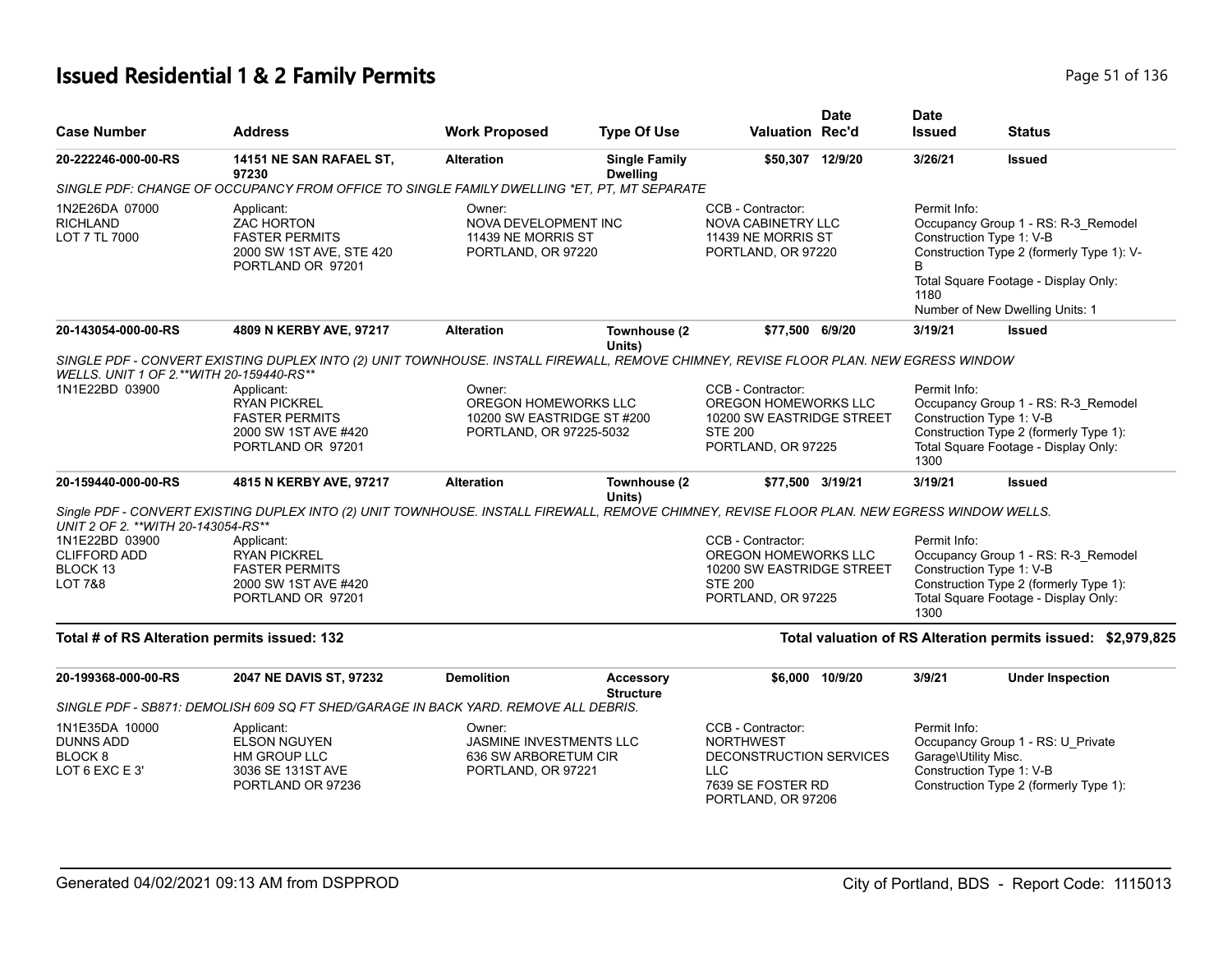# **Issued Residential 1 & 2 Family Permits Page 11 01 136** Page 51 of 136

| <b>Case Number</b>                                                         | <b>Address</b>                                                                                                                              | <b>Work Proposed</b>                                                                    | <b>Type Of Use</b>                      | <b>Valuation Rec'd</b>                                                                                                    | Date            | Date<br><b>Issued</b>                                            | <b>Status</b>                                                                                                                                                                           |
|----------------------------------------------------------------------------|---------------------------------------------------------------------------------------------------------------------------------------------|-----------------------------------------------------------------------------------------|-----------------------------------------|---------------------------------------------------------------------------------------------------------------------------|-----------------|------------------------------------------------------------------|-----------------------------------------------------------------------------------------------------------------------------------------------------------------------------------------|
| 20-222246-000-00-RS                                                        | 14151 NE SAN RAFAEL ST,<br>97230                                                                                                            | <b>Alteration</b>                                                                       | <b>Single Family</b><br><b>Dwelling</b> | \$50,307 12/9/20                                                                                                          |                 | 3/26/21                                                          | <b>Issued</b>                                                                                                                                                                           |
|                                                                            | SINGLE PDF: CHANGE OF OCCUPANCY FROM OFFICE TO SINGLE FAMILY DWELLING *ET, PT, MT SEPARATE                                                  |                                                                                         |                                         |                                                                                                                           |                 |                                                                  |                                                                                                                                                                                         |
| 1N2E26DA 07000<br><b>RICHLAND</b><br>LOT 7 TL 7000                         | Applicant:<br><b>ZAC HORTON</b><br><b>FASTER PERMITS</b><br>2000 SW 1ST AVE, STE 420<br>PORTLAND OR 97201                                   | Owner:<br>NOVA DEVELOPMENT INC<br>11439 NE MORRIS ST<br>PORTLAND, OR 97220              |                                         | CCB - Contractor:<br>NOVA CABINETRY LLC<br>11439 NE MORRIS ST<br>PORTLAND, OR 97220                                       |                 | Permit Info:<br>1180                                             | Occupancy Group 1 - RS: R-3_Remodel<br>Construction Type 1: V-B<br>Construction Type 2 (formerly Type 1): V-<br>Total Square Footage - Display Only:<br>Number of New Dwelling Units: 1 |
| 20-143054-000-00-RS                                                        | 4809 N KERBY AVE, 97217                                                                                                                     | <b>Alteration</b>                                                                       | Townhouse (2<br>Units)                  | \$77,500 6/9/20                                                                                                           |                 | 3/19/21                                                          | <b>Issued</b>                                                                                                                                                                           |
| WELLS. UNIT 1 OF 2.**WITH 20-159440-RS**                                   | SINGLE PDF - CONVERT EXISTING DUPLEX INTO (2) UNIT TOWNHOUSE. INSTALL FIREWALL, REMOVE CHIMNEY, REVISE FLOOR PLAN. NEW EGRESS WINDOW        |                                                                                         |                                         |                                                                                                                           |                 |                                                                  |                                                                                                                                                                                         |
| 1N1E22BD 03900                                                             | Applicant:<br><b>RYAN PICKREL</b><br><b>FASTER PERMITS</b><br>2000 SW 1ST AVE #420<br>PORTLAND OR 97201                                     | Owner:<br>OREGON HOMEWORKS LLC<br>10200 SW EASTRIDGE ST #200<br>PORTLAND, OR 97225-5032 |                                         | CCB - Contractor:<br>OREGON HOMEWORKS LLC<br>10200 SW EASTRIDGE STREET<br><b>STE 200</b><br>PORTLAND, OR 97225            |                 | Permit Info:<br>1300                                             | Occupancy Group 1 - RS: R-3_Remodel<br>Construction Type 1: V-B<br>Construction Type 2 (formerly Type 1):<br>Total Square Footage - Display Only:                                       |
| 20-159440-000-00-RS                                                        | 4815 N KERBY AVE, 97217                                                                                                                     | <b>Alteration</b>                                                                       | Townhouse (2<br>Units)                  | \$77,500 3/19/21                                                                                                          |                 | 3/19/21                                                          | Issued                                                                                                                                                                                  |
| UNIT 2 OF 2. ** WITH 20-143054-RS**                                        | Single PDF - CONVERT EXISTING DUPLEX INTO (2) UNIT TOWNHOUSE. INSTALL FIREWALL, REMOVE CHIMNEY, REVISE FLOOR PLAN. NEW EGRESS WINDOW WELLS. |                                                                                         |                                         |                                                                                                                           |                 |                                                                  |                                                                                                                                                                                         |
| 1N1E22BD 03900<br><b>CLIFFORD ADD</b><br>BLOCK 13<br><b>LOT 7&amp;8</b>    | Applicant:<br><b>RYAN PICKREL</b><br><b>FASTER PERMITS</b><br>2000 SW 1ST AVE #420<br>PORTLAND OR 97201                                     |                                                                                         |                                         | CCB - Contractor:<br>OREGON HOMEWORKS LLC<br>10200 SW EASTRIDGE STREET<br><b>STE 200</b><br>PORTLAND, OR 97225            |                 | Permit Info:<br>Construction Type 1: V-B<br>1300                 | Occupancy Group 1 - RS: R-3_Remodel<br>Construction Type 2 (formerly Type 1):<br>Total Square Footage - Display Only:                                                                   |
| Total # of RS Alteration permits issued: 132                               |                                                                                                                                             |                                                                                         |                                         |                                                                                                                           |                 |                                                                  | Total valuation of RS Alteration permits issued: \$2,979,825                                                                                                                            |
| 20-199368-000-00-RS                                                        | 2047 NE DAVIS ST, 97232                                                                                                                     | <b>Demolition</b>                                                                       | <b>Accessory</b><br><b>Structure</b>    |                                                                                                                           | \$6,000 10/9/20 | 3/9/21                                                           | <b>Under Inspection</b>                                                                                                                                                                 |
|                                                                            | SINGLE PDF - SB871: DEMOLISH 609 SQ FT SHED/GARAGE IN BACK YARD. REMOVE ALL DEBRIS.                                                         |                                                                                         |                                         |                                                                                                                           |                 |                                                                  |                                                                                                                                                                                         |
| 1N1E35DA 10000<br><b>DUNNS ADD</b><br>BLOCK <sub>8</sub><br>LOT 6 EXC E 3' | Applicant:<br><b>ELSON NGUYEN</b><br>HM GROUP LLC<br>3036 SE 131ST AVE<br>PORTLAND OR 97236                                                 | Owner:<br><b>JASMINE INVESTMENTS LLC</b><br>636 SW ARBORETUM CIR<br>PORTLAND, OR 97221  |                                         | CCB - Contractor:<br><b>NORTHWEST</b><br>DECONSTRUCTION SERVICES<br><b>LLC</b><br>7639 SE FOSTER RD<br>PORTLAND, OR 97206 |                 | Permit Info:<br>Garage\Utility Misc.<br>Construction Type 1: V-B | Occupancy Group 1 - RS: U_Private<br>Construction Type 2 (formerly Type 1):                                                                                                             |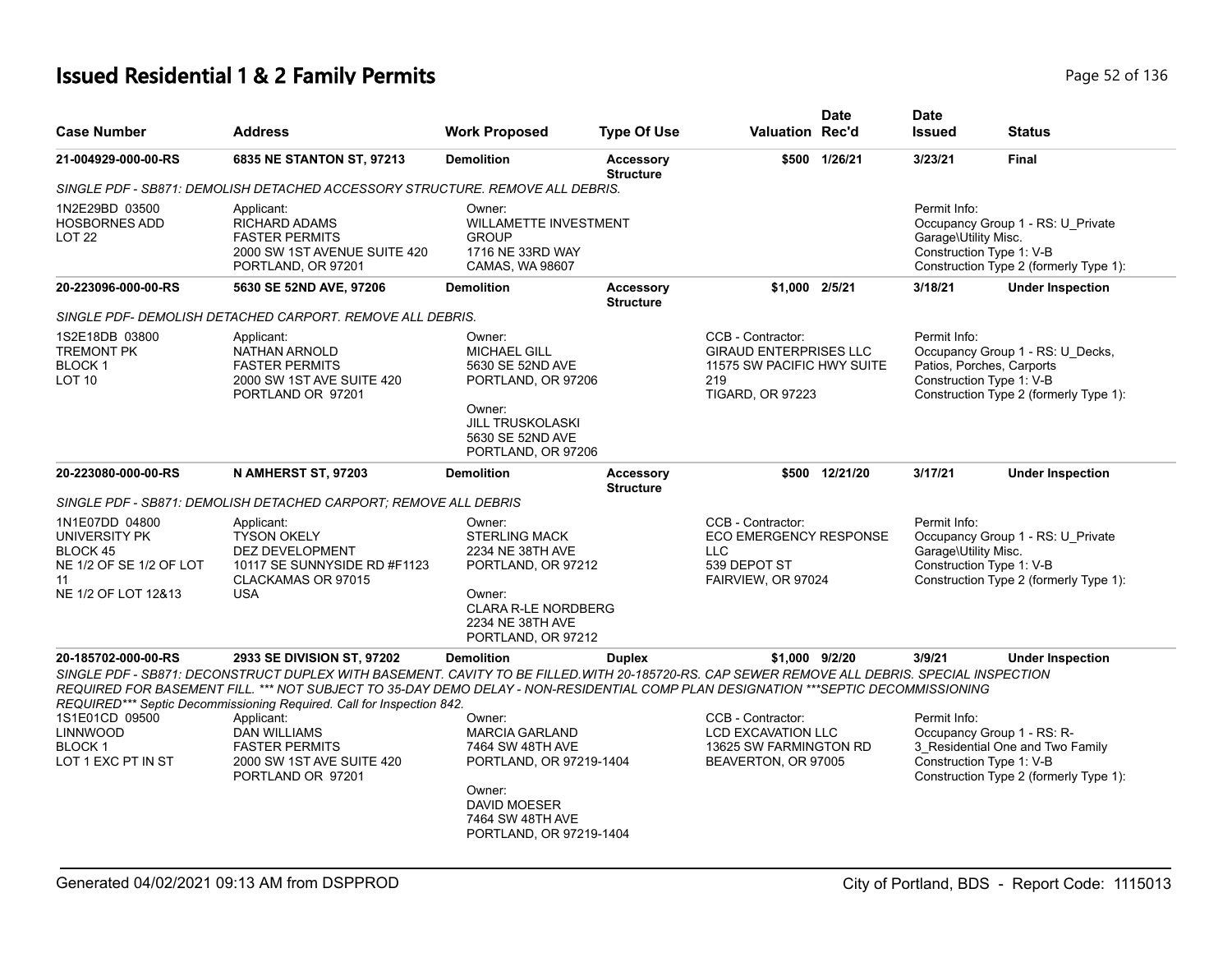# **Issued Residential 1 & 2 Family Permits Page 136** 2 2 2 36 136

| <b>Case Number</b>                                                                                  | <b>Address</b>                                                                                                                                                                                                                                                                                                                                                                            | <b>Work Proposed</b>                                                                                                                                           | <b>Type Of Use</b>                   | Valuation Rec'd                                                                                                    | <b>Date</b>   | <b>Date</b><br><b>Issued</b>                                     | <b>Status</b>                                                                                            |
|-----------------------------------------------------------------------------------------------------|-------------------------------------------------------------------------------------------------------------------------------------------------------------------------------------------------------------------------------------------------------------------------------------------------------------------------------------------------------------------------------------------|----------------------------------------------------------------------------------------------------------------------------------------------------------------|--------------------------------------|--------------------------------------------------------------------------------------------------------------------|---------------|------------------------------------------------------------------|----------------------------------------------------------------------------------------------------------|
| 21-004929-000-00-RS                                                                                 | 6835 NE STANTON ST, 97213                                                                                                                                                                                                                                                                                                                                                                 | <b>Demolition</b>                                                                                                                                              | <b>Accessory</b><br><b>Structure</b> |                                                                                                                    | \$500 1/26/21 | 3/23/21                                                          | <b>Final</b>                                                                                             |
|                                                                                                     | SINGLE PDF - SB871: DEMOLISH DETACHED ACCESSORY STRUCTURE. REMOVE ALL DEBRIS.                                                                                                                                                                                                                                                                                                             |                                                                                                                                                                |                                      |                                                                                                                    |               |                                                                  |                                                                                                          |
| 1N2E29BD 03500<br><b>HOSBORNES ADD</b><br>LOT <sub>22</sub>                                         | Applicant:<br><b>RICHARD ADAMS</b><br><b>FASTER PERMITS</b><br>2000 SW 1ST AVENUE SUITE 420<br>PORTLAND, OR 97201                                                                                                                                                                                                                                                                         | Owner:<br><b>WILLAMETTE INVESTMENT</b><br><b>GROUP</b><br>1716 NE 33RD WAY<br>CAMAS, WA 98607                                                                  |                                      |                                                                                                                    |               | Permit Info:<br>Garage\Utility Misc.<br>Construction Type 1: V-B | Occupancy Group 1 - RS: U Private<br>Construction Type 2 (formerly Type 1):                              |
| 20-223096-000-00-RS                                                                                 | 5630 SE 52ND AVE, 97206                                                                                                                                                                                                                                                                                                                                                                   | <b>Demolition</b>                                                                                                                                              | <b>Accessory</b><br><b>Structure</b> | \$1.000 2/5/21                                                                                                     |               | 3/18/21                                                          | <b>Under Inspection</b>                                                                                  |
|                                                                                                     | SINGLE PDF- DEMOLISH DETACHED CARPORT. REMOVE ALL DEBRIS.                                                                                                                                                                                                                                                                                                                                 |                                                                                                                                                                |                                      |                                                                                                                    |               |                                                                  |                                                                                                          |
| 1S2E18DB 03800<br><b>TREMONT PK</b><br>BLOCK 1<br><b>LOT 10</b>                                     | Applicant:<br><b>NATHAN ARNOLD</b><br><b>FASTER PERMITS</b><br>2000 SW 1ST AVE SUITE 420<br>PORTLAND OR 97201                                                                                                                                                                                                                                                                             | Owner:<br><b>MICHAEL GILL</b><br>5630 SE 52ND AVE<br>PORTLAND, OR 97206<br>Owner:<br><b>JILL TRUSKOLASKI</b><br>5630 SE 52ND AVE<br>PORTLAND, OR 97206         |                                      | CCB - Contractor:<br><b>GIRAUD ENTERPRISES LLC</b><br>11575 SW PACIFIC HWY SUITE<br>219<br><b>TIGARD, OR 97223</b> |               | Permit Info:<br>Construction Type 1: V-B                         | Occupancy Group 1 - RS: U Decks,<br>Patios, Porches, Carports<br>Construction Type 2 (formerly Type 1):  |
| 20-223080-000-00-RS                                                                                 | N AMHERST ST, 97203                                                                                                                                                                                                                                                                                                                                                                       | <b>Demolition</b>                                                                                                                                              | <b>Accessory</b><br><b>Structure</b> | \$500                                                                                                              | 12/21/20      | 3/17/21                                                          | <b>Under Inspection</b>                                                                                  |
|                                                                                                     | SINGLE PDF - SB871: DEMOLISH DETACHED CARPORT: REMOVE ALL DEBRIS                                                                                                                                                                                                                                                                                                                          |                                                                                                                                                                |                                      |                                                                                                                    |               |                                                                  |                                                                                                          |
| 1N1E07DD 04800<br>UNIVERSITY PK<br>BLOCK 45<br>NE 1/2 OF SE 1/2 OF LOT<br>11<br>NE 1/2 OF LOT 12&13 | Applicant:<br><b>TYSON OKELY</b><br><b>DEZ DEVELOPMENT</b><br>10117 SE SUNNYSIDE RD #F1123<br>CLACKAMAS OR 97015<br><b>USA</b>                                                                                                                                                                                                                                                            | Owner:<br><b>STERLING MACK</b><br>2234 NE 38TH AVE<br>PORTLAND, OR 97212<br>Owner:<br><b>CLARA R-LE NORDBERG</b><br>2234 NE 38TH AVE<br>PORTLAND, OR 97212     |                                      | CCB - Contractor:<br><b>ECO EMERGENCY RESPONSE</b><br><b>LLC</b><br>539 DEPOT ST<br>FAIRVIEW, OR 97024             |               | Permit Info:<br>Garage\Utility Misc.<br>Construction Type 1: V-B | Occupancy Group 1 - RS: U_Private<br>Construction Type 2 (formerly Type 1):                              |
| 20-185702-000-00-RS                                                                                 | 2933 SE DIVISION ST, 97202<br>SINGLE PDF - SB871: DECONSTRUCT DUPLEX WITH BASEMENT. CAVITY TO BE FILLED WITH 20-185720-RS. CAP SEWER REMOVE ALL DEBRIS. SPECIAL INSPECTION<br>REQUIRED FOR BASEMENT FILL. *** NOT SUBJECT TO 35-DAY DEMO DELAY - NON-RESIDENTIAL COMP PLAN DESIGNATION ***SEPTIC DECOMMISSIONING<br>REQUIRED*** Septic Decommissioning Required. Call for Inspection 842. | <b>Demolition</b>                                                                                                                                              | <b>Duplex</b>                        | \$1,000 9/2/20                                                                                                     |               | 3/9/21                                                           | <b>Under Inspection</b>                                                                                  |
| 1S1E01CD 09500<br>LINNWOOD<br><b>BLOCK 1</b><br>LOT 1 EXC PT IN ST                                  | Applicant:<br><b>DAN WILLIAMS</b><br><b>FASTER PERMITS</b><br>2000 SW 1ST AVE SUITE 420<br>PORTLAND OR 97201                                                                                                                                                                                                                                                                              | Owner:<br><b>MARCIA GARLAND</b><br>7464 SW 48TH AVE<br>PORTLAND, OR 97219-1404<br>Owner:<br><b>DAVID MOESER</b><br>7464 SW 48TH AVE<br>PORTLAND, OR 97219-1404 |                                      | CCB - Contractor:<br><b>LCD EXCAVATION LLC</b><br>13625 SW FARMINGTON RD<br>BEAVERTON, OR 97005                    |               | Permit Info:<br>Construction Type 1: V-B                         | Occupancy Group 1 - RS: R-<br>3_Residential One and Two Family<br>Construction Type 2 (formerly Type 1): |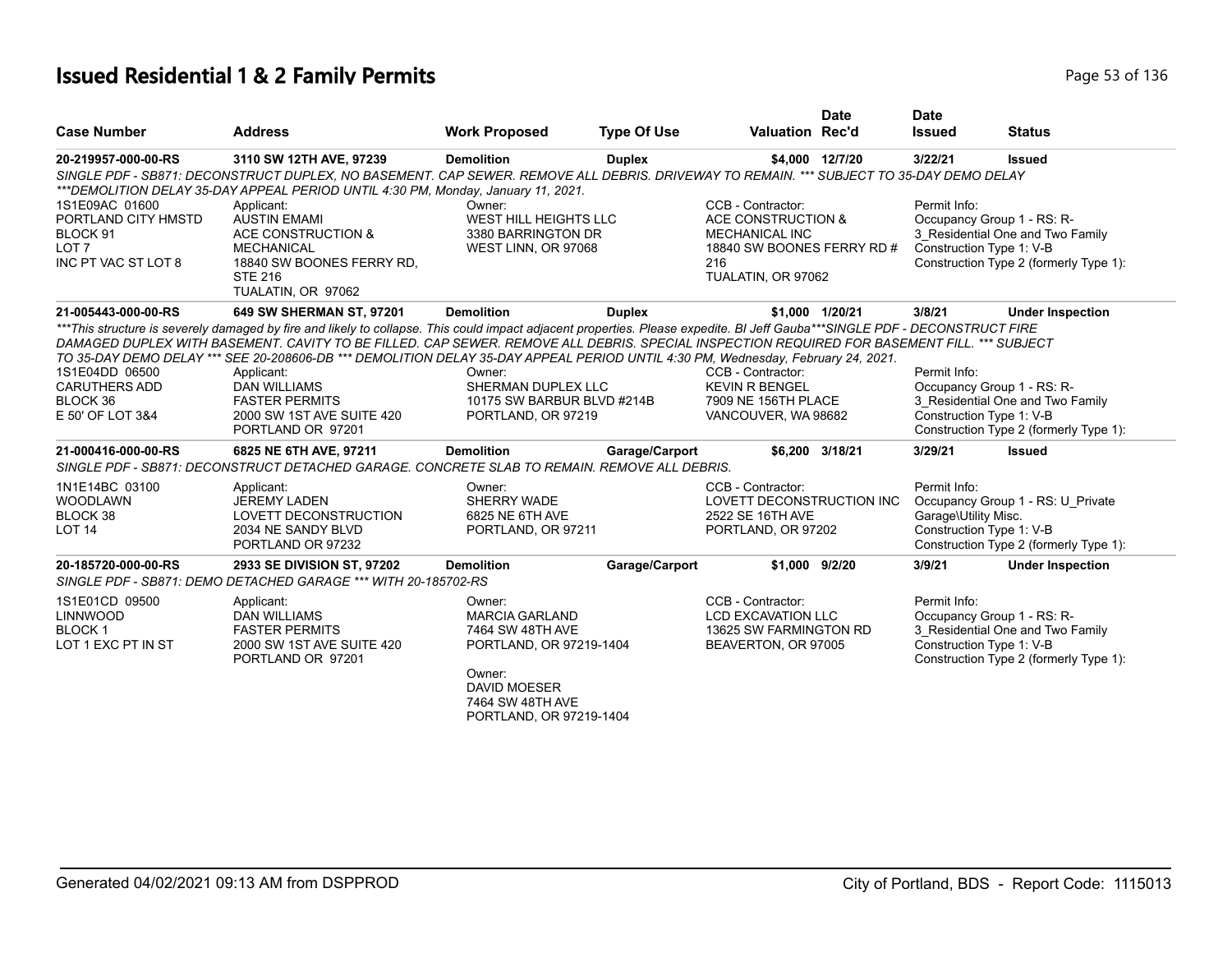# **Issued Residential 1 & 2 Family Permits Page 130 and 2012 136 and 2013 136 and 2013 136 and 2013 136 and 2013 136**

| <b>Case Number</b>                                                                                      | <b>Address</b>                                                                                                                                                                                                                                                                                                                                                                                                                                                                                                                                                                 | <b>Work Proposed</b>                                                                                                                                           | <b>Type Of Use</b> | <b>Valuation Rec'd</b>                                                                                                      | <b>Date</b>     | <b>Date</b><br><b>Issued</b>         | <b>Status</b>                                                                                                                        |
|---------------------------------------------------------------------------------------------------------|--------------------------------------------------------------------------------------------------------------------------------------------------------------------------------------------------------------------------------------------------------------------------------------------------------------------------------------------------------------------------------------------------------------------------------------------------------------------------------------------------------------------------------------------------------------------------------|----------------------------------------------------------------------------------------------------------------------------------------------------------------|--------------------|-----------------------------------------------------------------------------------------------------------------------------|-----------------|--------------------------------------|--------------------------------------------------------------------------------------------------------------------------------------|
| 20-219957-000-00-RS                                                                                     | 3110 SW 12TH AVE, 97239                                                                                                                                                                                                                                                                                                                                                                                                                                                                                                                                                        | <b>Demolition</b>                                                                                                                                              | <b>Duplex</b>      |                                                                                                                             | \$4,000 12/7/20 | 3/22/21                              | <b>Issued</b>                                                                                                                        |
|                                                                                                         | SINGLE PDF - SB871: DECONSTRUCT DUPLEX, NO BASEMENT. CAP SEWER. REMOVE ALL DEBRIS. DRIVEWAY TO REMAIN. *** SUBJECT TO 35-DAY DEMO DELAY<br>***DEMOLITION DELAY 35-DAY APPEAL PERIOD UNTIL 4:30 PM, Monday, January 11, 2021.                                                                                                                                                                                                                                                                                                                                                   |                                                                                                                                                                |                    |                                                                                                                             |                 |                                      |                                                                                                                                      |
| 1S1E09AC 01600<br>PORTLAND CITY HMSTD<br>BLOCK <sub>91</sub><br>LOT <sub>7</sub><br>INC PT VAC ST LOT 8 | Applicant:<br><b>AUSTIN EMAMI</b><br>ACE CONSTRUCTION &<br><b>MECHANICAL</b><br>18840 SW BOONES FERRY RD.<br><b>STE 216</b><br>TUALATIN, OR 97062                                                                                                                                                                                                                                                                                                                                                                                                                              | Owner:<br><b>WEST HILL HEIGHTS LLC</b><br>3380 BARRINGTON DR<br>WEST LINN, OR 97068                                                                            |                    | CCB - Contractor:<br>ACE CONSTRUCTION &<br><b>MECHANICAL INC</b><br>18840 SW BOONES FERRY RD #<br>216<br>TUALATIN, OR 97062 |                 | Permit Info:                         | Occupancy Group 1 - RS: R-<br>3_Residential One and Two Family<br>Construction Type 1: V-B<br>Construction Type 2 (formerly Type 1): |
| 21-005443-000-00-RS                                                                                     | 649 SW SHERMAN ST, 97201                                                                                                                                                                                                                                                                                                                                                                                                                                                                                                                                                       | <b>Demolition</b>                                                                                                                                              | <b>Duplex</b>      |                                                                                                                             | \$1,000 1/20/21 | 3/8/21                               | <b>Under Inspection</b>                                                                                                              |
| 1S1E04DD 06500<br><b>CARUTHERS ADD</b><br>BLOCK 36<br>E 50' OF LOT 3&4                                  | ***This structure is severely damaged by fire and likely to collapse. This could impact adjacent properties. Please expedite. BI Jeff Gauba***SINGLE PDF - DECONSTRUCT FIRE<br>DAMAGED DUPLEX WITH BASEMENT. CAVITY TO BE FILLED. CAP SEWER. REMOVE ALL DEBRIS. SPECIAL INSPECTION REQUIRED FOR BASEMENT FILL. *** SUBJECT<br>TO 35-DAY DEMO DELAY *** SEE 20-208606-DB *** DEMOLITION DELAY 35-DAY APPEAL PERIOD UNTIL 4:30 PM, Wednesday, February 24, 2021.<br>Applicant:<br><b>DAN WILLIAMS</b><br><b>FASTER PERMITS</b><br>2000 SW 1ST AVE SUITE 420<br>PORTLAND OR 97201 | Owner:<br>SHERMAN DUPLEX LLC<br>10175 SW BARBUR BLVD #214B<br>PORTLAND, OR 97219                                                                               |                    | CCB - Contractor:<br><b>KEVIN R BENGEL</b><br>7909 NE 156TH PLACE<br>VANCOUVER, WA 98682                                    |                 | Permit Info:                         | Occupancy Group 1 - RS: R-<br>3_Residential One and Two Family<br>Construction Type 1: V-B<br>Construction Type 2 (formerly Type 1): |
| 21-000416-000-00-RS                                                                                     | 6825 NE 6TH AVE, 97211<br>SINGLE PDF - SB871: DECONSTRUCT DETACHED GARAGE. CONCRETE SLAB TO REMAIN. REMOVE ALL DEBRIS.                                                                                                                                                                                                                                                                                                                                                                                                                                                         | <b>Demolition</b>                                                                                                                                              | Garage/Carport     |                                                                                                                             | \$6,200 3/18/21 | 3/29/21                              | <b>Issued</b>                                                                                                                        |
| 1N1E14BC 03100<br><b>WOODLAWN</b><br>BLOCK 38<br>LOT <sub>14</sub>                                      | Applicant:<br><b>JEREMY LADEN</b><br>LOVETT DECONSTRUCTION<br>2034 NE SANDY BLVD<br>PORTLAND OR 97232                                                                                                                                                                                                                                                                                                                                                                                                                                                                          | Owner:<br>SHERRY WADE<br>6825 NE 6TH AVE<br>PORTLAND, OR 97211                                                                                                 |                    | CCB - Contractor:<br>LOVETT DECONSTRUCTION INC<br>2522 SE 16TH AVE<br>PORTLAND, OR 97202                                    |                 | Permit Info:<br>Garage\Utility Misc. | Occupancy Group 1 - RS: U_Private<br>Construction Type 1: V-B<br>Construction Type 2 (formerly Type 1):                              |
| 20-185720-000-00-RS                                                                                     | 2933 SE DIVISION ST, 97202<br>SINGLE PDF - SB871: DEMO DETACHED GARAGE *** WITH 20-185702-RS                                                                                                                                                                                                                                                                                                                                                                                                                                                                                   | <b>Demolition</b>                                                                                                                                              | Garage/Carport     | \$1,000 9/2/20                                                                                                              |                 | 3/9/21                               | <b>Under Inspection</b>                                                                                                              |
| 1S1E01CD 09500<br><b>LINNWOOD</b><br><b>BLOCK1</b><br>LOT 1 EXC PT IN ST                                | Applicant:<br><b>DAN WILLIAMS</b><br><b>FASTER PERMITS</b><br>2000 SW 1ST AVE SUITE 420<br>PORTLAND OR 97201                                                                                                                                                                                                                                                                                                                                                                                                                                                                   | Owner:<br><b>MARCIA GARLAND</b><br>7464 SW 48TH AVE<br>PORTLAND, OR 97219-1404<br>Owner:<br><b>DAVID MOESER</b><br>7464 SW 48TH AVE<br>PORTLAND, OR 97219-1404 |                    | CCB - Contractor:<br><b>LCD EXCAVATION LLC</b><br>13625 SW FARMINGTON RD<br>BEAVERTON, OR 97005                             |                 | Permit Info:                         | Occupancy Group 1 - RS: R-<br>3 Residential One and Two Family<br>Construction Type 1: V-B<br>Construction Type 2 (formerly Type 1): |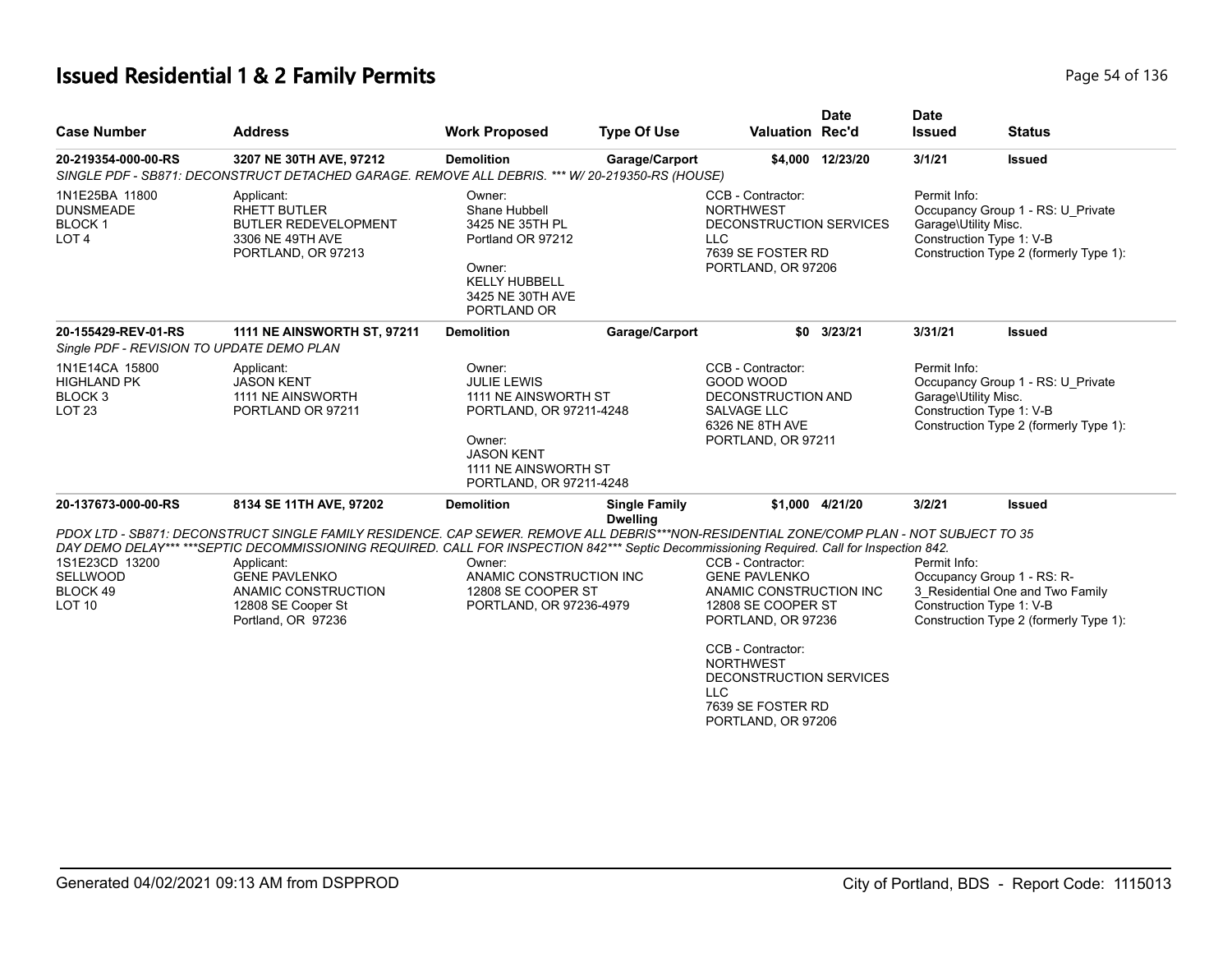# **Issued Residential 1 & 2 Family Permits Page 14 of 136** Page 54 of 136

| <b>Case Number</b>                                                                    | <b>Address</b>                                                                                                                                                                                                                                                                                                                                                                                      | <b>Work Proposed</b>                                                                                                                                              | <b>Type Of Use</b>                      | <b>Valuation Rec'd</b>                                                                                                                          | <b>Date</b>      | <b>Date</b><br><b>Issued</b>                                     | <b>Status</b>                                                                   |
|---------------------------------------------------------------------------------------|-----------------------------------------------------------------------------------------------------------------------------------------------------------------------------------------------------------------------------------------------------------------------------------------------------------------------------------------------------------------------------------------------------|-------------------------------------------------------------------------------------------------------------------------------------------------------------------|-----------------------------------------|-------------------------------------------------------------------------------------------------------------------------------------------------|------------------|------------------------------------------------------------------|---------------------------------------------------------------------------------|
| 20-219354-000-00-RS                                                                   | 3207 NE 30TH AVE, 97212<br>SINGLE PDF - SB871: DECONSTRUCT DETACHED GARAGE. REMOVE ALL DEBRIS. *** W/20-219350-RS (HOUSE)                                                                                                                                                                                                                                                                           | <b>Demolition</b>                                                                                                                                                 | Garage/Carport                          |                                                                                                                                                 | \$4,000 12/23/20 | 3/1/21                                                           | <b>Issued</b>                                                                   |
| 1N1E25BA 11800<br><b>DUNSMEADE</b><br><b>BLOCK1</b><br>LOT <sub>4</sub>               | Applicant:<br><b>RHETT BUTLER</b><br><b>BUTLER REDEVELOPMENT</b><br>3306 NE 49TH AVE<br>PORTLAND, OR 97213                                                                                                                                                                                                                                                                                          | Owner:<br>Shane Hubbell<br>3425 NE 35TH PL<br>Portland OR 97212<br>Owner:<br><b>KELLY HUBBELL</b><br>3425 NE 30TH AVE<br>PORTLAND OR                              |                                         | CCB - Contractor:<br><b>NORTHWEST</b><br><b>DECONSTRUCTION SERVICES</b><br><b>LLC</b><br>7639 SE FOSTER RD<br>PORTLAND, OR 97206                |                  | Permit Info:<br>Garage\Utility Misc.<br>Construction Type 1: V-B | Occupancy Group 1 - RS: U_Private<br>Construction Type 2 (formerly Type 1):     |
| 20-155429-REV-01-RS<br>Single PDF - REVISION TO UPDATE DEMO PLAN                      | <b>1111 NE AINSWORTH ST, 97211</b>                                                                                                                                                                                                                                                                                                                                                                  | <b>Demolition</b>                                                                                                                                                 | Garage/Carport                          |                                                                                                                                                 | \$0 3/23/21      | 3/31/21                                                          | <b>Issued</b>                                                                   |
| 1N1E14CA 15800<br><b>HIGHLAND PK</b><br>BLOCK <sub>3</sub><br>LOT <sub>23</sub>       | Applicant:<br><b>JASON KENT</b><br>1111 NE AINSWORTH<br>PORTLAND OR 97211                                                                                                                                                                                                                                                                                                                           | Owner:<br><b>JULIE LEWIS</b><br>1111 NE AINSWORTH ST<br>PORTLAND, OR 97211-4248<br>Owner:<br><b>JASON KENT</b><br>1111 NE AINSWORTH ST<br>PORTLAND, OR 97211-4248 |                                         | CCB - Contractor:<br>GOOD WOOD<br>DECONSTRUCTION AND<br><b>SALVAGE LLC</b><br>6326 NE 8TH AVE<br>PORTLAND, OR 97211                             |                  | Permit Info:<br>Garage\Utility Misc.<br>Construction Type 1: V-B | Occupancy Group 1 - RS: U Private<br>Construction Type 2 (formerly Type 1):     |
| 20-137673-000-00-RS<br>1S1E23CD 13200<br><b>SELLWOOD</b><br>BLOCK 49<br><b>LOT 10</b> | 8134 SE 11TH AVE, 97202<br>PDOX LTD - SB871: DECONSTRUCT SINGLE FAMILY RESIDENCE. CAP SEWER. REMOVE ALL DEBRIS***NON-RESIDENTIAL ZONE/COMP PLAN - NOT SUBJECT TO 35<br>DAY DEMO DELAY******SEPTIC DECOMMISSIONING REQUIRED. CALL FOR INSPECTION 842*** Septic Decommissioning Required. Call for Inspection 842.<br>Applicant:<br><b>GENE PAVLENKO</b><br>ANAMIC CONSTRUCTION<br>12808 SE Cooper St | <b>Demolition</b><br>Owner:<br>ANAMIC CONSTRUCTION INC<br>12808 SE COOPER ST<br>PORTLAND, OR 97236-4979                                                           | <b>Single Family</b><br><b>Dwelling</b> | CCB - Contractor:<br><b>GENE PAVLENKO</b><br>ANAMIC CONSTRUCTION INC<br>12808 SE COOPER ST                                                      | \$1,000 4/21/20  | 3/2/21<br>Permit Info:<br>Construction Type 1: V-B               | <b>Issued</b><br>Occupancy Group 1 - RS: R-<br>3_Residential One and Two Family |
|                                                                                       | Portland, OR 97236                                                                                                                                                                                                                                                                                                                                                                                  |                                                                                                                                                                   |                                         | PORTLAND, OR 97236<br>CCB - Contractor:<br><b>NORTHWEST</b><br>DECONSTRUCTION SERVICES<br><b>LLC</b><br>7639 SE FOSTER RD<br>PORTLAND, OR 97206 |                  |                                                                  | Construction Type 2 (formerly Type 1):                                          |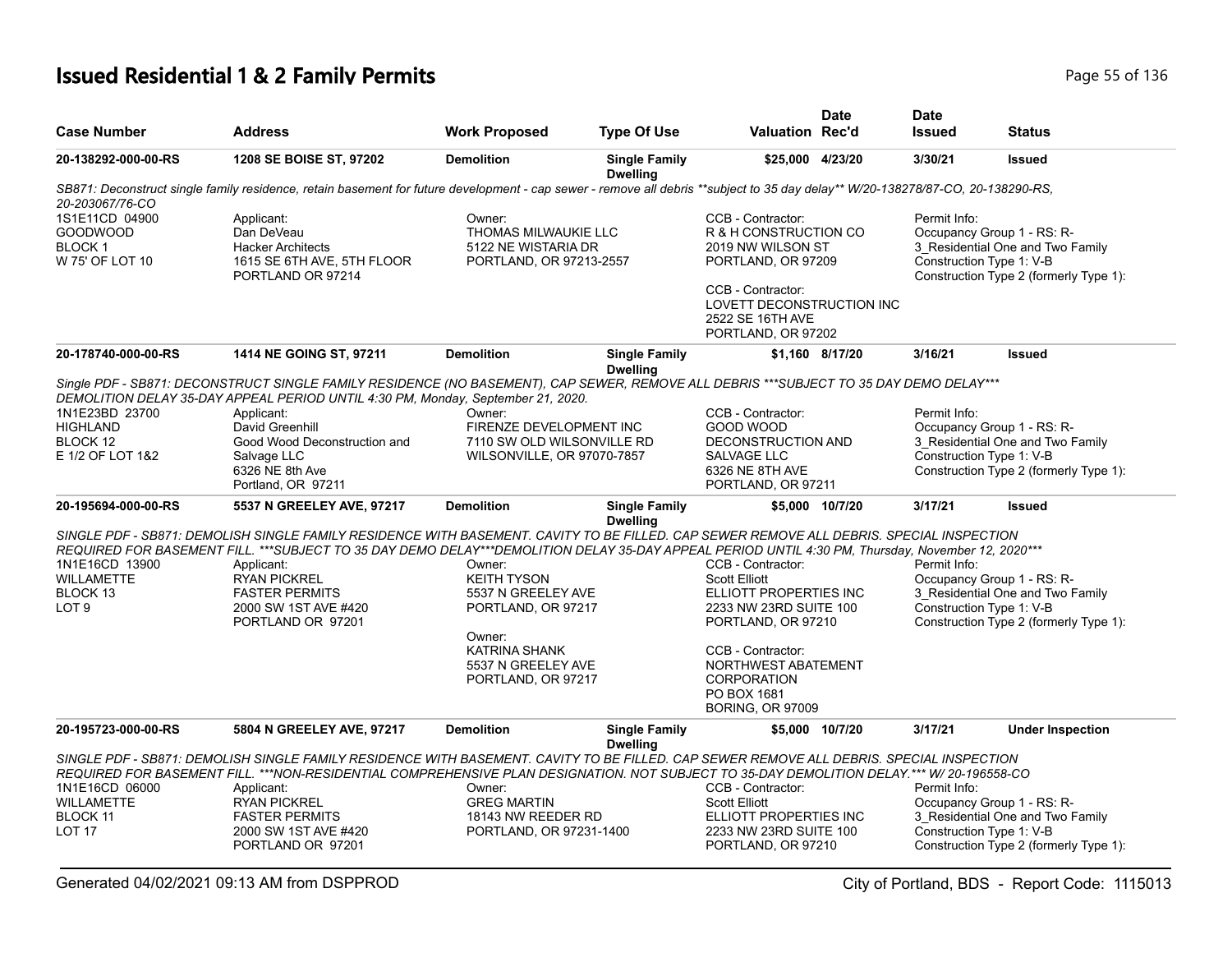# **Issued Residential 1 & 2 Family Permits Page 1136** 2 **Page 55 of 136**

| <b>Case Number</b>                                                    | <b>Address</b>                                                                                                                                                                                                                                                                                                                                                                                           | <b>Work Proposed</b>                                                                    | <b>Type Of Use</b>                      | <b>Valuation Rec'd</b>                                                                                                                                                            | <b>Date</b>     | <b>Date</b><br><b>Issued</b>             | <b>Status</b>                                                                                            |
|-----------------------------------------------------------------------|----------------------------------------------------------------------------------------------------------------------------------------------------------------------------------------------------------------------------------------------------------------------------------------------------------------------------------------------------------------------------------------------------------|-----------------------------------------------------------------------------------------|-----------------------------------------|-----------------------------------------------------------------------------------------------------------------------------------------------------------------------------------|-----------------|------------------------------------------|----------------------------------------------------------------------------------------------------------|
| 20-138292-000-00-RS                                                   | 1208 SE BOISE ST, 97202                                                                                                                                                                                                                                                                                                                                                                                  | <b>Demolition</b>                                                                       | <b>Single Family</b><br><b>Dwelling</b> | \$25,000 4/23/20                                                                                                                                                                  |                 | 3/30/21                                  | <b>Issued</b>                                                                                            |
| 20-203067/76-CO                                                       | SB871: Deconstruct single family residence, retain basement for future development - cap sewer - remove all debris **subject to 35 day delay** W/20-138278/87-CO, 20-138290-RS,                                                                                                                                                                                                                          |                                                                                         |                                         |                                                                                                                                                                                   |                 |                                          |                                                                                                          |
| 1S1E11CD 04900<br><b>GOODWOOD</b><br><b>BLOCK1</b><br>W 75' OF LOT 10 | Applicant:<br>Dan DeVeau<br><b>Hacker Architects</b><br>1615 SE 6TH AVE, 5TH FLOOR<br>PORTLAND OR 97214                                                                                                                                                                                                                                                                                                  | Owner:<br><b>THOMAS MILWAUKIE LLC</b><br>5122 NE WISTARIA DR<br>PORTLAND, OR 97213-2557 |                                         | CCB - Contractor:<br>R & H CONSTRUCTION CO<br>2019 NW WILSON ST<br>PORTLAND, OR 97209<br>CCB - Contractor:<br>LOVETT DECONSTRUCTION INC<br>2522 SE 16TH AVE<br>PORTLAND, OR 97202 |                 | Permit Info:<br>Construction Type 1: V-B | Occupancy Group 1 - RS: R-<br>3 Residential One and Two Family<br>Construction Type 2 (formerly Type 1): |
| 20-178740-000-00-RS                                                   | 1414 NE GOING ST, 97211                                                                                                                                                                                                                                                                                                                                                                                  | <b>Demolition</b>                                                                       | <b>Single Family</b><br><b>Dwelling</b> |                                                                                                                                                                                   | \$1,160 8/17/20 | 3/16/21                                  | <b>Issued</b>                                                                                            |
| 1N1E23BD 23700                                                        | Single PDF - SB871: DECONSTRUCT SINGLE FAMILY RESIDENCE (NO BASEMENT), CAP SEWER, REMOVE ALL DEBRIS ***SUBJECT TO 35 DAY DEMO DELAY***<br>DEMOLITION DELAY 35-DAY APPEAL PERIOD UNTIL 4:30 PM, Monday, September 21, 2020.<br>Applicant:                                                                                                                                                                 | Owner:                                                                                  |                                         | CCB - Contractor:                                                                                                                                                                 |                 | Permit Info:                             |                                                                                                          |
| <b>HIGHLAND</b><br>BLOCK 12<br>E 1/2 OF LOT 1&2                       | David Greenhill<br>Good Wood Deconstruction and<br>Salvage LLC<br>6326 NE 8th Ave<br>Portland, OR 97211                                                                                                                                                                                                                                                                                                  | FIRENZE DEVELOPMENT INC<br>7110 SW OLD WILSONVILLE RD<br>WILSONVILLE, OR 97070-7857     |                                         | GOOD WOOD<br>DECONSTRUCTION AND<br>SALVAGE LLC<br>6326 NE 8TH AVE<br>PORTLAND, OR 97211                                                                                           |                 | Construction Type 1: V-B                 | Occupancy Group 1 - RS: R-<br>3_Residential One and Two Family<br>Construction Type 2 (formerly Type 1): |
| 20-195694-000-00-RS                                                   | 5537 N GREELEY AVE, 97217                                                                                                                                                                                                                                                                                                                                                                                | <b>Demolition</b>                                                                       | <b>Single Family</b><br><b>Dwelling</b> |                                                                                                                                                                                   | \$5,000 10/7/20 | 3/17/21                                  | <b>Issued</b>                                                                                            |
| 1N1E16CD 13900<br><b>WILLAMETTE</b><br>BLOCK 13<br>LOT 9              | SINGLE PDF - SB871: DEMOLISH SINGLE FAMILY RESIDENCE WITH BASEMENT. CAVITY TO BE FILLED. CAP SEWER REMOVE ALL DEBRIS. SPECIAL INSPECTION<br>REQUIRED FOR BASEMENT FILL. ***SUBJECT TO 35 DAY DEMO DELAY***DEMOLITION DELAY 35-DAY APPEAL PERIOD UNTIL 4:30 PM, Thursday, November 12, 2020***<br>Applicant:<br><b>RYAN PICKREL</b><br><b>FASTER PERMITS</b><br>2000 SW 1ST AVE #420<br>PORTLAND OR 97201 | Owner:<br><b>KEITH TYSON</b><br>5537 N GREELEY AVE<br>PORTLAND, OR 97217                |                                         | CCB - Contractor:<br><b>Scott Elliott</b><br>ELLIOTT PROPERTIES INC<br>2233 NW 23RD SUITE 100<br>PORTLAND, OR 97210                                                               |                 | Permit Info:<br>Construction Type 1: V-B | Occupancy Group 1 - RS: R-<br>3_Residential One and Two Family<br>Construction Type 2 (formerly Type 1): |
|                                                                       |                                                                                                                                                                                                                                                                                                                                                                                                          | Owner:<br><b>KATRINA SHANK</b><br>5537 N GREELEY AVE<br>PORTLAND, OR 97217              |                                         | CCB - Contractor:<br>NORTHWEST ABATEMENT<br><b>CORPORATION</b><br>PO BOX 1681<br><b>BORING, OR 97009</b>                                                                          |                 |                                          |                                                                                                          |
| 20-195723-000-00-RS                                                   | 5804 N GREELEY AVE, 97217                                                                                                                                                                                                                                                                                                                                                                                | <b>Demolition</b>                                                                       | <b>Single Family</b><br><b>Dwelling</b> |                                                                                                                                                                                   | \$5,000 10/7/20 | 3/17/21                                  | <b>Under Inspection</b>                                                                                  |
| 1N1E16CD 06000<br><b>WILLAMETTE</b><br><b>BLOCK 11</b><br>LOT 17      | SINGLE PDF - SB871: DEMOLISH SINGLE FAMILY RESIDENCE WITH BASEMENT. CAVITY TO BE FILLED. CAP SEWER REMOVE ALL DEBRIS. SPECIAL INSPECTION<br>REQUIRED FOR BASEMENT FILL. ***NON-RESIDENTIAL COMPREHENSIVE PLAN DESIGNATION. NOT SUBJECT TO 35-DAY DEMOLITION DELAY.*** W/ 20-196558-CO<br>Applicant:<br><b>RYAN PICKREL</b><br><b>FASTER PERMITS</b><br>2000 SW 1ST AVE #420                              | Owner:<br><b>GREG MARTIN</b><br>18143 NW REEDER RD<br>PORTLAND, OR 97231-1400           |                                         | CCB - Contractor:<br><b>Scott Elliott</b><br>ELLIOTT PROPERTIES INC<br>2233 NW 23RD SUITE 100                                                                                     |                 | Permit Info:<br>Construction Type 1: V-B | Occupancy Group 1 - RS: R-<br>3 Residential One and Two Family                                           |
|                                                                       | PORTLAND OR 97201                                                                                                                                                                                                                                                                                                                                                                                        |                                                                                         |                                         | PORTLAND, OR 97210                                                                                                                                                                |                 |                                          | Construction Type 2 (formerly Type 1):                                                                   |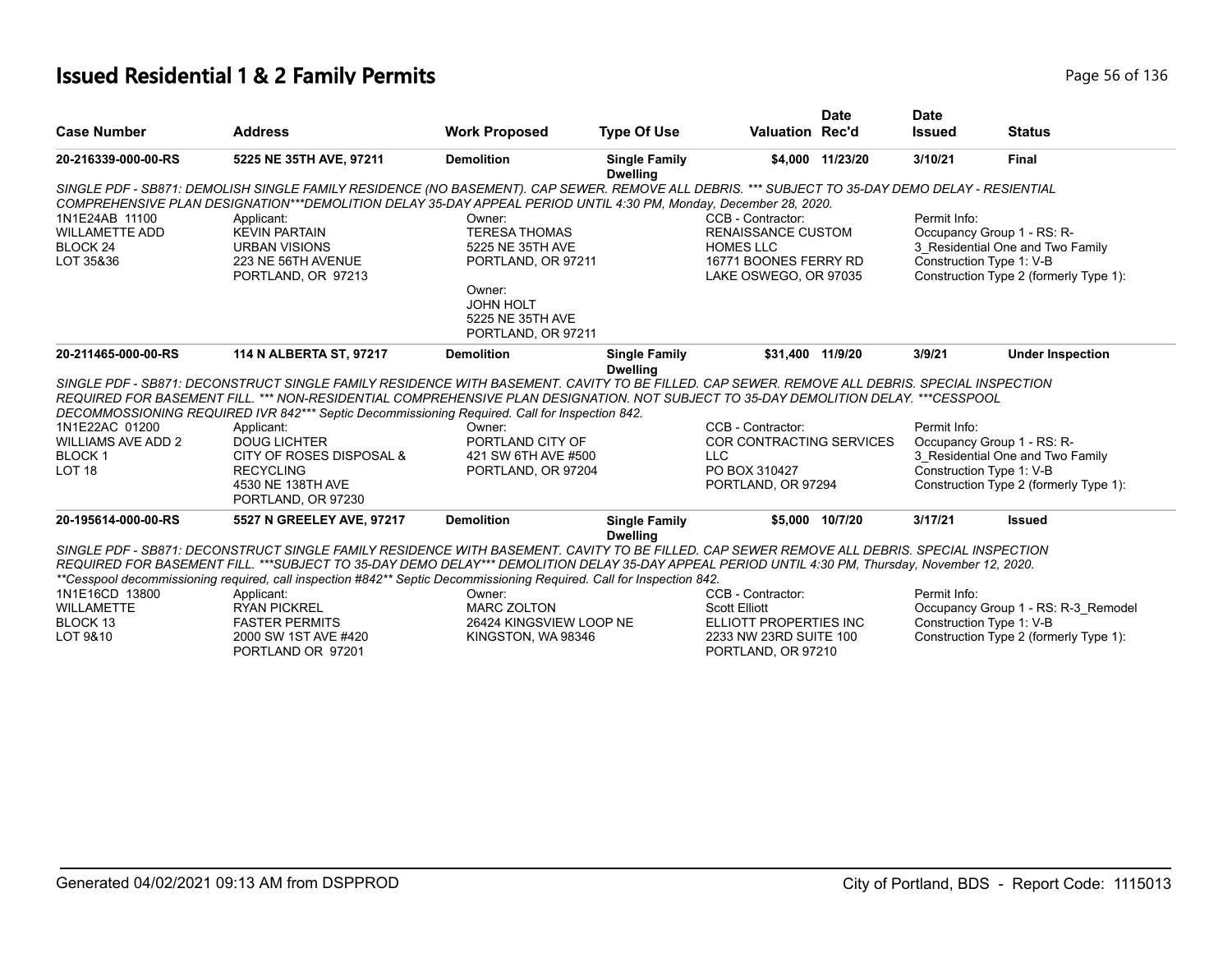# **Issued Residential 1 & 2 Family Permits Page 10 and 20 and 20 and 20 and 20 and 20 and 20 and 20 and 20 and 20 and 20 and 20 and 20 and 20 and 20 and 20 and 20 and 20 and 20 and 20 and 20 and 20 and 20 and 20 and 20 and**

| <b>Case Number</b>                                                                                                              | <b>Address</b>                                                                                                                                   | <b>Work Proposed</b>    | <b>Type Of Use</b>                      | <b>Valuation Rec'd</b>                               | <b>Date</b>      | <b>Date</b><br><b>Issued</b> | <b>Status</b>                                                      |
|---------------------------------------------------------------------------------------------------------------------------------|--------------------------------------------------------------------------------------------------------------------------------------------------|-------------------------|-----------------------------------------|------------------------------------------------------|------------------|------------------------------|--------------------------------------------------------------------|
|                                                                                                                                 |                                                                                                                                                  |                         |                                         |                                                      |                  |                              |                                                                    |
| 20-216339-000-00-RS                                                                                                             | 5225 NE 35TH AVE, 97211                                                                                                                          | <b>Demolition</b>       | <b>Single Family</b><br><b>Dwelling</b> |                                                      | \$4.000 11/23/20 | 3/10/21                      | <b>Final</b>                                                       |
|                                                                                                                                 | SINGLE PDF - SB871: DEMOLISH SINGLE FAMILY RESIDENCE (NO BASEMENT). CAP SEWER. REMOVE ALL DEBRIS. *** SUBJECT TO 35-DAY DEMO DELAY - RESIENTIAL  |                         |                                         |                                                      |                  |                              |                                                                    |
|                                                                                                                                 | COMPREHENSIVE PLAN DESIGNATION***DEMOLITION DELAY 35-DAY APPEAL PERIOD UNTIL 4:30 PM, Monday, December 28, 2020.                                 |                         |                                         |                                                      |                  |                              |                                                                    |
| 1N1E24AB 11100                                                                                                                  | Applicant:                                                                                                                                       | Owner:                  |                                         | CCB - Contractor:                                    |                  | Permit Info:                 |                                                                    |
| <b>WILLAMETTE ADD</b>                                                                                                           | <b>KEVIN PARTAIN</b>                                                                                                                             | <b>TERESA THOMAS</b>    |                                         | <b>RENAISSANCE CUSTOM</b>                            |                  |                              | Occupancy Group 1 - RS: R-                                         |
| BLOCK 24                                                                                                                        | <b>URBAN VISIONS</b>                                                                                                                             | 5225 NE 35TH AVE        |                                         | <b>HOMES LLC</b>                                     |                  |                              | 3 Residential One and Two Family                                   |
| LOT 35&36                                                                                                                       | 223 NE 56TH AVENUE                                                                                                                               | PORTLAND, OR 97211      |                                         | 16771 BOONES FERRY RD                                |                  |                              | Construction Type 1: V-B                                           |
|                                                                                                                                 | PORTLAND, OR 97213                                                                                                                               |                         |                                         | LAKE OSWEGO, OR 97035                                |                  |                              | Construction Type 2 (formerly Type 1):                             |
|                                                                                                                                 |                                                                                                                                                  | Owner:                  |                                         |                                                      |                  |                              |                                                                    |
|                                                                                                                                 |                                                                                                                                                  | <b>JOHN HOLT</b>        |                                         |                                                      |                  |                              |                                                                    |
|                                                                                                                                 |                                                                                                                                                  | 5225 NE 35TH AVE        |                                         |                                                      |                  |                              |                                                                    |
|                                                                                                                                 |                                                                                                                                                  | PORTLAND, OR 97211      |                                         |                                                      |                  |                              |                                                                    |
|                                                                                                                                 |                                                                                                                                                  |                         |                                         | \$31.400 11/9/20                                     |                  | 3/9/21                       | <b>Under Inspection</b>                                            |
|                                                                                                                                 | 114 N ALBERTA ST, 97217                                                                                                                          | <b>Demolition</b>       | <b>Single Family</b>                    |                                                      |                  |                              |                                                                    |
|                                                                                                                                 |                                                                                                                                                  |                         | <b>Dwelling</b>                         |                                                      |                  |                              |                                                                    |
|                                                                                                                                 | SINGLE PDF - SB871: DECONSTRUCT SINGLE FAMILY RESIDENCE WITH BASEMENT. CAVITY TO BE FILLED. CAP SEWER, REMOVE ALL DEBRIS, SPECIAL INSPECTION     |                         |                                         |                                                      |                  |                              |                                                                    |
|                                                                                                                                 | REQUIRED FOR BASEMENT FILL. *** NON-RESIDENTIAL COMPREHENSIVE PLAN DESIGNATION. NOT SUBJECT TO 35-DAY DEMOLITION DELAY. ***CESSPOOL              |                         |                                         |                                                      |                  |                              |                                                                    |
|                                                                                                                                 | DECOMMOSSIONING REQUIRED IVR 842*** Septic Decommissioning Required. Call for Inspection 842.                                                    | Owner:                  |                                         |                                                      |                  | Permit Info:                 |                                                                    |
|                                                                                                                                 | Applicant:<br><b>DOUG LICHTER</b>                                                                                                                | PORTLAND CITY OF        |                                         | CCB - Contractor:<br><b>COR CONTRACTING SERVICES</b> |                  |                              |                                                                    |
|                                                                                                                                 | CITY OF ROSES DISPOSAL &                                                                                                                         | 421 SW 6TH AVE #500     |                                         | <b>LLC</b>                                           |                  |                              | Occupancy Group 1 - RS: R-                                         |
|                                                                                                                                 | <b>RECYCLING</b>                                                                                                                                 | PORTLAND, OR 97204      |                                         | PO BOX 310427                                        |                  |                              | 3 Residential One and Two Family<br>Construction Type 1: V-B       |
|                                                                                                                                 | 4530 NE 138TH AVE                                                                                                                                |                         |                                         | PORTLAND, OR 97294                                   |                  |                              | Construction Type 2 (formerly Type 1):                             |
|                                                                                                                                 | PORTLAND, OR 97230                                                                                                                               |                         |                                         |                                                      |                  |                              |                                                                    |
| 20-211465-000-00-RS<br>1N1E22AC 01200<br><b>WILLIAMS AVE ADD 2</b><br><b>BLOCK1</b><br>LOT <sub>18</sub><br>20-195614-000-00-RS | 5527 N GREELEY AVE, 97217                                                                                                                        | <b>Demolition</b>       | <b>Single Family</b>                    |                                                      | \$5,000 10/7/20  | 3/17/21                      | <b>Issued</b>                                                      |
|                                                                                                                                 |                                                                                                                                                  |                         | <b>Dwelling</b>                         |                                                      |                  |                              |                                                                    |
|                                                                                                                                 | SINGLE PDF - SB871: DECONSTRUCT SINGLE FAMILY RESIDENCE WITH BASEMENT. CAVITY TO BE FILLED. CAP SEWER REMOVE ALL DEBRIS. SPECIAL INSPECTION      |                         |                                         |                                                      |                  |                              |                                                                    |
|                                                                                                                                 | REQUIRED FOR BASEMENT FILL. ***SUBJECT TO 35-DAY DEMO DELAY*** DEMOLITION DELAY 35-DAY APPEAL PERIOD UNTIL 4:30 PM, Thursday, November 12, 2020. |                         |                                         |                                                      |                  |                              |                                                                    |
|                                                                                                                                 | **Cesspool decommissioning required, call inspection #842** Septic Decommissioning Required. Call for Inspection 842.                            | Owner:                  |                                         | CCB - Contractor:                                    |                  | Permit Info:                 |                                                                    |
|                                                                                                                                 | Applicant:                                                                                                                                       | <b>MARC ZOLTON</b>      |                                         | <b>Scott Elliott</b>                                 |                  |                              |                                                                    |
|                                                                                                                                 | <b>RYAN PICKREL</b><br><b>FASTER PERMITS</b>                                                                                                     | 26424 KINGSVIEW LOOP NE |                                         | ELLIOTT PROPERTIES INC                               |                  |                              | Occupancy Group 1 - RS: R-3_Remodel                                |
| 1N1E16CD 13800<br><b>WILLAMETTE</b><br>BLOCK <sub>13</sub><br>LOT 9&10                                                          | 2000 SW 1ST AVE #420                                                                                                                             | KINGSTON, WA98346       |                                         | 2233 NW 23RD SUITE 100                               |                  |                              | Construction Type 1: V-B<br>Construction Type 2 (formerly Type 1): |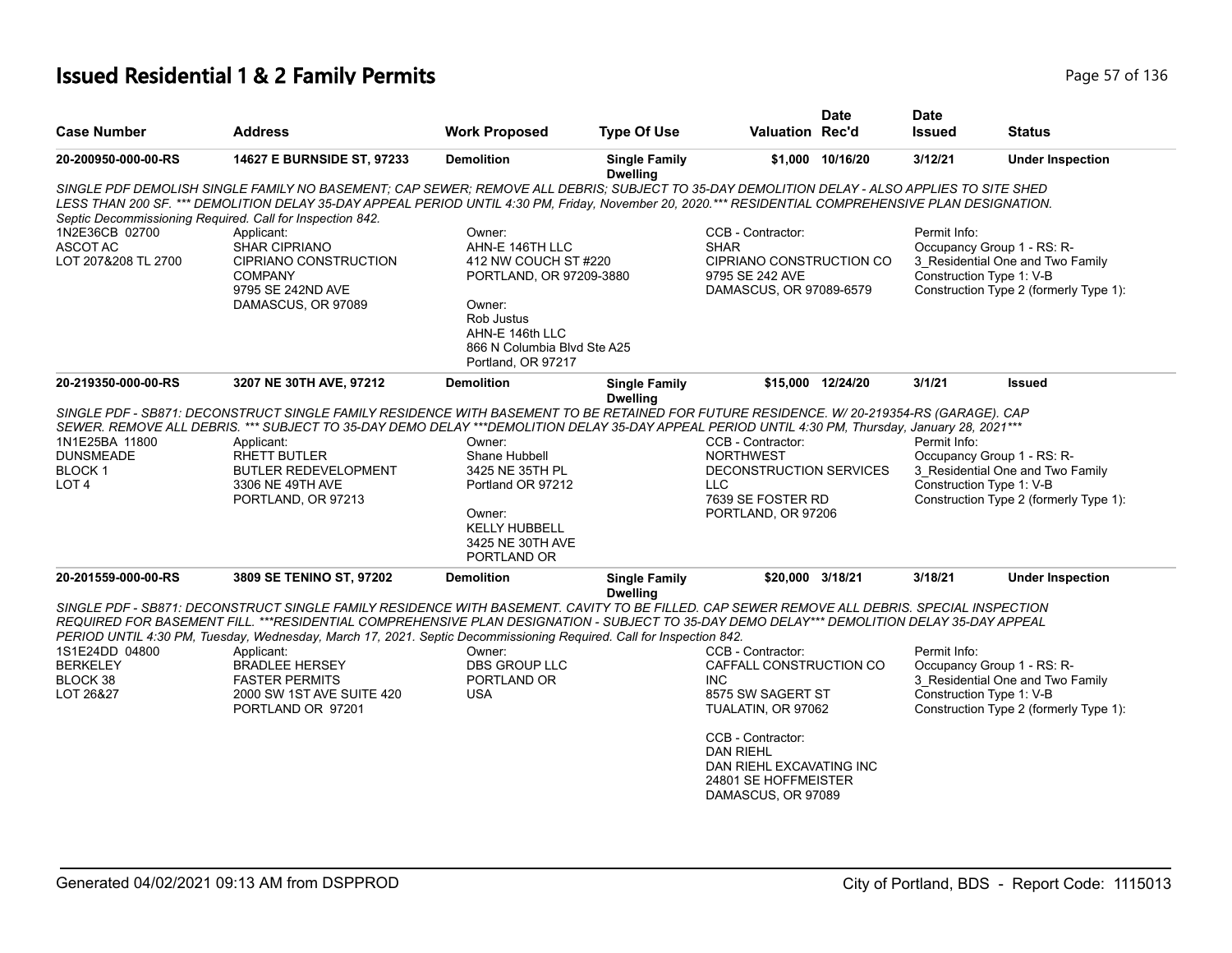# **Issued Residential 1 & 2 Family Permits Page 17 of 136** Page 57 of 136

| <b>Case Number</b>                                                                                             | <b>Address</b>                                                                                                                                                                                                                                                                                                                                                                                                                                                                                                                     | <b>Work Proposed</b>                                                                                                                                                         | <b>Type Of Use</b>                      | <b>Valuation Rec'd</b>                                                                                                                                                                                                   | <b>Date</b>      | <b>Date</b><br><b>Issued</b>                                           | <b>Status</b>                                                                                            |
|----------------------------------------------------------------------------------------------------------------|------------------------------------------------------------------------------------------------------------------------------------------------------------------------------------------------------------------------------------------------------------------------------------------------------------------------------------------------------------------------------------------------------------------------------------------------------------------------------------------------------------------------------------|------------------------------------------------------------------------------------------------------------------------------------------------------------------------------|-----------------------------------------|--------------------------------------------------------------------------------------------------------------------------------------------------------------------------------------------------------------------------|------------------|------------------------------------------------------------------------|----------------------------------------------------------------------------------------------------------|
| 20-200950-000-00-RS                                                                                            | 14627 E BURNSIDE ST, 97233                                                                                                                                                                                                                                                                                                                                                                                                                                                                                                         | <b>Demolition</b>                                                                                                                                                            | <b>Single Family</b><br><b>Dwelling</b> |                                                                                                                                                                                                                          | \$1,000 10/16/20 | 3/12/21                                                                | <b>Under Inspection</b>                                                                                  |
| Septic Decommissioning Required. Call for Inspection 842.<br>1N2E36CB 02700<br>ASCOT AC<br>LOT 207&208 TL 2700 | SINGLE PDF DEMOLISH SINGLE FAMILY NO BASEMENT; CAP SEWER; REMOVE ALL DEBRIS; SUBJECT TO 35-DAY DEMOLITION DELAY - ALSO APPLIES TO SITE SHED<br>LESS THAN 200 SF. *** DEMOLITION DELAY 35-DAY APPEAL PERIOD UNTIL 4:30 PM, Friday, November 20, 2020.*** RESIDENTIAL COMPREHENSIVE PLAN DESIGNATION.<br>Applicant:<br><b>SHAR CIPRIANO</b><br><b>CIPRIANO CONSTRUCTION</b><br><b>COMPANY</b><br>9795 SE 242ND AVE<br>DAMASCUS, OR 97089                                                                                             | Owner:<br>AHN-E 146TH LLC<br>412 NW COUCH ST #220<br>PORTLAND, OR 97209-3880<br>Owner:<br>Rob Justus<br>AHN-E 146th LLC<br>866 N Columbia Blvd Ste A25<br>Portland, OR 97217 |                                         | CCB - Contractor:<br><b>SHAR</b><br>CIPRIANO CONSTRUCTION CO<br>9795 SE 242 AVE<br>DAMASCUS, OR 97089-6579                                                                                                               |                  | Permit Info:<br>Construction Type 1: V-B                               | Occupancy Group 1 - RS: R-<br>3_Residential One and Two Family<br>Construction Type 2 (formerly Type 1): |
| 20-219350-000-00-RS                                                                                            | 3207 NE 30TH AVE, 97212                                                                                                                                                                                                                                                                                                                                                                                                                                                                                                            | <b>Demolition</b>                                                                                                                                                            | <b>Single Family</b><br><b>Dwelling</b> | \$15,000 12/24/20                                                                                                                                                                                                        |                  | 3/1/21                                                                 | <b>Issued</b>                                                                                            |
| 1N1E25BA 11800<br><b>DUNSMEADE</b><br>BLOCK 1<br>LOT <sub>4</sub>                                              | SINGLE PDF - SB871: DECONSTRUCT SINGLE FAMILY RESIDENCE WITH BASEMENT TO BE RETAINED FOR FUTURE RESIDENCE. W/20-219354-RS (GARAGE). CAP<br>SEWER. REMOVE ALL DEBRIS. *** SUBJECT TO 35-DAY DEMO DELAY ***DEMOLITION DELAY 35-DAY APPEAL PERIOD UNTIL 4:30 PM, Thursday, January 28, 2021 ***<br>Applicant:<br>RHETT BUTLER<br>BUTLER REDEVELOPMENT<br>3306 NE 49TH AVE<br>PORTLAND, OR 97213                                                                                                                                       | Owner:<br>Shane Hubbell<br>3425 NE 35TH PL<br>Portland OR 97212<br>Owner:<br><b>KELLY HUBBELL</b><br>3425 NE 30TH AVE<br>PORTLAND OR                                         |                                         | CCB - Contractor:<br><b>NORTHWEST</b><br>DECONSTRUCTION SERVICES<br>LLC.<br>7639 SE FOSTER RD<br>PORTLAND, OR 97206                                                                                                      |                  | Permit Info:<br>Construction Type 1: V-B                               | Occupancy Group 1 - RS: R-<br>3_Residential One and Two Family<br>Construction Type 2 (formerly Type 1): |
| 20-201559-000-00-RS                                                                                            | 3809 SE TENINO ST, 97202                                                                                                                                                                                                                                                                                                                                                                                                                                                                                                           | <b>Demolition</b>                                                                                                                                                            | <b>Single Family</b><br><b>Dwelling</b> | \$20,000 3/18/21                                                                                                                                                                                                         |                  | 3/18/21                                                                | <b>Under Inspection</b>                                                                                  |
| 1S1E24DD 04800<br><b>BERKELEY</b><br>BLOCK 38<br>LOT 26&27                                                     | SINGLE PDF - SB871: DECONSTRUCT SINGLE FAMILY RESIDENCE WITH BASEMENT. CAVITY TO BE FILLED. CAP SEWER REMOVE ALL DEBRIS. SPECIAL INSPECTION<br>REQUIRED FOR BASEMENT FILL. ***RESIDENTIAL COMPREHENSIVE PLAN DESIGNATION - SUBJECT TO 35-DAY DEMO DELAY*** DEMOLITION DELAY 35-DAY APPEAL<br>PERIOD UNTIL 4:30 PM, Tuesday, Wednesday, March 17, 2021. Septic Decommissioning Required. Call for Inspection 842.<br>Applicant:<br><b>BRADLEE HERSEY</b><br><b>FASTER PERMITS</b><br>2000 SW 1ST AVE SUITE 420<br>PORTLAND OR 97201 | Owner:<br>DBS GROUP LLC<br>PORTLAND OR<br><b>USA</b>                                                                                                                         |                                         | CCB - Contractor:<br>CAFFALL CONSTRUCTION CO<br><b>INC</b><br>8575 SW SAGERT ST<br>TUALATIN, OR 97062<br>CCB - Contractor:<br><b>DAN RIEHL</b><br>DAN RIEHL EXCAVATING INC<br>24801 SE HOFFMEISTER<br>DAMASCUS, OR 97089 |                  | Permit Info:<br>Occupancy Group 1 - RS: R-<br>Construction Type 1: V-B | 3 Residential One and Two Family<br>Construction Type 2 (formerly Type 1):                               |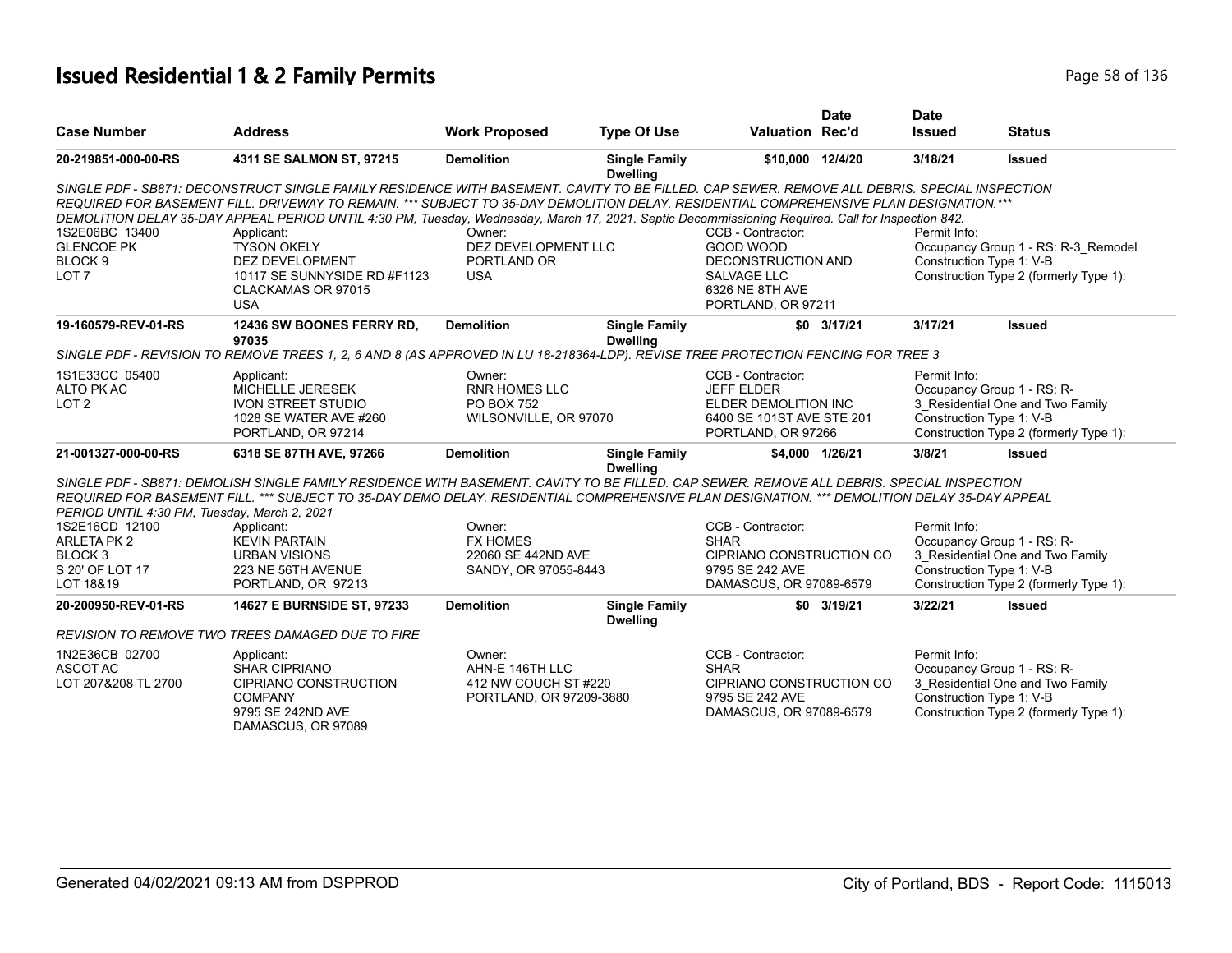# **Issued Residential 1 & 2 Family Permits Page 136** and **Page 136** and Page 58 of 136

|                                                                  |                                                                                                                                                                                                                                           |                                                                                |                                                                                                                         | <b>Date</b>                                                              | <b>Date</b>                                                                                                                                                                                                                                                                                                                       |                                                                                                                                                                                                                                                                                                                                                                                                                                                                                                                                                                                                                                                                                                                                                                                                                                                                                                                                                                                                                                                              |
|------------------------------------------------------------------|-------------------------------------------------------------------------------------------------------------------------------------------------------------------------------------------------------------------------------------------|--------------------------------------------------------------------------------|-------------------------------------------------------------------------------------------------------------------------|--------------------------------------------------------------------------|-----------------------------------------------------------------------------------------------------------------------------------------------------------------------------------------------------------------------------------------------------------------------------------------------------------------------------------|--------------------------------------------------------------------------------------------------------------------------------------------------------------------------------------------------------------------------------------------------------------------------------------------------------------------------------------------------------------------------------------------------------------------------------------------------------------------------------------------------------------------------------------------------------------------------------------------------------------------------------------------------------------------------------------------------------------------------------------------------------------------------------------------------------------------------------------------------------------------------------------------------------------------------------------------------------------------------------------------------------------------------------------------------------------|
| <b>Address</b>                                                   | <b>Work Proposed</b>                                                                                                                                                                                                                      | <b>Type Of Use</b>                                                             |                                                                                                                         |                                                                          | <b>Issued</b>                                                                                                                                                                                                                                                                                                                     | <b>Status</b>                                                                                                                                                                                                                                                                                                                                                                                                                                                                                                                                                                                                                                                                                                                                                                                                                                                                                                                                                                                                                                                |
| 4311 SE SALMON ST, 97215                                         | <b>Demolition</b>                                                                                                                                                                                                                         | <b>Single Family</b><br><b>Dwelling</b>                                        |                                                                                                                         |                                                                          | 3/18/21                                                                                                                                                                                                                                                                                                                           | <b>Issued</b>                                                                                                                                                                                                                                                                                                                                                                                                                                                                                                                                                                                                                                                                                                                                                                                                                                                                                                                                                                                                                                                |
|                                                                  |                                                                                                                                                                                                                                           |                                                                                |                                                                                                                         |                                                                          |                                                                                                                                                                                                                                                                                                                                   |                                                                                                                                                                                                                                                                                                                                                                                                                                                                                                                                                                                                                                                                                                                                                                                                                                                                                                                                                                                                                                                              |
|                                                                  |                                                                                                                                                                                                                                           |                                                                                |                                                                                                                         |                                                                          |                                                                                                                                                                                                                                                                                                                                   |                                                                                                                                                                                                                                                                                                                                                                                                                                                                                                                                                                                                                                                                                                                                                                                                                                                                                                                                                                                                                                                              |
|                                                                  |                                                                                                                                                                                                                                           |                                                                                | GOOD WOOD                                                                                                               |                                                                          |                                                                                                                                                                                                                                                                                                                                   | Occupancy Group 1 - RS: R-3 Remodel                                                                                                                                                                                                                                                                                                                                                                                                                                                                                                                                                                                                                                                                                                                                                                                                                                                                                                                                                                                                                          |
| DEZ DEVELOPMENT                                                  | PORTLAND OR                                                                                                                                                                                                                               |                                                                                |                                                                                                                         |                                                                          |                                                                                                                                                                                                                                                                                                                                   |                                                                                                                                                                                                                                                                                                                                                                                                                                                                                                                                                                                                                                                                                                                                                                                                                                                                                                                                                                                                                                                              |
| 10117 SE SUNNYSIDE RD #F1123<br>CLACKAMAS OR 97015<br><b>USA</b> | <b>USA</b>                                                                                                                                                                                                                                |                                                                                | <b>SALVAGE LLC</b><br>6326 NE 8TH AVE                                                                                   |                                                                          |                                                                                                                                                                                                                                                                                                                                   | Construction Type 2 (formerly Type 1):                                                                                                                                                                                                                                                                                                                                                                                                                                                                                                                                                                                                                                                                                                                                                                                                                                                                                                                                                                                                                       |
| 12436 SW BOONES FERRY RD,<br>97035                               | <b>Demolition</b>                                                                                                                                                                                                                         | <b>Single Family</b><br><b>Dwelling</b>                                        |                                                                                                                         |                                                                          | 3/17/21                                                                                                                                                                                                                                                                                                                           | <b>Issued</b>                                                                                                                                                                                                                                                                                                                                                                                                                                                                                                                                                                                                                                                                                                                                                                                                                                                                                                                                                                                                                                                |
|                                                                  |                                                                                                                                                                                                                                           |                                                                                |                                                                                                                         |                                                                          |                                                                                                                                                                                                                                                                                                                                   |                                                                                                                                                                                                                                                                                                                                                                                                                                                                                                                                                                                                                                                                                                                                                                                                                                                                                                                                                                                                                                                              |
| Applicant:                                                       | Owner:                                                                                                                                                                                                                                    |                                                                                | CCB - Contractor:                                                                                                       |                                                                          | Permit Info:                                                                                                                                                                                                                                                                                                                      |                                                                                                                                                                                                                                                                                                                                                                                                                                                                                                                                                                                                                                                                                                                                                                                                                                                                                                                                                                                                                                                              |
| MICHELLE JERESEK                                                 | <b>RNR HOMES LLC</b>                                                                                                                                                                                                                      |                                                                                | <b>JEFF ELDER</b>                                                                                                       |                                                                          |                                                                                                                                                                                                                                                                                                                                   | Occupancy Group 1 - RS: R-                                                                                                                                                                                                                                                                                                                                                                                                                                                                                                                                                                                                                                                                                                                                                                                                                                                                                                                                                                                                                                   |
|                                                                  |                                                                                                                                                                                                                                           |                                                                                |                                                                                                                         |                                                                          |                                                                                                                                                                                                                                                                                                                                   | 3_Residential One and Two Family                                                                                                                                                                                                                                                                                                                                                                                                                                                                                                                                                                                                                                                                                                                                                                                                                                                                                                                                                                                                                             |
| PORTLAND, OR 97214                                               |                                                                                                                                                                                                                                           |                                                                                |                                                                                                                         |                                                                          |                                                                                                                                                                                                                                                                                                                                   | Construction Type 2 (formerly Type 1):                                                                                                                                                                                                                                                                                                                                                                                                                                                                                                                                                                                                                                                                                                                                                                                                                                                                                                                                                                                                                       |
| 6318 SE 87TH AVE, 97266                                          | <b>Demolition</b>                                                                                                                                                                                                                         | <b>Single Family</b><br><b>Dwelling</b>                                        |                                                                                                                         |                                                                          | 3/8/21                                                                                                                                                                                                                                                                                                                            | <b>Issued</b>                                                                                                                                                                                                                                                                                                                                                                                                                                                                                                                                                                                                                                                                                                                                                                                                                                                                                                                                                                                                                                                |
|                                                                  |                                                                                                                                                                                                                                           |                                                                                |                                                                                                                         |                                                                          |                                                                                                                                                                                                                                                                                                                                   |                                                                                                                                                                                                                                                                                                                                                                                                                                                                                                                                                                                                                                                                                                                                                                                                                                                                                                                                                                                                                                                              |
|                                                                  |                                                                                                                                                                                                                                           |                                                                                |                                                                                                                         |                                                                          |                                                                                                                                                                                                                                                                                                                                   |                                                                                                                                                                                                                                                                                                                                                                                                                                                                                                                                                                                                                                                                                                                                                                                                                                                                                                                                                                                                                                                              |
|                                                                  |                                                                                                                                                                                                                                           |                                                                                |                                                                                                                         |                                                                          |                                                                                                                                                                                                                                                                                                                                   |                                                                                                                                                                                                                                                                                                                                                                                                                                                                                                                                                                                                                                                                                                                                                                                                                                                                                                                                                                                                                                                              |
|                                                                  |                                                                                                                                                                                                                                           |                                                                                |                                                                                                                         |                                                                          |                                                                                                                                                                                                                                                                                                                                   |                                                                                                                                                                                                                                                                                                                                                                                                                                                                                                                                                                                                                                                                                                                                                                                                                                                                                                                                                                                                                                                              |
|                                                                  |                                                                                                                                                                                                                                           |                                                                                |                                                                                                                         |                                                                          |                                                                                                                                                                                                                                                                                                                                   | 3 Residential One and Two Family                                                                                                                                                                                                                                                                                                                                                                                                                                                                                                                                                                                                                                                                                                                                                                                                                                                                                                                                                                                                                             |
|                                                                  |                                                                                                                                                                                                                                           |                                                                                |                                                                                                                         |                                                                          |                                                                                                                                                                                                                                                                                                                                   |                                                                                                                                                                                                                                                                                                                                                                                                                                                                                                                                                                                                                                                                                                                                                                                                                                                                                                                                                                                                                                                              |
| PORTLAND, OR 97213                                               |                                                                                                                                                                                                                                           |                                                                                |                                                                                                                         |                                                                          |                                                                                                                                                                                                                                                                                                                                   | Construction Type 2 (formerly Type 1):                                                                                                                                                                                                                                                                                                                                                                                                                                                                                                                                                                                                                                                                                                                                                                                                                                                                                                                                                                                                                       |
| 14627 E BURNSIDE ST, 97233                                       | <b>Demolition</b>                                                                                                                                                                                                                         | <b>Single Family</b><br><b>Dwelling</b>                                        |                                                                                                                         |                                                                          | 3/22/21                                                                                                                                                                                                                                                                                                                           | <b>Issued</b>                                                                                                                                                                                                                                                                                                                                                                                                                                                                                                                                                                                                                                                                                                                                                                                                                                                                                                                                                                                                                                                |
| REVISION TO REMOVE TWO TREES DAMAGED DUE TO FIRE                 |                                                                                                                                                                                                                                           |                                                                                |                                                                                                                         |                                                                          |                                                                                                                                                                                                                                                                                                                                   |                                                                                                                                                                                                                                                                                                                                                                                                                                                                                                                                                                                                                                                                                                                                                                                                                                                                                                                                                                                                                                                              |
|                                                                  | Owner:                                                                                                                                                                                                                                    |                                                                                | CCB - Contractor:                                                                                                       |                                                                          | Permit Info:                                                                                                                                                                                                                                                                                                                      |                                                                                                                                                                                                                                                                                                                                                                                                                                                                                                                                                                                                                                                                                                                                                                                                                                                                                                                                                                                                                                                              |
| SHAR CIPRIANO                                                    | AHN-E 146TH LLC                                                                                                                                                                                                                           |                                                                                | <b>SHAR</b>                                                                                                             |                                                                          |                                                                                                                                                                                                                                                                                                                                   | Occupancy Group 1 - RS: R-                                                                                                                                                                                                                                                                                                                                                                                                                                                                                                                                                                                                                                                                                                                                                                                                                                                                                                                                                                                                                                   |
| <b>CIPRIANO CONSTRUCTION</b>                                     |                                                                                                                                                                                                                                           |                                                                                |                                                                                                                         |                                                                          |                                                                                                                                                                                                                                                                                                                                   | 3_Residential One and Two Family                                                                                                                                                                                                                                                                                                                                                                                                                                                                                                                                                                                                                                                                                                                                                                                                                                                                                                                                                                                                                             |
| <b>COMPANY</b>                                                   |                                                                                                                                                                                                                                           |                                                                                | 9795 SE 242 AVE                                                                                                         |                                                                          |                                                                                                                                                                                                                                                                                                                                   |                                                                                                                                                                                                                                                                                                                                                                                                                                                                                                                                                                                                                                                                                                                                                                                                                                                                                                                                                                                                                                                              |
| 9795 SE 242ND AVE<br>DAMASCUS, OR 97089                          |                                                                                                                                                                                                                                           |                                                                                |                                                                                                                         |                                                                          |                                                                                                                                                                                                                                                                                                                                   | Construction Type 2 (formerly Type 1):                                                                                                                                                                                                                                                                                                                                                                                                                                                                                                                                                                                                                                                                                                                                                                                                                                                                                                                                                                                                                       |
|                                                                  | Applicant:<br><b>TYSON OKELY</b><br><b>IVON STREET STUDIO</b><br>1028 SE WATER AVE #260<br>PERIOD UNTIL 4:30 PM, Tuesday, March 2, 2021<br>Applicant:<br><b>KEVIN PARTAIN</b><br><b>URBAN VISIONS</b><br>223 NE 56TH AVENUE<br>Applicant: | Owner:<br><b>PO BOX 752</b><br>Owner:<br><b>FX HOMES</b><br>22060 SE 442ND AVE | DEZ DEVELOPMENT LLC<br>WILSONVILLE, OR 97070<br>SANDY, OR 97055-8443<br>412 NW COUCH ST #220<br>PORTLAND, OR 97209-3880 | CCB - Contractor:<br>CCB - Contractor:<br><b>SHAR</b><br>9795 SE 242 AVE | <b>Valuation Rec'd</b><br>\$10,000 12/4/20<br>DECONSTRUCTION AND<br>PORTLAND, OR 97211<br>$$0$ 3/17/21<br>ELDER DEMOLITION INC<br>6400 SE 101ST AVE STE 201<br>PORTLAND, OR 97266<br>\$4.000 1/26/21<br>CIPRIANO CONSTRUCTION CO<br>DAMASCUS, OR 97089-6579<br>\$0 3/19/21<br>CIPRIANO CONSTRUCTION CO<br>DAMASCUS, OR 97089-6579 | SINGLE PDF - SB871: DECONSTRUCT SINGLE FAMILY RESIDENCE WITH BASEMENT. CAVITY TO BE FILLED. CAP SEWER, REMOVE ALL DEBRIS, SPECIAL INSPECTION<br>REQUIRED FOR BASEMENT FILL. DRIVEWAY TO REMAIN. *** SUBJECT TO 35-DAY DEMOLITION DELAY. RESIDENTIAL COMPREHENSIVE PLAN DESIGNATION. ***<br>DEMOLITION DELAY 35-DAY APPEAL PERIOD UNTIL 4:30 PM, Tuesday, Wednesday, March 17, 2021. Septic Decommissioning Required. Call for Inspection 842.<br>Permit Info:<br>Construction Type 1: V-B<br>SINGLE PDF - REVISION TO REMOVE TREES 1, 2, 6 AND 8 (AS APPROVED IN LU 18-218364-LDP). REVISE TREE PROTECTION FENCING FOR TREE 3<br>Construction Type 1: V-B<br>SINGLE PDF - SB871: DEMOLISH SINGLE FAMILY RESIDENCE WITH BASEMENT. CAVITY TO BE FILLED. CAP SEWER. REMOVE ALL DEBRIS. SPECIAL INSPECTION<br>REQUIRED FOR BASEMENT FILL. *** SUBJECT TO 35-DAY DEMO DELAY. RESIDENTIAL COMPREHENSIVE PLAN DESIGNATION. *** DEMOLITION DELAY 35-DAY APPEAL<br>Permit Info:<br>Occupancy Group 1 - RS: R-<br>Construction Type 1: V-B<br>Construction Type 1: V-B |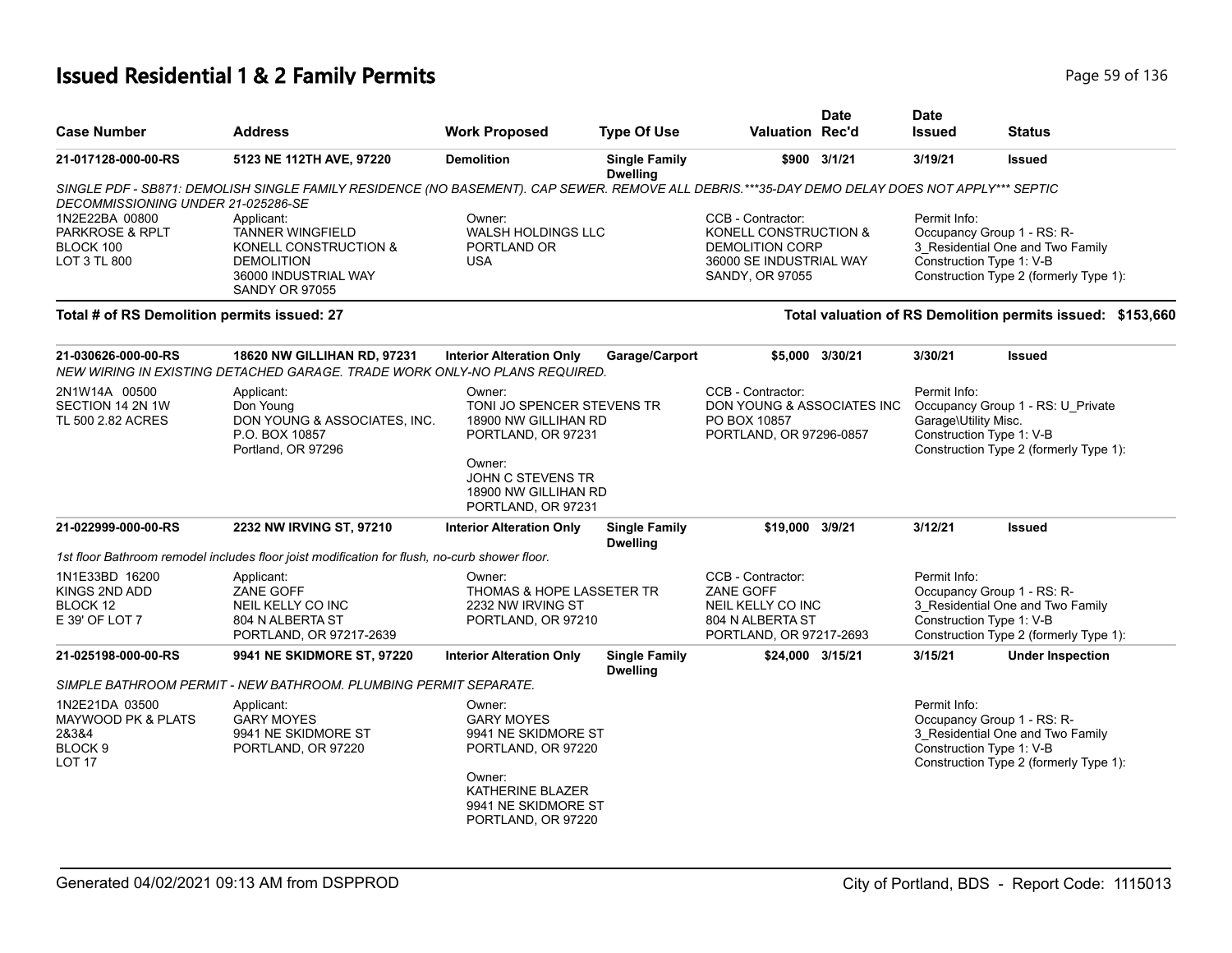# **Issued Residential 1 & 2 Family Permits Page 136** 2 **Page 59 of 136**

| <b>Case Number</b>                                                                       | <b>Address</b>                                                                                                                                 | <b>Work Proposed</b>                                                                                                                                            | <b>Type Of Use</b>                      | <b>Valuation Rec'd</b>                                                                                             | <b>Date</b>     | <b>Date</b><br><b>Issued</b>                                     | <b>Status</b>                                                                                            |
|------------------------------------------------------------------------------------------|------------------------------------------------------------------------------------------------------------------------------------------------|-----------------------------------------------------------------------------------------------------------------------------------------------------------------|-----------------------------------------|--------------------------------------------------------------------------------------------------------------------|-----------------|------------------------------------------------------------------|----------------------------------------------------------------------------------------------------------|
| 21-017128-000-00-RS                                                                      | 5123 NE 112TH AVE, 97220                                                                                                                       | <b>Demolition</b>                                                                                                                                               | <b>Single Family</b><br><b>Dwelling</b> |                                                                                                                    | \$900 3/1/21    | 3/19/21                                                          | <b>Issued</b>                                                                                            |
| DECOMMISSIONING UNDER 21-025286-SE                                                       | SINGLE PDF - SB871: DEMOLISH SINGLE FAMILY RESIDENCE (NO BASEMENT). CAP SEWER. REMOVE ALL DEBRIS.***35-DAY DEMO DELAY DOES NOT APPLY*** SEPTIC |                                                                                                                                                                 |                                         |                                                                                                                    |                 |                                                                  |                                                                                                          |
| 1N2E22BA 00800<br>PARKROSE & RPLT<br>BLOCK 100<br>LOT 3 TL 800                           | Applicant:<br><b>TANNER WINGFIELD</b><br>KONELL CONSTRUCTION &<br><b>DEMOLITION</b><br>36000 INDUSTRIAL WAY<br><b>SANDY OR 97055</b>           | Owner:<br><b>WALSH HOLDINGS LLC</b><br>PORTLAND OR<br><b>USA</b>                                                                                                |                                         | CCB - Contractor:<br>KONELL CONSTRUCTION &<br><b>DEMOLITION CORP</b><br>36000 SE INDUSTRIAL WAY<br>SANDY, OR 97055 |                 | Permit Info:<br>Construction Type 1: V-B                         | Occupancy Group 1 - RS: R-<br>3_Residential One and Two Family<br>Construction Type 2 (formerly Type 1): |
| Total # of RS Demolition permits issued: 27                                              |                                                                                                                                                |                                                                                                                                                                 |                                         |                                                                                                                    |                 |                                                                  | Total valuation of RS Demolition permits issued: \$153,660                                               |
| 21-030626-000-00-RS                                                                      | 18620 NW GILLIHAN RD, 97231<br>NEW WIRING IN EXISTING DETACHED GARAGE. TRADE WORK ONLY-NO PLANS REQUIRED.                                      | <b>Interior Alteration Only</b>                                                                                                                                 | Garage/Carport                          |                                                                                                                    | \$5,000 3/30/21 | 3/30/21                                                          | <b>Issued</b>                                                                                            |
| 2N1W14A 00500<br>SECTION 14 2N 1W<br>TL 500 2.82 ACRES                                   | Applicant:<br>Don Young<br>DON YOUNG & ASSOCIATES, INC.<br>P.O. BOX 10857<br>Portland, OR 97296                                                | Owner:<br>TONI JO SPENCER STEVENS TR<br>18900 NW GILLIHAN RD<br>PORTLAND, OR 97231<br>Owner:<br>JOHN C STEVENS TR<br>18900 NW GILLIHAN RD<br>PORTLAND, OR 97231 |                                         | CCB - Contractor:<br>DON YOUNG & ASSOCIATES INC<br>PO BOX 10857<br>PORTLAND, OR 97296-0857                         |                 | Permit Info:<br>Garage\Utility Misc.<br>Construction Type 1: V-B | Occupancy Group 1 - RS: U_Private<br>Construction Type 2 (formerly Type 1):                              |
| 21-022999-000-00-RS                                                                      | 2232 NW IRVING ST, 97210                                                                                                                       | <b>Interior Alteration Only</b>                                                                                                                                 | <b>Single Family</b><br><b>Dwelling</b> | \$19,000 3/9/21                                                                                                    |                 | 3/12/21                                                          | <b>Issued</b>                                                                                            |
|                                                                                          | 1st floor Bathroom remodel includes floor joist modification for flush, no-curb shower floor.                                                  |                                                                                                                                                                 |                                         |                                                                                                                    |                 |                                                                  |                                                                                                          |
| 1N1E33BD 16200<br>KINGS 2ND ADD<br>BLOCK 12<br>E 39' OF LOT 7                            | Applicant:<br>ZANE GOFF<br>NEIL KELLY CO INC<br>804 N ALBERTA ST<br>PORTLAND, OR 97217-2639                                                    | Owner:<br>THOMAS & HOPE LASSETER TR<br>2232 NW IRVING ST<br>PORTLAND, OR 97210                                                                                  |                                         | CCB - Contractor:<br>ZANE GOFF<br>NEIL KELLY CO INC<br>804 N ALBERTA ST<br>PORTLAND, OR 97217-2693                 |                 | Permit Info:<br>Construction Type 1: V-B                         | Occupancy Group 1 - RS: R-<br>3 Residential One and Two Family<br>Construction Type 2 (formerly Type 1): |
| 21-025198-000-00-RS                                                                      | 9941 NE SKIDMORE ST, 97220                                                                                                                     | <b>Interior Alteration Only</b>                                                                                                                                 | <b>Single Family</b><br><b>Dwelling</b> | \$24,000 3/15/21                                                                                                   |                 | 3/15/21                                                          | <b>Under Inspection</b>                                                                                  |
|                                                                                          | SIMPLE BATHROOM PERMIT - NEW BATHROOM. PLUMBING PERMIT SEPARATE.                                                                               |                                                                                                                                                                 |                                         |                                                                                                                    |                 |                                                                  |                                                                                                          |
| 1N2E21DA 03500<br>MAYWOOD PK & PLATS<br>28384<br>BLOCK <sub>9</sub><br>LOT <sub>17</sub> | Applicant:<br><b>GARY MOYES</b><br>9941 NE SKIDMORE ST<br>PORTLAND, OR 97220                                                                   | Owner:<br><b>GARY MOYES</b><br>9941 NE SKIDMORE ST<br>PORTLAND, OR 97220<br>Owner:<br>KATHERINE BLAZER                                                          |                                         |                                                                                                                    |                 | Permit Info:<br>Construction Type 1: V-B                         | Occupancy Group 1 - RS: R-<br>3_Residential One and Two Family<br>Construction Type 2 (formerly Type 1): |
|                                                                                          |                                                                                                                                                | 9941 NE SKIDMORE ST<br>PORTLAND, OR 97220                                                                                                                       |                                         |                                                                                                                    |                 |                                                                  |                                                                                                          |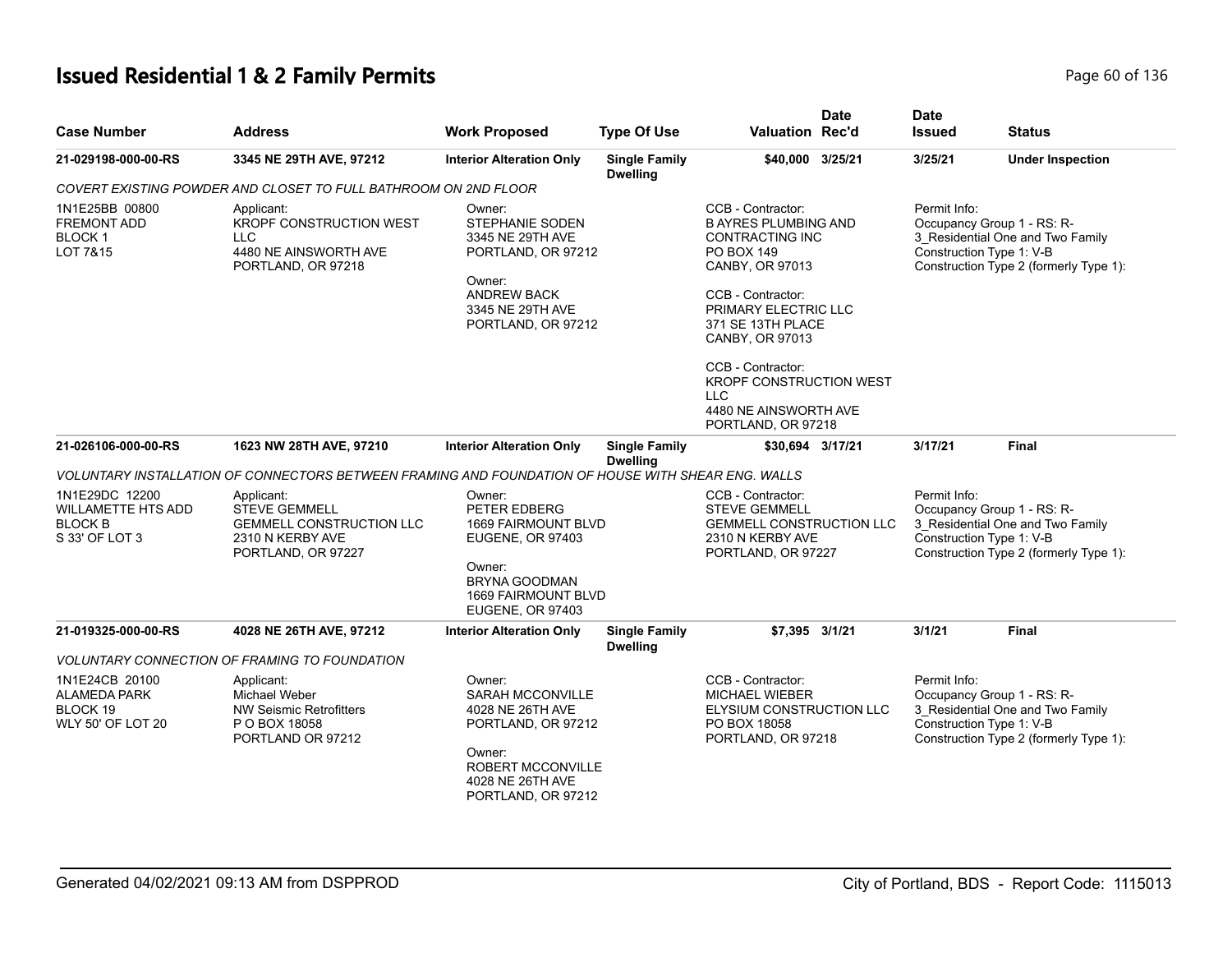# **Issued Residential 1 & 2 Family Permits** Page 60 of 136

| <b>Case Number</b>                                                              | <b>Address</b>                                                                                                  | <b>Work Proposed</b>                                                                                                                                                | <b>Type Of Use</b>                      | <b>Valuation Rec'd</b>                                                                                                                                                                                                                                                                                               | <b>Date</b> | <b>Date</b><br><b>Issued</b>             | Status                                                                                                                               |
|---------------------------------------------------------------------------------|-----------------------------------------------------------------------------------------------------------------|---------------------------------------------------------------------------------------------------------------------------------------------------------------------|-----------------------------------------|----------------------------------------------------------------------------------------------------------------------------------------------------------------------------------------------------------------------------------------------------------------------------------------------------------------------|-------------|------------------------------------------|--------------------------------------------------------------------------------------------------------------------------------------|
| 21-029198-000-00-RS                                                             | 3345 NE 29TH AVE, 97212                                                                                         | <b>Interior Alteration Only</b>                                                                                                                                     | <b>Single Family</b><br><b>Dwelling</b> | \$40,000 3/25/21                                                                                                                                                                                                                                                                                                     |             | 3/25/21                                  | <b>Under Inspection</b>                                                                                                              |
|                                                                                 | COVERT EXISTING POWDER AND CLOSET TO FULL BATHROOM ON 2ND FLOOR                                                 |                                                                                                                                                                     |                                         |                                                                                                                                                                                                                                                                                                                      |             |                                          |                                                                                                                                      |
| 1N1E25BB 00800<br><b>FREMONT ADD</b><br><b>BLOCK1</b><br>LOT 7&15               | Applicant:<br>KROPF CONSTRUCTION WEST<br><b>LLC</b><br>4480 NE AINSWORTH AVE<br>PORTLAND, OR 97218              | Owner:<br>STEPHANIE SODEN<br>3345 NE 29TH AVE<br>PORTLAND, OR 97212<br>Owner:<br><b>ANDREW BACK</b><br>3345 NE 29TH AVE<br>PORTLAND, OR 97212                       |                                         | CCB - Contractor:<br><b>B AYRES PLUMBING AND</b><br><b>CONTRACTING INC</b><br><b>PO BOX 149</b><br>CANBY, OR 97013<br>CCB - Contractor:<br>PRIMARY ELECTRIC LLC<br>371 SE 13TH PLACE<br>CANBY, OR 97013<br>CCB - Contractor:<br>KROPF CONSTRUCTION WEST<br><b>LLC</b><br>4480 NE AINSWORTH AVE<br>PORTLAND, OR 97218 |             | Permit Info:<br>Construction Type 1: V-B | Occupancy Group 1 - RS: R-<br>3_Residential One and Two Family<br>Construction Type 2 (formerly Type 1):                             |
| 21-026106-000-00-RS                                                             | 1623 NW 28TH AVE, 97210                                                                                         | <b>Interior Alteration Only</b>                                                                                                                                     | <b>Single Family</b><br><b>Dwelling</b> | \$30,694 3/17/21                                                                                                                                                                                                                                                                                                     |             | 3/17/21                                  | Final                                                                                                                                |
|                                                                                 | VOLUNTARY INSTALLATION OF CONNECTORS BETWEEN FRAMING AND FOUNDATION OF HOUSE WITH SHEAR ENG. WALLS              |                                                                                                                                                                     |                                         |                                                                                                                                                                                                                                                                                                                      |             |                                          |                                                                                                                                      |
| 1N1E29DC 12200<br><b>WILLAMETTE HTS ADD</b><br><b>BLOCK B</b><br>S 33' OF LOT 3 | Applicant:<br><b>STEVE GEMMELL</b><br><b>GEMMELL CONSTRUCTION LLC</b><br>2310 N KERBY AVE<br>PORTLAND, OR 97227 | Owner:<br>PETER EDBERG<br><b>1669 FAIRMOUNT BLVD</b><br><b>EUGENE, OR 97403</b><br>Owner:<br><b>BRYNA GOODMAN</b><br>1669 FAIRMOUNT BLVD<br><b>EUGENE, OR 97403</b> |                                         | CCB - Contractor:<br><b>STEVE GEMMELL</b><br><b>GEMMELL CONSTRUCTION LLC</b><br>2310 N KERBY AVE<br>PORTLAND, OR 97227                                                                                                                                                                                               |             | Permit Info:                             | Occupancy Group 1 - RS: R-<br>3 Residential One and Two Family<br>Construction Type 1: V-B<br>Construction Type 2 (formerly Type 1): |
| 21-019325-000-00-RS                                                             | 4028 NE 26TH AVE, 97212                                                                                         | <b>Interior Alteration Only</b>                                                                                                                                     | <b>Single Family</b>                    | \$7,395 3/1/21                                                                                                                                                                                                                                                                                                       |             | 3/1/21                                   | <b>Final</b>                                                                                                                         |
|                                                                                 | <b>VOLUNTARY CONNECTION OF FRAMING TO FOUNDATION</b>                                                            |                                                                                                                                                                     | <b>Dwelling</b>                         |                                                                                                                                                                                                                                                                                                                      |             |                                          |                                                                                                                                      |
| 1N1E24CB 20100<br><b>ALAMEDA PARK</b><br>BLOCK 19<br><b>WLY 50' OF LOT 20</b>   | Applicant:<br>Michael Weber<br>NW Seismic Retrofitters<br>P O BOX 18058<br>PORTLAND OR 97212                    | Owner:<br>SARAH MCCONVILLE<br>4028 NE 26TH AVE<br>PORTLAND, OR 97212<br>Owner:<br>ROBERT MCCONVILLE<br>4028 NE 26TH AVE<br>PORTLAND, OR 97212                       |                                         | CCB - Contractor:<br><b>MICHAEL WIEBER</b><br>ELYSIUM CONSTRUCTION LLC<br>PO BOX 18058<br>PORTLAND, OR 97218                                                                                                                                                                                                         |             | Permit Info:<br>Construction Type 1: V-B | Occupancy Group 1 - RS: R-<br>3 Residential One and Two Family<br>Construction Type 2 (formerly Type 1):                             |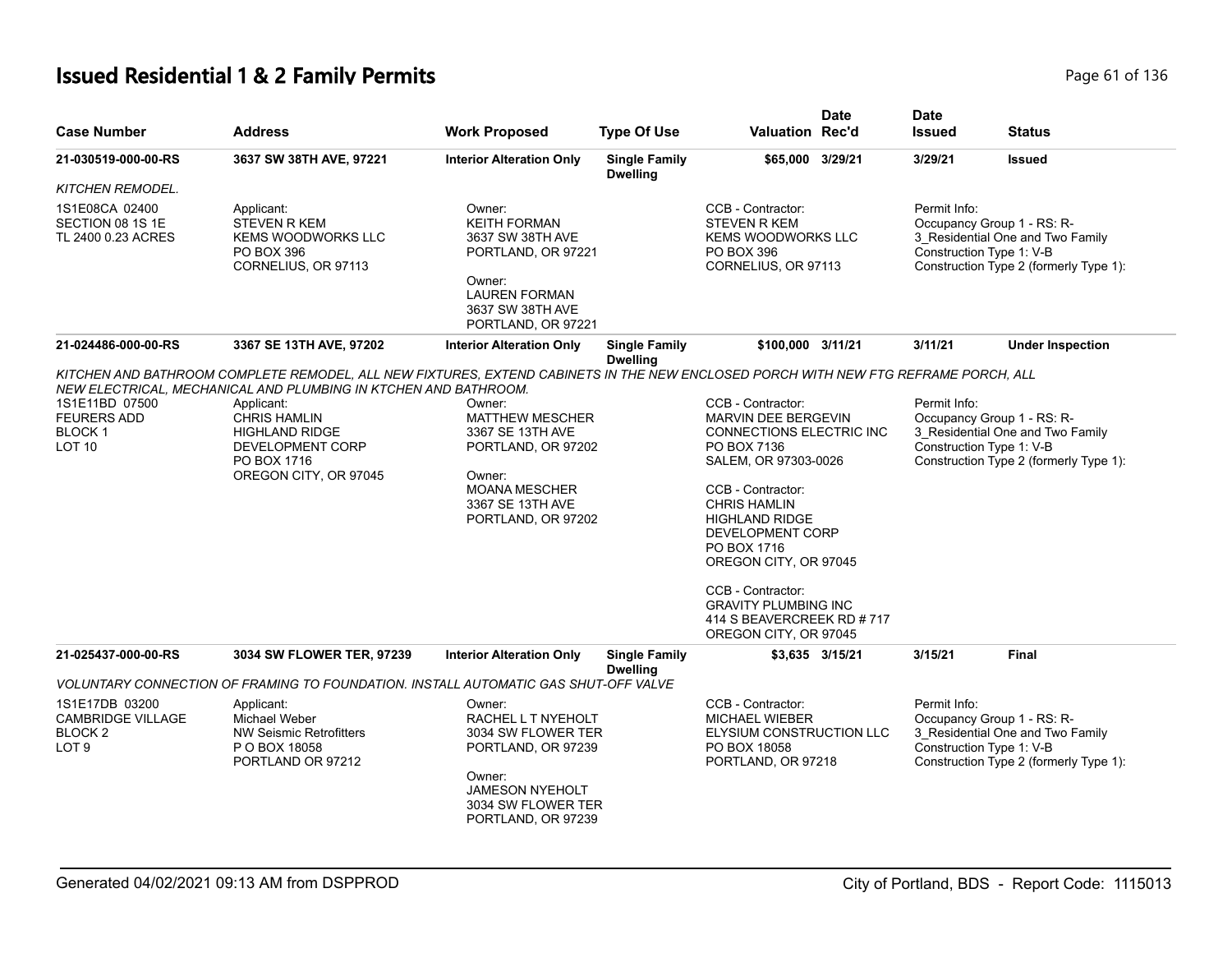# **Issued Residential 1 & 2 Family Permits Page 1 01 136** Page 61 of 136

| <b>Case Number</b>                                                              | <b>Address</b>                                                                                                                                                                                                                                                                                                                  | <b>Work Proposed</b>                                                                                                                                     | <b>Type Of Use</b>                      | <b>Valuation Rec'd</b>                                                                                                                                                                                                                                                                                                                                 | <b>Date</b>     | <b>Date</b><br><b>Issued</b>             | <b>Status</b>                                                                                            |
|---------------------------------------------------------------------------------|---------------------------------------------------------------------------------------------------------------------------------------------------------------------------------------------------------------------------------------------------------------------------------------------------------------------------------|----------------------------------------------------------------------------------------------------------------------------------------------------------|-----------------------------------------|--------------------------------------------------------------------------------------------------------------------------------------------------------------------------------------------------------------------------------------------------------------------------------------------------------------------------------------------------------|-----------------|------------------------------------------|----------------------------------------------------------------------------------------------------------|
| 21-030519-000-00-RS                                                             | 3637 SW 38TH AVE, 97221                                                                                                                                                                                                                                                                                                         | <b>Interior Alteration Only</b>                                                                                                                          | <b>Single Family</b><br><b>Dwelling</b> | \$65,000 3/29/21                                                                                                                                                                                                                                                                                                                                       |                 | 3/29/21                                  | <b>Issued</b>                                                                                            |
| <b>KITCHEN REMODEL.</b>                                                         |                                                                                                                                                                                                                                                                                                                                 |                                                                                                                                                          |                                         |                                                                                                                                                                                                                                                                                                                                                        |                 |                                          |                                                                                                          |
| 1S1E08CA 02400<br>SECTION 08 1S 1E<br>TL 2400 0.23 ACRES                        | Applicant:<br><b>STEVEN R KEM</b><br><b>KEMS WOODWORKS LLC</b><br><b>PO BOX 396</b><br>CORNELIUS, OR 97113                                                                                                                                                                                                                      | Owner:<br><b>KEITH FORMAN</b><br>3637 SW 38TH AVE<br>PORTLAND, OR 97221<br>Owner:<br><b>LAUREN FORMAN</b><br>3637 SW 38TH AVE<br>PORTLAND, OR 97221      |                                         | CCB - Contractor:<br><b>STEVEN R KEM</b><br><b>KEMS WOODWORKS LLC</b><br><b>PO BOX 396</b><br>CORNELIUS, OR 97113                                                                                                                                                                                                                                      |                 | Permit Info:<br>Construction Type 1: V-B | Occupancy Group 1 - RS: R-<br>3_Residential One and Two Family<br>Construction Type 2 (formerly Type 1): |
| 21-024486-000-00-RS                                                             | 3367 SE 13TH AVE, 97202                                                                                                                                                                                                                                                                                                         | <b>Interior Alteration Only</b>                                                                                                                          | <b>Single Family</b><br><b>Dwelling</b> | \$100,000 3/11/21                                                                                                                                                                                                                                                                                                                                      |                 | 3/11/21                                  | <b>Under Inspection</b>                                                                                  |
| 1S1E11BD 07500<br><b>FEURERS ADD</b><br><b>BLOCK1</b><br>LOT <sub>10</sub>      | KITCHEN AND BATHROOM COMPLETE REMODEL, ALL NEW FIXTURES, EXTEND CABINETS IN THE NEW ENCLOSED PORCH WITH NEW FTG REFRAME PORCH, ALL<br>NEW ELECTRICAL, MECHANICAL AND PLUMBING IN KTCHEN AND BATHROOM.<br>Applicant:<br><b>CHRIS HAMLIN</b><br><b>HIGHLAND RIDGE</b><br>DEVELOPMENT CORP<br>PO BOX 1716<br>OREGON CITY, OR 97045 | Owner:<br><b>MATTHEW MESCHER</b><br>3367 SE 13TH AVE<br>PORTLAND, OR 97202<br>Owner:<br><b>MOANA MESCHER</b><br>3367 SE 13TH AVE<br>PORTLAND, OR 97202   |                                         | CCB - Contractor:<br>MARVIN DEE BERGEVIN<br>CONNECTIONS ELECTRIC INC<br>PO BOX 7136<br>SALEM, OR 97303-0026<br>CCB - Contractor:<br><b>CHRIS HAMLIN</b><br><b>HIGHLAND RIDGE</b><br>DEVELOPMENT CORP<br>PO BOX 1716<br>OREGON CITY, OR 97045<br>CCB - Contractor:<br><b>GRAVITY PLUMBING INC</b><br>414 S BEAVERCREEK RD #717<br>OREGON CITY, OR 97045 |                 | Permit Info:<br>Construction Type 1: V-B | Occupancy Group 1 - RS: R-<br>3 Residential One and Two Family<br>Construction Type 2 (formerly Type 1): |
| 21-025437-000-00-RS                                                             | 3034 SW FLOWER TER, 97239                                                                                                                                                                                                                                                                                                       | <b>Interior Alteration Only</b>                                                                                                                          | <b>Single Family</b><br><b>Dwelling</b> |                                                                                                                                                                                                                                                                                                                                                        | \$3,635 3/15/21 | 3/15/21                                  | <b>Final</b>                                                                                             |
|                                                                                 | VOLUNTARY CONNECTION OF FRAMING TO FOUNDATION. INSTALL AUTOMATIC GAS SHUT-OFF VALVE                                                                                                                                                                                                                                             |                                                                                                                                                          |                                         |                                                                                                                                                                                                                                                                                                                                                        |                 |                                          |                                                                                                          |
| 1S1E17DB 03200<br><b>CAMBRIDGE VILLAGE</b><br><b>BLOCK2</b><br>LOT <sub>9</sub> | Applicant:<br>Michael Weber<br><b>NW Seismic Retrofitters</b><br>P O BOX 18058<br>PORTLAND OR 97212                                                                                                                                                                                                                             | Owner:<br>RACHEL L T NYEHOLT<br>3034 SW FLOWER TER<br>PORTLAND, OR 97239<br>Owner:<br><b>JAMESON NYEHOLT</b><br>3034 SW FLOWER TER<br>PORTLAND, OR 97239 |                                         | CCB - Contractor:<br><b>MICHAEL WIEBER</b><br>ELYSIUM CONSTRUCTION LLC<br>PO BOX 18058<br>PORTLAND, OR 97218                                                                                                                                                                                                                                           |                 | Permit Info:<br>Construction Type 1: V-B | Occupancy Group 1 - RS: R-<br>3 Residential One and Two Family<br>Construction Type 2 (formerly Type 1): |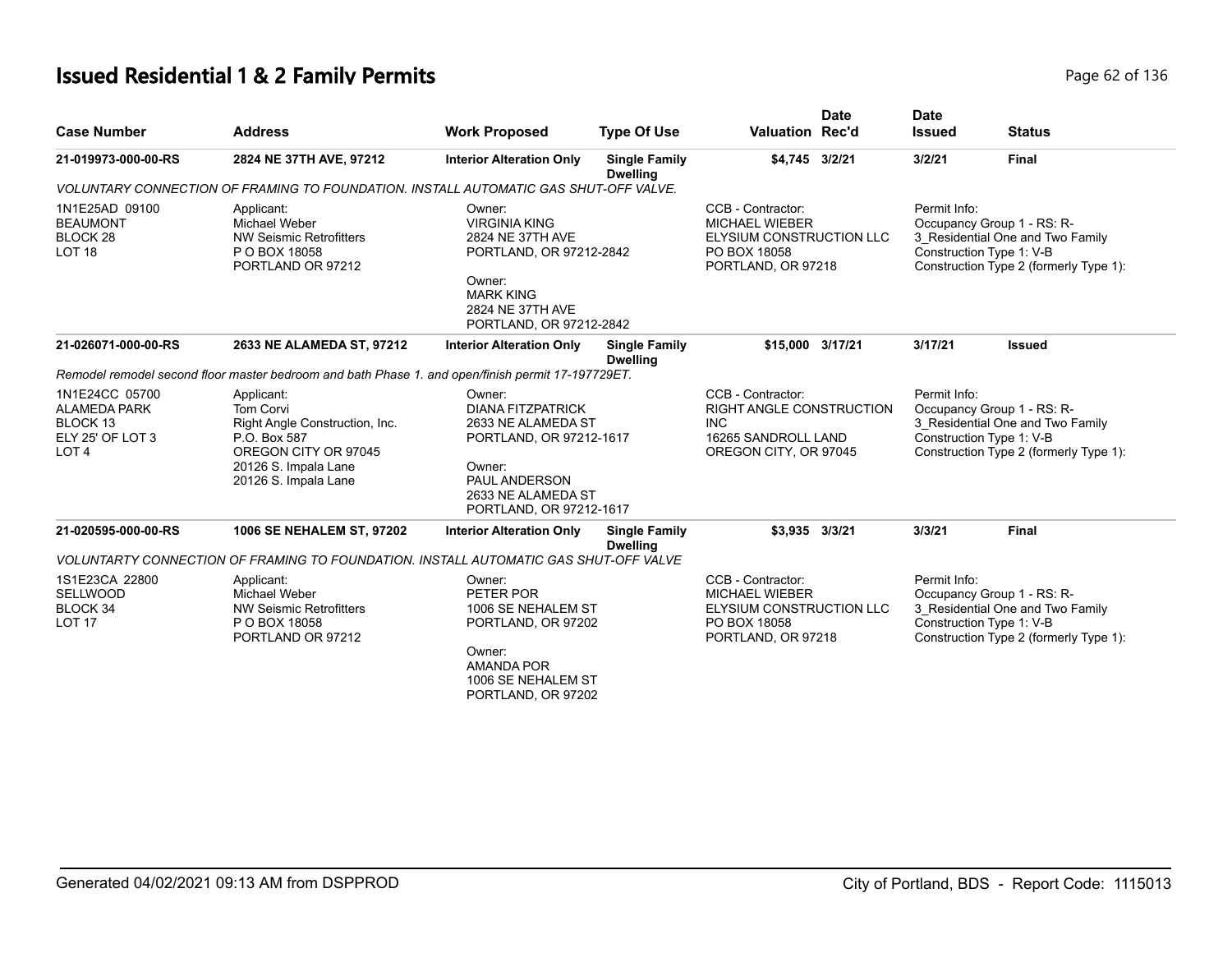# **Issued Residential 1 & 2 Family Permits** Page 62 of 136

| <b>Case Number</b>                                                                                   | <b>Address</b>                                                                                                                                    | <b>Work Proposed</b>                                                                                                                                            | <b>Type Of Use</b>                      | <b>Date</b><br><b>Valuation Rec'd</b>                                                                        | <b>Date</b><br><b>Issued</b> | <b>Status</b>                                                                                                                        |
|------------------------------------------------------------------------------------------------------|---------------------------------------------------------------------------------------------------------------------------------------------------|-----------------------------------------------------------------------------------------------------------------------------------------------------------------|-----------------------------------------|--------------------------------------------------------------------------------------------------------------|------------------------------|--------------------------------------------------------------------------------------------------------------------------------------|
| 21-019973-000-00-RS                                                                                  | 2824 NE 37TH AVE, 97212                                                                                                                           | <b>Interior Alteration Only</b>                                                                                                                                 | <b>Single Family</b><br><b>Dwelling</b> | \$4,745 3/2/21                                                                                               | 3/2/21                       | <b>Final</b>                                                                                                                         |
|                                                                                                      | VOLUNTARY CONNECTION OF FRAMING TO FOUNDATION. INSTALL AUTOMATIC GAS SHUT-OFF VALVE.                                                              |                                                                                                                                                                 |                                         |                                                                                                              |                              |                                                                                                                                      |
| 1N1E25AD 09100<br><b>BEAUMONT</b><br>BLOCK <sub>28</sub><br>LOT <sub>18</sub>                        | Applicant:<br>Michael Weber<br><b>NW Seismic Retrofitters</b><br>P O BOX 18058<br>PORTLAND OR 97212                                               | Owner:<br><b>VIRGINIA KING</b><br>2824 NE 37TH AVE<br>PORTLAND, OR 97212-2842<br>Owner:<br><b>MARK KING</b><br>2824 NE 37TH AVE<br>PORTLAND, OR 97212-2842      |                                         | CCB - Contractor:<br>MICHAEL WIEBER<br><b>ELYSIUM CONSTRUCTION LLC</b><br>PO BOX 18058<br>PORTLAND, OR 97218 | Permit Info:                 | Occupancy Group 1 - RS: R-<br>3_Residential One and Two Family<br>Construction Type 1: V-B<br>Construction Type 2 (formerly Type 1): |
| 21-026071-000-00-RS                                                                                  | 2633 NE ALAMEDA ST, 97212                                                                                                                         | <b>Interior Alteration Only</b>                                                                                                                                 | <b>Single Family</b><br><b>Dwelling</b> | \$15,000 3/17/21                                                                                             | 3/17/21                      | <b>Issued</b>                                                                                                                        |
|                                                                                                      | Remodel remodel second floor master bedroom and bath Phase 1. and open/finish permit 17-197729ET.                                                 |                                                                                                                                                                 |                                         |                                                                                                              |                              |                                                                                                                                      |
| 1N1E24CC 05700<br><b>ALAMEDA PARK</b><br>BLOCK <sub>13</sub><br>ELY 25' OF LOT 3<br>LOT <sub>4</sub> | Applicant:<br>Tom Corvi<br>Right Angle Construction, Inc.<br>P.O. Box 587<br>OREGON CITY OR 97045<br>20126 S. Impala Lane<br>20126 S. Impala Lane | Owner:<br><b>DIANA FITZPATRICK</b><br>2633 NE ALAMEDA ST<br>PORTLAND, OR 97212-1617<br>Owner:<br>PAUL ANDERSON<br>2633 NE ALAMEDA ST<br>PORTLAND, OR 97212-1617 |                                         | CCB - Contractor:<br>RIGHT ANGLE CONSTRUCTION<br>INC.<br>16265 SANDROLL LAND<br>OREGON CITY, OR 97045        | Permit Info:                 | Occupancy Group 1 - RS: R-<br>3 Residential One and Two Family<br>Construction Type 1: V-B<br>Construction Type 2 (formerly Type 1): |
| 21-020595-000-00-RS                                                                                  | 1006 SE NEHALEM ST, 97202                                                                                                                         | <b>Interior Alteration Only</b>                                                                                                                                 | <b>Single Family</b><br><b>Dwelling</b> | \$3,935 3/3/21                                                                                               | 3/3/21                       | <b>Final</b>                                                                                                                         |
|                                                                                                      | VOLUNTARTY CONNECTION OF FRAMING TO FOUNDATION. INSTALL AUTOMATIC GAS SHUT-OFF VALVE                                                              |                                                                                                                                                                 |                                         |                                                                                                              |                              |                                                                                                                                      |
| 1S1E23CA 22800<br><b>SELLWOOD</b><br>BLOCK 34<br>LOT <sub>17</sub>                                   | Applicant:<br>Michael Weber<br><b>NW Seismic Retrofitters</b><br>P O BOX 18058<br>PORTLAND OR 97212                                               | Owner:<br>PETER POR<br>1006 SE NEHALEM ST<br>PORTLAND, OR 97202<br>Owner:<br><b>AMANDA POR</b><br>1006 SE NEHALEM ST<br>PORTLAND, OR 97202                      |                                         | CCB - Contractor:<br><b>MICHAEL WIEBER</b><br>ELYSIUM CONSTRUCTION LLC<br>PO BOX 18058<br>PORTLAND, OR 97218 | Permit Info:                 | Occupancy Group 1 - RS: R-<br>3_Residential One and Two Family<br>Construction Type 1: V-B<br>Construction Type 2 (formerly Type 1): |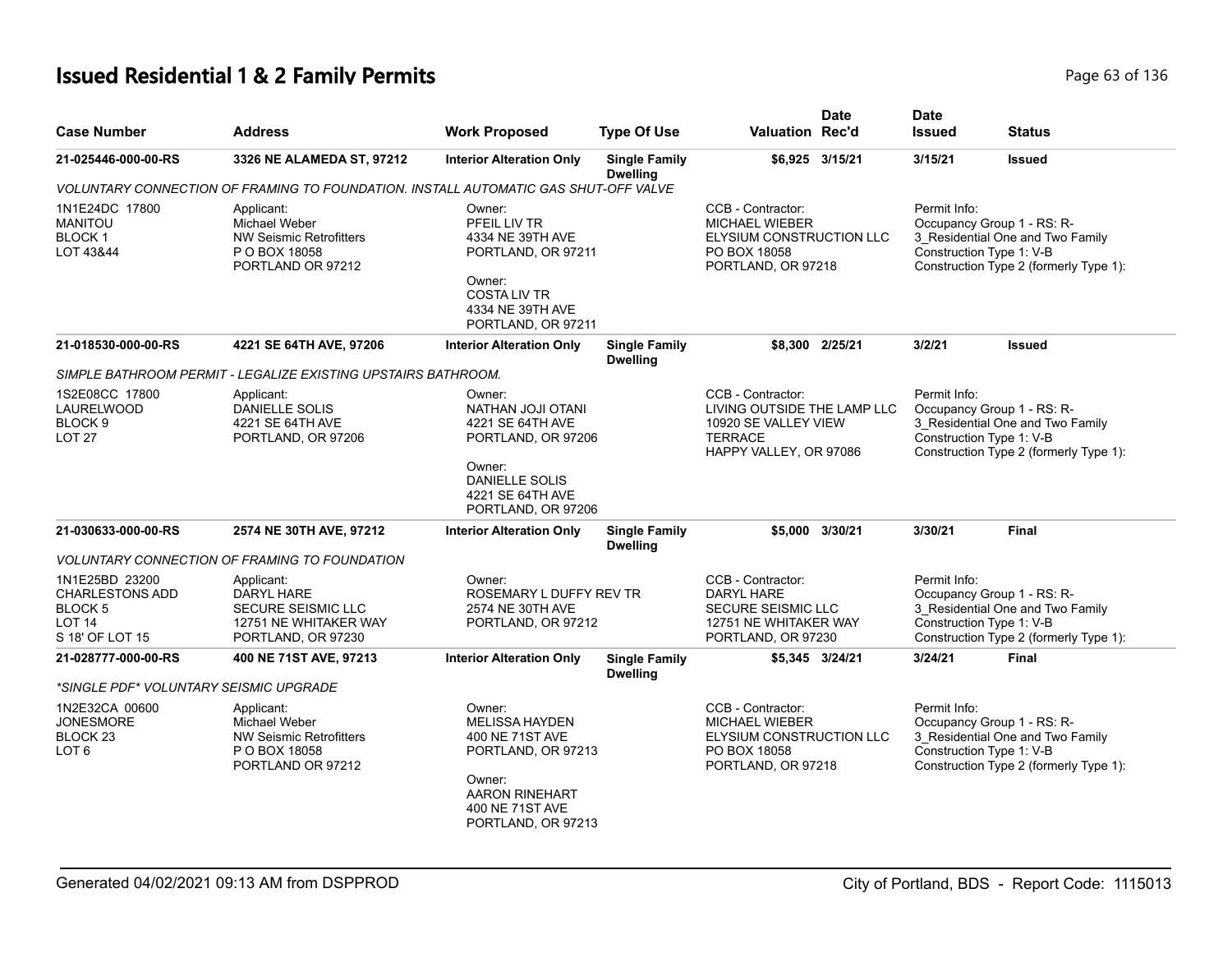# **Issued Residential 1 & 2 Family Permits** Page 63 of 136

| <b>Case Number</b>                                                                             | <b>Address</b>                                                                                       | <b>Work Proposed</b>                                                                                                                                 | <b>Type Of Use</b>                      | Valuation Rec'd                                                                                                      | <b>Date</b>     | <b>Date</b><br><b>Issued</b>             | <b>Status</b>                                                                                            |
|------------------------------------------------------------------------------------------------|------------------------------------------------------------------------------------------------------|------------------------------------------------------------------------------------------------------------------------------------------------------|-----------------------------------------|----------------------------------------------------------------------------------------------------------------------|-----------------|------------------------------------------|----------------------------------------------------------------------------------------------------------|
| 21-025446-000-00-RS                                                                            | 3326 NE ALAMEDA ST, 97212                                                                            | <b>Interior Alteration Only</b>                                                                                                                      | <b>Single Family</b><br><b>Dwelling</b> |                                                                                                                      | \$6,925 3/15/21 | 3/15/21                                  | <b>Issued</b>                                                                                            |
|                                                                                                | VOLUNTARY CONNECTION OF FRAMING TO FOUNDATION. INSTALL AUTOMATIC GAS SHUT-OFF VALVE                  |                                                                                                                                                      |                                         |                                                                                                                      |                 |                                          |                                                                                                          |
| 1N1E24DC 17800<br><b>MANITOU</b><br><b>BLOCK1</b><br>LOT 43&44                                 | Applicant:<br>Michael Weber<br><b>NW Seismic Retrofitters</b><br>P O BOX 18058<br>PORTLAND OR 97212  | Owner:<br>PFEIL LIV TR<br>4334 NE 39TH AVE<br>PORTLAND, OR 97211<br>Owner:<br><b>COSTALIV TR</b><br>4334 NE 39TH AVE<br>PORTLAND, OR 97211           |                                         | CCB - Contractor:<br><b>MICHAEL WIEBER</b><br>ELYSIUM CONSTRUCTION LLC<br>PO BOX 18058<br>PORTLAND, OR 97218         |                 | Permit Info:<br>Construction Type 1: V-B | Occupancy Group 1 - RS: R-<br>3_Residential One and Two Family<br>Construction Type 2 (formerly Type 1): |
| 21-018530-000-00-RS                                                                            | 4221 SE 64TH AVE, 97206                                                                              | <b>Interior Alteration Only</b>                                                                                                                      | <b>Single Family</b><br><b>Dwelling</b> |                                                                                                                      | \$8,300 2/25/21 | 3/2/21                                   | <b>Issued</b>                                                                                            |
|                                                                                                | SIMPLE BATHROOM PERMIT - LEGALIZE EXISTING UPSTAIRS BATHROOM.                                        |                                                                                                                                                      |                                         |                                                                                                                      |                 |                                          |                                                                                                          |
| 1S2E08CC 17800<br><b>LAURELWOOD</b><br>BLOCK <sub>9</sub><br><b>LOT 27</b>                     | Applicant:<br>DANIELLE SOLIS<br>4221 SE 64TH AVE<br>PORTLAND, OR 97206                               | Owner:<br>NATHAN JOJI OTANI<br>4221 SE 64TH AVE<br>PORTLAND, OR 97206<br>Owner:<br><b>DANIELLE SOLIS</b><br>4221 SE 64TH AVE                         |                                         | CCB - Contractor:<br>LIVING OUTSIDE THE LAMP LLC<br>10920 SE VALLEY VIEW<br><b>TERRACE</b><br>HAPPY VALLEY, OR 97086 |                 | Permit Info:<br>Construction Type 1: V-B | Occupancy Group 1 - RS: R-<br>3 Residential One and Two Family<br>Construction Type 2 (formerly Type 1): |
|                                                                                                |                                                                                                      | PORTLAND, OR 97206                                                                                                                                   |                                         |                                                                                                                      |                 |                                          |                                                                                                          |
| 21-030633-000-00-RS                                                                            | 2574 NE 30TH AVE, 97212                                                                              | <b>Interior Alteration Only</b>                                                                                                                      | <b>Single Family</b><br><b>Dwelling</b> |                                                                                                                      | \$5,000 3/30/21 | 3/30/21                                  | <b>Final</b>                                                                                             |
|                                                                                                | <b>VOLUNTARY CONNECTION OF FRAMING TO FOUNDATION</b>                                                 |                                                                                                                                                      |                                         |                                                                                                                      |                 |                                          |                                                                                                          |
| 1N1E25BD 23200<br><b>CHARLESTONS ADD</b><br><b>BLOCK 5</b><br><b>LOT 14</b><br>S 18' OF LOT 15 | Applicant:<br><b>DARYL HARE</b><br>SECURE SEISMIC LLC<br>12751 NE WHITAKER WAY<br>PORTLAND, OR 97230 | Owner:<br>ROSEMARY L DUFFY REV TR<br>2574 NE 30TH AVE<br>PORTLAND, OR 97212                                                                          |                                         | CCB - Contractor:<br>DARYL HARE<br>SECURE SEISMIC LLC<br>12751 NE WHITAKER WAY<br>PORTLAND, OR 97230                 |                 | Permit Info:<br>Construction Type 1: V-B | Occupancy Group 1 - RS: R-<br>3 Residential One and Two Family<br>Construction Type 2 (formerly Type 1): |
| 21-028777-000-00-RS                                                                            | 400 NE 71ST AVE, 97213                                                                               | <b>Interior Alteration Only</b>                                                                                                                      | <b>Single Family</b><br><b>Dwelling</b> |                                                                                                                      | \$5,345 3/24/21 | 3/24/21                                  | <b>Final</b>                                                                                             |
| *SINGLE PDF* VOLUNTARY SEISMIC UPGRADE                                                         |                                                                                                      |                                                                                                                                                      |                                         |                                                                                                                      |                 |                                          |                                                                                                          |
| 1N2E32CA 00600<br><b>JONESMORE</b><br>BLOCK <sub>23</sub><br>LOT <sub>6</sub>                  | Applicant:<br>Michael Weber<br><b>NW Seismic Retrofitters</b><br>P O BOX 18058<br>PORTLAND OR 97212  | Owner:<br><b>MELISSA HAYDEN</b><br>400 NE 71ST AVE<br>PORTLAND, OR 97213<br>Owner:<br><b>AARON RINEHART</b><br>400 NE 71ST AVE<br>PORTLAND, OR 97213 |                                         | CCB - Contractor:<br><b>MICHAEL WIEBER</b><br>ELYSIUM CONSTRUCTION LLC<br>PO BOX 18058<br>PORTLAND, OR 97218         |                 | Permit Info:<br>Construction Type 1: V-B | Occupancy Group 1 - RS: R-<br>3 Residential One and Two Family<br>Construction Type 2 (formerly Type 1): |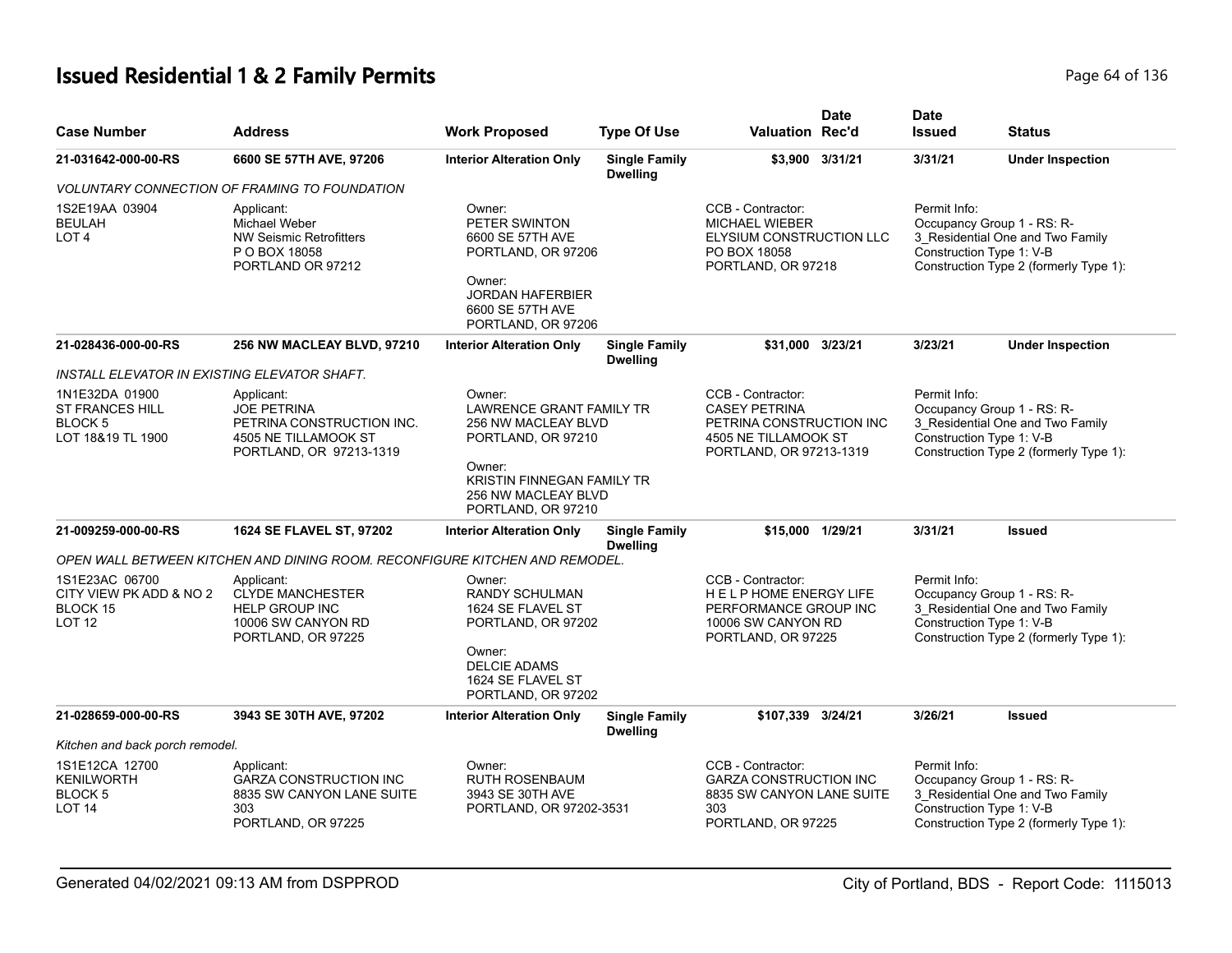# **Issued Residential 1 & 2 Family Permits** Page 64 of 136

| <b>Case Number</b>                                                             | <b>Address</b>                                                                                                   | <b>Work Proposed</b>                                                                                                                                  | <b>Type Of Use</b>                      | <b>Valuation Rec'd</b>                                                                                                   | <b>Date</b>     | <b>Date</b><br><b>Issued</b>             | <b>Status</b>                                                                                            |
|--------------------------------------------------------------------------------|------------------------------------------------------------------------------------------------------------------|-------------------------------------------------------------------------------------------------------------------------------------------------------|-----------------------------------------|--------------------------------------------------------------------------------------------------------------------------|-----------------|------------------------------------------|----------------------------------------------------------------------------------------------------------|
| 21-031642-000-00-RS                                                            | 6600 SE 57TH AVE, 97206                                                                                          | <b>Interior Alteration Only</b>                                                                                                                       | <b>Single Family</b><br><b>Dwelling</b> |                                                                                                                          | \$3,900 3/31/21 | 3/31/21                                  | <b>Under Inspection</b>                                                                                  |
|                                                                                | VOLUNTARY CONNECTION OF FRAMING TO FOUNDATION                                                                    |                                                                                                                                                       |                                         |                                                                                                                          |                 |                                          |                                                                                                          |
| 1S2E19AA 03904<br><b>BEULAH</b><br>LOT <sub>4</sub>                            | Applicant:<br>Michael Weber<br><b>NW Seismic Retrofitters</b><br>P O BOX 18058<br>PORTLAND OR 97212              | Owner:<br>PETER SWINTON<br>6600 SE 57TH AVE<br>PORTLAND, OR 97206<br>Owner:<br><b>JORDAN HAFERBIER</b><br>6600 SE 57TH AVE<br>PORTLAND, OR 97206      |                                         | CCB - Contractor:<br><b>MICHAEL WIEBER</b><br>ELYSIUM CONSTRUCTION LLC<br>PO BOX 18058<br>PORTLAND, OR 97218             |                 | Permit Info:<br>Construction Type 1: V-B | Occupancy Group 1 - RS: R-<br>3_Residential One and Two Family<br>Construction Type 2 (formerly Type 1): |
| 21-028436-000-00-RS                                                            | 256 NW MACLEAY BLVD, 97210                                                                                       | <b>Interior Alteration Only</b>                                                                                                                       | <b>Single Family</b><br><b>Dwelling</b> | \$31.000 3/23/21                                                                                                         |                 | 3/23/21                                  | <b>Under Inspection</b>                                                                                  |
| INSTALL ELEVATOR IN EXISTING ELEVATOR SHAFT.                                   |                                                                                                                  |                                                                                                                                                       |                                         |                                                                                                                          |                 |                                          |                                                                                                          |
| 1N1E32DA 01900<br><b>ST FRANCES HILL</b><br><b>BLOCK5</b><br>LOT 18&19 TL 1900 | Applicant:<br><b>JOE PETRINA</b><br>PETRINA CONSTRUCTION INC.<br>4505 NE TILLAMOOK ST<br>PORTLAND, OR 97213-1319 | Owner:<br><b>LAWRENCE GRANT FAMILY TR</b><br>256 NW MACLEAY BLVD<br>PORTLAND, OR 97210<br>Owner:<br>KRISTIN FINNEGAN FAMILY TR<br>256 NW MACLEAY BLVD |                                         | CCB - Contractor:<br><b>CASEY PETRINA</b><br>PETRINA CONSTRUCTION INC<br>4505 NE TILLAMOOK ST<br>PORTLAND, OR 97213-1319 |                 | Permit Info:<br>Construction Type 1: V-B | Occupancy Group 1 - RS: R-<br>3 Residential One and Two Family<br>Construction Type 2 (formerly Type 1): |
|                                                                                |                                                                                                                  | PORTLAND, OR 97210                                                                                                                                    |                                         |                                                                                                                          |                 |                                          |                                                                                                          |
| 21-009259-000-00-RS                                                            | 1624 SE FLAVEL ST, 97202                                                                                         | <b>Interior Alteration Only</b>                                                                                                                       | <b>Single Family</b><br><b>Dwelling</b> | \$15,000 1/29/21                                                                                                         |                 | 3/31/21                                  | <b>Issued</b>                                                                                            |
|                                                                                | OPEN WALL BETWEEN KITCHEN AND DINING ROOM. RECONFIGURE KITCHEN AND REMODEL.                                      |                                                                                                                                                       |                                         |                                                                                                                          |                 |                                          |                                                                                                          |
| 1S1E23AC 06700<br>CITY VIEW PK ADD & NO 2<br>BLOCK 15<br>LOT <sub>12</sub>     | Applicant:<br><b>CLYDE MANCHESTER</b><br><b>HELP GROUP INC</b><br>10006 SW CANYON RD<br>PORTLAND, OR 97225       | Owner:<br><b>RANDY SCHULMAN</b><br>1624 SE FLAVEL ST<br>PORTLAND, OR 97202<br>Owner:                                                                  |                                         | CCB - Contractor:<br>H E L P HOME ENERGY LIFE<br>PERFORMANCE GROUP INC<br>10006 SW CANYON RD<br>PORTLAND, OR 97225       |                 | Permit Info:<br>Construction Type 1: V-B | Occupancy Group 1 - RS: R-<br>3 Residential One and Two Family<br>Construction Type 2 (formerly Type 1): |
|                                                                                |                                                                                                                  | <b>DELCIE ADAMS</b><br>1624 SE FLAVEL ST<br>PORTLAND, OR 97202                                                                                        |                                         |                                                                                                                          |                 |                                          |                                                                                                          |
| 21-028659-000-00-RS                                                            | 3943 SE 30TH AVE, 97202                                                                                          | <b>Interior Alteration Only</b>                                                                                                                       | <b>Single Family</b><br><b>Dwelling</b> | \$107,339 3/24/21                                                                                                        |                 | 3/26/21                                  | <b>Issued</b>                                                                                            |
| Kitchen and back porch remodel.                                                |                                                                                                                  |                                                                                                                                                       |                                         |                                                                                                                          |                 |                                          |                                                                                                          |
| 1S1E12CA 12700<br><b>KENILWORTH</b><br>BLOCK <sub>5</sub><br><b>LOT 14</b>     | Applicant:<br><b>GARZA CONSTRUCTION INC</b><br>8835 SW CANYON LANE SUITE<br>303<br>PORTLAND, OR 97225            | Owner:<br><b>RUTH ROSENBAUM</b><br>3943 SE 30TH AVE<br>PORTLAND, OR 97202-3531                                                                        |                                         | CCB - Contractor:<br><b>GARZA CONSTRUCTION INC</b><br>8835 SW CANYON LANE SUITE<br>303<br>PORTLAND, OR 97225             |                 | Permit Info:<br>Construction Type 1: V-B | Occupancy Group 1 - RS: R-<br>3 Residential One and Two Family<br>Construction Type 2 (formerly Type 1): |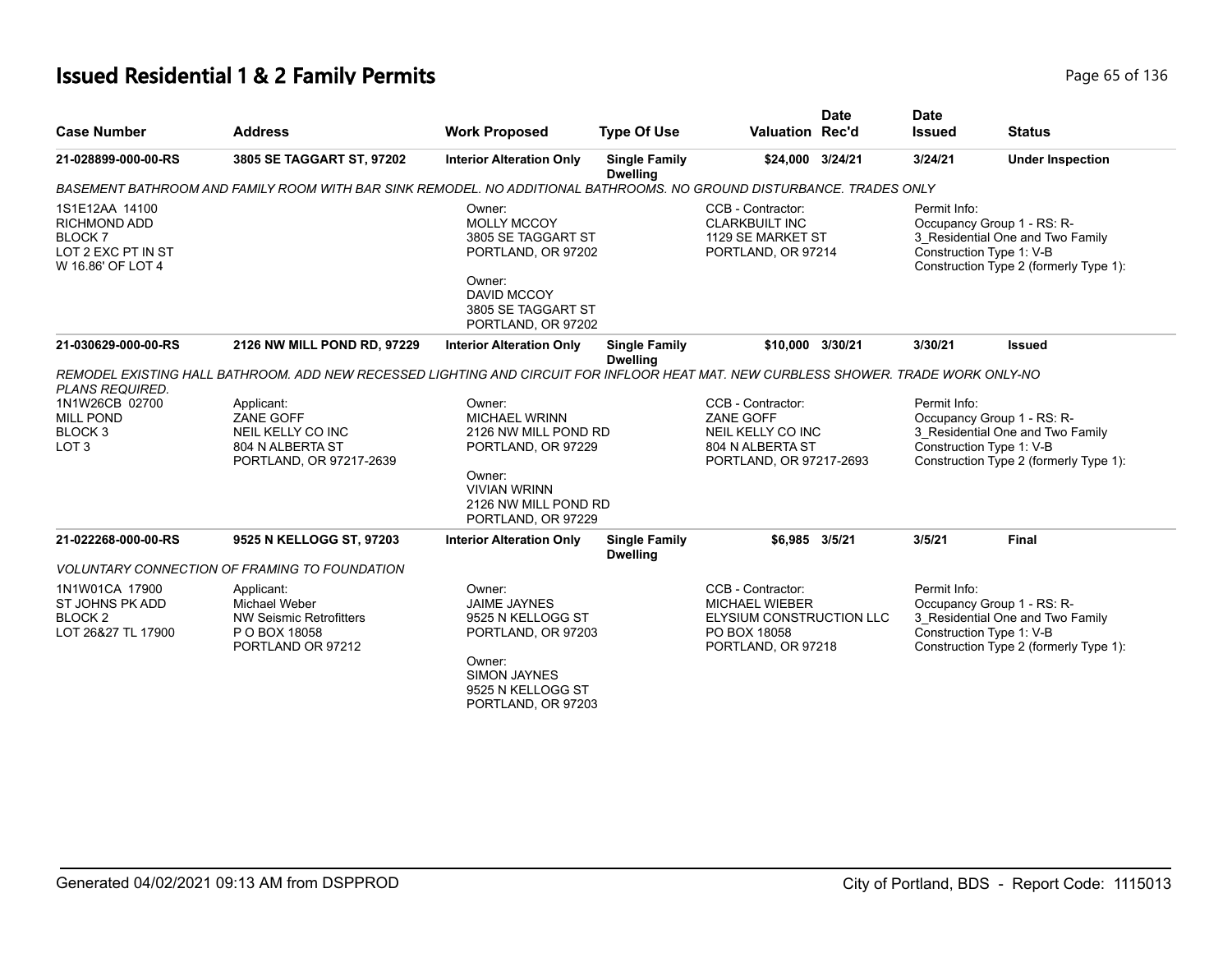# **Issued Residential 1 & 2 Family Permits Page 136** 2 **Page 65 of 136**

| <b>Case Number</b>                                                                                     | <b>Address</b>                                                                                                                      | <b>Work Proposed</b>                                                                                                                                        | <b>Type Of Use</b>                      | <b>Valuation Rec'd</b>                                                                                       | <b>Date</b> | <b>Date</b><br><b>Issued</b> | <b>Status</b>                                                                                                                        |
|--------------------------------------------------------------------------------------------------------|-------------------------------------------------------------------------------------------------------------------------------------|-------------------------------------------------------------------------------------------------------------------------------------------------------------|-----------------------------------------|--------------------------------------------------------------------------------------------------------------|-------------|------------------------------|--------------------------------------------------------------------------------------------------------------------------------------|
| 21-028899-000-00-RS                                                                                    | 3805 SE TAGGART ST, 97202                                                                                                           | <b>Interior Alteration Only</b>                                                                                                                             | <b>Single Family</b><br><b>Dwelling</b> | \$24,000                                                                                                     | 3/24/21     | 3/24/21                      | <b>Under Inspection</b>                                                                                                              |
|                                                                                                        | BASEMENT BATHROOM AND FAMILY ROOM WITH BAR SINK REMODEL. NO ADDITIONAL BATHROOMS. NO GROUND DISTURBANCE. TRADES ONLY                |                                                                                                                                                             |                                         |                                                                                                              |             |                              |                                                                                                                                      |
| 1S1E12AA 14100<br><b>RICHMOND ADD</b><br>BLOCK <sub>7</sub><br>LOT 2 EXC PT IN ST<br>W 16.86' OF LOT 4 |                                                                                                                                     | Owner:<br><b>MOLLY MCCOY</b><br>3805 SE TAGGART ST<br>PORTLAND, OR 97202<br>Owner:<br><b>DAVID MCCOY</b><br>3805 SE TAGGART ST<br>PORTLAND, OR 97202        |                                         | CCB - Contractor:<br><b>CLARKBUILT INC</b><br>1129 SE MARKET ST<br>PORTLAND, OR 97214                        |             | Permit Info:                 | Occupancy Group 1 - RS: R-<br>3_Residential One and Two Family<br>Construction Type 1: V-B<br>Construction Type 2 (formerly Type 1): |
| 21-030629-000-00-RS                                                                                    | 2126 NW MILL POND RD, 97229                                                                                                         | <b>Interior Alteration Only</b>                                                                                                                             | <b>Single Family</b><br><b>Dwelling</b> | \$10.000 3/30/21                                                                                             |             | 3/30/21                      | <b>Issued</b>                                                                                                                        |
| PLANS REQUIRED.                                                                                        | REMODEL EXISTING HALL BATHROOM. ADD NEW RECESSED LIGHTING AND CIRCUIT FOR INFLOOR HEAT MAT. NEW CURBLESS SHOWER. TRADE WORK ONLY-NO |                                                                                                                                                             |                                         |                                                                                                              |             |                              |                                                                                                                                      |
| 1N1W26CB 02700<br><b>MILL POND</b><br>BLOCK <sub>3</sub><br>LOT <sub>3</sub>                           | Applicant:<br>ZANE GOFF<br>NEIL KELLY CO INC<br>804 N ALBERTA ST<br>PORTLAND, OR 97217-2639                                         | Owner:<br><b>MICHAEL WRINN</b><br>2126 NW MILL POND RD<br>PORTLAND, OR 97229<br>Owner:<br><b>VIVIAN WRINN</b><br>2126 NW MILL POND RD<br>PORTLAND, OR 97229 |                                         | CCB - Contractor:<br>ZANE GOFF<br>NEIL KELLY CO INC<br>804 N ALBERTA ST<br>PORTLAND, OR 97217-2693           |             | Permit Info:                 | Occupancy Group 1 - RS: R-<br>3_Residential One and Two Family<br>Construction Type 1: V-B<br>Construction Type 2 (formerly Type 1): |
| 21-022268-000-00-RS                                                                                    | 9525 N KELLOGG ST, 97203                                                                                                            | <b>Interior Alteration Only</b>                                                                                                                             | <b>Single Family</b><br><b>Dwelling</b> | \$6,985 3/5/21                                                                                               |             | 3/5/21                       | <b>Final</b>                                                                                                                         |
|                                                                                                        | <b>VOLUNTARY CONNECTION OF FRAMING TO FOUNDATION</b>                                                                                |                                                                                                                                                             |                                         |                                                                                                              |             |                              |                                                                                                                                      |
| 1N1W01CA 17900<br>ST JOHNS PK ADD<br>BLOCK <sub>2</sub><br>LOT 26&27 TL 17900                          | Applicant:<br>Michael Weber<br><b>NW Seismic Retrofitters</b><br>P O BOX 18058<br>PORTLAND OR 97212                                 | Owner:<br><b>JAIME JAYNES</b><br>9525 N KELLOGG ST<br>PORTLAND, OR 97203<br>Owner:<br><b>SIMON JAYNES</b><br>9525 N KELLOGG ST<br>PORTLAND, OR 97203        |                                         | CCB - Contractor:<br><b>MICHAEL WIEBER</b><br>ELYSIUM CONSTRUCTION LLC<br>PO BOX 18058<br>PORTLAND, OR 97218 |             | Permit Info:                 | Occupancy Group 1 - RS: R-<br>3_Residential One and Two Family<br>Construction Type 1: V-B<br>Construction Type 2 (formerly Type 1): |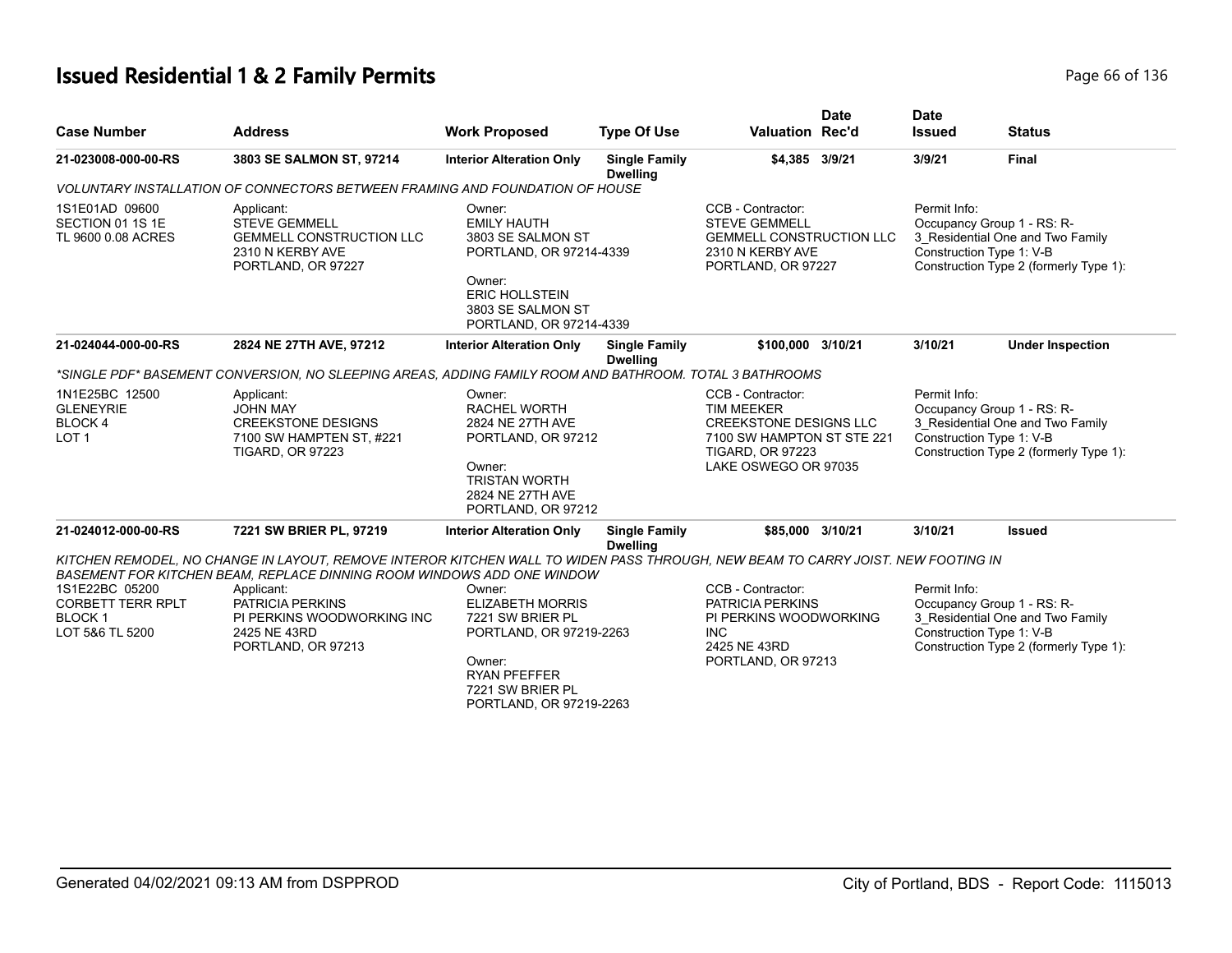# **Issued Residential 1 & 2 Family Permits Page 136** 2 **Page 66 of 136**

| <b>Case Number</b>                                                             | <b>Address</b>                                                                                                                                                                                             | <b>Work Proposed</b>                                                                                                                                                                                                                                                                      | <b>Type Of Use</b>                      | <b>Valuation Rec'd</b>                                                                                                 | <b>Date</b>  | <b>Date</b><br><b>Issued</b>                                                                                                         | <b>Status</b>                                                                                                                        |
|--------------------------------------------------------------------------------|------------------------------------------------------------------------------------------------------------------------------------------------------------------------------------------------------------|-------------------------------------------------------------------------------------------------------------------------------------------------------------------------------------------------------------------------------------------------------------------------------------------|-----------------------------------------|------------------------------------------------------------------------------------------------------------------------|--------------|--------------------------------------------------------------------------------------------------------------------------------------|--------------------------------------------------------------------------------------------------------------------------------------|
| 21-023008-000-00-RS                                                            | 3803 SE SALMON ST, 97214                                                                                                                                                                                   | <b>Interior Alteration Only</b>                                                                                                                                                                                                                                                           | <b>Single Family</b><br><b>Dwelling</b> | \$4,385 3/9/21                                                                                                         |              | 3/9/21                                                                                                                               | <b>Final</b>                                                                                                                         |
|                                                                                | VOLUNTARY INSTALLATION OF CONNECTORS BETWEEN FRAMING AND FOUNDATION OF HOUSE                                                                                                                               |                                                                                                                                                                                                                                                                                           |                                         |                                                                                                                        |              |                                                                                                                                      |                                                                                                                                      |
| 1S1E01AD 09600<br>SECTION 01 1S 1E<br>TL 9600 0.08 ACRES                       | Applicant:<br><b>STEVE GEMMELL</b><br>GEMMELL CONSTRUCTION LLC<br>2310 N KERBY AVE<br>PORTLAND, OR 97227                                                                                                   | Owner:<br><b>EMILY HAUTH</b><br>3803 SE SALMON ST<br>PORTLAND, OR 97214-4339<br>Owner:<br><b>ERIC HOLLSTEIN</b><br>3803 SE SALMON ST<br>PORTLAND, OR 97214-4339                                                                                                                           |                                         | CCB - Contractor:<br><b>STEVE GEMMELL</b><br><b>GEMMELL CONSTRUCTION LLC</b><br>2310 N KERBY AVE<br>PORTLAND, OR 97227 |              | Permit Info:                                                                                                                         | Occupancy Group 1 - RS: R-<br>3_Residential One and Two Family<br>Construction Type 1: V-B<br>Construction Type 2 (formerly Type 1): |
| 21-024044-000-00-RS                                                            | 2824 NE 27TH AVE, 97212                                                                                                                                                                                    | <b>Interior Alteration Only</b>                                                                                                                                                                                                                                                           | <b>Single Family</b><br><b>Dwelling</b> | \$100.000 3/10/21                                                                                                      |              | 3/10/21                                                                                                                              | <b>Under Inspection</b>                                                                                                              |
|                                                                                | *SINGLE PDF* BASEMENT CONVERSION. NO SLEEPING AREAS. ADDING FAMILY ROOM AND BATHROOM. TOTAL 3 BATHROOMS                                                                                                    |                                                                                                                                                                                                                                                                                           |                                         |                                                                                                                        |              |                                                                                                                                      |                                                                                                                                      |
| 1N1E25BC 12500<br><b>GLENEYRIE</b><br><b>BLOCK4</b><br>LOT <sub>1</sub>        | Applicant:<br><b>JOHN MAY</b><br><b>CREEKSTONE DESIGNS</b><br>7100 SW HAMPTEN ST, #221<br><b>TIGARD, OR 97223</b>                                                                                          | CCB - Contractor:<br>Owner:<br><b>RACHEL WORTH</b><br><b>TIM MEEKER</b><br>2824 NE 27TH AVE<br><b>CREEKSTONE DESIGNS LLC</b><br>7100 SW HAMPTON ST STE 221<br>PORTLAND, OR 97212<br><b>TIGARD, OR 97223</b><br>Owner:<br>LAKE OSWEGO OR 97035<br><b>TRISTAN WORTH</b><br>2824 NE 27TH AVE |                                         |                                                                                                                        | Permit Info: | Occupancy Group 1 - RS: R-<br>3 Residential One and Two Family<br>Construction Type 1: V-B<br>Construction Type 2 (formerly Type 1): |                                                                                                                                      |
| 21-024012-000-00-RS                                                            | 7221 SW BRIER PL, 97219                                                                                                                                                                                    | PORTLAND, OR 97212<br><b>Interior Alteration Only</b>                                                                                                                                                                                                                                     | <b>Single Family</b>                    | \$85,000 3/10/21                                                                                                       |              | 3/10/21                                                                                                                              | <b>Issued</b>                                                                                                                        |
|                                                                                | KITCHEN REMODEL, NO CHANGE IN LAYOUT, REMOVE INTEROR KITCHEN WALL TO WIDEN PASS THROUGH, NEW BEAM TO CARRY JOIST. NEW FOOTING IN<br>BASEMENT FOR KITCHEN BEAM, REPLACE DINNING ROOM WINDOWS ADD ONE WINDOW |                                                                                                                                                                                                                                                                                           | <b>Dwelling</b>                         |                                                                                                                        |              |                                                                                                                                      |                                                                                                                                      |
| 1S1E22BC 05200<br><b>CORBETT TERR RPLT</b><br><b>BLOCK1</b><br>LOT 5&6 TL 5200 | Applicant:<br><b>PATRICIA PERKINS</b><br>PI PERKINS WOODWORKING INC<br>2425 NE 43RD<br>PORTLAND, OR 97213                                                                                                  | Owner:<br><b>ELIZABETH MORRIS</b><br>7221 SW BRIER PL<br>PORTLAND, OR 97219-2263<br>Owner:<br><b>RYAN PFEFFER</b><br>7221 SW BRIER PL<br>PORTLAND, OR 97219-2263                                                                                                                          |                                         | CCB - Contractor:<br>PATRICIA PERKINS<br>PI PERKINS WOODWORKING<br><b>INC</b><br>2425 NE 43RD<br>PORTLAND, OR 97213    |              | Permit Info:                                                                                                                         | Occupancy Group 1 - RS: R-<br>3 Residential One and Two Family<br>Construction Type 1: V-B<br>Construction Type 2 (formerly Type 1): |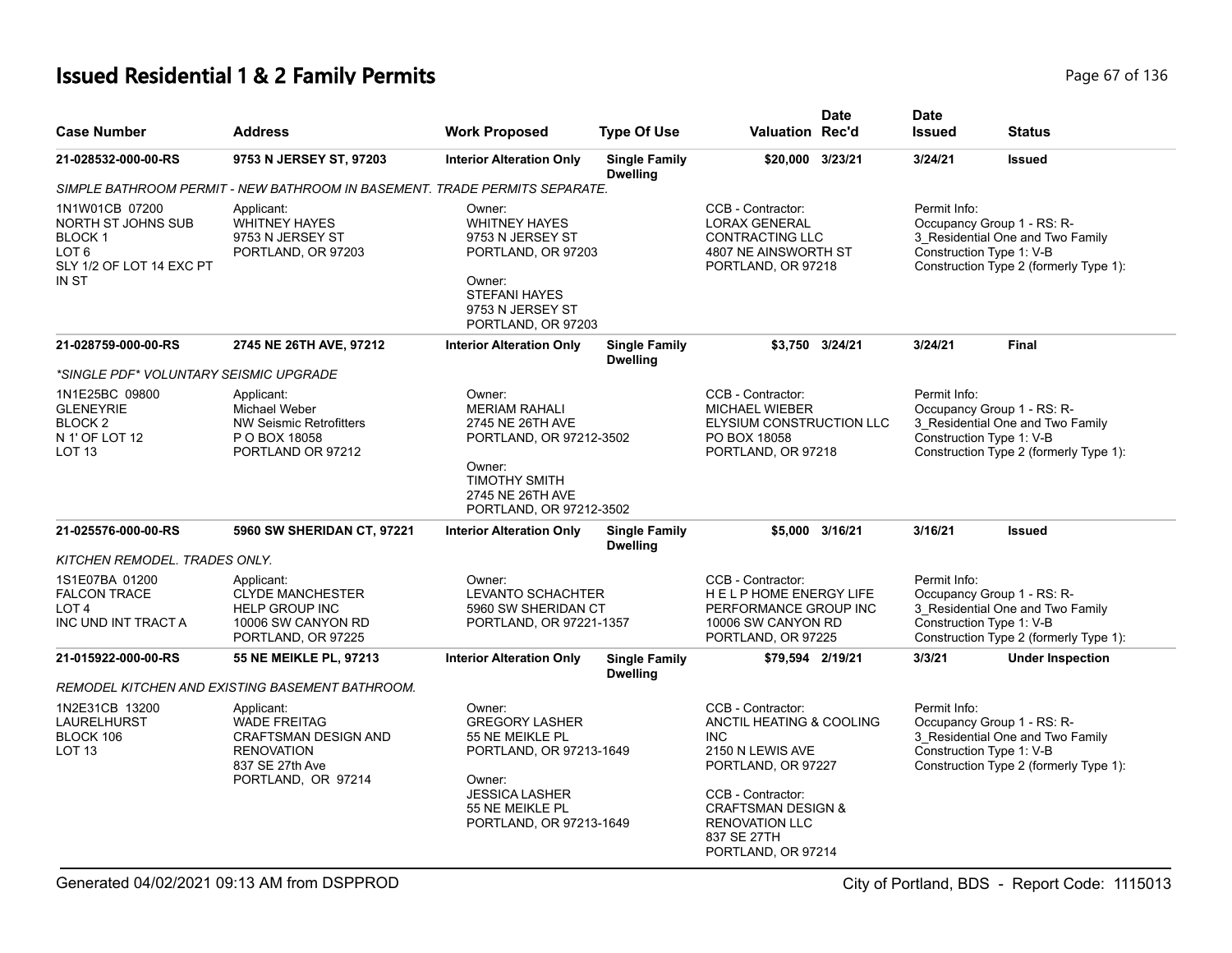# **Issued Residential 1 & 2 Family Permits** Page 67 of 136

| <b>Case Number</b>                                                                                             | <b>Address</b>                                                                                                                 | <b>Work Proposed</b>                                                                                                                                 | <b>Type Of Use</b>                      | <b>Valuation Rec'd</b>                                                                                                                                      | <b>Date</b>     | <b>Date</b><br><b>Issued</b> | <b>Status</b>                                                                                                                        |
|----------------------------------------------------------------------------------------------------------------|--------------------------------------------------------------------------------------------------------------------------------|------------------------------------------------------------------------------------------------------------------------------------------------------|-----------------------------------------|-------------------------------------------------------------------------------------------------------------------------------------------------------------|-----------------|------------------------------|--------------------------------------------------------------------------------------------------------------------------------------|
| 21-028532-000-00-RS                                                                                            | 9753 N JERSEY ST, 97203                                                                                                        | <b>Interior Alteration Only</b>                                                                                                                      | <b>Single Family</b><br><b>Dwelling</b> | \$20,000 3/23/21                                                                                                                                            |                 | 3/24/21                      | <b>Issued</b>                                                                                                                        |
|                                                                                                                | SIMPLE BATHROOM PERMIT - NEW BATHROOM IN BASEMENT. TRADE PERMITS SEPARATE.                                                     |                                                                                                                                                      |                                         |                                                                                                                                                             |                 |                              |                                                                                                                                      |
| 1N1W01CB 07200<br>NORTH ST JOHNS SUB<br><b>BLOCK1</b><br>LOT <sub>6</sub><br>SLY 1/2 OF LOT 14 EXC PT<br>IN ST | Applicant:<br><b>WHITNEY HAYES</b><br>9753 N JERSEY ST<br>PORTLAND, OR 97203                                                   | Owner:<br><b>WHITNEY HAYES</b><br>9753 N JERSEY ST<br>PORTLAND, OR 97203<br>Owner:<br><b>STEFANI HAYES</b><br>9753 N JERSEY ST<br>PORTLAND, OR 97203 |                                         | CCB - Contractor:<br><b>LORAX GENERAL</b><br>CONTRACTING LLC<br>4807 NE AINSWORTH ST<br>PORTLAND, OR 97218                                                  |                 | Permit Info:                 | Occupancy Group 1 - RS: R-<br>3_Residential One and Two Family<br>Construction Type 1: V-B<br>Construction Type 2 (formerly Type 1): |
| 21-028759-000-00-RS                                                                                            | 2745 NE 26TH AVE, 97212                                                                                                        | <b>Interior Alteration Only</b>                                                                                                                      | <b>Single Family</b><br><b>Dwelling</b> |                                                                                                                                                             | \$3.750 3/24/21 | 3/24/21                      | <b>Final</b>                                                                                                                         |
| *SINGLE PDF* VOLUNTARY SEISMIC UPGRADE                                                                         |                                                                                                                                |                                                                                                                                                      |                                         |                                                                                                                                                             |                 |                              |                                                                                                                                      |
| 1N1E25BC 09800<br><b>GLENEYRIE</b><br>BLOCK <sub>2</sub><br>N 1' OF LOT 12<br><b>LOT 13</b>                    | Applicant:<br>Michael Weber<br><b>NW Seismic Retrofitters</b><br>P O BOX 18058<br>PORTLAND OR 97212                            | Owner:<br><b>MERIAM RAHALI</b><br>2745 NE 26TH AVE<br>PORTLAND, OR 97212-3502<br>Owner:<br><b>TIMOTHY SMITH</b>                                      |                                         | CCB - Contractor:<br><b>MICHAEL WIEBER</b><br>ELYSIUM CONSTRUCTION LLC<br>PO BOX 18058<br>PORTLAND, OR 97218                                                |                 | Permit Info:                 | Occupancy Group 1 - RS: R-<br>3_Residential One and Two Family<br>Construction Type 1: V-B<br>Construction Type 2 (formerly Type 1): |
| 21-025576-000-00-RS                                                                                            | 5960 SW SHERIDAN CT, 97221                                                                                                     | 2745 NE 26TH AVE<br>PORTLAND, OR 97212-3502<br><b>Interior Alteration Only</b>                                                                       | <b>Single Family</b>                    |                                                                                                                                                             | \$5,000 3/16/21 | 3/16/21                      | Issued                                                                                                                               |
|                                                                                                                |                                                                                                                                |                                                                                                                                                      | <b>Dwelling</b>                         |                                                                                                                                                             |                 |                              |                                                                                                                                      |
| KITCHEN REMODEL. TRADES ONLY.                                                                                  |                                                                                                                                |                                                                                                                                                      |                                         |                                                                                                                                                             |                 |                              |                                                                                                                                      |
| 1S1E07BA 01200<br><b>FALCON TRACE</b><br>LOT <sub>4</sub><br>INC UND INT TRACT A                               | Applicant:<br><b>CLYDE MANCHESTER</b><br><b>HELP GROUP INC</b><br>10006 SW CANYON RD<br>PORTLAND, OR 97225                     | Owner:<br>LEVANTO SCHACHTER<br>5960 SW SHERIDAN CT<br>PORTLAND, OR 97221-1357                                                                        |                                         | CCB - Contractor:<br>HELPHOME ENERGY LIFE<br>PERFORMANCE GROUP INC<br>10006 SW CANYON RD<br>PORTLAND, OR 97225                                              |                 | Permit Info:                 | Occupancy Group 1 - RS: R-<br>3 Residential One and Two Family<br>Construction Type 1: V-B<br>Construction Type 2 (formerly Type 1): |
| 21-015922-000-00-RS                                                                                            | <b>55 NE MEIKLE PL, 97213</b>                                                                                                  | <b>Interior Alteration Only</b>                                                                                                                      | <b>Single Family</b><br><b>Dwelling</b> | \$79,594 2/19/21                                                                                                                                            |                 | 3/3/21                       | <b>Under Inspection</b>                                                                                                              |
|                                                                                                                | REMODEL KITCHEN AND EXISTING BASEMENT BATHROOM.                                                                                |                                                                                                                                                      |                                         |                                                                                                                                                             |                 |                              |                                                                                                                                      |
| 1N2E31CB 13200<br>LAURELHURST<br>BLOCK 106<br>LOT <sub>13</sub>                                                | Applicant:<br><b>WADE FREITAG</b><br><b>CRAFTSMAN DESIGN AND</b><br><b>RENOVATION</b><br>837 SE 27th Ave<br>PORTLAND, OR 97214 | Owner:<br><b>GREGORY LASHER</b><br>55 NE MEIKLE PL<br>PORTLAND, OR 97213-1649<br>Owner:<br><b>JESSICA LASHER</b><br>55 NE MEIKLE PL                  |                                         | CCB - Contractor:<br>ANCTIL HEATING & COOLING<br><b>INC</b><br>2150 N LEWIS AVE<br>PORTLAND, OR 97227<br>CCB - Contractor:<br><b>CRAFTSMAN DESIGN &amp;</b> |                 | Permit Info:                 | Occupancy Group 1 - RS: R-<br>3 Residential One and Two Family<br>Construction Type 1: V-B<br>Construction Type 2 (formerly Type 1): |
|                                                                                                                |                                                                                                                                | PORTLAND, OR 97213-1649                                                                                                                              |                                         | <b>RENOVATION LLC</b><br>837 SE 27TH<br>PORTLAND, OR 97214                                                                                                  |                 |                              |                                                                                                                                      |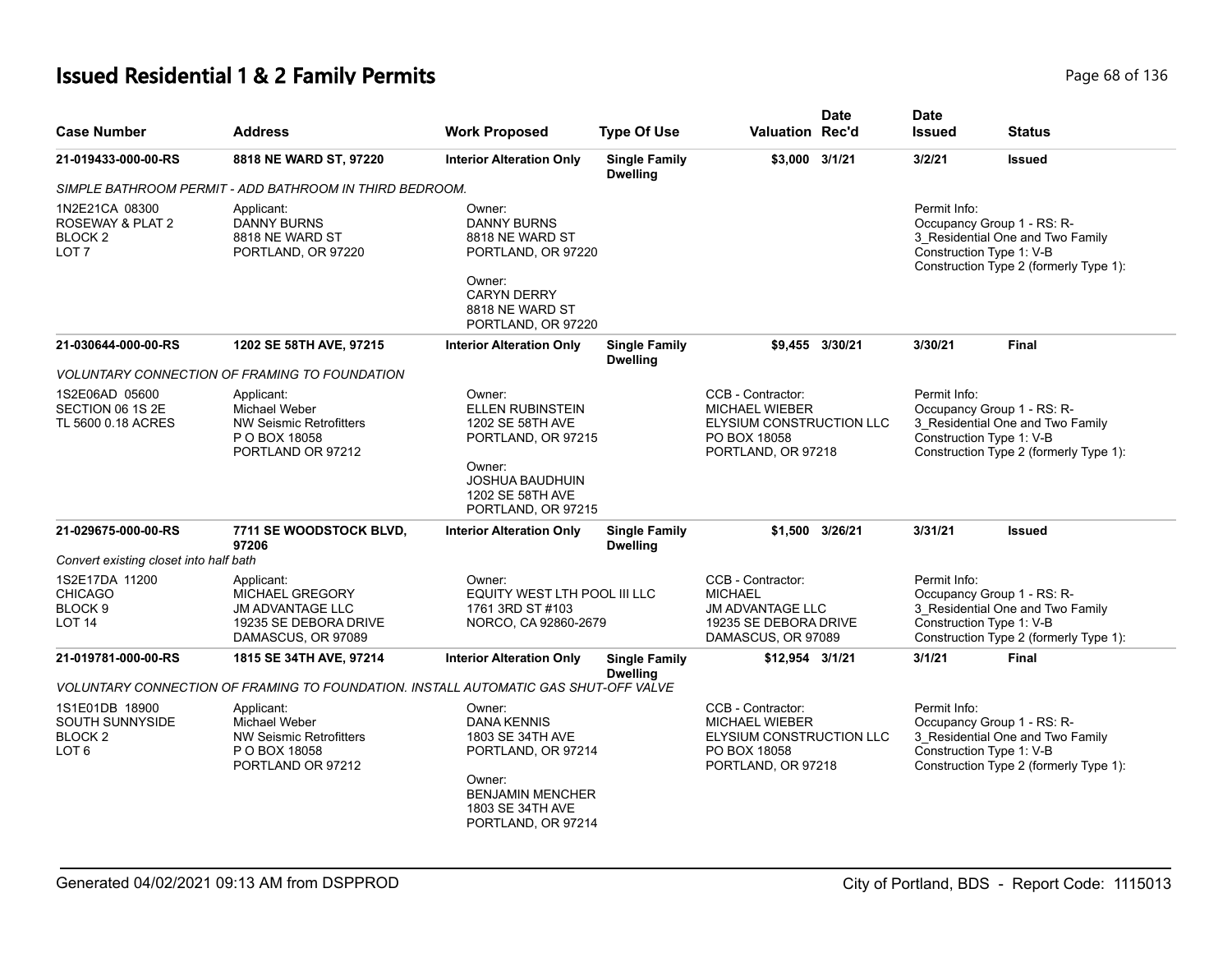# **Issued Residential 1 & 2 Family Permits** Page 68 of 136

| <b>Case Number</b>                                                                 | <b>Address</b>                                                                                          | <b>Work Proposed</b>                                                                                                                                      | <b>Type Of Use</b>                      | <b>Valuation Rec'd</b>                                                                                        | <b>Date</b>     | <b>Date</b><br><b>Issued</b>                                           | <b>Status</b>                                                              |
|------------------------------------------------------------------------------------|---------------------------------------------------------------------------------------------------------|-----------------------------------------------------------------------------------------------------------------------------------------------------------|-----------------------------------------|---------------------------------------------------------------------------------------------------------------|-----------------|------------------------------------------------------------------------|----------------------------------------------------------------------------|
| 21-019433-000-00-RS                                                                | 8818 NE WARD ST, 97220                                                                                  | <b>Interior Alteration Only</b>                                                                                                                           | <b>Single Family</b><br><b>Dwelling</b> | \$3.000 3/1/21                                                                                                |                 | 3/2/21                                                                 | <b>Issued</b>                                                              |
|                                                                                    | SIMPLE BATHROOM PERMIT - ADD BATHROOM IN THIRD BEDROOM.                                                 |                                                                                                                                                           |                                         |                                                                                                               |                 |                                                                        |                                                                            |
| 1N2E21CA 08300<br>ROSEWAY & PLAT 2<br>BLOCK <sub>2</sub><br>LOT <sub>7</sub>       | Applicant:<br><b>DANNY BURNS</b><br>8818 NE WARD ST<br>PORTLAND, OR 97220                               | Owner:<br><b>DANNY BURNS</b><br>8818 NE WARD ST<br>PORTLAND, OR 97220<br>Owner:<br><b>CARYN DERRY</b><br>8818 NE WARD ST<br>PORTLAND, OR 97220            |                                         |                                                                                                               |                 | Permit Info:<br>Occupancy Group 1 - RS: R-<br>Construction Type 1: V-B | 3_Residential One and Two Family<br>Construction Type 2 (formerly Type 1): |
| 21-030644-000-00-RS                                                                | 1202 SE 58TH AVE, 97215                                                                                 | <b>Interior Alteration Only</b>                                                                                                                           | <b>Single Family</b><br><b>Dwelling</b> |                                                                                                               | \$9.455 3/30/21 | 3/30/21                                                                | <b>Final</b>                                                               |
|                                                                                    | <b>VOLUNTARY CONNECTION OF FRAMING TO FOUNDATION</b>                                                    |                                                                                                                                                           |                                         |                                                                                                               |                 |                                                                        |                                                                            |
| 1S2E06AD 05600<br>SECTION 06 1S 2E<br>TL 5600 0.18 ACRES                           | Applicant:<br>Michael Weber<br><b>NW Seismic Retrofitters</b><br>P O BOX 18058<br>PORTLAND OR 97212     | Owner:<br><b>ELLEN RUBINSTEIN</b><br>1202 SE 58TH AVE<br>PORTLAND, OR 97215<br>Owner:<br><b>JOSHUA BAUDHUIN</b><br>1202 SE 58TH AVE<br>PORTLAND, OR 97215 |                                         | CCB - Contractor:<br><b>MICHAEL WIEBER</b><br>ELYSIUM CONSTRUCTION LLC<br>PO BOX 18058<br>PORTLAND, OR 97218  |                 | Permit Info:<br>Occupancy Group 1 - RS: R-<br>Construction Type 1: V-B | 3 Residential One and Two Family<br>Construction Type 2 (formerly Type 1): |
| 21-029675-000-00-RS                                                                | 7711 SE WOODSTOCK BLVD,<br>97206                                                                        | <b>Interior Alteration Only</b>                                                                                                                           | <b>Single Family</b><br><b>Dwelling</b> |                                                                                                               | \$1,500 3/26/21 | 3/31/21                                                                | <b>Issued</b>                                                              |
| Convert existing closet into half bath                                             |                                                                                                         |                                                                                                                                                           |                                         |                                                                                                               |                 |                                                                        |                                                                            |
| 1S2E17DA 11200<br><b>CHICAGO</b><br>BLOCK <sub>9</sub><br><b>LOT 14</b>            | Applicant:<br>MICHAEL GREGORY<br><b>JM ADVANTAGE LLC</b><br>19235 SE DEBORA DRIVE<br>DAMASCUS, OR 97089 | Owner:<br><b>EQUITY WEST LTH POOL III LLC</b><br>1761 3RD ST #103<br>NORCO, CA 92860-2679                                                                 |                                         | CCB - Contractor:<br><b>MICHAEL</b><br><b>JM ADVANTAGE LLC</b><br>19235 SE DEBORA DRIVE<br>DAMASCUS, OR 97089 |                 | Permit Info:<br>Occupancy Group 1 - RS: R-<br>Construction Type 1: V-B | 3 Residential One and Two Family<br>Construction Type 2 (formerly Type 1): |
| 21-019781-000-00-RS                                                                | 1815 SE 34TH AVE, 97214                                                                                 | <b>Interior Alteration Only</b>                                                                                                                           | <b>Single Family</b><br><b>Dwelling</b> | \$12,954 3/1/21                                                                                               |                 | 3/1/21                                                                 | <b>Final</b>                                                               |
|                                                                                    | VOLUNTARY CONNECTION OF FRAMING TO FOUNDATION. INSTALL AUTOMATIC GAS SHUT-OFF VALVE                     |                                                                                                                                                           |                                         |                                                                                                               |                 |                                                                        |                                                                            |
| 1S1E01DB 18900<br><b>SOUTH SUNNYSIDE</b><br>BLOCK <sub>2</sub><br>LOT <sub>6</sub> | Applicant:<br>Michael Weber<br><b>NW Seismic Retrofitters</b><br>P O BOX 18058<br>PORTLAND OR 97212     | Owner:<br><b>DANA KENNIS</b><br>1803 SE 34TH AVE<br>PORTLAND, OR 97214<br>Owner:<br><b>BENJAMIN MENCHER</b><br>1803 SE 34TH AVE<br>PORTLAND, OR 97214     |                                         | CCB - Contractor:<br><b>MICHAEL WIEBER</b><br>ELYSIUM CONSTRUCTION LLC<br>PO BOX 18058<br>PORTLAND, OR 97218  |                 | Permit Info:<br>Occupancy Group 1 - RS: R-<br>Construction Type 1: V-B | 3 Residential One and Two Family<br>Construction Type 2 (formerly Type 1): |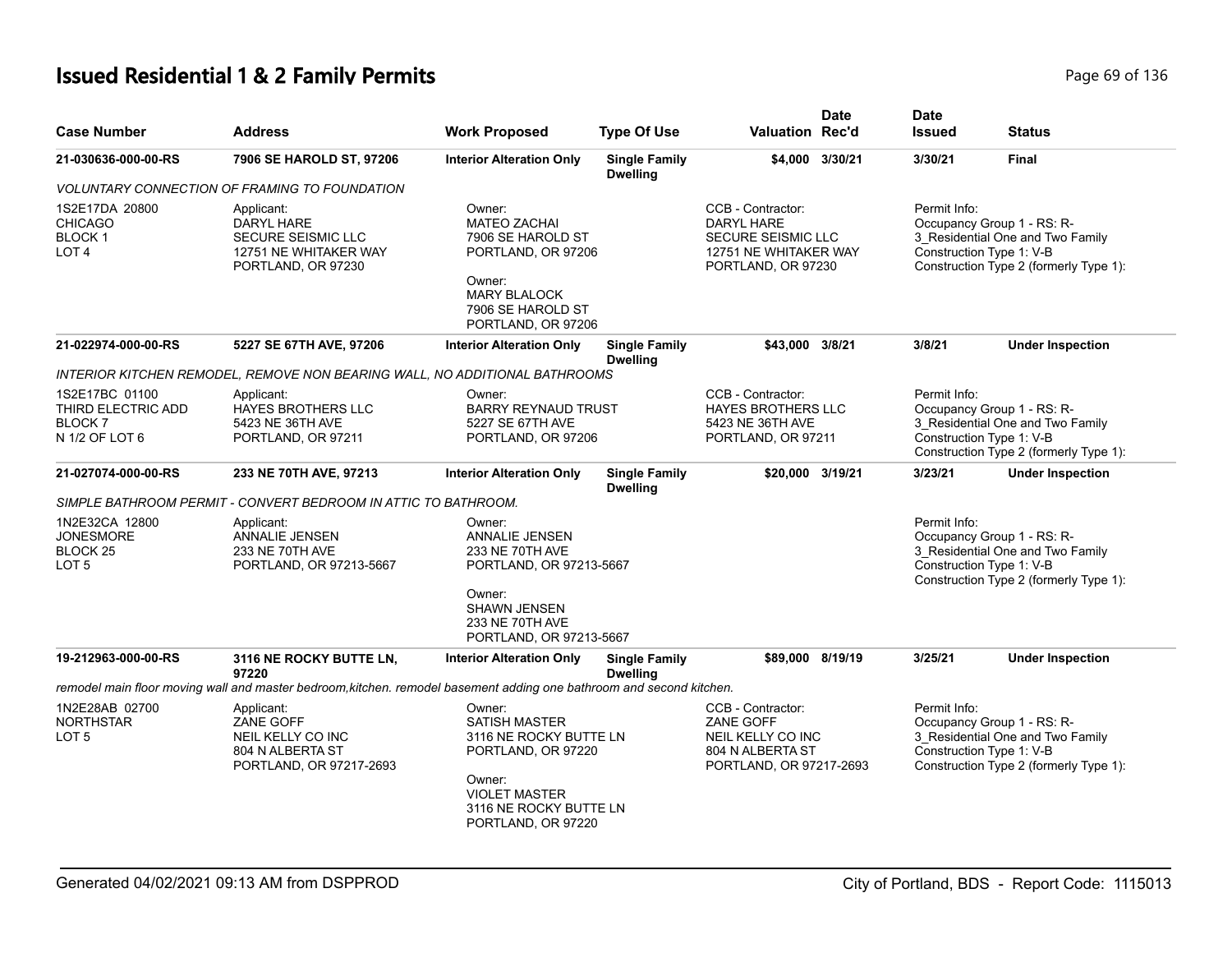# **Issued Residential 1 & 2 Family Permits** Page 69 of 136

| <b>Case Number</b>                                                            | <b>Address</b>                                                                                                       | <b>Work Proposed</b>                                                                                                                                             | <b>Type Of Use</b>                      | <b>Valuation Rec'd</b>                                                                               | <b>Date</b>     | <b>Date</b><br><b>Issued</b> | <b>Status</b>                                                                                                                        |
|-------------------------------------------------------------------------------|----------------------------------------------------------------------------------------------------------------------|------------------------------------------------------------------------------------------------------------------------------------------------------------------|-----------------------------------------|------------------------------------------------------------------------------------------------------|-----------------|------------------------------|--------------------------------------------------------------------------------------------------------------------------------------|
| 21-030636-000-00-RS                                                           | 7906 SE HAROLD ST, 97206                                                                                             | <b>Interior Alteration Only</b>                                                                                                                                  | <b>Single Family</b><br><b>Dwelling</b> |                                                                                                      | \$4,000 3/30/21 | 3/30/21                      | <b>Final</b>                                                                                                                         |
|                                                                               | <b>VOLUNTARY CONNECTION OF FRAMING TO FOUNDATION</b>                                                                 |                                                                                                                                                                  |                                         |                                                                                                      |                 |                              |                                                                                                                                      |
| 1S2E17DA 20800<br><b>CHICAGO</b><br><b>BLOCK1</b><br>LOT <sub>4</sub>         | Applicant:<br>DARYL HARE<br><b>SECURE SEISMIC LLC</b><br>12751 NE WHITAKER WAY<br>PORTLAND, OR 97230                 | Owner:<br><b>MATEO ZACHAI</b><br>7906 SE HAROLD ST<br>PORTLAND, OR 97206<br>Owner:<br><b>MARY BLALOCK</b><br>7906 SE HAROLD ST<br>PORTLAND, OR 97206             |                                         | CCB - Contractor:<br>DARYL HARE<br>SECURE SEISMIC LLC<br>12751 NE WHITAKER WAY<br>PORTLAND, OR 97230 |                 | Permit Info:                 | Occupancy Group 1 - RS: R-<br>3 Residential One and Two Family<br>Construction Type 1: V-B<br>Construction Type 2 (formerly Type 1): |
| 21-022974-000-00-RS                                                           | 5227 SE 67TH AVE, 97206                                                                                              | <b>Interior Alteration Only</b>                                                                                                                                  | <b>Single Family</b><br><b>Dwelling</b> | \$43.000                                                                                             | 3/8/21          | 3/8/21                       | <b>Under Inspection</b>                                                                                                              |
|                                                                               | INTERIOR KITCHEN REMODEL, REMOVE NON BEARING WALL, NO ADDITIONAL BATHROOMS                                           |                                                                                                                                                                  |                                         |                                                                                                      |                 |                              |                                                                                                                                      |
| 1S2E17BC 01100<br>THIRD ELECTRIC ADD<br><b>BLOCK7</b><br>N 1/2 OF LOT 6       | Applicant:<br><b>HAYES BROTHERS LLC</b><br>5423 NE 36TH AVE<br>PORTLAND, OR 97211                                    | Owner:<br><b>BARRY REYNAUD TRUST</b><br>5227 SE 67TH AVE<br>PORTLAND, OR 97206                                                                                   |                                         | CCB - Contractor:<br><b>HAYES BROTHERS LLC</b><br>5423 NE 36TH AVE<br>PORTLAND, OR 97211             |                 | Permit Info:                 | Occupancy Group 1 - RS: R-<br>3 Residential One and Two Family<br>Construction Type 1: V-B<br>Construction Type 2 (formerly Type 1): |
| 21-027074-000-00-RS                                                           | 233 NE 70TH AVE, 97213                                                                                               | <b>Interior Alteration Only</b>                                                                                                                                  | <b>Single Family</b><br><b>Dwelling</b> | \$20,000 3/19/21                                                                                     |                 | 3/23/21                      | <b>Under Inspection</b>                                                                                                              |
|                                                                               | SIMPLE BATHROOM PERMIT - CONVERT BEDROOM IN ATTIC TO BATHROOM.                                                       |                                                                                                                                                                  |                                         |                                                                                                      |                 |                              |                                                                                                                                      |
| 1N2E32CA 12800<br><b>JONESMORE</b><br>BLOCK <sub>25</sub><br>LOT <sub>5</sub> | Applicant:<br><b>ANNALIE JENSEN</b><br>233 NE 70TH AVE<br>PORTLAND, OR 97213-5667                                    | Owner:<br><b>ANNALIE JENSEN</b><br>233 NE 70TH AVE<br>PORTLAND, OR 97213-5667<br>Owner:<br><b>SHAWN JENSEN</b><br>233 NE 70TH AVE<br>PORTLAND, OR 97213-5667     |                                         |                                                                                                      |                 | Permit Info:                 | Occupancy Group 1 - RS: R-<br>3_Residential One and Two Family<br>Construction Type 1: V-B<br>Construction Type 2 (formerly Type 1): |
| 19-212963-000-00-RS                                                           | 3116 NE ROCKY BUTTE LN,                                                                                              | <b>Interior Alteration Only</b>                                                                                                                                  | <b>Single Family</b>                    | \$89,000 8/19/19                                                                                     |                 | 3/25/21                      | <b>Under Inspection</b>                                                                                                              |
|                                                                               | 97220                                                                                                                |                                                                                                                                                                  | <b>Dwelling</b>                         |                                                                                                      |                 |                              |                                                                                                                                      |
|                                                                               | remodel main floor moving wall and master bedroom, kitchen. remodel basement adding one bathroom and second kitchen. |                                                                                                                                                                  |                                         |                                                                                                      |                 |                              |                                                                                                                                      |
| 1N2E28AB 02700<br><b>NORTHSTAR</b><br>LOT <sub>5</sub>                        | Applicant:<br>ZANE GOFF<br>NEIL KELLY CO INC<br>804 N ALBERTA ST<br>PORTLAND, OR 97217-2693                          | Owner:<br><b>SATISH MASTER</b><br>3116 NE ROCKY BUTTE LN<br>PORTLAND, OR 97220<br>Owner:<br><b>VIOLET MASTER</b><br>3116 NE ROCKY BUTTE LN<br>PORTLAND, OR 97220 |                                         | CCB - Contractor:<br>ZANE GOFF<br>NEIL KELLY CO INC<br>804 N ALBERTA ST<br>PORTLAND, OR 97217-2693   |                 | Permit Info:                 | Occupancy Group 1 - RS: R-<br>3 Residential One and Two Family<br>Construction Type 1: V-B<br>Construction Type 2 (formerly Type 1): |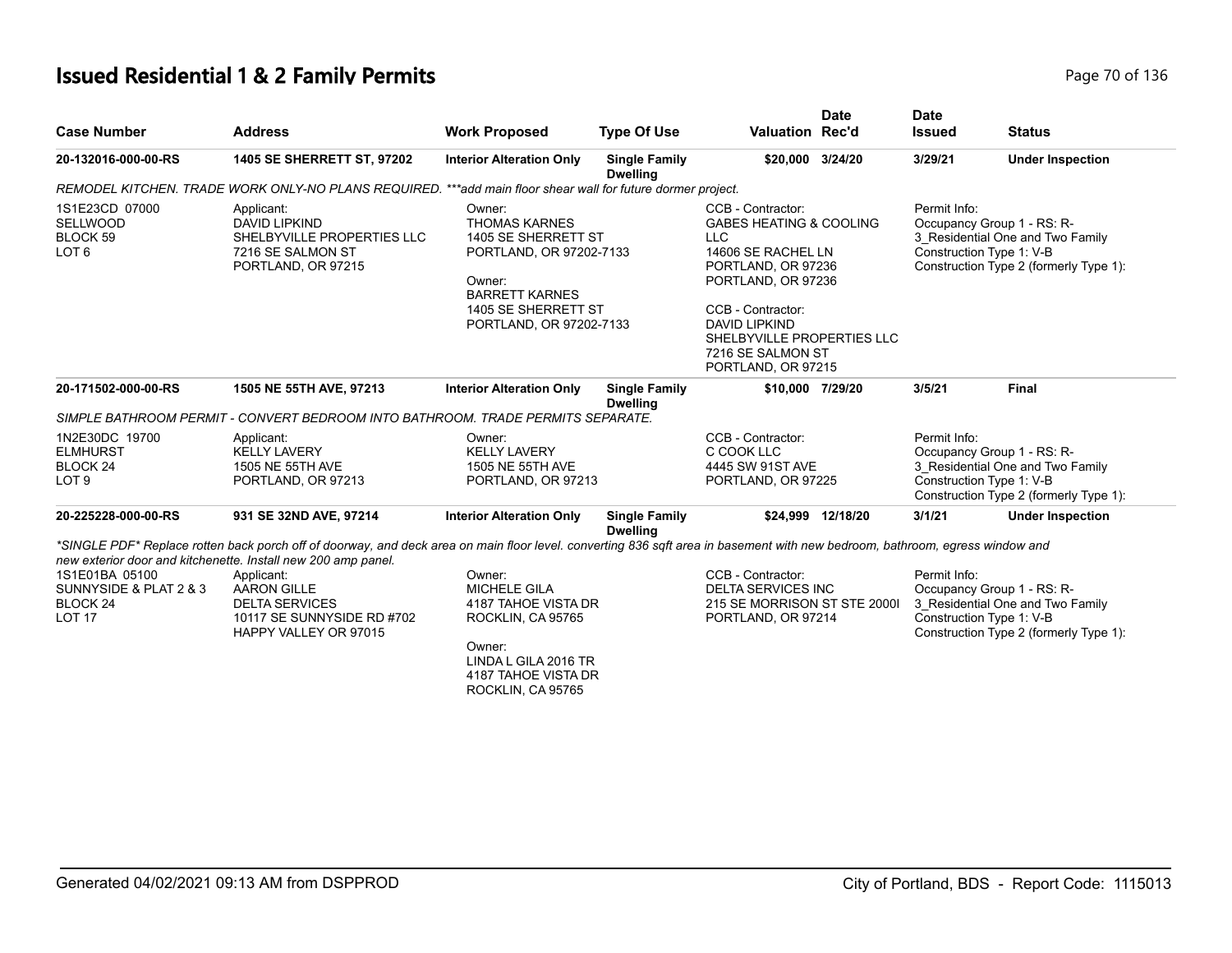# **Issued Residential 1 & 2 Family Permits Page 70 of 136** Page 70 of 136

|                                                                              |                                                                                                                                                                                   |                                                                                                                                                                       |                                         |                                                                                                                                                                                                                                                               | <b>Date</b>       | <b>Date</b>   |                                                                                                                                      |
|------------------------------------------------------------------------------|-----------------------------------------------------------------------------------------------------------------------------------------------------------------------------------|-----------------------------------------------------------------------------------------------------------------------------------------------------------------------|-----------------------------------------|---------------------------------------------------------------------------------------------------------------------------------------------------------------------------------------------------------------------------------------------------------------|-------------------|---------------|--------------------------------------------------------------------------------------------------------------------------------------|
| <b>Case Number</b>                                                           | <b>Address</b>                                                                                                                                                                    | <b>Work Proposed</b>                                                                                                                                                  | <b>Type Of Use</b>                      | <b>Valuation Rec'd</b>                                                                                                                                                                                                                                        |                   | <b>Issued</b> | <b>Status</b>                                                                                                                        |
| 20-132016-000-00-RS                                                          | 1405 SE SHERRETT ST, 97202                                                                                                                                                        | <b>Interior Alteration Only</b>                                                                                                                                       | <b>Single Family</b><br><b>Dwelling</b> | \$20,000 3/24/20                                                                                                                                                                                                                                              |                   | 3/29/21       | <b>Under Inspection</b>                                                                                                              |
|                                                                              | REMODEL KITCHEN. TRADE WORK ONLY-NO PLANS REQUIRED.                                                                                                                               | ***add main floor shear wall for future dormer project.                                                                                                               |                                         |                                                                                                                                                                                                                                                               |                   |               |                                                                                                                                      |
| 1S1E23CD 07000<br><b>SELLWOOD</b><br>BLOCK 59<br>LOT <sub>6</sub>            | Applicant:<br><b>DAVID LIPKIND</b><br>SHELBYVILLE PROPERTIES LLC<br>7216 SE SALMON ST<br>PORTLAND, OR 97215                                                                       | Owner:<br><b>THOMAS KARNES</b><br>1405 SE SHERRETT ST<br>PORTLAND, OR 97202-7133<br>Owner:<br><b>BARRETT KARNES</b><br>1405 SE SHERRETT ST<br>PORTLAND, OR 97202-7133 |                                         | CCB - Contractor:<br><b>GABES HEATING &amp; COOLING</b><br><b>LLC</b><br>14606 SE RACHEL LN<br>PORTLAND, OR 97236<br>PORTLAND, OR 97236<br>CCB - Contractor:<br><b>DAVID LIPKIND</b><br>SHELBYVILLE PROPERTIES LLC<br>7216 SE SALMON ST<br>PORTLAND, OR 97215 |                   | Permit Info:  | Occupancy Group 1 - RS: R-<br>3 Residential One and Two Family<br>Construction Type 1: V-B<br>Construction Type 2 (formerly Type 1): |
| 20-171502-000-00-RS                                                          | 1505 NE 55TH AVE, 97213                                                                                                                                                           | <b>Interior Alteration Only</b>                                                                                                                                       | <b>Single Family</b><br><b>Dwelling</b> | \$10,000 7/29/20                                                                                                                                                                                                                                              |                   | 3/5/21        | <b>Final</b>                                                                                                                         |
|                                                                              | SIMPLE BATHROOM PERMIT - CONVERT BEDROOM INTO BATHROOM. TRADE PERMITS SEPARATE.                                                                                                   |                                                                                                                                                                       |                                         |                                                                                                                                                                                                                                                               |                   |               |                                                                                                                                      |
| 1N2E30DC 19700<br><b>ELMHURST</b><br>BLOCK <sub>24</sub><br>LOT <sub>9</sub> | Applicant:<br><b>KELLY LAVERY</b><br>1505 NE 55TH AVE<br>PORTLAND, OR 97213                                                                                                       | Owner:<br><b>KELLY LAVERY</b><br>1505 NE 55TH AVE<br>PORTLAND, OR 97213                                                                                               |                                         | CCB - Contractor:<br>C COOK LLC<br>4445 SW 91ST AVE<br>PORTLAND, OR 97225                                                                                                                                                                                     |                   | Permit Info:  | Occupancy Group 1 - RS: R-<br>3_Residential One and Two Family<br>Construction Type 1: V-B<br>Construction Type 2 (formerly Type 1): |
| 20-225228-000-00-RS                                                          | 931 SE 32ND AVE, 97214                                                                                                                                                            | <b>Interior Alteration Only</b>                                                                                                                                       | <b>Single Family</b><br><b>Dwelling</b> |                                                                                                                                                                                                                                                               | \$24.999 12/18/20 | 3/1/21        | <b>Under Inspection</b>                                                                                                              |
|                                                                              | *SINGLE PDF* Replace rotten back porch off of doorway, and deck area on main floor level, converting 836 sqft area in basement with new bedroom, bathroom, egress window and      |                                                                                                                                                                       |                                         |                                                                                                                                                                                                                                                               |                   |               |                                                                                                                                      |
| 1S1E01BA 05100<br>SUNNYSIDE & PLAT 2 & 3<br>BLOCK 24<br><b>LOT 17</b>        | new exterior door and kitchenette. Install new 200 amp panel.<br>Applicant:<br><b>AARON GILLE</b><br><b>DELTA SERVICES</b><br>10117 SE SUNNYSIDE RD #702<br>HAPPY VALLEY OR 97015 | Owner:<br><b>MICHELE GILA</b><br>4187 TAHOE VISTA DR<br>ROCKLIN, CA 95765<br>Owner:<br>LINDA L GILA 2016 TR<br>4187 TAHOE VISTA DR<br>ROCKLIN, CA 95765               |                                         | CCB - Contractor:<br><b>DELTA SERVICES INC</b><br>215 SE MORRISON ST STE 2000I<br>PORTLAND, OR 97214                                                                                                                                                          |                   | Permit Info:  | Occupancy Group 1 - RS: R-<br>3_Residential One and Two Family<br>Construction Type 1: V-B<br>Construction Type 2 (formerly Type 1): |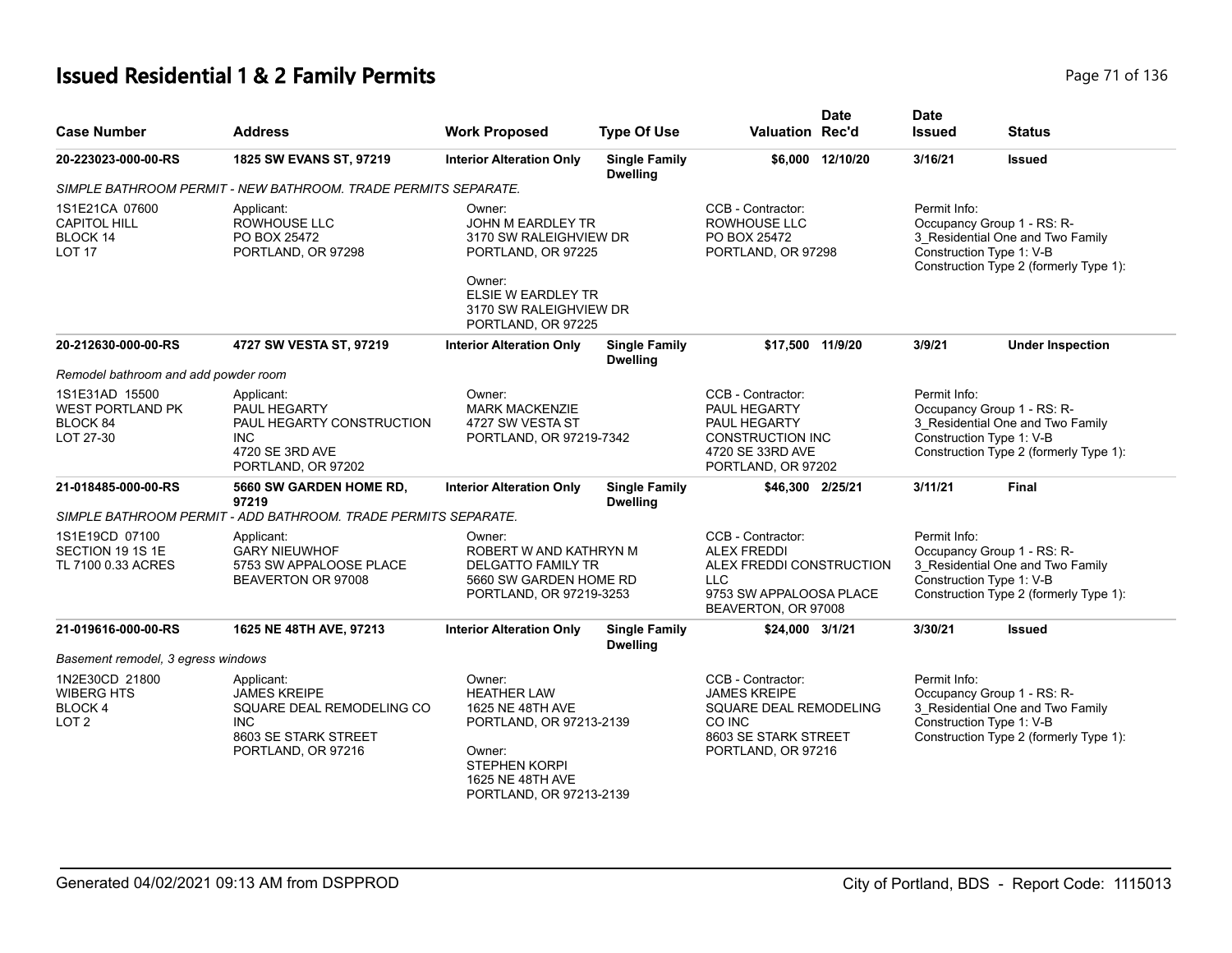# **Issued Residential 1 & 2 Family Permits Page 71 of 136** Page 71 of 136

| <b>Case Number</b>                                                       | Address                                                                                                                    | <b>Work Proposed</b>                                                                                                                                         | <b>Type Of Use</b>                      | <b>Valuation Rec'd</b>                                                                                                              | <b>Date</b>      | <b>Date</b><br><b>Issued</b> | <b>Status</b>                                                                                                                        |
|--------------------------------------------------------------------------|----------------------------------------------------------------------------------------------------------------------------|--------------------------------------------------------------------------------------------------------------------------------------------------------------|-----------------------------------------|-------------------------------------------------------------------------------------------------------------------------------------|------------------|------------------------------|--------------------------------------------------------------------------------------------------------------------------------------|
| 20-223023-000-00-RS                                                      | 1825 SW EVANS ST, 97219                                                                                                    | <b>Interior Alteration Only</b>                                                                                                                              | <b>Single Family</b><br><b>Dwelling</b> |                                                                                                                                     | \$6,000 12/10/20 | 3/16/21                      | <b>Issued</b>                                                                                                                        |
|                                                                          | SIMPLE BATHROOM PERMIT - NEW BATHROOM. TRADE PERMITS SEPARATE.                                                             |                                                                                                                                                              |                                         |                                                                                                                                     |                  |                              |                                                                                                                                      |
| 1S1E21CA 07600<br><b>CAPITOL HILL</b><br>BLOCK 14<br>LOT <sub>17</sub>   | Applicant:<br>ROWHOUSE LLC<br>PO BOX 25472<br>PORTLAND, OR 97298                                                           | Owner:<br>JOHN M EARDLEY TR<br>3170 SW RALEIGHVIEW DR<br>PORTLAND, OR 97225<br>Owner:<br>ELSIE W EARDLEY TR<br>3170 SW RALEIGHVIEW DR<br>PORTLAND, OR 97225  |                                         | CCB - Contractor:<br>ROWHOUSE LLC<br>PO BOX 25472<br>PORTLAND, OR 97298                                                             |                  | Permit Info:                 | Occupancy Group 1 - RS: R-<br>3_Residential One and Two Family<br>Construction Type 1: V-B<br>Construction Type 2 (formerly Type 1): |
| 20-212630-000-00-RS                                                      | 4727 SW VESTA ST, 97219                                                                                                    | <b>Interior Alteration Only</b>                                                                                                                              | <b>Single Family</b><br><b>Dwelling</b> | \$17,500 11/9/20                                                                                                                    |                  | 3/9/21                       | <b>Under Inspection</b>                                                                                                              |
| Remodel bathroom and add powder room                                     |                                                                                                                            |                                                                                                                                                              |                                         |                                                                                                                                     |                  |                              |                                                                                                                                      |
| 1S1E31AD 15500<br><b>WEST PORTLAND PK</b><br>BLOCK 84<br>LOT 27-30       | Applicant:<br><b>PAUL HEGARTY</b><br>PAUL HEGARTY CONSTRUCTION<br><b>INC</b><br>4720 SE 3RD AVE<br>PORTLAND, OR 97202      | Owner:<br><b>MARK MACKENZIE</b><br>4727 SW VESTA ST<br>PORTLAND, OR 97219-7342                                                                               |                                         | CCB - Contractor:<br>PAUL HEGARTY<br>PAUL HEGARTY<br>CONSTRUCTION INC<br>4720 SE 33RD AVE<br>PORTLAND, OR 97202                     |                  | Permit Info:                 | Occupancy Group 1 - RS: R-<br>3 Residential One and Two Family<br>Construction Type 1: V-B<br>Construction Type 2 (formerly Type 1): |
| 21-018485-000-00-RS                                                      | 5660 SW GARDEN HOME RD,<br>97219                                                                                           | <b>Interior Alteration Only</b>                                                                                                                              | <b>Single Family</b><br><b>Dwelling</b> | \$46,300 2/25/21                                                                                                                    |                  | 3/11/21                      | Final                                                                                                                                |
|                                                                          | SIMPLE BATHROOM PERMIT - ADD BATHROOM. TRADE PERMITS SEPARATE.                                                             |                                                                                                                                                              |                                         |                                                                                                                                     |                  |                              |                                                                                                                                      |
| 1S1E19CD 07100<br>SECTION 19 1S 1E<br>TL 7100 0.33 ACRES                 | Applicant:<br><b>GARY NIEUWHOF</b><br>5753 SW APPALOOSE PLACE<br>BEAVERTON OR 97008                                        | Owner:<br>ROBERT W AND KATHRYN M<br><b>DELGATTO FAMILY TR</b><br>5660 SW GARDEN HOME RD<br>PORTLAND, OR 97219-3253                                           |                                         | CCB - Contractor:<br><b>ALEX FREDDI</b><br>ALEX FREDDI CONSTRUCTION<br><b>LLC</b><br>9753 SW APPALOOSA PLACE<br>BEAVERTON, OR 97008 |                  | Permit Info:                 | Occupancy Group 1 - RS: R-<br>3 Residential One and Two Family<br>Construction Type 1: V-B<br>Construction Type 2 (formerly Type 1): |
| 21-019616-000-00-RS                                                      | 1625 NE 48TH AVE, 97213                                                                                                    | <b>Interior Alteration Only</b>                                                                                                                              | <b>Single Family</b><br><b>Dwelling</b> | \$24,000 3/1/21                                                                                                                     |                  | 3/30/21                      | <b>Issued</b>                                                                                                                        |
| Basement remodel, 3 egress windows                                       |                                                                                                                            |                                                                                                                                                              |                                         |                                                                                                                                     |                  |                              |                                                                                                                                      |
| 1N2E30CD 21800<br><b>WIBERG HTS</b><br><b>BLOCK4</b><br>LOT <sub>2</sub> | Applicant:<br><b>JAMES KREIPE</b><br>SQUARE DEAL REMODELING CO<br><b>INC</b><br>8603 SE STARK STREET<br>PORTLAND, OR 97216 | Owner:<br><b>HEATHER LAW</b><br>1625 NE 48TH AVE<br>PORTLAND, OR 97213-2139<br>Owner:<br><b>STEPHEN KORPI</b><br>1625 NE 48TH AVE<br>PORTLAND, OR 97213-2139 |                                         | CCB - Contractor:<br><b>JAMES KREIPE</b><br>SQUARE DEAL REMODELING<br>CO INC<br>8603 SE STARK STREET<br>PORTLAND, OR 97216          |                  | Permit Info:                 | Occupancy Group 1 - RS: R-<br>3 Residential One and Two Family<br>Construction Type 1: V-B<br>Construction Type 2 (formerly Type 1): |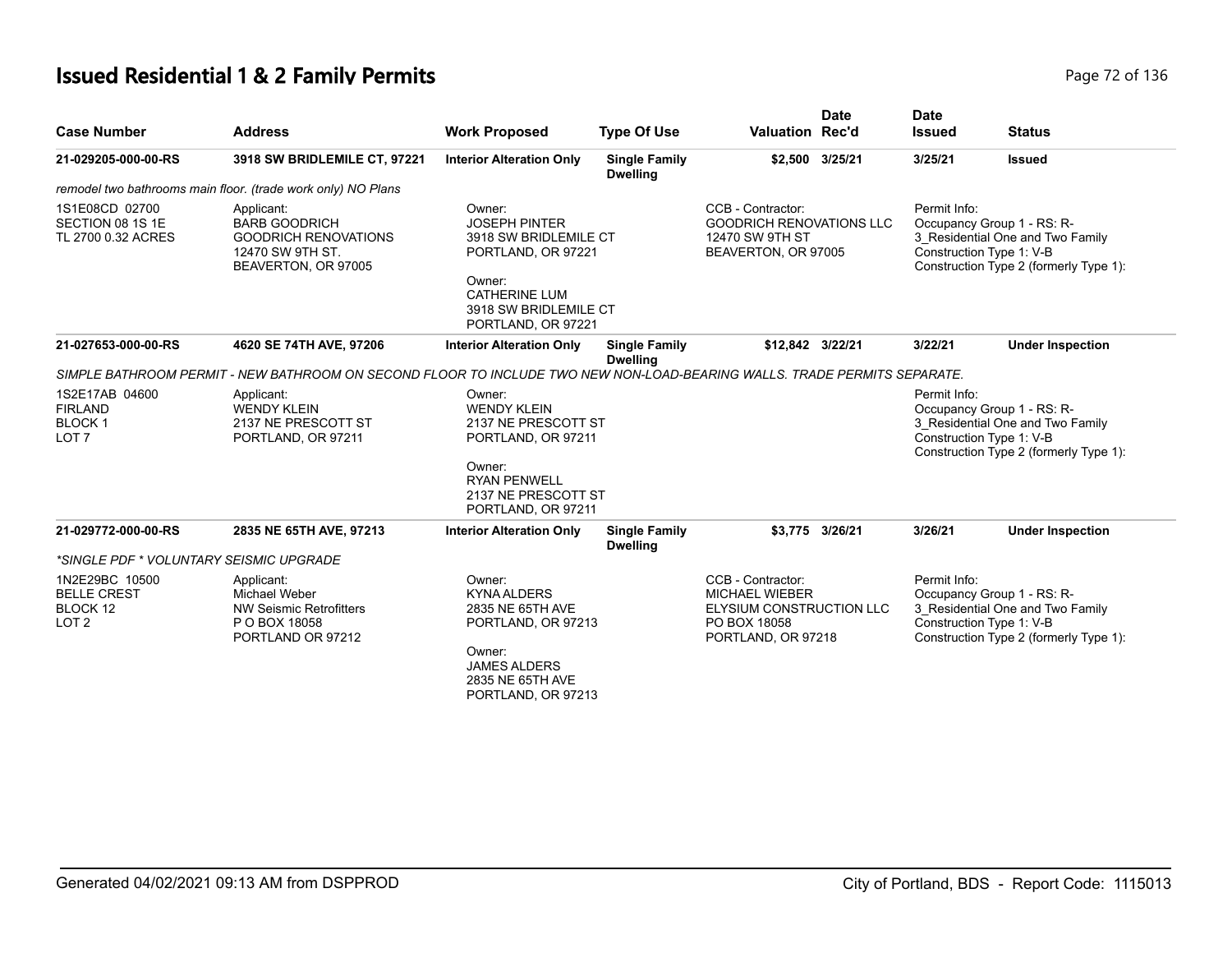# **Issued Residential 1 & 2 Family Permits Page 72 of 136** Page 72 of 136

| <b>Case Number</b>                                                    | <b>Address</b>                                                                                                           | <b>Work Proposed</b>                                                                                                                                           | <b>Type Of Use</b>                      | <b>Valuation Rec'd</b>                                                                                              | <b>Date</b>     | <b>Date</b><br><b>Issued</b> | <b>Status</b>                                                                                                                        |
|-----------------------------------------------------------------------|--------------------------------------------------------------------------------------------------------------------------|----------------------------------------------------------------------------------------------------------------------------------------------------------------|-----------------------------------------|---------------------------------------------------------------------------------------------------------------------|-----------------|------------------------------|--------------------------------------------------------------------------------------------------------------------------------------|
| 21-029205-000-00-RS                                                   | 3918 SW BRIDLEMILE CT, 97221                                                                                             | <b>Interior Alteration Only</b>                                                                                                                                | <b>Single Family</b><br><b>Dwelling</b> |                                                                                                                     | \$2,500 3/25/21 | 3/25/21                      | <b>Issued</b>                                                                                                                        |
|                                                                       | remodel two bathrooms main floor. (trade work only) NO Plans                                                             |                                                                                                                                                                |                                         |                                                                                                                     |                 |                              |                                                                                                                                      |
| 1S1E08CD 02700<br>SECTION 08 1S 1E<br>TL 2700 0.32 ACRES              | Applicant:<br><b>BARB GOODRICH</b><br><b>GOODRICH RENOVATIONS</b><br>12470 SW 9TH ST.<br>BEAVERTON, OR 97005             | Owner:<br><b>JOSEPH PINTER</b><br>3918 SW BRIDLEMILE CT<br>PORTLAND, OR 97221<br>Owner:<br><b>CATHERINE LUM</b><br>3918 SW BRIDLEMILE CT<br>PORTLAND, OR 97221 |                                         | CCB - Contractor:<br><b>GOODRICH RENOVATIONS LLC</b><br>12470 SW 9TH ST<br>BEAVERTON, OR 97005                      |                 | Permit Info:                 | Occupancy Group 1 - RS: R-<br>3_Residential One and Two Family<br>Construction Type 1: V-B<br>Construction Type 2 (formerly Type 1): |
| 21-027653-000-00-RS                                                   | 4620 SE 74TH AVE, 97206                                                                                                  | <b>Interior Alteration Only</b>                                                                                                                                | <b>Single Family</b><br><b>Dwelling</b> | \$12,842 3/22/21                                                                                                    |                 | 3/22/21                      | <b>Under Inspection</b>                                                                                                              |
|                                                                       | SIMPLE BATHROOM PERMIT - NEW BATHROOM ON SECOND FLOOR TO INCLUDE TWO NEW NON-LOAD-BEARING WALLS. TRADE PERMITS SEPARATE. |                                                                                                                                                                |                                         |                                                                                                                     |                 |                              |                                                                                                                                      |
| 1S2E17AB 04600<br><b>FIRLAND</b><br><b>BLOCK1</b><br>LOT <sub>7</sub> | Applicant:<br><b>WENDY KLEIN</b><br>2137 NE PRESCOTT ST<br>PORTLAND, OR 97211                                            | Owner:<br><b>WENDY KLEIN</b><br>2137 NE PRESCOTT ST<br>PORTLAND, OR 97211<br>Owner:                                                                            |                                         |                                                                                                                     |                 | Permit Info:                 | Occupancy Group 1 - RS: R-<br>3_Residential One and Two Family<br>Construction Type 1: V-B<br>Construction Type 2 (formerly Type 1): |
|                                                                       |                                                                                                                          | <b>RYAN PENWELL</b><br>2137 NE PRESCOTT ST<br>PORTLAND, OR 97211                                                                                               |                                         |                                                                                                                     |                 |                              |                                                                                                                                      |
| 21-029772-000-00-RS                                                   | 2835 NE 65TH AVE, 97213                                                                                                  | <b>Interior Alteration Only</b>                                                                                                                                | <b>Single Family</b><br><b>Dwelling</b> |                                                                                                                     | \$3,775 3/26/21 | 3/26/21                      | <b>Under Inspection</b>                                                                                                              |
| *SINGLE PDF * VOLUNTARY SEISMIC UPGRADE                               |                                                                                                                          |                                                                                                                                                                |                                         |                                                                                                                     |                 |                              |                                                                                                                                      |
| 1N2E29BC 10500<br><b>BELLE CREST</b><br>BLOCK 12<br>LOT <sub>2</sub>  | Applicant:<br>Michael Weber<br><b>NW Seismic Retrofitters</b><br>P O BOX 18058<br>PORTLAND OR 97212                      | Owner:<br><b>KYNA ALDERS</b><br>2835 NE 65TH AVE<br>PORTLAND, OR 97213<br>Owner:<br><b>JAMES ALDERS</b><br>2835 NE 65TH AVE<br>PORTLAND, OR 97213              |                                         | CCB - Contractor:<br><b>MICHAEL WIEBER</b><br><b>ELYSIUM CONSTRUCTION LLC</b><br>PO BOX 18058<br>PORTLAND, OR 97218 |                 | Permit Info:                 | Occupancy Group 1 - RS: R-<br>3_Residential One and Two Family<br>Construction Type 1: V-B<br>Construction Type 2 (formerly Type 1): |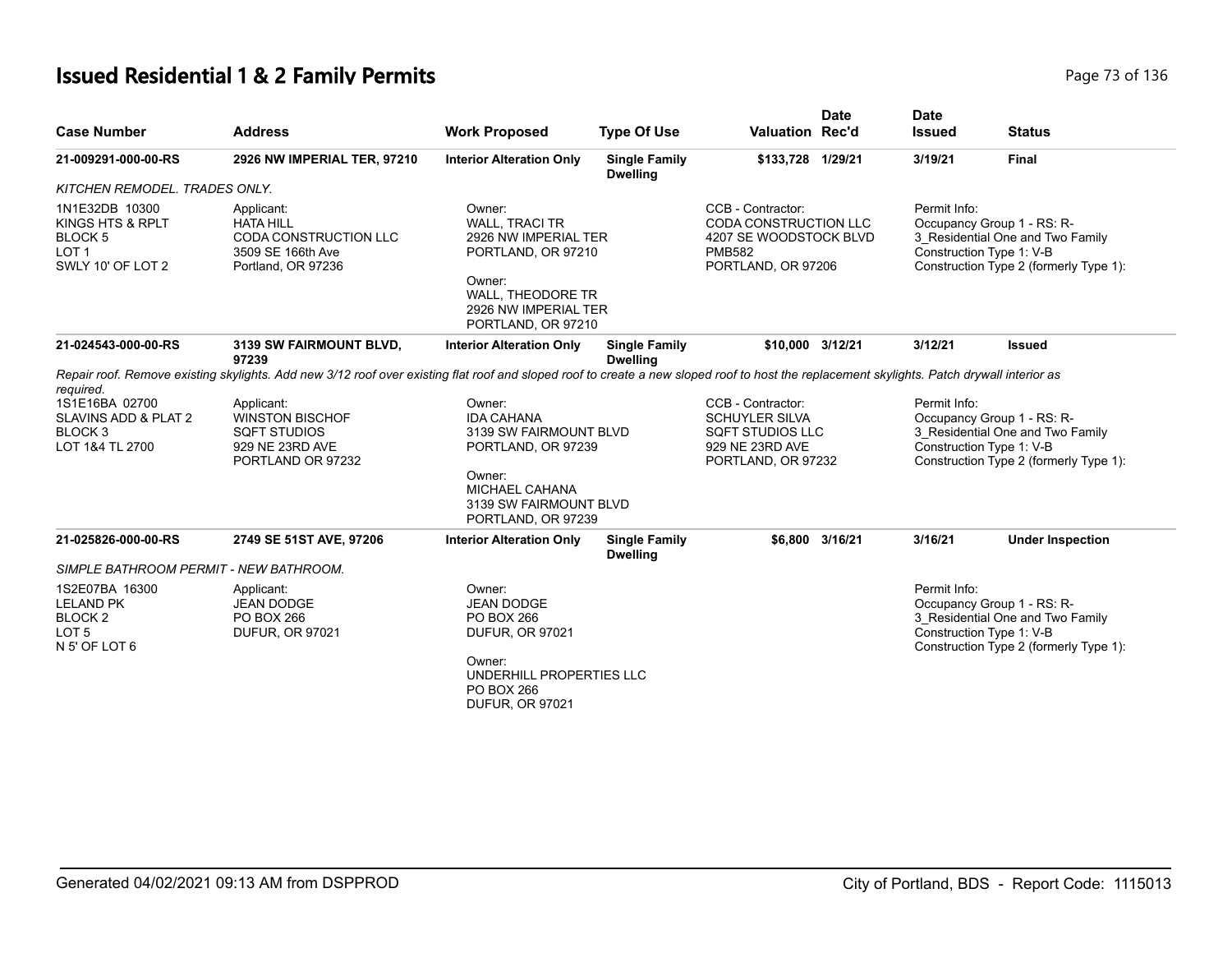# **Issued Residential 1 & 2 Family Permits Page 73 of 136** Page 73 of 136

| <b>Case Number</b>                                                                                | <b>Address</b>                                                                                                                                                                             | <b>Work Proposed</b>                                                                                                                                              | <b>Type Of Use</b>                      | <b>Valuation Rec'd</b>                                                                                             | <b>Date</b>     | <b>Date</b><br><b>Issued</b> | <b>Status</b>                                                                                                                        |
|---------------------------------------------------------------------------------------------------|--------------------------------------------------------------------------------------------------------------------------------------------------------------------------------------------|-------------------------------------------------------------------------------------------------------------------------------------------------------------------|-----------------------------------------|--------------------------------------------------------------------------------------------------------------------|-----------------|------------------------------|--------------------------------------------------------------------------------------------------------------------------------------|
| 21-009291-000-00-RS                                                                               | 2926 NW IMPERIAL TER, 97210                                                                                                                                                                | <b>Interior Alteration Only</b>                                                                                                                                   | <b>Single Family</b><br><b>Dwelling</b> | \$133,728 1/29/21                                                                                                  |                 | 3/19/21                      | <b>Final</b>                                                                                                                         |
| KITCHEN REMODEL. TRADES ONLY.                                                                     |                                                                                                                                                                                            |                                                                                                                                                                   |                                         |                                                                                                                    |                 |                              |                                                                                                                                      |
| 1N1E32DB 10300<br>KINGS HTS & RPLT<br>BLOCK <sub>5</sub><br>LOT <sub>1</sub><br>SWLY 10' OF LOT 2 | Applicant:<br><b>HATA HILL</b><br>CODA CONSTRUCTION LLC<br>3509 SE 166th Ave<br>Portland, OR 97236                                                                                         | Owner:<br><b>WALL, TRACI TR</b><br>2926 NW IMPERIAL TER<br>PORTLAND, OR 97210<br>Owner:<br><b>WALL. THEODORE TR</b><br>2926 NW IMPERIAL TER<br>PORTLAND, OR 97210 |                                         | CCB - Contractor:<br><b>CODA CONSTRUCTION LLC</b><br>4207 SE WOODSTOCK BLVD<br><b>PMB582</b><br>PORTLAND, OR 97206 |                 | Permit Info:                 | Occupancy Group 1 - RS: R-<br>3_Residential One and Two Family<br>Construction Type 1: V-B<br>Construction Type 2 (formerly Type 1): |
| 21-024543-000-00-RS                                                                               | 3139 SW FAIRMOUNT BLVD,<br>97239                                                                                                                                                           | <b>Interior Alteration Only</b>                                                                                                                                   | <b>Single Family</b><br><b>Dwelling</b> | \$10,000 3/12/21                                                                                                   |                 | 3/12/21                      | <b>Issued</b>                                                                                                                        |
| required.                                                                                         | Repair roof. Remove existing skylights. Add new 3/12 roof over existing flat roof and sloped roof to create a new sloped roof to host the replacement skylights. Patch drywall interior as |                                                                                                                                                                   |                                         |                                                                                                                    |                 |                              |                                                                                                                                      |
| 1S1E16BA 02700<br>SLAVINS ADD & PLAT 2<br>BLOCK <sub>3</sub><br>LOT 1&4 TL 2700                   | Applicant:<br><b>WINSTON BISCHOF</b><br><b>SQFT STUDIOS</b><br>929 NE 23RD AVE<br>PORTLAND OR 97232                                                                                        | Owner:<br><b>IDA CAHANA</b><br>3139 SW FAIRMOUNT BLVD<br>PORTLAND, OR 97239<br>Owner:                                                                             |                                         | CCB - Contractor:<br><b>SCHUYLER SILVA</b><br><b>SQFT STUDIOS LLC</b><br>929 NE 23RD AVE<br>PORTLAND, OR 97232     |                 | Permit Info:                 | Occupancy Group 1 - RS: R-<br>3_Residential One and Two Family<br>Construction Type 1: V-B<br>Construction Type 2 (formerly Type 1): |
|                                                                                                   |                                                                                                                                                                                            | MICHAEL CAHANA<br>3139 SW FAIRMOUNT BLVD<br>PORTLAND, OR 97239                                                                                                    |                                         |                                                                                                                    |                 |                              |                                                                                                                                      |
| 21-025826-000-00-RS                                                                               | 2749 SE 51ST AVE, 97206                                                                                                                                                                    | <b>Interior Alteration Only</b>                                                                                                                                   | <b>Single Family</b><br><b>Dwelling</b> |                                                                                                                    | \$6,800 3/16/21 | 3/16/21                      | <b>Under Inspection</b>                                                                                                              |
| SIMPLE BATHROOM PERMIT - NEW BATHROOM.                                                            |                                                                                                                                                                                            |                                                                                                                                                                   |                                         |                                                                                                                    |                 |                              |                                                                                                                                      |
| 1S2E07BA 16300<br><b>LELAND PK</b><br>BLOCK <sub>2</sub><br>LOT <sub>5</sub><br>N 5' OF LOT 6     | Applicant:<br><b>JEAN DODGE</b><br>PO BOX 266<br><b>DUFUR, OR 97021</b>                                                                                                                    | Owner:<br><b>JEAN DODGE</b><br>PO BOX 266<br><b>DUFUR, OR 97021</b><br>Owner:                                                                                     |                                         |                                                                                                                    |                 | Permit Info:                 | Occupancy Group 1 - RS: R-<br>3 Residential One and Two Family<br>Construction Type 1: V-B<br>Construction Type 2 (formerly Type 1): |
|                                                                                                   |                                                                                                                                                                                            | UNDERHILL PROPERTIES LLC<br>PO BOX 266<br><b>DUFUR, OR 97021</b>                                                                                                  |                                         |                                                                                                                    |                 |                              |                                                                                                                                      |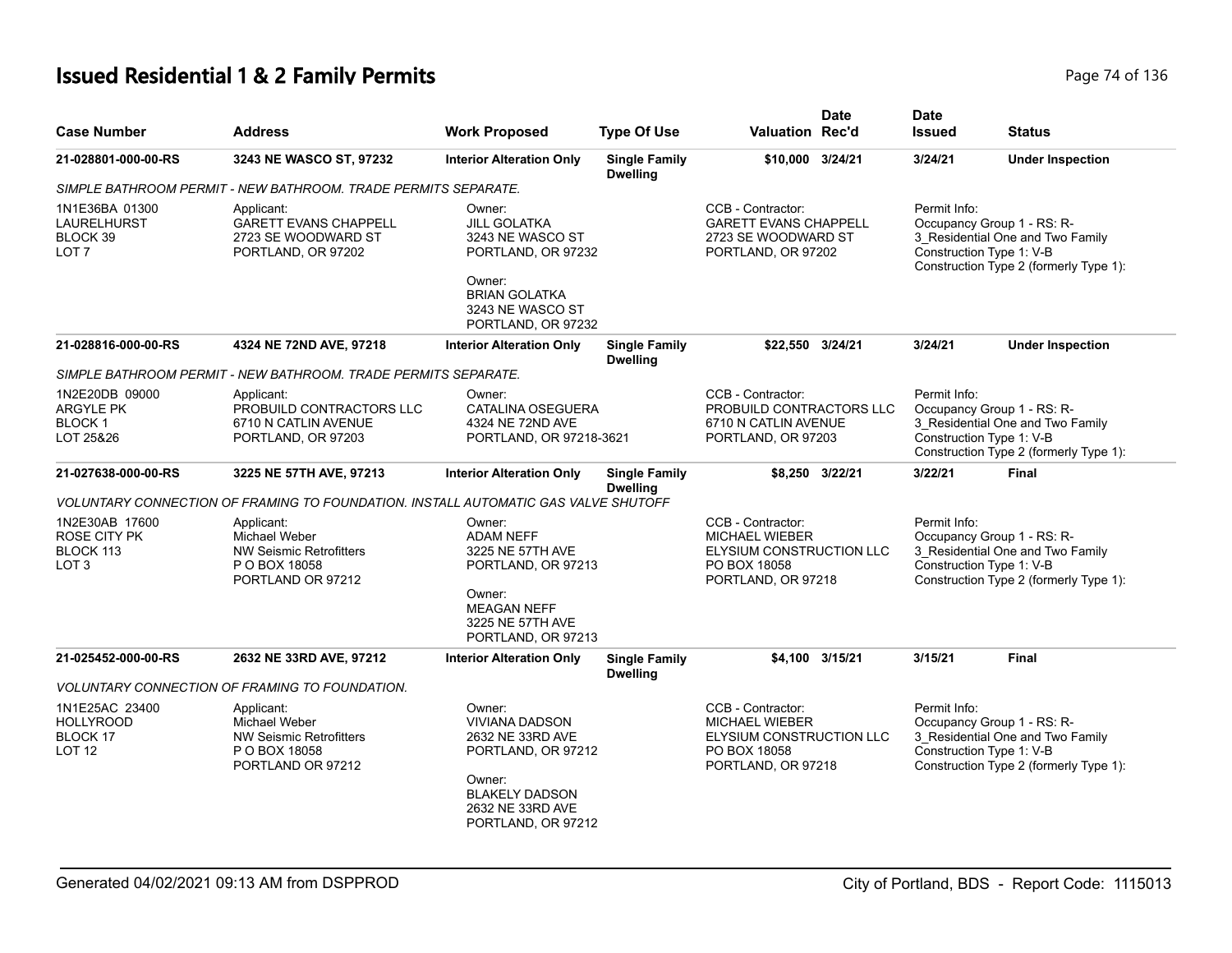# **Issued Residential 1 & 2 Family Permits Page 74 of 136** Page 74 of 136

| <b>Case Number</b>                                                     | <b>Address</b>                                                                                      | <b>Work Proposed</b>                                                                                                                                   | <b>Type Of Use</b>                      | <b>Valuation Rec'd</b>                                                                                             | <b>Date</b>     | <b>Date</b><br><b>Issued</b>                                                                                                                         | <b>Status</b>                                                                                            |
|------------------------------------------------------------------------|-----------------------------------------------------------------------------------------------------|--------------------------------------------------------------------------------------------------------------------------------------------------------|-----------------------------------------|--------------------------------------------------------------------------------------------------------------------|-----------------|------------------------------------------------------------------------------------------------------------------------------------------------------|----------------------------------------------------------------------------------------------------------|
| 21-028801-000-00-RS                                                    | 3243 NE WASCO ST, 97232                                                                             | <b>Interior Alteration Only</b>                                                                                                                        | <b>Single Family</b><br><b>Dwelling</b> | \$10,000 3/24/21                                                                                                   |                 | 3/24/21                                                                                                                                              | <b>Under Inspection</b>                                                                                  |
|                                                                        | SIMPLE BATHROOM PERMIT - NEW BATHROOM. TRADE PERMITS SEPARATE.                                      |                                                                                                                                                        |                                         |                                                                                                                    |                 |                                                                                                                                                      |                                                                                                          |
| 1N1E36BA 01300<br>LAURELHURST<br>BLOCK 39<br>LOT <sub>7</sub>          | Applicant:<br><b>GARETT EVANS CHAPPELL</b><br>2723 SE WOODWARD ST<br>PORTLAND, OR 97202             | Owner:<br><b>JILL GOLATKA</b><br>3243 NE WASCO ST<br>PORTLAND, OR 97232<br>Owner:<br><b>BRIAN GOLATKA</b><br>3243 NE WASCO ST<br>PORTLAND, OR 97232    |                                         | CCB - Contractor:<br><b>GARETT EVANS CHAPPELL</b><br>2723 SE WOODWARD ST<br>PORTLAND, OR 97202<br>\$22,550 3/24/21 |                 | Permit Info:<br>Occupancy Group 1 - RS: R-<br>3_Residential One and Two Family<br>Construction Type 1: V-B<br>Construction Type 2 (formerly Type 1): |                                                                                                          |
| 21-028816-000-00-RS                                                    | 4324 NE 72ND AVE, 97218                                                                             | <b>Interior Alteration Only</b>                                                                                                                        | <b>Single Family</b><br><b>Dwelling</b> |                                                                                                                    |                 | 3/24/21                                                                                                                                              | <b>Under Inspection</b>                                                                                  |
|                                                                        | SIMPLE BATHROOM PERMIT - NEW BATHROOM. TRADE PERMITS SEPARATE.                                      |                                                                                                                                                        |                                         |                                                                                                                    |                 |                                                                                                                                                      |                                                                                                          |
| 1N2E20DB 09000<br>ARGYLE PK<br>BLOCK 1<br>LOT 25&26                    | Applicant:<br>PROBUILD CONTRACTORS LLC<br>6710 N CATLIN AVENUE<br>PORTLAND, OR 97203                | Owner:<br><b>CATALINA OSEGUERA</b><br>4324 NE 72ND AVE<br>PORTLAND, OR 97218-3621                                                                      |                                         | CCB - Contractor:<br>PROBUILD CONTRACTORS LLC<br>6710 N CATLIN AVENUE<br>PORTLAND, OR 97203                        |                 | Permit Info:<br>Construction Type 1: V-B                                                                                                             | Occupancy Group 1 - RS: R-<br>3_Residential One and Two Family<br>Construction Type 2 (formerly Type 1): |
| 21-027638-000-00-RS                                                    | 3225 NE 57TH AVE, 97213                                                                             | <b>Interior Alteration Only</b>                                                                                                                        | <b>Single Family</b><br><b>Dwelling</b> |                                                                                                                    | \$8,250 3/22/21 | 3/22/21                                                                                                                                              | <b>Final</b>                                                                                             |
|                                                                        | VOLUNTARY CONNECTION OF FRAMING TO FOUNDATION. INSTALL AUTOMATIC GAS VALVE SHUTOFF                  |                                                                                                                                                        |                                         |                                                                                                                    |                 |                                                                                                                                                      |                                                                                                          |
| 1N2E30AB 17600<br><b>ROSE CITY PK</b><br>BLOCK 113<br>LOT <sub>3</sub> | Applicant:<br>Michael Weber<br>NW Seismic Retrofitters<br>P O BOX 18058<br>PORTLAND OR 97212        | Owner:<br><b>ADAM NEFF</b><br>3225 NE 57TH AVE<br>PORTLAND, OR 97213<br>Owner:<br><b>MEAGAN NEFF</b><br>3225 NE 57TH AVE<br>PORTLAND, OR 97213         |                                         | CCB - Contractor:<br><b>MICHAEL WIEBER</b><br>ELYSIUM CONSTRUCTION LLC<br>PO BOX 18058<br>PORTLAND, OR 97218       |                 | Permit Info:<br>Construction Type 1: V-B                                                                                                             | Occupancy Group 1 - RS: R-<br>3_Residential One and Two Family<br>Construction Type 2 (formerly Type 1): |
| 21-025452-000-00-RS                                                    | 2632 NE 33RD AVE, 97212                                                                             | <b>Interior Alteration Only</b>                                                                                                                        | <b>Single Family</b><br><b>Dwelling</b> |                                                                                                                    | \$4,100 3/15/21 | 3/15/21                                                                                                                                              | Final                                                                                                    |
|                                                                        | <b>VOLUNTARY CONNECTION OF FRAMING TO FOUNDATION.</b>                                               |                                                                                                                                                        |                                         |                                                                                                                    |                 |                                                                                                                                                      |                                                                                                          |
| 1N1E25AC 23400<br><b>HOLLYROOD</b><br>BLOCK 17<br><b>LOT 12</b>        | Applicant:<br>Michael Weber<br><b>NW Seismic Retrofitters</b><br>P O BOX 18058<br>PORTLAND OR 97212 | Owner:<br><b>VIVIANA DADSON</b><br>2632 NE 33RD AVE<br>PORTLAND, OR 97212<br>Owner:<br><b>BLAKELY DADSON</b><br>2632 NE 33RD AVE<br>PORTLAND, OR 97212 |                                         | CCB - Contractor:<br><b>MICHAEL WIEBER</b><br>ELYSIUM CONSTRUCTION LLC<br>PO BOX 18058<br>PORTLAND, OR 97218       |                 | Permit Info:<br>Construction Type 1: V-B                                                                                                             | Occupancy Group 1 - RS: R-<br>3_Residential One and Two Family<br>Construction Type 2 (formerly Type 1): |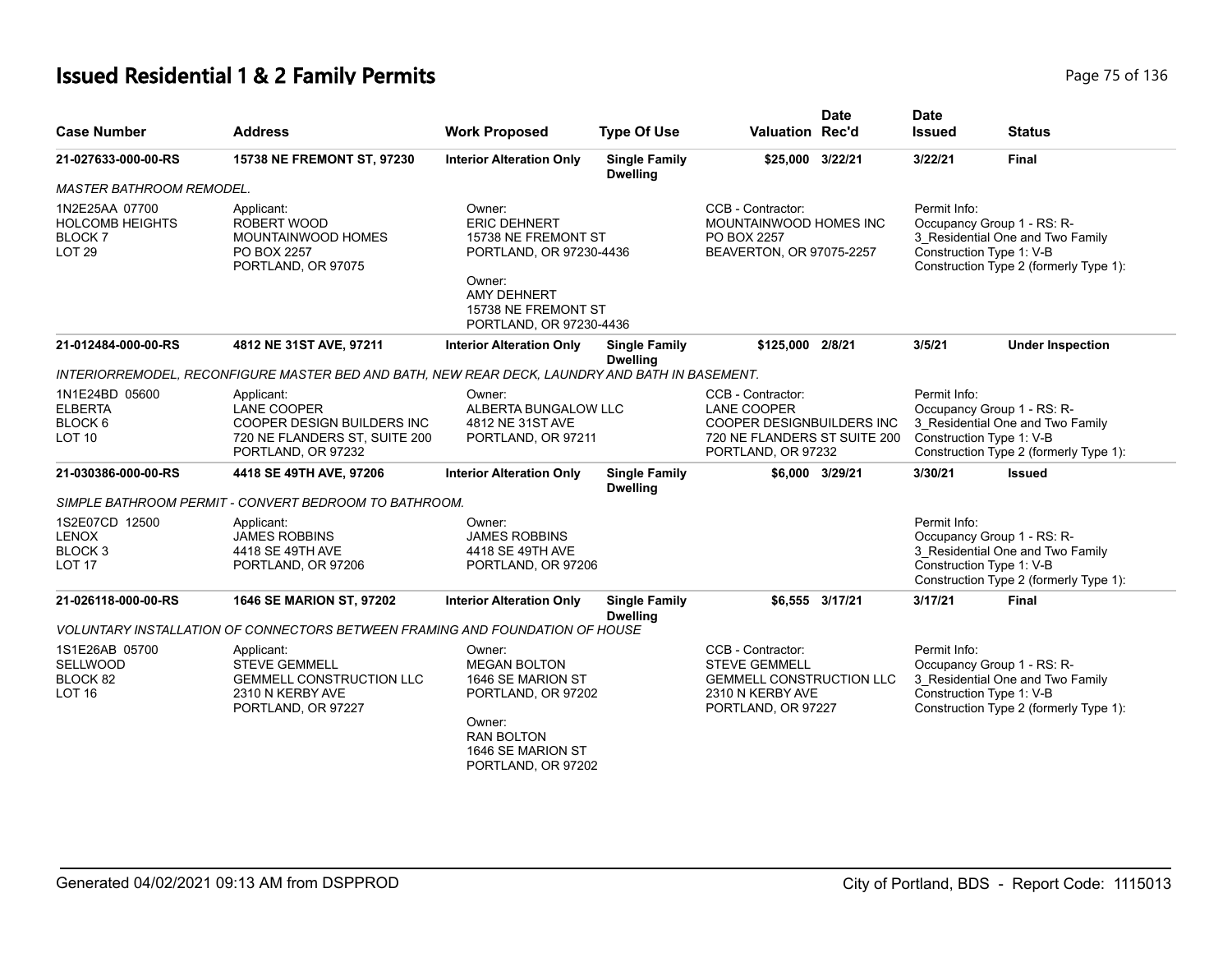# **Issued Residential 1 & 2 Family Permits Page 75 of 136** Page 75 of 136

|                                                                                     |                                                                                                                       |                                                                                                                                                                   |                                         |                                                                                                                            | <b>Date</b>     | <b>Date</b>                                                            |                                                                            |
|-------------------------------------------------------------------------------------|-----------------------------------------------------------------------------------------------------------------------|-------------------------------------------------------------------------------------------------------------------------------------------------------------------|-----------------------------------------|----------------------------------------------------------------------------------------------------------------------------|-----------------|------------------------------------------------------------------------|----------------------------------------------------------------------------|
| <b>Case Number</b>                                                                  | <b>Address</b>                                                                                                        | <b>Work Proposed</b>                                                                                                                                              | <b>Type Of Use</b>                      | <b>Valuation Rec'd</b>                                                                                                     |                 | <b>Issued</b>                                                          | <b>Status</b>                                                              |
| 21-027633-000-00-RS                                                                 | 15738 NE FREMONT ST, 97230                                                                                            | <b>Interior Alteration Only</b>                                                                                                                                   | <b>Single Family</b><br><b>Dwelling</b> | \$25,000 3/22/21                                                                                                           |                 | 3/22/21                                                                | <b>Final</b>                                                               |
| <b>MASTER BATHROOM REMODEL.</b>                                                     |                                                                                                                       |                                                                                                                                                                   |                                         |                                                                                                                            |                 |                                                                        |                                                                            |
| 1N2E25AA 07700<br><b>HOLCOMB HEIGHTS</b><br>BLOCK <sub>7</sub><br>LOT <sub>29</sub> | Applicant:<br>ROBERT WOOD<br>MOUNTAINWOOD HOMES<br>PO BOX 2257<br>PORTLAND, OR 97075                                  | Owner:<br><b>ERIC DEHNERT</b><br>15738 NE FREMONT ST<br>PORTLAND, OR 97230-4436<br>Owner:<br><b>AMY DEHNERT</b><br>15738 NE FREMONT ST<br>PORTLAND, OR 97230-4436 |                                         | CCB - Contractor:<br>MOUNTAINWOOD HOMES INC<br>PO BOX 2257<br>BEAVERTON, OR 97075-2257                                     |                 | Permit Info:<br>Occupancy Group 1 - RS: R-<br>Construction Type 1: V-B | 3_Residential One and Two Family<br>Construction Type 2 (formerly Type 1): |
| 21-012484-000-00-RS                                                                 | 4812 NE 31ST AVE, 97211                                                                                               | <b>Interior Alteration Only</b>                                                                                                                                   | <b>Single Family</b><br><b>Dwelling</b> | \$125,000 2/8/21                                                                                                           |                 | 3/5/21                                                                 | <b>Under Inspection</b>                                                    |
|                                                                                     | INTERIORREMODEL, RECONFIGURE MASTER BED AND BATH, NEW REAR DECK, LAUNDRY AND BATH IN BASEMENT.                        |                                                                                                                                                                   |                                         |                                                                                                                            |                 |                                                                        |                                                                            |
| 1N1E24BD 05600<br><b>ELBERTA</b><br>BLOCK 6<br>LOT <sub>10</sub>                    | Applicant:<br><b>LANE COOPER</b><br>COOPER DESIGN BUILDERS INC<br>720 NE FLANDERS ST, SUITE 200<br>PORTLAND, OR 97232 | Owner:<br>ALBERTA BUNGALOW LLC<br>4812 NE 31ST AVE<br>PORTLAND, OR 97211                                                                                          |                                         | CCB - Contractor:<br><b>LANE COOPER</b><br>COOPER DESIGNBUILDERS INC<br>720 NE FLANDERS ST SUITE 200<br>PORTLAND, OR 97232 |                 | Permit Info:<br>Occupancy Group 1 - RS: R-<br>Construction Type 1: V-B | 3 Residential One and Two Family<br>Construction Type 2 (formerly Type 1): |
| 21-030386-000-00-RS                                                                 | 4418 SE 49TH AVE, 97206                                                                                               | <b>Interior Alteration Only</b>                                                                                                                                   | <b>Single Family</b><br><b>Dwelling</b> |                                                                                                                            | \$6,000 3/29/21 | 3/30/21                                                                | <b>Issued</b>                                                              |
|                                                                                     | SIMPLE BATHROOM PERMIT - CONVERT BEDROOM TO BATHROOM.                                                                 |                                                                                                                                                                   |                                         |                                                                                                                            |                 |                                                                        |                                                                            |
| 1S2E07CD 12500<br><b>LENOX</b><br>BLOCK <sub>3</sub><br><b>LOT 17</b>               | Applicant:<br><b>JAMES ROBBINS</b><br>4418 SE 49TH AVE<br>PORTLAND, OR 97206                                          | Owner:<br><b>JAMES ROBBINS</b><br>4418 SE 49TH AVE<br>PORTLAND, OR 97206                                                                                          |                                         |                                                                                                                            |                 | Permit Info:<br>Occupancy Group 1 - RS: R-<br>Construction Type 1: V-B | 3_Residential One and Two Family<br>Construction Type 2 (formerly Type 1): |
| 21-026118-000-00-RS                                                                 | <b>1646 SE MARION ST, 97202</b>                                                                                       | <b>Interior Alteration Only</b>                                                                                                                                   | <b>Single Family</b><br><b>Dwelling</b> |                                                                                                                            | \$6.555 3/17/21 | 3/17/21                                                                | Final                                                                      |
|                                                                                     | VOLUNTARY INSTALLATION OF CONNECTORS BETWEEN FRAMING AND FOUNDATION OF HOUSE                                          |                                                                                                                                                                   |                                         |                                                                                                                            |                 |                                                                        |                                                                            |
| 1S1E26AB 05700<br>SELLWOOD<br>BLOCK 82<br>LOT <sub>16</sub>                         | Applicant:<br><b>STEVE GEMMELL</b><br><b>GEMMELL CONSTRUCTION LLC</b><br>2310 N KERBY AVE<br>PORTLAND, OR 97227       | Owner:<br><b>MEGAN BOLTON</b><br>1646 SE MARION ST<br>PORTLAND, OR 97202<br>Owner:<br><b>RAN BOLTON</b><br>1646 SE MARION ST<br>PORTLAND, OR 97202                |                                         | CCB - Contractor:<br><b>STEVE GEMMELL</b><br><b>GEMMELL CONSTRUCTION LLC</b><br>2310 N KERBY AVE<br>PORTLAND, OR 97227     |                 | Permit Info:<br>Occupancy Group 1 - RS: R-<br>Construction Type 1: V-B | 3_Residential One and Two Family<br>Construction Type 2 (formerly Type 1): |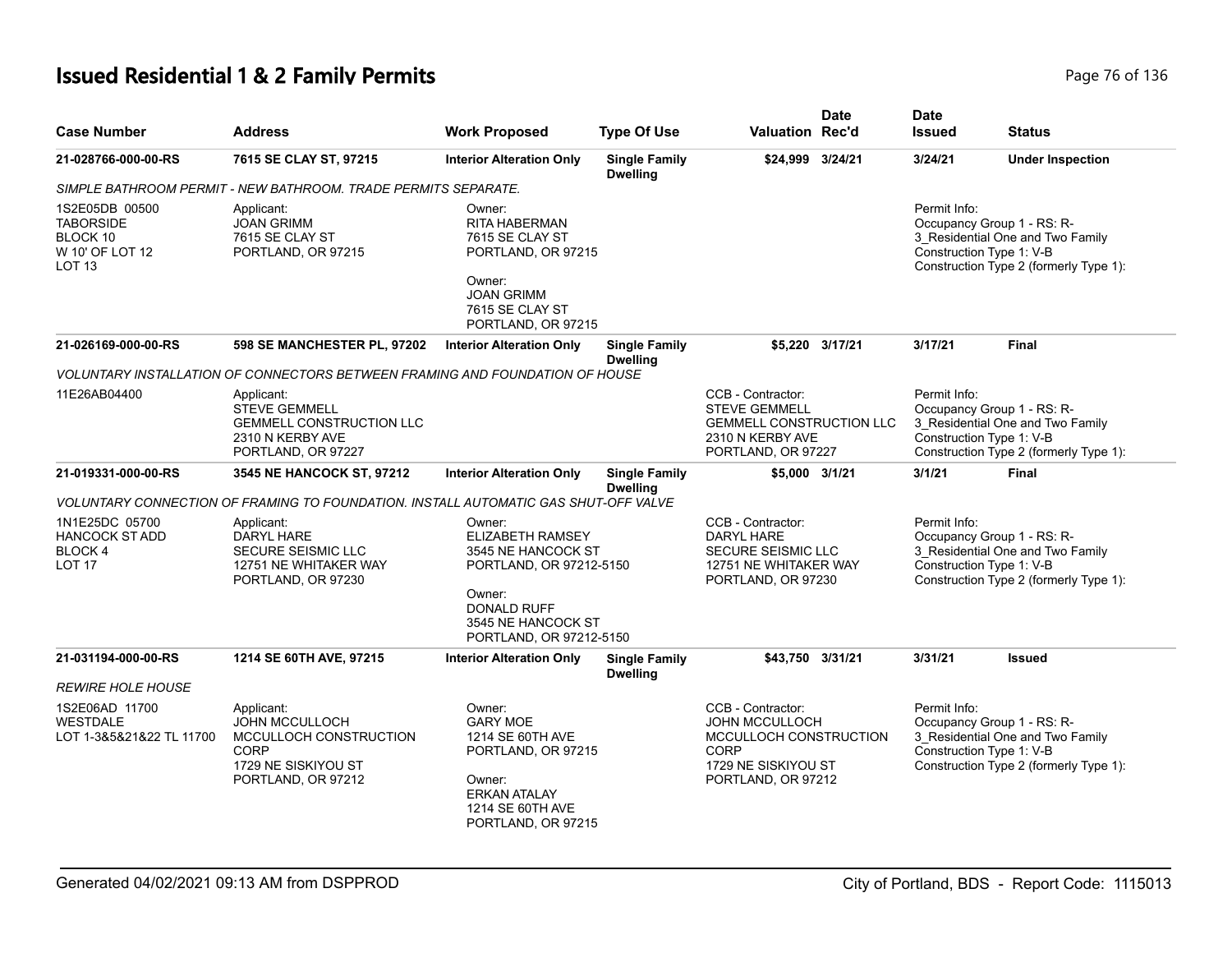# **Issued Residential 1 & 2 Family Permits Page 76 of 136** Page 76 of 136

| <b>Case Number</b>                                                                     | <b>Address</b>                                                                                                     | <b>Work Proposed</b>                                                                                                                                         | <b>Type Of Use</b>                      | <b>Valuation Rec'd</b>                                                                                                    | <b>Date</b>     | <b>Date</b><br><b>Issued</b>                                           | <b>Status</b>                                                              |
|----------------------------------------------------------------------------------------|--------------------------------------------------------------------------------------------------------------------|--------------------------------------------------------------------------------------------------------------------------------------------------------------|-----------------------------------------|---------------------------------------------------------------------------------------------------------------------------|-----------------|------------------------------------------------------------------------|----------------------------------------------------------------------------|
| 21-028766-000-00-RS                                                                    | 7615 SE CLAY ST, 97215                                                                                             | <b>Interior Alteration Only</b>                                                                                                                              | <b>Single Family</b><br><b>Dwelling</b> | \$24,999 3/24/21                                                                                                          |                 | 3/24/21                                                                | <b>Under Inspection</b>                                                    |
|                                                                                        | SIMPLE BATHROOM PERMIT - NEW BATHROOM. TRADE PERMITS SEPARATE.                                                     |                                                                                                                                                              |                                         |                                                                                                                           |                 |                                                                        |                                                                            |
| 1S2E05DB 00500<br><b>TABORSIDE</b><br>BLOCK 10<br>W 10' OF LOT 12<br>LOT <sub>13</sub> | Applicant:<br><b>JOAN GRIMM</b><br>7615 SE CLAY ST<br>PORTLAND, OR 97215                                           | Owner:<br>RITA HABERMAN<br>7615 SE CLAY ST<br>PORTLAND, OR 97215<br>Owner:<br><b>JOAN GRIMM</b><br>7615 SE CLAY ST<br>PORTLAND, OR 97215                     |                                         |                                                                                                                           |                 | Permit Info:<br>Occupancy Group 1 - RS: R-<br>Construction Type 1: V-B | 3_Residential One and Two Family<br>Construction Type 2 (formerly Type 1): |
| 21-026169-000-00-RS                                                                    | 598 SE MANCHESTER PL, 97202                                                                                        | <b>Interior Alteration Only</b>                                                                                                                              | <b>Single Family</b><br><b>Dwelling</b> |                                                                                                                           | \$5,220 3/17/21 | 3/17/21                                                                | <b>Final</b>                                                               |
|                                                                                        | VOLUNTARY INSTALLATION OF CONNECTORS BETWEEN FRAMING AND FOUNDATION OF HOUSE                                       |                                                                                                                                                              |                                         |                                                                                                                           |                 |                                                                        |                                                                            |
| 11E26AB04400                                                                           | Applicant:<br><b>STEVE GEMMELL</b><br><b>GEMMELL CONSTRUCTION LLC</b><br>2310 N KERBY AVE<br>PORTLAND, OR 97227    |                                                                                                                                                              |                                         | CCB - Contractor:<br><b>STEVE GEMMELL</b><br><b>GEMMELL CONSTRUCTION LLC</b><br>2310 N KERBY AVE<br>PORTLAND, OR 97227    |                 | Permit Info:<br>Occupancy Group 1 - RS: R-<br>Construction Type 1: V-B | 3 Residential One and Two Family<br>Construction Type 2 (formerly Type 1): |
| 21-019331-000-00-RS                                                                    | 3545 NE HANCOCK ST, 97212                                                                                          | <b>Interior Alteration Only</b>                                                                                                                              | <b>Single Family</b><br><b>Dwelling</b> | \$5,000 3/1/21                                                                                                            |                 | 3/1/21                                                                 | <b>Final</b>                                                               |
|                                                                                        | VOLUNTARY CONNECTION OF FRAMING TO FOUNDATION. INSTALL AUTOMATIC GAS SHUT-OFF VALVE                                |                                                                                                                                                              |                                         |                                                                                                                           |                 |                                                                        |                                                                            |
| 1N1E25DC 05700<br><b>HANCOCK ST ADD</b><br>BLOCK 4<br><b>LOT 17</b>                    | Applicant:<br>DARYL HARE<br>SECURE SEISMIC LLC<br>12751 NE WHITAKER WAY<br>PORTLAND, OR 97230                      | Owner:<br>ELIZABETH RAMSEY<br>3545 NE HANCOCK ST<br>PORTLAND, OR 97212-5150<br>Owner:<br><b>DONALD RUFF</b><br>3545 NE HANCOCK ST<br>PORTLAND, OR 97212-5150 |                                         | CCB - Contractor:<br><b>DARYL HARE</b><br>SECURE SEISMIC LLC<br>12751 NE WHITAKER WAY<br>PORTLAND, OR 97230               |                 | Permit Info:<br>Occupancy Group 1 - RS: R-<br>Construction Type 1: V-B | 3_Residential One and Two Family<br>Construction Type 2 (formerly Type 1): |
| 21-031194-000-00-RS                                                                    | 1214 SE 60TH AVE, 97215                                                                                            | <b>Interior Alteration Only</b>                                                                                                                              | <b>Single Family</b><br><b>Dwelling</b> | \$43,750 3/31/21                                                                                                          |                 | 3/31/21                                                                | <b>Issued</b>                                                              |
| <b>REWIRE HOLE HOUSE</b>                                                               |                                                                                                                    |                                                                                                                                                              |                                         |                                                                                                                           |                 |                                                                        |                                                                            |
| 1S2E06AD 11700<br><b>WESTDALE</b><br>LOT 1-3&5&21&22 TL 11700                          | Applicant:<br><b>JOHN MCCULLOCH</b><br>MCCULLOCH CONSTRUCTION<br>CORP<br>1729 NE SISKIYOU ST<br>PORTLAND, OR 97212 | Owner:<br><b>GARY MOE</b><br>1214 SE 60TH AVE<br>PORTLAND, OR 97215<br>Owner:<br><b>ERKAN ATALAY</b><br>1214 SE 60TH AVE<br>PORTLAND, OR 97215               |                                         | CCB - Contractor:<br><b>JOHN MCCULLOCH</b><br>MCCULLOCH CONSTRUCTION<br>CORP<br>1729 NE SISKIYOU ST<br>PORTLAND, OR 97212 |                 | Permit Info:<br>Occupancy Group 1 - RS: R-<br>Construction Type 1: V-B | 3_Residential One and Two Family<br>Construction Type 2 (formerly Type 1): |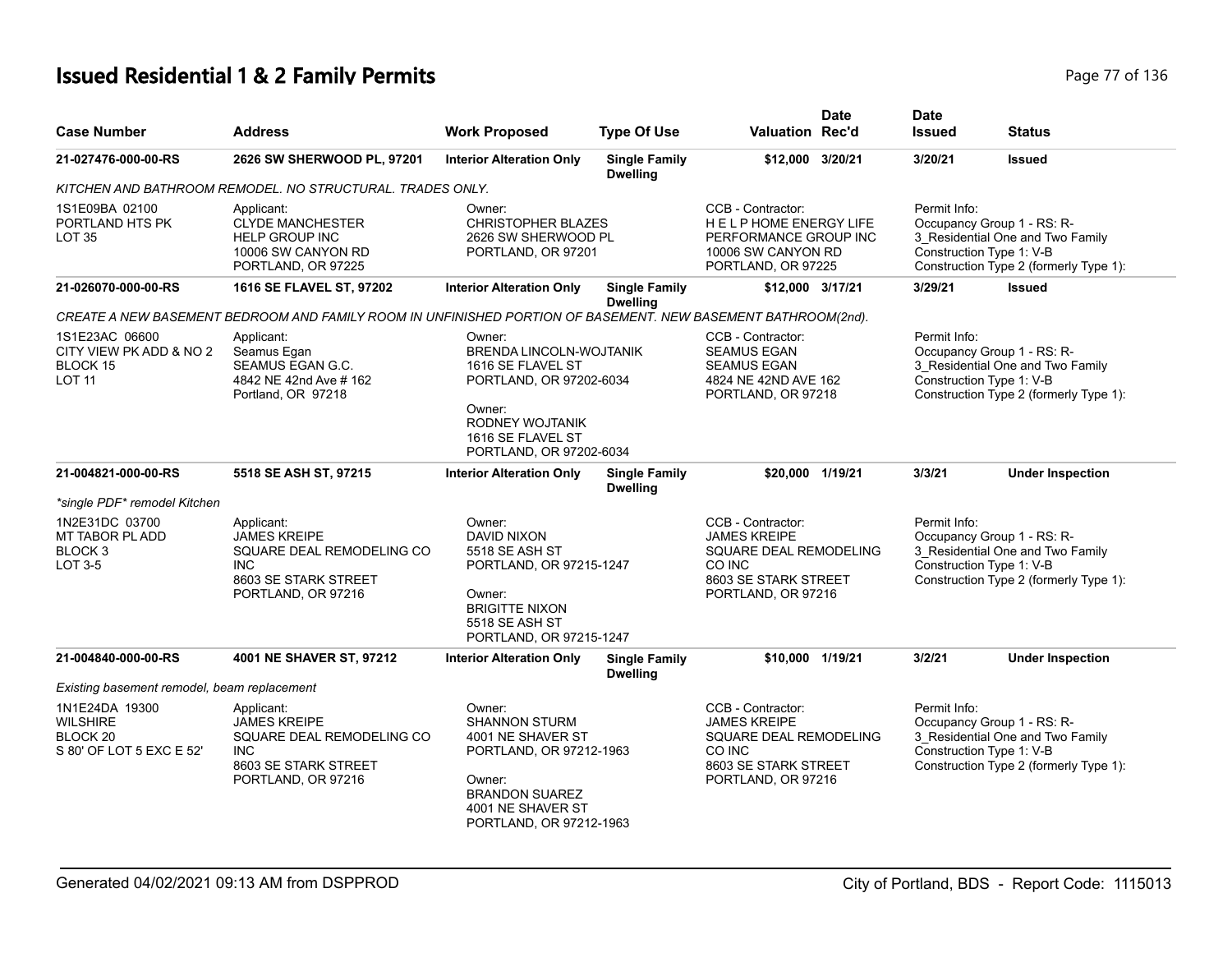# **Issued Residential 1 & 2 Family Permits Page 77 of 136 Page 77 of 136**

| <b>Case Number</b>                                                                   | <b>Address</b>                                                                                                             | <b>Work Proposed</b>                                                                                                                                              | <b>Type Of Use</b>                      | <b>Valuation Rec'd</b>                                                                                                     | <b>Date</b> | <b>Date</b><br><b>Issued</b>             | <b>Status</b>                                                                                            |
|--------------------------------------------------------------------------------------|----------------------------------------------------------------------------------------------------------------------------|-------------------------------------------------------------------------------------------------------------------------------------------------------------------|-----------------------------------------|----------------------------------------------------------------------------------------------------------------------------|-------------|------------------------------------------|----------------------------------------------------------------------------------------------------------|
| 21-027476-000-00-RS                                                                  | 2626 SW SHERWOOD PL, 97201                                                                                                 | <b>Interior Alteration Only</b>                                                                                                                                   | <b>Single Family</b><br><b>Dwelling</b> | \$12,000 3/20/21                                                                                                           |             | 3/20/21                                  | <b>Issued</b>                                                                                            |
|                                                                                      | KITCHEN AND BATHROOM REMODEL. NO STRUCTURAL. TRADES ONLY.                                                                  |                                                                                                                                                                   |                                         |                                                                                                                            |             |                                          |                                                                                                          |
| 1S1E09BA 02100<br>PORTLAND HTS PK<br>LOT <sub>35</sub>                               | Applicant:<br><b>CLYDE MANCHESTER</b><br><b>HELP GROUP INC</b><br>10006 SW CANYON RD<br>PORTLAND, OR 97225                 | Owner:<br><b>CHRISTOPHER BLAZES</b><br>2626 SW SHERWOOD PL<br>PORTLAND, OR 97201                                                                                  |                                         | CCB - Contractor:<br><b>HELPHOME ENERGY LIFE</b><br>PERFORMANCE GROUP INC<br>10006 SW CANYON RD<br>PORTLAND, OR 97225      |             | Permit Info:<br>Construction Type 1: V-B | Occupancy Group 1 - RS: R-<br>3_Residential One and Two Family<br>Construction Type 2 (formerly Type 1): |
| 21-026070-000-00-RS                                                                  | 1616 SE FLAVEL ST, 97202                                                                                                   | <b>Interior Alteration Only</b>                                                                                                                                   | <b>Single Family</b><br><b>Dwelling</b> | \$12.000 3/17/21                                                                                                           |             | 3/29/21                                  | <b>Issued</b>                                                                                            |
|                                                                                      | CREATE A NEW BASEMENT BEDROOM AND FAMILY ROOM IN UNFINISHED PORTION OF BASEMENT. NEW BASEMENT BATHROOM(2nd).               |                                                                                                                                                                   |                                         |                                                                                                                            |             |                                          |                                                                                                          |
| 1S1E23AC 06600<br>CITY VIEW PK ADD & NO 2<br>BLOCK 15<br><b>LOT 11</b>               | Applicant:<br>Seamus Egan<br>SEAMUS EGAN G.C.<br>4842 NE 42nd Ave # 162<br>Portland, OR 97218                              | Owner:<br>BRENDA LINCOLN-WOJTANIK<br>1616 SE FLAVEL ST<br>PORTLAND, OR 97202-6034<br>Owner:<br>RODNEY WOJTANIK<br>1616 SE FLAVEL ST<br>PORTLAND, OR 97202-6034    |                                         | CCB - Contractor:<br><b>SEAMUS EGAN</b><br><b>SEAMUS EGAN</b><br>4824 NE 42ND AVE 162<br>PORTLAND, OR 97218                |             | Permit Info:<br>Construction Type 1: V-B | Occupancy Group 1 - RS: R-<br>3_Residential One and Two Family<br>Construction Type 2 (formerly Type 1): |
| 21-004821-000-00-RS                                                                  | 5518 SE ASH ST, 97215                                                                                                      | <b>Interior Alteration Only</b>                                                                                                                                   | <b>Single Family</b><br><b>Dwelling</b> | \$20,000 1/19/21                                                                                                           |             | 3/3/21                                   | <b>Under Inspection</b>                                                                                  |
| *single PDF* remodel Kitchen                                                         |                                                                                                                            |                                                                                                                                                                   |                                         |                                                                                                                            |             |                                          |                                                                                                          |
| 1N2E31DC 03700<br>MT TABOR PL ADD<br>BLOCK <sub>3</sub><br>LOT 3-5                   | Applicant:<br><b>JAMES KREIPE</b><br>SQUARE DEAL REMODELING CO<br><b>INC</b><br>8603 SE STARK STREET<br>PORTLAND, OR 97216 | Owner:<br>DAVID NIXON<br>5518 SE ASH ST<br>PORTLAND, OR 97215-1247<br>Owner:<br><b>BRIGITTE NIXON</b><br>5518 SE ASH ST<br>PORTLAND, OR 97215-1247                |                                         | CCB - Contractor:<br><b>JAMES KREIPE</b><br>SQUARE DEAL REMODELING<br>CO INC<br>8603 SE STARK STREET<br>PORTLAND, OR 97216 |             | Permit Info:<br>Construction Type 1: V-B | Occupancy Group 1 - RS: R-<br>3_Residential One and Two Family<br>Construction Type 2 (formerly Type 1): |
| 21-004840-000-00-RS                                                                  | 4001 NE SHAVER ST, 97212                                                                                                   | <b>Interior Alteration Only</b>                                                                                                                                   | <b>Single Family</b><br><b>Dwelling</b> | \$10.000 1/19/21                                                                                                           |             | 3/2/21                                   | <b>Under Inspection</b>                                                                                  |
| Existing basement remodel, beam replacement                                          |                                                                                                                            |                                                                                                                                                                   |                                         |                                                                                                                            |             |                                          |                                                                                                          |
| 1N1E24DA 19300<br><b>WILSHIRE</b><br>BLOCK <sub>20</sub><br>S 80' OF LOT 5 EXC E 52' | Applicant:<br><b>JAMES KREIPE</b><br>SQUARE DEAL REMODELING CO<br><b>INC</b><br>8603 SE STARK STREET<br>PORTLAND, OR 97216 | Owner:<br><b>SHANNON STURM</b><br>4001 NE SHAVER ST<br>PORTLAND, OR 97212-1963<br>Owner:<br><b>BRANDON SUAREZ</b><br>4001 NE SHAVER ST<br>PORTLAND, OR 97212-1963 |                                         | CCB - Contractor:<br><b>JAMES KREIPE</b><br>SQUARE DEAL REMODELING<br>CO INC<br>8603 SE STARK STREET<br>PORTLAND, OR 97216 |             | Permit Info:<br>Construction Type 1: V-B | Occupancy Group 1 - RS: R-<br>3_Residential One and Two Family<br>Construction Type 2 (formerly Type 1): |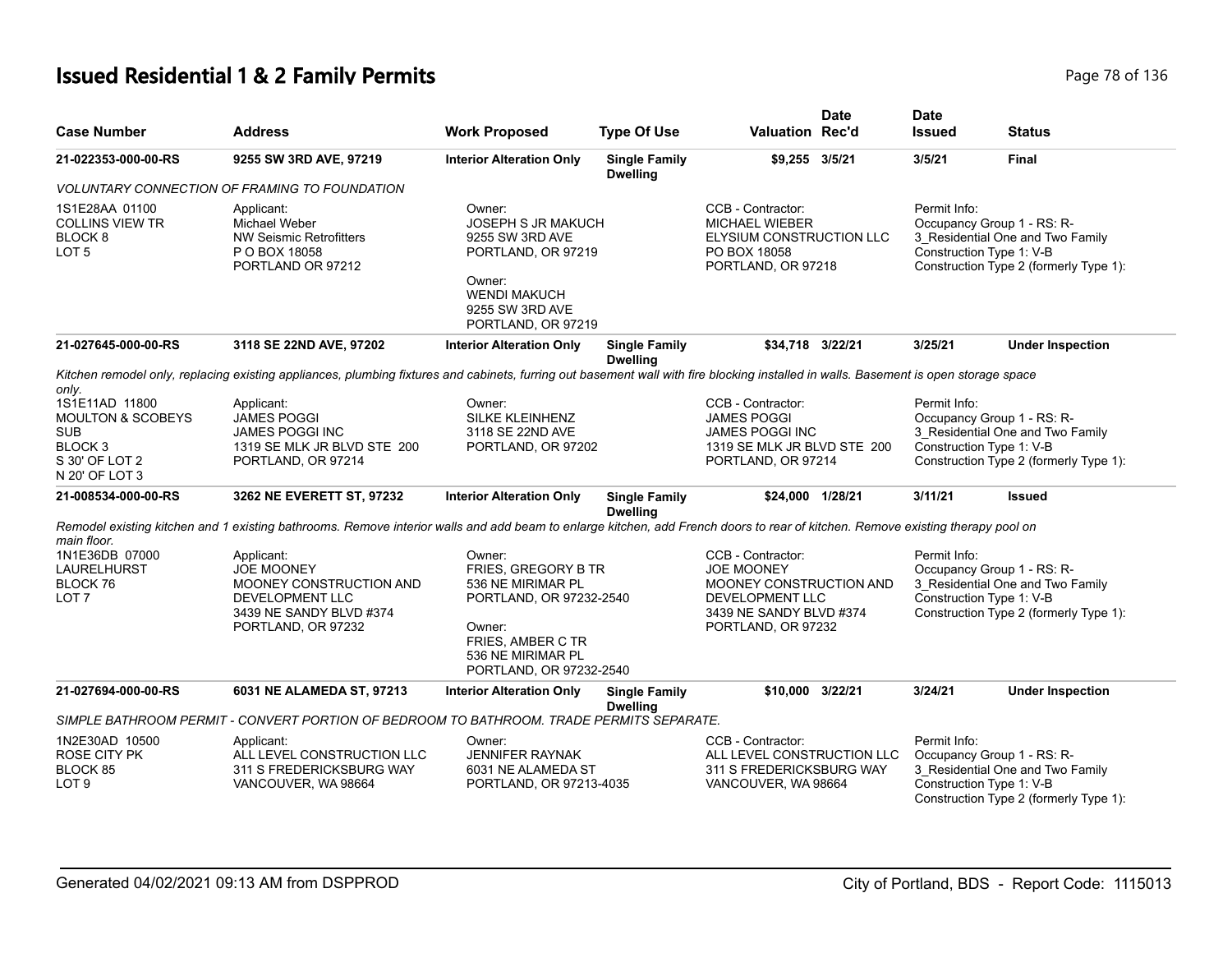# **Issued Residential 1 & 2 Family Permits Page 78 of 136** Page 78 of 136

| <b>Case Number</b>                                                                                                     | <b>Address</b>                                                                                                                                                                       | <b>Work Proposed</b>                                                                                                                                         | <b>Type Of Use</b>                      | <b>Valuation Rec'd</b>                                                                                                                | <b>Date</b> | <b>Date</b><br><b>Issued</b> | <b>Status</b>                                                                                                                        |
|------------------------------------------------------------------------------------------------------------------------|--------------------------------------------------------------------------------------------------------------------------------------------------------------------------------------|--------------------------------------------------------------------------------------------------------------------------------------------------------------|-----------------------------------------|---------------------------------------------------------------------------------------------------------------------------------------|-------------|------------------------------|--------------------------------------------------------------------------------------------------------------------------------------|
| 21-022353-000-00-RS                                                                                                    | 9255 SW 3RD AVE, 97219                                                                                                                                                               | <b>Interior Alteration Only</b>                                                                                                                              | <b>Single Family</b><br><b>Dwelling</b> | \$9,255 3/5/21                                                                                                                        |             | 3/5/21                       | <b>Final</b>                                                                                                                         |
|                                                                                                                        | <i>VOLUNTARY CONNECTION OF FRAMING TO FOUNDATION</i>                                                                                                                                 |                                                                                                                                                              |                                         |                                                                                                                                       |             |                              |                                                                                                                                      |
| 1S1E28AA 01100<br><b>COLLINS VIEW TR</b><br>BLOCK <sub>8</sub><br>LOT <sub>5</sub>                                     | Applicant:<br>Michael Weber<br><b>NW Seismic Retrofitters</b><br>P O BOX 18058<br>PORTLAND OR 97212                                                                                  | Owner:<br><b>JOSEPH S JR MAKUCH</b><br>9255 SW 3RD AVE<br>PORTLAND, OR 97219<br>Owner:<br><b>WENDI MAKUCH</b><br>9255 SW 3RD AVE<br>PORTLAND, OR 97219       |                                         | CCB - Contractor:<br><b>MICHAEL WIEBER</b><br>ELYSIUM CONSTRUCTION LLC<br>PO BOX 18058<br>PORTLAND, OR 97218                          |             | Permit Info:                 | Occupancy Group 1 - RS: R-<br>3_Residential One and Two Family<br>Construction Type 1: V-B<br>Construction Type 2 (formerly Type 1): |
| 21-027645-000-00-RS                                                                                                    | 3118 SE 22ND AVE, 97202                                                                                                                                                              | <b>Interior Alteration Only</b>                                                                                                                              | <b>Single Family</b><br><b>Dwelling</b> | \$34,718 3/22/21                                                                                                                      |             | 3/25/21                      | <b>Under Inspection</b>                                                                                                              |
| only.                                                                                                                  | Kitchen remodel only, replacing existing appliances, plumbing fixtures and cabinets, furring out basement wall with fire blocking installed in walls. Basement is open storage space |                                                                                                                                                              |                                         |                                                                                                                                       |             |                              |                                                                                                                                      |
| 1S1E11AD 11800<br><b>MOULTON &amp; SCOBEYS</b><br><b>SUB</b><br>BLOCK <sub>3</sub><br>S 30' OF LOT 2<br>N 20' OF LOT 3 | Applicant:<br><b>JAMES POGGI</b><br>JAMES POGGI INC<br>1319 SE MLK JR BLVD STE 200<br>PORTLAND, OR 97214                                                                             | Owner:<br>SILKE KLEINHENZ<br>3118 SE 22ND AVE<br>PORTLAND, OR 97202                                                                                          |                                         | CCB - Contractor:<br><b>JAMES POGGI</b><br><b>JAMES POGGI INC</b><br>1319 SE MLK JR BLVD STE 200<br>PORTLAND, OR 97214                |             | Permit Info:                 | Occupancy Group 1 - RS: R-<br>3 Residential One and Two Family<br>Construction Type 1: V-B<br>Construction Type 2 (formerly Type 1): |
| 21-008534-000-00-RS                                                                                                    | 3262 NE EVERETT ST, 97232                                                                                                                                                            | <b>Interior Alteration Only</b>                                                                                                                              | <b>Single Family</b><br><b>Dwelling</b> | \$24,000 1/28/21                                                                                                                      |             | 3/11/21                      | <b>Issued</b>                                                                                                                        |
| main floor.                                                                                                            | Remodel existing kitchen and 1 existing bathrooms. Remove interior walls and add beam to enlarge kitchen, add French doors to rear of kitchen. Remove existing therapy pool on       |                                                                                                                                                              |                                         |                                                                                                                                       |             |                              |                                                                                                                                      |
| 1N1E36DB 07000<br>LAURELHURST<br>BLOCK 76<br>LOT <sub>7</sub>                                                          | Applicant:<br><b>JOE MOONEY</b><br>MOONEY CONSTRUCTION AND<br>DEVELOPMENT LLC<br>3439 NE SANDY BLVD #374<br>PORTLAND, OR 97232                                                       | Owner:<br>FRIES, GREGORY B TR<br>536 NE MIRIMAR PL<br>PORTLAND, OR 97232-2540<br>Owner:<br>FRIES, AMBER C TR<br>536 NE MIRIMAR PL<br>PORTLAND, OR 97232-2540 |                                         | CCB - Contractor:<br><b>JOE MOONEY</b><br>MOONEY CONSTRUCTION AND<br>DEVELOPMENT LLC<br>3439 NE SANDY BLVD #374<br>PORTLAND, OR 97232 |             | Permit Info:                 | Occupancy Group 1 - RS: R-<br>3_Residential One and Two Family<br>Construction Type 1: V-B<br>Construction Type 2 (formerly Type 1): |
| 21-027694-000-00-RS                                                                                                    | 6031 NE ALAMEDA ST, 97213                                                                                                                                                            | <b>Interior Alteration Only</b>                                                                                                                              | <b>Single Family</b><br><b>Dwelling</b> | \$10,000 3/22/21                                                                                                                      |             | 3/24/21                      | <b>Under Inspection</b>                                                                                                              |
|                                                                                                                        | SIMPLE BATHROOM PERMIT - CONVERT PORTION OF BEDROOM TO BATHROOM. TRADE PERMITS SEPARATE.                                                                                             |                                                                                                                                                              |                                         |                                                                                                                                       |             |                              |                                                                                                                                      |
| 1N2E30AD 10500<br><b>ROSE CITY PK</b><br>BLOCK 85<br>LOT <sub>9</sub>                                                  | Applicant:<br>ALL LEVEL CONSTRUCTION LLC<br>311 S FREDERICKSBURG WAY<br>VANCOUVER, WA 98664                                                                                          | Owner:<br><b>JENNIFER RAYNAK</b><br>6031 NE ALAMEDA ST<br>PORTLAND, OR 97213-4035                                                                            |                                         | CCB - Contractor:<br>ALL LEVEL CONSTRUCTION LLC<br>311 S FREDERICKSBURG WAY<br>VANCOUVER, WA 98664                                    |             | Permit Info:                 | Occupancy Group 1 - RS: R-<br>3 Residential One and Two Family<br>Construction Type 1: V-B<br>Construction Type 2 (formerly Type 1): |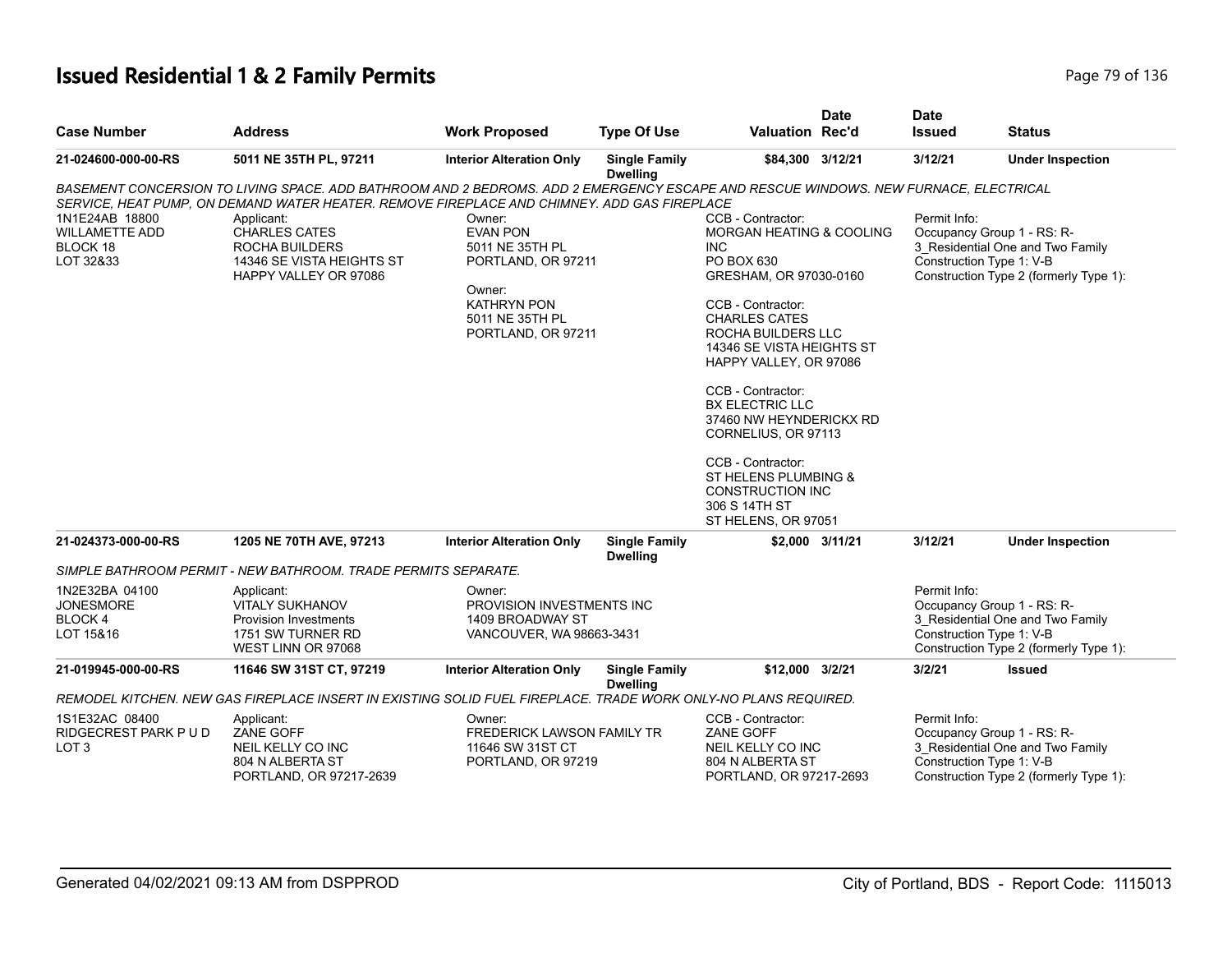# **Issued Residential 1 & 2 Family Permits Page 79 of 136 Page 79 of 136**

| <b>Case Number</b>                                               | <b>Address</b>                                                                                                                                                                                                                                                                                                                                   | <b>Work Proposed</b>                                                                                                                        | <b>Type Of Use</b>                      | <b>Valuation Rec'd</b>                                                                                                                                                                                                                                                                                                                                                                                                                         | <b>Date</b>     | <b>Date</b><br><b>Issued</b>             | <b>Status</b>                                                                                            |
|------------------------------------------------------------------|--------------------------------------------------------------------------------------------------------------------------------------------------------------------------------------------------------------------------------------------------------------------------------------------------------------------------------------------------|---------------------------------------------------------------------------------------------------------------------------------------------|-----------------------------------------|------------------------------------------------------------------------------------------------------------------------------------------------------------------------------------------------------------------------------------------------------------------------------------------------------------------------------------------------------------------------------------------------------------------------------------------------|-----------------|------------------------------------------|----------------------------------------------------------------------------------------------------------|
| 21-024600-000-00-RS                                              | 5011 NE 35TH PL, 97211                                                                                                                                                                                                                                                                                                                           | <b>Interior Alteration Only</b>                                                                                                             | <b>Single Family</b><br><b>Dwelling</b> | \$84,300 3/12/21                                                                                                                                                                                                                                                                                                                                                                                                                               |                 | 3/12/21                                  | <b>Under Inspection</b>                                                                                  |
| 1N1E24AB 18800<br><b>WILLAMETTE ADD</b><br>BLOCK 18<br>LOT 32&33 | BASEMENT CONCERSION TO LIVING SPACE. ADD BATHROOM AND 2 BEDROMS. ADD 2 EMERGENCY ESCAPE AND RESCUE WINDOWS. NEW FURNACE, ELECTRICAL<br>SERVICE, HEAT PUMP, ON DEMAND WATER HEATER. REMOVE FIREPLACE AND CHIMNEY. ADD GAS FIREPLACE<br>Applicant:<br><b>CHARLES CATES</b><br>ROCHA BUILDERS<br>14346 SE VISTA HEIGHTS ST<br>HAPPY VALLEY OR 97086 | Owner:<br><b>EVAN PON</b><br>5011 NE 35TH PL<br>PORTLAND, OR 97211<br>Owner:<br><b>KATHRYN PON</b><br>5011 NE 35TH PL<br>PORTLAND, OR 97211 |                                         | CCB - Contractor:<br>MORGAN HEATING & COOLING<br><b>INC</b><br>PO BOX 630<br>GRESHAM, OR 97030-0160<br>CCB - Contractor:<br><b>CHARLES CATES</b><br>ROCHA BUILDERS LLC<br>14346 SE VISTA HEIGHTS ST<br>HAPPY VALLEY, OR 97086<br>CCB - Contractor:<br><b>BX ELECTRIC LLC</b><br>37460 NW HEYNDERICKX RD<br>CORNELIUS, OR 97113<br>CCB - Contractor:<br>ST HELENS PLUMBING &<br><b>CONSTRUCTION INC</b><br>306 S 14TH ST<br>ST HELENS, OR 97051 |                 | Permit Info:<br>Construction Type 1: V-B | Occupancy Group 1 - RS: R-<br>3 Residential One and Two Family<br>Construction Type 2 (formerly Type 1): |
| 21-024373-000-00-RS                                              | 1205 NE 70TH AVE, 97213                                                                                                                                                                                                                                                                                                                          | <b>Interior Alteration Only</b>                                                                                                             | <b>Single Family</b><br><b>Dwelling</b> |                                                                                                                                                                                                                                                                                                                                                                                                                                                | \$2,000 3/11/21 | 3/12/21                                  | <b>Under Inspection</b>                                                                                  |
|                                                                  | SIMPLE BATHROOM PERMIT - NEW BATHROOM. TRADE PERMITS SEPARATE.                                                                                                                                                                                                                                                                                   |                                                                                                                                             |                                         |                                                                                                                                                                                                                                                                                                                                                                                                                                                |                 |                                          |                                                                                                          |
| 1N2E32BA 04100<br><b>JONESMORE</b><br>BLOCK 4<br>LOT 15&16       | Applicant:<br><b>VITALY SUKHANOV</b><br>Provision Investments<br>1751 SW TURNER RD<br>WEST LINN OR 97068                                                                                                                                                                                                                                         | Owner:<br>PROVISION INVESTMENTS INC<br>1409 BROADWAY ST<br>VANCOUVER, WA 98663-3431                                                         |                                         |                                                                                                                                                                                                                                                                                                                                                                                                                                                |                 | Permit Info:<br>Construction Type 1: V-B | Occupancy Group 1 - RS: R-<br>3_Residential One and Two Family<br>Construction Type 2 (formerly Type 1): |
| 21-019945-000-00-RS                                              | 11646 SW 31ST CT, 97219                                                                                                                                                                                                                                                                                                                          | <b>Interior Alteration Only</b>                                                                                                             | <b>Single Family</b><br><b>Dwelling</b> | \$12,000 3/2/21                                                                                                                                                                                                                                                                                                                                                                                                                                |                 | 3/2/21                                   | <b>Issued</b>                                                                                            |
|                                                                  | REMODEL KITCHEN. NEW GAS FIREPLACE INSERT IN EXISTING SOLID FUEL FIREPLACE. TRADE WORK ONLY-NO PLANS REQUIRED.                                                                                                                                                                                                                                   |                                                                                                                                             |                                         |                                                                                                                                                                                                                                                                                                                                                                                                                                                |                 |                                          |                                                                                                          |
| 1S1E32AC 08400<br>RIDGECREST PARK P U D<br>LOT <sub>3</sub>      | Applicant:<br><b>ZANE GOFF</b><br>NEIL KELLY CO INC<br>804 N ALBERTA ST<br>PORTLAND, OR 97217-2639                                                                                                                                                                                                                                               | Owner:<br>FREDERICK LAWSON FAMILY TR<br>11646 SW 31ST CT<br>PORTLAND, OR 97219                                                              |                                         | CCB - Contractor:<br><b>ZANE GOFF</b><br>NEIL KELLY CO INC<br>804 N ALBERTA ST<br>PORTLAND, OR 97217-2693                                                                                                                                                                                                                                                                                                                                      |                 | Permit Info:<br>Construction Type 1: V-B | Occupancy Group 1 - RS: R-<br>3_Residential One and Two Family<br>Construction Type 2 (formerly Type 1): |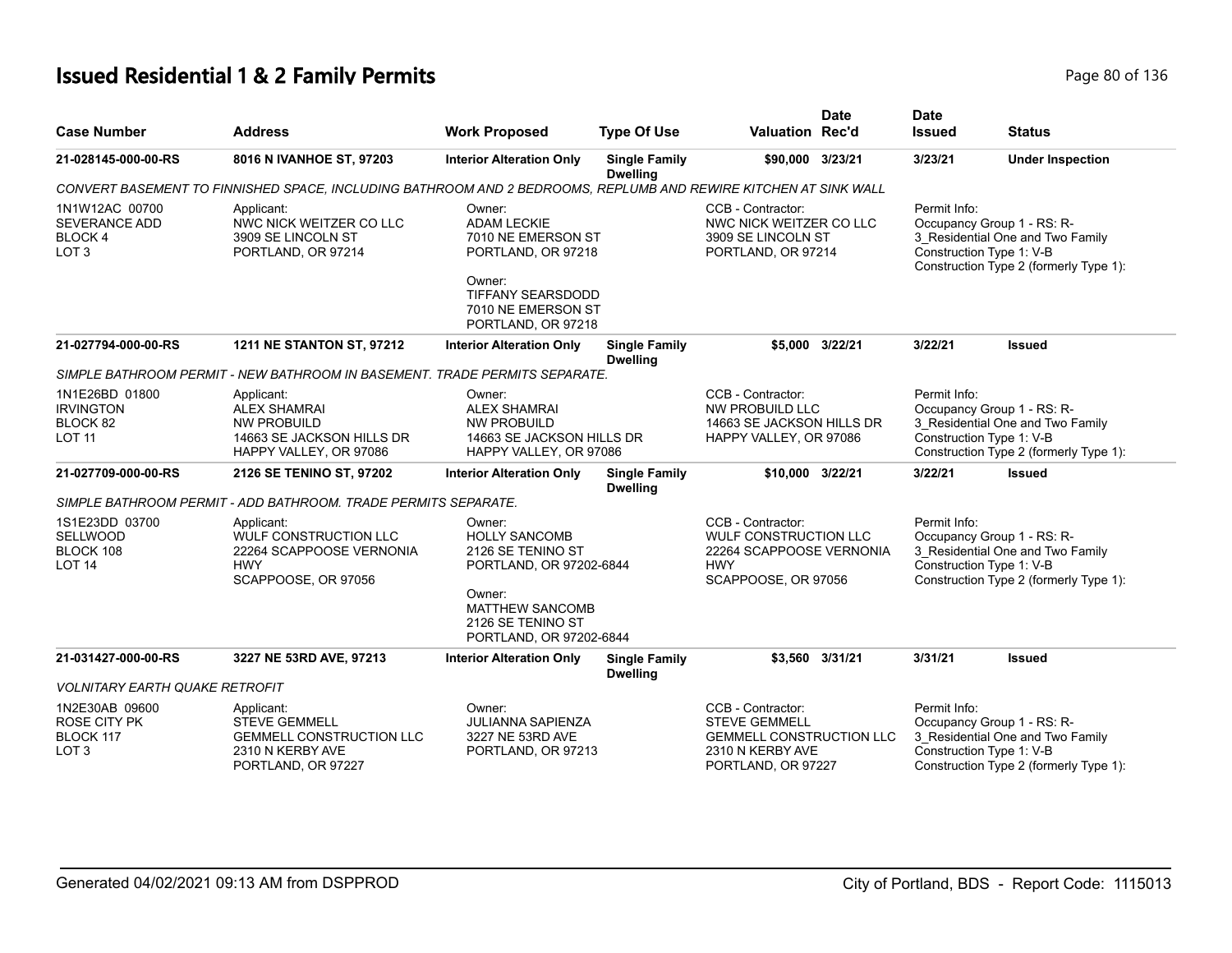# **Issued Residential 1 & 2 Family Permits Page 136** 2 **Page 80 of 136**

| <b>Case Number</b>                                                  | Address                                                                                                         | <b>Work Proposed</b>                                                                                                                                                                                                                                                                                        | <b>Type Of Use</b>                      | <b>Valuation Rec'd</b>                                                                                                 | <b>Date</b>       | <b>Date</b><br><b>Issued</b>             | <b>Status</b>                                                                                            |
|---------------------------------------------------------------------|-----------------------------------------------------------------------------------------------------------------|-------------------------------------------------------------------------------------------------------------------------------------------------------------------------------------------------------------------------------------------------------------------------------------------------------------|-----------------------------------------|------------------------------------------------------------------------------------------------------------------------|-------------------|------------------------------------------|----------------------------------------------------------------------------------------------------------|
| 21-028145-000-00-RS                                                 | 8016 N IVANHOE ST, 97203                                                                                        | <b>Interior Alteration Only</b>                                                                                                                                                                                                                                                                             | <b>Single Family</b><br><b>Dwelling</b> | \$90,000 3/23/21                                                                                                       |                   | 3/23/21                                  | <b>Under Inspection</b>                                                                                  |
|                                                                     | CONVERT BASEMENT TO FINNISHED SPACE, INCLUDING BATHROOM AND 2 BEDROOMS, REPLUMB AND REWIRE KITCHEN AT SINK WALL |                                                                                                                                                                                                                                                                                                             |                                         |                                                                                                                        |                   |                                          |                                                                                                          |
| 1N1W12AC 00700<br>SEVERANCE ADD<br>BLOCK 4<br>LOT <sub>3</sub>      | Applicant:<br>NWC NICK WEITZER CO LLC<br>3909 SE LINCOLN ST<br>PORTLAND, OR 97214                               | Permit Info:<br>Owner:<br>Occupancy Group 1 - RS: R-<br><b>ADAM LECKIE</b><br>NWC NICK WEITZER CO LLC<br>7010 NE EMERSON ST<br>3909 SE LINCOLN ST<br>Construction Type 1: V-B<br>PORTLAND, OR 97218<br>PORTLAND, OR 97214<br>Owner:<br><b>TIFFANY SEARSDODD</b><br>7010 NE EMERSON ST<br>PORTLAND, OR 97218 |                                         |                                                                                                                        | CCB - Contractor: |                                          | 3 Residential One and Two Family<br>Construction Type 2 (formerly Type 1):                               |
| 21-027794-000-00-RS                                                 | <b>1211 NE STANTON ST, 97212</b>                                                                                | <b>Interior Alteration Only</b>                                                                                                                                                                                                                                                                             | <b>Single Family</b><br><b>Dwelling</b> | \$5,000 3/22/21                                                                                                        |                   | 3/22/21                                  | <b>Issued</b>                                                                                            |
|                                                                     | SIMPLE BATHROOM PERMIT - NEW BATHROOM IN BASEMENT. TRADE PERMITS SEPARATE.                                      |                                                                                                                                                                                                                                                                                                             |                                         |                                                                                                                        |                   |                                          |                                                                                                          |
| 1N1E26BD 01800<br><b>IRVINGTON</b><br>BLOCK 82<br><b>LOT 11</b>     | Applicant:<br><b>ALEX SHAMRAI</b><br><b>NW PROBUILD</b><br>14663 SE JACKSON HILLS DR<br>HAPPY VALLEY, OR 97086  | Owner:<br><b>ALEX SHAMRAI</b><br><b>NW PROBUILD</b><br>14663 SE JACKSON HILLS DR<br>HAPPY VALLEY, OR 97086                                                                                                                                                                                                  |                                         | CCB - Contractor:<br><b>NW PROBUILD LLC</b><br>14663 SE JACKSON HILLS DR<br>HAPPY VALLEY, OR 97086                     |                   | Permit Info:<br>Construction Type 1: V-B | Occupancy Group 1 - RS: R-<br>3_Residential One and Two Family<br>Construction Type 2 (formerly Type 1): |
| 21-027709-000-00-RS                                                 | 2126 SE TENINO ST, 97202                                                                                        | <b>Interior Alteration Only</b>                                                                                                                                                                                                                                                                             | <b>Single Family</b><br><b>Dwelling</b> | \$10,000 3/22/21                                                                                                       |                   | 3/22/21                                  | <b>Issued</b>                                                                                            |
|                                                                     | SIMPLE BATHROOM PERMIT - ADD BATHROOM. TRADE PERMITS SEPARATE.                                                  |                                                                                                                                                                                                                                                                                                             |                                         |                                                                                                                        |                   |                                          |                                                                                                          |
| 1S1E23DD 03700<br><b>SELLWOOD</b><br>BLOCK 108<br>LOT <sub>14</sub> | Applicant:<br>WULF CONSTRUCTION LLC<br>22264 SCAPPOOSE VERNONIA<br><b>HWY</b><br>SCAPPOOSE, OR 97056            | Owner:<br><b>HOLLY SANCOMB</b><br>2126 SE TENINO ST<br>PORTLAND, OR 97202-6844<br>Owner:<br><b>MATTHEW SANCOMB</b><br>2126 SE TENINO ST<br>PORTLAND, OR 97202-6844                                                                                                                                          |                                         | CCB - Contractor:<br><b>WULF CONSTRUCTION LLC</b><br>22264 SCAPPOOSE VERNONIA<br><b>HWY</b><br>SCAPPOOSE, OR 97056     |                   | Permit Info:<br>Construction Type 1: V-B | Occupancy Group 1 - RS: R-<br>3_Residential One and Two Family<br>Construction Type 2 (formerly Type 1): |
| 21-031427-000-00-RS                                                 | 3227 NE 53RD AVE, 97213                                                                                         | <b>Interior Alteration Only</b>                                                                                                                                                                                                                                                                             | <b>Single Family</b><br><b>Dwelling</b> | \$3,560 3/31/21                                                                                                        |                   | 3/31/21                                  | <b>Issued</b>                                                                                            |
| <b>VOLNITARY EARTH QUAKE RETROFIT</b>                               |                                                                                                                 |                                                                                                                                                                                                                                                                                                             |                                         |                                                                                                                        |                   |                                          |                                                                                                          |
| 1N2E30AB 09600<br>ROSE CITY PK<br>BLOCK 117<br>LOT <sub>3</sub>     | Applicant:<br><b>STEVE GEMMELL</b><br><b>GEMMELL CONSTRUCTION LLC</b><br>2310 N KERBY AVE<br>PORTLAND, OR 97227 | Owner:<br><b>JULIANNA SAPIENZA</b><br>3227 NE 53RD AVE<br>PORTLAND, OR 97213                                                                                                                                                                                                                                |                                         | CCB - Contractor:<br><b>STEVE GEMMELL</b><br><b>GEMMELL CONSTRUCTION LLC</b><br>2310 N KERBY AVE<br>PORTLAND, OR 97227 |                   | Permit Info:<br>Construction Type 1: V-B | Occupancy Group 1 - RS: R-<br>3_Residential One and Two Family<br>Construction Type 2 (formerly Type 1): |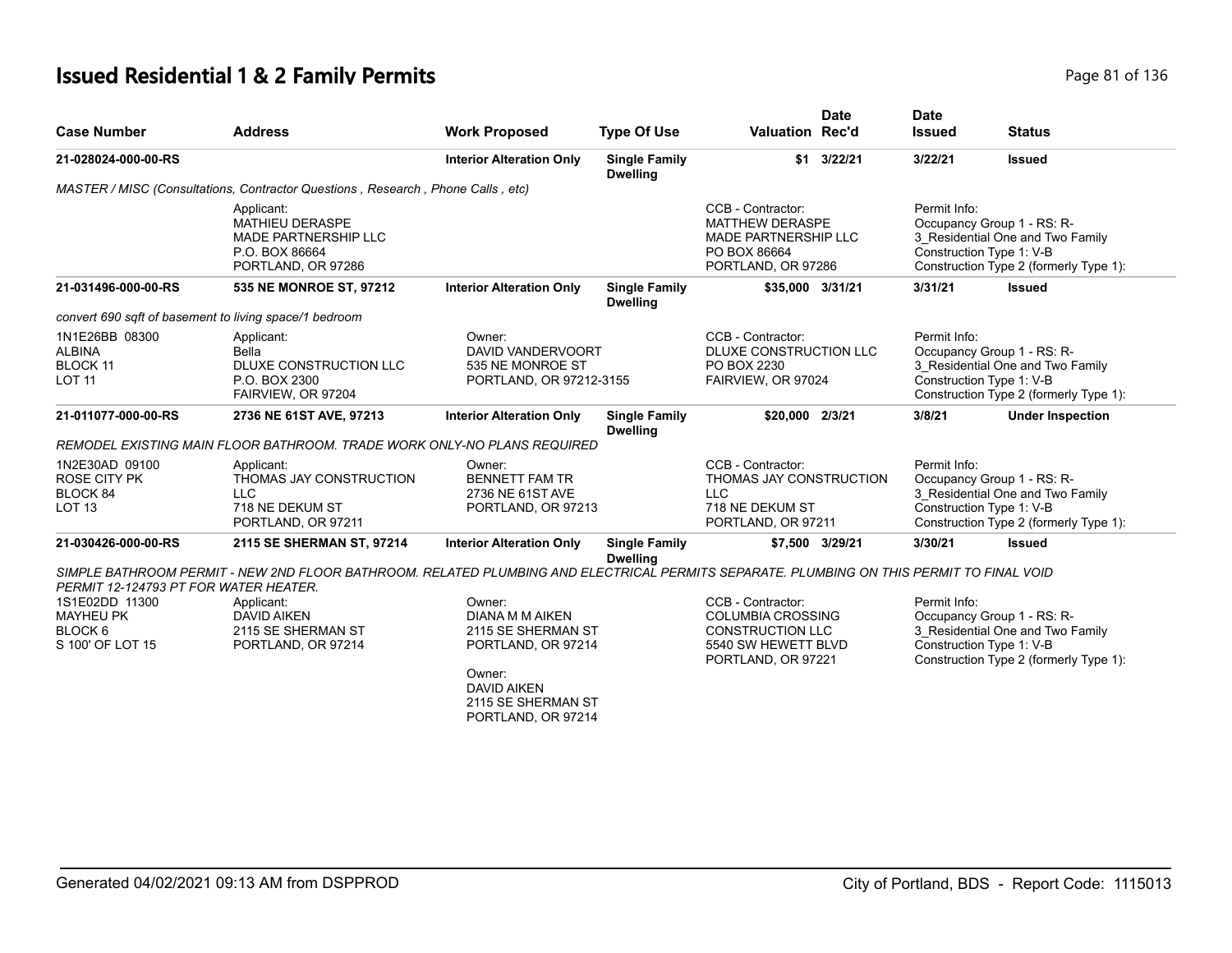# **Issued Residential 1 & 2 Family Permits Page 81 of 136** Page 81 of 136

| <b>Case Number</b>                                                                                                    | <b>Address</b>                                                                                                                           | <b>Work Proposed</b>                                                              | <b>Type Of Use</b>                      | <b>Valuation Rec'd</b>                                                                                                | <b>Date</b>     | <b>Date</b><br><b>Issued</b>             | <b>Status</b>                                                                                                                        |
|-----------------------------------------------------------------------------------------------------------------------|------------------------------------------------------------------------------------------------------------------------------------------|-----------------------------------------------------------------------------------|-----------------------------------------|-----------------------------------------------------------------------------------------------------------------------|-----------------|------------------------------------------|--------------------------------------------------------------------------------------------------------------------------------------|
| 21-028024-000-00-RS                                                                                                   |                                                                                                                                          | <b>Interior Alteration Only</b>                                                   | <b>Single Family</b><br><b>Dwelling</b> | \$1                                                                                                                   | 3/22/21         | 3/22/21                                  | <b>Issued</b>                                                                                                                        |
|                                                                                                                       | MASTER / MISC (Consultations, Contractor Questions, Research, Phone Calls, etc)                                                          |                                                                                   |                                         |                                                                                                                       |                 |                                          |                                                                                                                                      |
|                                                                                                                       | Applicant:<br><b>MATHIEU DERASPE</b><br><b>MADE PARTNERSHIP LLC</b><br>P.O. BOX 86664<br>PORTLAND, OR 97286                              |                                                                                   |                                         | CCB - Contractor:<br><b>MATTHEW DERASPE</b><br><b>MADE PARTNERSHIP LLC</b><br>PO BOX 86664<br>PORTLAND, OR 97286      |                 | Permit Info:<br>Construction Type 1: V-B | Occupancy Group 1 - RS: R-<br>3_Residential One and Two Family<br>Construction Type 2 (formerly Type 1):                             |
| 21-031496-000-00-RS                                                                                                   | 535 NE MONROE ST, 97212                                                                                                                  | <b>Interior Alteration Only</b>                                                   | <b>Single Family</b><br><b>Dwelling</b> | \$35,000 3/31/21                                                                                                      |                 | 3/31/21                                  | <b>Issued</b>                                                                                                                        |
| convert 690 sqft of basement to living space/1 bedroom                                                                |                                                                                                                                          |                                                                                   |                                         |                                                                                                                       |                 |                                          |                                                                                                                                      |
| 1N1E26BB 08300<br><b>ALBINA</b><br>BLOCK 11<br><b>LOT 11</b>                                                          | Applicant:<br>Bella<br>DLUXE CONSTRUCTION LLC<br>P.O. BOX 2300<br>FAIRVIEW, OR 97204                                                     | Owner:<br><b>DAVID VANDERVOORT</b><br>535 NE MONROE ST<br>PORTLAND, OR 97212-3155 |                                         | CCB - Contractor:<br>DLUXE CONSTRUCTION LLC<br>PO BOX 2230<br>FAIRVIEW, OR 97024                                      |                 | Permit Info:                             | Occupancy Group 1 - RS: R-<br>3_Residential One and Two Family<br>Construction Type 1: V-B<br>Construction Type 2 (formerly Type 1): |
| 21-011077-000-00-RS                                                                                                   | 2736 NE 61ST AVE, 97213                                                                                                                  | <b>Interior Alteration Only</b>                                                   | <b>Single Family</b><br><b>Dwelling</b> | \$20,000 2/3/21                                                                                                       |                 | 3/8/21                                   | <b>Under Inspection</b>                                                                                                              |
|                                                                                                                       | REMODEL EXISTING MAIN FLOOR BATHROOM. TRADE WORK ONLY-NO PLANS REQUIRED                                                                  |                                                                                   |                                         |                                                                                                                       |                 |                                          |                                                                                                                                      |
| 1N2E30AD 09100<br><b>ROSE CITY PK</b><br>BLOCK 84<br><b>LOT 13</b>                                                    | Applicant:<br>THOMAS JAY CONSTRUCTION<br><b>LLC</b><br>718 NE DEKUM ST<br>PORTLAND, OR 97211                                             | Owner:<br><b>BENNETT FAM TR</b><br>2736 NE 61ST AVE<br>PORTLAND, OR 97213         |                                         | CCB - Contractor:<br>THOMAS JAY CONSTRUCTION<br><b>LLC</b><br>718 NE DEKUM ST<br>PORTLAND, OR 97211                   |                 | Permit Info:<br>Construction Type 1: V-B | Occupancy Group 1 - RS: R-<br>3 Residential One and Two Family<br>Construction Type 2 (formerly Type 1):                             |
| 21-030426-000-00-RS                                                                                                   | 2115 SE SHERMAN ST, 97214                                                                                                                | <b>Interior Alteration Only</b>                                                   | <b>Single Family</b><br><b>Dwelling</b> |                                                                                                                       | \$7,500 3/29/21 | 3/30/21                                  | <b>Issued</b>                                                                                                                        |
|                                                                                                                       | SIMPLE BATHROOM PERMIT - NEW 2ND FLOOR BATHROOM. RELATED PLUMBING AND ELECTRICAL PERMITS SEPARATE. PLUMBING ON THIS PERMIT TO FINAL VOID |                                                                                   |                                         |                                                                                                                       |                 |                                          |                                                                                                                                      |
| PERMIT 12-124793 PT FOR WATER HEATER.<br>1S1E02DD 11300<br><b>MAYHEU PK</b><br>BLOCK <sub>6</sub><br>S 100' OF LOT 15 | Applicant:<br><b>DAVID AIKEN</b><br>2115 SE SHERMAN ST<br>PORTLAND, OR 97214                                                             | Owner:<br><b>DIANA M M AIKEN</b><br>2115 SE SHERMAN ST<br>PORTLAND, OR 97214      |                                         | CCB - Contractor:<br><b>COLUMBIA CROSSING</b><br><b>CONSTRUCTION LLC</b><br>5540 SW HEWETT BLVD<br>PORTLAND, OR 97221 |                 | Permit Info:                             | Occupancy Group 1 - RS: R-<br>3_Residential One and Two Family<br>Construction Type 1: V-B<br>Construction Type 2 (formerly Type 1): |
|                                                                                                                       |                                                                                                                                          | Owner:<br><b>DAVID AIKEN</b><br>2115 SE SHERMAN ST<br>PORTLAND, OR 97214          |                                         |                                                                                                                       |                 |                                          |                                                                                                                                      |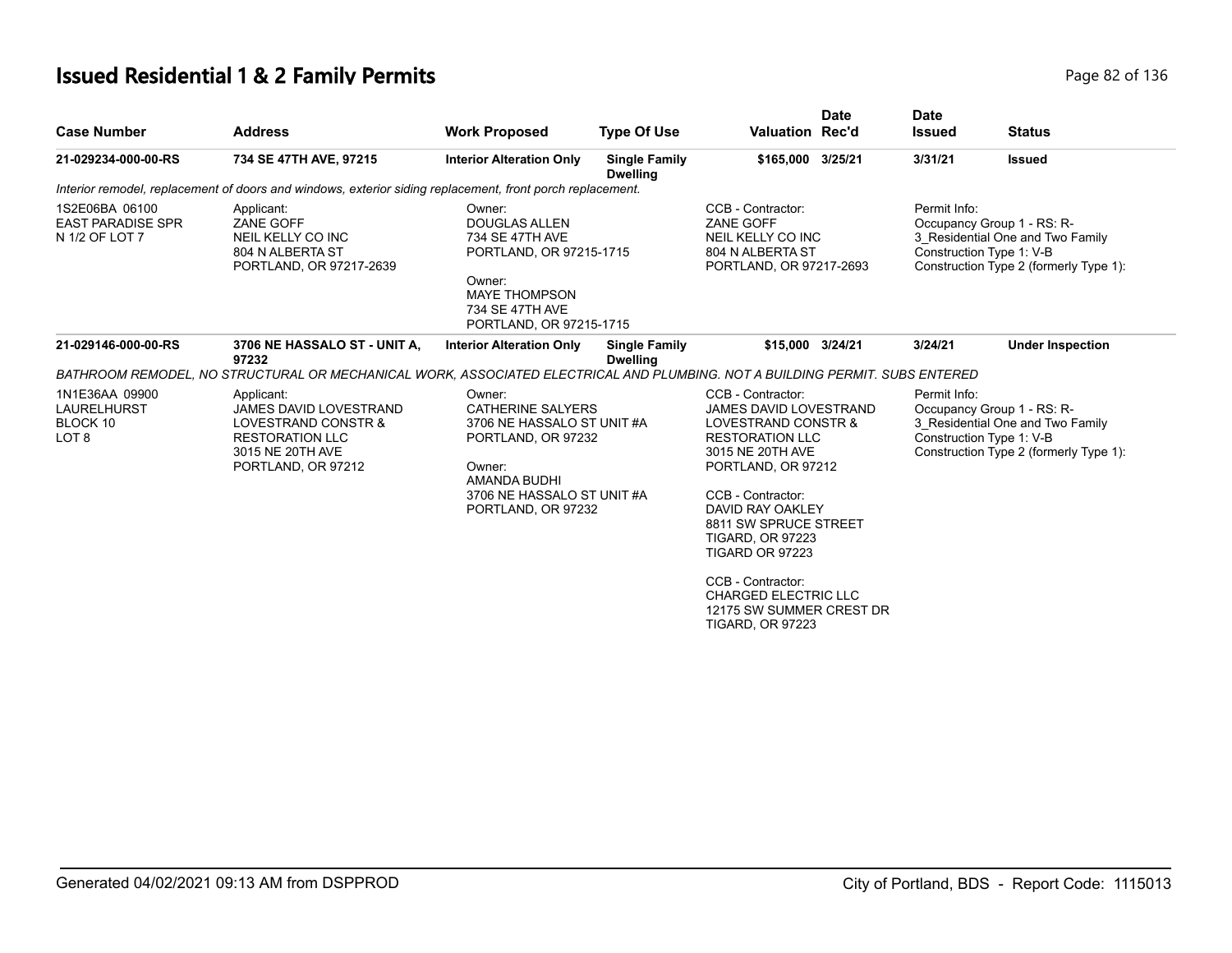# **Issued Residential 1 & 2 Family Permits Page 82 of 136** Page 82 of 136

| <b>Case Number</b>                                                   | <b>Address</b>                                                                                                                                                       | <b>Work Proposed</b>                                                                                                                                                 | <b>Type Of Use</b>                      | Valuation Rec'd                                                                                                                                                                                                                                                                                    | <b>Date</b> | <b>Date</b><br><b>Issued</b>                                                                             | <b>Status</b>                                                                                                                        |
|----------------------------------------------------------------------|----------------------------------------------------------------------------------------------------------------------------------------------------------------------|----------------------------------------------------------------------------------------------------------------------------------------------------------------------|-----------------------------------------|----------------------------------------------------------------------------------------------------------------------------------------------------------------------------------------------------------------------------------------------------------------------------------------------------|-------------|----------------------------------------------------------------------------------------------------------|--------------------------------------------------------------------------------------------------------------------------------------|
| 21-029234-000-00-RS                                                  | 734 SE 47TH AVE, 97215                                                                                                                                               | <b>Interior Alteration Only</b>                                                                                                                                      | <b>Single Family</b><br><b>Dwelling</b> | \$165,000 3/25/21                                                                                                                                                                                                                                                                                  |             | 3/31/21                                                                                                  | <b>Issued</b>                                                                                                                        |
|                                                                      | Interior remodel, replacement of doors and windows, exterior siding replacement, front porch replacement.                                                            |                                                                                                                                                                      |                                         |                                                                                                                                                                                                                                                                                                    |             |                                                                                                          |                                                                                                                                      |
| 1S2E06BA 06100<br><b>EAST PARADISE SPR</b><br>N 1/2 OF LOT 7         | Applicant:<br><b>ZANE GOFF</b><br>NEIL KELLY CO INC<br>804 N ALBERTA ST<br>PORTLAND, OR 97217-2639                                                                   | Owner:<br><b>DOUGLAS ALLEN</b><br>734 SE 47TH AVE<br>PORTLAND, OR 97215-1715<br>Owner:<br><b>MAYE THOMPSON</b><br>734 SE 47TH AVE<br>PORTLAND, OR 97215-1715         |                                         | CCB - Contractor:<br>ZANE GOFF<br>NEIL KELLY CO INC<br>804 N ALBERTA ST<br>PORTLAND, OR 97217-2693                                                                                                                                                                                                 |             | Permit Info:                                                                                             | Occupancy Group 1 - RS: R-<br>3 Residential One and Two Family<br>Construction Type 1: V-B<br>Construction Type 2 (formerly Type 1): |
| 21-029146-000-00-RS                                                  | 3706 NE HASSALO ST - UNIT A,<br>97232<br>BATHROOM REMODEL. NO STRUCTURAL OR MECHANICAL WORK. ASSOCIATED ELECTRICAL AND PLUMBING. NOT A BUILDING PERMIT. SUBS ENTERED | <b>Interior Alteration Only</b>                                                                                                                                      | <b>Single Family</b><br><b>Dwelling</b> | \$15,000 3/24/21                                                                                                                                                                                                                                                                                   |             | 3/24/21                                                                                                  | <b>Under Inspection</b>                                                                                                              |
| 1N1E36AA 09900<br><b>LAURELHURST</b><br>BLOCK 10<br>LOT <sub>8</sub> | Applicant:<br><b>JAMES DAVID LOVESTRAND</b><br>LOVESTRAND CONSTR &<br><b>RESTORATION LLC</b><br>3015 NE 20TH AVE<br>PORTLAND, OR 97212                               | Owner:<br><b>CATHERINE SALYERS</b><br>3706 NE HASSALO ST UNIT #A<br>PORTLAND, OR 97232<br>Owner:<br>AMANDA BUDHI<br>3706 NE HASSALO ST UNIT #A<br>PORTLAND, OR 97232 |                                         | CCB - Contractor:<br>Permit Info:<br>JAMES DAVID LOVESTRAND<br>LOVESTRAND CONSTR &<br>Construction Type 1: V-B<br><b>RESTORATION LLC</b><br>3015 NE 20TH AVE<br>PORTLAND, OR 97212<br>CCB - Contractor:<br>DAVID RAY OAKLEY<br>8811 SW SPRUCE STREET<br><b>TIGARD, OR 97223</b><br>TIGARD OR 97223 |             | Occupancy Group 1 - RS: R-<br>3 Residential One and Two Family<br>Construction Type 2 (formerly Type 1): |                                                                                                                                      |
|                                                                      |                                                                                                                                                                      |                                                                                                                                                                      |                                         | CCB - Contractor:<br><b>CHARGED ELECTRIC LLC</b><br>12175 SW SUMMER CREST DR<br><b>TIGARD, OR 97223</b>                                                                                                                                                                                            |             |                                                                                                          |                                                                                                                                      |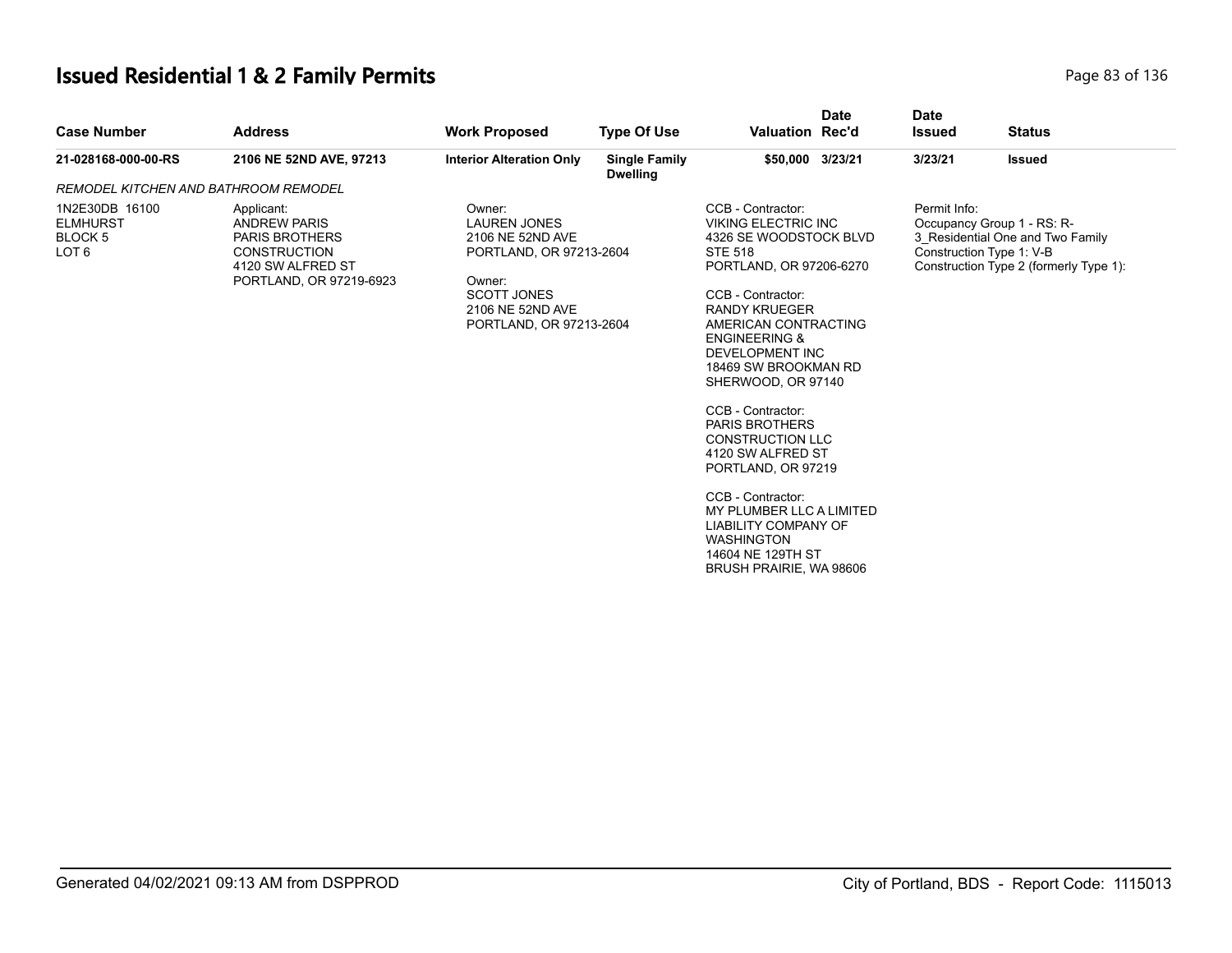# **Issued Residential 1 & 2 Family Permits Page 83 of 136 Page 83 of 136**

| <b>Case Number</b>                                               | <b>Address</b>                                                                                                                    | <b>Work Proposed</b>                                                                                                                                        | <b>Type Of Use</b>                      | <b>Valuation Rec'd</b>                                                                                                                                                                                                                                                                                                                                                                                                                                                                                                                                                   | <b>Date</b> | <b>Date</b><br><b>Issued</b> | <b>Status</b>                                                                                                                        |
|------------------------------------------------------------------|-----------------------------------------------------------------------------------------------------------------------------------|-------------------------------------------------------------------------------------------------------------------------------------------------------------|-----------------------------------------|--------------------------------------------------------------------------------------------------------------------------------------------------------------------------------------------------------------------------------------------------------------------------------------------------------------------------------------------------------------------------------------------------------------------------------------------------------------------------------------------------------------------------------------------------------------------------|-------------|------------------------------|--------------------------------------------------------------------------------------------------------------------------------------|
| 21-028168-000-00-RS                                              | 2106 NE 52ND AVE, 97213                                                                                                           | <b>Interior Alteration Only</b>                                                                                                                             | <b>Single Family</b><br><b>Dwelling</b> | \$50,000 3/23/21                                                                                                                                                                                                                                                                                                                                                                                                                                                                                                                                                         |             | 3/23/21                      | <b>Issued</b>                                                                                                                        |
| REMODEL KITCHEN AND BATHROOM REMODEL                             |                                                                                                                                   |                                                                                                                                                             |                                         |                                                                                                                                                                                                                                                                                                                                                                                                                                                                                                                                                                          |             |                              |                                                                                                                                      |
| 1N2E30DB 16100<br><b>ELMHURST</b><br>BLOCK 5<br>LOT <sub>6</sub> | Applicant:<br><b>ANDREW PARIS</b><br><b>PARIS BROTHERS</b><br><b>CONSTRUCTION</b><br>4120 SW ALFRED ST<br>PORTLAND, OR 97219-6923 | Owner:<br><b>LAUREN JONES</b><br>2106 NE 52ND AVE<br>PORTLAND, OR 97213-2604<br>Owner:<br><b>SCOTT JONES</b><br>2106 NE 52ND AVE<br>PORTLAND, OR 97213-2604 |                                         | CCB - Contractor:<br><b>VIKING ELECTRIC INC</b><br>4326 SE WOODSTOCK BLVD<br><b>STE 518</b><br>PORTLAND, OR 97206-6270<br>CCB - Contractor:<br><b>RANDY KRUEGER</b><br>AMERICAN CONTRACTING<br><b>ENGINEERING &amp;</b><br><b>DEVELOPMENT INC</b><br>18469 SW BROOKMAN RD<br>SHERWOOD, OR 97140<br>CCB - Contractor:<br><b>PARIS BROTHERS</b><br><b>CONSTRUCTION LLC</b><br>4120 SW ALFRED ST<br>PORTLAND, OR 97219<br>CCB - Contractor:<br>MY PLUMBER LLC A LIMITED<br><b>LIABILITY COMPANY OF</b><br><b>WASHINGTON</b><br>14604 NE 129TH ST<br>BRUSH PRAIRIE, WA 98606 |             | Permit Info:                 | Occupancy Group 1 - RS: R-<br>3 Residential One and Two Family<br>Construction Type 1: V-B<br>Construction Type 2 (formerly Type 1): |
|                                                                  |                                                                                                                                   |                                                                                                                                                             |                                         |                                                                                                                                                                                                                                                                                                                                                                                                                                                                                                                                                                          |             |                              |                                                                                                                                      |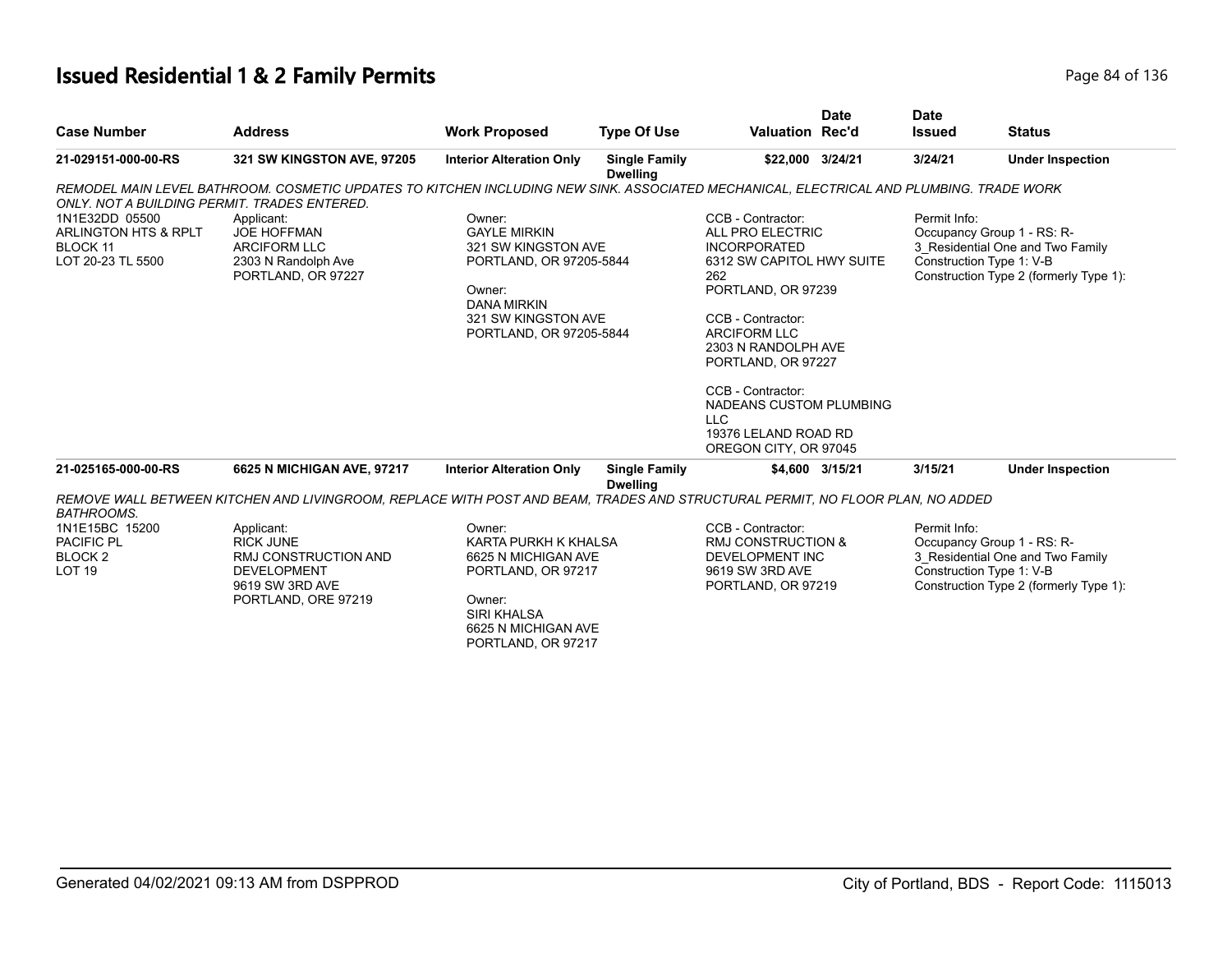# **Issued Residential 1 & 2 Family Permits Page 84 of 136** Page 84 of 136

|                                              |                                                                                                                                         |                                           |                                         |                                              | <b>Date</b>     | <b>Date</b>   |                                        |
|----------------------------------------------|-----------------------------------------------------------------------------------------------------------------------------------------|-------------------------------------------|-----------------------------------------|----------------------------------------------|-----------------|---------------|----------------------------------------|
| <b>Case Number</b>                           | <b>Address</b>                                                                                                                          | <b>Work Proposed</b>                      | <b>Type Of Use</b>                      | <b>Valuation Rec'd</b>                       |                 | <b>Issued</b> | <b>Status</b>                          |
| 21-029151-000-00-RS                          | 321 SW KINGSTON AVE, 97205                                                                                                              | <b>Interior Alteration Only</b>           | <b>Single Family</b><br><b>Dwelling</b> | \$22,000 3/24/21                             |                 | 3/24/21       | <b>Under Inspection</b>                |
|                                              | REMODEL MAIN LEVEL BATHROOM. COSMETIC UPDATES TO KITCHEN INCLUDING NEW SINK. ASSOCIATED MECHANICAL, ELECTRICAL AND PLUMBING. TRADE WORK |                                           |                                         |                                              |                 |               |                                        |
| ONLY, NOT A BUILDING PERMIT, TRADES ENTERED. |                                                                                                                                         |                                           |                                         |                                              |                 |               |                                        |
| 1N1E32DD 05500                               | Applicant:                                                                                                                              | Owner:                                    |                                         | CCB - Contractor:                            |                 | Permit Info:  |                                        |
| ARLINGTON HTS & RPLT                         | <b>JOE HOFFMAN</b>                                                                                                                      | <b>GAYLE MIRKIN</b>                       |                                         | ALL PRO ELECTRIC                             |                 |               | Occupancy Group 1 - RS: R-             |
| BLOCK 11                                     | <b>ARCIFORM LLC</b>                                                                                                                     | 321 SW KINGSTON AVE                       |                                         | <b>INCORPORATED</b>                          |                 |               | 3 Residential One and Two Family       |
| LOT 20-23 TL 5500                            | 2303 N Randolph Ave                                                                                                                     | PORTLAND, OR 97205-5844                   |                                         | 6312 SW CAPITOL HWY SUITE<br>262             |                 |               | Construction Type 1: V-B               |
|                                              | PORTLAND, OR 97227                                                                                                                      | Owner:                                    |                                         | PORTLAND, OR 97239                           |                 |               | Construction Type 2 (formerly Type 1): |
|                                              |                                                                                                                                         | <b>DANA MIRKIN</b>                        |                                         |                                              |                 |               |                                        |
|                                              |                                                                                                                                         | 321 SW KINGSTON AVE                       |                                         | CCB - Contractor:                            |                 |               |                                        |
|                                              |                                                                                                                                         | PORTLAND, OR 97205-5844                   |                                         | <b>ARCIFORM LLC</b>                          |                 |               |                                        |
|                                              |                                                                                                                                         |                                           |                                         | 2303 N RANDOLPH AVE                          |                 |               |                                        |
|                                              |                                                                                                                                         |                                           |                                         | PORTLAND, OR 97227                           |                 |               |                                        |
|                                              |                                                                                                                                         |                                           |                                         | CCB - Contractor:<br>NADEANS CUSTOM PLUMBING |                 |               |                                        |
|                                              |                                                                                                                                         |                                           |                                         | <b>LLC</b>                                   |                 |               |                                        |
|                                              |                                                                                                                                         |                                           |                                         | 19376 LELAND ROAD RD                         |                 |               |                                        |
|                                              |                                                                                                                                         |                                           |                                         | OREGON CITY, OR 97045                        |                 |               |                                        |
| 21-025165-000-00-RS                          | 6625 N MICHIGAN AVE, 97217                                                                                                              | <b>Interior Alteration Only</b>           | <b>Single Family</b><br><b>Dwelling</b> |                                              | \$4,600 3/15/21 | 3/15/21       | <b>Under Inspection</b>                |
|                                              | REMOVE WALL BETWEEN KITCHEN AND LIVINGROOM, REPLACE WITH POST AND BEAM, TRADES AND STRUCTURAL PERMIT, NO FLOOR PLAN, NO ADDED           |                                           |                                         |                                              |                 |               |                                        |
| <b>BATHROOMS.</b>                            |                                                                                                                                         |                                           |                                         |                                              |                 |               |                                        |
| 1N1E15BC 15200                               | Applicant:                                                                                                                              | Owner:                                    |                                         | CCB - Contractor:                            |                 | Permit Info:  |                                        |
| PACIFIC PL                                   | <b>RICK JUNE</b>                                                                                                                        | KARTA PURKH K KHALSA                      |                                         | <b>RMJ CONSTRUCTION &amp;</b>                |                 |               | Occupancy Group 1 - RS: R-             |
| <b>BLOCK2</b>                                | RMJ CONSTRUCTION AND                                                                                                                    | 6625 N MICHIGAN AVE                       |                                         | <b>DEVELOPMENT INC</b>                       |                 |               | 3 Residential One and Two Family       |
| LOT <sub>19</sub>                            | <b>DEVELOPMENT</b>                                                                                                                      | PORTLAND, OR 97217                        |                                         | 9619 SW 3RD AVE                              |                 |               | Construction Type 1: V-B               |
|                                              | 9619 SW 3RD AVE                                                                                                                         |                                           |                                         | PORTLAND, OR 97219                           |                 |               | Construction Type 2 (formerly Type 1): |
|                                              | PORTLAND, ORE 97219                                                                                                                     | Owner:                                    |                                         |                                              |                 |               |                                        |
|                                              |                                                                                                                                         | <b>SIRI KHALSA</b><br>6625 N MICHIGAN AVE |                                         |                                              |                 |               |                                        |
|                                              |                                                                                                                                         | PORTLAND, OR 97217                        |                                         |                                              |                 |               |                                        |
|                                              |                                                                                                                                         |                                           |                                         |                                              |                 |               |                                        |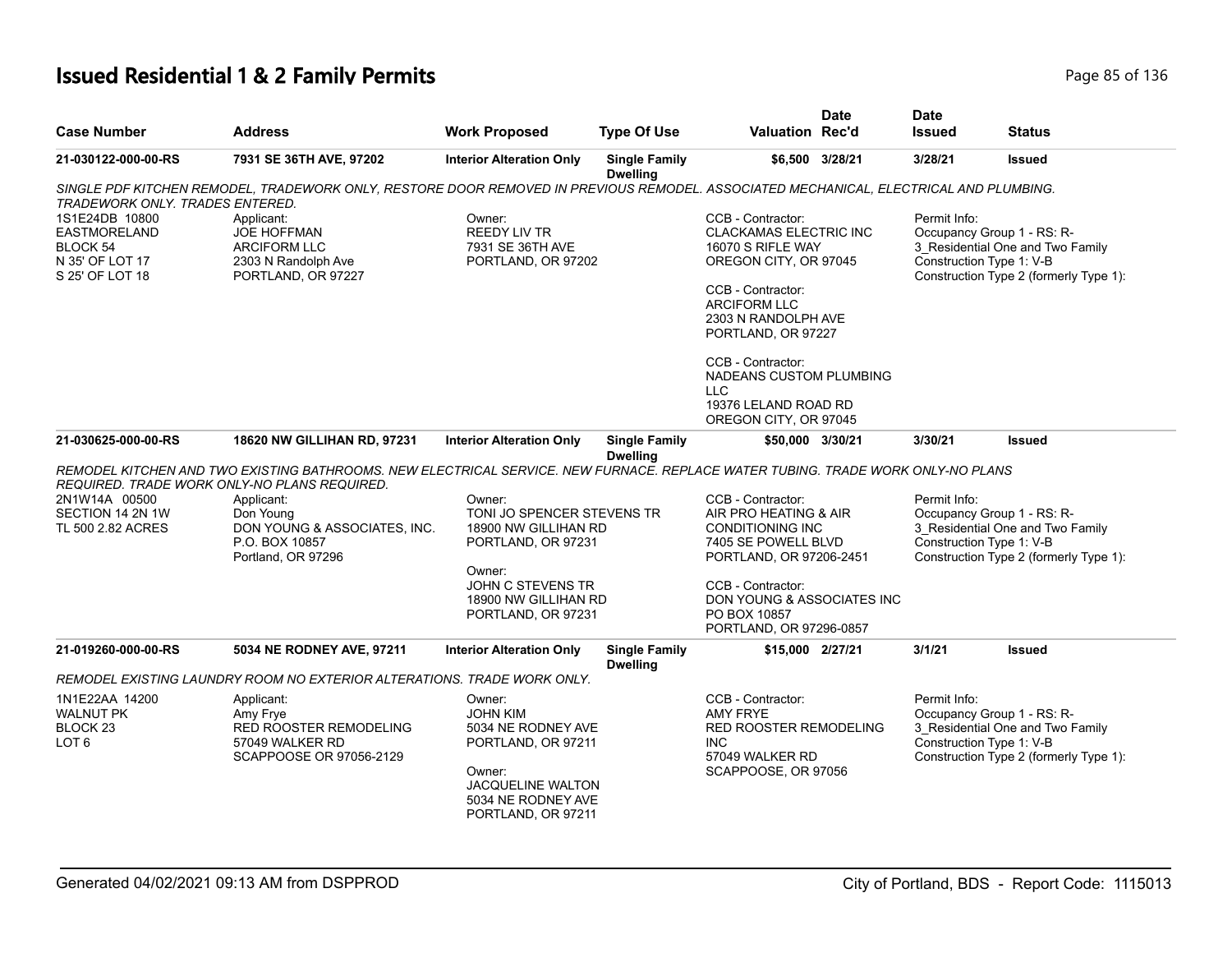# **Issued Residential 1 & 2 Family Permits Page 85 of 136** Page 85 of 136

| <b>Case Number</b>                                                                      | <b>Address</b>                                                                                                                                  | <b>Work Proposed</b>                                                                                                                                    | <b>Type Of Use</b>                      | <b>Valuation Rec'd</b>                                                                                                                                                                                                                                                                                   | <b>Date</b>     | <b>Date</b><br><b>Issued</b> | Status                                                                                                                               |
|-----------------------------------------------------------------------------------------|-------------------------------------------------------------------------------------------------------------------------------------------------|---------------------------------------------------------------------------------------------------------------------------------------------------------|-----------------------------------------|----------------------------------------------------------------------------------------------------------------------------------------------------------------------------------------------------------------------------------------------------------------------------------------------------------|-----------------|------------------------------|--------------------------------------------------------------------------------------------------------------------------------------|
| 21-030122-000-00-RS                                                                     | 7931 SE 36TH AVE, 97202                                                                                                                         | <b>Interior Alteration Only</b>                                                                                                                         | <b>Single Family</b><br><b>Dwelling</b> |                                                                                                                                                                                                                                                                                                          | \$6,500 3/28/21 | 3/28/21                      | <b>Issued</b>                                                                                                                        |
| <b>TRADEWORK ONLY. TRADES ENTERED.</b>                                                  | SINGLE PDF KITCHEN REMODEL, TRADEWORK ONLY, RESTORE DOOR REMOVED IN PREVIOUS REMODEL. ASSOCIATED MECHANICAL, ELECTRICAL AND PLUMBING.           |                                                                                                                                                         |                                         |                                                                                                                                                                                                                                                                                                          |                 |                              |                                                                                                                                      |
| 1S1E24DB 10800<br><b>EASTMORELAND</b><br>BLOCK 54<br>N 35' OF LOT 17<br>S 25' OF LOT 18 | Applicant:<br><b>JOE HOFFMAN</b><br>ARCIFORM LLC<br>2303 N Randolph Ave<br>PORTLAND, OR 97227                                                   | Owner:<br><b>REEDY LIV TR</b><br>7931 SE 36TH AVE<br>PORTLAND, OR 97202                                                                                 |                                         | CCB - Contractor:<br><b>CLACKAMAS ELECTRIC INC</b><br>16070 S RIFLE WAY<br>OREGON CITY, OR 97045<br>CCB - Contractor:<br><b>ARCIFORM LLC</b><br>2303 N RANDOLPH AVE<br>PORTLAND, OR 97227<br>CCB - Contractor:<br>NADEANS CUSTOM PLUMBING<br><b>LLC</b><br>19376 LELAND ROAD RD<br>OREGON CITY, OR 97045 |                 | Permit Info:                 | Occupancy Group 1 - RS: R-<br>3 Residential One and Two Family<br>Construction Type 1: V-B<br>Construction Type 2 (formerly Type 1): |
| 21-030625-000-00-RS                                                                     | 18620 NW GILLIHAN RD, 97231                                                                                                                     | <b>Interior Alteration Only</b>                                                                                                                         | <b>Single Family</b><br><b>Dwelling</b> | \$50,000 3/30/21                                                                                                                                                                                                                                                                                         |                 | 3/30/21                      | Issued                                                                                                                               |
|                                                                                         | REMODEL KITCHEN AND TWO EXISTING BATHROOMS. NEW ELECTRICAL SERVICE. NEW FURNACE. REPLACE WATER TUBING. TRADE WORK ONLY-NO PLANS                 |                                                                                                                                                         |                                         |                                                                                                                                                                                                                                                                                                          |                 |                              |                                                                                                                                      |
| 2N1W14A 00500<br>SECTION 14 2N 1W<br>TL 500 2.82 ACRES                                  | REQUIRED. TRADE WORK ONLY-NO PLANS REQUIRED.<br>Applicant:<br>Don Young<br>DON YOUNG & ASSOCIATES, INC.<br>P.O. BOX 10857<br>Portland, OR 97296 | Owner:<br>TONI JO SPENCER STEVENS TR<br>18900 NW GILLIHAN RD<br>PORTLAND, OR 97231<br>Owner:                                                            |                                         | CCB - Contractor:<br>AIR PRO HEATING & AIR<br><b>CONDITIONING INC</b><br>7405 SE POWELL BLVD<br>PORTLAND, OR 97206-2451                                                                                                                                                                                  |                 | Permit Info:                 | Occupancy Group 1 - RS: R-<br>3 Residential One and Two Family<br>Construction Type 1: V-B<br>Construction Type 2 (formerly Type 1): |
|                                                                                         |                                                                                                                                                 | JOHN C STEVENS TR<br>18900 NW GILLIHAN RD<br>PORTLAND, OR 97231                                                                                         |                                         | CCB - Contractor:<br>DON YOUNG & ASSOCIATES INC<br>PO BOX 10857<br>PORTLAND, OR 97296-0857                                                                                                                                                                                                               |                 |                              |                                                                                                                                      |
| 21-019260-000-00-RS                                                                     | 5034 NE RODNEY AVE, 97211                                                                                                                       | <b>Interior Alteration Only</b>                                                                                                                         | <b>Single Family</b><br><b>Dwelling</b> | \$15,000 2/27/21                                                                                                                                                                                                                                                                                         |                 | 3/1/21                       | <b>Issued</b>                                                                                                                        |
|                                                                                         | REMODEL EXISTING LAUNDRY ROOM NO EXTERIOR ALTERATIONS. TRADE WORK ONLY.                                                                         |                                                                                                                                                         |                                         |                                                                                                                                                                                                                                                                                                          |                 |                              |                                                                                                                                      |
| 1N1E22AA 14200<br><b>WALNUT PK</b><br>BLOCK <sub>23</sub><br>LOT <sub>6</sub>           | Applicant:<br>Amy Frye<br>RED ROOSTER REMODELING<br>57049 WALKER RD<br>SCAPPOOSE OR 97056-2129                                                  | Owner:<br><b>JOHN KIM</b><br>5034 NE RODNEY AVE<br>PORTLAND, OR 97211<br>Owner:<br><b>JACQUELINE WALTON</b><br>5034 NE RODNEY AVE<br>PORTLAND, OR 97211 |                                         | CCB - Contractor:<br><b>AMY FRYE</b><br><b>RED ROOSTER REMODELING</b><br><b>INC</b><br>57049 WALKER RD<br>SCAPPOOSE, OR 97056                                                                                                                                                                            |                 | Permit Info:                 | Occupancy Group 1 - RS: R-<br>3_Residential One and Two Family<br>Construction Type 1: V-B<br>Construction Type 2 (formerly Type 1): |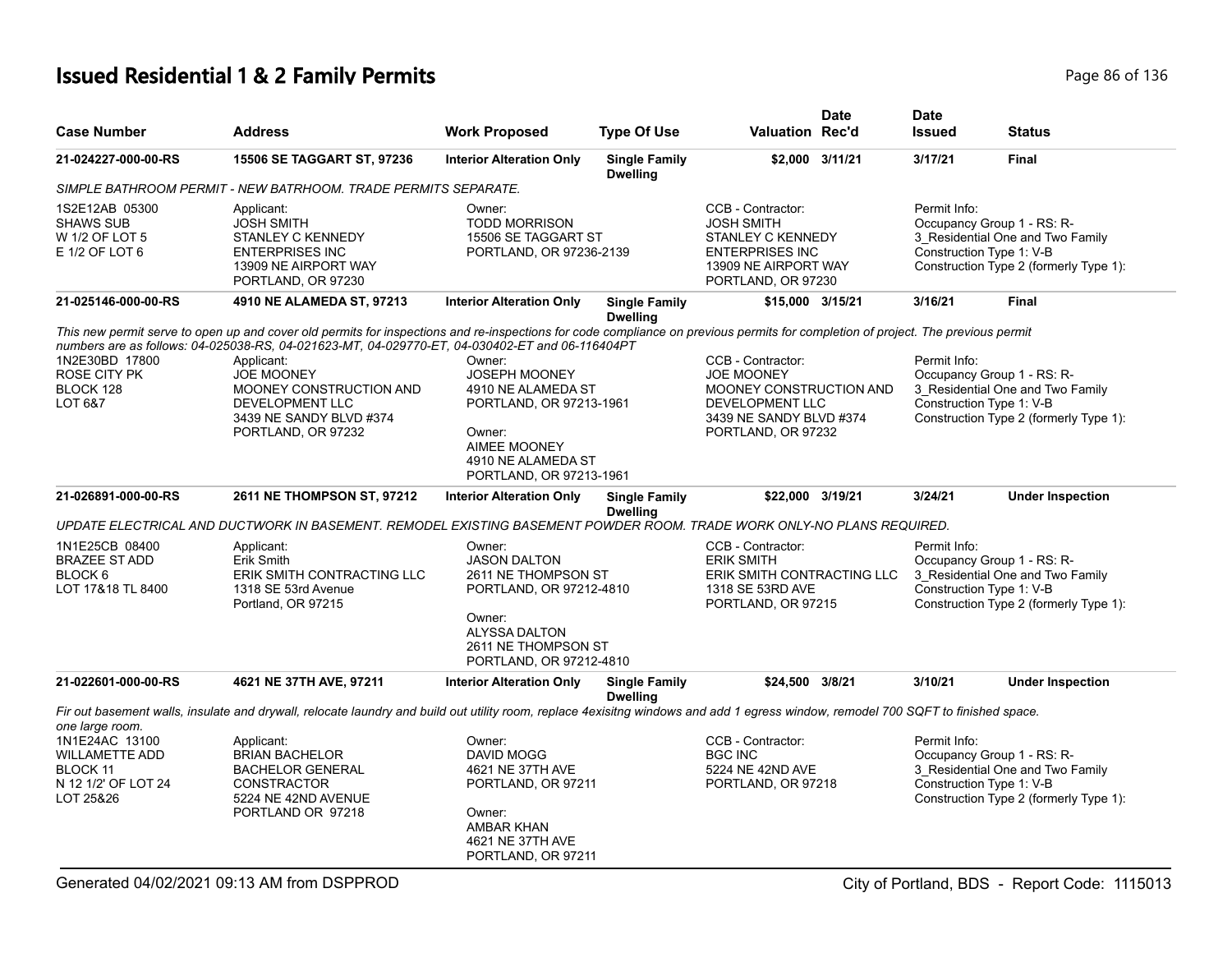# **Issued Residential 1 & 2 Family Permits Page 1136** 2 **Page 86 of 136**

| <b>Case Number</b>                                                                      | <b>Address</b>                                                                                                                                                                                                                                                                                                                                                                                                              | <b>Work Proposed</b>                                                                                                                                                | <b>Type Of Use</b>                      | <b>Valuation Rec'd</b>                                                                                                                       | Date            | <b>Date</b><br><b>Issued</b> | Status                                                                                                                               |
|-----------------------------------------------------------------------------------------|-----------------------------------------------------------------------------------------------------------------------------------------------------------------------------------------------------------------------------------------------------------------------------------------------------------------------------------------------------------------------------------------------------------------------------|---------------------------------------------------------------------------------------------------------------------------------------------------------------------|-----------------------------------------|----------------------------------------------------------------------------------------------------------------------------------------------|-----------------|------------------------------|--------------------------------------------------------------------------------------------------------------------------------------|
| 21-024227-000-00-RS                                                                     | <b>15506 SE TAGGART ST, 97236</b>                                                                                                                                                                                                                                                                                                                                                                                           | <b>Interior Alteration Only</b>                                                                                                                                     | <b>Single Family</b><br><b>Dwelling</b> |                                                                                                                                              | \$2.000 3/11/21 | 3/17/21                      | <b>Final</b>                                                                                                                         |
|                                                                                         | SIMPLE BATHROOM PERMIT - NEW BATRHOOM. TRADE PERMITS SEPARATE.                                                                                                                                                                                                                                                                                                                                                              |                                                                                                                                                                     |                                         |                                                                                                                                              |                 |                              |                                                                                                                                      |
| 1S2E12AB 05300<br><b>SHAWS SUB</b><br>W 1/2 OF LOT 5<br>$E$ 1/2 OF LOT 6                | Applicant:<br><b>JOSH SMITH</b><br>STANLEY C KENNEDY<br><b>ENTERPRISES INC</b><br>13909 NE AIRPORT WAY<br>PORTLAND, OR 97230                                                                                                                                                                                                                                                                                                | Owner:<br><b>TODD MORRISON</b><br>15506 SE TAGGART ST<br>PORTLAND, OR 97236-2139                                                                                    |                                         | CCB - Contractor:<br><b>JOSH SMITH</b><br>STANLEY C KENNEDY<br><b>ENTERPRISES INC</b><br>13909 NE AIRPORT WAY<br>PORTLAND, OR 97230          |                 | Permit Info:                 | Occupancy Group 1 - RS: R-<br>3_Residential One and Two Family<br>Construction Type 1: V-B<br>Construction Type 2 (formerly Type 1): |
| 21-025146-000-00-RS                                                                     | 4910 NE ALAMEDA ST, 97213                                                                                                                                                                                                                                                                                                                                                                                                   | <b>Interior Alteration Only</b>                                                                                                                                     | <b>Single Family</b><br><b>Dwelling</b> | \$15,000 3/15/21                                                                                                                             |                 | 3/16/21                      | Final                                                                                                                                |
| 1N2E30BD 17800<br>ROSE CITY PK<br>BLOCK 128<br>LOT 6&7                                  | This new permit serve to open up and cover old permits for inspections and re-inspections for code compliance on previous permits for completion of project. The previous permit<br>numbers are as follows: 04-025038-RS, 04-021623-MT, 04-029770-ET, 04-030402-ET and 06-116404PT<br>Applicant:<br><b>JOE MOONEY</b><br>MOONEY CONSTRUCTION AND<br><b>DEVELOPMENT LLC</b><br>3439 NE SANDY BLVD #374<br>PORTLAND, OR 97232 | Owner:<br><b>JOSEPH MOONEY</b><br>4910 NE ALAMEDA ST<br>PORTLAND, OR 97213-1961<br>Owner:<br><b>AIMEE MOONEY</b><br>4910 NE ALAMEDA ST<br>PORTLAND, OR 97213-1961   |                                         | CCB - Contractor:<br><b>JOE MOONEY</b><br>MOONEY CONSTRUCTION AND<br><b>DEVELOPMENT LLC</b><br>3439 NE SANDY BLVD #374<br>PORTLAND, OR 97232 |                 | Permit Info:                 | Occupancy Group 1 - RS: R-<br>3 Residential One and Two Family<br>Construction Type 1: V-B<br>Construction Type 2 (formerly Type 1): |
| 21-026891-000-00-RS                                                                     | 2611 NE THOMPSON ST, 97212                                                                                                                                                                                                                                                                                                                                                                                                  | <b>Interior Alteration Only</b>                                                                                                                                     | <b>Single Family</b>                    | \$22.000 3/19/21                                                                                                                             |                 | 3/24/21                      | <b>Under Inspection</b>                                                                                                              |
|                                                                                         |                                                                                                                                                                                                                                                                                                                                                                                                                             |                                                                                                                                                                     | <b>Dwelling</b>                         |                                                                                                                                              |                 |                              |                                                                                                                                      |
|                                                                                         | UPDATE ELECTRICAL AND DUCTWORK IN BASEMENT. REMODEL EXISTING BASEMENT POWDER ROOM. TRADE WORK ONLY-NO PLANS REQUIRED.                                                                                                                                                                                                                                                                                                       |                                                                                                                                                                     |                                         |                                                                                                                                              |                 |                              |                                                                                                                                      |
| 1N1E25CB 08400<br><b>BRAZEE ST ADD</b><br>BLOCK <sub>6</sub><br>LOT 17&18 TL 8400       | Applicant:<br>Erik Smith<br>ERIK SMITH CONTRACTING LLC<br>1318 SE 53rd Avenue<br>Portland, OR 97215                                                                                                                                                                                                                                                                                                                         | Owner:<br><b>JASON DALTON</b><br>2611 NE THOMPSON ST<br>PORTLAND, OR 97212-4810<br>Owner:<br><b>ALYSSA DALTON</b><br>2611 NE THOMPSON ST<br>PORTLAND, OR 97212-4810 |                                         | CCB - Contractor:<br><b>ERIK SMITH</b><br>ERIK SMITH CONTRACTING LLC<br>1318 SE 53RD AVE<br>PORTLAND, OR 97215                               |                 | Permit Info:                 | Occupancy Group 1 - RS: R-<br>3 Residential One and Two Family<br>Construction Type 1: V-B<br>Construction Type 2 (formerly Type 1): |
| 21-022601-000-00-RS                                                                     | 4621 NE 37TH AVE, 97211                                                                                                                                                                                                                                                                                                                                                                                                     | <b>Interior Alteration Only</b>                                                                                                                                     | <b>Single Family</b><br><b>Dwelling</b> | \$24,500 3/8/21                                                                                                                              |                 | 3/10/21                      | <b>Under Inspection</b>                                                                                                              |
|                                                                                         | Fir out basement walls, insulate and drywall, relocate laundry and build out utility room, replace 4exisitng windows and add 1 egress window, remodel 700 SQFT to finished space.                                                                                                                                                                                                                                           |                                                                                                                                                                     |                                         |                                                                                                                                              |                 |                              |                                                                                                                                      |
| one large room.                                                                         |                                                                                                                                                                                                                                                                                                                                                                                                                             |                                                                                                                                                                     |                                         |                                                                                                                                              |                 |                              |                                                                                                                                      |
| 1N1E24AC 13100<br><b>WILLAMETTE ADD</b><br>BLOCK 11<br>N 12 1/2' OF LOT 24<br>LOT 25&26 | Applicant:<br><b>BRIAN BACHELOR</b><br><b>BACHELOR GENERAL</b><br><b>CONSTRACTOR</b><br>5224 NE 42ND AVENUE<br>PORTLAND OR 97218                                                                                                                                                                                                                                                                                            | Owner:<br>DAVID MOGG<br>4621 NE 37TH AVE<br>PORTLAND, OR 97211<br>Owner:<br><b>AMBAR KHAN</b><br>4621 NE 37TH AVE<br>PORTLAND, OR 97211                             |                                         | CCB - Contractor:<br><b>BGC INC</b><br>5224 NE 42ND AVE<br>PORTLAND, OR 97218                                                                |                 | Permit Info:                 | Occupancy Group 1 - RS: R-<br>3_Residential One and Two Family<br>Construction Type 1: V-B<br>Construction Type 2 (formerly Type 1): |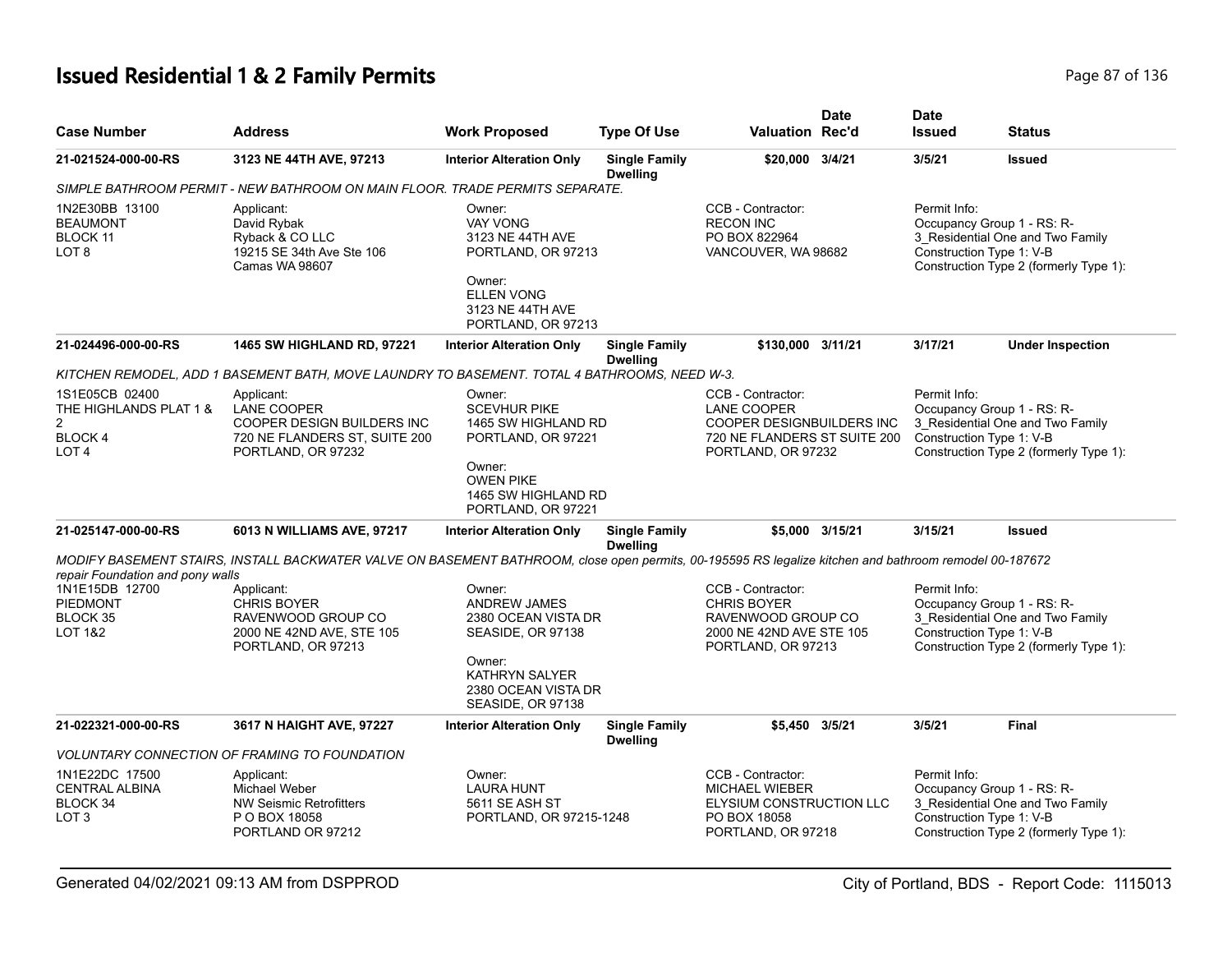# **Issued Residential 1 & 2 Family Permits Page 87 of 136 Page 87 of 136**

| <b>Case Number</b>                                                                              | <b>Address</b>                                                                                                                                         | <b>Work Proposed</b>                                                                                                                                     | <b>Type Of Use</b>                      | <b>Valuation Rec'd</b>                                                                                              | <b>Date</b>     | <b>Date</b><br><b>Issued</b>             | <b>Status</b>                                                                                            |
|-------------------------------------------------------------------------------------------------|--------------------------------------------------------------------------------------------------------------------------------------------------------|----------------------------------------------------------------------------------------------------------------------------------------------------------|-----------------------------------------|---------------------------------------------------------------------------------------------------------------------|-----------------|------------------------------------------|----------------------------------------------------------------------------------------------------------|
| 21-021524-000-00-RS                                                                             | 3123 NE 44TH AVE, 97213                                                                                                                                | <b>Interior Alteration Only</b>                                                                                                                          | <b>Single Family</b><br><b>Dwelling</b> | \$20,000 3/4/21                                                                                                     |                 | 3/5/21                                   | <b>Issued</b>                                                                                            |
|                                                                                                 | SIMPLE BATHROOM PERMIT - NEW BATHROOM ON MAIN FLOOR. TRADE PERMITS SEPARATE.                                                                           |                                                                                                                                                          |                                         |                                                                                                                     |                 |                                          |                                                                                                          |
| 1N2E30BB 13100<br><b>BEAUMONT</b><br>BLOCK 11<br>LOT <sub>8</sub>                               | Applicant:<br>David Rybak<br>Ryback & CO LLC<br>19215 SE 34th Ave Ste 106<br><b>Camas WA 98607</b>                                                     | Owner:<br><b>VAY VONG</b><br>3123 NE 44TH AVE<br>PORTLAND, OR 97213<br>Owner:<br><b>ELLEN VONG</b><br>3123 NE 44TH AVE<br>PORTLAND, OR 97213             |                                         | CCB - Contractor:<br><b>RECON INC</b><br>PO BOX 822964<br>VANCOUVER, WA 98682                                       |                 | Permit Info:<br>Construction Type 1: V-B | Occupancy Group 1 - RS: R-<br>3_Residential One and Two Family<br>Construction Type 2 (formerly Type 1): |
| 21-024496-000-00-RS                                                                             | 1465 SW HIGHLAND RD, 97221                                                                                                                             | <b>Interior Alteration Only</b>                                                                                                                          | <b>Single Family</b><br><b>Dwelling</b> | \$130,000 3/11/21                                                                                                   |                 | 3/17/21                                  | <b>Under Inspection</b>                                                                                  |
|                                                                                                 | KITCHEN REMODEL, ADD 1 BASEMENT BATH, MOVE LAUNDRY TO BASEMENT. TOTAL 4 BATHROOMS, NEED W-3.                                                           |                                                                                                                                                          |                                         |                                                                                                                     |                 |                                          |                                                                                                          |
| 1S1E05CB 02400<br>THE HIGHLANDS PLAT 1 &<br>$\overline{c}$<br><b>BLOCK4</b><br>LOT <sub>4</sub> | Applicant:<br>LANE COOPER<br>COOPER DESIGN BUILDERS INC<br>720 NE FLANDERS ST, SUITE 200<br>PORTLAND, OR 97232                                         | Owner:<br><b>SCEVHUR PIKE</b><br>1465 SW HIGHLAND RD<br>PORTLAND, OR 97221<br>Owner:<br><b>OWEN PIKE</b><br>1465 SW HIGHLAND RD<br>PORTLAND, OR 97221    |                                         | CCB - Contractor:<br>LANE COOPER<br>COOPER DESIGNBUILDERS INC<br>720 NE FLANDERS ST SUITE 200<br>PORTLAND, OR 97232 |                 | Permit Info:<br>Construction Type 1: V-B | Occupancy Group 1 - RS: R-<br>3_Residential One and Two Family<br>Construction Type 2 (formerly Type 1): |
| 21-025147-000-00-RS                                                                             | 6013 N WILLIAMS AVE, 97217                                                                                                                             | <b>Interior Alteration Only</b>                                                                                                                          | <b>Single Family</b><br><b>Dwelling</b> |                                                                                                                     | \$5,000 3/15/21 | 3/15/21                                  | <b>Issued</b>                                                                                            |
|                                                                                                 | MODIFY BASEMENT STAIRS, INSTALL BACKWATER VALVE ON BASEMENT BATHROOM, close open permits, 00-195595 RS legalize kitchen and bathroom remodel 00-187672 |                                                                                                                                                          |                                         |                                                                                                                     |                 |                                          |                                                                                                          |
| repair Foundation and pony walls<br>1N1E15DB 12700<br>PIEDMONT<br>BLOCK 35<br>LOT 1&2           | Applicant:<br><b>CHRIS BOYER</b><br>RAVENWOOD GROUP CO<br>2000 NE 42ND AVE, STE 105<br>PORTLAND, OR 97213                                              | Owner:<br><b>ANDREW JAMES</b><br>2380 OCEAN VISTA DR<br>SEASIDE, OR 97138<br>Owner:<br><b>KATHRYN SALYER</b><br>2380 OCEAN VISTA DR<br>SEASIDE, OR 97138 |                                         | CCB - Contractor:<br><b>CHRIS BOYER</b><br>RAVENWOOD GROUP CO<br>2000 NE 42ND AVE STE 105<br>PORTLAND, OR 97213     |                 | Permit Info:<br>Construction Type 1: V-B | Occupancy Group 1 - RS: R-<br>3 Residential One and Two Family<br>Construction Type 2 (formerly Type 1): |
| 21-022321-000-00-RS                                                                             | 3617 N HAIGHT AVE, 97227                                                                                                                               | <b>Interior Alteration Only</b>                                                                                                                          | <b>Single Family</b><br><b>Dwelling</b> | \$5,450 3/5/21                                                                                                      |                 | 3/5/21                                   | Final                                                                                                    |
|                                                                                                 | VOLUNTARY CONNECTION OF FRAMING TO FOUNDATION                                                                                                          |                                                                                                                                                          |                                         |                                                                                                                     |                 |                                          |                                                                                                          |
| 1N1E22DC 17500<br><b>CENTRAL ALBINA</b><br>BLOCK 34<br>LOT <sub>3</sub>                         | Applicant:<br><b>Michael Weber</b><br>NW Seismic Retrofitters<br>P O BOX 18058<br>PORTLAND OR 97212                                                    | Owner:<br><b>LAURA HUNT</b><br>5611 SE ASH ST<br>PORTLAND, OR 97215-1248                                                                                 |                                         | CCB - Contractor:<br><b>MICHAEL WIEBER</b><br>ELYSIUM CONSTRUCTION LLC<br>PO BOX 18058<br>PORTLAND, OR 97218        |                 | Permit Info:<br>Construction Type 1: V-B | Occupancy Group 1 - RS: R-<br>3_Residential One and Two Family<br>Construction Type 2 (formerly Type 1): |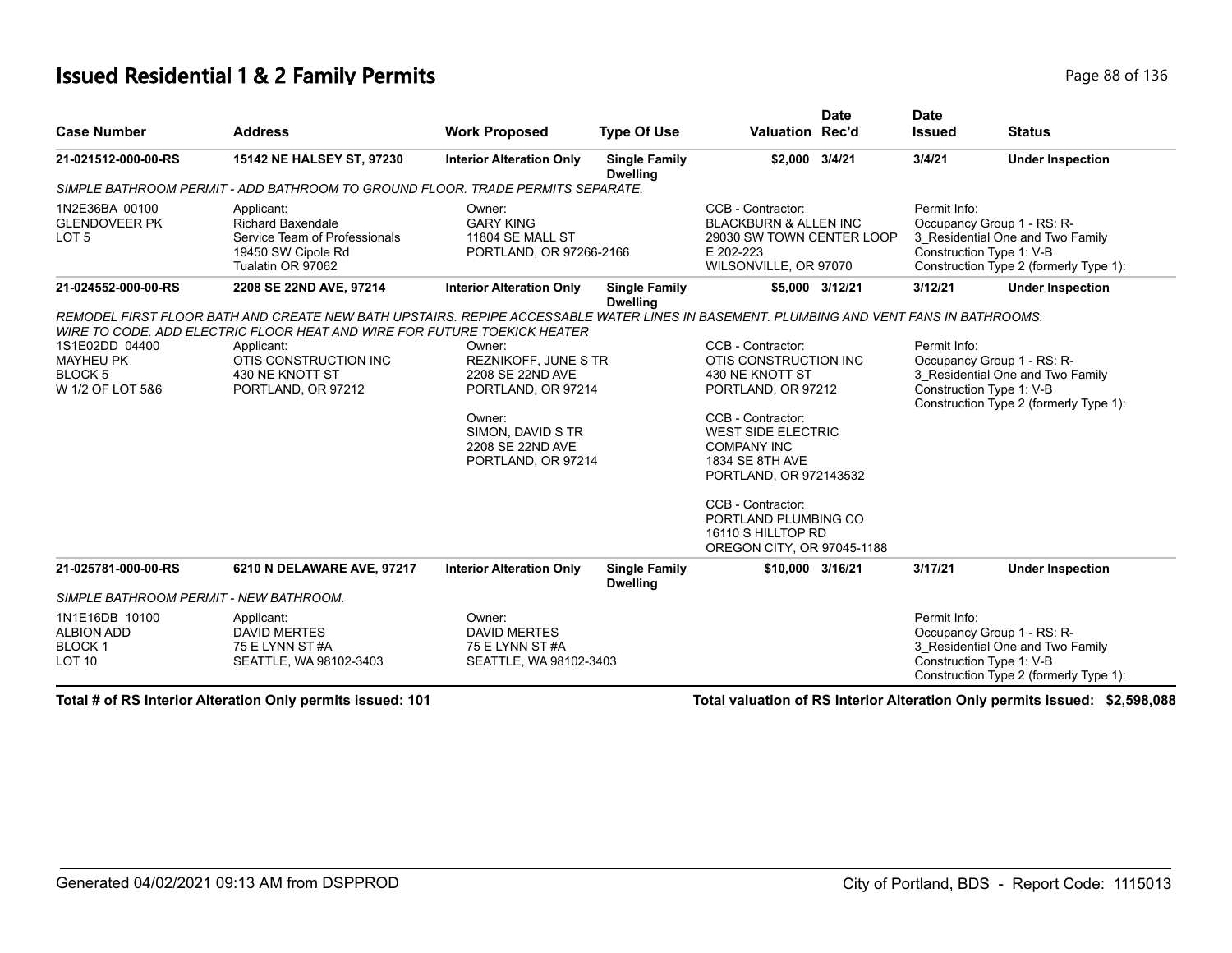#### **Issued Residential 1 & 2 Family Permits Page 88 of 136** Page 88 of 136

|                                                                         |                                                                                                                                                                                                                                                                                                    |                                                                                                                                                          |                                         |                                                                                                                                                                                                                                                                                                           | <b>Date</b>     | <b>Date</b>                              |                                                                                                          |
|-------------------------------------------------------------------------|----------------------------------------------------------------------------------------------------------------------------------------------------------------------------------------------------------------------------------------------------------------------------------------------------|----------------------------------------------------------------------------------------------------------------------------------------------------------|-----------------------------------------|-----------------------------------------------------------------------------------------------------------------------------------------------------------------------------------------------------------------------------------------------------------------------------------------------------------|-----------------|------------------------------------------|----------------------------------------------------------------------------------------------------------|
| <b>Case Number</b>                                                      | <b>Address</b>                                                                                                                                                                                                                                                                                     | <b>Work Proposed</b>                                                                                                                                     | <b>Type Of Use</b>                      | <b>Valuation Rec'd</b>                                                                                                                                                                                                                                                                                    |                 | <b>Issued</b>                            | <b>Status</b>                                                                                            |
| 21-021512-000-00-RS                                                     | 15142 NE HALSEY ST, 97230                                                                                                                                                                                                                                                                          | <b>Interior Alteration Only</b>                                                                                                                          | <b>Single Family</b><br><b>Dwelling</b> | \$2,000 3/4/21                                                                                                                                                                                                                                                                                            |                 | 3/4/21                                   | <b>Under Inspection</b>                                                                                  |
|                                                                         | SIMPLE BATHROOM PERMIT - ADD BATHROOM TO GROUND FLOOR. TRADE PERMITS SEPARATE.                                                                                                                                                                                                                     |                                                                                                                                                          |                                         |                                                                                                                                                                                                                                                                                                           |                 |                                          |                                                                                                          |
| 1N2E36BA 00100<br><b>GLENDOVEER PK</b><br>LOT <sub>5</sub>              | Applicant:<br><b>Richard Baxendale</b><br>Service Team of Professionals<br>19450 SW Cipole Rd<br>Tualatin OR 97062                                                                                                                                                                                 | Owner:<br><b>GARY KING</b><br>11804 SE MALL ST<br>PORTLAND, OR 97266-2166                                                                                |                                         | CCB - Contractor:<br><b>BLACKBURN &amp; ALLEN INC</b><br>29030 SW TOWN CENTER LOOP<br>E 202-223<br>WILSONVILLE, OR 97070                                                                                                                                                                                  |                 | Permit Info:<br>Construction Type 1: V-B | Occupancy Group 1 - RS: R-<br>3 Residential One and Two Family<br>Construction Type 2 (formerly Type 1): |
| 21-024552-000-00-RS                                                     | 2208 SE 22ND AVE, 97214                                                                                                                                                                                                                                                                            | <b>Interior Alteration Only</b>                                                                                                                          | <b>Single Family</b><br><b>Dwelling</b> |                                                                                                                                                                                                                                                                                                           | \$5,000 3/12/21 | 3/12/21                                  | <b>Under Inspection</b>                                                                                  |
| 1S1E02DD 04400<br><b>MAYHEU PK</b><br><b>BLOCK5</b><br>W 1/2 OF LOT 5&6 | REMODEL FIRST FLOOR BATH AND CREATE NEW BATH UPSTAIRS. REPIPE ACCESSABLE WATER LINES IN BASEMENT. PLUMBING AND VENT FANS IN BATHROOMS.<br>WIRE TO CODE. ADD ELECTRIC FLOOR HEAT AND WIRE FOR FUTURE TOEKICK HEATER<br>Applicant:<br>OTIS CONSTRUCTION INC<br>430 NE KNOTT ST<br>PORTLAND, OR 97212 | Owner:<br><b>REZNIKOFF, JUNE S TR</b><br>2208 SE 22ND AVE<br>PORTLAND, OR 97214<br>Owner:<br>SIMON, DAVID S TR<br>2208 SE 22ND AVE<br>PORTLAND, OR 97214 |                                         | CCB - Contractor:<br>OTIS CONSTRUCTION INC<br>430 NE KNOTT ST<br>PORTLAND, OR 97212<br>CCB - Contractor:<br><b>WEST SIDE ELECTRIC</b><br><b>COMPANY INC</b><br>1834 SE 8TH AVE<br>PORTLAND, OR 972143532<br>CCB - Contractor:<br>PORTLAND PLUMBING CO<br>16110 S HILLTOP RD<br>OREGON CITY, OR 97045-1188 |                 | Permit Info:<br>Construction Type 1: V-B | Occupancy Group 1 - RS: R-<br>3 Residential One and Two Family<br>Construction Type 2 (formerly Type 1): |
| 21-025781-000-00-RS                                                     | 6210 N DELAWARE AVE, 97217                                                                                                                                                                                                                                                                         | <b>Interior Alteration Only</b>                                                                                                                          | <b>Single Family</b><br><b>Dwelling</b> | \$10,000 3/16/21                                                                                                                                                                                                                                                                                          |                 | 3/17/21                                  | <b>Under Inspection</b>                                                                                  |
| SIMPLE BATHROOM PERMIT - NEW BATHROOM.                                  |                                                                                                                                                                                                                                                                                                    |                                                                                                                                                          |                                         |                                                                                                                                                                                                                                                                                                           |                 |                                          |                                                                                                          |
| 1N1E16DB 10100<br><b>ALBION ADD</b><br><b>BLOCK1</b><br><b>LOT 10</b>   | Applicant:<br><b>DAVID MERTES</b><br>75 E LYNN ST #A<br>SEATTLE, WA 98102-3403                                                                                                                                                                                                                     | Owner:<br><b>DAVID MERTES</b><br>75 E LYNN ST #A<br>SEATTLE, WA 98102-3403                                                                               |                                         |                                                                                                                                                                                                                                                                                                           |                 | Permit Info:<br>Construction Type 1: V-B | Occupancy Group 1 - RS: R-<br>3_Residential One and Two Family<br>Construction Type 2 (formerly Type 1): |

**Total # of RS Interior Alteration Only permits issued: 101 Total valuation of RS Interior Alteration Only permits issued: \$2,598,088**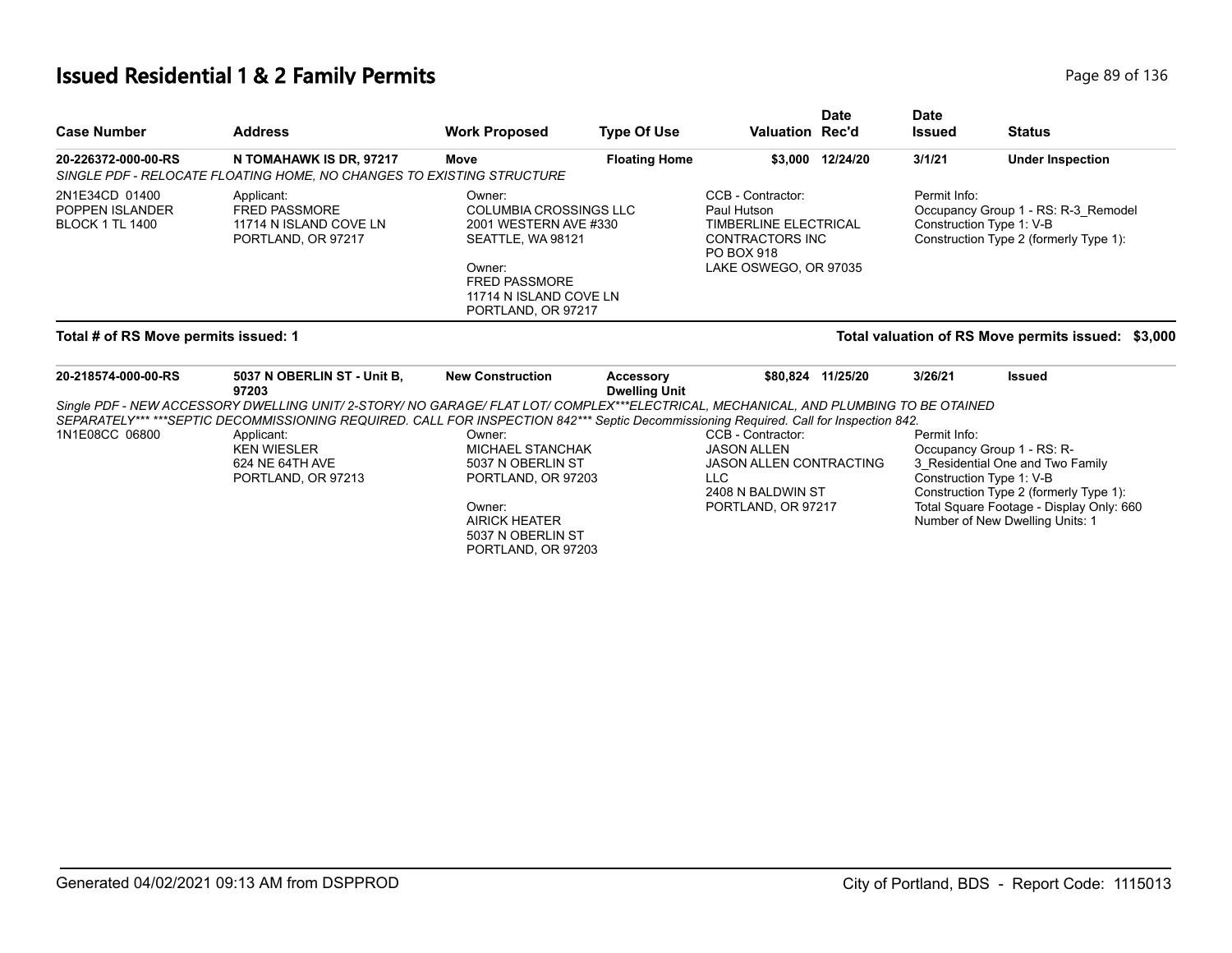# **Issued Residential 1 & 2 Family Permits**

| Page 89 of 136 |  |  |  |
|----------------|--|--|--|
|----------------|--|--|--|

| <b>Case Number</b>                                          | <b>Address</b>                                                                                                                                                                                                                                                                | <b>Work Proposed</b>                                                                                                                                                    | <b>Type Of Use</b>                | <b>Valuation Rec'd</b>                                                                                                                   | <b>Date</b>       | <b>Date</b><br><b>Issued</b> | <b>Status</b>                                                                                                                                                                                                       |
|-------------------------------------------------------------|-------------------------------------------------------------------------------------------------------------------------------------------------------------------------------------------------------------------------------------------------------------------------------|-------------------------------------------------------------------------------------------------------------------------------------------------------------------------|-----------------------------------|------------------------------------------------------------------------------------------------------------------------------------------|-------------------|------------------------------|---------------------------------------------------------------------------------------------------------------------------------------------------------------------------------------------------------------------|
| 20-226372-000-00-RS                                         | N TOMAHAWK IS DR, 97217<br>SINGLE PDF - RELOCATE FLOATING HOME, NO CHANGES TO EXISTING STRUCTURE                                                                                                                                                                              | Move                                                                                                                                                                    | <b>Floating Home</b>              |                                                                                                                                          | \$3,000 12/24/20  | 3/1/21                       | <b>Under Inspection</b>                                                                                                                                                                                             |
| 2N1E34CD 01400<br>POPPEN ISLANDER<br><b>BLOCK 1 TL 1400</b> | Applicant:<br><b>FRED PASSMORE</b><br>11714 N ISLAND COVE LN<br>PORTLAND, OR 97217                                                                                                                                                                                            | Owner:<br><b>COLUMBIA CROSSINGS LLC</b><br>2001 WESTERN AVE #330<br>SEATTLE, WA 98121<br>Owner:<br><b>FRED PASSMORE</b><br>11714 N ISLAND COVE LN<br>PORTLAND, OR 97217 |                                   | CCB - Contractor:<br>Paul Hutson<br><b>TIMBERLINE ELECTRICAL</b><br><b>CONTRACTORS INC</b><br><b>PO BOX 918</b><br>LAKE OSWEGO, OR 97035 |                   | Permit Info:                 | Occupancy Group 1 - RS: R-3 Remodel<br>Construction Type 1: V-B<br>Construction Type 2 (formerly Type 1):                                                                                                           |
| Total # of RS Move permits issued: 1                        |                                                                                                                                                                                                                                                                               |                                                                                                                                                                         |                                   |                                                                                                                                          |                   |                              | Total valuation of RS Move permits issued: \$3,000                                                                                                                                                                  |
| 20-218574-000-00-RS                                         | 5037 N OBERLIN ST - Unit B,<br>97203                                                                                                                                                                                                                                          | <b>New Construction</b>                                                                                                                                                 | Accessory<br><b>Dwelling Unit</b> |                                                                                                                                          | \$80,824 11/25/20 | 3/26/21                      | <b>Issued</b>                                                                                                                                                                                                       |
|                                                             | Single PDF - NEW ACCESSORY DWELLING UNIT/ 2-STORY/ NO GARAGE/ FLAT LOT/ COMPLEX***ELECTRICAL, MECHANICAL, AND PLUMBING TO BE OTAINED<br>SEPARATELY******SEPTIC DECOMMISSIONING REQUIRED. CALL FOR INSPECTION 842*** Septic Decommissioning Required. Call for Inspection 842. |                                                                                                                                                                         |                                   |                                                                                                                                          |                   |                              |                                                                                                                                                                                                                     |
| 1N1E08CC 06800                                              | Applicant:<br><b>KEN WIESLER</b><br>624 NE 64TH AVE<br>PORTLAND, OR 97213                                                                                                                                                                                                     | Owner:<br><b>MICHAEL STANCHAK</b><br>5037 N OBERLIN ST<br>PORTLAND, OR 97203<br>Owner:<br><b>AIRICK HEATER</b><br>5037 N OBERLIN ST<br>PORTLAND, OR 97203               |                                   | CCB - Contractor:<br><b>JASON ALLEN</b><br><b>JASON ALLEN CONTRACTING</b><br>LLC<br>2408 N BALDWIN ST<br>PORTLAND, OR 97217              |                   | Permit Info:                 | Occupancy Group 1 - RS: R-<br>3_Residential One and Two Family<br>Construction Type 1: V-B<br>Construction Type 2 (formerly Type 1):<br>Total Square Footage - Display Only: 660<br>Number of New Dwelling Units: 1 |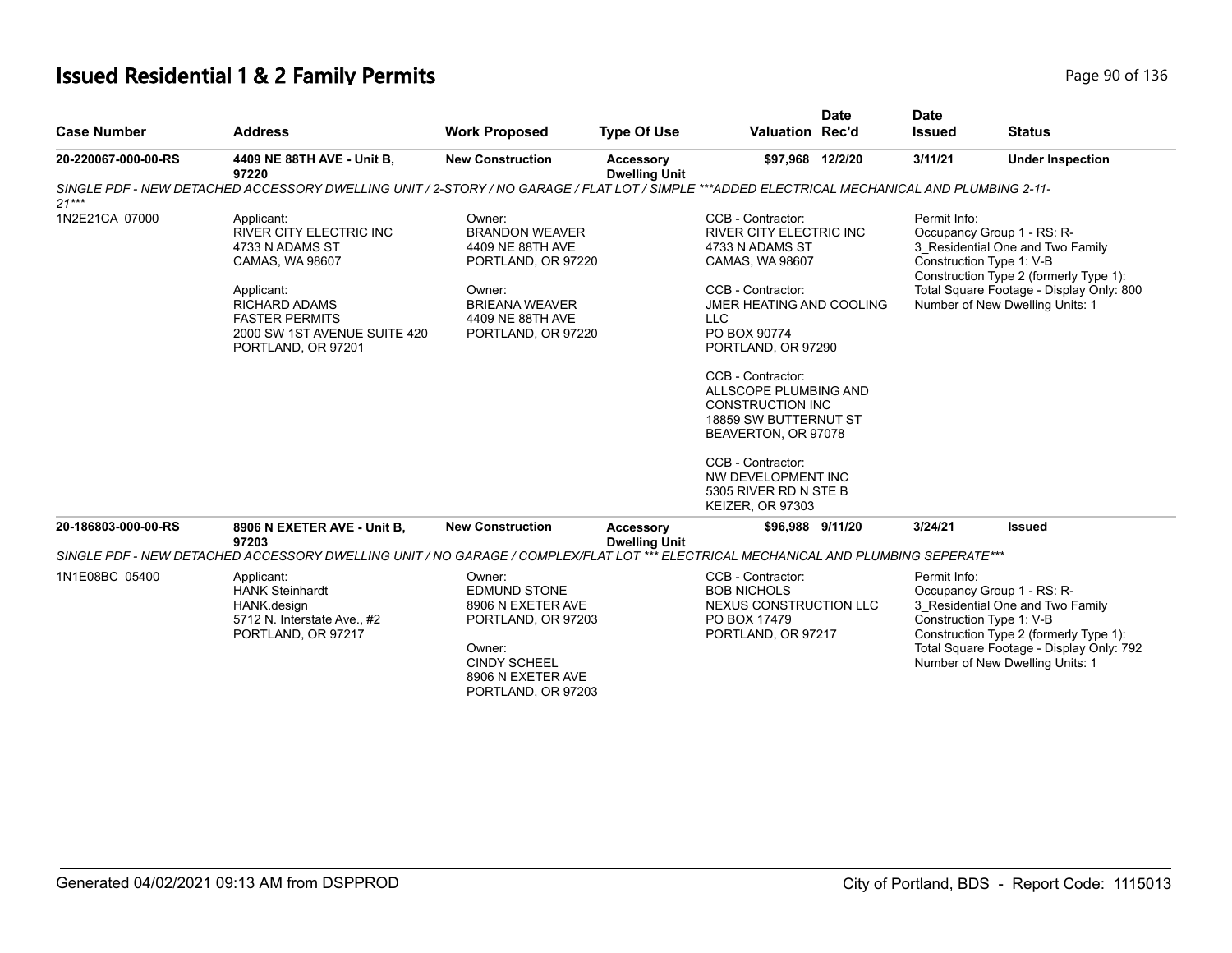# **Issued Residential 1 & 2 Family Permits Page 1136** 2 **Page 90 of 136**

| <b>Case Number</b>  | <b>Address</b>                                                                                                                                                                                          | <b>Work Proposed</b>                                                                                                                                   | <b>Type Of Use</b>                       | <b>Valuation Rec'd</b>                                                                                                                                                                                                                                                                                                                                                                                                        | <b>Date</b> | <b>Date</b><br><b>Issued</b> | <b>Status</b>                                                                                                                                                                                                       |
|---------------------|---------------------------------------------------------------------------------------------------------------------------------------------------------------------------------------------------------|--------------------------------------------------------------------------------------------------------------------------------------------------------|------------------------------------------|-------------------------------------------------------------------------------------------------------------------------------------------------------------------------------------------------------------------------------------------------------------------------------------------------------------------------------------------------------------------------------------------------------------------------------|-------------|------------------------------|---------------------------------------------------------------------------------------------------------------------------------------------------------------------------------------------------------------------|
| 20-220067-000-00-RS | 4409 NE 88TH AVE - Unit B,<br>97220                                                                                                                                                                     | <b>New Construction</b>                                                                                                                                | <b>Accessory</b><br><b>Dwelling Unit</b> | \$97,968 12/2/20                                                                                                                                                                                                                                                                                                                                                                                                              |             | 3/11/21                      | <b>Under Inspection</b>                                                                                                                                                                                             |
| $21***$             | SINGLE PDF - NEW DETACHED ACCESSORY DWELLING UNIT / 2-STORY / NO GARAGE / FLAT LOT / SIMPLE ***ADDED ELECTRICAL MECHANICAL AND PLUMBING 2-11-                                                           |                                                                                                                                                        |                                          |                                                                                                                                                                                                                                                                                                                                                                                                                               |             |                              |                                                                                                                                                                                                                     |
| 1N2E21CA 07000      | Applicant:<br><b>RIVER CITY ELECTRIC INC</b><br>4733 N ADAMS ST<br>CAMAS, WA 98607<br>Applicant:<br><b>RICHARD ADAMS</b><br><b>FASTER PERMITS</b><br>2000 SW 1ST AVENUE SUITE 420<br>PORTLAND, OR 97201 | Owner:<br><b>BRANDON WEAVER</b><br>4409 NE 88TH AVE<br>PORTLAND, OR 97220<br>Owner:<br><b>BRIEANA WEAVER</b><br>4409 NE 88TH AVE<br>PORTLAND, OR 97220 |                                          | CCB - Contractor:<br><b>RIVER CITY ELECTRIC INC</b><br>4733 N ADAMS ST<br>CAMAS, WA 98607<br>CCB - Contractor:<br>JMER HEATING AND COOLING<br><b>LLC</b><br>PO BOX 90774<br>PORTLAND, OR 97290<br>CCB - Contractor:<br>ALLSCOPE PLUMBING AND<br><b>CONSTRUCTION INC</b><br><b>18859 SW BUTTERNUT ST</b><br>BEAVERTON, OR 97078<br>CCB - Contractor:<br>NW DEVELOPMENT INC<br>5305 RIVER RD N STE B<br><b>KEIZER, OR 97303</b> |             | Permit Info:                 | Occupancy Group 1 - RS: R-<br>3 Residential One and Two Family<br>Construction Type 1: V-B<br>Construction Type 2 (formerly Type 1):<br>Total Square Footage - Display Only: 800<br>Number of New Dwelling Units: 1 |
| 20-186803-000-00-RS | 8906 N EXETER AVE - Unit B,<br>97203                                                                                                                                                                    | <b>New Construction</b>                                                                                                                                | Accessory<br><b>Dwelling Unit</b>        | \$96,988 9/11/20                                                                                                                                                                                                                                                                                                                                                                                                              |             | 3/24/21                      | <b>Issued</b>                                                                                                                                                                                                       |
|                     | SINGLE PDF - NEW DETACHED ACCESSORY DWELLING UNIT / NO GARAGE / COMPLEX/FLAT LOT *** ELECTRICAL MECHANICAL AND PLUMBING SEPERATE***                                                                     |                                                                                                                                                        |                                          |                                                                                                                                                                                                                                                                                                                                                                                                                               |             |                              |                                                                                                                                                                                                                     |
| 1N1E08BC 05400      | Applicant:<br><b>HANK Steinhardt</b><br>HANK.design<br>5712 N. Interstate Ave., #2<br>PORTLAND, OR 97217                                                                                                | Owner:<br><b>EDMUND STONE</b><br>8906 N EXETER AVE<br>PORTLAND, OR 97203<br>Owner:<br><b>CINDY SCHEEL</b><br>8906 N EXETER AVE<br>PORTLAND, OR 97203   |                                          | CCB - Contractor:<br><b>BOB NICHOLS</b><br>NEXUS CONSTRUCTION LLC<br>PO BOX 17479<br>PORTLAND, OR 97217                                                                                                                                                                                                                                                                                                                       |             | Permit Info:                 | Occupancy Group 1 - RS: R-<br>3_Residential One and Two Family<br>Construction Type 1: V-B<br>Construction Type 2 (formerly Type 1):<br>Total Square Footage - Display Only: 792<br>Number of New Dwelling Units: 1 |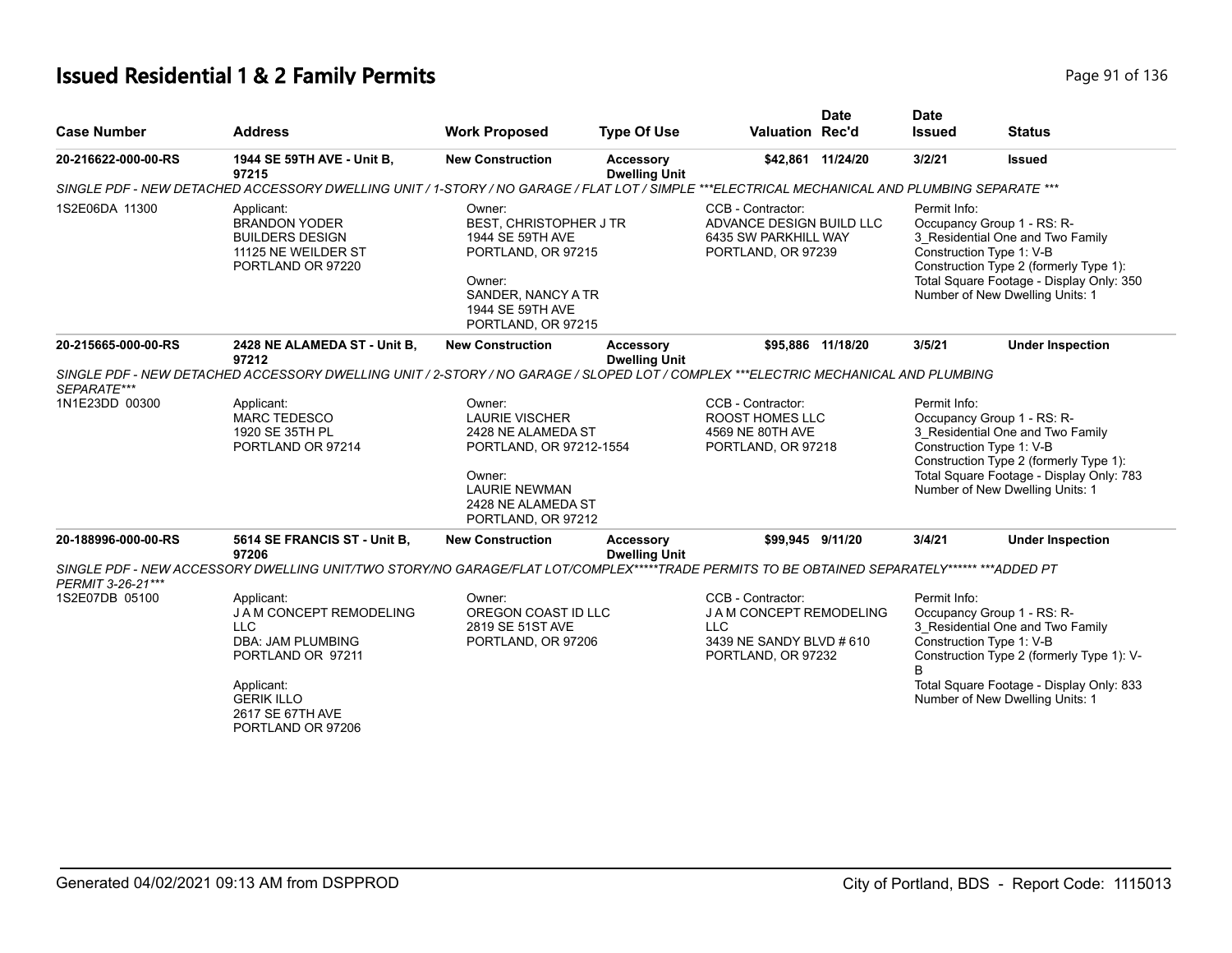# **Issued Residential 1 & 2 Family Permits Page 11 Contract 2 Family Permits Page 91 of 136**

| <b>Case Number</b>  | <b>Address</b>                                                                                                                                                                                                                                                                                                                                                                                                  | <b>Work Proposed</b>                                                    | <b>Type Of Use</b>                                                                                                                                                                                                                                                        | <b>Valuation Rec'd</b>                                                                                  | <b>Date</b>       | <b>Date</b><br><b>Issued</b>                                                                                           | <b>Status</b>                                                                                                                                                                                                          |
|---------------------|-----------------------------------------------------------------------------------------------------------------------------------------------------------------------------------------------------------------------------------------------------------------------------------------------------------------------------------------------------------------------------------------------------------------|-------------------------------------------------------------------------|---------------------------------------------------------------------------------------------------------------------------------------------------------------------------------------------------------------------------------------------------------------------------|---------------------------------------------------------------------------------------------------------|-------------------|------------------------------------------------------------------------------------------------------------------------|------------------------------------------------------------------------------------------------------------------------------------------------------------------------------------------------------------------------|
| 20-216622-000-00-RS | 1944 SE 59TH AVE - Unit B,<br>97215                                                                                                                                                                                                                                                                                                                                                                             | <b>New Construction</b>                                                 | <b>Accessory</b><br><b>Dwelling Unit</b>                                                                                                                                                                                                                                  |                                                                                                         | \$42,861 11/24/20 | 3/2/21                                                                                                                 | <b>Issued</b>                                                                                                                                                                                                          |
|                     | SINGLE PDF - NEW DETACHED ACCESSORY DWELLING UNIT / 1-STORY / NO GARAGE / FLAT LOT / SIMPLE ***ELECTRICAL MECHANICAL AND PLUMBING SEPARATE ***                                                                                                                                                                                                                                                                  |                                                                         |                                                                                                                                                                                                                                                                           |                                                                                                         |                   |                                                                                                                        |                                                                                                                                                                                                                        |
| 1S2E06DA 11300      | CCB - Contractor:<br>Applicant:<br>Owner:<br><b>BRANDON YODER</b><br>BEST, CHRISTOPHER J TR<br><b>BUILDERS DESIGN</b><br>1944 SE 59TH AVE<br>PORTLAND, OR 97215<br>PORTLAND, OR 97239<br>11125 NE WEILDER ST<br>PORTLAND OR 97220<br>Owner:<br>SANDER, NANCY A TR<br>1944 SE 59TH AVE<br>PORTLAND, OR 97215<br>2428 NE ALAMEDA ST - Unit B,<br><b>New Construction</b><br>\$95,886 11/18/20<br><b>Accessory</b> |                                                                         | Permit Info:<br>ADVANCE DESIGN BUILD LLC<br>Occupancy Group 1 - RS: R-<br>6435 SW PARKHILL WAY<br>Construction Type 1: V-B<br>Number of New Dwelling Units: 1                                                                                                             |                                                                                                         |                   | 3_Residential One and Two Family<br>Construction Type 2 (formerly Type 1):<br>Total Square Footage - Display Only: 350 |                                                                                                                                                                                                                        |
| 20-215665-000-00-RS | 97212                                                                                                                                                                                                                                                                                                                                                                                                           |                                                                         | <b>Dwelling Unit</b>                                                                                                                                                                                                                                                      |                                                                                                         |                   | 3/5/21                                                                                                                 | <b>Under Inspection</b>                                                                                                                                                                                                |
| SEPARATE***         | SINGLE PDF - NEW DETACHED ACCESSORY DWELLING UNIT / 2-STORY / NO GARAGE / SLOPED LOT / COMPLEX ***ELECTRIC MECHANICAL AND PLUMBING                                                                                                                                                                                                                                                                              |                                                                         |                                                                                                                                                                                                                                                                           |                                                                                                         |                   |                                                                                                                        |                                                                                                                                                                                                                        |
| 1N1E23DD 00300      | Applicant:<br>Owner:<br><b>LAURIE VISCHER</b><br><b>MARC TEDESCO</b><br>1920 SE 35TH PL<br>2428 NE ALAMEDA ST<br>PORTLAND OR 97214<br>PORTLAND, OR 97212-1554<br>Owner:<br><b>LAURIE NEWMAN</b><br>2428 NE ALAMEDA ST<br>PORTLAND, OR 97212                                                                                                                                                                     |                                                                         | CCB - Contractor:<br>Permit Info:<br>Occupancy Group 1 - RS: R-<br>ROOST HOMES LLC<br>3_Residential One and Two Family<br>4569 NE 80TH AVE<br>Construction Type 1: V-B<br>PORTLAND, OR 97218<br>Construction Type 2 (formerly Type 1):<br>Number of New Dwelling Units: 1 |                                                                                                         |                   | Total Square Footage - Display Only: 783                                                                               |                                                                                                                                                                                                                        |
| 20-188996-000-00-RS | 5614 SE FRANCIS ST - Unit B,<br>97206                                                                                                                                                                                                                                                                                                                                                                           | <b>New Construction</b>                                                 | <b>Accessory</b><br><b>Dwelling Unit</b>                                                                                                                                                                                                                                  | \$99,945 9/11/20                                                                                        |                   | 3/4/21                                                                                                                 | <b>Under Inspection</b>                                                                                                                                                                                                |
| PERMIT 3-26-21***   | SINGLE PDF - NEW ACCESSORY DWELLING UNIT/TWO STORY/NO GARAGE/FLAT LOT/COMPLEX*****TRADE PERMITS TO BE OBTAINED SEPARATELY****** ***ADDED PT                                                                                                                                                                                                                                                                     |                                                                         |                                                                                                                                                                                                                                                                           |                                                                                                         |                   |                                                                                                                        |                                                                                                                                                                                                                        |
| 1S2E07DB 05100      | Applicant:<br>J A M CONCEPT REMODELING<br><b>LLC</b><br><b>DBA: JAM PLUMBING</b><br>PORTLAND OR 97211<br>Applicant:<br><b>GERIK ILLO</b><br>2617 SE 67TH AVE<br>PORTLAND OR 97206                                                                                                                                                                                                                               | Owner:<br>OREGON COAST ID LLC<br>2819 SE 51ST AVE<br>PORTLAND, OR 97206 |                                                                                                                                                                                                                                                                           | CCB - Contractor:<br>J A M CONCEPT REMODELING<br>LLC.<br>3439 NE SANDY BLVD # 610<br>PORTLAND, OR 97232 |                   | Permit Info:<br>R                                                                                                      | Occupancy Group 1 - RS: R-<br>3 Residential One and Two Family<br>Construction Type 1: V-B<br>Construction Type 2 (formerly Type 1): V-<br>Total Square Footage - Display Only: 833<br>Number of New Dwelling Units: 1 |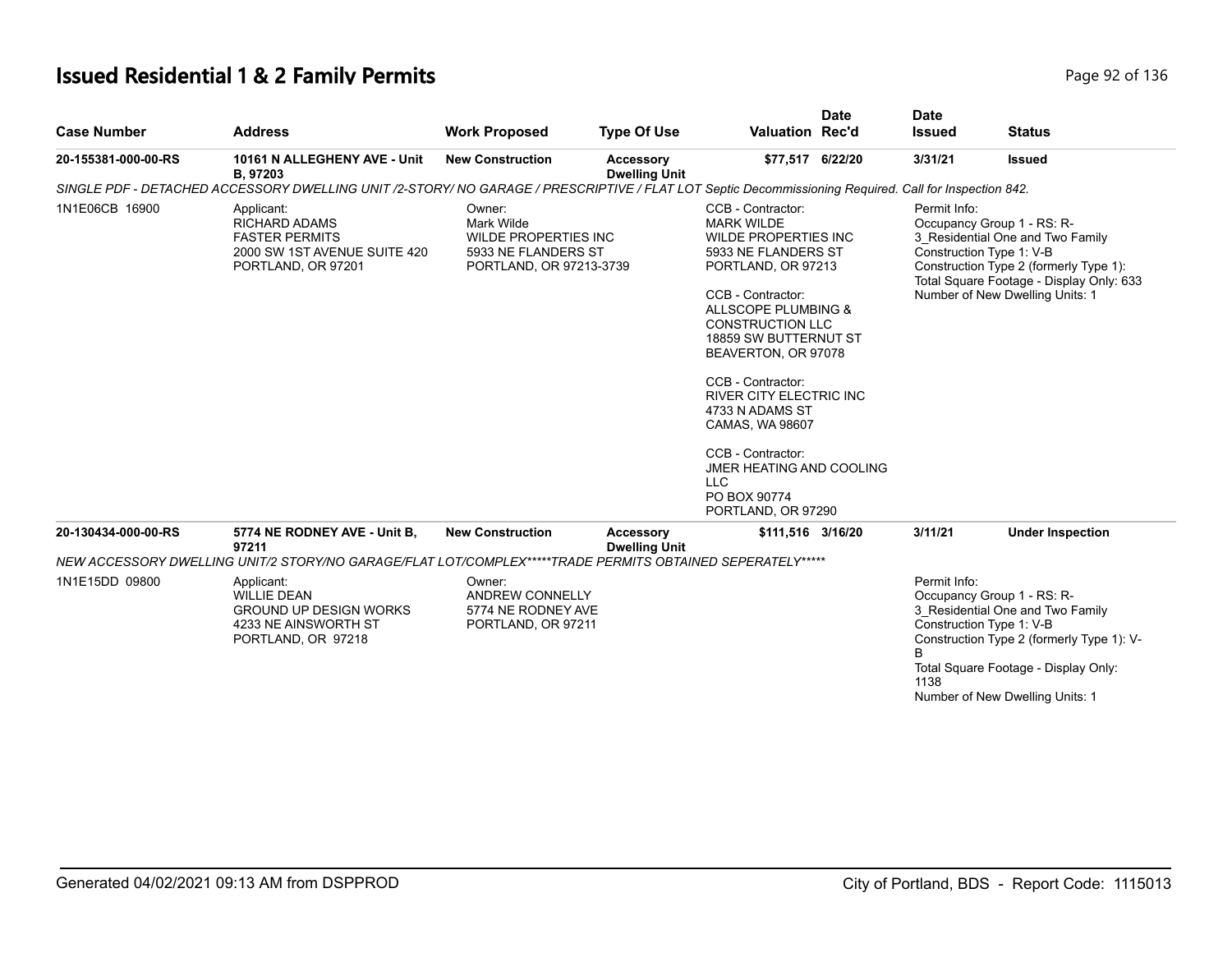# **Issued Residential 1 & 2 Family Permits**

| Page 92 of 136 |  |  |  |  |
|----------------|--|--|--|--|
|----------------|--|--|--|--|

| <b>Case Number</b>  | <b>Address</b>                                                                                                                                        | <b>Work Proposed</b>                                                                           | <b>Type Of Use</b>                       | <b>Valuation Rec'd</b>                                                                                                                                                                                                                                                                                                                                                                                                                      | <b>Date</b> | <b>Date</b><br><b>Issued</b> | <b>Status</b>                                                                                                                                                                                                       |
|---------------------|-------------------------------------------------------------------------------------------------------------------------------------------------------|------------------------------------------------------------------------------------------------|------------------------------------------|---------------------------------------------------------------------------------------------------------------------------------------------------------------------------------------------------------------------------------------------------------------------------------------------------------------------------------------------------------------------------------------------------------------------------------------------|-------------|------------------------------|---------------------------------------------------------------------------------------------------------------------------------------------------------------------------------------------------------------------|
| 20-155381-000-00-RS | 10161 N ALLEGHENY AVE - Unit<br>B, 97203                                                                                                              | <b>New Construction</b>                                                                        | <b>Accessory</b><br><b>Dwelling Unit</b> | \$77,517 6/22/20                                                                                                                                                                                                                                                                                                                                                                                                                            |             | 3/31/21                      | <b>Issued</b>                                                                                                                                                                                                       |
|                     | SINGLE PDF - DETACHED ACCESSORY DWELLING UNIT /2-STORY/ NO GARAGE / PRESCRIPTIVE / FLAT LOT Septic Decommissioning Required. Call for Inspection 842. |                                                                                                |                                          |                                                                                                                                                                                                                                                                                                                                                                                                                                             |             |                              |                                                                                                                                                                                                                     |
| 1N1E06CB 16900      | Applicant:<br><b>RICHARD ADAMS</b><br><b>FASTER PERMITS</b><br>2000 SW 1ST AVENUE SUITE 420<br>PORTLAND, OR 97201                                     | Owner:<br>Mark Wilde<br>WILDE PROPERTIES INC<br>5933 NE FLANDERS ST<br>PORTLAND, OR 97213-3739 |                                          | CCB - Contractor:<br><b>MARK WILDE</b><br><b>WILDE PROPERTIES INC</b><br>5933 NE FLANDERS ST<br>PORTLAND, OR 97213<br>CCB - Contractor:<br>ALLSCOPE PLUMBING &<br><b>CONSTRUCTION LLC</b><br>18859 SW BUTTERNUT ST<br>BEAVERTON, OR 97078<br>CCB - Contractor:<br><b>RIVER CITY ELECTRIC INC</b><br>4733 N ADAMS ST<br>CAMAS, WA 98607<br>CCB - Contractor:<br>JMER HEATING AND COOLING<br><b>LLC</b><br>PO BOX 90774<br>PORTLAND, OR 97290 |             | Permit Info:                 | Occupancy Group 1 - RS: R-<br>3 Residential One and Two Family<br>Construction Type 1: V-B<br>Construction Type 2 (formerly Type 1):<br>Total Square Footage - Display Only: 633<br>Number of New Dwelling Units: 1 |
| 20-130434-000-00-RS | 5774 NE RODNEY AVE - Unit B,<br>97211                                                                                                                 | <b>New Construction</b>                                                                        | Accessory<br><b>Dwelling Unit</b>        | \$111,516 3/16/20                                                                                                                                                                                                                                                                                                                                                                                                                           |             | 3/11/21                      | <b>Under Inspection</b>                                                                                                                                                                                             |
|                     | NEW ACCESSORY DWELLING UNIT/2 STORY/NO GARAGE/FLAT LOT/COMPLEX*****TRADE PERMITS OBTAINED SEPERATELY*****                                             |                                                                                                |                                          |                                                                                                                                                                                                                                                                                                                                                                                                                                             |             |                              |                                                                                                                                                                                                                     |
| 1N1E15DD 09800      | Applicant:<br><b>WILLIE DEAN</b><br><b>GROUND UP DESIGN WORKS</b><br>4233 NE AINSWORTH ST<br>PORTLAND, OR 97218                                       | Owner:<br><b>ANDREW CONNELLY</b><br>5774 NE RODNEY AVE<br>PORTLAND, OR 97211                   |                                          |                                                                                                                                                                                                                                                                                                                                                                                                                                             |             | Permit Info:<br>R<br>1138    | Occupancy Group 1 - RS: R-<br>3 Residential One and Two Family<br>Construction Type 1: V-B<br>Construction Type 2 (formerly Type 1): V-<br>Total Square Footage - Display Only:<br>Number of New Dwelling Units: 1  |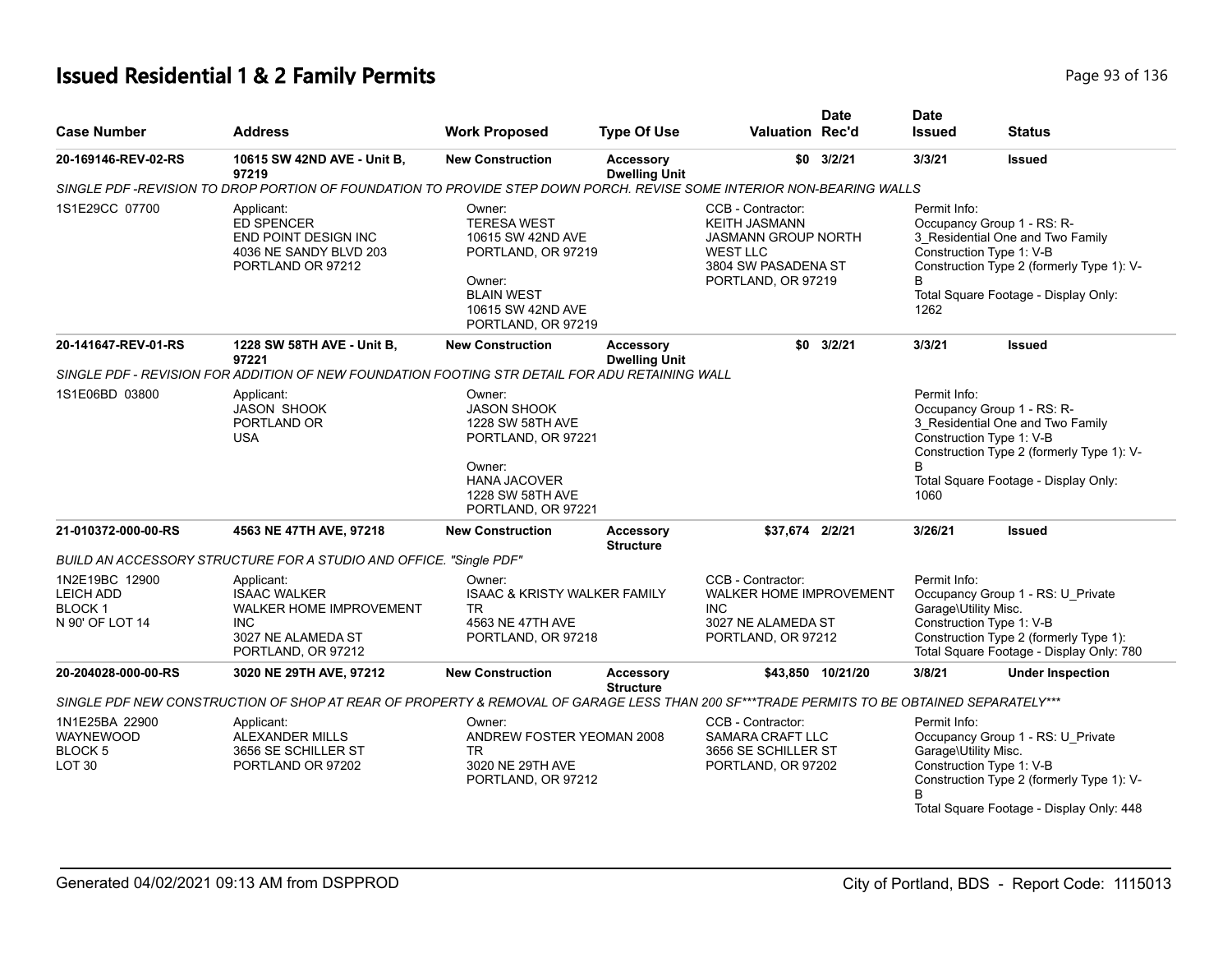# **Issued Residential 1 & 2 Family Permits Page 136** 2 **Page 93 of 136**

| <b>Case Number</b>                                                        | <b>Address</b>                                                                                                                            | <b>Work Proposed</b>                                                                                                                              | <b>Type Of Use</b>                       | <b>Valuation Rec'd</b>                                                                                                                  | <b>Date</b>       | <b>Date</b><br><b>Issued</b>              | <b>Status</b>                                                                                                                                                                   |
|---------------------------------------------------------------------------|-------------------------------------------------------------------------------------------------------------------------------------------|---------------------------------------------------------------------------------------------------------------------------------------------------|------------------------------------------|-----------------------------------------------------------------------------------------------------------------------------------------|-------------------|-------------------------------------------|---------------------------------------------------------------------------------------------------------------------------------------------------------------------------------|
| 20-169146-REV-02-RS                                                       | 10615 SW 42ND AVE - Unit B,<br>97219                                                                                                      | <b>New Construction</b>                                                                                                                           | <b>Accessory</b><br><b>Dwelling Unit</b> |                                                                                                                                         | $$0$ $3/2/21$     | 3/3/21                                    | Issued                                                                                                                                                                          |
|                                                                           | SINGLE PDF -REVISION TO DROP PORTION OF FOUNDATION TO PROVIDE STEP DOWN PORCH. REVISE SOME INTERIOR NON-BEARING WALLS                     |                                                                                                                                                   |                                          |                                                                                                                                         |                   |                                           |                                                                                                                                                                                 |
| 1S1E29CC 07700                                                            | Applicant:<br><b>ED SPENCER</b><br>END POINT DESIGN INC<br>4036 NE SANDY BLVD 203<br>PORTLAND OR 97212                                    | Owner:<br><b>TERESA WEST</b><br>10615 SW 42ND AVE<br>PORTLAND, OR 97219<br>Owner:<br><b>BLAIN WEST</b><br>10615 SW 42ND AVE<br>PORTLAND, OR 97219 |                                          | CCB - Contractor:<br><b>KEITH JASMANN</b><br><b>JASMANN GROUP NORTH</b><br><b>WEST LLC</b><br>3804 SW PASADENA ST<br>PORTLAND, OR 97219 |                   | Permit Info:<br>B<br>1262                 | Occupancy Group 1 - RS: R-<br>3_Residential One and Two Family<br>Construction Type 1: V-B<br>Construction Type 2 (formerly Type 1): V-<br>Total Square Footage - Display Only: |
| 20-141647-REV-01-RS                                                       | 1228 SW 58TH AVE - Unit B,<br>97221                                                                                                       | <b>New Construction</b>                                                                                                                           | <b>Accessory</b><br><b>Dwelling Unit</b> |                                                                                                                                         | $$0$ 3/2/21       | 3/3/21                                    | Issued                                                                                                                                                                          |
|                                                                           | SINGLE PDF - REVISION FOR ADDITION OF NEW FOUNDATION FOOTING STR DETAIL FOR ADU RETAINING WALL                                            |                                                                                                                                                   |                                          |                                                                                                                                         |                   |                                           |                                                                                                                                                                                 |
| 1S1E06BD 03800                                                            | Applicant:<br><b>JASON SHOOK</b><br>PORTLAND OR<br><b>USA</b>                                                                             | Owner:<br><b>JASON SHOOK</b><br>1228 SW 58TH AVE<br>PORTLAND, OR 97221<br>Owner:<br><b>HANA JACOVER</b><br>1228 SW 58TH AVE                       |                                          |                                                                                                                                         |                   | Permit Info:<br>B<br>1060                 | Occupancy Group 1 - RS: R-<br>3_Residential One and Two Family<br>Construction Type 1: V-B<br>Construction Type 2 (formerly Type 1): V-<br>Total Square Footage - Display Only: |
| 21-010372-000-00-RS                                                       |                                                                                                                                           | PORTLAND, OR 97221                                                                                                                                |                                          | \$37,674 2/2/21                                                                                                                         |                   | 3/26/21                                   |                                                                                                                                                                                 |
|                                                                           | 4563 NE 47TH AVE, 97218                                                                                                                   | <b>New Construction</b>                                                                                                                           | <b>Accessory</b><br><b>Structure</b>     |                                                                                                                                         |                   |                                           | Issued                                                                                                                                                                          |
|                                                                           | BUILD AN ACCESSORY STRUCTURE FOR A STUDIO AND OFFICE. "Single PDF"                                                                        |                                                                                                                                                   |                                          |                                                                                                                                         |                   |                                           |                                                                                                                                                                                 |
| 1N2E19BC 12900<br><b>LEICH ADD</b><br><b>BLOCK1</b><br>N 90' OF LOT 14    | Applicant:<br><b>ISAAC WALKER</b><br><b>WALKER HOME IMPROVEMENT</b><br><b>INC</b><br>3027 NE ALAMEDA ST<br>PORTLAND, OR 97212             | Owner:<br><b>ISAAC &amp; KRISTY WALKER FAMILY</b><br>TR<br>4563 NE 47TH AVE<br>PORTLAND, OR 97218                                                 |                                          | CCB - Contractor:<br><b>WALKER HOME IMPROVEMENT</b><br><b>INC</b><br>3027 NE ALAMEDA ST<br>PORTLAND, OR 97212                           |                   | Permit Info:<br>Garage\Utility Misc.      | Occupancy Group 1 - RS: U Private<br>Construction Type 1: V-B<br>Construction Type 2 (formerly Type 1):<br>Total Square Footage - Display Only: 780                             |
| 20-204028-000-00-RS                                                       | 3020 NE 29TH AVE, 97212                                                                                                                   | <b>New Construction</b>                                                                                                                           | <b>Accessory</b>                         |                                                                                                                                         | \$43,850 10/21/20 | 3/8/21                                    | <b>Under Inspection</b>                                                                                                                                                         |
|                                                                           | SINGLE PDF NEW CONSTRUCTION OF SHOP AT REAR OF PROPERTY & REMOVAL OF GARAGE LESS THAN 200 SF***TRADE PERMITS TO BE OBTAINED SEPARATELY*** |                                                                                                                                                   | <b>Structure</b>                         |                                                                                                                                         |                   |                                           |                                                                                                                                                                                 |
| 1N1E25BA 22900<br><b>WAYNEWOOD</b><br><b>BLOCK 5</b><br>LOT <sub>30</sub> | Applicant:<br><b>ALEXANDER MILLS</b><br>3656 SE SCHILLER ST<br>PORTLAND OR 97202                                                          | Owner:<br>ANDREW FOSTER YEOMAN 2008<br>TR.<br>3020 NE 29TH AVE<br>PORTLAND, OR 97212                                                              |                                          | CCB - Contractor:<br><b>SAMARA CRAFT LLC</b><br>3656 SE SCHILLER ST<br>PORTLAND, OR 97202                                               |                   | Permit Info:<br>Garage\Utility Misc.<br>B | Occupancy Group 1 - RS: U Private<br>Construction Type 1: V-B<br>Construction Type 2 (formerly Type 1): V-<br>Total Square Footage - Display Only: 448                          |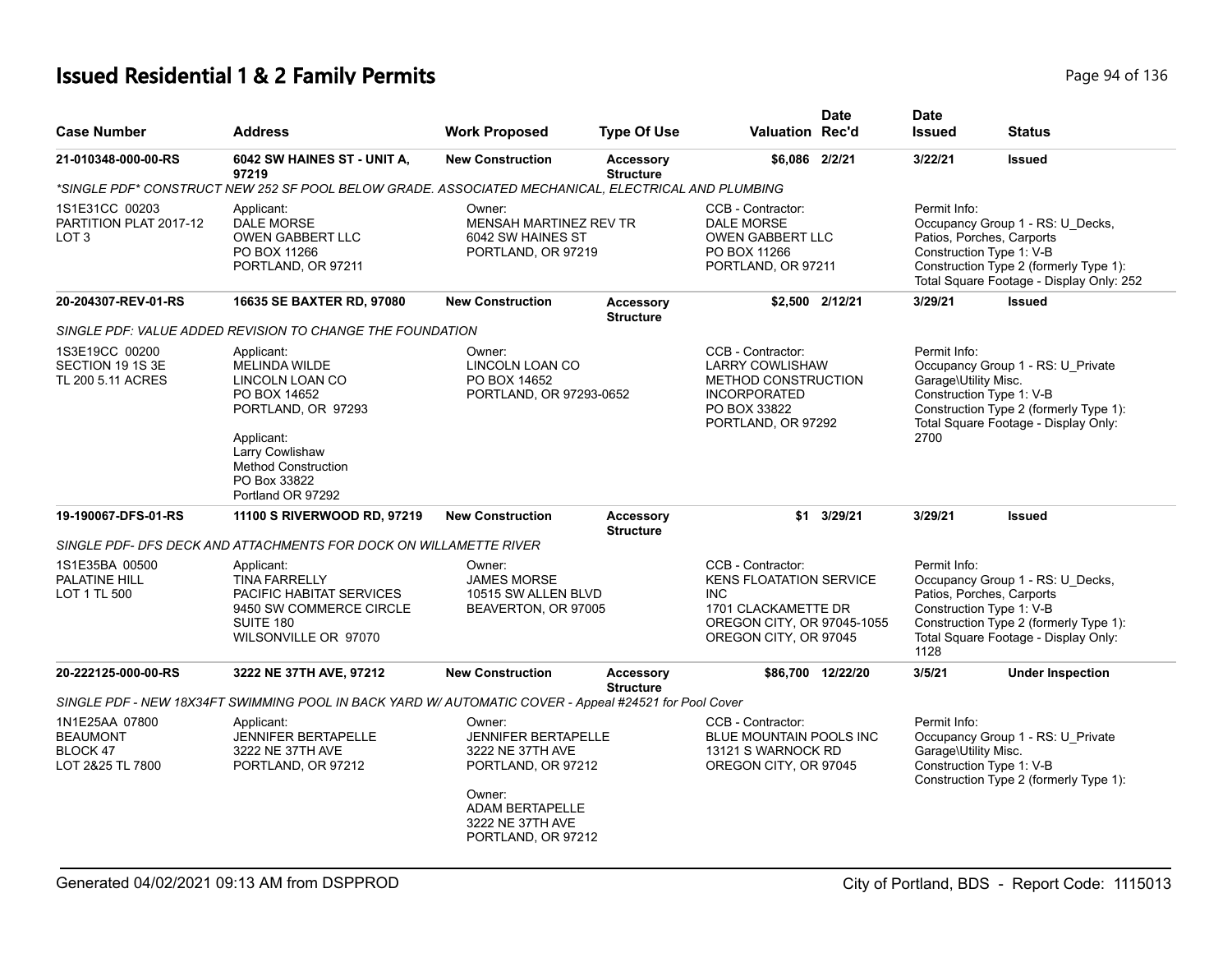# **Issued Residential 1 & 2 Family Permits Page 1136** 2 **Page 94 of 136**

| <b>Case Number</b>                                                | <b>Address</b>                                                                                                                                                                                  | <b>Work Proposed</b>                                                                                                                                         | <b>Type Of Use</b>                   | <b>Valuation Rec'd</b>                                                                                                                          | <b>Date</b> | <b>Date</b><br><b>Issued</b>                 | Status                                                                                                                                                                          |
|-------------------------------------------------------------------|-------------------------------------------------------------------------------------------------------------------------------------------------------------------------------------------------|--------------------------------------------------------------------------------------------------------------------------------------------------------------|--------------------------------------|-------------------------------------------------------------------------------------------------------------------------------------------------|-------------|----------------------------------------------|---------------------------------------------------------------------------------------------------------------------------------------------------------------------------------|
| 21-010348-000-00-RS                                               | 6042 SW HAINES ST - UNIT A,<br>97219                                                                                                                                                            | <b>New Construction</b>                                                                                                                                      | <b>Accessory</b><br><b>Structure</b> | \$6,086 2/2/21                                                                                                                                  |             | 3/22/21                                      | <b>Issued</b>                                                                                                                                                                   |
|                                                                   | "SINGLE PDF" CONSTRUCT NEW 252 SF POOL BELOW GRADE. ASSOCIATED MECHANICAL, ELECTRICAL AND PLUMBING                                                                                              |                                                                                                                                                              |                                      |                                                                                                                                                 |             |                                              |                                                                                                                                                                                 |
| 1S1E31CC 00203<br>PARTITION PLAT 2017-12<br>LOT <sub>3</sub>      | Applicant:<br><b>DALE MORSE</b><br><b>OWEN GABBERT LLC</b><br>PO BOX 11266<br>PORTLAND, OR 97211                                                                                                | Owner:<br>MENSAH MARTINEZ REV TR<br>6042 SW HAINES ST<br>PORTLAND, OR 97219                                                                                  |                                      | CCB - Contractor:<br><b>DALE MORSE</b><br>OWEN GABBERT LLC<br>PO BOX 11266<br>PORTLAND, OR 97211                                                |             | Permit Info:                                 | Occupancy Group 1 - RS: U_Decks,<br>Patios, Porches, Carports<br>Construction Type 1: V-B<br>Construction Type 2 (formerly Type 1):<br>Total Square Footage - Display Only: 252 |
| 20-204307-REV-01-RS                                               | 16635 SE BAXTER RD, 97080                                                                                                                                                                       | <b>New Construction</b>                                                                                                                                      | <b>Accessory</b><br><b>Structure</b> | \$2,500 2/12/21                                                                                                                                 |             | 3/29/21                                      | <b>Issued</b>                                                                                                                                                                   |
|                                                                   | SINGLE PDF: VALUE ADDED REVISION TO CHANGE THE FOUNDATION                                                                                                                                       |                                                                                                                                                              |                                      |                                                                                                                                                 |             |                                              |                                                                                                                                                                                 |
| 1S3E19CC 00200<br>SECTION 19 1S 3E<br>TL 200 5.11 ACRES           | Applicant:<br><b>MELINDA WILDE</b><br>LINCOLN LOAN CO<br>PO BOX 14652<br>PORTLAND, OR 97293<br>Applicant:<br>Larry Cowlishaw<br><b>Method Construction</b><br>PO Box 33822<br>Portland OR 97292 | Owner:<br>LINCOLN LOAN CO<br>PO BOX 14652<br>PORTLAND, OR 97293-0652                                                                                         |                                      | CCB - Contractor:<br><b>LARRY COWLISHAW</b><br><b>METHOD CONSTRUCTION</b><br><b>INCORPORATED</b><br>PO BOX 33822<br>PORTLAND, OR 97292          |             | Permit Info:<br>Garage\Utility Misc.<br>2700 | Occupancy Group 1 - RS: U_Private<br>Construction Type 1: V-B<br>Construction Type 2 (formerly Type 1):<br>Total Square Footage - Display Only:                                 |
| 19-190067-DFS-01-RS                                               | 11100 S RIVERWOOD RD, 97219                                                                                                                                                                     | <b>New Construction</b>                                                                                                                                      | <b>Accessory</b><br><b>Structure</b> |                                                                                                                                                 | \$1 3/29/21 | 3/29/21                                      | <b>Issued</b>                                                                                                                                                                   |
|                                                                   | SINGLE PDF- DFS DECK AND ATTACHMENTS FOR DOCK ON WILLAMETTE RIVER                                                                                                                               |                                                                                                                                                              |                                      |                                                                                                                                                 |             |                                              |                                                                                                                                                                                 |
| 1S1E35BA 00500<br>PALATINE HILL<br>LOT 1 TL 500                   | Applicant:<br><b>TINA FARRELLY</b><br><b>PACIFIC HABITAT SERVICES</b><br>9450 SW COMMERCE CIRCLE<br>SUITE 180<br>WILSONVILLE OR 97070                                                           | Owner:<br><b>JAMES MORSE</b><br>10515 SW ALLEN BLVD<br>BEAVERTON, OR 97005                                                                                   |                                      | CCB - Contractor:<br><b>KENS FLOATATION SERVICE</b><br><b>INC</b><br>1701 CLACKAMETTE DR<br>OREGON CITY, OR 97045-1055<br>OREGON CITY, OR 97045 |             | Permit Info:<br>1128                         | Occupancy Group 1 - RS: U_Decks,<br>Patios, Porches, Carports<br>Construction Type 1: V-B<br>Construction Type 2 (formerly Type 1):<br>Total Square Footage - Display Only:     |
| 20-222125-000-00-RS                                               | 3222 NE 37TH AVE, 97212                                                                                                                                                                         | <b>New Construction</b>                                                                                                                                      | <b>Accessory</b>                     | \$86,700 12/22/20                                                                                                                               |             | 3/5/21                                       | <b>Under Inspection</b>                                                                                                                                                         |
|                                                                   | SINGLE PDF - NEW 18X34FT SWIMMING POOL IN BACK YARD W/ AUTOMATIC COVER - Appeal #24521 for Pool Cover                                                                                           |                                                                                                                                                              | <b>Structure</b>                     |                                                                                                                                                 |             |                                              |                                                                                                                                                                                 |
| 1N1E25AA 07800<br><b>BEAUMONT</b><br>BLOCK 47<br>LOT 2&25 TL 7800 | Applicant:<br><b>JENNIFER BERTAPELLE</b><br>3222 NE 37TH AVE<br>PORTLAND, OR 97212                                                                                                              | Owner:<br><b>JENNIFER BERTAPELLE</b><br>3222 NE 37TH AVE<br>PORTLAND, OR 97212<br>Owner:<br><b>ADAM BERTAPELLE</b><br>3222 NE 37TH AVE<br>PORTLAND, OR 97212 |                                      | CCB - Contractor:<br><b>BLUE MOUNTAIN POOLS INC</b><br>13121 S WARNOCK RD<br>OREGON CITY, OR 97045                                              |             | Permit Info:<br>Garage\Utility Misc.         | Occupancy Group 1 - RS: U_Private<br>Construction Type 1: V-B<br>Construction Type 2 (formerly Type 1):                                                                         |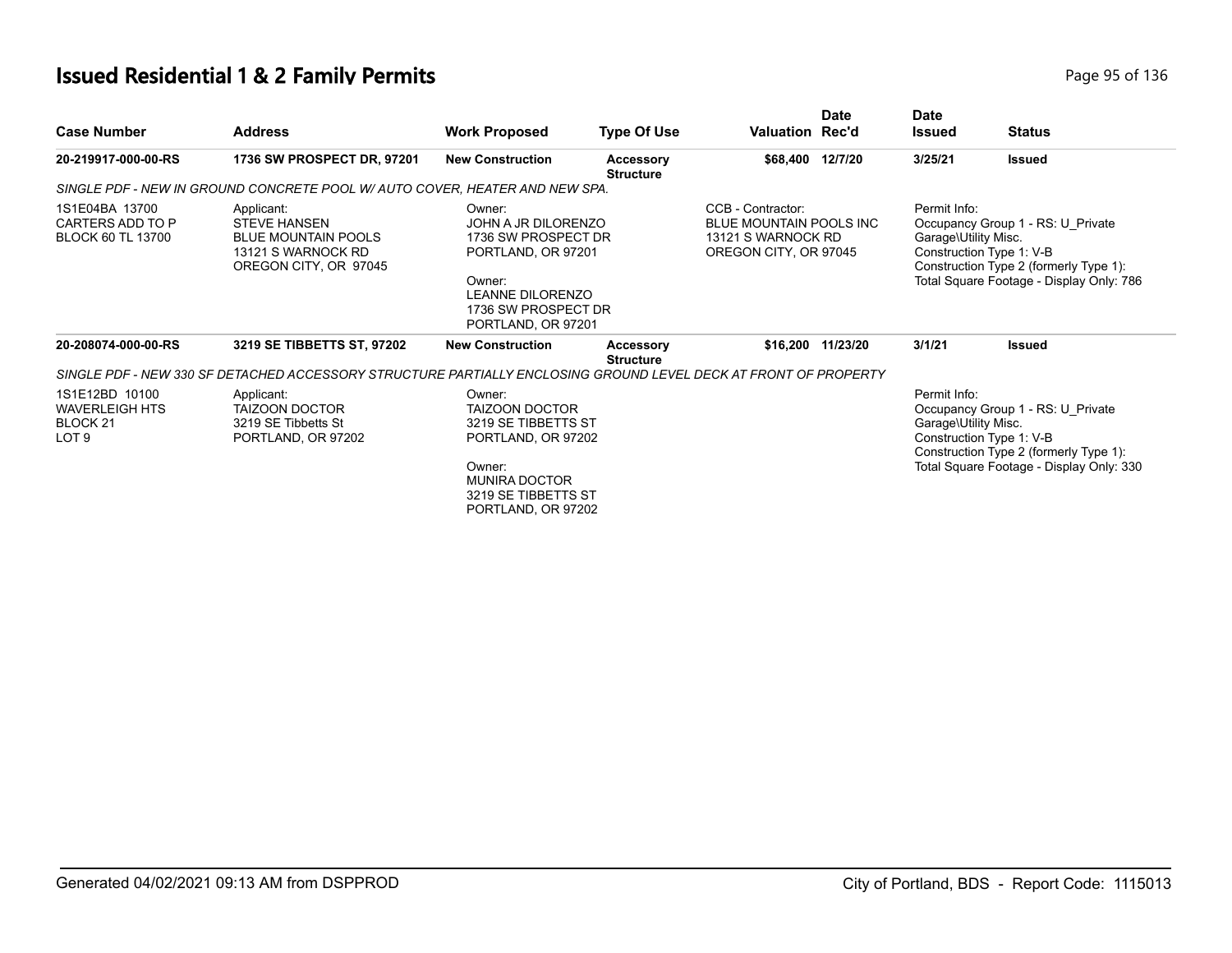# **Issued Residential 1 & 2 Family Permits**

|  |  | Page 95 of 136 |  |  |
|--|--|----------------|--|--|
|--|--|----------------|--|--|

| <b>Case Number</b>                                                                 | <b>Address</b>                                                                                                  | <b>Work Proposed</b>                                                                                                                                         | <b>Type Of Use</b>                   | Valuation Rec'd                                                                             | <b>Date</b>       | <b>Date</b><br><b>Issued</b>         | <b>Status</b>                                                                                                                                       |
|------------------------------------------------------------------------------------|-----------------------------------------------------------------------------------------------------------------|--------------------------------------------------------------------------------------------------------------------------------------------------------------|--------------------------------------|---------------------------------------------------------------------------------------------|-------------------|--------------------------------------|-----------------------------------------------------------------------------------------------------------------------------------------------------|
| 20-219917-000-00-RS                                                                | 1736 SW PROSPECT DR, 97201                                                                                      | <b>New Construction</b>                                                                                                                                      | <b>Accessory</b><br><b>Structure</b> | \$68,400                                                                                    | 12/7/20           | 3/25/21                              | <b>Issued</b>                                                                                                                                       |
|                                                                                    | SINGLE PDF - NEW IN GROUND CONCRETE POOL W/ AUTO COVER, HEATER AND NEW SPA.                                     |                                                                                                                                                              |                                      |                                                                                             |                   |                                      |                                                                                                                                                     |
| 1S1E04BA 13700<br>CARTERS ADD TO P<br><b>BLOCK 60 TL 13700</b>                     | Applicant:<br><b>STEVE HANSEN</b><br><b>BLUE MOUNTAIN POOLS</b><br>13121 S WARNOCK RD<br>OREGON CITY, OR 97045  | Owner:<br>JOHN A JR DILORENZO<br>1736 SW PROSPECT DR<br>PORTLAND, OR 97201<br>Owner:<br><b>LEANNE DILORENZO</b><br>1736 SW PROSPECT DR<br>PORTLAND, OR 97201 |                                      | CCB - Contractor:<br>BLUE MOUNTAIN POOLS INC<br>13121 S WARNOCK RD<br>OREGON CITY, OR 97045 |                   | Permit Info:<br>Garage\Utility Misc. | Occupancy Group 1 - RS: U Private<br>Construction Type 1: V-B<br>Construction Type 2 (formerly Type 1):<br>Total Square Footage - Display Only: 786 |
| 20-208074-000-00-RS                                                                | 3219 SE TIBBETTS ST, 97202                                                                                      | <b>New Construction</b>                                                                                                                                      | <b>Accessory</b><br><b>Structure</b> |                                                                                             | \$16,200 11/23/20 | 3/1/21                               | <b>Issued</b>                                                                                                                                       |
|                                                                                    | SINGLE PDF - NEW 330 SF DETACHED ACCESSORY STRUCTURE PARTIALLY ENCLOSING GROUND LEVEL DECK AT FRONT OF PROPERTY |                                                                                                                                                              |                                      |                                                                                             |                   |                                      |                                                                                                                                                     |
| 1S1E12BD 10100<br><b>WAVERLEIGH HTS</b><br>BLOCK <sub>21</sub><br>LOT <sub>9</sub> | Applicant:<br><b>TAIZOON DOCTOR</b><br>3219 SE Tibbetts St<br>PORTLAND, OR 97202                                | Owner:<br><b>TAIZOON DOCTOR</b><br>3219 SE TIBBETTS ST<br>PORTLAND, OR 97202<br>Owner:<br><b>MUNIRA DOCTOR</b><br>3219 SE TIBBETTS ST<br>PORTLAND, OR 97202  |                                      |                                                                                             |                   | Permit Info:<br>Garage\Utility Misc. | Occupancy Group 1 - RS: U Private<br>Construction Type 1: V-B<br>Construction Type 2 (formerly Type 1):<br>Total Square Footage - Display Only: 330 |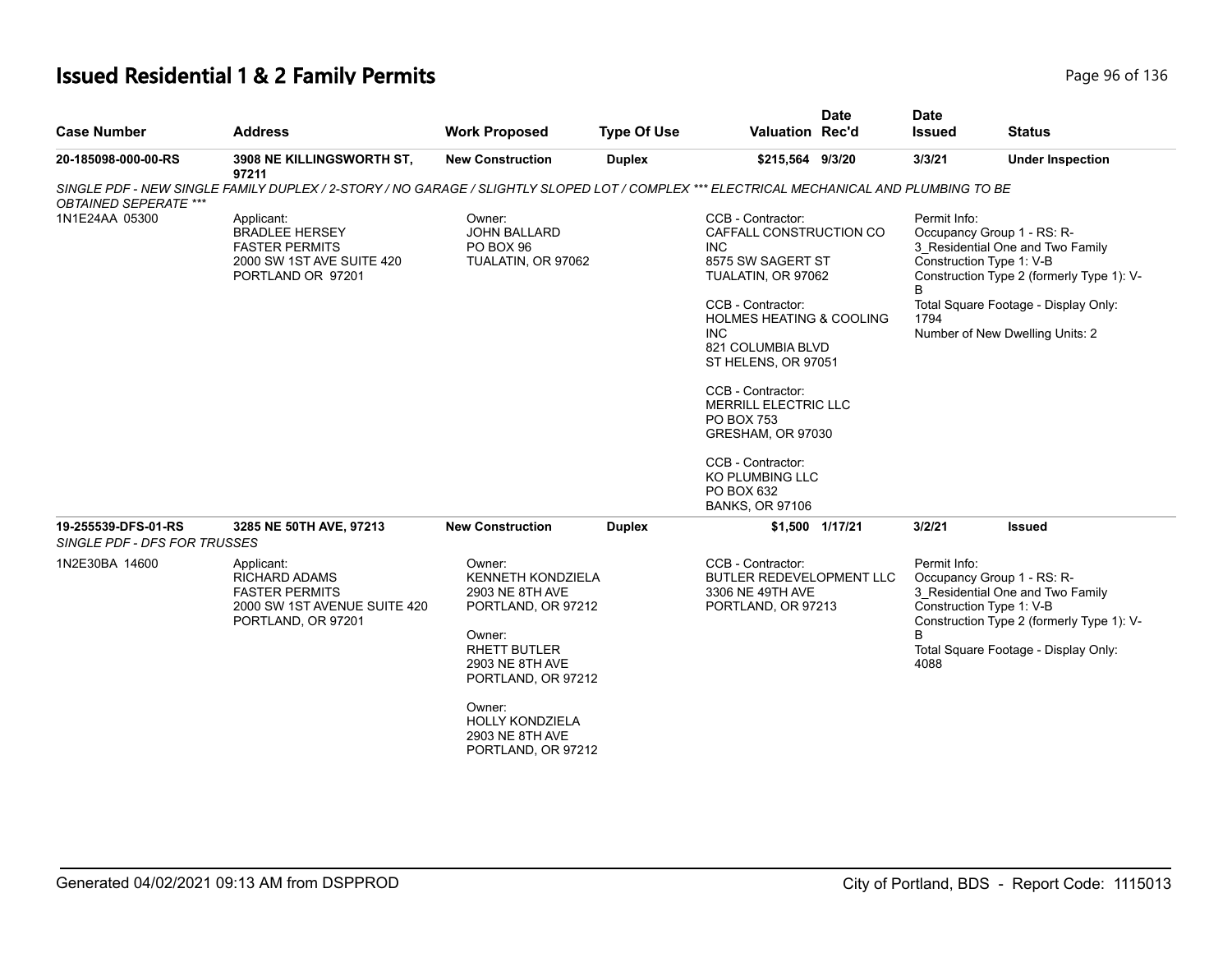# **Issued Residential 1 & 2 Family Permits Page 1136** 2 **Page 96 of 136**

| <b>Case Number</b>                                  | <b>Address</b>                                                                                                                           | <b>Work Proposed</b>                                                                                                                                            | <b>Type Of Use</b> | <b>Valuation Rec'd</b>                                                                                                                                                                                                                                                                                                                                                                      | <b>Date</b>     | <b>Date</b><br><b>Issued</b>                                                        | <b>Status</b>                                                                                                                                            |
|-----------------------------------------------------|------------------------------------------------------------------------------------------------------------------------------------------|-----------------------------------------------------------------------------------------------------------------------------------------------------------------|--------------------|---------------------------------------------------------------------------------------------------------------------------------------------------------------------------------------------------------------------------------------------------------------------------------------------------------------------------------------------------------------------------------------------|-----------------|-------------------------------------------------------------------------------------|----------------------------------------------------------------------------------------------------------------------------------------------------------|
| 20-185098-000-00-RS                                 | 3908 NE KILLINGSWORTH ST,<br>97211                                                                                                       | <b>New Construction</b>                                                                                                                                         | <b>Duplex</b>      | \$215,564 9/3/20                                                                                                                                                                                                                                                                                                                                                                            |                 | 3/3/21                                                                              | <b>Under Inspection</b>                                                                                                                                  |
| <b>OBTAINED SEPERATE ***</b>                        | SINGLE PDF - NEW SINGLE FAMILY DUPLEX / 2-STORY / NO GARAGE / SLIGHTLY SLOPED LOT / COMPLEX *** ELECTRICAL MECHANICAL AND PLUMBING TO BE |                                                                                                                                                                 |                    |                                                                                                                                                                                                                                                                                                                                                                                             |                 |                                                                                     |                                                                                                                                                          |
| 1N1E24AA 05300                                      | Applicant:<br><b>BRADLEE HERSEY</b><br><b>FASTER PERMITS</b><br>2000 SW 1ST AVE SUITE 420<br>PORTLAND OR 97201                           | Owner:<br>JOHN BALLARD<br>PO BOX 96<br>TUALATIN, OR 97062                                                                                                       |                    | CCB - Contractor:<br>CAFFALL CONSTRUCTION CO<br><b>INC</b><br>8575 SW SAGERT ST<br>TUALATIN, OR 97062<br>CCB - Contractor:<br><b>HOLMES HEATING &amp; COOLING</b><br><b>INC</b><br>821 COLUMBIA BLVD<br>ST HELENS, OR 97051<br>CCB - Contractor:<br>MERRILL ELECTRIC LLC<br>PO BOX 753<br>GRESHAM, OR 97030<br>CCB - Contractor:<br>KO PLUMBING LLC<br>PO BOX 632<br><b>BANKS, OR 97106</b> |                 | Permit Info:<br>Occupancy Group 1 - RS: R-<br>Construction Type 1: V-B<br>B<br>1794 | 3_Residential One and Two Family<br>Construction Type 2 (formerly Type 1): V-<br>Total Square Footage - Display Only:<br>Number of New Dwelling Units: 2 |
| 19-255539-DFS-01-RS<br>SINGLE PDF - DFS FOR TRUSSES | 3285 NE 50TH AVE, 97213                                                                                                                  | <b>New Construction</b>                                                                                                                                         | <b>Duplex</b>      |                                                                                                                                                                                                                                                                                                                                                                                             | \$1,500 1/17/21 | 3/2/21                                                                              | <b>Issued</b>                                                                                                                                            |
| 1N2E30BA 14600                                      | Applicant:<br><b>RICHARD ADAMS</b><br><b>FASTER PERMITS</b><br>2000 SW 1ST AVENUE SUITE 420<br>PORTLAND, OR 97201                        | Owner:<br><b>KENNETH KONDZIELA</b><br>2903 NE 8TH AVE<br>PORTLAND, OR 97212<br>Owner:<br><b>RHETT BUTLER</b><br>2903 NE 8TH AVE<br>PORTLAND, OR 97212<br>Owner: |                    | CCB - Contractor:<br><b>BUTLER REDEVELOPMENT LLC</b><br>3306 NE 49TH AVE<br>PORTLAND, OR 97213                                                                                                                                                                                                                                                                                              |                 | Permit Info:<br>Occupancy Group 1 - RS: R-<br>Construction Type 1: V-B<br>B<br>4088 | 3 Residential One and Two Family<br>Construction Type 2 (formerly Type 1): V-<br>Total Square Footage - Display Only:                                    |
|                                                     |                                                                                                                                          | <b>HOLLY KONDZIELA</b><br>2903 NE 8TH AVE<br>PORTLAND, OR 97212                                                                                                 |                    |                                                                                                                                                                                                                                                                                                                                                                                             |                 |                                                                                     |                                                                                                                                                          |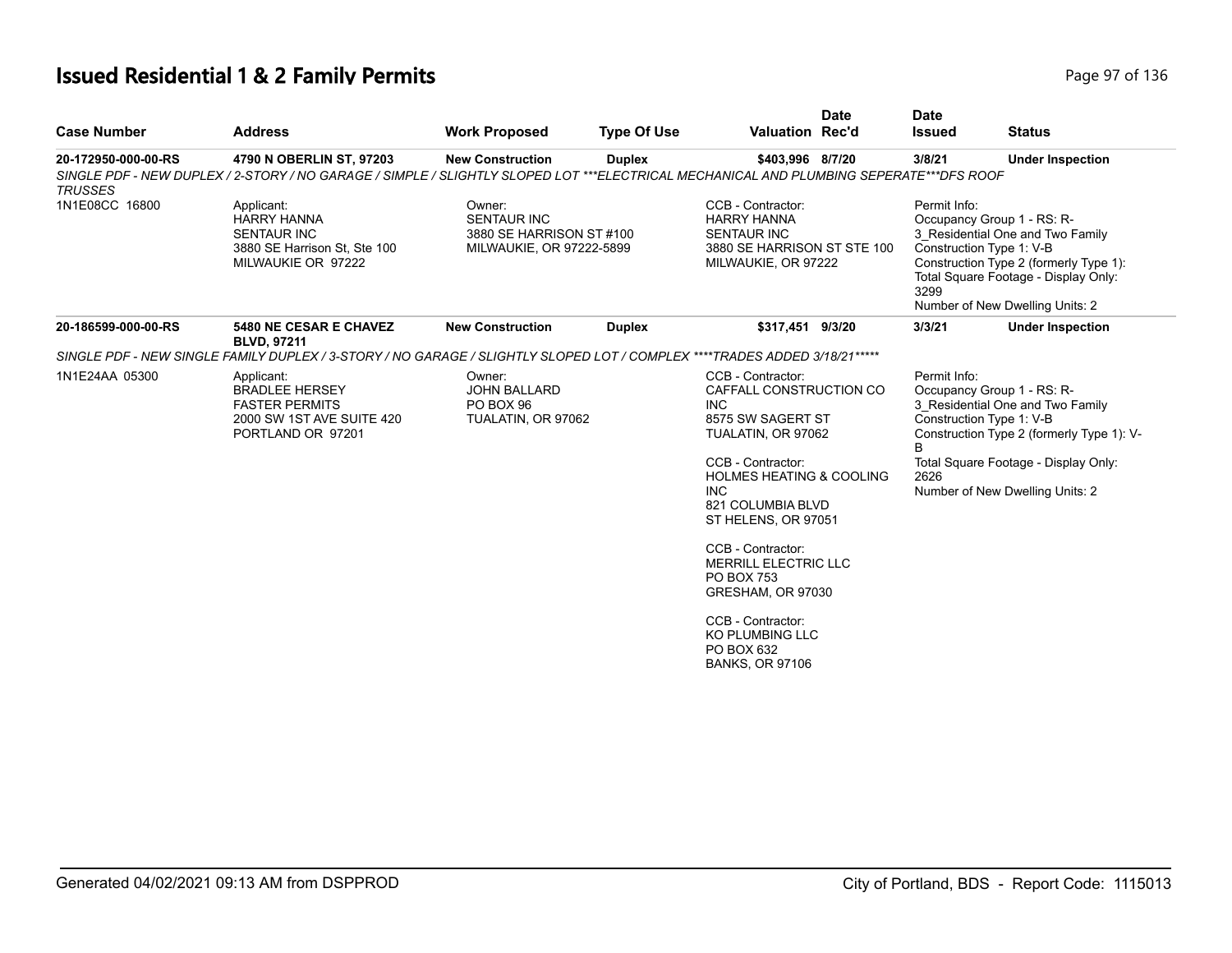# **Issued Residential 1 & 2 Family Permits Page 1136** 2 **Page 97 of 136**

| <b>Case Number</b>                    | <b>Address</b>                                                                                                                                                            | <b>Work Proposed</b>                                                                 | <b>Type Of Use</b> | <b>Valuation Rec'd</b>                                                                                                                                                                                                                                                                                                                                                                                           | <b>Date</b> | <b>Date</b><br><b>Issued</b> | <b>Status</b>                                                                                                                                                                                                      |
|---------------------------------------|---------------------------------------------------------------------------------------------------------------------------------------------------------------------------|--------------------------------------------------------------------------------------|--------------------|------------------------------------------------------------------------------------------------------------------------------------------------------------------------------------------------------------------------------------------------------------------------------------------------------------------------------------------------------------------------------------------------------------------|-------------|------------------------------|--------------------------------------------------------------------------------------------------------------------------------------------------------------------------------------------------------------------|
| 20-172950-000-00-RS<br><b>TRUSSES</b> | 4790 N OBERLIN ST, 97203<br>SINGLE PDF - NEW DUPLEX / 2-STORY / NO GARAGE / SIMPLE / SLIGHTLY SLOPED LOT ***ELECTRICAL MECHANICAL AND PLUMBING SEPERATE***DFS ROOF        | <b>New Construction</b>                                                              | <b>Duplex</b>      | \$403,996 8/7/20                                                                                                                                                                                                                                                                                                                                                                                                 |             | 3/8/21                       | <b>Under Inspection</b>                                                                                                                                                                                            |
| 1N1E08CC 16800                        | Applicant:<br><b>HARRY HANNA</b><br><b>SENTAUR INC</b><br>3880 SE Harrison St, Ste 100<br>MILWAUKIE OR 97222                                                              | Owner:<br><b>SENTAUR INC</b><br>3880 SE HARRISON ST #100<br>MILWAUKIE, OR 97222-5899 |                    | CCB - Contractor:<br><b>HARRY HANNA</b><br><b>SENTAUR INC</b><br>3880 SE HARRISON ST STE 100<br>MILWAUKIE, OR 97222                                                                                                                                                                                                                                                                                              |             | Permit Info:<br>3299         | Occupancy Group 1 - RS: R-<br>3_Residential One and Two Family<br>Construction Type 1: V-B<br>Construction Type 2 (formerly Type 1):<br>Total Square Footage - Display Only:<br>Number of New Dwelling Units: 2    |
| 20-186599-000-00-RS                   | 5480 NE CESAR E CHAVEZ<br><b>BLVD, 97211</b><br>SINGLE PDF - NEW SINGLE FAMILY DUPLEX / 3-STORY / NO GARAGE / SLIGHTLY SLOPED LOT / COMPLEX ****TRADES ADDED 3/18/21***** | <b>New Construction</b>                                                              | <b>Duplex</b>      | \$317,451 9/3/20                                                                                                                                                                                                                                                                                                                                                                                                 |             | 3/3/21                       | <b>Under Inspection</b>                                                                                                                                                                                            |
| 1N1E24AA 05300                        | Applicant:<br><b>BRADLEE HERSEY</b><br><b>FASTER PERMITS</b><br>2000 SW 1ST AVE SUITE 420<br>PORTLAND OR 97201                                                            | Owner:<br><b>JOHN BALLARD</b><br>PO BOX 96<br>TUALATIN, OR 97062                     |                    | CCB - Contractor:<br>CAFFALL CONSTRUCTION CO<br><b>INC</b><br>8575 SW SAGERT ST<br>TUALATIN, OR 97062<br>CCB - Contractor:<br><b>HOLMES HEATING &amp; COOLING</b><br><b>INC</b><br>821 COLUMBIA BLVD<br>ST HELENS, OR 97051<br>CCB - Contractor:<br><b>MERRILL ELECTRIC LLC</b><br><b>PO BOX 753</b><br>GRESHAM, OR 97030<br>CCB - Contractor:<br><b>KO PLUMBING LLC</b><br>PO BOX 632<br><b>BANKS, OR 97106</b> |             | Permit Info:<br>B<br>2626    | Occupancy Group 1 - RS: R-<br>3 Residential One and Two Family<br>Construction Type 1: V-B<br>Construction Type 2 (formerly Type 1): V-<br>Total Square Footage - Display Only:<br>Number of New Dwelling Units: 2 |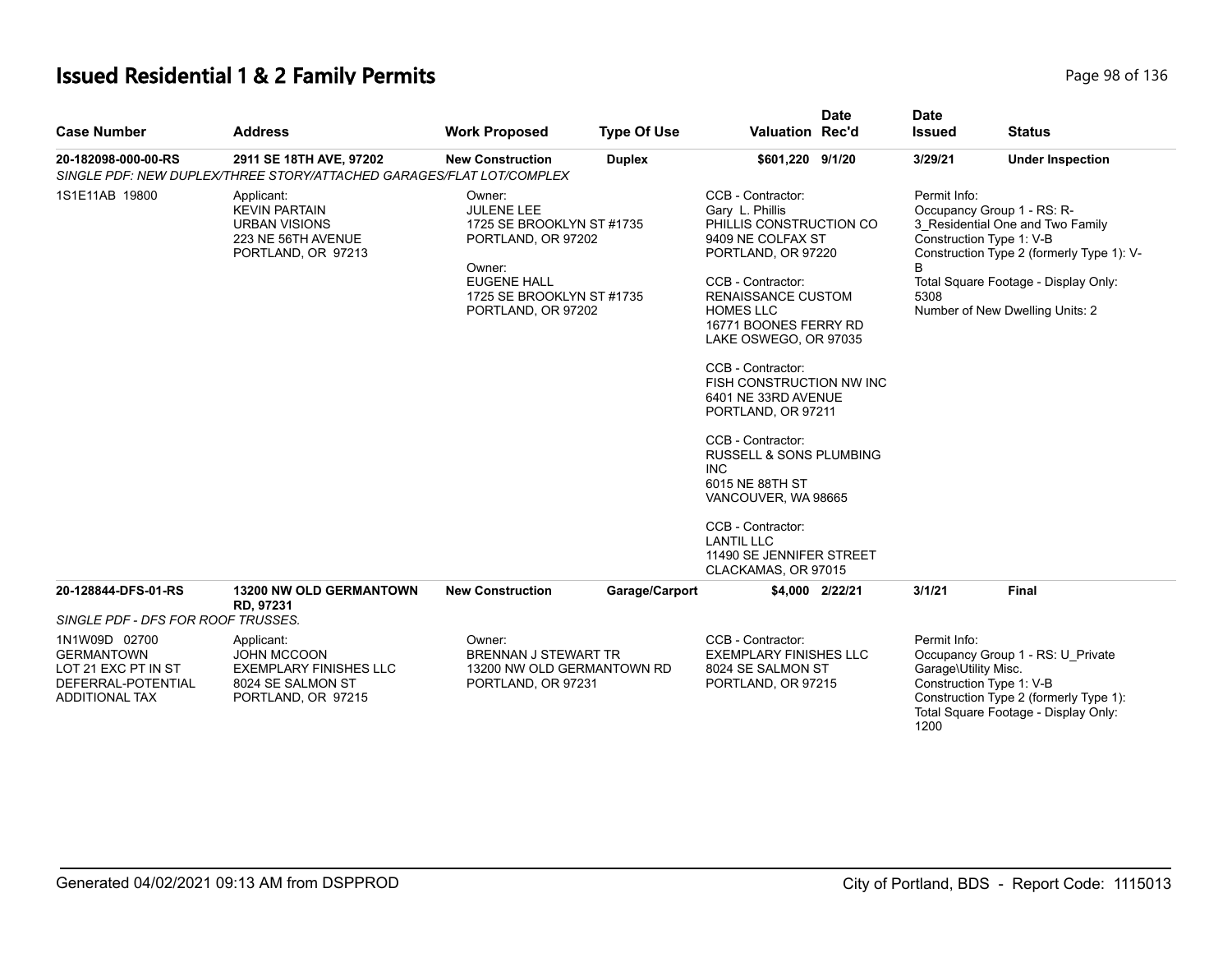# **Issued Residential 1 & 2 Family Permits Page 136** 2 **Page 98 of 136**

| <b>Case Number</b>                                                                                       | <b>Address</b>                                                                                               | <b>Work Proposed</b>                                                                                                                                              | <b>Type Of Use</b> | <b>Valuation Rec'd</b>                                                                                                                                                                                                                                                                                                                                                                                                                                                                                                                           | <b>Date</b> | <b>Date</b><br><b>Issued</b>                 | <b>Status</b>                                                                                                                                                                                                      |
|----------------------------------------------------------------------------------------------------------|--------------------------------------------------------------------------------------------------------------|-------------------------------------------------------------------------------------------------------------------------------------------------------------------|--------------------|--------------------------------------------------------------------------------------------------------------------------------------------------------------------------------------------------------------------------------------------------------------------------------------------------------------------------------------------------------------------------------------------------------------------------------------------------------------------------------------------------------------------------------------------------|-------------|----------------------------------------------|--------------------------------------------------------------------------------------------------------------------------------------------------------------------------------------------------------------------|
| 20-182098-000-00-RS                                                                                      | 2911 SE 18TH AVE, 97202<br>SINGLE PDF: NEW DUPLEX/THREE STORY/ATTACHED GARAGES/FLAT LOT/COMPLEX              | <b>New Construction</b>                                                                                                                                           | <b>Duplex</b>      | \$601,220 9/1/20                                                                                                                                                                                                                                                                                                                                                                                                                                                                                                                                 |             | 3/29/21                                      | <b>Under Inspection</b>                                                                                                                                                                                            |
| 1S1E11AB 19800                                                                                           | Applicant:<br><b>KEVIN PARTAIN</b><br><b>URBAN VISIONS</b><br>223 NE 56TH AVENUE<br>PORTLAND, OR 97213       | Owner:<br><b>JULENE LEE</b><br>1725 SE BROOKLYN ST #1735<br>PORTLAND, OR 97202<br>Owner:<br><b>EUGENE HALL</b><br>1725 SE BROOKLYN ST #1735<br>PORTLAND, OR 97202 |                    | CCB - Contractor:<br>Gary L. Phillis<br>PHILLIS CONSTRUCTION CO<br>9409 NE COLFAX ST<br>PORTLAND, OR 97220<br>CCB - Contractor:<br><b>RENAISSANCE CUSTOM</b><br><b>HOMES LLC</b><br>16771 BOONES FERRY RD<br>LAKE OSWEGO, OR 97035<br>CCB - Contractor:<br>FISH CONSTRUCTION NW INC<br>6401 NE 33RD AVENUE<br>PORTLAND, OR 97211<br>CCB - Contractor:<br><b>RUSSELL &amp; SONS PLUMBING</b><br><b>INC</b><br>6015 NE 88TH ST<br>VANCOUVER, WA 98665<br>CCB - Contractor:<br><b>LANTIL LLC</b><br>11490 SE JENNIFER STREET<br>CLACKAMAS, OR 97015 |             | Permit Info:<br>5308                         | Occupancy Group 1 - RS: R-<br>3 Residential One and Two Family<br>Construction Type 1: V-B<br>Construction Type 2 (formerly Type 1): V-<br>Total Square Footage - Display Only:<br>Number of New Dwelling Units: 2 |
| 20-128844-DFS-01-RS                                                                                      | <b>13200 NW OLD GERMANTOWN</b><br>RD, 97231                                                                  | <b>New Construction</b>                                                                                                                                           | Garage/Carport     | \$4,000 2/22/21                                                                                                                                                                                                                                                                                                                                                                                                                                                                                                                                  |             | 3/1/21                                       | <b>Final</b>                                                                                                                                                                                                       |
| SINGLE PDF - DFS FOR ROOF TRUSSES.                                                                       |                                                                                                              |                                                                                                                                                                   |                    |                                                                                                                                                                                                                                                                                                                                                                                                                                                                                                                                                  |             |                                              |                                                                                                                                                                                                                    |
| 1N1W09D 02700<br><b>GERMANTOWN</b><br>LOT 21 EXC PT IN ST<br>DEFERRAL-POTENTIAL<br><b>ADDITIONAL TAX</b> | Applicant:<br><b>JOHN MCCOON</b><br><b>EXEMPLARY FINISHES LLC</b><br>8024 SE SALMON ST<br>PORTLAND, OR 97215 | Owner:<br><b>BRENNAN J STEWART TR</b><br>13200 NW OLD GERMANTOWN RD<br>PORTLAND, OR 97231                                                                         |                    | CCB - Contractor:<br><b>EXEMPLARY FINISHES LLC</b><br>8024 SE SALMON ST<br>PORTLAND, OR 97215                                                                                                                                                                                                                                                                                                                                                                                                                                                    |             | Permit Info:<br>Garage\Utility Misc.<br>1200 | Occupancy Group 1 - RS: U Private<br>Construction Type 1: V-B<br>Construction Type 2 (formerly Type 1):<br>Total Square Footage - Display Only:                                                                    |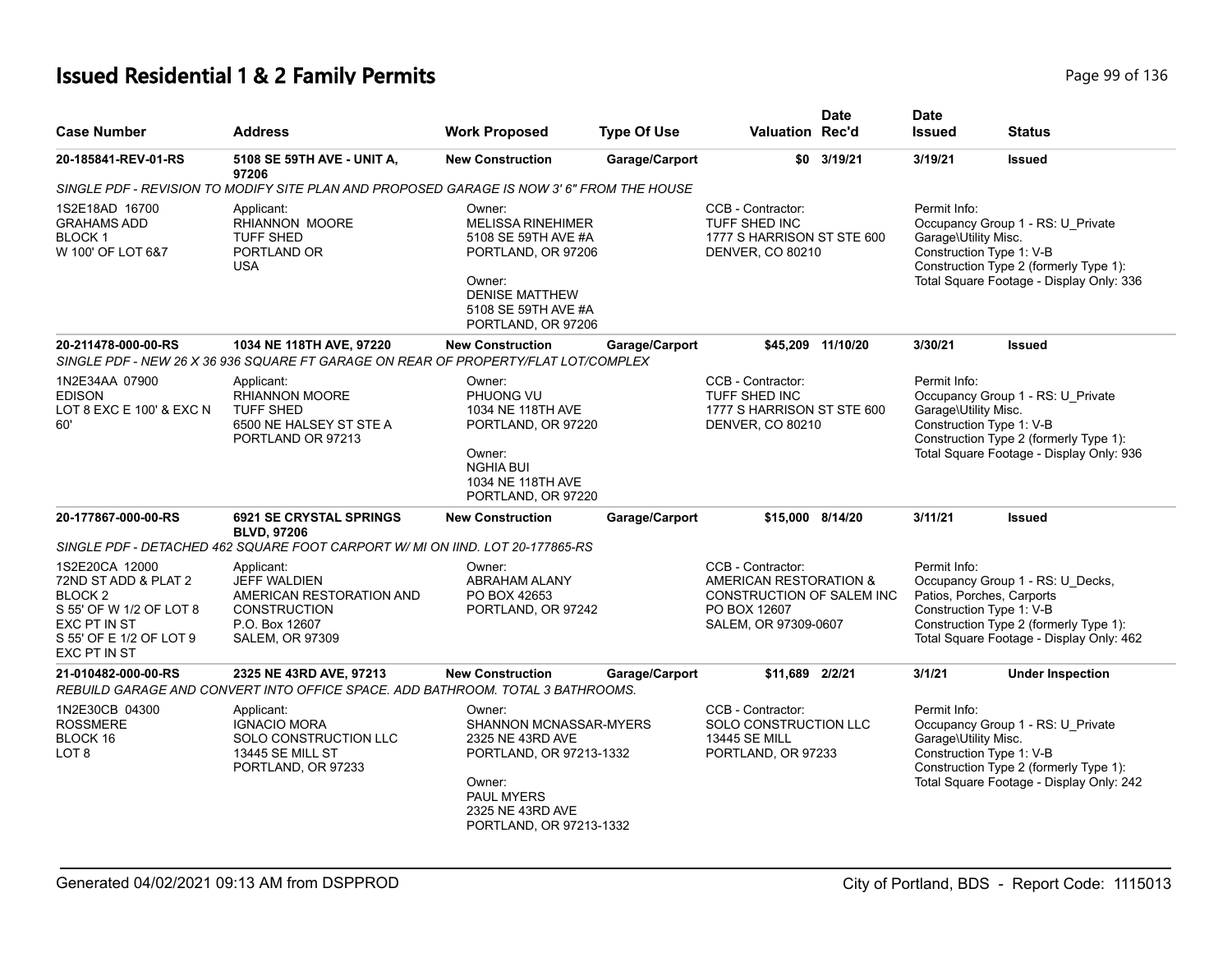# **Issued Residential 1 & 2 Family Permits Page 136** 2 **Page 99 of 136**

| <b>Case Number</b>                                                                                                                                 | <b>Address</b>                                                                                                                        | <b>Work Proposed</b>                                                                                                                                            | <b>Type Of Use</b> | Valuation Rec'd                                                                                                  | <b>Date</b>       | <b>Date</b><br><b>Issued</b>                                          | <b>Status</b>                                                                                                           |
|----------------------------------------------------------------------------------------------------------------------------------------------------|---------------------------------------------------------------------------------------------------------------------------------------|-----------------------------------------------------------------------------------------------------------------------------------------------------------------|--------------------|------------------------------------------------------------------------------------------------------------------|-------------------|-----------------------------------------------------------------------|-------------------------------------------------------------------------------------------------------------------------|
| 20-185841-REV-01-RS                                                                                                                                | 5108 SE 59TH AVE - UNIT A,<br>97206                                                                                                   | <b>New Construction</b>                                                                                                                                         | Garage/Carport     |                                                                                                                  | \$0 3/19/21       | 3/19/21                                                               | <b>Issued</b>                                                                                                           |
|                                                                                                                                                    | SINGLE PDF - REVISION TO MODIFY SITE PLAN AND PROPOSED GARAGE IS NOW 3' 6" FROM THE HOUSE                                             |                                                                                                                                                                 |                    |                                                                                                                  |                   |                                                                       |                                                                                                                         |
| 1S2E18AD 16700<br><b>GRAHAMS ADD</b><br><b>BLOCK1</b><br>W 100' OF LOT 6&7                                                                         | Applicant:<br>RHIANNON MOORE<br><b>TUFF SHED</b><br>PORTLAND OR<br><b>USA</b>                                                         | Owner:<br><b>MELISSA RINEHIMER</b><br>5108 SE 59TH AVE #A<br>PORTLAND, OR 97206<br>Owner:<br><b>DENISE MATTHEW</b><br>5108 SE 59TH AVE #A<br>PORTLAND, OR 97206 |                    | CCB - Contractor:<br>TUFF SHED INC<br>1777 S HARRISON ST STE 600<br>DENVER, CO 80210                             |                   | Permit Info:<br>Garage\Utility Misc.<br>Construction Type 1: V-B      | Occupancy Group 1 - RS: U Private<br>Construction Type 2 (formerly Type 1):<br>Total Square Footage - Display Only: 336 |
| 20-211478-000-00-RS                                                                                                                                | 1034 NE 118TH AVE, 97220<br>SINGLE PDF - NEW 26 X 36 936 SQUARE FT GARAGE ON REAR OF PROPERTY/FLAT LOT/COMPLEX                        | <b>New Construction</b>                                                                                                                                         | Garage/Carport     |                                                                                                                  | \$45,209 11/10/20 | 3/30/21                                                               | <b>Issued</b>                                                                                                           |
| 1N2E34AA 07900<br><b>EDISON</b><br>LOT 8 EXC E 100' & EXC N<br>60'                                                                                 | Applicant:<br><b>RHIANNON MOORE</b><br>TUFF SHED<br>6500 NE HALSEY ST STE A<br>PORTLAND OR 97213                                      | Owner:<br>PHUONG VU<br>1034 NE 118TH AVE<br>PORTLAND, OR 97220<br>Owner:<br><b>NGHIA BUI</b><br>1034 NE 118TH AVE<br>PORTLAND, OR 97220                         |                    | CCB - Contractor:<br>TUFF SHED INC<br>1777 S HARRISON ST STE 600<br>DENVER, CO 80210                             |                   | Permit Info:<br>Garage\Utility Misc.<br>Construction Type 1: V-B      | Occupancy Group 1 - RS: U Private<br>Construction Type 2 (formerly Type 1):<br>Total Square Footage - Display Only: 936 |
| 20-177867-000-00-RS                                                                                                                                | <b>6921 SE CRYSTAL SPRINGS</b><br><b>BLVD, 97206</b><br>SINGLE PDF - DETACHED 462 SQUARE FOOT CARPORT W/ MI ON IIND. LOT 20-177865-RS | <b>New Construction</b>                                                                                                                                         | Garage/Carport     | \$15,000 8/14/20                                                                                                 |                   | 3/11/21                                                               | <b>Issued</b>                                                                                                           |
| 1S2E20CA 12000<br>72ND ST ADD & PLAT 2<br>BLOCK <sub>2</sub><br>S 55' OF W 1/2 OF LOT 8<br>EXC PT IN ST<br>S 55' OF E 1/2 OF LOT 9<br>EXC PT IN ST | Applicant:<br><b>JEFF WALDIEN</b><br>AMERICAN RESTORATION AND<br><b>CONSTRUCTION</b><br>P.O. Box 12607<br><b>SALEM, OR 97309</b>      | Owner:<br><b>ABRAHAM ALANY</b><br>PO BOX 42653<br>PORTLAND, OR 97242                                                                                            |                    | CCB - Contractor:<br>AMERICAN RESTORATION &<br>CONSTRUCTION OF SALEM INC<br>PO BOX 12607<br>SALEM, OR 97309-0607 |                   | Permit Info:<br>Patios, Porches, Carports<br>Construction Type 1: V-B | Occupancy Group 1 - RS: U Decks,<br>Construction Type 2 (formerly Type 1):<br>Total Square Footage - Display Only: 462  |
| 21-010482-000-00-RS                                                                                                                                | 2325 NE 43RD AVE, 97213<br>REBUILD GARAGE AND CONVERT INTO OFFICE SPACE. ADD BATHROOM. TOTAL 3 BATHROOMS.                             | <b>New Construction</b>                                                                                                                                         | Garage/Carport     | \$11.689 2/2/21                                                                                                  |                   | 3/1/21                                                                | <b>Under Inspection</b>                                                                                                 |
| 1N2E30CB 04300<br><b>ROSSMERE</b><br>BLOCK 16<br>LOT <sub>8</sub>                                                                                  | Applicant:<br><b>IGNACIO MORA</b><br>SOLO CONSTRUCTION LLC<br><b>13445 SE MILL ST</b><br>PORTLAND, OR 97233                           | Owner:<br>SHANNON MCNASSAR-MYERS<br>2325 NE 43RD AVE<br>PORTLAND, OR 97213-1332<br>Owner:<br><b>PAUL MYERS</b><br>2325 NE 43RD AVE<br>PORTLAND, OR 97213-1332   |                    | CCB - Contractor:<br>SOLO CONSTRUCTION LLC<br>13445 SE MILL<br>PORTLAND, OR 97233                                |                   | Permit Info:<br>Garage\Utility Misc.<br>Construction Type 1: V-B      | Occupancy Group 1 - RS: U_Private<br>Construction Type 2 (formerly Type 1):<br>Total Square Footage - Display Only: 242 |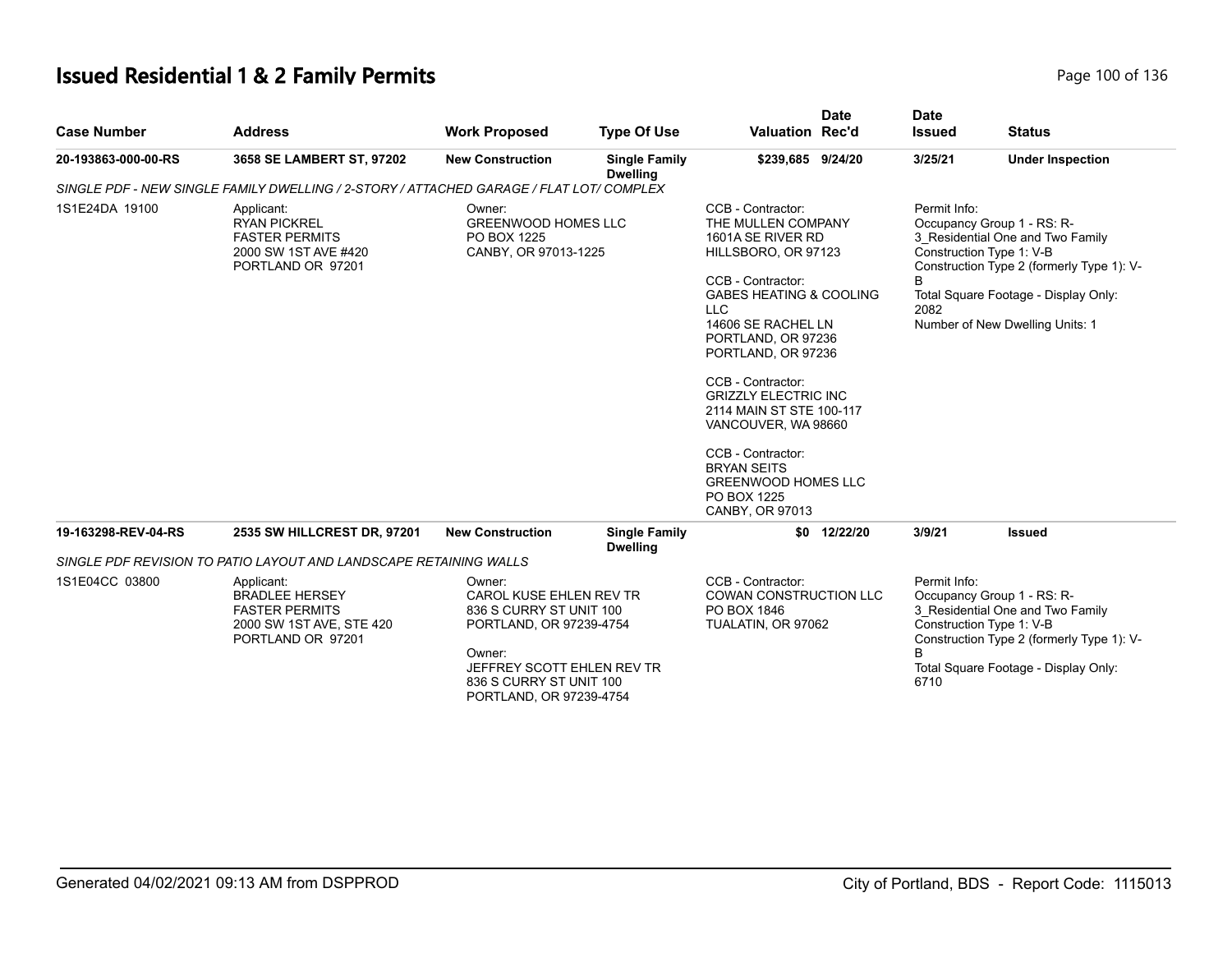# **Issued Residential 1 & 2 Family Permits Page 100 of 136** Page 100 of 136

| <b>Case Number</b>  | <b>Address</b>                                                                                                                                                                                                                                                                                         | <b>Work Proposed</b>    | <b>Type Of Use</b>                                                                                                                                                                                                                                                                                                                                                                                                                               | <b>Valuation Rec'd</b> | <b>Date</b>                                                                                                                                                                                                                                     | <b>Date</b><br><b>Issued</b> | <b>Status</b>           |
|---------------------|--------------------------------------------------------------------------------------------------------------------------------------------------------------------------------------------------------------------------------------------------------------------------------------------------------|-------------------------|--------------------------------------------------------------------------------------------------------------------------------------------------------------------------------------------------------------------------------------------------------------------------------------------------------------------------------------------------------------------------------------------------------------------------------------------------|------------------------|-------------------------------------------------------------------------------------------------------------------------------------------------------------------------------------------------------------------------------------------------|------------------------------|-------------------------|
| 20-193863-000-00-RS | 3658 SE LAMBERT ST, 97202                                                                                                                                                                                                                                                                              | <b>New Construction</b> | <b>Single Family</b><br><b>Dwelling</b>                                                                                                                                                                                                                                                                                                                                                                                                          | \$239,685 9/24/20      |                                                                                                                                                                                                                                                 | 3/25/21                      | <b>Under Inspection</b> |
|                     |                                                                                                                                                                                                                                                                                                        |                         |                                                                                                                                                                                                                                                                                                                                                                                                                                                  |                        |                                                                                                                                                                                                                                                 |                              |                         |
| 1S1E24DA 19100      | SINGLE PDF - NEW SINGLE FAMILY DWELLING / 2-STORY / ATTACHED GARAGE / FLAT LOT/ COMPLEX<br>Owner:<br>Applicant:<br><b>GREENWOOD HOMES LLC</b><br><b>RYAN PICKREL</b><br><b>FASTER PERMITS</b><br>PO BOX 1225<br>2000 SW 1ST AVE #420<br>CANBY, OR 97013-1225<br>PORTLAND OR 97201                      |                         | CCB - Contractor:<br>THE MULLEN COMPANY<br>1601A SE RIVER RD<br>HILLSBORO, OR 97123<br>CCB - Contractor:<br><b>GABES HEATING &amp; COOLING</b><br><b>LLC</b><br>14606 SE RACHEL LN<br>PORTLAND, OR 97236<br>PORTLAND, OR 97236<br>CCB - Contractor:<br><b>GRIZZLY ELECTRIC INC</b><br>2114 MAIN ST STE 100-117<br>VANCOUVER, WA 98660<br>CCB - Contractor:<br><b>BRYAN SEITS</b><br><b>GREENWOOD HOMES LLC</b><br>PO BOX 1225<br>CANBY, OR 97013 |                        | Permit Info:<br>Occupancy Group 1 - RS: R-<br>3_Residential One and Two Family<br>Construction Type 1: V-B<br>Construction Type 2 (formerly Type 1): V-<br>B<br>Total Square Footage - Display Only:<br>2082<br>Number of New Dwelling Units: 1 |                              |                         |
| 19-163298-REV-04-RS | 2535 SW HILLCREST DR, 97201                                                                                                                                                                                                                                                                            | <b>New Construction</b> | <b>Single Family</b><br><b>Dwelling</b>                                                                                                                                                                                                                                                                                                                                                                                                          |                        | \$0 12/22/20                                                                                                                                                                                                                                    | 3/9/21                       | <b>Issued</b>           |
|                     | SINGLE PDF REVISION TO PATIO LAYOUT AND LANDSCAPE RETAINING WALLS                                                                                                                                                                                                                                      |                         |                                                                                                                                                                                                                                                                                                                                                                                                                                                  |                        |                                                                                                                                                                                                                                                 |                              |                         |
| 1S1E04CC 03800      | Owner:<br>Applicant:<br>CAROL KUSE EHLEN REV TR<br><b>BRADLEE HERSEY</b><br><b>FASTER PERMITS</b><br>836 S CURRY ST UNIT 100<br>2000 SW 1ST AVE, STE 420<br>PORTLAND, OR 97239-4754<br>PORTLAND OR 97201<br>Owner:<br>JEFFREY SCOTT EHLEN REV TR<br>836 S CURRY ST UNIT 100<br>PORTLAND, OR 97239-4754 |                         | CCB - Contractor:<br>COWAN CONSTRUCTION LLC<br>PO BOX 1846<br>TUALATIN, OR 97062                                                                                                                                                                                                                                                                                                                                                                 |                        | Permit Info:<br>Occupancy Group 1 - RS: R-<br>3 Residential One and Two Family<br>Construction Type 1: V-B<br>Construction Type 2 (formerly Type 1): V-<br>B.<br>Total Square Footage - Display Only:<br>6710                                   |                              |                         |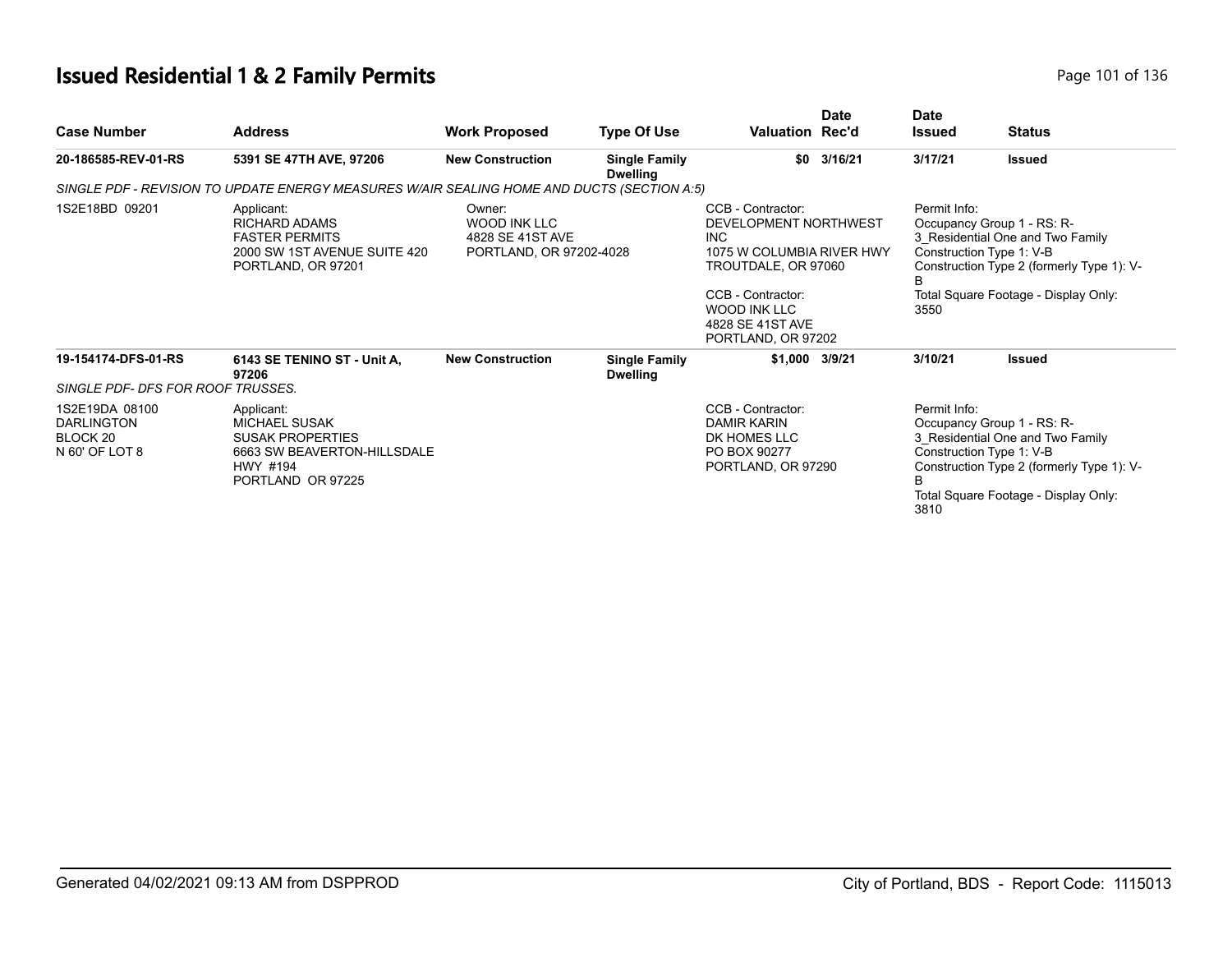# **Issued Residential 1 & 2 Family Permits**

|  | Page 101 of 136 |  |  |  |
|--|-----------------|--|--|--|
|--|-----------------|--|--|--|

| <b>Case Number</b>                                                                                                                                                                                                  | <b>Address</b>                                                                                                                | <b>Work Proposed</b>                                                                                                                                                                               | <b>Type Of Use</b>                      | <b>Valuation Rec'd</b>                                                                                                                                                                                  | <b>Date</b> | <b>Date</b><br><b>Issued</b> | <b>Status</b>                                                                                                                                                                   |
|---------------------------------------------------------------------------------------------------------------------------------------------------------------------------------------------------------------------|-------------------------------------------------------------------------------------------------------------------------------|----------------------------------------------------------------------------------------------------------------------------------------------------------------------------------------------------|-----------------------------------------|---------------------------------------------------------------------------------------------------------------------------------------------------------------------------------------------------------|-------------|------------------------------|---------------------------------------------------------------------------------------------------------------------------------------------------------------------------------|
| 20-186585-REV-01-RS                                                                                                                                                                                                 | 5391 SE 47TH AVE, 97206                                                                                                       | <b>New Construction</b>                                                                                                                                                                            | <b>Single Family</b><br><b>Dwelling</b> | \$0                                                                                                                                                                                                     | 3/16/21     | 3/17/21                      | Issued                                                                                                                                                                          |
|                                                                                                                                                                                                                     | SINGLE PDF - REVISION TO UPDATE ENERGY MEASURES W/AIR SEALING HOME AND DUCTS (SECTION A:5)                                    |                                                                                                                                                                                                    |                                         |                                                                                                                                                                                                         |             |                              |                                                                                                                                                                                 |
| 1S2E18BD 09201<br>Owner:<br>Applicant:<br><b>WOOD INK LLC</b><br><b>RICHARD ADAMS</b><br><b>FASTER PERMITS</b><br>4828 SE 41ST AVE<br>2000 SW 1ST AVENUE SUITE 420<br>PORTLAND, OR 97202-4028<br>PORTLAND, OR 97201 |                                                                                                                               | CCB - Contractor:<br>DEVELOPMENT NORTHWEST<br><b>INC</b><br>1075 W COLUMBIA RIVER HWY<br>TROUTDALE, OR 97060<br>CCB - Contractor:<br><b>WOOD INK LLC</b><br>4828 SE 41ST AVE<br>PORTLAND, OR 97202 |                                         | Permit Info:<br>Occupancy Group 1 - RS: R-<br>3 Residential One and Two Family<br>Construction Type 1: V-B<br>Construction Type 2 (formerly Type 1): V-<br>Total Square Footage - Display Only:<br>3550 |             |                              |                                                                                                                                                                                 |
| 19-154174-DFS-01-RS<br>SINGLE PDF- DFS FOR ROOF TRUSSES.                                                                                                                                                            | 6143 SE TENINO ST - Unit A,<br>97206                                                                                          | <b>New Construction</b>                                                                                                                                                                            | <b>Single Family</b><br><b>Dwelling</b> | \$1,000 3/9/21                                                                                                                                                                                          |             | 3/10/21                      | <b>Issued</b>                                                                                                                                                                   |
| 1S2E19DA 08100<br><b>DARLINGTON</b><br>BLOCK <sub>20</sub><br>N 60' OF LOT 8                                                                                                                                        | Applicant:<br><b>MICHAEL SUSAK</b><br><b>SUSAK PROPERTIES</b><br>6663 SW BEAVERTON-HILLSDALE<br>HWY #194<br>PORTLAND OR 97225 |                                                                                                                                                                                                    |                                         | CCB - Contractor:<br><b>DAMIR KARIN</b><br>DK HOMES LLC<br>PO BOX 90277<br>PORTLAND, OR 97290                                                                                                           |             | Permit Info:<br>В<br>3810    | Occupancy Group 1 - RS: R-<br>3 Residential One and Two Family<br>Construction Type 1: V-B<br>Construction Type 2 (formerly Type 1): V-<br>Total Square Footage - Display Only: |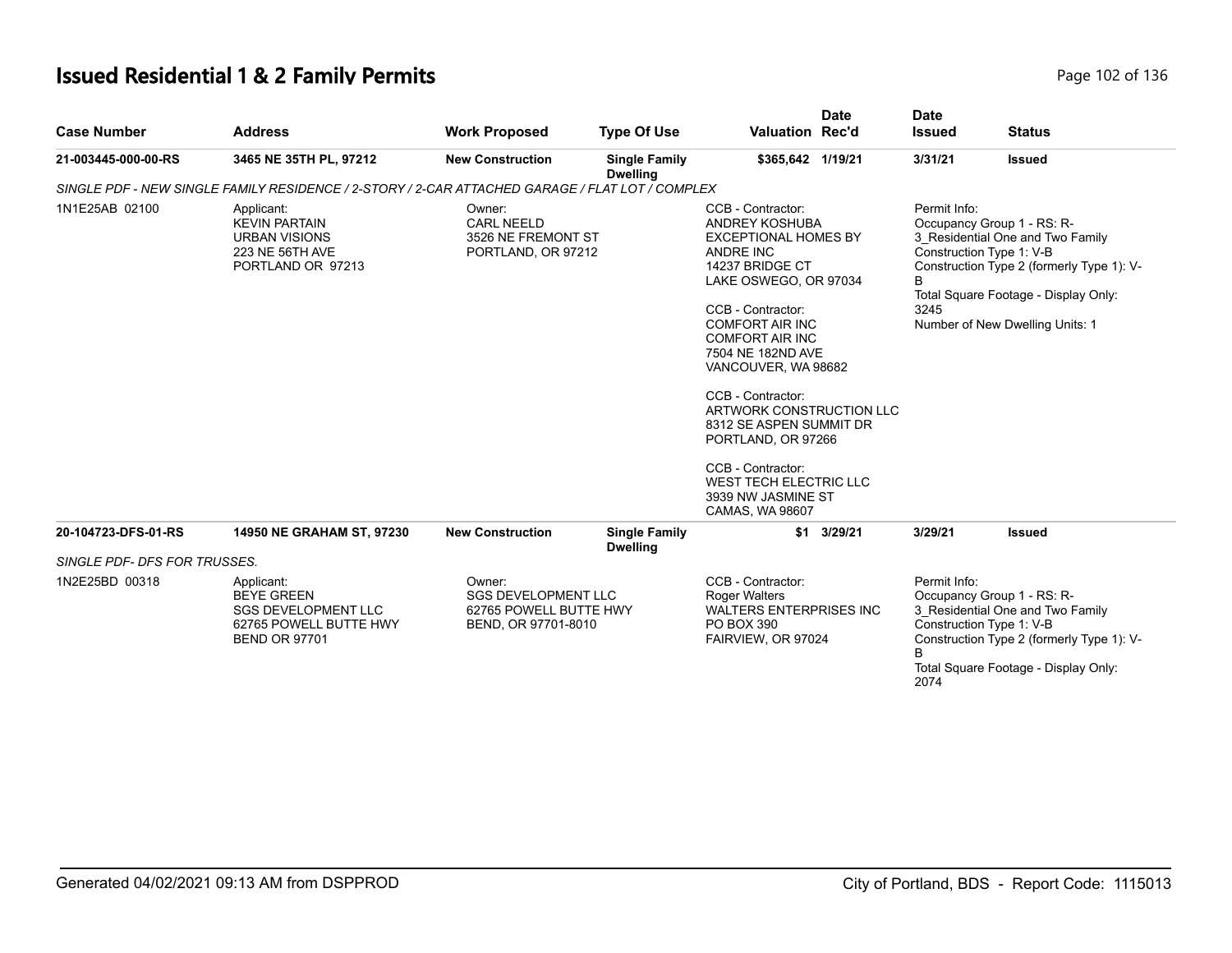# **Issued Residential 1 & 2 Family Permits Page 102 of 136** Page 102 of 136

| <b>Case Number</b>           | <b>Address</b>                                                                                                  | <b>Work Proposed</b>                                                                  | <b>Type Of Use</b>                      | <b>Date</b><br><b>Valuation Rec'd</b>                                                                                                                                                                                                                                                                                                                                                                                                      |             | <b>Date</b><br><b>Issued</b><br><b>Status</b>                                                                                                                                                           |                                                                                                                                                                                                                    |  |
|------------------------------|-----------------------------------------------------------------------------------------------------------------|---------------------------------------------------------------------------------------|-----------------------------------------|--------------------------------------------------------------------------------------------------------------------------------------------------------------------------------------------------------------------------------------------------------------------------------------------------------------------------------------------------------------------------------------------------------------------------------------------|-------------|---------------------------------------------------------------------------------------------------------------------------------------------------------------------------------------------------------|--------------------------------------------------------------------------------------------------------------------------------------------------------------------------------------------------------------------|--|
| 21-003445-000-00-RS          | 3465 NE 35TH PL, 97212                                                                                          | <b>New Construction</b>                                                               | <b>Single Family</b><br><b>Dwelling</b> | \$365,642 1/19/21                                                                                                                                                                                                                                                                                                                                                                                                                          |             | 3/31/21                                                                                                                                                                                                 | <b>Issued</b>                                                                                                                                                                                                      |  |
|                              | SINGLE PDF - NEW SINGLE FAMILY RESIDENCE / 2-STORY / 2-CAR ATTACHED GARAGE / FLAT LOT / COMPLEX                 |                                                                                       |                                         |                                                                                                                                                                                                                                                                                                                                                                                                                                            |             |                                                                                                                                                                                                         |                                                                                                                                                                                                                    |  |
| 1N1E25AB 02100               | Applicant:<br><b>KEVIN PARTAIN</b><br><b>URBAN VISIONS</b><br>223 NE 56TH AVE<br>PORTLAND OR 97213              | Owner:<br><b>CARL NEELD</b><br>3526 NE FREMONT ST<br>PORTLAND, OR 97212               |                                         | CCB - Contractor:<br>ANDREY KOSHUBA<br><b>EXCEPTIONAL HOMES BY</b><br>ANDRE INC<br>14237 BRIDGE CT<br>LAKE OSWEGO, OR 97034<br>CCB - Contractor:<br><b>COMFORT AIR INC</b><br><b>COMFORT AIR INC</b><br>7504 NE 182ND AVE<br>VANCOUVER, WA 98682<br>CCB - Contractor:<br>ARTWORK CONSTRUCTION LLC<br>8312 SE ASPEN SUMMIT DR<br>PORTLAND, OR 97266<br>CCB - Contractor:<br>WEST TECH ELECTRIC LLC<br>3939 NW JASMINE ST<br>CAMAS, WA 98607 |             | Permit Info:<br>B<br>3245                                                                                                                                                                               | Occupancy Group 1 - RS: R-<br>3_Residential One and Two Family<br>Construction Type 1: V-B<br>Construction Type 2 (formerly Type 1): V-<br>Total Square Footage - Display Only:<br>Number of New Dwelling Units: 1 |  |
| 20-104723-DFS-01-RS          | <b>14950 NE GRAHAM ST, 97230</b>                                                                                | <b>New Construction</b>                                                               | <b>Single Family</b><br><b>Dwelling</b> |                                                                                                                                                                                                                                                                                                                                                                                                                                            | \$1 3/29/21 | 3/29/21                                                                                                                                                                                                 | <b>Issued</b>                                                                                                                                                                                                      |  |
| SINGLE PDF- DFS FOR TRUSSES. |                                                                                                                 |                                                                                       |                                         |                                                                                                                                                                                                                                                                                                                                                                                                                                            |             |                                                                                                                                                                                                         |                                                                                                                                                                                                                    |  |
| 1N2E25BD 00318               | Applicant:<br><b>BEYE GREEN</b><br><b>SGS DEVELOPMENT LLC</b><br>62765 POWELL BUTTE HWY<br><b>BEND OR 97701</b> | Owner:<br><b>SGS DEVELOPMENT LLC</b><br>62765 POWELL BUTTE HWY<br>BEND, OR 97701-8010 |                                         | CCB - Contractor:<br><b>Roger Walters</b><br><b>WALTERS ENTERPRISES INC</b><br>PO BOX 390<br>FAIRVIEW, OR 97024                                                                                                                                                                                                                                                                                                                            |             | Permit Info:<br>Occupancy Group 1 - RS: R-<br>3_Residential One and Two Family<br>Construction Type 1: V-B<br>Construction Type 2 (formerly Type 1): V-<br>Total Square Footage - Display Only:<br>2074 |                                                                                                                                                                                                                    |  |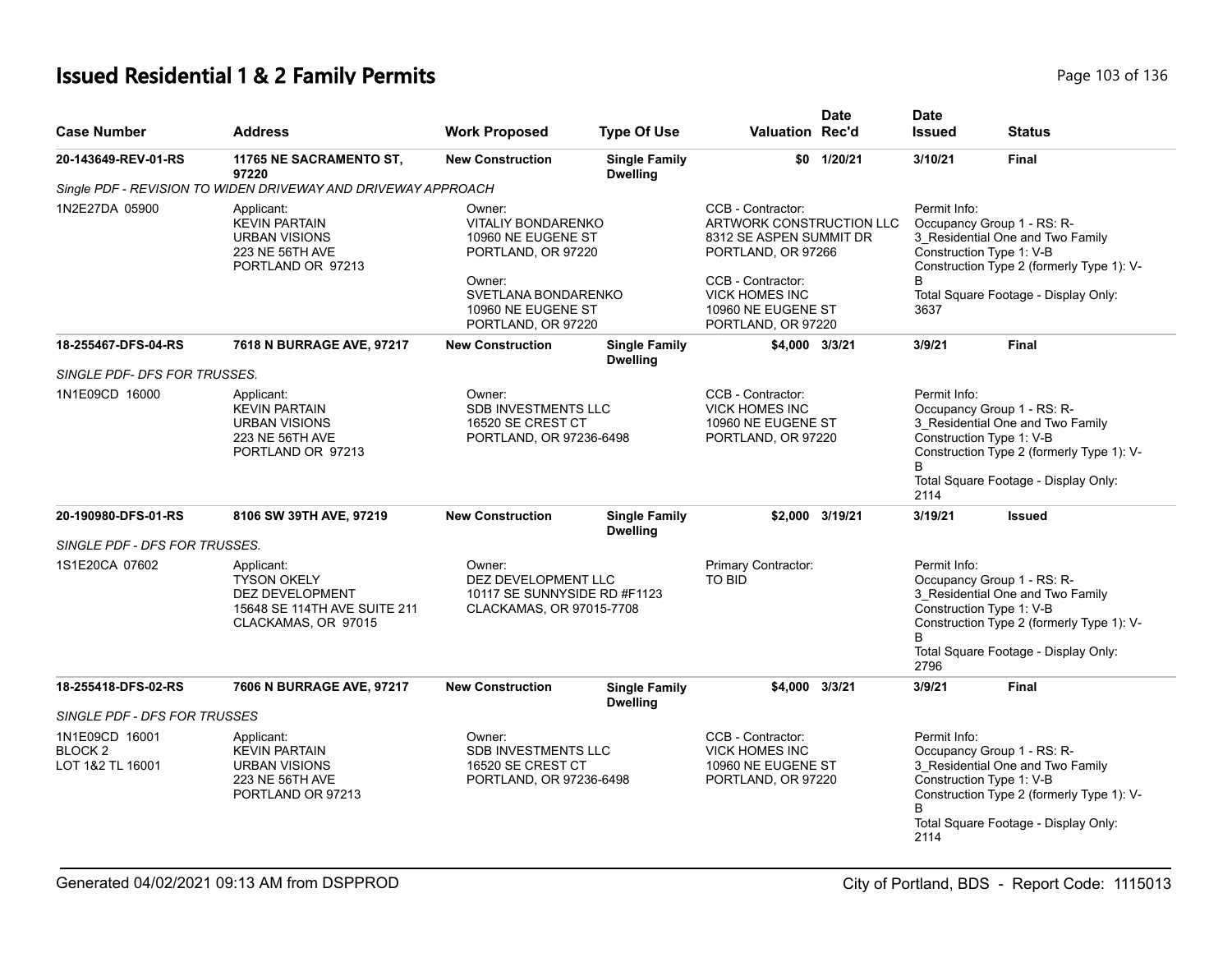# **Issued Residential 1 & 2 Family Permits Page 103 of 136** Page 103 of 136

| <b>Case Number</b>                                       | <b>Address</b>                                                                                                    | <b>Work Proposed</b>                                                                                                                                         | <b>Type Of Use</b>                      | <b>Valuation Rec'd</b>                                                                                                                                                                   | <b>Date</b>     | <b>Date</b><br><b>Issued</b>         | <b>Status</b>                                                                                                                                                                   |
|----------------------------------------------------------|-------------------------------------------------------------------------------------------------------------------|--------------------------------------------------------------------------------------------------------------------------------------------------------------|-----------------------------------------|------------------------------------------------------------------------------------------------------------------------------------------------------------------------------------------|-----------------|--------------------------------------|---------------------------------------------------------------------------------------------------------------------------------------------------------------------------------|
| 20-143649-REV-01-RS                                      | 11765 NE SACRAMENTO ST,<br>97220                                                                                  | <b>New Construction</b>                                                                                                                                      | <b>Single Family</b><br><b>Dwelling</b> |                                                                                                                                                                                          | \$0 1/20/21     | 3/10/21                              | <b>Final</b>                                                                                                                                                                    |
|                                                          | Single PDF - REVISION TO WIDEN DRIVEWAY AND DRIVEWAY APPROACH                                                     |                                                                                                                                                              |                                         |                                                                                                                                                                                          |                 |                                      |                                                                                                                                                                                 |
| 1N2E27DA 05900                                           | Applicant:<br><b>KEVIN PARTAIN</b><br><b>URBAN VISIONS</b><br>223 NE 56TH AVE<br>PORTLAND OR 97213                | Owner:<br><b>VITALIY BONDARENKO</b><br>10960 NE EUGENE ST<br>PORTLAND, OR 97220<br>Owner:<br>SVETLANA BONDARENKO<br>10960 NE EUGENE ST<br>PORTLAND, OR 97220 |                                         | CCB - Contractor:<br>ARTWORK CONSTRUCTION LLC<br>8312 SE ASPEN SUMMIT DR<br>PORTLAND, OR 97266<br>CCB - Contractor:<br><b>VICK HOMES INC</b><br>10960 NE EUGENE ST<br>PORTLAND, OR 97220 |                 | Permit Info:<br>3637                 | Occupancy Group 1 - RS: R-<br>3 Residential One and Two Family<br>Construction Type 1: V-B<br>Construction Type 2 (formerly Type 1): V-<br>Total Square Footage - Display Only: |
| 18-255467-DFS-04-RS                                      | 7618 N BURRAGE AVE, 97217                                                                                         | <b>New Construction</b>                                                                                                                                      | <b>Single Family</b><br><b>Dwelling</b> | \$4,000 3/3/21                                                                                                                                                                           |                 | 3/9/21                               | Final                                                                                                                                                                           |
| SINGLE PDF- DFS FOR TRUSSES.                             |                                                                                                                   |                                                                                                                                                              |                                         |                                                                                                                                                                                          |                 |                                      |                                                                                                                                                                                 |
| 1N1E09CD 16000                                           | Applicant:<br><b>KEVIN PARTAIN</b><br><b>URBAN VISIONS</b><br>223 NE 56TH AVE<br>PORTLAND OR 97213                | Owner:<br>SDB INVESTMENTS LLC<br>16520 SE CREST CT<br>PORTLAND, OR 97236-6498                                                                                |                                         | CCB - Contractor:<br><b>VICK HOMES INC</b><br>10960 NE EUGENE ST<br>PORTLAND, OR 97220                                                                                                   |                 | Permit Info:<br>B<br>2114            | Occupancy Group 1 - RS: R-<br>3 Residential One and Two Family<br>Construction Type 1: V-B<br>Construction Type 2 (formerly Type 1): V-<br>Total Square Footage - Display Only: |
| 20-190980-DFS-01-RS                                      | 8106 SW 39TH AVE, 97219                                                                                           | <b>New Construction</b>                                                                                                                                      | <b>Single Family</b><br><b>Dwelling</b> |                                                                                                                                                                                          | \$2,000 3/19/21 | 3/19/21                              | <b>Issued</b>                                                                                                                                                                   |
| SINGLE PDF - DFS FOR TRUSSES.                            |                                                                                                                   |                                                                                                                                                              |                                         |                                                                                                                                                                                          |                 |                                      |                                                                                                                                                                                 |
| 1S1E20CA 07602                                           | Applicant:<br><b>TYSON OKELY</b><br><b>DEZ DEVELOPMENT</b><br>15648 SE 114TH AVE SUITE 211<br>CLACKAMAS, OR 97015 | Owner:<br>DEZ DEVELOPMENT LLC<br>10117 SE SUNNYSIDE RD #F1123<br>CLACKAMAS, OR 97015-7708                                                                    |                                         | Primary Contractor:<br><b>TO BID</b>                                                                                                                                                     |                 | Permit Info:<br>2796                 | Occupancy Group 1 - RS: R-<br>3_Residential One and Two Family<br>Construction Type 1: V-B<br>Construction Type 2 (formerly Type 1): V-<br>Total Square Footage - Display Only: |
| 18-255418-DFS-02-RS                                      | 7606 N BURRAGE AVE, 97217                                                                                         | <b>New Construction</b>                                                                                                                                      | <b>Single Family</b><br><b>Dwelling</b> | \$4,000 3/3/21                                                                                                                                                                           |                 | 3/9/21                               | <b>Final</b>                                                                                                                                                                    |
| <b>SINGLE PDF - DFS FOR TRUSSES</b>                      |                                                                                                                   |                                                                                                                                                              |                                         |                                                                                                                                                                                          |                 |                                      |                                                                                                                                                                                 |
| 1N1E09CD 16001<br>BLOCK <sub>2</sub><br>LOT 1&2 TL 16001 | Applicant:<br><b>KEVIN PARTAIN</b><br><b>URBAN VISIONS</b><br>223 NE 56TH AVE<br>PORTLAND OR 97213                | Owner:<br>SDB INVESTMENTS LLC<br>16520 SE CREST CT<br>PORTLAND, OR 97236-6498                                                                                |                                         | CCB - Contractor:<br><b>VICK HOMES INC</b><br>10960 NE EUGENE ST<br>PORTLAND, OR 97220                                                                                                   |                 | Permit Info:<br><sub>R</sub><br>2114 | Occupancy Group 1 - RS: R-<br>3_Residential One and Two Family<br>Construction Type 1: V-B<br>Construction Type 2 (formerly Type 1): V-<br>Total Square Footage - Display Only: |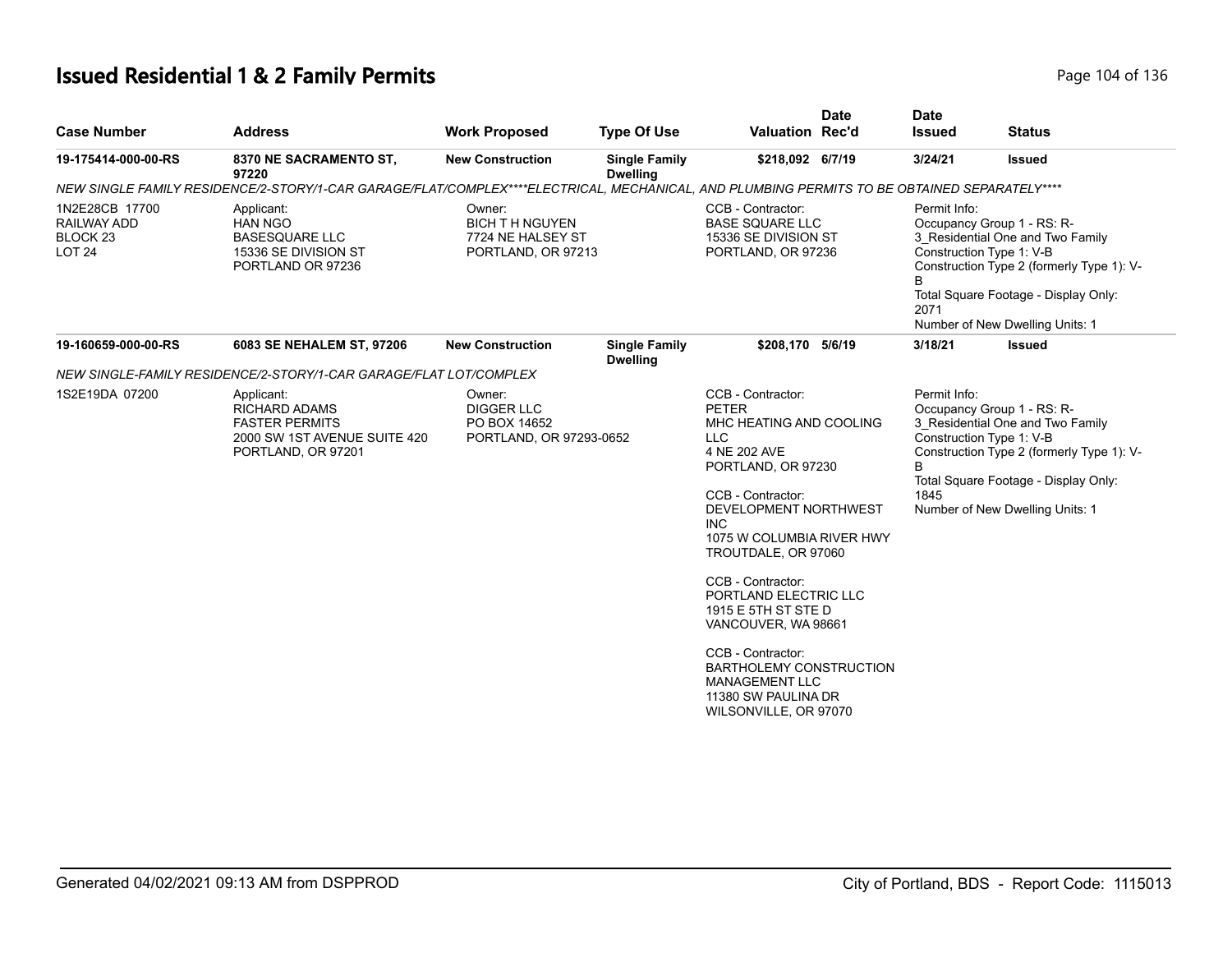# **Issued Residential 1 & 2 Family Permits Page 104 of 136** Page 104 of 136

| <b>Case Number</b>                                                    | <b>Address</b>                                                                                                                              | <b>Work Proposed</b>                                                       | <b>Type Of Use</b>                      | <b>Valuation Rec'd</b>                                                                                                                                                                                                                                                                                                                                                                                                                          | <b>Date</b> | <b>Date</b><br><b>Issued</b>                          | <b>Status</b>                                                                                                                                                                          |
|-----------------------------------------------------------------------|---------------------------------------------------------------------------------------------------------------------------------------------|----------------------------------------------------------------------------|-----------------------------------------|-------------------------------------------------------------------------------------------------------------------------------------------------------------------------------------------------------------------------------------------------------------------------------------------------------------------------------------------------------------------------------------------------------------------------------------------------|-------------|-------------------------------------------------------|----------------------------------------------------------------------------------------------------------------------------------------------------------------------------------------|
| 19-175414-000-00-RS                                                   | 8370 NE SACRAMENTO ST,<br>97220                                                                                                             | <b>New Construction</b>                                                    | <b>Single Family</b><br><b>Dwelling</b> | \$218,092 6/7/19                                                                                                                                                                                                                                                                                                                                                                                                                                |             | 3/24/21                                               | <b>Issued</b>                                                                                                                                                                          |
|                                                                       | NEW SINGLE FAMILY RESIDENCE/2-STORY/1-CAR GARAGE/FLAT/COMPLEX****ELECTRICAL, MECHANICAL, AND PLUMBING PERMITS TO BE OBTAINED SEPARATELY**** |                                                                            |                                         |                                                                                                                                                                                                                                                                                                                                                                                                                                                 |             |                                                       |                                                                                                                                                                                        |
| 1N2E28CB 17700<br>RAILWAY ADD<br>BLOCK <sub>23</sub><br><b>LOT 24</b> | Applicant:<br><b>HAN NGO</b><br><b>BASESQUARE LLC</b><br>15336 SE DIVISION ST<br>PORTLAND OR 97236                                          | Owner:<br><b>BICH TH NGUYEN</b><br>7724 NE HALSEY ST<br>PORTLAND, OR 97213 |                                         | CCB - Contractor:<br><b>BASE SQUARE LLC</b><br>15336 SE DIVISION ST<br>PORTLAND, OR 97236                                                                                                                                                                                                                                                                                                                                                       |             | Permit Info:<br>Construction Type 1: V-B<br>B<br>2071 | Occupancy Group 1 - RS: R-<br>3_Residential One and Two Family<br>Construction Type 2 (formerly Type 1): V-<br>Total Square Footage - Display Only:<br>Number of New Dwelling Units: 1 |
| 19-160659-000-00-RS                                                   | 6083 SE NEHALEM ST, 97206                                                                                                                   | <b>New Construction</b>                                                    | <b>Single Family</b><br><b>Dwelling</b> | \$208,170 5/6/19                                                                                                                                                                                                                                                                                                                                                                                                                                |             | 3/18/21                                               | Issued                                                                                                                                                                                 |
|                                                                       | NEW SINGLE-FAMILY RESIDENCE/2-STORY/1-CAR GARAGE/FLAT LOT/COMPLEX                                                                           |                                                                            |                                         |                                                                                                                                                                                                                                                                                                                                                                                                                                                 |             |                                                       |                                                                                                                                                                                        |
| 1S2E19DA 07200                                                        | Applicant:<br><b>RICHARD ADAMS</b><br><b>FASTER PERMITS</b><br>2000 SW 1ST AVENUE SUITE 420<br>PORTLAND, OR 97201                           | Owner:<br><b>DIGGER LLC</b><br>PO BOX 14652<br>PORTLAND, OR 97293-0652     |                                         | CCB - Contractor:<br><b>PETER</b><br>MHC HEATING AND COOLING<br><b>LLC</b><br>4 NE 202 AVE<br>PORTLAND, OR 97230<br>CCB - Contractor:<br>DEVELOPMENT NORTHWEST<br>INC.<br>1075 W COLUMBIA RIVER HWY<br>TROUTDALE, OR 97060<br>CCB - Contractor:<br>PORTLAND ELECTRIC LLC<br>1915 E 5TH ST STE D<br>VANCOUVER, WA 98661<br>CCB - Contractor:<br>BARTHOLEMY CONSTRUCTION<br><b>MANAGEMENT LLC</b><br>11380 SW PAULINA DR<br>WILSONVILLE, OR 97070 |             | Permit Info:<br>Construction Type 1: V-B<br>B<br>1845 | Occupancy Group 1 - RS: R-<br>3_Residential One and Two Family<br>Construction Type 2 (formerly Type 1): V-<br>Total Square Footage - Display Only:<br>Number of New Dwelling Units: 1 |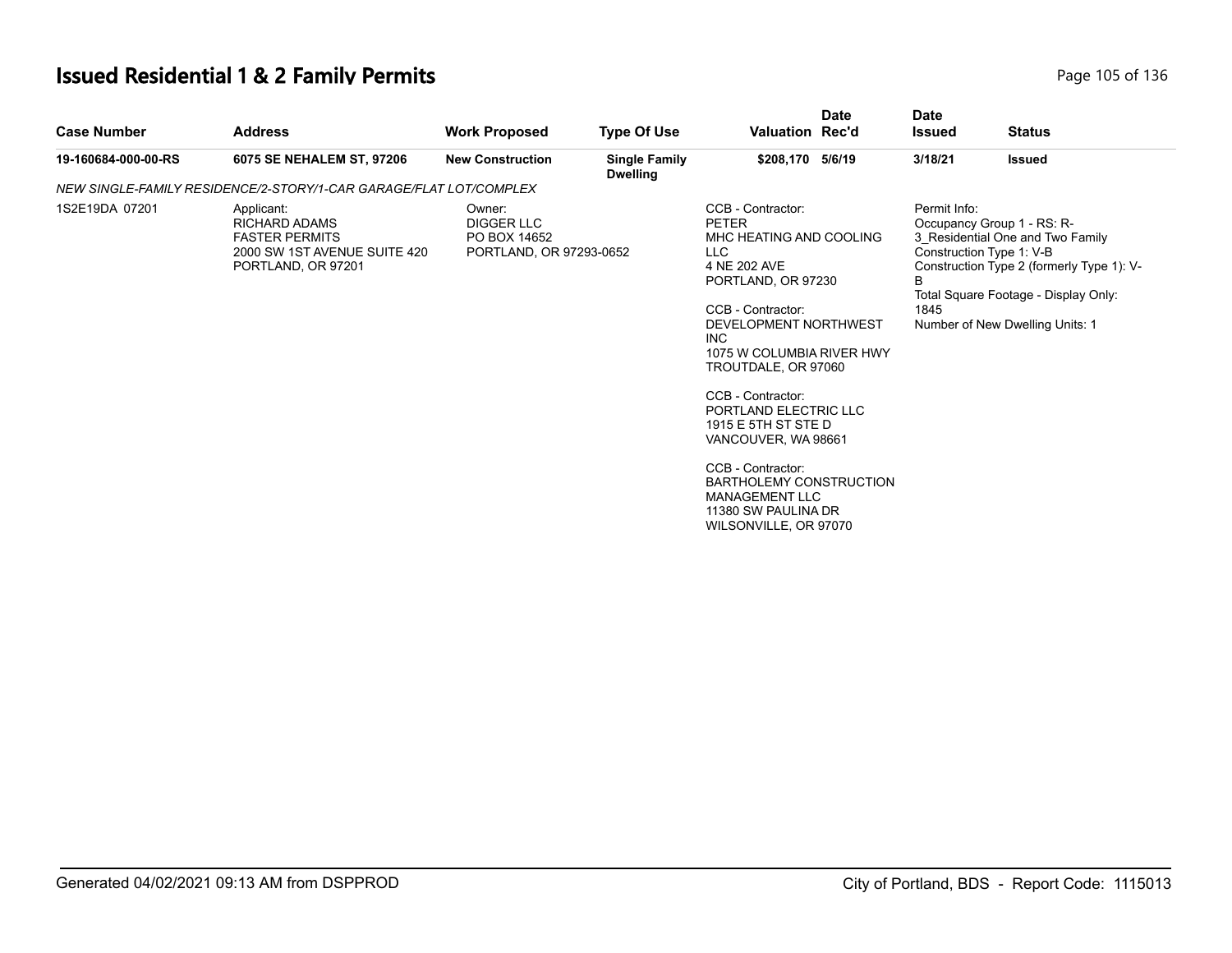# **Issued Residential 1 & 2 Family Permits Page 105 of 136** Page 105 of 136

| <b>Case Number</b>  | <b>Address</b>                                                                                                    | <b>Work Proposed</b>                                                   | <b>Type Of Use</b>                      | <b>Valuation Rec'd</b>                                                                                                                                                                                                                                                                                                                                                                                                                                       | <b>Date</b> | <b>Date</b><br><b>Issued</b> | <b>Status</b>                                                                                                                                                                                                      |
|---------------------|-------------------------------------------------------------------------------------------------------------------|------------------------------------------------------------------------|-----------------------------------------|--------------------------------------------------------------------------------------------------------------------------------------------------------------------------------------------------------------------------------------------------------------------------------------------------------------------------------------------------------------------------------------------------------------------------------------------------------------|-------------|------------------------------|--------------------------------------------------------------------------------------------------------------------------------------------------------------------------------------------------------------------|
| 19-160684-000-00-RS | 6075 SE NEHALEM ST, 97206                                                                                         | <b>New Construction</b>                                                | <b>Single Family</b><br><b>Dwelling</b> | \$208,170 5/6/19                                                                                                                                                                                                                                                                                                                                                                                                                                             |             | 3/18/21                      | <b>Issued</b>                                                                                                                                                                                                      |
|                     | NEW SINGLE-FAMILY RESIDENCE/2-STORY/1-CAR GARAGE/FLAT LOT/COMPLEX                                                 |                                                                        |                                         |                                                                                                                                                                                                                                                                                                                                                                                                                                                              |             |                              |                                                                                                                                                                                                                    |
| 1S2E19DA 07201      | Applicant:<br><b>RICHARD ADAMS</b><br><b>FASTER PERMITS</b><br>2000 SW 1ST AVENUE SUITE 420<br>PORTLAND, OR 97201 | Owner:<br><b>DIGGER LLC</b><br>PO BOX 14652<br>PORTLAND, OR 97293-0652 |                                         | CCB - Contractor:<br><b>PETER</b><br>MHC HEATING AND COOLING<br><b>LLC</b><br>4 NE 202 AVE<br>PORTLAND, OR 97230<br>CCB - Contractor:<br>DEVELOPMENT NORTHWEST<br><b>INC</b><br>1075 W COLUMBIA RIVER HWY<br>TROUTDALE, OR 97060<br>CCB - Contractor:<br>PORTLAND ELECTRIC LLC<br>1915 E 5TH ST STE D<br>VANCOUVER, WA 98661<br>CCB - Contractor:<br><b>BARTHOLEMY CONSTRUCTION</b><br><b>MANAGEMENT LLC</b><br>11380 SW PAULINA DR<br>WILSONVILLE, OR 97070 |             | Permit Info:<br>B<br>1845    | Occupancy Group 1 - RS: R-<br>3_Residential One and Two Family<br>Construction Type 1: V-B<br>Construction Type 2 (formerly Type 1): V-<br>Total Square Footage - Display Only:<br>Number of New Dwelling Units: 1 |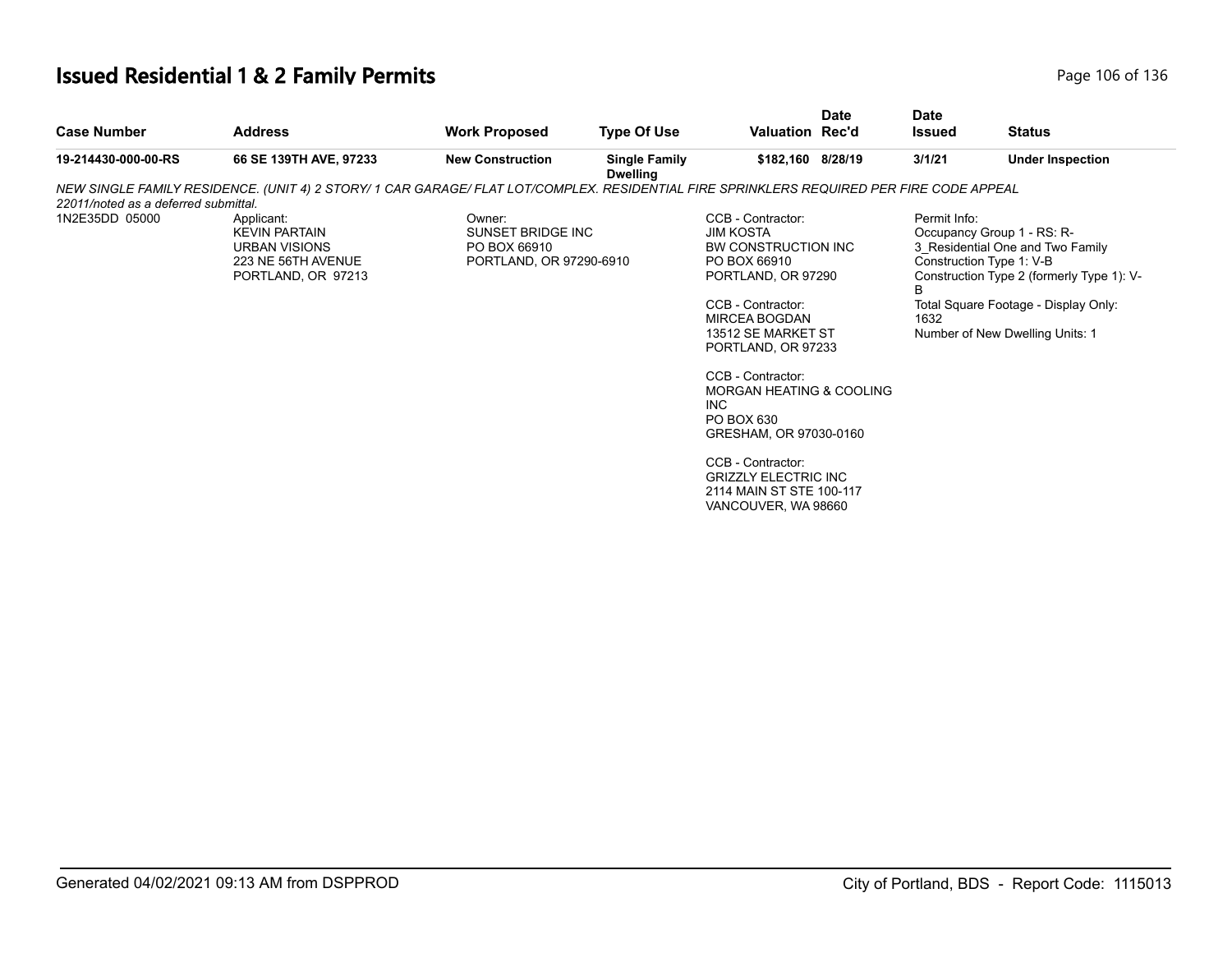# **Issued Residential 1 & 2 Family Permits Page 106 of 136** Page 106 of 136

| <b>Case Number</b>                   | <b>Address</b>                                                                                                                           | <b>Work Proposed</b>                                                   | <b>Type Of Use</b>                      | <b>Valuation Rec'd</b>                                                                                                                                                                                                                                                               | <b>Date</b>                                                                    | <b>Date</b><br><b>Issued</b>                                                                                                                                                                                                                    | <b>Status</b>           |  |
|--------------------------------------|------------------------------------------------------------------------------------------------------------------------------------------|------------------------------------------------------------------------|-----------------------------------------|--------------------------------------------------------------------------------------------------------------------------------------------------------------------------------------------------------------------------------------------------------------------------------------|--------------------------------------------------------------------------------|-------------------------------------------------------------------------------------------------------------------------------------------------------------------------------------------------------------------------------------------------|-------------------------|--|
| 19-214430-000-00-RS                  | 66 SE 139TH AVE, 97233                                                                                                                   | <b>New Construction</b>                                                | <b>Single Family</b><br><b>Dwelling</b> | \$182,160 8/28/19                                                                                                                                                                                                                                                                    |                                                                                | 3/1/21                                                                                                                                                                                                                                          | <b>Under Inspection</b> |  |
|                                      | NEW SINGLE FAMILY RESIDENCE. (UNIT 4) 2 STORY/ 1 CAR GARAGE/ FLAT LOT/COMPLEX. RESIDENTIAL FIRE SPRINKLERS REQUIRED PER FIRE CODE APPEAL |                                                                        |                                         |                                                                                                                                                                                                                                                                                      |                                                                                |                                                                                                                                                                                                                                                 |                         |  |
| 22011/noted as a deferred submittal. |                                                                                                                                          |                                                                        |                                         |                                                                                                                                                                                                                                                                                      |                                                                                |                                                                                                                                                                                                                                                 |                         |  |
| 1N2E35DD 05000                       | Applicant:<br><b>KEVIN PARTAIN</b><br><b>URBAN VISIONS</b><br>223 NE 56TH AVENUE<br>PORTLAND, OR 97213                                   | Owner:<br>SUNSET BRIDGE INC<br>PO BOX 66910<br>PORTLAND, OR 97290-6910 |                                         | CCB - Contractor:<br><b>JIM KOSTA</b><br>BW CONSTRUCTION INC<br>PO BOX 66910<br>PORTLAND, OR 97290<br>CCB - Contractor:<br>MIRCEA BOGDAN<br>13512 SE MARKET ST<br>PORTLAND, OR 97233<br>CCB - Contractor:<br>MORGAN HEATING & COOLING<br>INC<br>PO BOX 630<br>GRESHAM, OR 97030-0160 |                                                                                | Permit Info:<br>Occupancy Group 1 - RS: R-<br>3 Residential One and Two Family<br>Construction Type 1: V-B<br>Construction Type 2 (formerly Type 1): V-<br>B<br>Total Square Footage - Display Only:<br>1632<br>Number of New Dwelling Units: 1 |                         |  |
|                                      |                                                                                                                                          |                                                                        |                                         |                                                                                                                                                                                                                                                                                      | <b>GRIZZLY ELECTRIC INC</b><br>2114 MAIN ST STE 100-117<br>VANCOUVER, WA 98660 |                                                                                                                                                                                                                                                 |                         |  |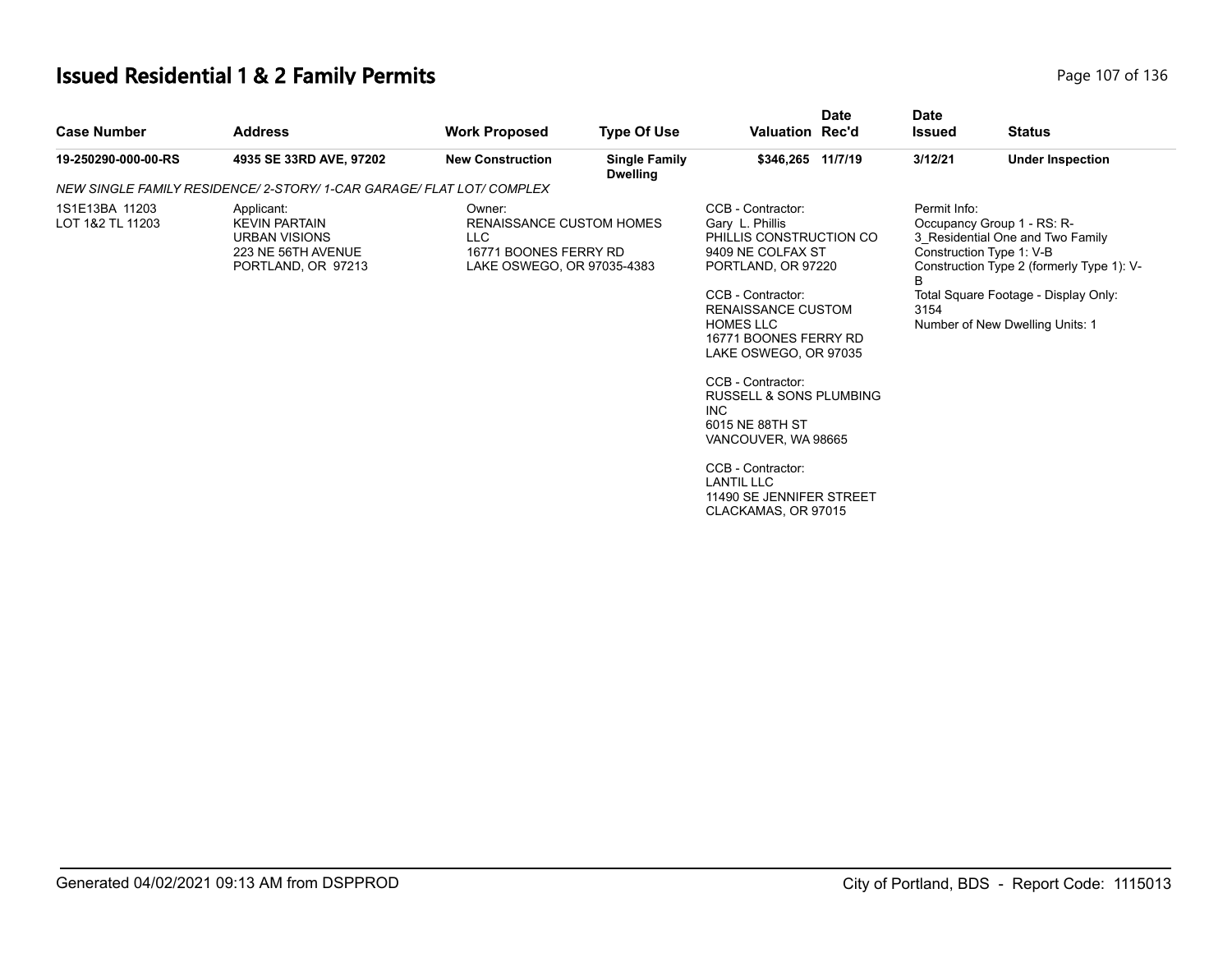# **Issued Residential 1 & 2 Family Permits Page 107 of 136** Page 107 of 136

| <b>Address</b>                                                                                         | <b>Work Proposed</b>    | <b>Type Of Use</b>                                                    |                                                                                                                                                                               | <b>Date</b> | Date<br><b>Issued</b>                                                                                                                                                                                                                                                                                     | <b>Status</b>                                                                                                                                                                                                      |
|--------------------------------------------------------------------------------------------------------|-------------------------|-----------------------------------------------------------------------|-------------------------------------------------------------------------------------------------------------------------------------------------------------------------------|-------------|-----------------------------------------------------------------------------------------------------------------------------------------------------------------------------------------------------------------------------------------------------------------------------------------------------------|--------------------------------------------------------------------------------------------------------------------------------------------------------------------------------------------------------------------|
| 4935 SE 33RD AVE, 97202                                                                                | <b>New Construction</b> | <b>Single Family</b>                                                  |                                                                                                                                                                               |             | 3/12/21                                                                                                                                                                                                                                                                                                   | <b>Under Inspection</b>                                                                                                                                                                                            |
|                                                                                                        |                         |                                                                       |                                                                                                                                                                               |             |                                                                                                                                                                                                                                                                                                           |                                                                                                                                                                                                                    |
| Applicant:<br><b>KEVIN PARTAIN</b><br><b>URBAN VISIONS</b><br>223 NE 56TH AVENUE<br>PORTLAND, OR 97213 | Owner:<br>LLC           |                                                                       | CCB - Contractor:<br>Gary L. Phillis<br>CCB - Contractor:<br><b>HOMES LLC</b><br>CCB - Contractor:<br><b>INC</b><br>6015 NE 88TH ST<br>CCB - Contractor:<br><b>LANTIL LLC</b> |             | Permit Info:<br>B<br>3154                                                                                                                                                                                                                                                                                 | Occupancy Group 1 - RS: R-<br>3 Residential One and Two Family<br>Construction Type 1: V-B<br>Construction Type 2 (formerly Type 1): V-<br>Total Square Footage - Display Only:<br>Number of New Dwelling Units: 1 |
|                                                                                                        |                         | NEW SINGLE FAMILY RESIDENCE/ 2-STORY/ 1-CAR GARAGE/ FLAT LOT/ COMPLEX | <b>Dwelling</b><br>RENAISSANCE CUSTOM HOMES<br>16771 BOONES FERRY RD<br>LAKE OSWEGO, OR 97035-4383                                                                            |             | Valuation Rec'd<br>\$346,265 11/7/19<br>PHILLIS CONSTRUCTION CO<br>9409 NE COLFAX ST<br>PORTLAND, OR 97220<br><b>RENAISSANCE CUSTOM</b><br>16771 BOONES FERRY RD<br>LAKE OSWEGO, OR 97035<br><b>RUSSELL &amp; SONS PLUMBING</b><br>VANCOUVER, WA 98665<br>11490 SE JENNIFER STREET<br>CLACKAMAS, OR 97015 |                                                                                                                                                                                                                    |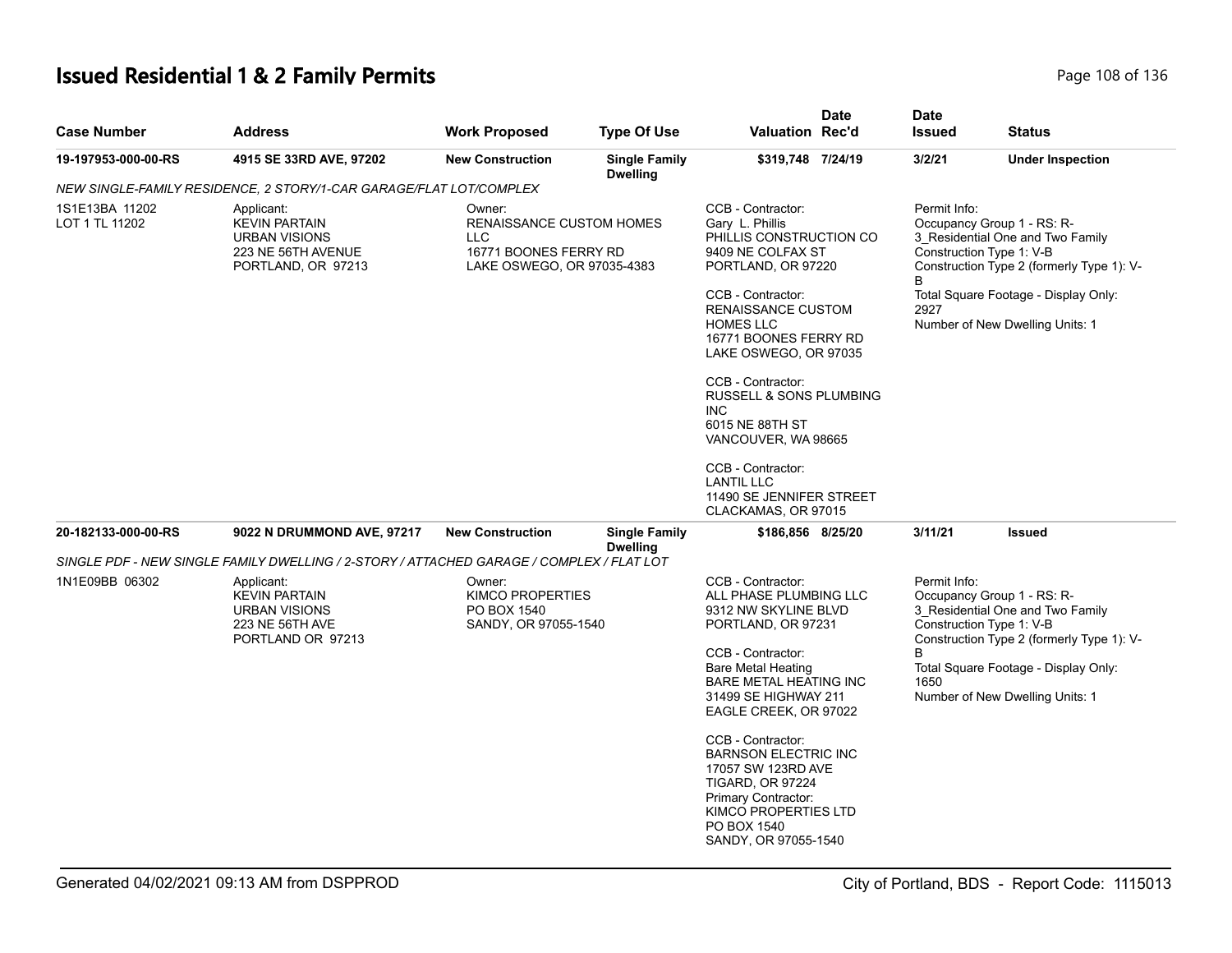# **Issued Residential 1 & 2 Family Permits Page 108 of 136** Page 108 of 136

| <b>Case Number</b>               | <b>Address</b>                                                                                                                                                                                             | <b>Work Proposed</b>                                              | <b>Type Of Use</b>                      | <b>Valuation Rec'd</b>                                                                                                                                                                                                      | Date | <b>Date</b><br><b>Issued</b>                                                                                                                                                                                                                    | <b>Status</b>           |
|----------------------------------|------------------------------------------------------------------------------------------------------------------------------------------------------------------------------------------------------------|-------------------------------------------------------------------|-----------------------------------------|-----------------------------------------------------------------------------------------------------------------------------------------------------------------------------------------------------------------------------|------|-------------------------------------------------------------------------------------------------------------------------------------------------------------------------------------------------------------------------------------------------|-------------------------|
| 19-197953-000-00-RS              | 4915 SE 33RD AVE, 97202                                                                                                                                                                                    | <b>New Construction</b>                                           | <b>Single Family</b><br><b>Dwelling</b> | \$319,748 7/24/19                                                                                                                                                                                                           |      | 3/2/21                                                                                                                                                                                                                                          | <b>Under Inspection</b> |
|                                  | NEW SINGLE-FAMILY RESIDENCE, 2 STORY/1-CAR GARAGE/FLAT LOT/COMPLEX                                                                                                                                         |                                                                   |                                         |                                                                                                                                                                                                                             |      |                                                                                                                                                                                                                                                 |                         |
| 1S1E13BA 11202<br>LOT 1 TL 11202 | Applicant:<br>Owner:<br><b>KEVIN PARTAIN</b><br>RENAISSANCE CUSTOM HOMES<br><b>URBAN VISIONS</b><br>LLC<br>16771 BOONES FERRY RD<br>223 NE 56TH AVENUE<br>LAKE OSWEGO, OR 97035-4383<br>PORTLAND, OR 97213 |                                                                   |                                         | CCB - Contractor:<br>Gary L. Phillis<br>PHILLIS CONSTRUCTION CO<br>9409 NE COLFAX ST<br>PORTLAND, OR 97220<br>CCB - Contractor:<br>RENAISSANCE CUSTOM<br><b>HOMES LLC</b><br>16771 BOONES FERRY RD<br>LAKE OSWEGO, OR 97035 |      | Permit Info:<br>Occupancy Group 1 - RS: R-<br>3_Residential One and Two Family<br>Construction Type 1: V-B<br>Construction Type 2 (formerly Type 1): V-<br>Total Square Footage - Display Only:<br>2927<br>Number of New Dwelling Units: 1      |                         |
|                                  |                                                                                                                                                                                                            |                                                                   |                                         | CCB - Contractor:<br>RUSSELL & SONS PLUMBING<br><b>INC</b><br>6015 NE 88TH ST<br>VANCOUVER, WA 98665                                                                                                                        |      |                                                                                                                                                                                                                                                 |                         |
|                                  |                                                                                                                                                                                                            |                                                                   |                                         | CCB - Contractor:<br><b>LANTIL LLC</b><br>11490 SE JENNIFER STREET<br>CLACKAMAS, OR 97015                                                                                                                                   |      |                                                                                                                                                                                                                                                 |                         |
| 20-182133-000-00-RS              | 9022 N DRUMMOND AVE, 97217                                                                                                                                                                                 | <b>New Construction</b>                                           | <b>Single Family</b><br><b>Dwelling</b> | \$186,856 8/25/20                                                                                                                                                                                                           |      | 3/11/21                                                                                                                                                                                                                                         | <b>Issued</b>           |
|                                  | SINGLE PDF - NEW SINGLE FAMILY DWELLING / 2-STORY / ATTACHED GARAGE / COMPLEX / FLAT LOT                                                                                                                   |                                                                   |                                         |                                                                                                                                                                                                                             |      |                                                                                                                                                                                                                                                 |                         |
| 1N1E09BB 06302                   | Applicant:<br><b>KEVIN PARTAIN</b><br><b>URBAN VISIONS</b><br>223 NE 56TH AVE<br>PORTLAND OR 97213                                                                                                         | Owner:<br>KIMCO PROPERTIES<br>PO BOX 1540<br>SANDY, OR 97055-1540 |                                         | CCB - Contractor:<br>ALL PHASE PLUMBING LLC<br>9312 NW SKYLINE BLVD<br>PORTLAND, OR 97231<br>CCB - Contractor:<br><b>Bare Metal Heating</b><br>BARE METAL HEATING INC<br>31499 SE HIGHWAY 211<br>EAGLE CREEK, OR 97022      |      | Permit Info:<br>Occupancy Group 1 - RS: R-<br>3 Residential One and Two Family<br>Construction Type 1: V-B<br>Construction Type 2 (formerly Type 1): V-<br>B<br>Total Square Footage - Display Only:<br>1650<br>Number of New Dwelling Units: 1 |                         |
|                                  |                                                                                                                                                                                                            |                                                                   |                                         | CCB - Contractor:<br><b>BARNSON ELECTRIC INC</b><br>17057 SW 123RD AVE<br><b>TIGARD, OR 97224</b><br>Primary Contractor:<br>KIMCO PROPERTIES LTD<br>PO BOX 1540<br>SANDY, OR 97055-1540                                     |      |                                                                                                                                                                                                                                                 |                         |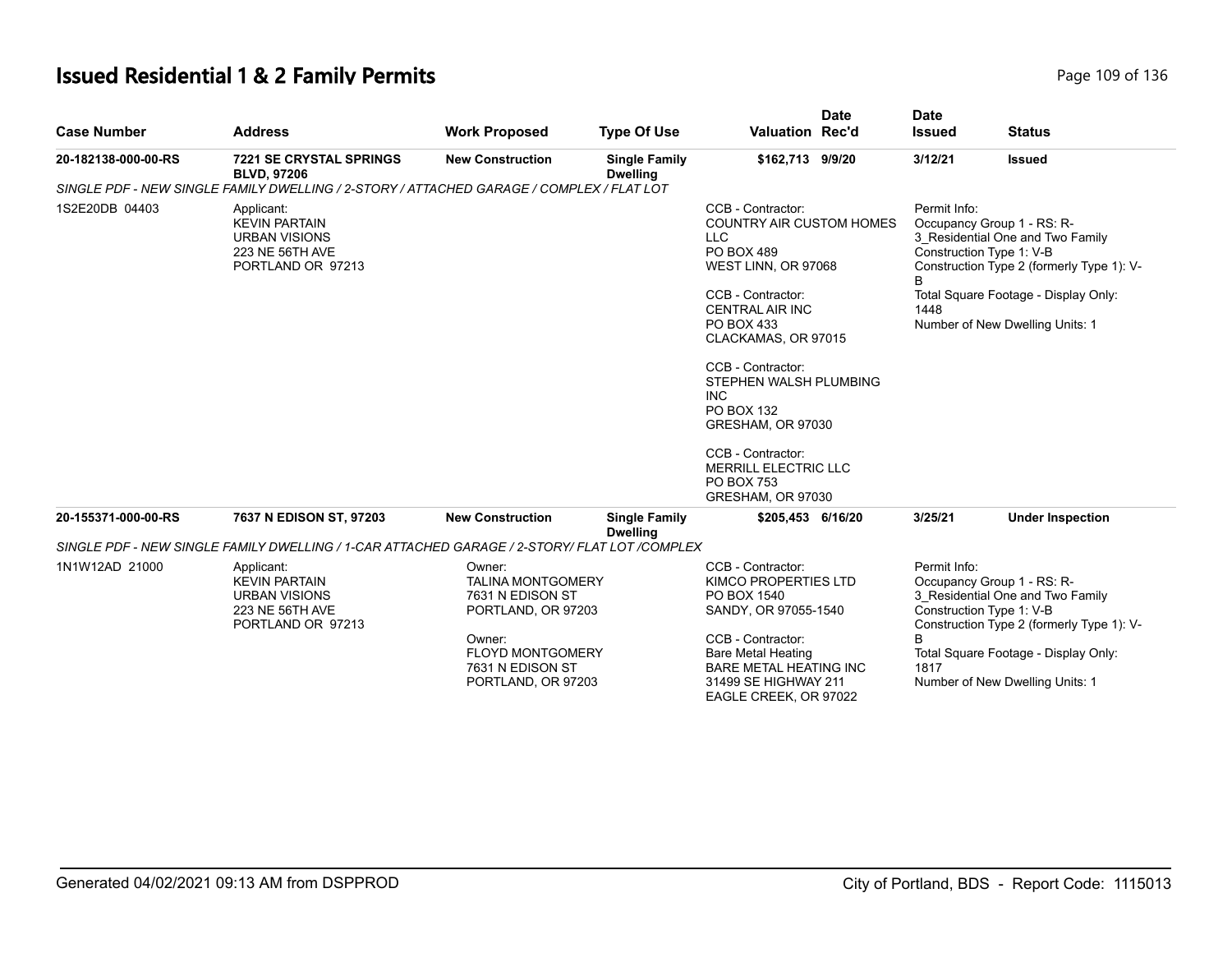# **Issued Residential 1 & 2 Family Permits Page 109 of 136** Page 109 of 136

| <b>Case Number</b>  | <b>Address</b>                                                                                     | <b>Work Proposed</b>                                                                                                                                        | <b>Type Of Use</b>                      | <b>Date</b><br><b>Valuation Rec'd</b>                                                                                                                                                                                                                                                                                                                                                            | <b>Date</b><br><b>Issued</b> | <b>Status</b>                                                                                                                                                                                                      |
|---------------------|----------------------------------------------------------------------------------------------------|-------------------------------------------------------------------------------------------------------------------------------------------------------------|-----------------------------------------|--------------------------------------------------------------------------------------------------------------------------------------------------------------------------------------------------------------------------------------------------------------------------------------------------------------------------------------------------------------------------------------------------|------------------------------|--------------------------------------------------------------------------------------------------------------------------------------------------------------------------------------------------------------------|
| 20-182138-000-00-RS | <b>7221 SE CRYSTAL SPRINGS</b><br><b>BLVD, 97206</b>                                               | <b>New Construction</b>                                                                                                                                     | <b>Single Family</b><br><b>Dwelling</b> | \$162,713 9/9/20                                                                                                                                                                                                                                                                                                                                                                                 | 3/12/21                      | <b>Issued</b>                                                                                                                                                                                                      |
|                     | SINGLE PDF - NEW SINGLE FAMILY DWELLING / 2-STORY / ATTACHED GARAGE / COMPLEX / FLAT LOT           |                                                                                                                                                             |                                         |                                                                                                                                                                                                                                                                                                                                                                                                  |                              |                                                                                                                                                                                                                    |
| 1S2E20DB 04403      | Applicant:<br><b>KEVIN PARTAIN</b><br><b>URBAN VISIONS</b><br>223 NE 56TH AVE<br>PORTLAND OR 97213 |                                                                                                                                                             |                                         | CCB - Contractor:<br><b>COUNTRY AIR CUSTOM HOMES</b><br><b>LLC</b><br>PO BOX 489<br>WEST LINN, OR 97068<br>CCB - Contractor:<br><b>CENTRAL AIR INC</b><br>PO BOX 433<br>CLACKAMAS, OR 97015<br>CCB - Contractor:<br>STEPHEN WALSH PLUMBING<br><b>INC</b><br><b>PO BOX 132</b><br>GRESHAM, OR 97030<br>CCB - Contractor:<br><b>MERRILL ELECTRIC LLC</b><br><b>PO BOX 753</b><br>GRESHAM, OR 97030 | Permit Info:<br>1448         | Occupancy Group 1 - RS: R-<br>3_Residential One and Two Family<br>Construction Type 1: V-B<br>Construction Type 2 (formerly Type 1): V-<br>Total Square Footage - Display Only:<br>Number of New Dwelling Units: 1 |
| 20-155371-000-00-RS | 7637 N EDISON ST, 97203                                                                            | <b>New Construction</b>                                                                                                                                     | <b>Single Family</b><br><b>Dwelling</b> | \$205,453 6/16/20                                                                                                                                                                                                                                                                                                                                                                                | 3/25/21                      | <b>Under Inspection</b>                                                                                                                                                                                            |
|                     | SINGLE PDF - NEW SINGLE FAMILY DWELLING / 1-CAR ATTACHED GARAGE / 2-STORY/ FLAT LOT /COMPLEX       |                                                                                                                                                             |                                         |                                                                                                                                                                                                                                                                                                                                                                                                  |                              |                                                                                                                                                                                                                    |
| 1N1W12AD 21000      | Applicant:<br><b>KEVIN PARTAIN</b><br><b>URBAN VISIONS</b><br>223 NE 56TH AVE<br>PORTLAND OR 97213 | Owner:<br><b>TALINA MONTGOMERY</b><br>7631 N EDISON ST<br>PORTLAND, OR 97203<br>Owner:<br><b>FLOYD MONTGOMERY</b><br>7631 N EDISON ST<br>PORTLAND, OR 97203 |                                         | CCB - Contractor:<br>KIMCO PROPERTIES LTD<br>PO BOX 1540<br>SANDY, OR 97055-1540<br>CCB - Contractor:<br><b>Bare Metal Heating</b><br><b>BARE METAL HEATING INC</b><br>31499 SE HIGHWAY 211<br>EAGLE CREEK, OR 97022                                                                                                                                                                             | Permit Info:<br>R<br>1817    | Occupancy Group 1 - RS: R-<br>3 Residential One and Two Family<br>Construction Type 1: V-B<br>Construction Type 2 (formerly Type 1): V-<br>Total Square Footage - Display Only:<br>Number of New Dwelling Units: 1 |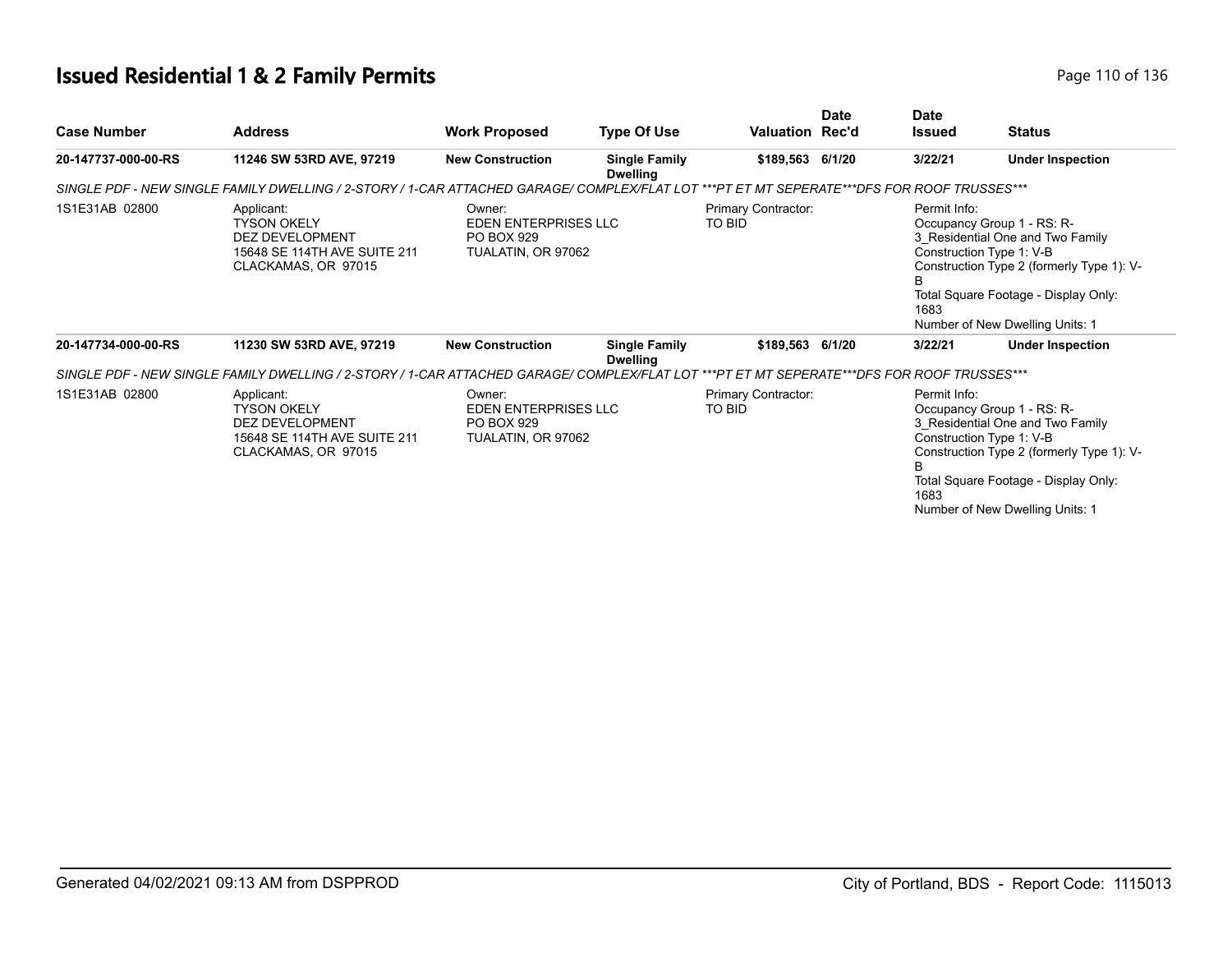# **Issued Residential 1 & 2 Family Permits Page 110 of 136** Page 110 of 136

| <b>Case Number</b>  | <b>Address</b>                                                                                                                             | <b>Work Proposed</b>                                               | <b>Type Of Use</b>                      | Valuation Rec'd               | <b>Date</b> | <b>Date</b><br><b>Issued</b> | <b>Status</b>                                                                                                                                                                                                      |
|---------------------|--------------------------------------------------------------------------------------------------------------------------------------------|--------------------------------------------------------------------|-----------------------------------------|-------------------------------|-------------|------------------------------|--------------------------------------------------------------------------------------------------------------------------------------------------------------------------------------------------------------------|
| 20-147737-000-00-RS | 11246 SW 53RD AVE, 97219                                                                                                                   | <b>New Construction</b>                                            | <b>Single Family</b><br><b>Dwelling</b> | \$189,563 6/1/20              |             | 3/22/21                      | <b>Under Inspection</b>                                                                                                                                                                                            |
|                     | SINGLE PDF - NEW SINGLE FAMILY DWELLING / 2-STORY / 1-CAR ATTACHED GARAGE/ COMPLEX/FLAT LOT ***PT ET MT SEPERATE***DFS FOR ROOF TRUSSES*** |                                                                    |                                         |                               |             |                              |                                                                                                                                                                                                                    |
| 1S1E31AB 02800      | Applicant:<br><b>TYSON OKELY</b><br><b>DEZ DEVELOPMENT</b><br>15648 SE 114TH AVE SUITE 211<br>CLACKAMAS, OR 97015                          | Owner:<br>EDEN ENTERPRISES LLC<br>PO BOX 929<br>TUALATIN, OR 97062 |                                         | Primary Contractor:<br>TO BID |             | Permit Info:<br>1683         | Occupancy Group 1 - RS: R-<br>3 Residential One and Two Family<br>Construction Type 1: V-B<br>Construction Type 2 (formerly Type 1): V-<br>Total Square Footage - Display Only:<br>Number of New Dwelling Units: 1 |
| 20-147734-000-00-RS | 11230 SW 53RD AVE, 97219                                                                                                                   | <b>New Construction</b>                                            | <b>Single Family</b><br><b>Dwelling</b> | \$189,563 6/1/20              |             | 3/22/21                      | <b>Under Inspection</b>                                                                                                                                                                                            |
|                     | SINGLE PDF - NEW SINGLE FAMILY DWELLING / 2-STORY / 1-CAR ATTACHED GARAGE/ COMPLEX/FLAT LOT ***PT ET MT SEPERATE***DFS FOR ROOF TRUSSES*** |                                                                    |                                         |                               |             |                              |                                                                                                                                                                                                                    |
| 1S1E31AB 02800      | Applicant:<br><b>TYSON OKELY</b><br><b>DEZ DEVELOPMENT</b><br>15648 SE 114TH AVE SUITE 211<br>CLACKAMAS, OR 97015                          | Owner:<br>EDEN ENTERPRISES LLC<br>PO BOX 929<br>TUALATIN, OR 97062 |                                         | Primary Contractor:<br>TO BID |             | Permit Info:<br>1683         | Occupancy Group 1 - RS: R-<br>3 Residential One and Two Family<br>Construction Type 1: V-B<br>Construction Type 2 (formerly Type 1): V-<br>Total Square Footage - Display Only:<br>Number of New Dwelling Units: 1 |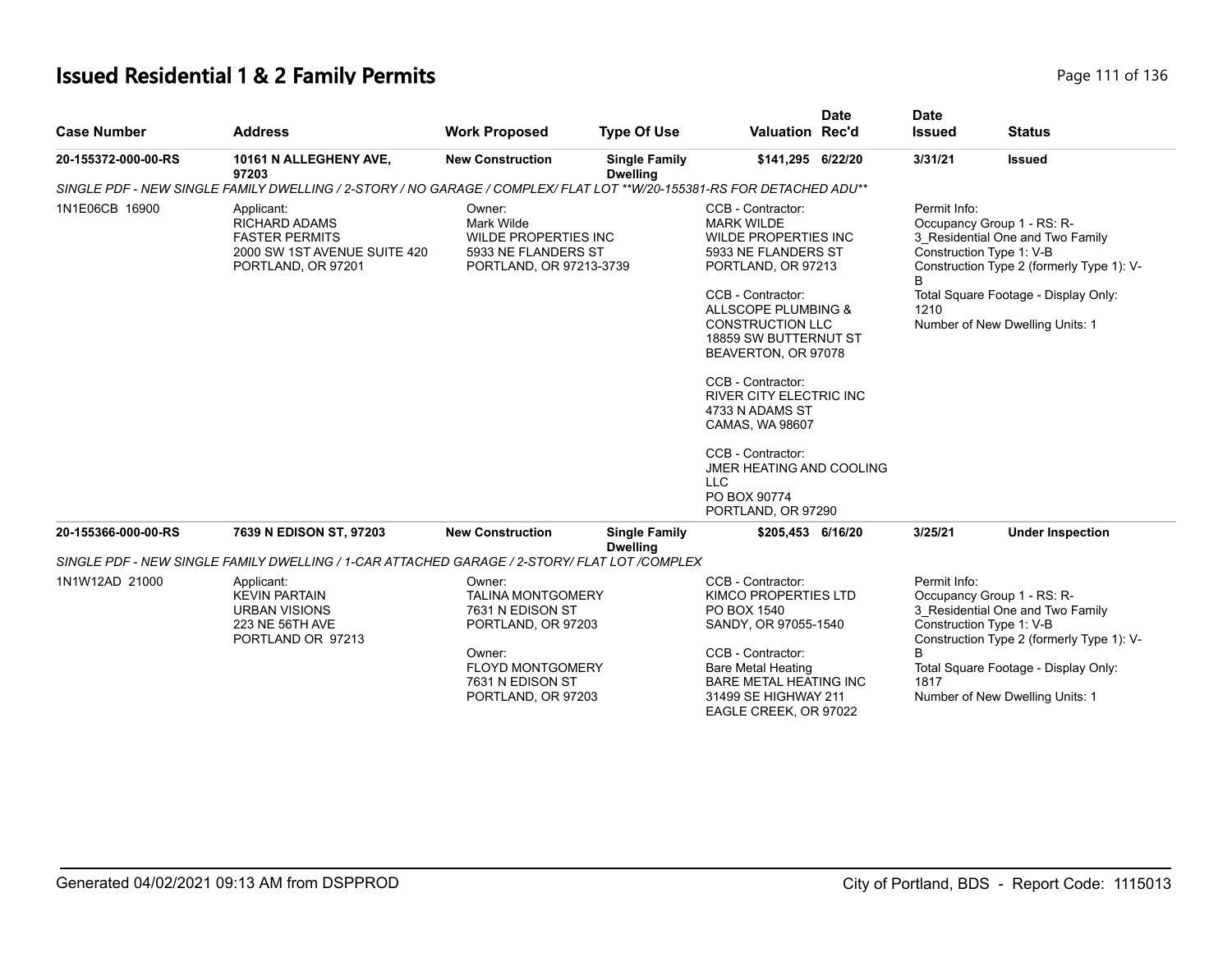# **Issued Residential 1 & 2 Family Permits Page 111 of 136** Page 111 of 136

| <b>Case Number</b>  | <b>Address</b>                                                                                                        | <b>Work Proposed</b>                                                                                                                                        | <b>Type Of Use</b>                      | <b>Valuation Rec'd</b>                                                                                                                                                                                                                                                                                                                                                                                                               | <b>Date</b> | <b>Date</b><br><b>Issued</b> | <b>Status</b>                                                                                                                                                                                                      |
|---------------------|-----------------------------------------------------------------------------------------------------------------------|-------------------------------------------------------------------------------------------------------------------------------------------------------------|-----------------------------------------|--------------------------------------------------------------------------------------------------------------------------------------------------------------------------------------------------------------------------------------------------------------------------------------------------------------------------------------------------------------------------------------------------------------------------------------|-------------|------------------------------|--------------------------------------------------------------------------------------------------------------------------------------------------------------------------------------------------------------------|
| 20-155372-000-00-RS | 10161 N ALLEGHENY AVE,<br>97203                                                                                       | <b>New Construction</b>                                                                                                                                     | <b>Single Family</b><br><b>Dwelling</b> | \$141,295 6/22/20                                                                                                                                                                                                                                                                                                                                                                                                                    |             | 3/31/21                      | <b>Issued</b>                                                                                                                                                                                                      |
|                     | SINGLE PDF - NEW SINGLE FAMILY DWELLING / 2-STORY / NO GARAGE / COMPLEX/ FLAT LOT **W/20-155381-RS FOR DETACHED ADU** |                                                                                                                                                             |                                         |                                                                                                                                                                                                                                                                                                                                                                                                                                      |             |                              |                                                                                                                                                                                                                    |
| 1N1E06CB 16900      | Applicant:<br><b>RICHARD ADAMS</b><br><b>FASTER PERMITS</b><br>2000 SW 1ST AVENUE SUITE 420<br>PORTLAND, OR 97201     | Owner:<br>Mark Wilde<br><b>WILDE PROPERTIES INC</b><br>5933 NE FLANDERS ST<br>PORTLAND, OR 97213-3739                                                       |                                         | CCB - Contractor:<br><b>MARK WILDE</b><br><b>WILDE PROPERTIES INC</b><br>5933 NE FLANDERS ST<br>PORTLAND, OR 97213<br>CCB - Contractor:<br>ALLSCOPE PLUMBING &<br><b>CONSTRUCTION LLC</b><br>18859 SW BUTTERNUT ST<br>BEAVERTON, OR 97078<br>CCB - Contractor:<br>RIVER CITY ELECTRIC INC<br>4733 N ADAMS ST<br>CAMAS, WA 98607<br>CCB - Contractor:<br>JMER HEATING AND COOLING<br><b>LLC</b><br>PO BOX 90774<br>PORTLAND, OR 97290 |             | Permit Info:<br>1210         | Occupancy Group 1 - RS: R-<br>3 Residential One and Two Family<br>Construction Type 1: V-B<br>Construction Type 2 (formerly Type 1): V-<br>Total Square Footage - Display Only:<br>Number of New Dwelling Units: 1 |
| 20-155366-000-00-RS | 7639 N EDISON ST, 97203                                                                                               | <b>New Construction</b>                                                                                                                                     | <b>Single Family</b><br><b>Dwelling</b> | \$205,453 6/16/20                                                                                                                                                                                                                                                                                                                                                                                                                    |             | 3/25/21                      | <b>Under Inspection</b>                                                                                                                                                                                            |
|                     | SINGLE PDF - NEW SINGLE FAMILY DWELLING / 1-CAR ATTACHED GARAGE / 2-STORY/ FLAT LOT /COMPLEX                          |                                                                                                                                                             |                                         |                                                                                                                                                                                                                                                                                                                                                                                                                                      |             |                              |                                                                                                                                                                                                                    |
| 1N1W12AD 21000      | Applicant:<br><b>KEVIN PARTAIN</b><br><b>URBAN VISIONS</b><br>223 NE 56TH AVE<br>PORTLAND OR 97213                    | Owner:<br><b>TALINA MONTGOMERY</b><br>7631 N EDISON ST<br>PORTLAND, OR 97203<br>Owner:<br><b>FLOYD MONTGOMERY</b><br>7631 N EDISON ST<br>PORTLAND, OR 97203 |                                         | CCB - Contractor:<br><b>KIMCO PROPERTIES LTD</b><br>PO BOX 1540<br>SANDY, OR 97055-1540<br>CCB - Contractor:<br><b>Bare Metal Heating</b><br><b>BARE METAL HEATING INC</b><br>31499 SE HIGHWAY 211<br>EAGLE CREEK, OR 97022                                                                                                                                                                                                          |             | Permit Info:<br>R<br>1817    | Occupancy Group 1 - RS: R-<br>3 Residential One and Two Family<br>Construction Type 1: V-B<br>Construction Type 2 (formerly Type 1): V-<br>Total Square Footage - Display Only:<br>Number of New Dwelling Units: 1 |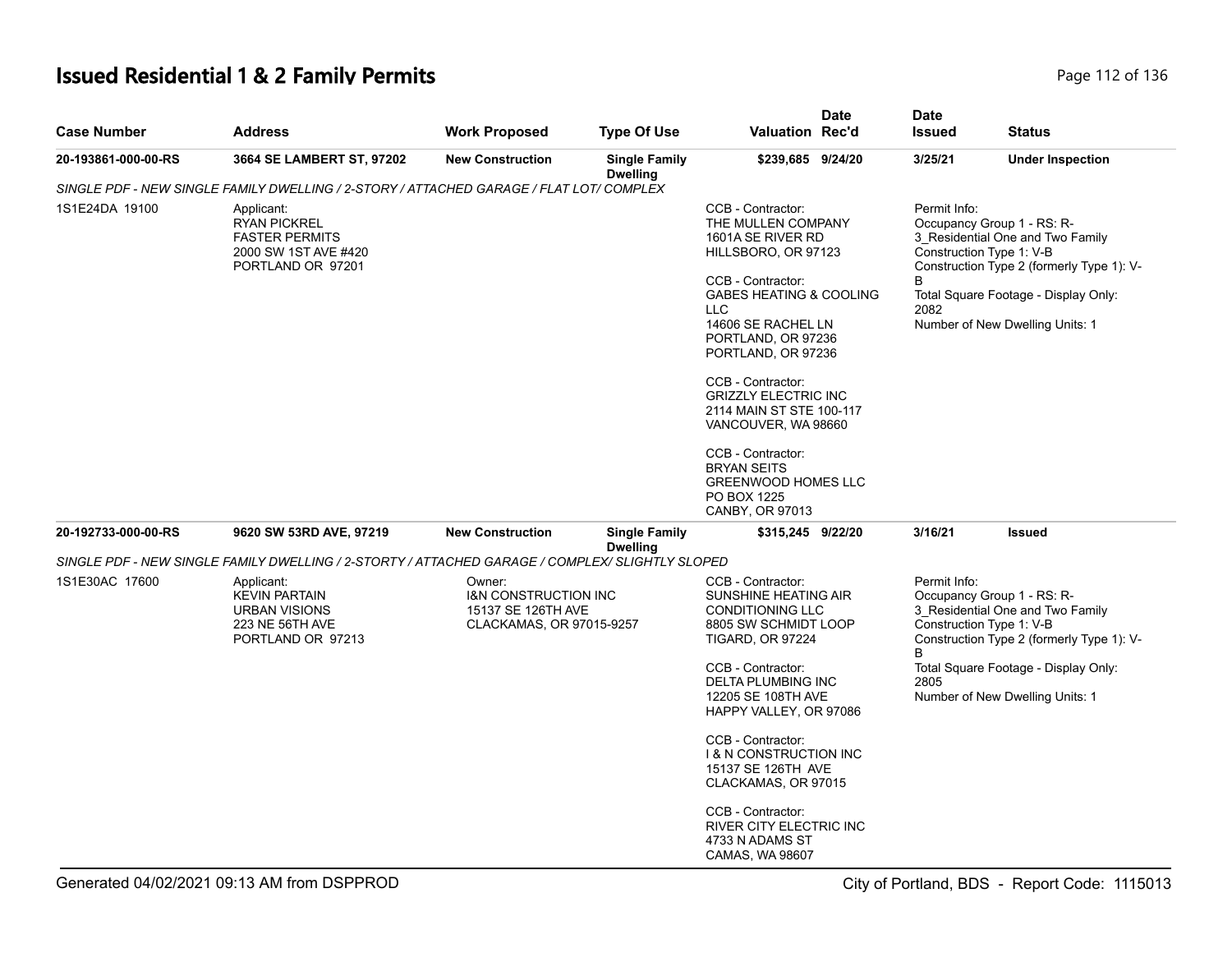# **Issued Residential 1 & 2 Family Permits Page 112 of 136** Page 112 of 136

| <b>Case Number</b>  | <b>Address</b>                                                                                          | <b>Work Proposed</b>                                                                        | <b>Type Of Use</b>                      | Valuation Rec'd                                                                                                                                                                                                                                                                                                                                                                                                                                  | <b>Date</b> | <b>Date</b><br><b>Issued</b> | <b>Status</b>                                                                                                                                                                                                      |
|---------------------|---------------------------------------------------------------------------------------------------------|---------------------------------------------------------------------------------------------|-----------------------------------------|--------------------------------------------------------------------------------------------------------------------------------------------------------------------------------------------------------------------------------------------------------------------------------------------------------------------------------------------------------------------------------------------------------------------------------------------------|-------------|------------------------------|--------------------------------------------------------------------------------------------------------------------------------------------------------------------------------------------------------------------|
| 20-193861-000-00-RS | 3664 SE LAMBERT ST, 97202                                                                               | <b>New Construction</b>                                                                     | <b>Single Family</b><br><b>Dwelling</b> | \$239,685 9/24/20                                                                                                                                                                                                                                                                                                                                                                                                                                |             | 3/25/21                      | <b>Under Inspection</b>                                                                                                                                                                                            |
|                     | SINGLE PDF - NEW SINGLE FAMILY DWELLING / 2-STORY / ATTACHED GARAGE / FLAT LOT/ COMPLEX                 |                                                                                             |                                         |                                                                                                                                                                                                                                                                                                                                                                                                                                                  |             |                              |                                                                                                                                                                                                                    |
| 1S1E24DA 19100      | Applicant:<br><b>RYAN PICKREL</b><br><b>FASTER PERMITS</b><br>2000 SW 1ST AVE #420<br>PORTLAND OR 97201 |                                                                                             |                                         | CCB - Contractor:<br>THE MULLEN COMPANY<br>1601A SE RIVER RD<br>HILLSBORO, OR 97123<br>CCB - Contractor:<br><b>GABES HEATING &amp; COOLING</b><br><b>LLC</b><br>14606 SE RACHEL LN<br>PORTLAND, OR 97236<br>PORTLAND, OR 97236<br>CCB - Contractor:<br><b>GRIZZLY ELECTRIC INC</b><br>2114 MAIN ST STE 100-117<br>VANCOUVER, WA 98660<br>CCB - Contractor:<br><b>BRYAN SEITS</b><br><b>GREENWOOD HOMES LLC</b><br>PO BOX 1225<br>CANBY, OR 97013 |             | Permit Info:<br>B<br>2082    | Occupancy Group 1 - RS: R-<br>3_Residential One and Two Family<br>Construction Type 1: V-B<br>Construction Type 2 (formerly Type 1): V-<br>Total Square Footage - Display Only:<br>Number of New Dwelling Units: 1 |
| 20-192733-000-00-RS | 9620 SW 53RD AVE, 97219                                                                                 | <b>New Construction</b>                                                                     | <b>Single Family</b><br><b>Dwelling</b> | \$315,245 9/22/20                                                                                                                                                                                                                                                                                                                                                                                                                                |             | 3/16/21                      | <b>Issued</b>                                                                                                                                                                                                      |
|                     | SINGLE PDF - NEW SINGLE FAMILY DWELLING / 2-STORTY / ATTACHED GARAGE / COMPLEX/ SLIGHTLY SLOPED         |                                                                                             |                                         |                                                                                                                                                                                                                                                                                                                                                                                                                                                  |             |                              |                                                                                                                                                                                                                    |
| 1S1E30AC 17600      | Applicant:<br><b>KEVIN PARTAIN</b><br><b>URBAN VISIONS</b><br>223 NE 56TH AVE<br>PORTLAND OR 97213      | Owner:<br><b>I&amp;N CONSTRUCTION INC</b><br>15137 SE 126TH AVE<br>CLACKAMAS, OR 97015-9257 |                                         | CCB - Contractor:<br>SUNSHINE HEATING AIR<br><b>CONDITIONING LLC</b><br>8805 SW SCHMIDT LOOP<br><b>TIGARD, OR 97224</b>                                                                                                                                                                                                                                                                                                                          |             | Permit Info:<br>B            | Occupancy Group 1 - RS: R-<br>3_Residential One and Two Family<br>Construction Type 1: V-B<br>Construction Type 2 (formerly Type 1): V-                                                                            |
|                     |                                                                                                         |                                                                                             |                                         | CCB - Contractor:<br>DELTA PLUMBING INC<br>12205 SE 108TH AVE<br>HAPPY VALLEY, OR 97086                                                                                                                                                                                                                                                                                                                                                          |             | 2805                         | Total Square Footage - Display Only:<br>Number of New Dwelling Units: 1                                                                                                                                            |
|                     |                                                                                                         |                                                                                             |                                         | CCB - Contractor:<br><b>1&amp; N CONSTRUCTION INC</b><br>15137 SE 126TH AVE<br>CLACKAMAS, OR 97015                                                                                                                                                                                                                                                                                                                                               |             |                              |                                                                                                                                                                                                                    |
|                     |                                                                                                         |                                                                                             |                                         | CCB - Contractor:<br>RIVER CITY ELECTRIC INC<br>4733 N ADAMS ST<br>CAMAS, WA 98607                                                                                                                                                                                                                                                                                                                                                               |             |                              |                                                                                                                                                                                                                    |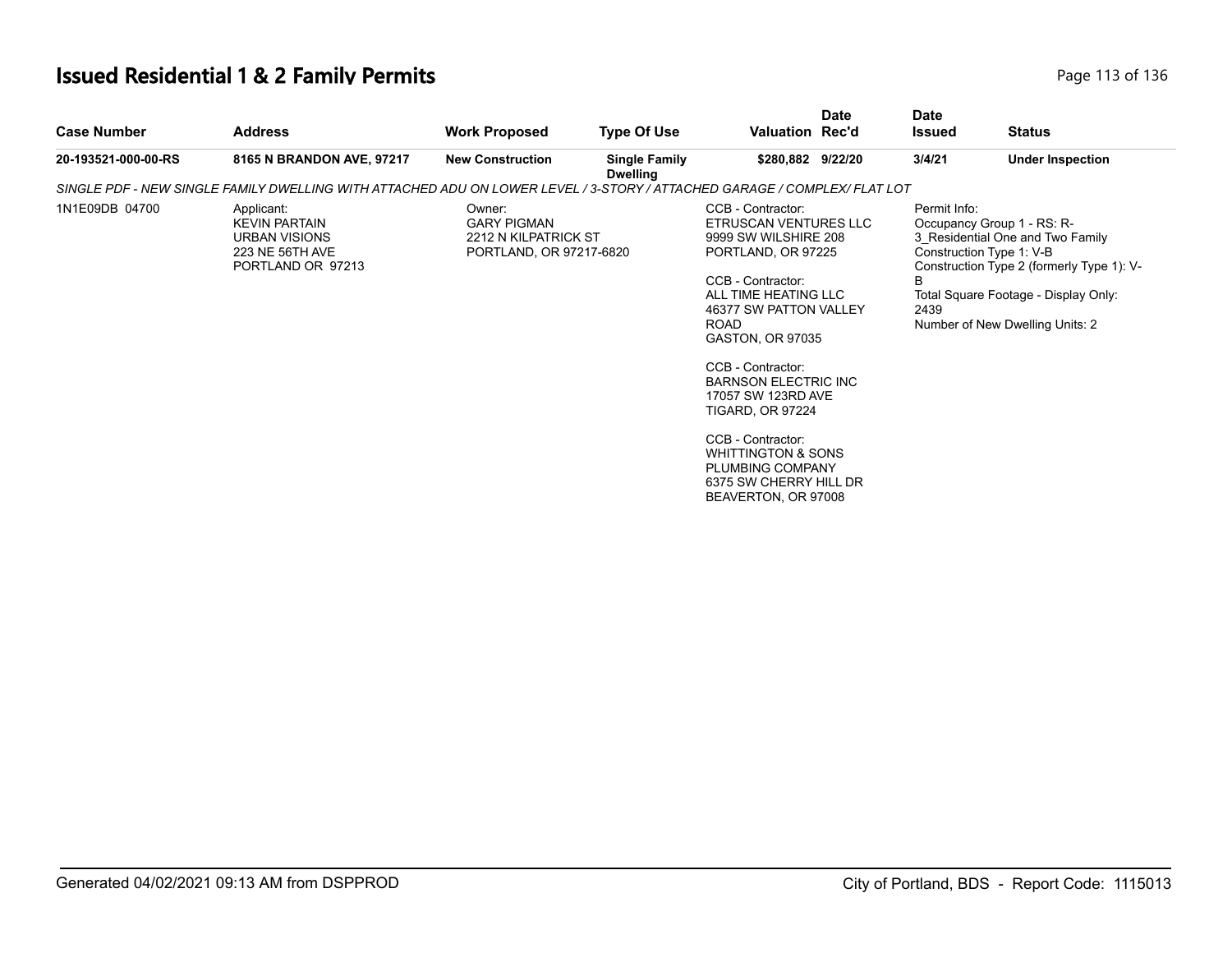# **Issued Residential 1 & 2 Family Permits Page 113 of 136** Page 113 of 136

| <b>Case Number</b>  | <b>Address</b>                                                                                                           | <b>Work Proposed</b>                                                            | <b>Type Of Use</b>                      | <b>Valuation Rec'd</b>                                                                                                                                                                                                                                                                                                                                                                                                             | <b>Date</b> | <b>Date</b><br><b>Issued</b> | <b>Status</b>                                                                                                                                                                                                      |
|---------------------|--------------------------------------------------------------------------------------------------------------------------|---------------------------------------------------------------------------------|-----------------------------------------|------------------------------------------------------------------------------------------------------------------------------------------------------------------------------------------------------------------------------------------------------------------------------------------------------------------------------------------------------------------------------------------------------------------------------------|-------------|------------------------------|--------------------------------------------------------------------------------------------------------------------------------------------------------------------------------------------------------------------|
| 20-193521-000-00-RS | 8165 N BRANDON AVE, 97217                                                                                                | <b>New Construction</b>                                                         | <b>Single Family</b><br><b>Dwelling</b> | \$280,882 9/22/20                                                                                                                                                                                                                                                                                                                                                                                                                  |             | 3/4/21                       | <b>Under Inspection</b>                                                                                                                                                                                            |
|                     | SINGLE PDF - NEW SINGLE FAMILY DWELLING WITH ATTACHED ADU ON LOWER LEVEL / 3-STORY / ATTACHED GARAGE / COMPLEX/ FLAT LOT |                                                                                 |                                         |                                                                                                                                                                                                                                                                                                                                                                                                                                    |             |                              |                                                                                                                                                                                                                    |
| 1N1E09DB 04700      | Applicant:<br><b>KEVIN PARTAIN</b><br><b>URBAN VISIONS</b><br>223 NE 56TH AVE<br>PORTLAND OR 97213                       | Owner:<br><b>GARY PIGMAN</b><br>2212 N KILPATRICK ST<br>PORTLAND, OR 97217-6820 |                                         | CCB - Contractor:<br>ETRUSCAN VENTURES LLC<br>9999 SW WILSHIRE 208<br>PORTLAND, OR 97225<br>CCB - Contractor:<br>ALL TIME HEATING LLC<br>46377 SW PATTON VALLEY<br><b>ROAD</b><br>GASTON, OR 97035<br>CCB - Contractor:<br><b>BARNSON ELECTRIC INC</b><br>17057 SW 123RD AVE<br><b>TIGARD, OR 97224</b><br>CCB - Contractor:<br><b>WHITTINGTON &amp; SONS</b><br>PLUMBING COMPANY<br>6375 SW CHERRY HILL DR<br>BEAVERTON, OR 97008 |             | Permit Info:<br>B<br>2439    | Occupancy Group 1 - RS: R-<br>3 Residential One and Two Family<br>Construction Type 1: V-B<br>Construction Type 2 (formerly Type 1): V-<br>Total Square Footage - Display Only:<br>Number of New Dwelling Units: 2 |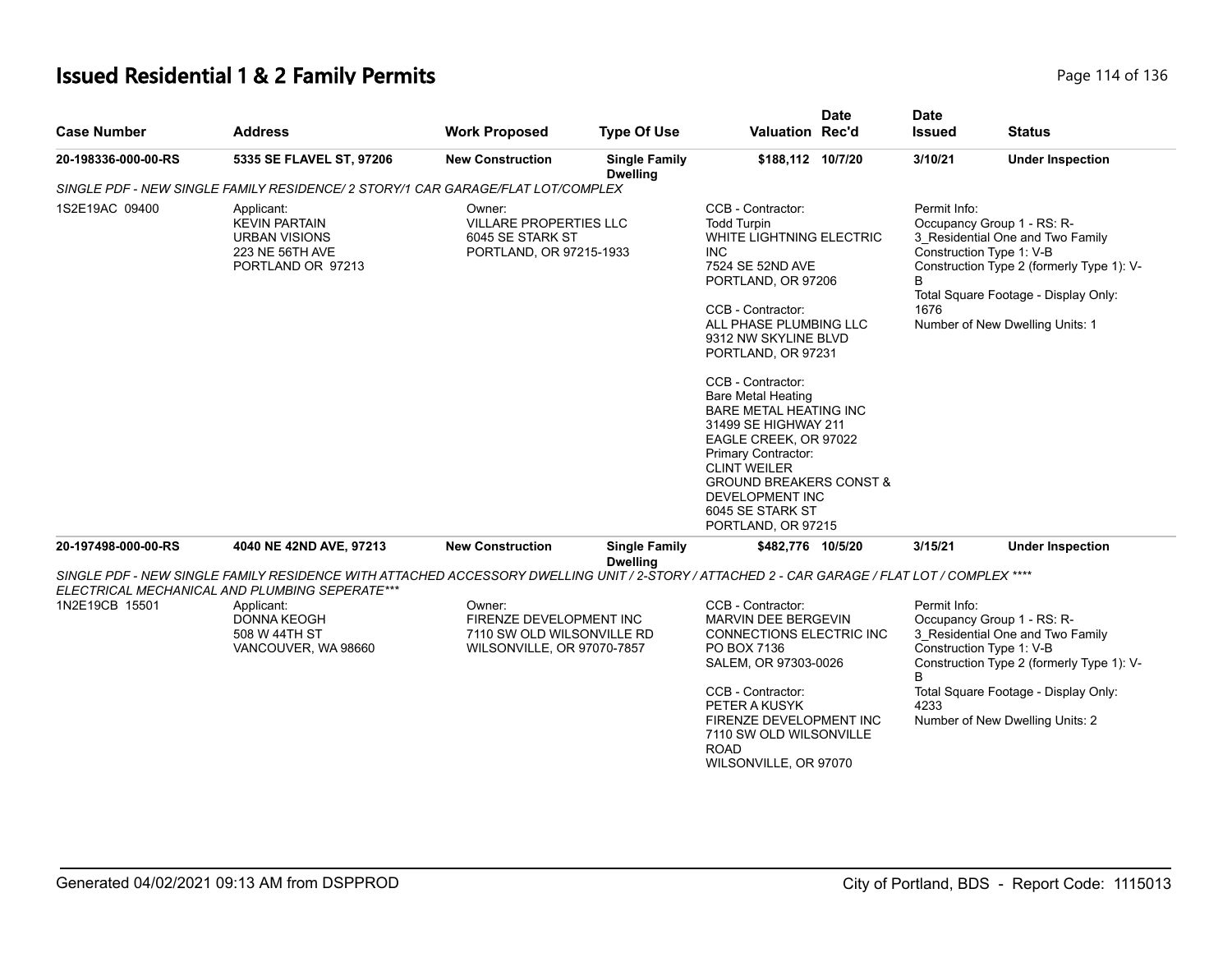# **Issued Residential 1 & 2 Family Permits Page 114 of 136** Page 114 of 136

| <b>Case Number</b>  | <b>Address</b>                                                                                                                                                                                                                                                      | <b>Work Proposed</b>                                                                          | <b>Type Of Use</b>                      | <b>Date</b><br><b>Valuation Rec'd</b>                                                                                                                                                                                                                                                                                                                                                                                                                                                                         | <b>Date</b><br><b>Issued</b> | <b>Status</b>                                                                                                                                                                                                      |
|---------------------|---------------------------------------------------------------------------------------------------------------------------------------------------------------------------------------------------------------------------------------------------------------------|-----------------------------------------------------------------------------------------------|-----------------------------------------|---------------------------------------------------------------------------------------------------------------------------------------------------------------------------------------------------------------------------------------------------------------------------------------------------------------------------------------------------------------------------------------------------------------------------------------------------------------------------------------------------------------|------------------------------|--------------------------------------------------------------------------------------------------------------------------------------------------------------------------------------------------------------------|
| 20-198336-000-00-RS | 5335 SE FLAVEL ST, 97206                                                                                                                                                                                                                                            | <b>New Construction</b>                                                                       | <b>Single Family</b><br><b>Dwelling</b> | \$188,112 10/7/20                                                                                                                                                                                                                                                                                                                                                                                                                                                                                             | 3/10/21                      | <b>Under Inspection</b>                                                                                                                                                                                            |
|                     | SINGLE PDF - NEW SINGLE FAMILY RESIDENCE/ 2 STORY/1 CAR GARAGE/FLAT LOT/COMPLEX                                                                                                                                                                                     |                                                                                               |                                         |                                                                                                                                                                                                                                                                                                                                                                                                                                                                                                               |                              |                                                                                                                                                                                                                    |
| 1S2E19AC 09400      | Applicant:<br><b>KEVIN PARTAIN</b><br><b>URBAN VISIONS</b><br>223 NE 56TH AVE<br>PORTLAND OR 97213                                                                                                                                                                  | Owner:<br><b>VILLARE PROPERTIES LLC</b><br>6045 SE STARK ST<br>PORTLAND, OR 97215-1933        |                                         | CCB - Contractor:<br><b>Todd Turpin</b><br>WHITE LIGHTNING ELECTRIC<br><b>INC</b><br>7524 SE 52ND AVE<br>PORTLAND, OR 97206<br>CCB - Contractor:<br>ALL PHASE PLUMBING LLC<br>9312 NW SKYLINE BLVD<br>PORTLAND, OR 97231<br>CCB - Contractor:<br><b>Bare Metal Heating</b><br><b>BARE METAL HEATING INC</b><br>31499 SE HIGHWAY 211<br>EAGLE CREEK, OR 97022<br>Primary Contractor:<br><b>CLINT WEILER</b><br><b>GROUND BREAKERS CONST &amp;</b><br>DEVELOPMENT INC<br>6045 SE STARK ST<br>PORTLAND, OR 97215 | Permit Info:<br>1676         | Occupancy Group 1 - RS: R-<br>3_Residential One and Two Family<br>Construction Type 1: V-B<br>Construction Type 2 (formerly Type 1): V-<br>Total Square Footage - Display Only:<br>Number of New Dwelling Units: 1 |
| 20-197498-000-00-RS | 4040 NE 42ND AVE, 97213                                                                                                                                                                                                                                             | <b>New Construction</b>                                                                       | <b>Single Family</b><br><b>Dwelling</b> | \$482,776 10/5/20                                                                                                                                                                                                                                                                                                                                                                                                                                                                                             | 3/15/21                      | <b>Under Inspection</b>                                                                                                                                                                                            |
| 1N2E19CB 15501      | SINGLE PDF - NEW SINGLE FAMILY RESIDENCE WITH ATTACHED ACCESSORY DWELLING UNIT / 2-STORY / ATTACHED 2 - CAR GARAGE / FLAT LOT / COMPLEX ****<br>ELECTRICAL MECHANICAL AND PLUMBING SEPERATE***<br>Applicant:<br>DONNA KEOGH<br>508 W 44TH ST<br>VANCOUVER, WA 98660 | Owner:<br>FIRENZE DEVELOPMENT INC<br>7110 SW OLD WILSONVILLE RD<br>WILSONVILLE, OR 97070-7857 |                                         | CCB - Contractor:<br><b>MARVIN DEE BERGEVIN</b><br>CONNECTIONS ELECTRIC INC<br>PO BOX 7136<br>SALEM, OR 97303-0026<br>CCB - Contractor:<br>PETER A KUSYK<br>FIRENZE DEVELOPMENT INC<br>7110 SW OLD WILSONVILLE<br><b>ROAD</b><br>WILSONVILLE, OR 97070                                                                                                                                                                                                                                                        | Permit Info:<br>B<br>4233    | Occupancy Group 1 - RS: R-<br>3_Residential One and Two Family<br>Construction Type 1: V-B<br>Construction Type 2 (formerly Type 1): V-<br>Total Square Footage - Display Only:<br>Number of New Dwelling Units: 2 |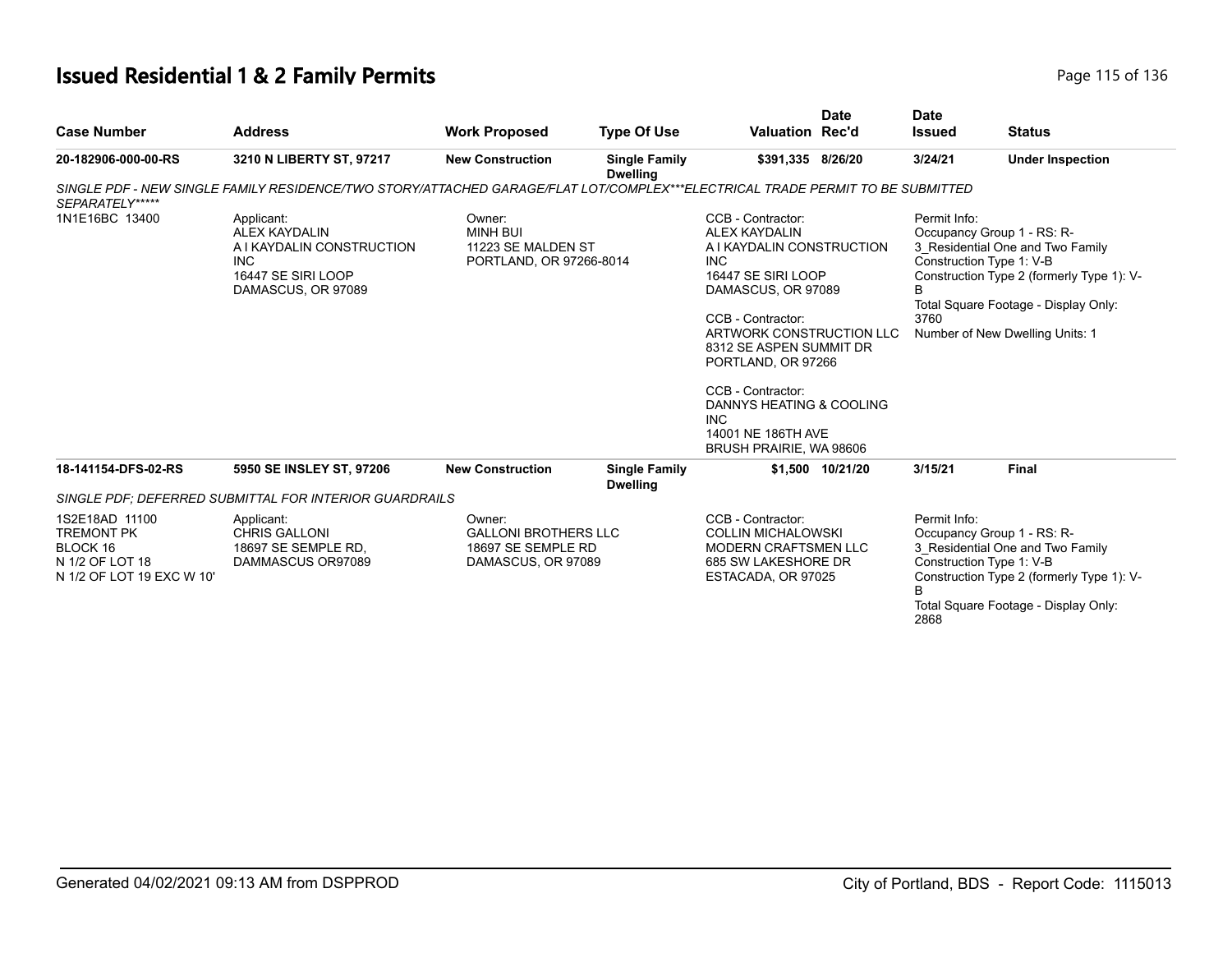# **Issued Residential 1 & 2 Family Permits Page 115 of 136** Page 115 of 136

|                                                                                                 |                                                                                                                               |                                                                                   |                                         |                                                                                                                                                                                                                                                                                                                                                    | <b>Date</b>      | <b>Date</b>               |                                                                                                                                                                                                                    |
|-------------------------------------------------------------------------------------------------|-------------------------------------------------------------------------------------------------------------------------------|-----------------------------------------------------------------------------------|-----------------------------------------|----------------------------------------------------------------------------------------------------------------------------------------------------------------------------------------------------------------------------------------------------------------------------------------------------------------------------------------------------|------------------|---------------------------|--------------------------------------------------------------------------------------------------------------------------------------------------------------------------------------------------------------------|
| <b>Case Number</b>                                                                              | <b>Address</b>                                                                                                                | <b>Work Proposed</b>                                                              | <b>Type Of Use</b>                      | <b>Valuation Rec'd</b>                                                                                                                                                                                                                                                                                                                             |                  | <b>Issued</b>             | <b>Status</b>                                                                                                                                                                                                      |
| 20-182906-000-00-RS                                                                             | 3210 N LIBERTY ST, 97217                                                                                                      | <b>New Construction</b>                                                           | <b>Single Family</b><br><b>Dwelling</b> | \$391,335 8/26/20                                                                                                                                                                                                                                                                                                                                  |                  | 3/24/21                   | <b>Under Inspection</b>                                                                                                                                                                                            |
| SEPARATELY*****                                                                                 | SINGLE PDF - NEW SINGLE FAMILY RESIDENCE/TWO STORY/ATTACHED GARAGE/FLAT LOT/COMPLEX***ELECTRICAL TRADE PERMIT TO BE SUBMITTED |                                                                                   |                                         |                                                                                                                                                                                                                                                                                                                                                    |                  |                           |                                                                                                                                                                                                                    |
| 1N1E16BC 13400                                                                                  | Applicant:<br><b>ALEX KAYDALIN</b><br>A I KAYDALIN CONSTRUCTION<br><b>INC</b><br>16447 SE SIRI LOOP<br>DAMASCUS, OR 97089     | Owner:<br><b>MINH BUI</b><br>11223 SE MALDEN ST<br>PORTLAND, OR 97266-8014        |                                         | CCB - Contractor:<br><b>ALEX KAYDALIN</b><br>A I KAYDALIN CONSTRUCTION<br><b>INC</b><br>16447 SE SIRI LOOP<br>DAMASCUS, OR 97089<br>CCB - Contractor:<br>ARTWORK CONSTRUCTION LLC<br>8312 SE ASPEN SUMMIT DR<br>PORTLAND, OR 97266<br>CCB - Contractor:<br>DANNYS HEATING & COOLING<br><b>INC</b><br>14001 NE 186TH AVE<br>BRUSH PRAIRIE, WA 98606 |                  | Permit Info:<br>B<br>3760 | Occupancy Group 1 - RS: R-<br>3_Residential One and Two Family<br>Construction Type 1: V-B<br>Construction Type 2 (formerly Type 1): V-<br>Total Square Footage - Display Only:<br>Number of New Dwelling Units: 1 |
| 18-141154-DFS-02-RS                                                                             | 5950 SE INSLEY ST, 97206                                                                                                      | <b>New Construction</b>                                                           | <b>Single Family</b><br><b>Dwelling</b> |                                                                                                                                                                                                                                                                                                                                                    | \$1,500 10/21/20 | 3/15/21                   | <b>Final</b>                                                                                                                                                                                                       |
|                                                                                                 | SINGLE PDF: DEFERRED SUBMITTAL FOR INTERIOR GUARDRAILS                                                                        |                                                                                   |                                         |                                                                                                                                                                                                                                                                                                                                                    |                  |                           |                                                                                                                                                                                                                    |
| 1S2E18AD 11100<br><b>TREMONT PK</b><br>BLOCK 16<br>N 1/2 OF LOT 18<br>N 1/2 OF LOT 19 EXC W 10' | Applicant:<br><b>CHRIS GALLONI</b><br>18697 SE SEMPLE RD.<br>DAMMASCUS OR97089                                                | Owner:<br><b>GALLONI BROTHERS LLC</b><br>18697 SE SEMPLE RD<br>DAMASCUS, OR 97089 |                                         | CCB - Contractor:<br><b>COLLIN MICHALOWSKI</b><br><b>MODERN CRAFTSMEN LLC</b><br>685 SW LAKESHORE DR<br>ESTACADA, OR 97025                                                                                                                                                                                                                         |                  | Permit Info:<br>B<br>2868 | Occupancy Group 1 - RS: R-<br>3 Residential One and Two Family<br>Construction Type 1: V-B<br>Construction Type 2 (formerly Type 1): V-<br>Total Square Footage - Display Only:                                    |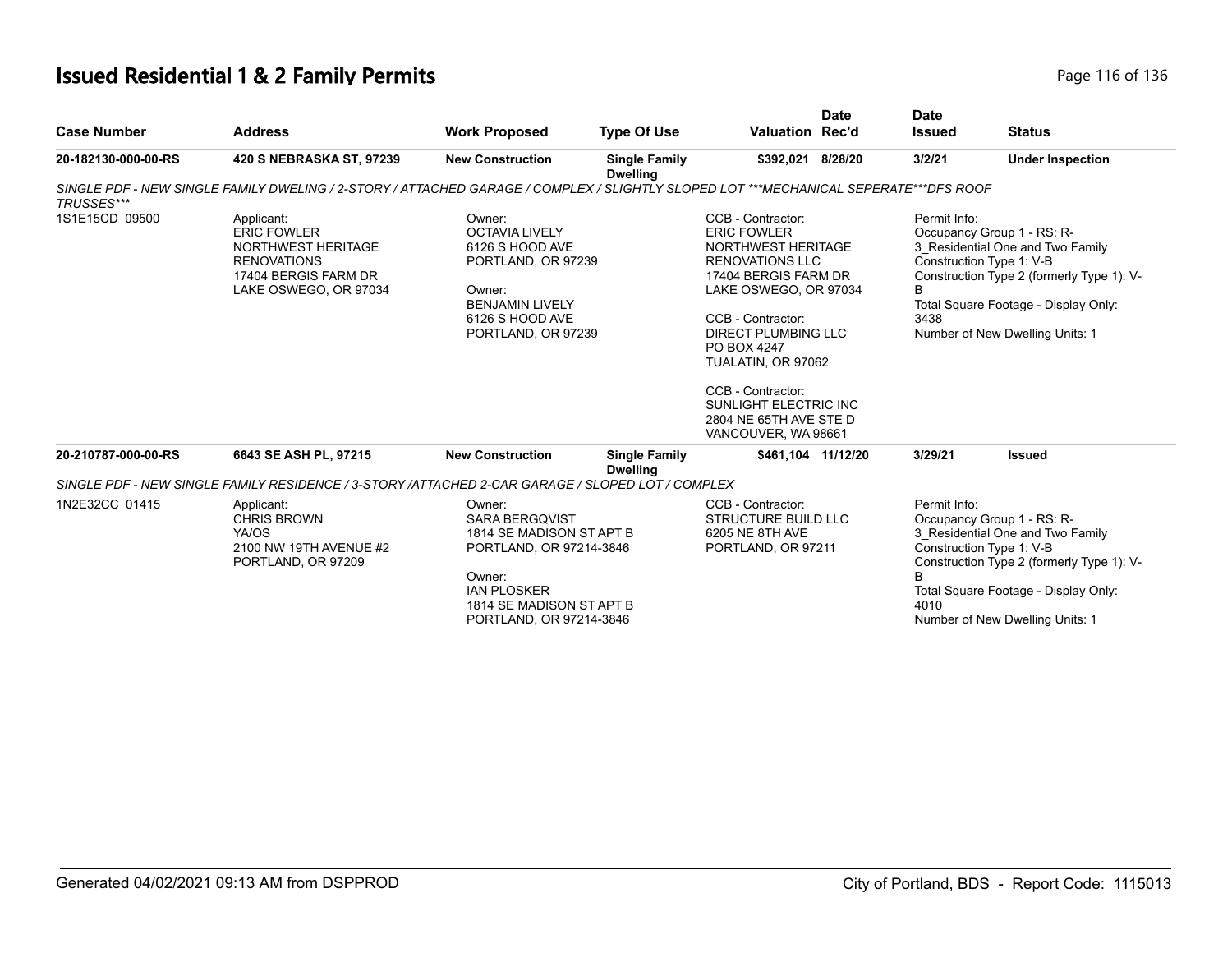# **Issued Residential 1 & 2 Family Permits Page 116 of 136** Page 116 of 136

|                     |                                                                                                                                      |                                                                                                                                                                               |                                         |                                                                                                                                                                                                                                                                                                          | Date    | <b>Date</b>                                           |                                                                                                                                                                                        |
|---------------------|--------------------------------------------------------------------------------------------------------------------------------------|-------------------------------------------------------------------------------------------------------------------------------------------------------------------------------|-----------------------------------------|----------------------------------------------------------------------------------------------------------------------------------------------------------------------------------------------------------------------------------------------------------------------------------------------------------|---------|-------------------------------------------------------|----------------------------------------------------------------------------------------------------------------------------------------------------------------------------------------|
| <b>Case Number</b>  | <b>Address</b>                                                                                                                       | <b>Work Proposed</b>                                                                                                                                                          | <b>Type Of Use</b>                      | <b>Valuation Rec'd</b>                                                                                                                                                                                                                                                                                   |         | <b>Issued</b>                                         | <b>Status</b>                                                                                                                                                                          |
| 20-182130-000-00-RS | 420 S NEBRASKA ST, 97239                                                                                                             | <b>New Construction</b>                                                                                                                                                       | <b>Single Family</b><br><b>Dwelling</b> | \$392,021                                                                                                                                                                                                                                                                                                | 8/28/20 | 3/2/21                                                | <b>Under Inspection</b>                                                                                                                                                                |
| <b>TRUSSES***</b>   | SINGLE PDF - NEW SINGLE FAMILY DWELING / 2-STORY / ATTACHED GARAGE / COMPLEX / SLIGHTLY SLOPED LOT ***MECHANICAL SEPERATE***DFS ROOF |                                                                                                                                                                               |                                         |                                                                                                                                                                                                                                                                                                          |         |                                                       |                                                                                                                                                                                        |
| 1S1E15CD 09500      | Applicant:<br><b>ERIC FOWLER</b><br>NORTHWEST HERITAGE<br><b>RENOVATIONS</b><br>17404 BERGIS FARM DR<br>LAKE OSWEGO, OR 97034        | Owner:<br><b>OCTAVIA LIVELY</b><br>6126 S HOOD AVE<br>PORTLAND, OR 97239<br>Owner:<br><b>BENJAMIN LIVELY</b><br>6126 S HOOD AVE<br>PORTLAND, OR 97239                         |                                         | CCB - Contractor:<br><b>ERIC FOWLER</b><br>NORTHWEST HERITAGE<br><b>RENOVATIONS LLC</b><br>17404 BERGIS FARM DR<br>LAKE OSWEGO, OR 97034<br>CCB - Contractor:<br><b>DIRECT PLUMBING LLC</b><br>PO BOX 4247<br>TUALATIN, OR 97062<br>CCB - Contractor:<br>SUNLIGHT ELECTRIC INC<br>2804 NE 65TH AVE STE D |         | Permit Info:<br>Construction Type 1: V-B<br>В<br>3438 | Occupancy Group 1 - RS: R-<br>3 Residential One and Two Family<br>Construction Type 2 (formerly Type 1): V-<br>Total Square Footage - Display Only:<br>Number of New Dwelling Units: 1 |
| 20-210787-000-00-RS | 6643 SE ASH PL, 97215                                                                                                                | <b>New Construction</b>                                                                                                                                                       | <b>Single Family</b>                    | VANCOUVER, WA 98661<br>\$461,104 11/12/20                                                                                                                                                                                                                                                                |         | 3/29/21                                               | <b>Issued</b>                                                                                                                                                                          |
|                     |                                                                                                                                      |                                                                                                                                                                               | <b>Dwelling</b>                         |                                                                                                                                                                                                                                                                                                          |         |                                                       |                                                                                                                                                                                        |
|                     | SINGLE PDF - NEW SINGLE FAMILY RESIDENCE / 3-STORY /ATTACHED 2-CAR GARAGE / SLOPED LOT / COMPLEX                                     |                                                                                                                                                                               |                                         |                                                                                                                                                                                                                                                                                                          |         |                                                       |                                                                                                                                                                                        |
| 1N2E32CC 01415      | Applicant:<br><b>CHRIS BROWN</b><br>YA/OS<br>2100 NW 19TH AVENUE #2<br>PORTLAND, OR 97209                                            | Owner:<br><b>SARA BERGQVIST</b><br>1814 SE MADISON ST APT B<br>PORTLAND, OR 97214-3846<br>Owner:<br><b>IAN PLOSKER</b><br>1814 SE MADISON ST APT B<br>PORTLAND, OR 97214-3846 |                                         | CCB - Contractor:<br><b>STRUCTURE BUILD LLC</b><br>6205 NE 8TH AVE<br>PORTLAND, OR 97211                                                                                                                                                                                                                 |         | Permit Info:<br>Construction Type 1: V-B<br>B<br>4010 | Occupancy Group 1 - RS: R-<br>3 Residential One and Two Family<br>Construction Type 2 (formerly Type 1): V-<br>Total Square Footage - Display Only:<br>Number of New Dwelling Units: 1 |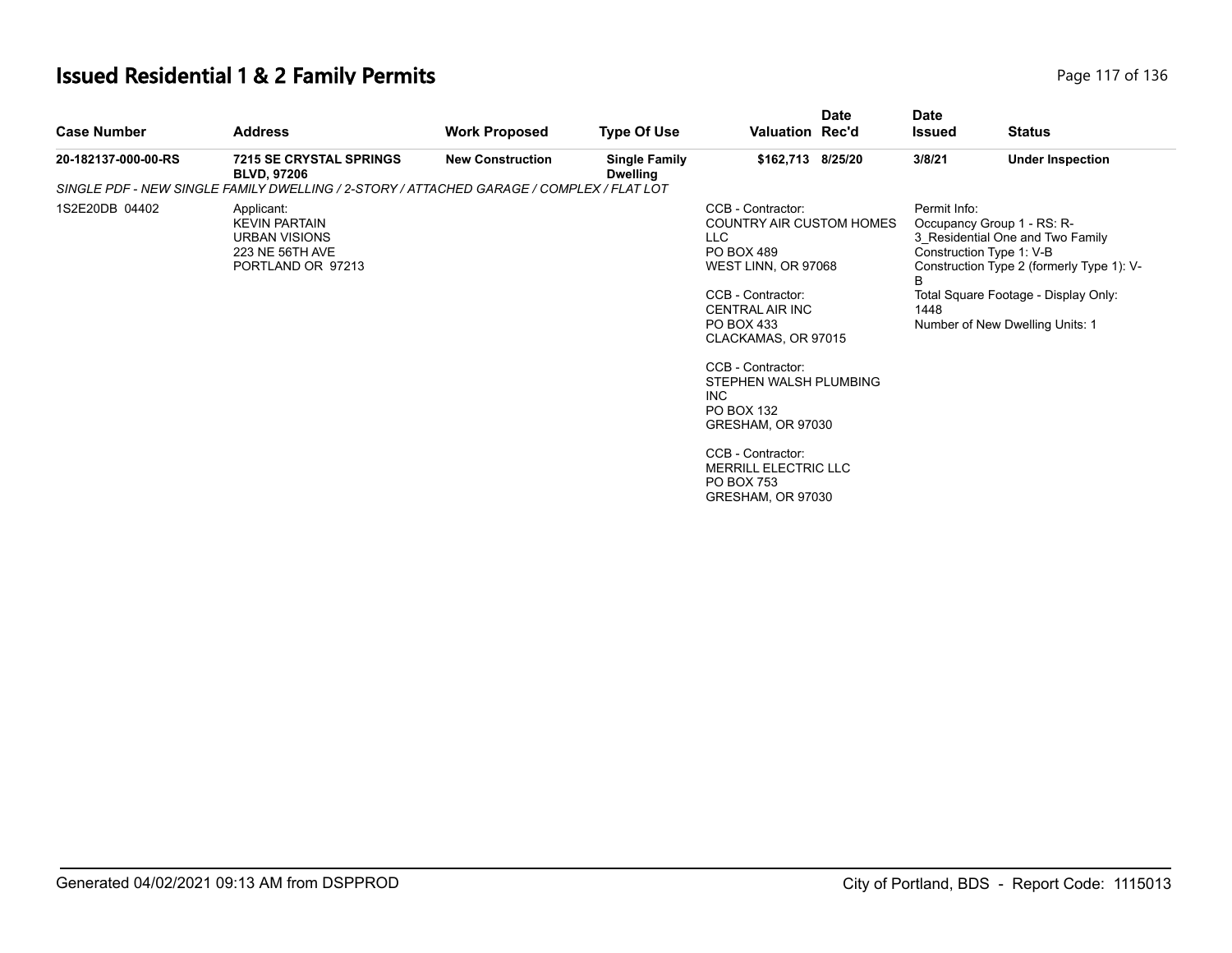# **Issued Residential 1 & 2 Family Permits Page 117 of 136** Page 117 of 136

| <b>Case Number</b>  | <b>Address</b>                                                                                     | <b>Work Proposed</b>    | <b>Type Of Use</b>                      | <b>Date</b><br><b>Valuation Rec'd</b>                                                                                                                                                                                                                                                                                                                                               | <b>Date</b><br>Issued     | <b>Status</b>                                                                                                                                                                                                      |
|---------------------|----------------------------------------------------------------------------------------------------|-------------------------|-----------------------------------------|-------------------------------------------------------------------------------------------------------------------------------------------------------------------------------------------------------------------------------------------------------------------------------------------------------------------------------------------------------------------------------------|---------------------------|--------------------------------------------------------------------------------------------------------------------------------------------------------------------------------------------------------------------|
| 20-182137-000-00-RS | <b>7215 SE CRYSTAL SPRINGS</b><br><b>BLVD, 97206</b>                                               | <b>New Construction</b> | <b>Single Family</b><br><b>Dwelling</b> | \$162,713 8/25/20                                                                                                                                                                                                                                                                                                                                                                   | 3/8/21                    | <b>Under Inspection</b>                                                                                                                                                                                            |
|                     | SINGLE PDF - NEW SINGLE FAMILY DWELLING / 2-STORY / ATTACHED GARAGE / COMPLEX / FLAT LOT           |                         |                                         |                                                                                                                                                                                                                                                                                                                                                                                     |                           |                                                                                                                                                                                                                    |
| 1S2E20DB 04402      | Applicant:<br><b>KEVIN PARTAIN</b><br><b>URBAN VISIONS</b><br>223 NE 56TH AVE<br>PORTLAND OR 97213 |                         |                                         | CCB - Contractor:<br><b>COUNTRY AIR CUSTOM HOMES</b><br>LLC<br><b>PO BOX 489</b><br>WEST LINN, OR 97068<br>CCB - Contractor:<br><b>CENTRAL AIR INC</b><br>PO BOX 433<br>CLACKAMAS, OR 97015<br>CCB - Contractor:<br>STEPHEN WALSH PLUMBING<br>INC.<br>PO BOX 132<br>GRESHAM, OR 97030<br>CCB - Contractor:<br><b>MERRILL ELECTRIC LLC</b><br><b>PO BOX 753</b><br>GRESHAM, OR 97030 | Permit Info:<br>B<br>1448 | Occupancy Group 1 - RS: R-<br>3 Residential One and Two Family<br>Construction Type 1: V-B<br>Construction Type 2 (formerly Type 1): V-<br>Total Square Footage - Display Only:<br>Number of New Dwelling Units: 1 |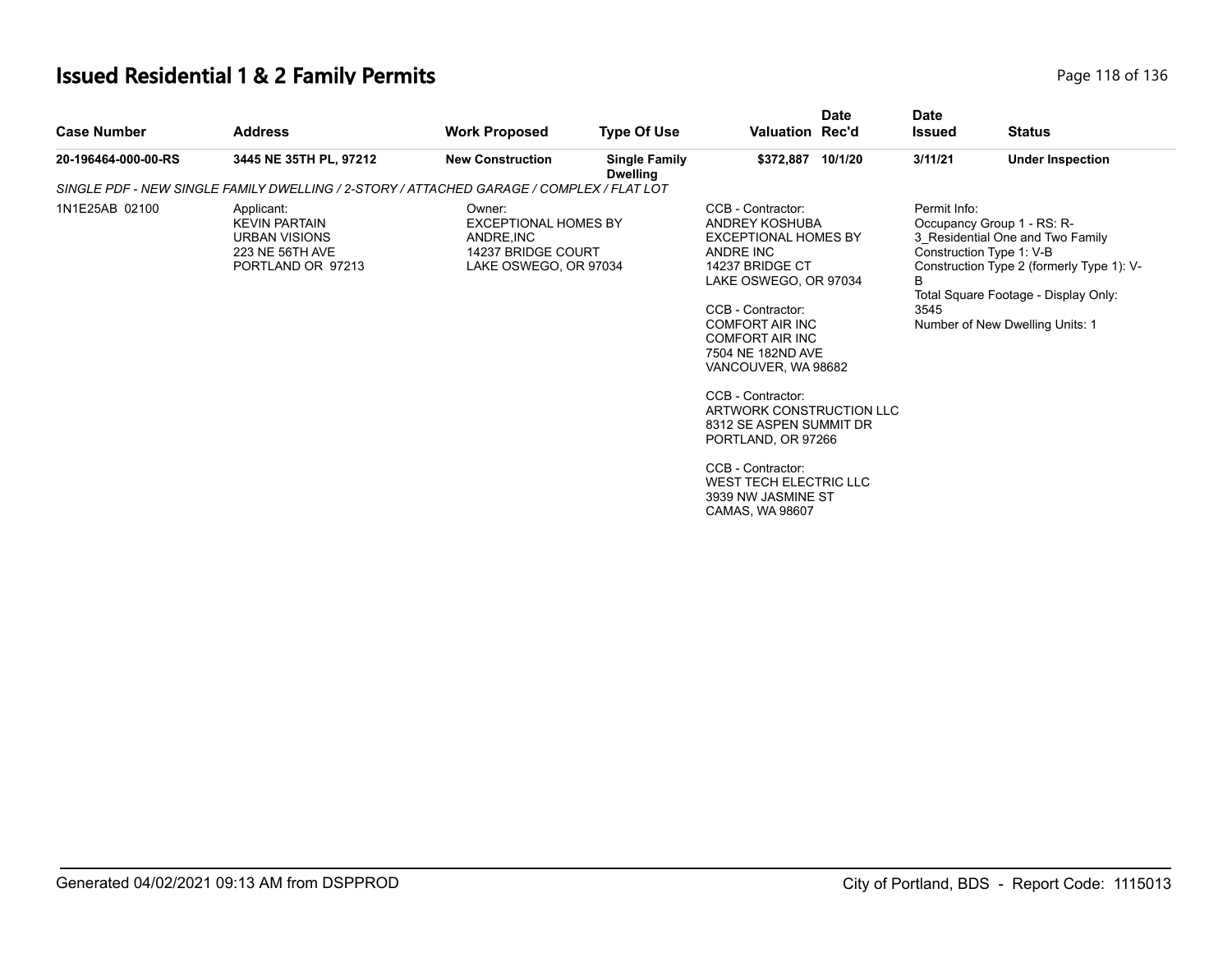# **Issued Residential 1 & 2 Family Permits Page 118 of 136** Page 118 of 136

| <b>Case Number</b>  | <b>Address</b>                                                                                     | <b>Work Proposed</b>                                                                              | <b>Type Of Use</b>                      | <b>Valuation Rec'd</b>                                                                                                                                                                                                                                                                                                                                                                                                                     | <b>Date</b> | <b>Date</b><br><b>Issued</b> | <b>Status</b>                                                                                                                                                                                                      |  |
|---------------------|----------------------------------------------------------------------------------------------------|---------------------------------------------------------------------------------------------------|-----------------------------------------|--------------------------------------------------------------------------------------------------------------------------------------------------------------------------------------------------------------------------------------------------------------------------------------------------------------------------------------------------------------------------------------------------------------------------------------------|-------------|------------------------------|--------------------------------------------------------------------------------------------------------------------------------------------------------------------------------------------------------------------|--|
| 20-196464-000-00-RS | 3445 NE 35TH PL, 97212                                                                             | <b>New Construction</b>                                                                           | <b>Single Family</b><br><b>Dwelling</b> | \$372,887 10/1/20                                                                                                                                                                                                                                                                                                                                                                                                                          |             | 3/11/21                      | <b>Under Inspection</b>                                                                                                                                                                                            |  |
|                     | SINGLE PDF - NEW SINGLE FAMILY DWELLING / 2-STORY / ATTACHED GARAGE / COMPLEX / FLAT LOT           |                                                                                                   |                                         |                                                                                                                                                                                                                                                                                                                                                                                                                                            |             |                              |                                                                                                                                                                                                                    |  |
| 1N1E25AB 02100      | Applicant:<br><b>KEVIN PARTAIN</b><br><b>URBAN VISIONS</b><br>223 NE 56TH AVE<br>PORTLAND OR 97213 | Owner:<br><b>EXCEPTIONAL HOMES BY</b><br>ANDRE.INC<br>14237 BRIDGE COURT<br>LAKE OSWEGO, OR 97034 |                                         | CCB - Contractor:<br>ANDREY KOSHUBA<br><b>EXCEPTIONAL HOMES BY</b><br>ANDRE INC<br>14237 BRIDGE CT<br>LAKE OSWEGO, OR 97034<br>CCB - Contractor:<br><b>COMFORT AIR INC</b><br><b>COMFORT AIR INC</b><br>7504 NE 182ND AVE<br>VANCOUVER, WA 98682<br>CCB - Contractor:<br>ARTWORK CONSTRUCTION LLC<br>8312 SE ASPEN SUMMIT DR<br>PORTLAND, OR 97266<br>CCB - Contractor:<br>WEST TECH ELECTRIC LLC<br>3939 NW JASMINE ST<br>CAMAS, WA 98607 |             | Permit Info:<br>B<br>3545    | Occupancy Group 1 - RS: R-<br>3 Residential One and Two Family<br>Construction Type 1: V-B<br>Construction Type 2 (formerly Type 1): V-<br>Total Square Footage - Display Only:<br>Number of New Dwelling Units: 1 |  |
|                     |                                                                                                    |                                                                                                   |                                         |                                                                                                                                                                                                                                                                                                                                                                                                                                            |             |                              |                                                                                                                                                                                                                    |  |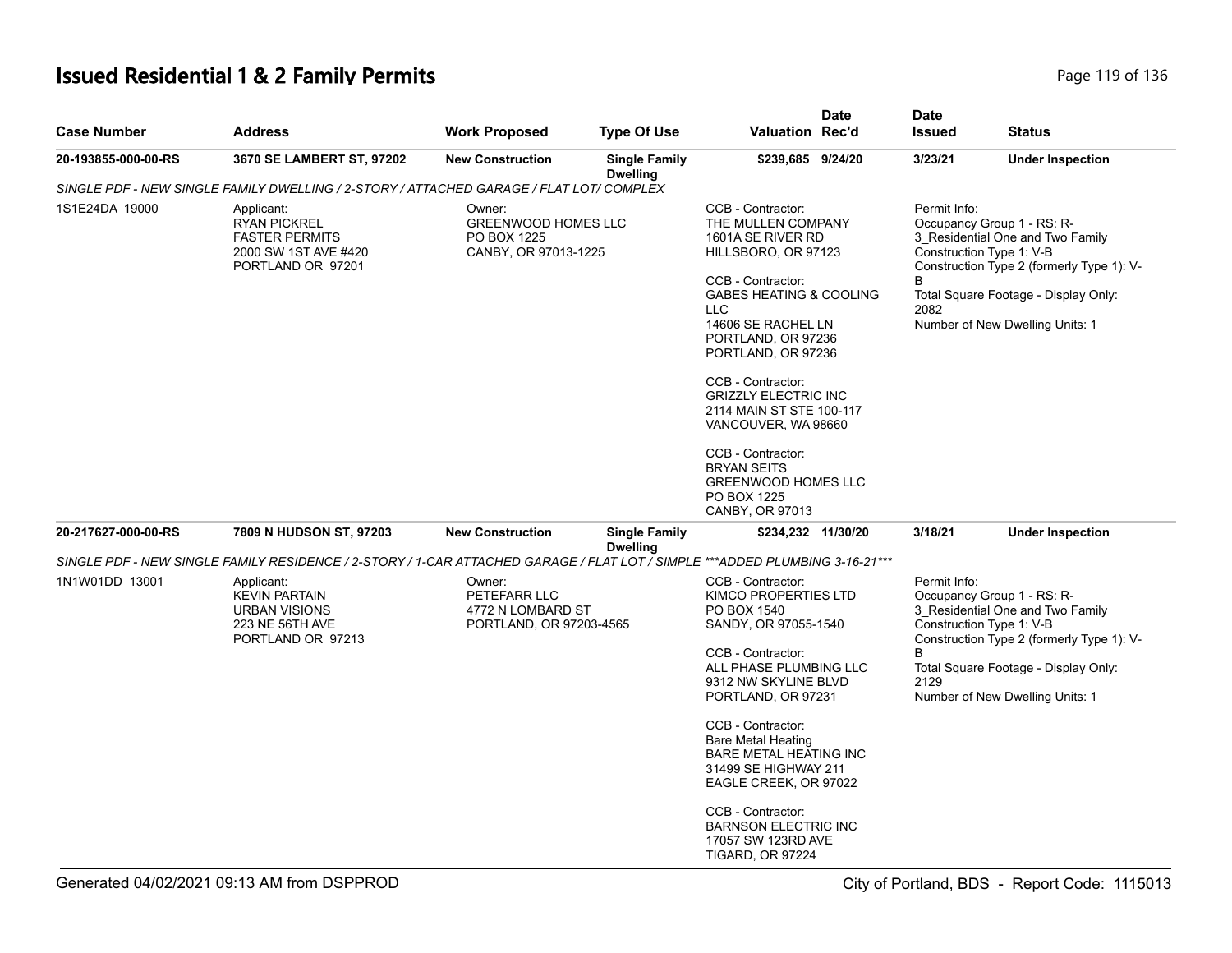# **Issued Residential 1 & 2 Family Permits Page 119 of 136** Page 119 of 136

| <b>Case Number</b>  | <b>Address</b>                                                                                                              | <b>Work Proposed</b>                                                   | <b>Type Of Use</b>                      | <b>Valuation Rec'd</b>                                                                                                                                                                                                                                                                                                                                                                                                                           | <b>Date</b> | <b>Date</b><br><b>Issued</b> | <b>Status</b>                                                                                                                                                                                                      |
|---------------------|-----------------------------------------------------------------------------------------------------------------------------|------------------------------------------------------------------------|-----------------------------------------|--------------------------------------------------------------------------------------------------------------------------------------------------------------------------------------------------------------------------------------------------------------------------------------------------------------------------------------------------------------------------------------------------------------------------------------------------|-------------|------------------------------|--------------------------------------------------------------------------------------------------------------------------------------------------------------------------------------------------------------------|
| 20-193855-000-00-RS | 3670 SE LAMBERT ST, 97202                                                                                                   | <b>New Construction</b>                                                | <b>Single Family</b><br><b>Dwelling</b> | \$239,685 9/24/20                                                                                                                                                                                                                                                                                                                                                                                                                                |             | 3/23/21                      | <b>Under Inspection</b>                                                                                                                                                                                            |
|                     | SINGLE PDF - NEW SINGLE FAMILY DWELLING / 2-STORY / ATTACHED GARAGE / FLAT LOT/ COMPLEX                                     |                                                                        |                                         |                                                                                                                                                                                                                                                                                                                                                                                                                                                  |             |                              |                                                                                                                                                                                                                    |
| 1S1E24DA 19000      | Applicant:<br><b>RYAN PICKREL</b><br><b>FASTER PERMITS</b><br>2000 SW 1ST AVE #420<br>PORTLAND OR 97201                     | Owner:<br>GREENWOOD HOMES LLC<br>PO BOX 1225<br>CANBY, OR 97013-1225   |                                         | CCB - Contractor:<br>THE MULLEN COMPANY<br>1601A SE RIVER RD<br>HILLSBORO, OR 97123<br>CCB - Contractor:<br><b>GABES HEATING &amp; COOLING</b><br><b>LLC</b><br>14606 SE RACHEL LN<br>PORTLAND, OR 97236<br>PORTLAND, OR 97236<br>CCB - Contractor:<br><b>GRIZZLY ELECTRIC INC</b><br>2114 MAIN ST STE 100-117<br>VANCOUVER, WA 98660<br>CCB - Contractor:<br><b>BRYAN SEITS</b><br><b>GREENWOOD HOMES LLC</b><br>PO BOX 1225<br>CANBY, OR 97013 |             | Permit Info:<br>B<br>2082    | Occupancy Group 1 - RS: R-<br>3_Residential One and Two Family<br>Construction Type 1: V-B<br>Construction Type 2 (formerly Type 1): V-<br>Total Square Footage - Display Only:<br>Number of New Dwelling Units: 1 |
| 20-217627-000-00-RS | 7809 N HUDSON ST, 97203                                                                                                     | <b>New Construction</b>                                                | <b>Single Family</b><br><b>Dwelling</b> | \$234,232 11/30/20                                                                                                                                                                                                                                                                                                                                                                                                                               |             | 3/18/21                      | <b>Under Inspection</b>                                                                                                                                                                                            |
|                     | SINGLE PDF - NEW SINGLE FAMILY RESIDENCE / 2-STORY / 1-CAR ATTACHED GARAGE / FLAT LOT / SIMPLE ***ADDED PLUMBING 3-16-21*** |                                                                        |                                         |                                                                                                                                                                                                                                                                                                                                                                                                                                                  |             |                              |                                                                                                                                                                                                                    |
| 1N1W01DD 13001      | Applicant:<br><b>KEVIN PARTAIN</b><br><b>URBAN VISIONS</b><br>223 NE 56TH AVE<br>PORTLAND OR 97213                          | Owner:<br>PETEFARR LLC<br>4772 N LOMBARD ST<br>PORTLAND, OR 97203-4565 |                                         | CCB - Contractor:<br>KIMCO PROPERTIES LTD<br>PO BOX 1540<br>SANDY, OR 97055-1540<br>CCB - Contractor:<br>ALL PHASE PLUMBING LLC<br>9312 NW SKYLINE BLVD<br>PORTLAND, OR 97231<br>CCB - Contractor:<br>Bare Metal Heating                                                                                                                                                                                                                         |             | Permit Info:<br>B<br>2129    | Occupancy Group 1 - RS: R-<br>3 Residential One and Two Family<br>Construction Type 1: V-B<br>Construction Type 2 (formerly Type 1): V-<br>Total Square Footage - Display Only:<br>Number of New Dwelling Units: 1 |
|                     |                                                                                                                             |                                                                        |                                         | <b>BARE METAL HEATING INC</b><br>31499 SE HIGHWAY 211<br>EAGLE CREEK, OR 97022<br>CCB - Contractor:<br><b>BARNSON ELECTRIC INC</b><br>17057 SW 123RD AVE<br><b>TIGARD, OR 97224</b>                                                                                                                                                                                                                                                              |             |                              |                                                                                                                                                                                                                    |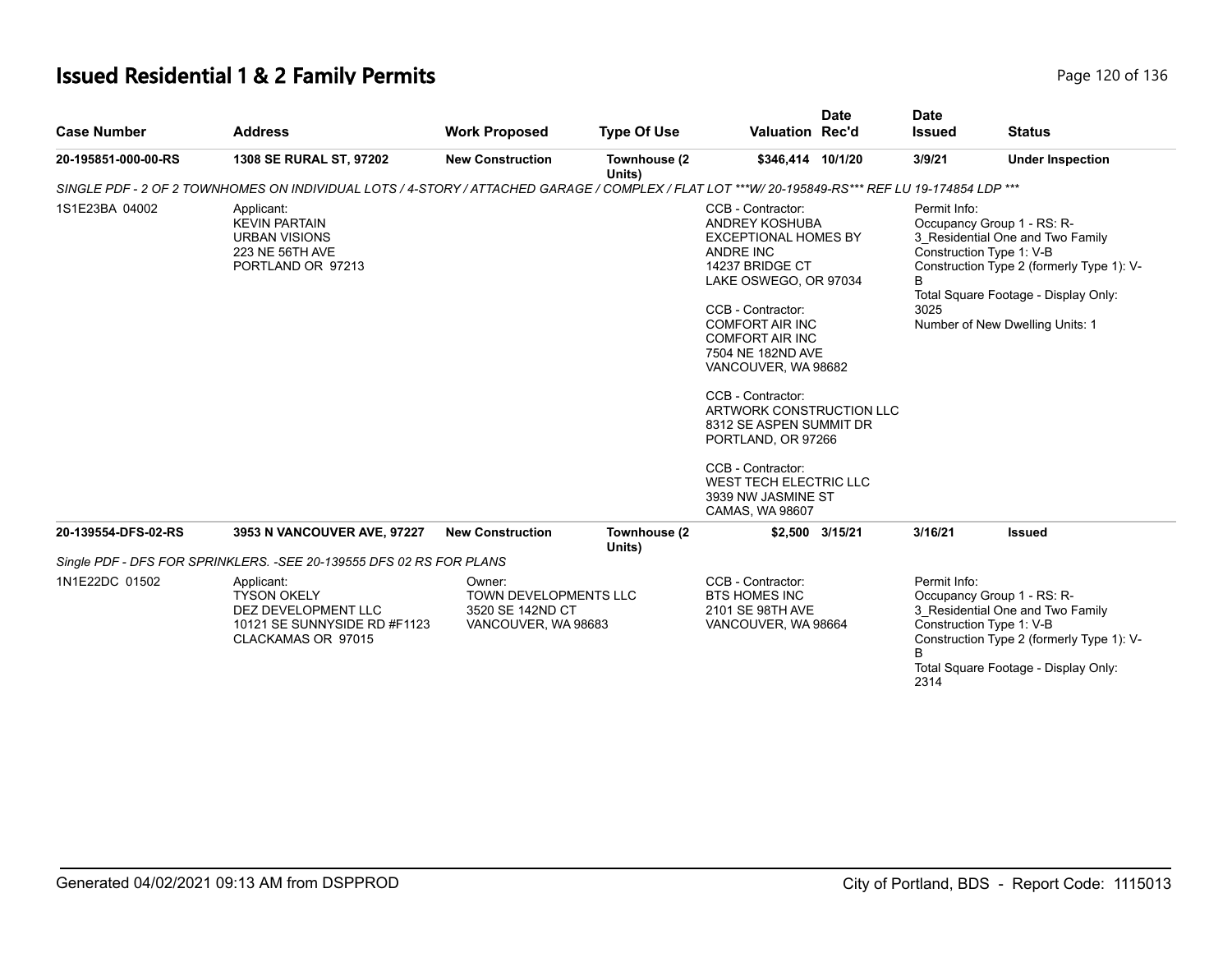# **Issued Residential 1 & 2 Family Permits Page 120 of 136** Page 120 of 136

| <b>Case Number</b>  | <b>Address</b>                                                                                                                                   | <b>Work Proposed</b>                                                              | <b>Type Of Use</b>     | <b>Valuation Rec'd</b>                                                                                                                                                                                                                                                                                                                                                                                                                            | <b>Date</b> | <b>Date</b><br><b>Issued</b> | <b>Status</b>                                                                                                                                                                                                      |
|---------------------|--------------------------------------------------------------------------------------------------------------------------------------------------|-----------------------------------------------------------------------------------|------------------------|---------------------------------------------------------------------------------------------------------------------------------------------------------------------------------------------------------------------------------------------------------------------------------------------------------------------------------------------------------------------------------------------------------------------------------------------------|-------------|------------------------------|--------------------------------------------------------------------------------------------------------------------------------------------------------------------------------------------------------------------|
| 20-195851-000-00-RS | 1308 SE RURAL ST, 97202                                                                                                                          | <b>New Construction</b>                                                           | Townhouse (2<br>Units) | \$346,414 10/1/20                                                                                                                                                                                                                                                                                                                                                                                                                                 |             | 3/9/21                       | <b>Under Inspection</b>                                                                                                                                                                                            |
|                     | SINGLE PDF - 2 OF 2 TOWNHOMES ON INDIVIDUAL LOTS / 4-STORY / ATTACHED GARAGE / COMPLEX / FLAT LOT ***W/ 20-195849-RS*** REF LU 19-174854 LDP *** |                                                                                   |                        |                                                                                                                                                                                                                                                                                                                                                                                                                                                   |             |                              |                                                                                                                                                                                                                    |
| 1S1E23BA 04002      | Applicant:<br><b>KEVIN PARTAIN</b><br><b>URBAN VISIONS</b><br>223 NE 56TH AVE<br>PORTLAND OR 97213                                               |                                                                                   |                        | CCB - Contractor:<br>ANDREY KOSHUBA<br><b>EXCEPTIONAL HOMES BY</b><br>ANDRE INC<br>14237 BRIDGE CT<br>LAKE OSWEGO, OR 97034<br>CCB - Contractor:<br><b>COMFORT AIR INC</b><br><b>COMFORT AIR INC</b><br>7504 NE 182ND AVE<br>VANCOUVER, WA 98682<br>CCB - Contractor:<br>ARTWORK CONSTRUCTION LLC<br>8312 SE ASPEN SUMMIT DR<br>PORTLAND, OR 97266<br>CCB - Contractor:<br><b>WEST TECH ELECTRIC LLC</b><br>3939 NW JASMINE ST<br>CAMAS, WA 98607 |             | Permit Info:<br>B<br>3025    | Occupancy Group 1 - RS: R-<br>3 Residential One and Two Family<br>Construction Type 1: V-B<br>Construction Type 2 (formerly Type 1): V-<br>Total Square Footage - Display Only:<br>Number of New Dwelling Units: 1 |
| 20-139554-DFS-02-RS | 3953 N VANCOUVER AVE, 97227                                                                                                                      | <b>New Construction</b>                                                           | Townhouse (2<br>Units) | \$2,500 3/15/21                                                                                                                                                                                                                                                                                                                                                                                                                                   |             | 3/16/21                      | <b>Issued</b>                                                                                                                                                                                                      |
|                     | Single PDF - DFS FOR SPRINKLERS. - SEE 20-139555 DFS 02 RS FOR PLANS                                                                             |                                                                                   |                        |                                                                                                                                                                                                                                                                                                                                                                                                                                                   |             |                              |                                                                                                                                                                                                                    |
| 1N1E22DC 01502      | Applicant:<br><b>TYSON OKELY</b><br>DEZ DEVELOPMENT LLC<br>10121 SE SUNNYSIDE RD #F1123<br>CLACKAMAS OR 97015                                    | Owner:<br><b>TOWN DEVELOPMENTS LLC</b><br>3520 SE 142ND CT<br>VANCOUVER, WA 98683 |                        | CCB - Contractor:<br><b>BTS HOMES INC</b><br>2101 SE 98TH AVE<br>VANCOUVER, WA 98664                                                                                                                                                                                                                                                                                                                                                              |             | Permit Info:<br>R<br>2314    | Occupancy Group 1 - RS: R-<br>3 Residential One and Two Family<br>Construction Type 1: V-B<br>Construction Type 2 (formerly Type 1): V-<br>Total Square Footage - Display Only:                                    |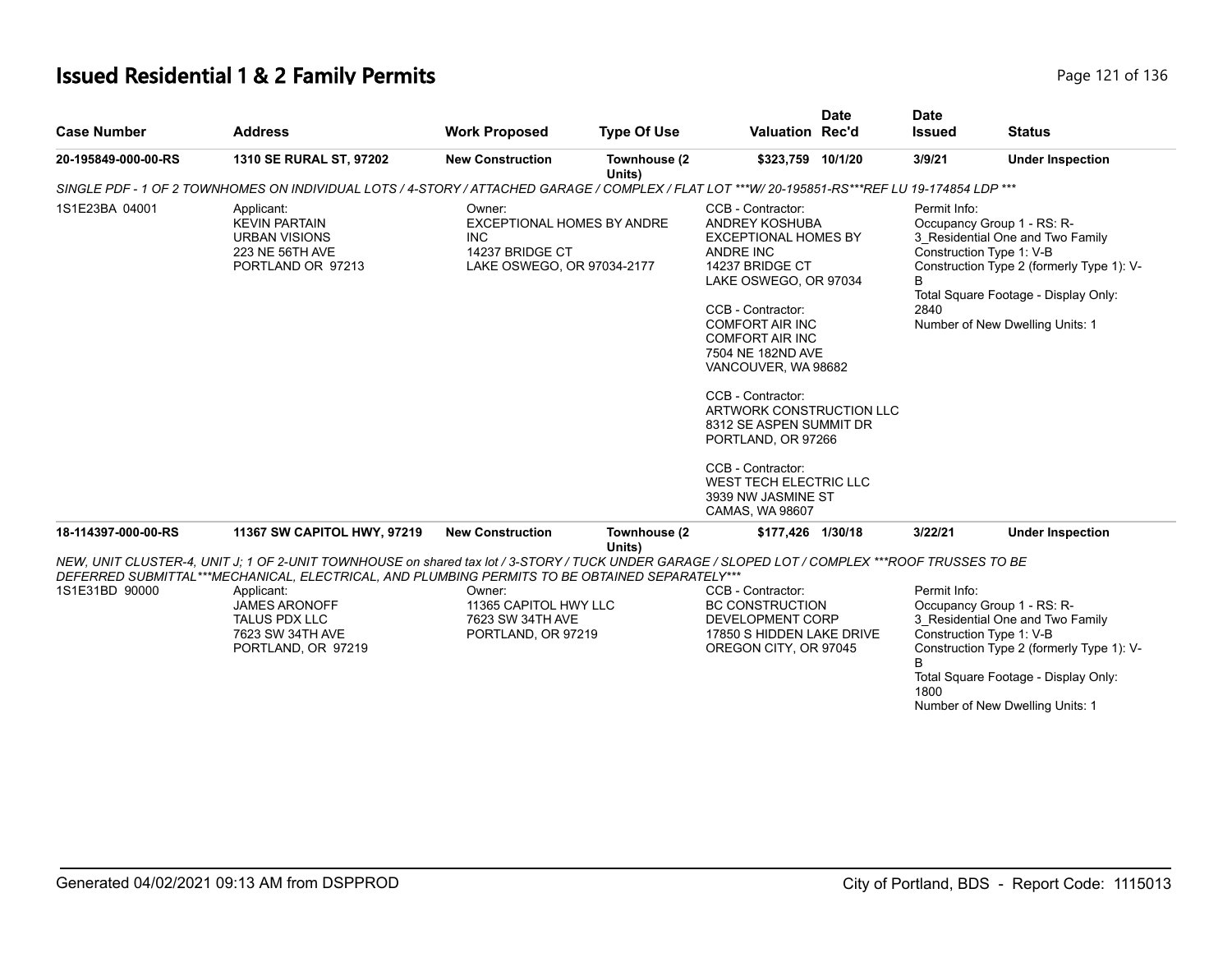# **Issued Residential 1 & 2 Family Permits Page 121 of 136** Page 121 of 136

| <b>Case Number</b>  | <b>Address</b>                                                                                                                                                                                                                                                                                                                                            | <b>Work Proposed</b>                                                                          | <b>Type Of Use</b>     | <b>Valuation Rec'd</b>                                                                                                                                                                                                                                                                                                                                                                                                                                          | <b>Date</b> | <b>Date</b><br><b>Issued</b> | <b>Status</b>                                                                                                                                                                                                      |
|---------------------|-----------------------------------------------------------------------------------------------------------------------------------------------------------------------------------------------------------------------------------------------------------------------------------------------------------------------------------------------------------|-----------------------------------------------------------------------------------------------|------------------------|-----------------------------------------------------------------------------------------------------------------------------------------------------------------------------------------------------------------------------------------------------------------------------------------------------------------------------------------------------------------------------------------------------------------------------------------------------------------|-------------|------------------------------|--------------------------------------------------------------------------------------------------------------------------------------------------------------------------------------------------------------------|
| 20-195849-000-00-RS | 1310 SE RURAL ST, 97202                                                                                                                                                                                                                                                                                                                                   | <b>New Construction</b>                                                                       | Townhouse (2<br>Units) | \$323,759 10/1/20                                                                                                                                                                                                                                                                                                                                                                                                                                               |             | 3/9/21                       | <b>Under Inspection</b>                                                                                                                                                                                            |
|                     | SINGLE PDF - 1 OF 2 TOWNHOMES ON INDIVIDUAL LOTS / 4-STORY / ATTACHED GARAGE / COMPLEX / FLAT LOT ***W/20-195851-RS***REF LU 19-174854 LDP ***                                                                                                                                                                                                            |                                                                                               |                        |                                                                                                                                                                                                                                                                                                                                                                                                                                                                 |             |                              |                                                                                                                                                                                                                    |
| 1S1E23BA 04001      | Applicant:<br><b>KEVIN PARTAIN</b><br><b>URBAN VISIONS</b><br>223 NE 56TH AVE<br>PORTLAND OR 97213                                                                                                                                                                                                                                                        | Owner:<br>EXCEPTIONAL HOMES BY ANDRE<br>INC.<br>14237 BRIDGE CT<br>LAKE OSWEGO, OR 97034-2177 |                        | CCB - Contractor:<br><b>ANDREY KOSHUBA</b><br><b>EXCEPTIONAL HOMES BY</b><br><b>ANDRE INC</b><br>14237 BRIDGE CT<br>LAKE OSWEGO, OR 97034<br>CCB - Contractor:<br><b>COMFORT AIR INC</b><br><b>COMFORT AIR INC</b><br>7504 NE 182ND AVE<br>VANCOUVER, WA 98682<br>CCB - Contractor:<br>ARTWORK CONSTRUCTION LLC<br>8312 SE ASPEN SUMMIT DR<br>PORTLAND, OR 97266<br>CCB - Contractor:<br><b>WEST TECH ELECTRIC LLC</b><br>3939 NW JASMINE ST<br>CAMAS, WA 98607 |             | Permit Info:<br>B<br>2840    | Occupancy Group 1 - RS: R-<br>3_Residential One and Two Family<br>Construction Type 1: V-B<br>Construction Type 2 (formerly Type 1): V-<br>Total Square Footage - Display Only:<br>Number of New Dwelling Units: 1 |
| 18-114397-000-00-RS | 11367 SW CAPITOL HWY, 97219                                                                                                                                                                                                                                                                                                                               | <b>New Construction</b>                                                                       | Townhouse (2           | \$177,426 1/30/18                                                                                                                                                                                                                                                                                                                                                                                                                                               |             | 3/22/21                      | <b>Under Inspection</b>                                                                                                                                                                                            |
| 1S1E31BD 90000      | NEW, UNIT CLUSTER-4, UNIT J: 1 OF 2-UNIT TOWNHOUSE on shared tax lot / 3-STORY / TUCK UNDER GARAGE / SLOPED LOT / COMPLEX ***ROOF TRUSSES TO BE<br>DEFERRED SUBMITTAL***MECHANICAL, ELECTRICAL, AND PLUMBING PERMITS TO BE OBTAINED SEPARATELY***<br>Applicant:<br><b>JAMES ARONOFF</b><br><b>TALUS PDX LLC</b><br>7623 SW 34TH AVE<br>PORTLAND, OR 97219 | Owner:<br>11365 CAPITOL HWY LLC<br>7623 SW 34TH AVE<br>PORTLAND, OR 97219                     | Units)                 | CCB - Contractor:<br><b>BC CONSTRUCTION</b><br>DEVELOPMENT CORP<br>17850 S HIDDEN LAKE DRIVE<br>OREGON CITY, OR 97045                                                                                                                                                                                                                                                                                                                                           |             | Permit Info:<br>B<br>1800    | Occupancy Group 1 - RS: R-<br>3 Residential One and Two Family<br>Construction Type 1: V-B<br>Construction Type 2 (formerly Type 1): V-<br>Total Square Footage - Display Only:<br>Number of New Dwelling Units: 1 |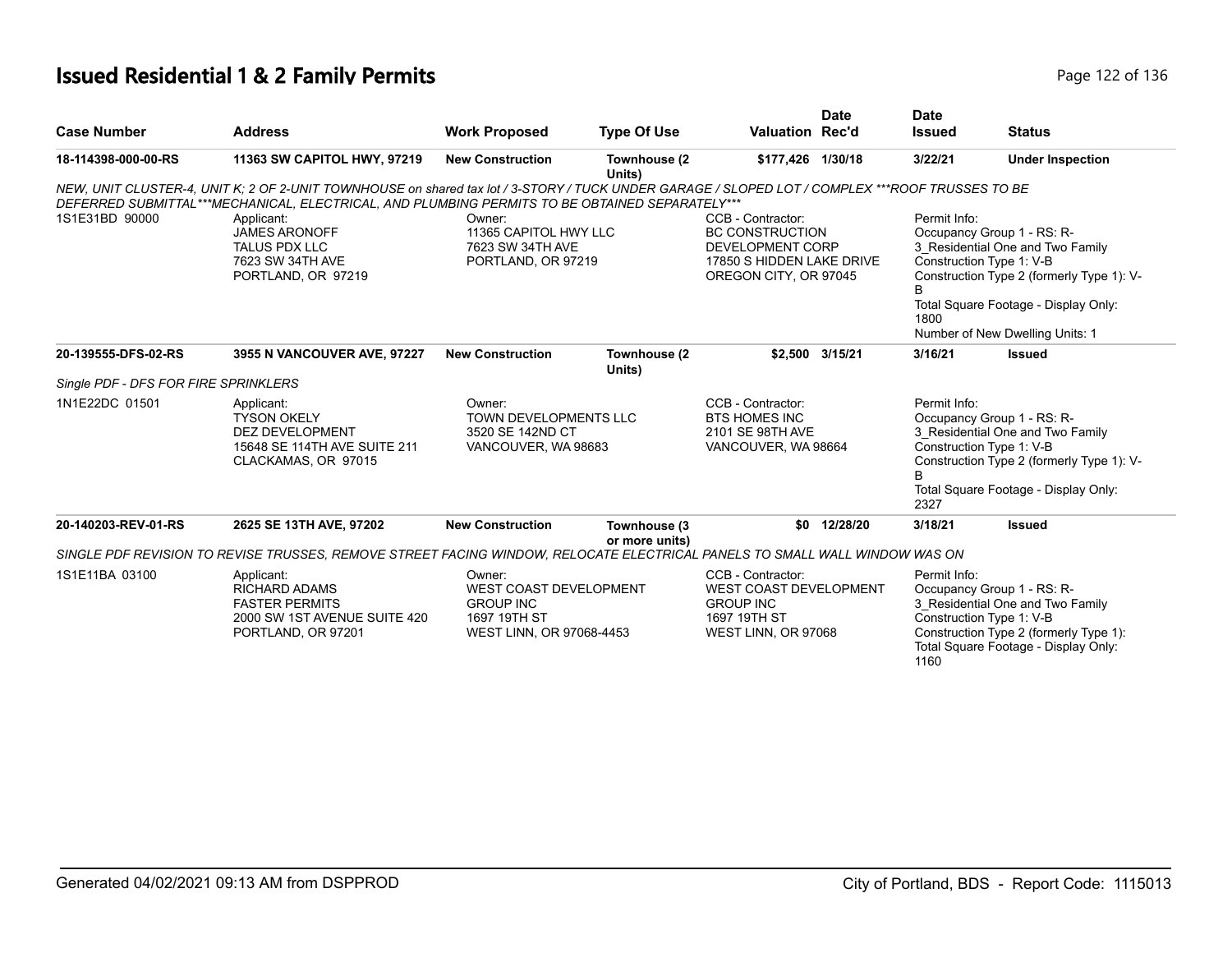# **Issued Residential 1 & 2 Family Permits Page 122 of 136 Page 122 of 136**

|                                      |                                                                                                                                                                                                                                                                                     |                                                                                                  |                                                                                                  |                                                                                                        | <b>Date</b>                                                                                                                                                                                                                                                          | <b>Date</b>               |                                                                                                                                                                                 |
|--------------------------------------|-------------------------------------------------------------------------------------------------------------------------------------------------------------------------------------------------------------------------------------------------------------------------------------|--------------------------------------------------------------------------------------------------|--------------------------------------------------------------------------------------------------|--------------------------------------------------------------------------------------------------------|----------------------------------------------------------------------------------------------------------------------------------------------------------------------------------------------------------------------------------------------------------------------|---------------------------|---------------------------------------------------------------------------------------------------------------------------------------------------------------------------------|
| <b>Case Number</b>                   | <b>Address</b>                                                                                                                                                                                                                                                                      | <b>Work Proposed</b>                                                                             | <b>Type Of Use</b>                                                                               | <b>Valuation Rec'd</b>                                                                                 |                                                                                                                                                                                                                                                                      | <b>Issued</b>             | <b>Status</b>                                                                                                                                                                   |
| 18-114398-000-00-RS                  | 11363 SW CAPITOL HWY, 97219                                                                                                                                                                                                                                                         | <b>New Construction</b>                                                                          | Townhouse (2<br>Units)                                                                           | \$177,426 1/30/18                                                                                      |                                                                                                                                                                                                                                                                      | 3/22/21                   | <b>Under Inspection</b>                                                                                                                                                         |
|                                      | NEW, UNIT CLUSTER-4, UNIT K; 2 OF 2-UNIT TOWNHOUSE on shared tax lot / 3-STORY / TUCK UNDER GARAGE / SLOPED LOT / COMPLEX ***ROOF TRUSSES TO BE                                                                                                                                     |                                                                                                  |                                                                                                  |                                                                                                        |                                                                                                                                                                                                                                                                      |                           |                                                                                                                                                                                 |
| 1S1E31BD 90000                       | DEFERRED SUBMITTAL***MECHANICAL, ELECTRICAL, AND PLUMBING PERMITS TO BE OBTAINED SEPARATELY***<br>Applicant:<br>Owner:<br><b>JAMES ARONOFF</b><br>11365 CAPITOL HWY LLC<br><b>TALUS PDX LLC</b><br>7623 SW 34TH AVE<br>7623 SW 34TH AVE<br>PORTLAND, OR 97219<br>PORTLAND, OR 97219 |                                                                                                  | <b>BC CONSTRUCTION</b><br>DEVELOPMENT CORP<br>17850 S HIDDEN LAKE DRIVE<br>OREGON CITY, OR 97045 |                                                                                                        | Permit Info:<br>CCB - Contractor:<br>Occupancy Group 1 - RS: R-<br>3_Residential One and Two Family<br>Construction Type 1: V-B<br>Construction Type 2 (formerly Type 1): V-<br>В<br>Total Square Footage - Display Only:<br>1800<br>Number of New Dwelling Units: 1 |                           |                                                                                                                                                                                 |
| 20-139555-DFS-02-RS                  | 3955 N VANCOUVER AVE, 97227                                                                                                                                                                                                                                                         | <b>New Construction</b>                                                                          | Townhouse (2<br>Units)                                                                           |                                                                                                        | \$2,500 3/15/21                                                                                                                                                                                                                                                      | 3/16/21                   | <b>Issued</b>                                                                                                                                                                   |
| Single PDF - DFS FOR FIRE SPRINKLERS |                                                                                                                                                                                                                                                                                     |                                                                                                  |                                                                                                  |                                                                                                        |                                                                                                                                                                                                                                                                      |                           |                                                                                                                                                                                 |
| 1N1E22DC 01501                       | Applicant:<br><b>TYSON OKELY</b><br><b>DEZ DEVELOPMENT</b><br>15648 SE 114TH AVE SUITE 211<br>CLACKAMAS, OR 97015                                                                                                                                                                   | Owner:<br>TOWN DEVELOPMENTS LLC<br>3520 SE 142ND CT<br>VANCOUVER, WA 98683                       |                                                                                                  | CCB - Contractor:<br><b>BTS HOMES INC</b><br>2101 SE 98TH AVE<br>VANCOUVER, WA 98664                   |                                                                                                                                                                                                                                                                      | Permit Info:<br>R<br>2327 | Occupancy Group 1 - RS: R-<br>3 Residential One and Two Family<br>Construction Type 1: V-B<br>Construction Type 2 (formerly Type 1): V-<br>Total Square Footage - Display Only: |
| 20-140203-REV-01-RS                  | 2625 SE 13TH AVE, 97202                                                                                                                                                                                                                                                             | <b>New Construction</b>                                                                          | Townhouse (3<br>or more units)                                                                   |                                                                                                        | \$0 12/28/20                                                                                                                                                                                                                                                         | 3/18/21                   | <b>Issued</b>                                                                                                                                                                   |
|                                      | SINGLE PDF REVISION TO REVISE TRUSSES, REMOVE STREET FACING WINDOW, RELOCATE ELECTRICAL PANELS TO SMALL WALL WINDOW WAS ON                                                                                                                                                          |                                                                                                  |                                                                                                  |                                                                                                        |                                                                                                                                                                                                                                                                      |                           |                                                                                                                                                                                 |
| 1S1E11BA 03100                       | Applicant:<br><b>RICHARD ADAMS</b><br><b>FASTER PERMITS</b><br>2000 SW 1ST AVENUE SUITE 420<br>PORTLAND, OR 97201                                                                                                                                                                   | Owner:<br>WEST COAST DEVELOPMENT<br><b>GROUP INC</b><br>1697 19TH ST<br>WEST LINN, OR 97068-4453 |                                                                                                  | CCB - Contractor:<br>WEST COAST DEVELOPMENT<br><b>GROUP INC</b><br>1697 19TH ST<br>WEST LINN, OR 97068 |                                                                                                                                                                                                                                                                      | Permit Info:<br>1160      | Occupancy Group 1 - RS: R-<br>3 Residential One and Two Family<br>Construction Type 1: V-B<br>Construction Type 2 (formerly Type 1):<br>Total Square Footage - Display Only:    |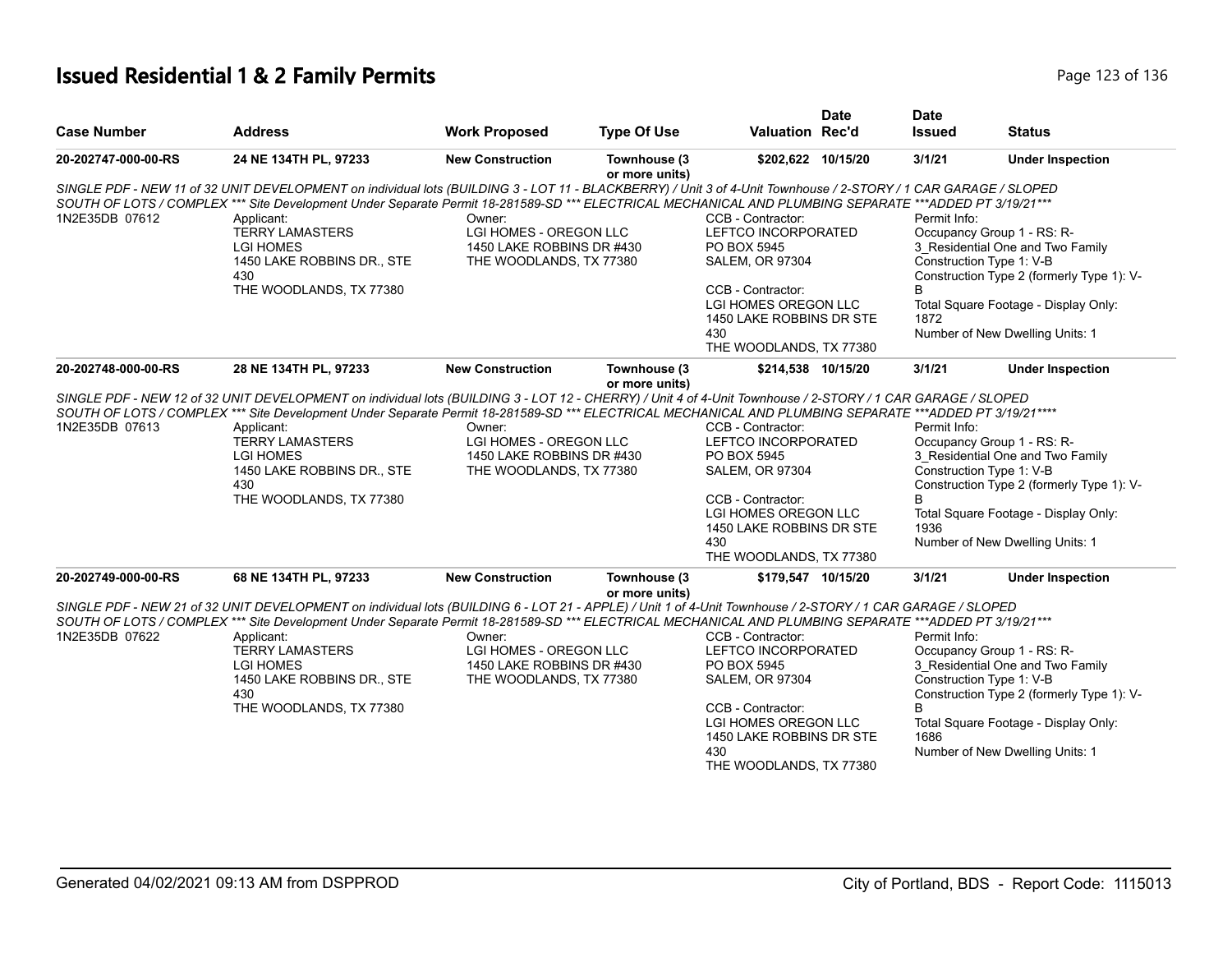# **Issued Residential 1 & 2 Family Permits Page 123 of 136** Page 123 of 136

|                     |                                                                                                                                                                                                                                                                                                                                                                                                                                                        |                                                                                          |                                |                                                                                                                                                                                              | <b>Date</b> | <b>Date</b>               |                                                                                                                                                                                                                    |
|---------------------|--------------------------------------------------------------------------------------------------------------------------------------------------------------------------------------------------------------------------------------------------------------------------------------------------------------------------------------------------------------------------------------------------------------------------------------------------------|------------------------------------------------------------------------------------------|--------------------------------|----------------------------------------------------------------------------------------------------------------------------------------------------------------------------------------------|-------------|---------------------------|--------------------------------------------------------------------------------------------------------------------------------------------------------------------------------------------------------------------|
| <b>Case Number</b>  | <b>Address</b>                                                                                                                                                                                                                                                                                                                                                                                                                                         | <b>Work Proposed</b>                                                                     | <b>Type Of Use</b>             | Valuation Rec'd                                                                                                                                                                              |             | <b>Issued</b>             | <b>Status</b>                                                                                                                                                                                                      |
| 20-202747-000-00-RS | 24 NE 134TH PL, 97233                                                                                                                                                                                                                                                                                                                                                                                                                                  | <b>New Construction</b>                                                                  | Townhouse (3<br>or more units) | \$202,622 10/15/20                                                                                                                                                                           |             | 3/1/21                    | <b>Under Inspection</b>                                                                                                                                                                                            |
| 1N2E35DB 07612      | SINGLE PDF - NEW 11 of 32 UNIT DEVELOPMENT on individual lots (BUILDING 3 - LOT 11 - BLACKBERRY) / Unit 3 of 4-Unit Townhouse / 2-STORY / 1 CAR GARAGE / SLOPED<br>SOUTH OF LOTS / COMPLEX *** Site Development Under Separate Permit 18-281589-SD *** ELECTRICAL MECHANICAL AND PLUMBING SEPARATE ***ADDED PT 3/19/21 ***<br>Applicant:<br><b>TERRY LAMASTERS</b><br><b>LGI HOMES</b><br>1450 LAKE ROBBINS DR., STE<br>430<br>THE WOODLANDS, TX 77380 | Owner:<br>LGI HOMES - OREGON LLC<br>1450 LAKE ROBBINS DR #430<br>THE WOODLANDS, TX 77380 |                                | CCB - Contractor:<br>LEFTCO INCORPORATED<br>PO BOX 5945<br><b>SALEM, OR 97304</b><br>CCB - Contractor:<br>LGI HOMES OREGON LLC<br>1450 LAKE ROBBINS DR STE<br>430                            |             | Permit Info:<br>В<br>1872 | Occupancy Group 1 - RS: R-<br>3 Residential One and Two Family<br>Construction Type 1: V-B<br>Construction Type 2 (formerly Type 1): V-<br>Total Square Footage - Display Only:<br>Number of New Dwelling Units: 1 |
|                     |                                                                                                                                                                                                                                                                                                                                                                                                                                                        |                                                                                          |                                | THE WOODLANDS, TX 77380                                                                                                                                                                      |             |                           |                                                                                                                                                                                                                    |
| 20-202748-000-00-RS | 28 NE 134TH PL, 97233                                                                                                                                                                                                                                                                                                                                                                                                                                  | <b>New Construction</b>                                                                  | Townhouse (3<br>or more units) | \$214,538 10/15/20                                                                                                                                                                           |             | 3/1/21                    | <b>Under Inspection</b>                                                                                                                                                                                            |
| 1N2E35DB 07613      | SINGLE PDF - NEW 12 of 32 UNIT DEVELOPMENT on individual lots (BUILDING 3 - LOT 12 - CHERRY) / Unit 4 of 4-Unit Townhouse / 2-STORY / 1 CAR GARAGE / SLOPED<br>SOUTH OF LOTS / COMPLEX *** Site Development Under Separate Permit 18-281589-SD *** ELECTRICAL MECHANICAL AND PLUMBING SEPARATE ***ADDED PT 3/19/21 ****<br>Applicant:<br><b>TERRY LAMASTERS</b><br><b>LGI HOMES</b><br>1450 LAKE ROBBINS DR., STE<br>430<br>THE WOODLANDS, TX 77380    | Owner:<br>LGI HOMES - OREGON LLC<br>1450 LAKE ROBBINS DR #430<br>THE WOODLANDS, TX 77380 |                                | CCB - Contractor:<br>LEFTCO INCORPORATED<br>PO BOX 5945<br><b>SALEM, OR 97304</b><br>CCB - Contractor:<br>LGI HOMES OREGON LLC<br>1450 LAKE ROBBINS DR STE<br>430<br>THE WOODLANDS, TX 77380 |             | Permit Info:<br>1936      | Occupancy Group 1 - RS: R-<br>3_Residential One and Two Family<br>Construction Type 1: V-B<br>Construction Type 2 (formerly Type 1): V-<br>Total Square Footage - Display Only:<br>Number of New Dwelling Units: 1 |
| 20-202749-000-00-RS | 68 NE 134TH PL, 97233                                                                                                                                                                                                                                                                                                                                                                                                                                  | <b>New Construction</b>                                                                  | Townhouse (3<br>or more units) | \$179,547 10/15/20                                                                                                                                                                           |             | 3/1/21                    | <b>Under Inspection</b>                                                                                                                                                                                            |
| 1N2E35DB 07622      | SINGLE PDF - NEW 21 of 32 UNIT DEVELOPMENT on individual lots (BUILDING 6 - LOT 21 - APPLE) / Unit 1 of 4-Unit Townhouse / 2-STORY / 1 CAR GARAGE / SLOPED<br>SOUTH OF LOTS / COMPLEX *** Site Development Under Separate Permit 18-281589-SD *** ELECTRICAL MECHANICAL AND PLUMBING SEPARATE ***ADDED PT 3/19/21 ***<br>Applicant:<br><b>TERRY LAMASTERS</b><br>LGI HOMES<br>1450 LAKE ROBBINS DR., STE<br>430<br>THE WOODLANDS, TX 77380             | Owner:<br>LGI HOMES - OREGON LLC<br>1450 LAKE ROBBINS DR #430<br>THE WOODLANDS, TX 77380 |                                | CCB - Contractor:<br>LEFTCO INCORPORATED<br>PO BOX 5945<br><b>SALEM, OR 97304</b><br>CCB - Contractor:<br>LGI HOMES OREGON LLC<br>1450 LAKE ROBBINS DR STE<br>430<br>THE WOODLANDS, TX 77380 |             | Permit Info:<br>R<br>1686 | Occupancy Group 1 - RS: R-<br>3 Residential One and Two Family<br>Construction Type 1: V-B<br>Construction Type 2 (formerly Type 1): V-<br>Total Square Footage - Display Only:<br>Number of New Dwelling Units: 1 |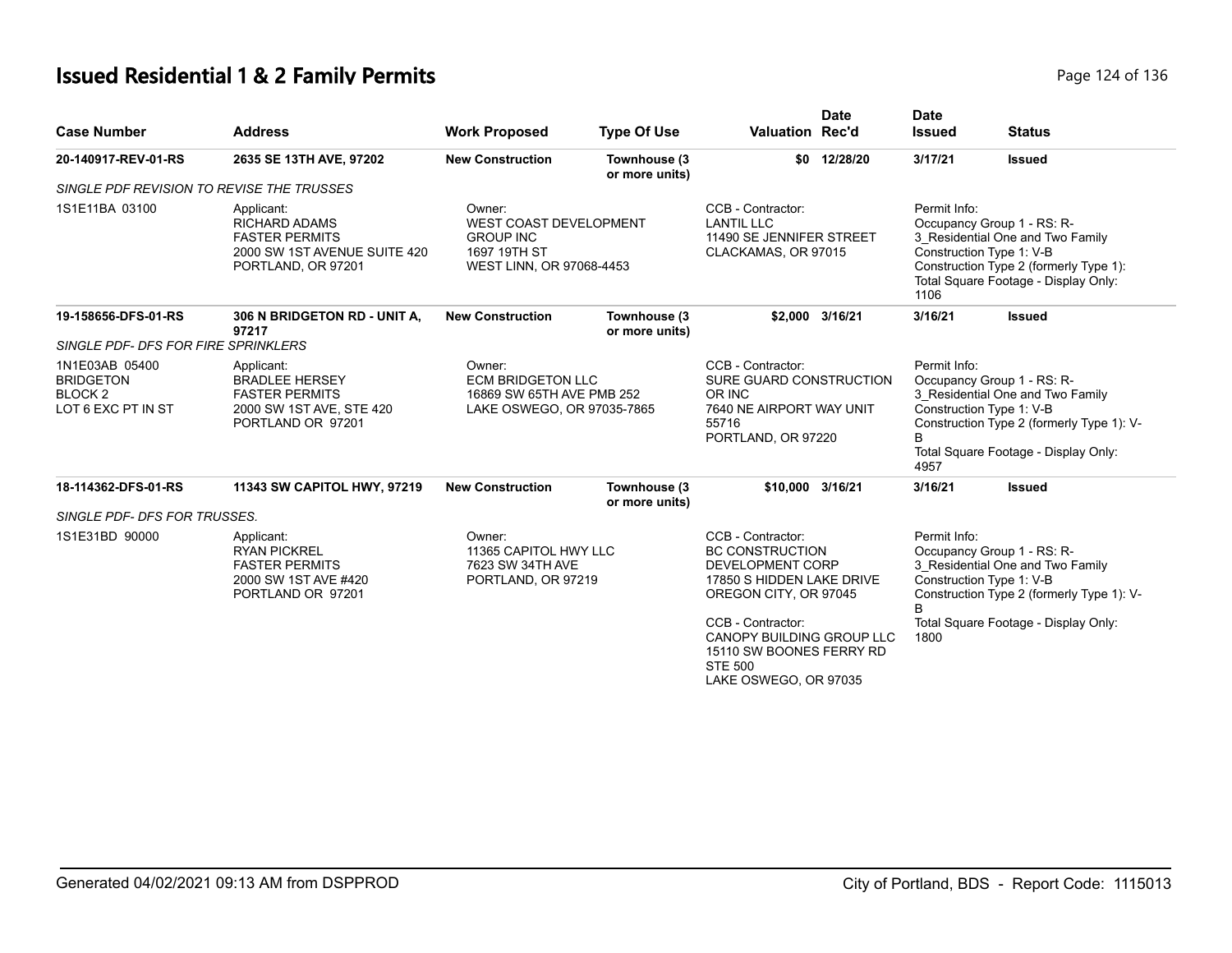# **Issued Residential 1 & 2 Family Permits Page 124 of 136** Page 124 of 136

| <b>Case Number</b>                                                        | <b>Address</b>                                                                                                    | <b>Work Proposed</b>                                                                                                                                                                                                                                     | <b>Type Of Use</b>             | <b>Valuation Rec'd</b>                                                                                                                                                                              | <b>Date</b>  | <b>Date</b><br><b>Issued</b>                                                                                                                                                                                 | <b>Status</b>                                                                                                                                                                   |
|---------------------------------------------------------------------------|-------------------------------------------------------------------------------------------------------------------|----------------------------------------------------------------------------------------------------------------------------------------------------------------------------------------------------------------------------------------------------------|--------------------------------|-----------------------------------------------------------------------------------------------------------------------------------------------------------------------------------------------------|--------------|--------------------------------------------------------------------------------------------------------------------------------------------------------------------------------------------------------------|---------------------------------------------------------------------------------------------------------------------------------------------------------------------------------|
| 20-140917-REV-01-RS                                                       | 2635 SE 13TH AVE, 97202                                                                                           | <b>New Construction</b>                                                                                                                                                                                                                                  | Townhouse (3<br>or more units) |                                                                                                                                                                                                     | \$0 12/28/20 | 3/17/21                                                                                                                                                                                                      | <b>Issued</b>                                                                                                                                                                   |
| SINGLE PDF REVISION TO REVISE THE TRUSSES                                 |                                                                                                                   |                                                                                                                                                                                                                                                          |                                |                                                                                                                                                                                                     |              |                                                                                                                                                                                                              |                                                                                                                                                                                 |
| 1S1E11BA 03100                                                            | Applicant:<br><b>RICHARD ADAMS</b><br><b>FASTER PERMITS</b><br>2000 SW 1ST AVENUE SUITE 420<br>PORTLAND, OR 97201 | CCB - Contractor:<br>Permit Info:<br>Owner:<br><b>WEST COAST DEVELOPMENT</b><br><b>LANTIL LLC</b><br><b>GROUP INC</b><br>11490 SE JENNIFER STREET<br>1697 19TH ST<br>CLACKAMAS, OR 97015<br>Construction Type 1: V-B<br>WEST LINN, OR 97068-4453<br>1106 |                                | \$2,000 3/16/21                                                                                                                                                                                     |              | Occupancy Group 1 - RS: R-<br>3 Residential One and Two Family<br>Construction Type 2 (formerly Type 1):<br>Total Square Footage - Display Only:                                                             |                                                                                                                                                                                 |
| 19-158656-DFS-01-RS                                                       | 306 N BRIDGETON RD - UNIT A,<br>97217                                                                             | <b>New Construction</b>                                                                                                                                                                                                                                  | Townhouse (3<br>or more units) |                                                                                                                                                                                                     |              | 3/16/21                                                                                                                                                                                                      | <b>Issued</b>                                                                                                                                                                   |
| SINGLE PDF- DFS FOR FIRE SPRINKLERS                                       |                                                                                                                   |                                                                                                                                                                                                                                                          |                                |                                                                                                                                                                                                     |              |                                                                                                                                                                                                              |                                                                                                                                                                                 |
| 1N1E03AB 05400<br><b>BRIDGETON</b><br><b>BLOCK2</b><br>LOT 6 EXC PT IN ST | Applicant:<br><b>BRADLEE HERSEY</b><br><b>FASTER PERMITS</b><br>2000 SW 1ST AVE, STE 420<br>PORTLAND OR 97201     | Owner:<br><b>ECM BRIDGETON LLC</b><br>16869 SW 65TH AVE PMB 252<br>LAKE OSWEGO, OR 97035-7865                                                                                                                                                            |                                | CCB - Contractor:<br>SURE GUARD CONSTRUCTION<br>OR INC<br>7640 NE AIRPORT WAY UNIT<br>55716<br>PORTLAND, OR 97220                                                                                   |              | Permit Info:<br>Occupancy Group 1 - RS: R-<br>3_Residential One and Two Family<br>Construction Type 1: V-B<br>Construction Type 2 (formerly Type 1): V-<br>B<br>Total Square Footage - Display Only:<br>4957 |                                                                                                                                                                                 |
| 18-114362-DFS-01-RS                                                       | 11343 SW CAPITOL HWY, 97219                                                                                       | <b>New Construction</b>                                                                                                                                                                                                                                  | Townhouse (3<br>or more units) | \$10,000 3/16/21                                                                                                                                                                                    |              | 3/16/21                                                                                                                                                                                                      | <b>Issued</b>                                                                                                                                                                   |
| SINGLE PDF- DFS FOR TRUSSES.                                              |                                                                                                                   |                                                                                                                                                                                                                                                          |                                |                                                                                                                                                                                                     |              |                                                                                                                                                                                                              |                                                                                                                                                                                 |
| 1S1E31BD 90000                                                            | Applicant:<br><b>RYAN PICKREL</b><br><b>FASTER PERMITS</b><br>2000 SW 1ST AVE #420<br>PORTLAND OR 97201           | Owner:<br>11365 CAPITOL HWY LLC<br>7623 SW 34TH AVE<br>PORTLAND, OR 97219                                                                                                                                                                                |                                | CCB - Contractor:<br><b>BC CONSTRUCTION</b><br>DEVELOPMENT CORP<br>17850 S HIDDEN LAKE DRIVE<br>OREGON CITY, OR 97045<br>CCB - Contractor:<br>CANOPY BUILDING GROUP LLC<br>15110 SW BOONES FERRY RD |              | Permit Info:<br>R<br>1800                                                                                                                                                                                    | Occupancy Group 1 - RS: R-<br>3 Residential One and Two Family<br>Construction Type 1: V-B<br>Construction Type 2 (formerly Type 1): V-<br>Total Square Footage - Display Only: |
|                                                                           |                                                                                                                   |                                                                                                                                                                                                                                                          |                                | <b>STE 500</b><br>LAKE OSWEGO, OR 97035                                                                                                                                                             |              |                                                                                                                                                                                                              |                                                                                                                                                                                 |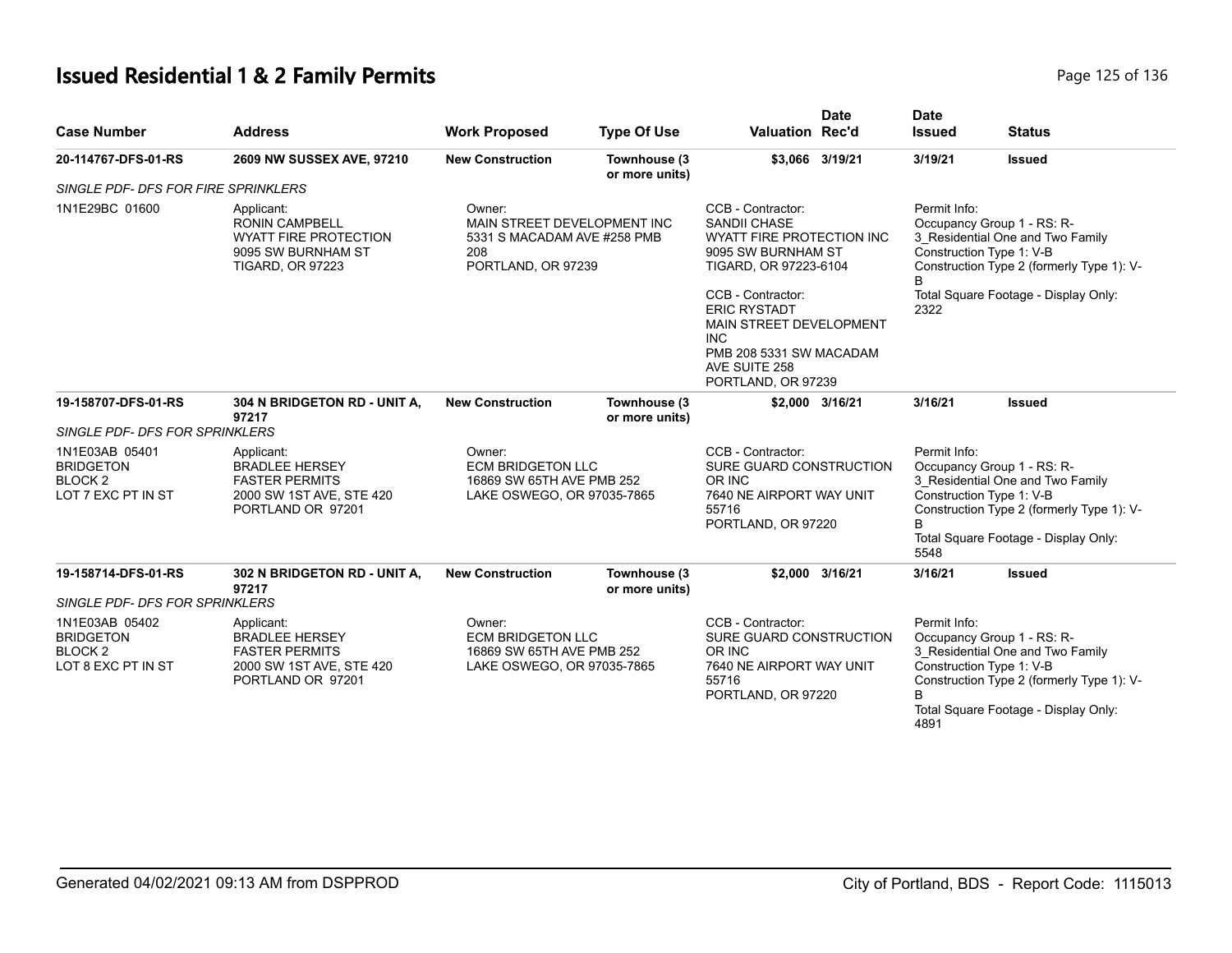# **Issued Residential 1 & 2 Family Permits Page 125 of 136** Page 125 of 136

| <b>Case Number</b>                                                             | <b>Address</b>                                                                                                       | <b>Work Proposed</b>                                                                              | <b>Type Of Use</b>                                                                            | <b>Valuation Rec'd</b>                                                                                                                                                                                                                                                | <b>Date</b>                                                                                                       | <b>Date</b><br><b>Issued</b> | <b>Status</b>                                                                                                                                                                   |
|--------------------------------------------------------------------------------|----------------------------------------------------------------------------------------------------------------------|---------------------------------------------------------------------------------------------------|-----------------------------------------------------------------------------------------------|-----------------------------------------------------------------------------------------------------------------------------------------------------------------------------------------------------------------------------------------------------------------------|-------------------------------------------------------------------------------------------------------------------|------------------------------|---------------------------------------------------------------------------------------------------------------------------------------------------------------------------------|
| 20-114767-DFS-01-RS                                                            | 2609 NW SUSSEX AVE, 97210                                                                                            | <b>New Construction</b>                                                                           | Townhouse (3<br>or more units)                                                                |                                                                                                                                                                                                                                                                       | \$3,066 3/19/21                                                                                                   | 3/19/21                      | <b>Issued</b>                                                                                                                                                                   |
| SINGLE PDF- DFS FOR FIRE SPRINKLERS                                            |                                                                                                                      |                                                                                                   |                                                                                               |                                                                                                                                                                                                                                                                       |                                                                                                                   |                              |                                                                                                                                                                                 |
| 1N1E29BC 01600                                                                 | Applicant:<br><b>RONIN CAMPBELL</b><br><b>WYATT FIRE PROTECTION</b><br>9095 SW BURNHAM ST<br><b>TIGARD, OR 97223</b> | Owner:<br>MAIN STREET DEVELOPMENT INC<br>5331 S MACADAM AVE #258 PMB<br>208<br>PORTLAND, OR 97239 |                                                                                               | CCB - Contractor:<br><b>SANDII CHASE</b><br>WYATT FIRE PROTECTION INC<br>9095 SW BURNHAM ST<br>TIGARD, OR 97223-6104<br>CCB - Contractor:<br><b>ERIC RYSTADT</b><br>MAIN STREET DEVELOPMENT<br>INC.<br>PMB 208 5331 SW MACADAM<br>AVE SUITE 258<br>PORTLAND, OR 97239 |                                                                                                                   | Permit Info:<br>B<br>2322    | Occupancy Group 1 - RS: R-<br>3_Residential One and Two Family<br>Construction Type 1: V-B<br>Construction Type 2 (formerly Type 1): V-<br>Total Square Footage - Display Only: |
| 19-158707-DFS-01-RS                                                            | 304 N BRIDGETON RD - UNIT A,<br>97217                                                                                | <b>New Construction</b>                                                                           | Townhouse (3<br>or more units)                                                                |                                                                                                                                                                                                                                                                       | \$2,000 3/16/21                                                                                                   | 3/16/21                      | Issued                                                                                                                                                                          |
| SINGLE PDF- DFS FOR SPRINKLERS                                                 |                                                                                                                      |                                                                                                   |                                                                                               |                                                                                                                                                                                                                                                                       |                                                                                                                   |                              |                                                                                                                                                                                 |
| 1N1E03AB 05401<br><b>BRIDGETON</b><br>BLOCK <sub>2</sub><br>LOT 7 EXC PT IN ST | Applicant:<br><b>BRADLEE HERSEY</b><br><b>FASTER PERMITS</b><br>2000 SW 1ST AVE, STE 420<br>PORTLAND OR 97201        |                                                                                                   | Owner:<br><b>ECM BRIDGETON LLC</b><br>16869 SW 65TH AVE PMB 252<br>LAKE OSWEGO, OR 97035-7865 |                                                                                                                                                                                                                                                                       | CCB - Contractor:<br>SURE GUARD CONSTRUCTION<br>OR INC<br>7640 NE AIRPORT WAY UNIT<br>55716<br>PORTLAND, OR 97220 |                              | Occupancy Group 1 - RS: R-<br>3 Residential One and Two Family<br>Construction Type 1: V-B<br>Construction Type 2 (formerly Type 1): V-<br>Total Square Footage - Display Only: |
| 19-158714-DFS-01-RS                                                            | 302 N BRIDGETON RD - UNIT A,<br>97217                                                                                | <b>New Construction</b>                                                                           | Townhouse (3<br>or more units)                                                                |                                                                                                                                                                                                                                                                       | \$2,000 3/16/21                                                                                                   | 3/16/21                      | <b>Issued</b>                                                                                                                                                                   |
| SINGLE PDF- DFS FOR SPRINKLERS                                                 |                                                                                                                      |                                                                                                   |                                                                                               |                                                                                                                                                                                                                                                                       |                                                                                                                   |                              |                                                                                                                                                                                 |
| 1N1E03AB 05402<br><b>BRIDGETON</b><br>BLOCK <sub>2</sub><br>LOT 8 EXC PT IN ST | Applicant:<br><b>BRADLEE HERSEY</b><br><b>FASTER PERMITS</b><br>2000 SW 1ST AVE, STE 420<br>PORTLAND OR 97201        | Owner:<br><b>ECM BRIDGETON LLC</b><br>16869 SW 65TH AVE PMB 252<br>LAKE OSWEGO, OR 97035-7865     |                                                                                               | CCB - Contractor:<br>SURE GUARD CONSTRUCTION<br>OR INC<br>7640 NE AIRPORT WAY UNIT<br>55716<br>PORTLAND, OR 97220                                                                                                                                                     |                                                                                                                   | Permit Info:<br>B<br>4891    | Occupancy Group 1 - RS: R-<br>3 Residential One and Two Family<br>Construction Type 1: V-B<br>Construction Type 2 (formerly Type 1): V-<br>Total Square Footage - Display Only: |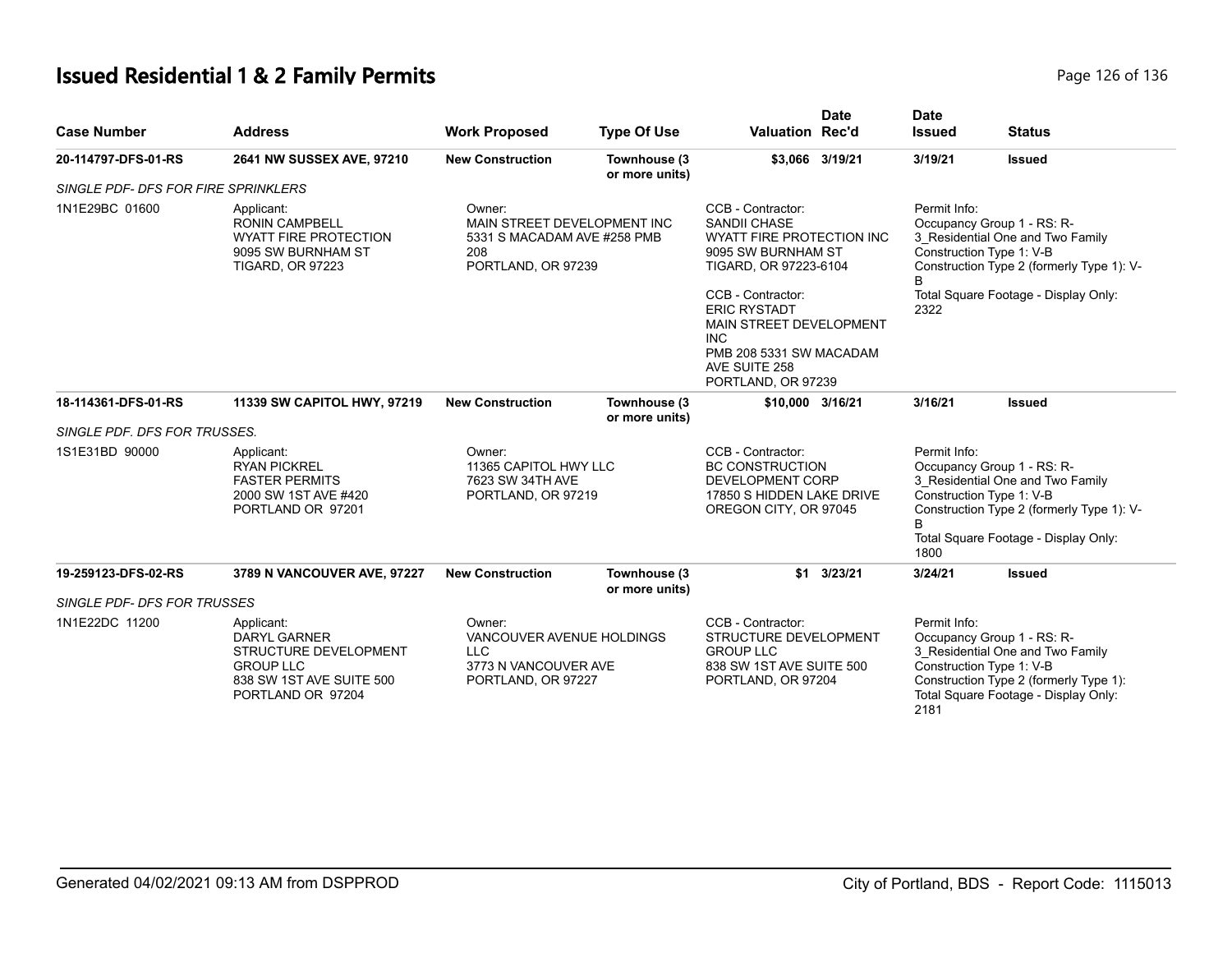# **Issued Residential 1 & 2 Family Permits Page 126 of 136** Page 126 of 136

| <b>Case Number</b>                  | <b>Address</b>                                                                                                                  | <b>Work Proposed</b>                                                                              | <b>Type Of Use</b>                                              | <b>Valuation Rec'd</b>                                                                                                                                                                                                                                                                          | <b>Date</b>                                                                                             | <b>Date</b><br><b>Issued</b>                                                                                                                                                                                  | <b>Status</b>                                                                                                                                       |
|-------------------------------------|---------------------------------------------------------------------------------------------------------------------------------|---------------------------------------------------------------------------------------------------|-----------------------------------------------------------------|-------------------------------------------------------------------------------------------------------------------------------------------------------------------------------------------------------------------------------------------------------------------------------------------------|---------------------------------------------------------------------------------------------------------|---------------------------------------------------------------------------------------------------------------------------------------------------------------------------------------------------------------|-----------------------------------------------------------------------------------------------------------------------------------------------------|
| 20-114797-DFS-01-RS                 | 2641 NW SUSSEX AVE, 97210                                                                                                       | <b>New Construction</b>                                                                           | Townhouse (3<br>or more units)                                  |                                                                                                                                                                                                                                                                                                 | \$3,066 3/19/21                                                                                         | 3/19/21                                                                                                                                                                                                       | <b>Issued</b>                                                                                                                                       |
| SINGLE PDF- DFS FOR FIRE SPRINKLERS |                                                                                                                                 |                                                                                                   |                                                                 |                                                                                                                                                                                                                                                                                                 |                                                                                                         |                                                                                                                                                                                                               |                                                                                                                                                     |
| 1N1E29BC 01600                      | Applicant:<br><b>RONIN CAMPBELL</b><br><b>WYATT FIRE PROTECTION</b><br>9095 SW BURNHAM ST<br><b>TIGARD, OR 97223</b>            | Owner:<br>MAIN STREET DEVELOPMENT INC<br>5331 S MACADAM AVE #258 PMB<br>208<br>PORTLAND, OR 97239 |                                                                 | CCB - Contractor:<br><b>SANDII CHASE</b><br>WYATT FIRE PROTECTION INC<br>9095 SW BURNHAM ST<br>TIGARD, OR 97223-6104<br>CCB - Contractor:<br><b>ERIC RYSTADT</b><br>MAIN STREET DEVELOPMENT<br><b>INC</b><br>PMB 208 5331 SW MACADAM<br>AVE SUITE 258<br>PORTLAND, OR 97239<br>\$10,000 3/16/21 |                                                                                                         | Permit Info:<br>Occupancy Group 1 - RS: R-<br>3_Residential One and Two Family<br>Construction Type 1: V-B<br>Construction Type 2 (formerly Type 1): V-<br>B.<br>Total Square Footage - Display Only:<br>2322 |                                                                                                                                                     |
| 18-114361-DFS-01-RS                 | 11339 SW CAPITOL HWY, 97219                                                                                                     | <b>New Construction</b>                                                                           | Townhouse (3<br>or more units)                                  |                                                                                                                                                                                                                                                                                                 |                                                                                                         | 3/16/21                                                                                                                                                                                                       | <b>Issued</b>                                                                                                                                       |
| SINGLE PDF. DFS FOR TRUSSES.        |                                                                                                                                 |                                                                                                   |                                                                 |                                                                                                                                                                                                                                                                                                 |                                                                                                         |                                                                                                                                                                                                               |                                                                                                                                                     |
| 1S1E31BD 90000                      | Applicant:<br><b>RYAN PICKREL</b><br><b>FASTER PERMITS</b><br>2000 SW 1ST AVE #420<br>PORTLAND OR 97201                         | Owner:                                                                                            | 11365 CAPITOL HWY LLC<br>7623 SW 34TH AVE<br>PORTLAND, OR 97219 |                                                                                                                                                                                                                                                                                                 | <b>BC CONSTRUCTION</b><br><b>DEVELOPMENT CORP</b><br>17850 S HIDDEN LAKE DRIVE<br>OREGON CITY, OR 97045 | Permit Info:<br>Construction Type 1: V-B<br>B.<br>1800                                                                                                                                                        | Occupancy Group 1 - RS: R-<br>3 Residential One and Two Family<br>Construction Type 2 (formerly Type 1): V-<br>Total Square Footage - Display Only: |
| 19-259123-DFS-02-RS                 | 3789 N VANCOUVER AVE, 97227                                                                                                     | <b>New Construction</b>                                                                           | Townhouse (3<br>or more units)                                  | \$1                                                                                                                                                                                                                                                                                             | 3/23/21                                                                                                 | 3/24/21                                                                                                                                                                                                       | <b>Issued</b>                                                                                                                                       |
| SINGLE PDF- DFS FOR TRUSSES         |                                                                                                                                 |                                                                                                   |                                                                 |                                                                                                                                                                                                                                                                                                 |                                                                                                         |                                                                                                                                                                                                               |                                                                                                                                                     |
| 1N1E22DC 11200                      | Applicant:<br><b>DARYL GARNER</b><br>STRUCTURE DEVELOPMENT<br><b>GROUP LLC</b><br>838 SW 1ST AVE SUITE 500<br>PORTLAND OR 97204 | Owner:<br>VANCOUVER AVENUE HOLDINGS<br><b>LLC</b><br>3773 N VANCOUVER AVE<br>PORTLAND, OR 97227   |                                                                 | CCB - Contractor:<br>STRUCTURE DEVELOPMENT<br><b>GROUP LLC</b><br>838 SW 1ST AVE SUITE 500<br>PORTLAND, OR 97204                                                                                                                                                                                |                                                                                                         | Permit Info:<br>Construction Type 1: V-B<br>2181                                                                                                                                                              | Occupancy Group 1 - RS: R-<br>3 Residential One and Two Family<br>Construction Type 2 (formerly Type 1):<br>Total Square Footage - Display Only:    |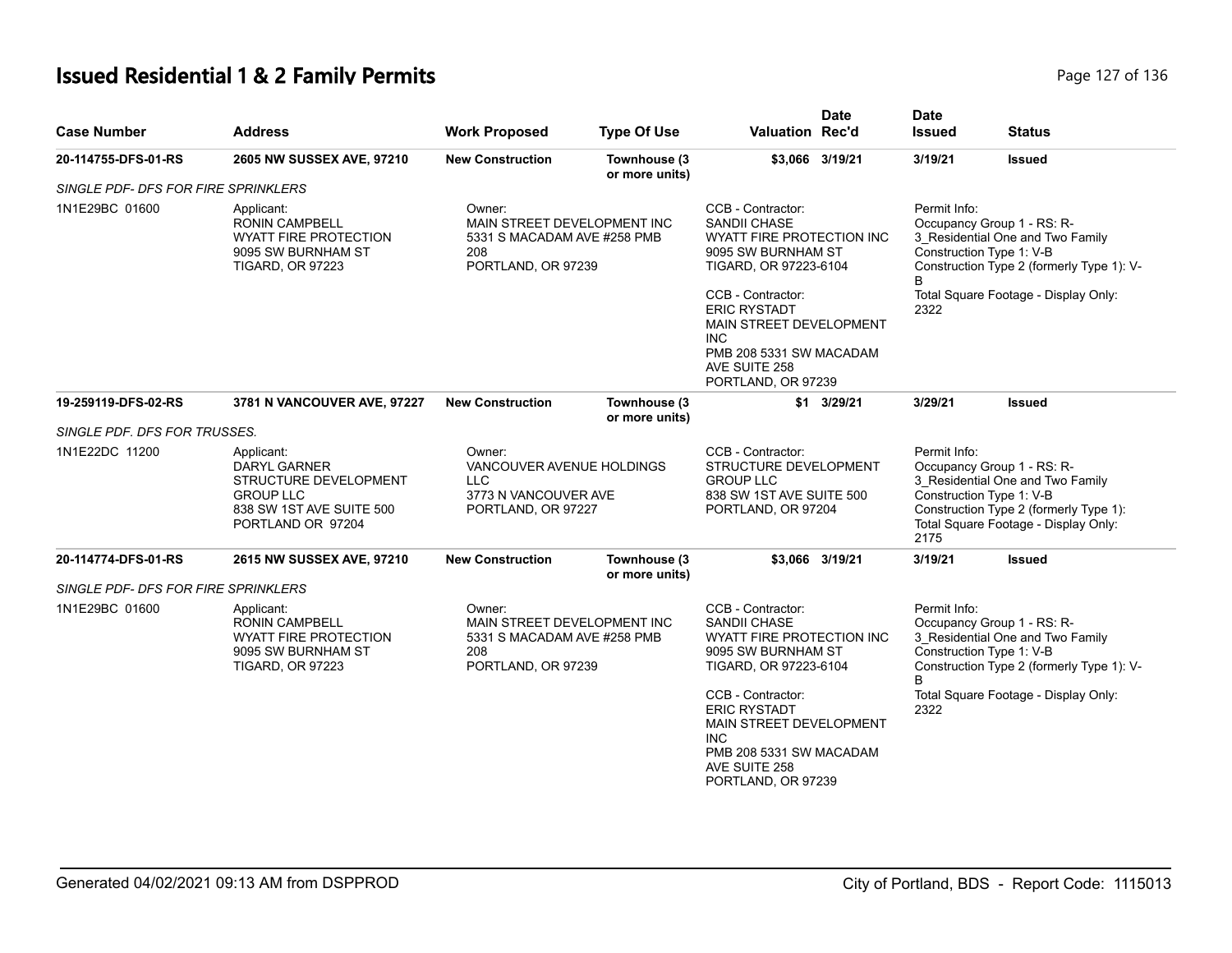# **Issued Residential 1 & 2 Family Permits Page 127 of 136 Page 127 of 136**

| <b>Case Number</b>                  | <b>Address</b>                                                                                                                  | <b>Work Proposed</b>                                                                              | <b>Type Of Use</b>             | Valuation Rec'd                                                                                                                               | <b>Date</b>        | <b>Date</b><br><b>Issued</b>                                                                                                                                                                         | <b>Status</b>                                                                                                                                                                |  |
|-------------------------------------|---------------------------------------------------------------------------------------------------------------------------------|---------------------------------------------------------------------------------------------------|--------------------------------|-----------------------------------------------------------------------------------------------------------------------------------------------|--------------------|------------------------------------------------------------------------------------------------------------------------------------------------------------------------------------------------------|------------------------------------------------------------------------------------------------------------------------------------------------------------------------------|--|
| 20-114755-DFS-01-RS                 | 2605 NW SUSSEX AVE, 97210                                                                                                       | <b>New Construction</b>                                                                           | Townhouse (3<br>or more units) | \$3,066 3/19/21                                                                                                                               |                    | 3/19/21                                                                                                                                                                                              | <b>Issued</b>                                                                                                                                                                |  |
| SINGLE PDF- DFS FOR FIRE SPRINKLERS |                                                                                                                                 |                                                                                                   |                                |                                                                                                                                               |                    |                                                                                                                                                                                                      |                                                                                                                                                                              |  |
| 1N1E29BC 01600                      | Applicant:<br><b>RONIN CAMPBELL</b><br><b>WYATT FIRE PROTECTION</b><br>9095 SW BURNHAM ST<br><b>TIGARD, OR 97223</b>            | Owner:<br>MAIN STREET DEVELOPMENT INC<br>5331 S MACADAM AVE #258 PMB<br>208<br>PORTLAND, OR 97239 |                                | CCB - Contractor:<br><b>SANDII CHASE</b><br>WYATT FIRE PROTECTION INC<br>9095 SW BURNHAM ST<br>TIGARD, OR 97223-6104<br>CCB - Contractor:     |                    | Permit Info:<br>Occupancy Group 1 - RS: R-<br>3_Residential One and Two Family<br>Construction Type 1: V-B<br>Construction Type 2 (formerly Type 1): V-<br>B<br>Total Square Footage - Display Only: |                                                                                                                                                                              |  |
|                                     |                                                                                                                                 |                                                                                                   |                                | <b>ERIC RYSTADT</b><br>MAIN STREET DEVELOPMENT<br>INC.<br>PMB 208 5331 SW MACADAM<br>AVE SUITE 258<br>PORTLAND, OR 97239                      |                    | 2322                                                                                                                                                                                                 |                                                                                                                                                                              |  |
| 19-259119-DFS-02-RS                 | <b>3781 N VANCOUVER AVE, 97227</b>                                                                                              | <b>New Construction</b>                                                                           | Townhouse (3<br>or more units) |                                                                                                                                               | $$1 \quad 3/29/21$ | 3/29/21                                                                                                                                                                                              | Issued                                                                                                                                                                       |  |
| SINGLE PDF. DFS FOR TRUSSES.        |                                                                                                                                 |                                                                                                   |                                |                                                                                                                                               |                    |                                                                                                                                                                                                      |                                                                                                                                                                              |  |
| 1N1E22DC 11200                      | Applicant:<br><b>DARYL GARNER</b><br>STRUCTURE DEVELOPMENT<br><b>GROUP LLC</b><br>838 SW 1ST AVE SUITE 500<br>PORTLAND OR 97204 | Owner:<br>VANCOUVER AVENUE HOLDINGS<br><b>LLC</b><br>3773 N VANCOUVER AVE<br>PORTLAND, OR 97227   |                                | CCB - Contractor:<br>STRUCTURE DEVELOPMENT<br><b>GROUP LLC</b><br>838 SW 1ST AVE SUITE 500<br>PORTLAND, OR 97204                              |                    | Permit Info:<br>2175                                                                                                                                                                                 | Occupancy Group 1 - RS: R-<br>3 Residential One and Two Family<br>Construction Type 1: V-B<br>Construction Type 2 (formerly Type 1):<br>Total Square Footage - Display Only: |  |
| 20-114774-DFS-01-RS                 | 2615 NW SUSSEX AVE, 97210                                                                                                       | <b>New Construction</b>                                                                           | Townhouse (3<br>or more units) | \$3,066 3/19/21                                                                                                                               |                    | 3/19/21                                                                                                                                                                                              | <b>Issued</b>                                                                                                                                                                |  |
| SINGLE PDF- DFS FOR FIRE SPRINKLERS |                                                                                                                                 |                                                                                                   |                                |                                                                                                                                               |                    |                                                                                                                                                                                                      |                                                                                                                                                                              |  |
| 1N1E29BC 01600                      | Applicant:<br><b>RONIN CAMPBELL</b><br><b>WYATT FIRE PROTECTION</b><br>9095 SW BURNHAM ST<br><b>TIGARD, OR 97223</b>            | Owner:<br>MAIN STREET DEVELOPMENT INC<br>5331 S MACADAM AVE #258 PMB<br>208<br>PORTLAND, OR 97239 |                                | CCB - Contractor:<br>SANDII CHASE<br>WYATT FIRE PROTECTION INC<br>9095 SW BURNHAM ST<br>TIGARD, OR 97223-6104                                 |                    | Permit Info:<br><sub>R</sub>                                                                                                                                                                         | Occupancy Group 1 - RS: R-<br>3_Residential One and Two Family<br>Construction Type 1: V-B<br>Construction Type 2 (formerly Type 1): V-                                      |  |
|                                     |                                                                                                                                 |                                                                                                   |                                | CCB - Contractor:<br><b>ERIC RYSTADT</b><br>MAIN STREET DEVELOPMENT<br>INC.<br>PMB 208 5331 SW MACADAM<br>AVE SUITE 258<br>PORTLAND, OR 97239 |                    | 2322                                                                                                                                                                                                 | Total Square Footage - Display Only:                                                                                                                                         |  |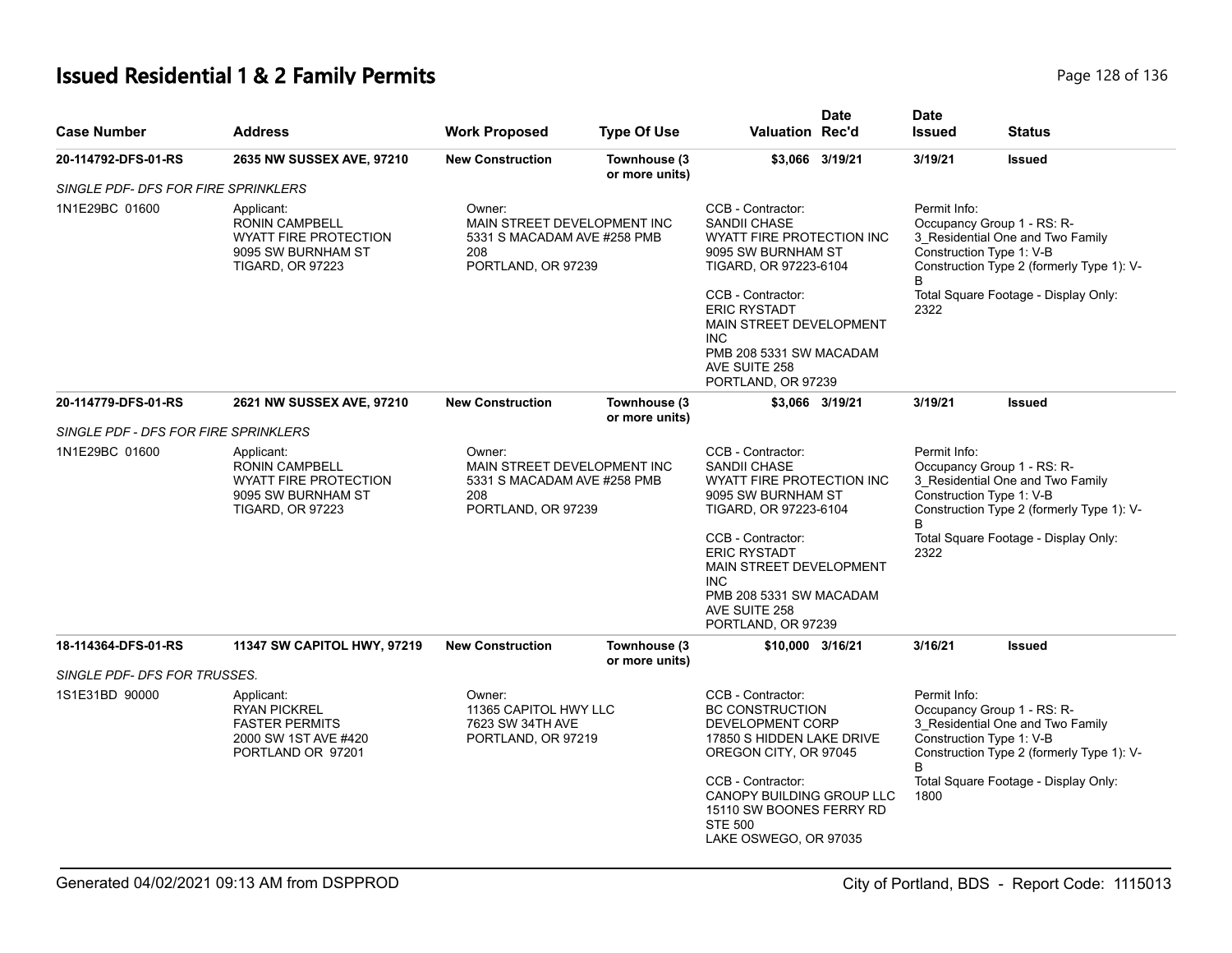# **Issued Residential 1 & 2 Family Permits Page 128 of 136** Page 128 of 136

| <b>Case Number</b>                   | <b>Address</b>                                                                                                                                                                                                            | <b>Work Proposed</b>                                                                              | <b>Type Of Use</b>             | <b>Date</b><br><b>Valuation Rec'd</b>                                                                                                               | <b>Date</b><br><b>Issued</b> | Status                                                                                                                                  |
|--------------------------------------|---------------------------------------------------------------------------------------------------------------------------------------------------------------------------------------------------------------------------|---------------------------------------------------------------------------------------------------|--------------------------------|-----------------------------------------------------------------------------------------------------------------------------------------------------|------------------------------|-----------------------------------------------------------------------------------------------------------------------------------------|
| 20-114792-DFS-01-RS                  | 2635 NW SUSSEX AVE, 97210                                                                                                                                                                                                 | <b>New Construction</b>                                                                           | Townhouse (3<br>or more units) | \$3,066 3/19/21                                                                                                                                     | 3/19/21                      | <b>Issued</b>                                                                                                                           |
| SINGLE PDF- DFS FOR FIRE SPRINKLERS  |                                                                                                                                                                                                                           |                                                                                                   |                                |                                                                                                                                                     |                              |                                                                                                                                         |
| 1N1E29BC 01600                       | Applicant:<br><b>RONIN CAMPBELL</b><br><b>WYATT FIRE PROTECTION</b><br>9095 SW BURNHAM ST<br><b>TIGARD, OR 97223</b>                                                                                                      | Owner:<br>MAIN STREET DEVELOPMENT INC<br>5331 S MACADAM AVE #258 PMB<br>208<br>PORTLAND, OR 97239 |                                | CCB - Contractor:<br><b>SANDII CHASE</b><br>WYATT FIRE PROTECTION INC<br>9095 SW BURNHAM ST<br>TIGARD, OR 97223-6104                                | Permit Info:                 | Occupancy Group 1 - RS: R-<br>3_Residential One and Two Family<br>Construction Type 1: V-B<br>Construction Type 2 (formerly Type 1): V- |
|                                      |                                                                                                                                                                                                                           |                                                                                                   |                                | CCB - Contractor:<br><b>ERIC RYSTADT</b><br>MAIN STREET DEVELOPMENT<br><b>INC</b><br>PMB 208 5331 SW MACADAM<br>AVE SUITE 258<br>PORTLAND, OR 97239 | 2322                         | Total Square Footage - Display Only:                                                                                                    |
| 20-114779-DFS-01-RS                  | 2621 NW SUSSEX AVE, 97210                                                                                                                                                                                                 | <b>New Construction</b>                                                                           | Townhouse (3<br>or more units) | \$3,066 3/19/21                                                                                                                                     | 3/19/21                      | <b>Issued</b>                                                                                                                           |
| SINGLE PDF - DFS FOR FIRE SPRINKLERS |                                                                                                                                                                                                                           |                                                                                                   |                                |                                                                                                                                                     |                              |                                                                                                                                         |
| 1N1E29BC 01600                       | Owner:<br>Applicant:<br><b>RONIN CAMPBELL</b><br>MAIN STREET DEVELOPMENT INC<br><b>WYATT FIRE PROTECTION</b><br>5331 S MACADAM AVE #258 PMB<br>9095 SW BURNHAM ST<br>208<br><b>TIGARD, OR 97223</b><br>PORTLAND, OR 97239 |                                                                                                   |                                | CCB - Contractor:<br><b>SANDII CHASE</b><br>WYATT FIRE PROTECTION INC<br>9095 SW BURNHAM ST<br>TIGARD, OR 97223-6104                                | Permit Info:<br>B            | Occupancy Group 1 - RS: R-<br>3_Residential One and Two Family<br>Construction Type 1: V-B<br>Construction Type 2 (formerly Type 1): V- |
|                                      |                                                                                                                                                                                                                           |                                                                                                   |                                | CCB - Contractor:<br><b>ERIC RYSTADT</b><br>MAIN STREET DEVELOPMENT<br>INC.<br>PMB 208 5331 SW MACADAM<br>AVE SUITE 258<br>PORTLAND, OR 97239       | 2322                         | Total Square Footage - Display Only:                                                                                                    |
| 18-114364-DFS-01-RS                  | 11347 SW CAPITOL HWY, 97219                                                                                                                                                                                               | <b>New Construction</b>                                                                           | Townhouse (3                   | \$10,000 3/16/21                                                                                                                                    | 3/16/21                      | Issued                                                                                                                                  |
| SINGLE PDF- DFS FOR TRUSSES.         |                                                                                                                                                                                                                           |                                                                                                   | or more units)                 |                                                                                                                                                     |                              |                                                                                                                                         |
| 1S1E31BD 90000                       | Applicant:<br>Owner:<br>11365 CAPITOL HWY LLC<br><b>RYAN PICKREL</b><br><b>FASTER PERMITS</b><br>7623 SW 34TH AVE<br>2000 SW 1ST AVE #420<br>PORTLAND, OR 97219<br>PORTLAND OR 97201                                      |                                                                                                   |                                | CCB - Contractor:<br><b>BC CONSTRUCTION</b><br>DEVELOPMENT CORP<br>17850 S HIDDEN LAKE DRIVE<br>OREGON CITY, OR 97045                               | Permit Info:<br>B            | Occupancy Group 1 - RS: R-<br>3_Residential One and Two Family<br>Construction Type 1: V-B<br>Construction Type 2 (formerly Type 1): V- |
|                                      |                                                                                                                                                                                                                           |                                                                                                   |                                | CCB - Contractor:<br>CANOPY BUILDING GROUP LLC<br>15110 SW BOONES FERRY RD<br><b>STE 500</b><br>LAKE OSWEGO, OR 97035                               | 1800                         | Total Square Footage - Display Only:                                                                                                    |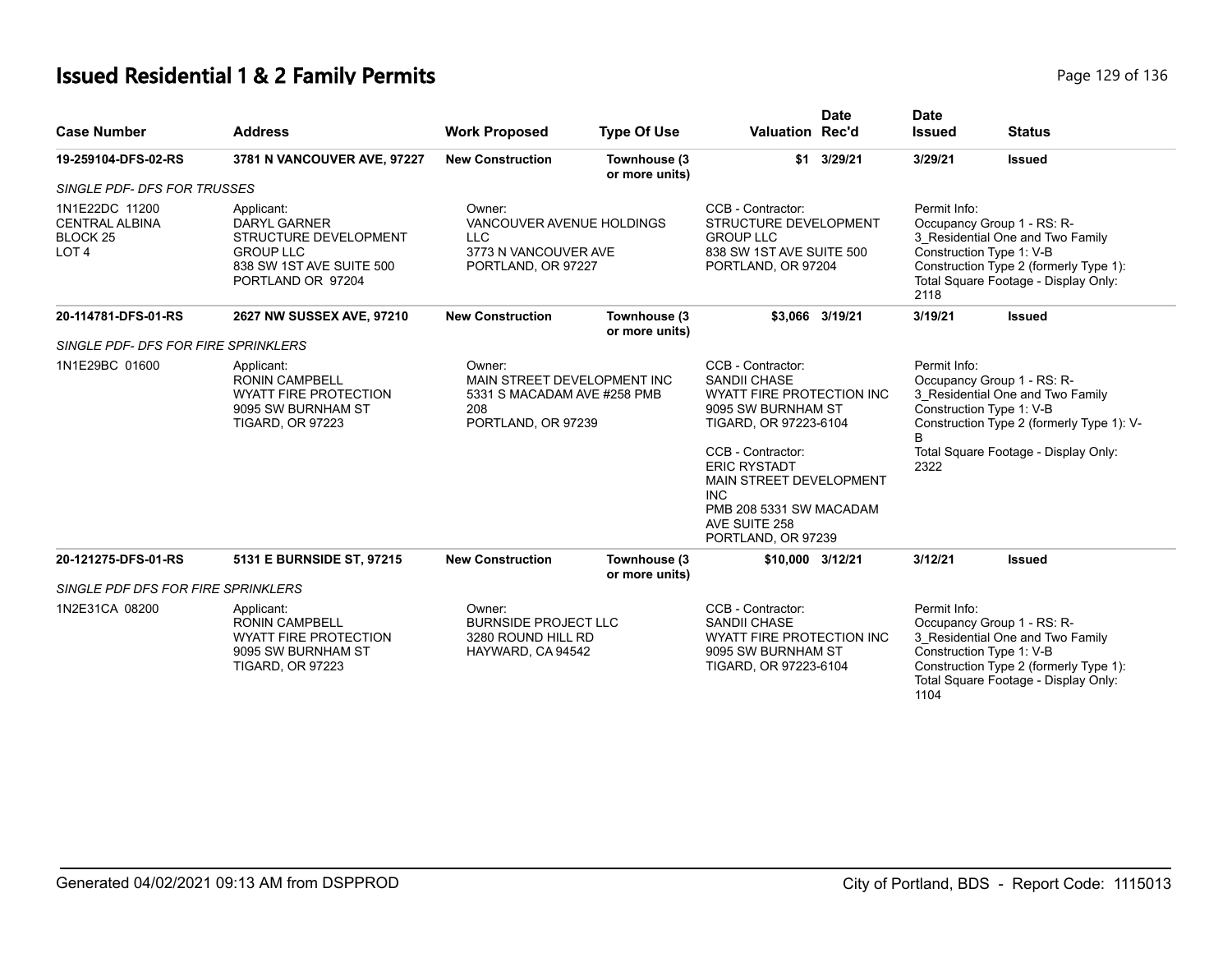# **Issued Residential 1 & 2 Family Permits Page 129 of 136** Page 129 of 136

| <b>Case Number</b>                                                                 | <b>Address</b>                                                                                                                  | <b>Work Proposed</b>                                                                                                                                                                                                        | <b>Type Of Use</b>             | <b>Date</b><br><b>Valuation Rec'd</b>                                                                                                                                                                                                                                       | <b>Date</b><br><b>Issued</b>                                                                                                                                                                            | <b>Status</b>                                                                                                                                                                |
|------------------------------------------------------------------------------------|---------------------------------------------------------------------------------------------------------------------------------|-----------------------------------------------------------------------------------------------------------------------------------------------------------------------------------------------------------------------------|--------------------------------|-----------------------------------------------------------------------------------------------------------------------------------------------------------------------------------------------------------------------------------------------------------------------------|---------------------------------------------------------------------------------------------------------------------------------------------------------------------------------------------------------|------------------------------------------------------------------------------------------------------------------------------------------------------------------------------|
| 19-259104-DFS-02-RS                                                                | 3781 N VANCOUVER AVE, 97227                                                                                                     | <b>New Construction</b>                                                                                                                                                                                                     | Townhouse (3<br>or more units) | $$1$ 3/29/21                                                                                                                                                                                                                                                                | 3/29/21                                                                                                                                                                                                 | <b>Issued</b>                                                                                                                                                                |
| <b>SINGLE PDF- DFS FOR TRUSSES</b>                                                 |                                                                                                                                 |                                                                                                                                                                                                                             |                                |                                                                                                                                                                                                                                                                             |                                                                                                                                                                                                         |                                                                                                                                                                              |
| 1N1E22DC 11200<br><b>CENTRAL ALBINA</b><br>BLOCK <sub>25</sub><br>LOT <sub>4</sub> | Applicant:<br><b>DARYL GARNER</b><br>STRUCTURE DEVELOPMENT<br><b>GROUP LLC</b><br>838 SW 1ST AVE SUITE 500<br>PORTLAND OR 97204 | CCB - Contractor:<br>Owner:<br>VANCOUVER AVENUE HOLDINGS<br>STRUCTURE DEVELOPMENT<br><b>GROUP LLC</b><br><b>LLC</b><br>3773 N VANCOUVER AVE<br>838 SW 1ST AVE SUITE 500<br>PORTLAND, OR 97227<br>PORTLAND, OR 97204<br>2118 |                                | Permit Info:                                                                                                                                                                                                                                                                | Occupancy Group 1 - RS: R-<br>3_Residential One and Two Family<br>Construction Type 1: V-B<br>Construction Type 2 (formerly Type 1):<br>Total Square Footage - Display Only:                            |                                                                                                                                                                              |
| 20-114781-DFS-01-RS                                                                | 2627 NW SUSSEX AVE, 97210                                                                                                       | <b>New Construction</b>                                                                                                                                                                                                     | Townhouse (3<br>or more units) | \$3,066 3/19/21                                                                                                                                                                                                                                                             | 3/19/21                                                                                                                                                                                                 | <b>Issued</b>                                                                                                                                                                |
| SINGLE PDF- DFS FOR FIRE SPRINKLERS                                                |                                                                                                                                 |                                                                                                                                                                                                                             |                                |                                                                                                                                                                                                                                                                             |                                                                                                                                                                                                         |                                                                                                                                                                              |
| 1N1E29BC 01600                                                                     | Applicant:<br><b>RONIN CAMPBELL</b><br><b>WYATT FIRE PROTECTION</b><br>9095 SW BURNHAM ST<br><b>TIGARD, OR 97223</b>            | Owner:<br>MAIN STREET DEVELOPMENT INC<br>5331 S MACADAM AVE #258 PMB<br>208<br>PORTLAND, OR 97239                                                                                                                           |                                | CCB - Contractor:<br><b>SANDII CHASE</b><br>WYATT FIRE PROTECTION INC<br>9095 SW BURNHAM ST<br>TIGARD, OR 97223-6104<br>CCB - Contractor:<br><b>ERIC RYSTADT</b><br>MAIN STREET DEVELOPMENT<br><b>INC</b><br>PMB 208 5331 SW MACADAM<br>AVE SUITE 258<br>PORTLAND, OR 97239 | Permit Info:<br>Occupancy Group 1 - RS: R-<br>3_Residential One and Two Family<br>Construction Type 1: V-B<br>Construction Type 2 (formerly Type 1): V-<br>Total Square Footage - Display Only:<br>2322 |                                                                                                                                                                              |
| 20-121275-DFS-01-RS                                                                | 5131 E BURNSIDE ST, 97215                                                                                                       | <b>New Construction</b>                                                                                                                                                                                                     | Townhouse (3<br>or more units) | \$10,000 3/12/21                                                                                                                                                                                                                                                            | 3/12/21                                                                                                                                                                                                 | <b>Issued</b>                                                                                                                                                                |
| SINGLE PDF DFS FOR FIRE SPRINKLERS                                                 |                                                                                                                                 |                                                                                                                                                                                                                             |                                |                                                                                                                                                                                                                                                                             |                                                                                                                                                                                                         |                                                                                                                                                                              |
| 1N2E31CA 08200                                                                     | Applicant:<br><b>RONIN CAMPBELL</b><br><b>WYATT FIRE PROTECTION</b><br>9095 SW BURNHAM ST<br><b>TIGARD, OR 97223</b>            | Owner:<br><b>BURNSIDE PROJECT LLC</b><br>3280 ROUND HILL RD<br>HAYWARD, CA 94542                                                                                                                                            |                                | CCB - Contractor:<br><b>SANDII CHASE</b><br><b>WYATT FIRE PROTECTION INC</b><br>9095 SW BURNHAM ST<br>TIGARD, OR 97223-6104                                                                                                                                                 | Permit Info:<br>1104                                                                                                                                                                                    | Occupancy Group 1 - RS: R-<br>3_Residential One and Two Family<br>Construction Type 1: V-B<br>Construction Type 2 (formerly Type 1):<br>Total Square Footage - Display Only: |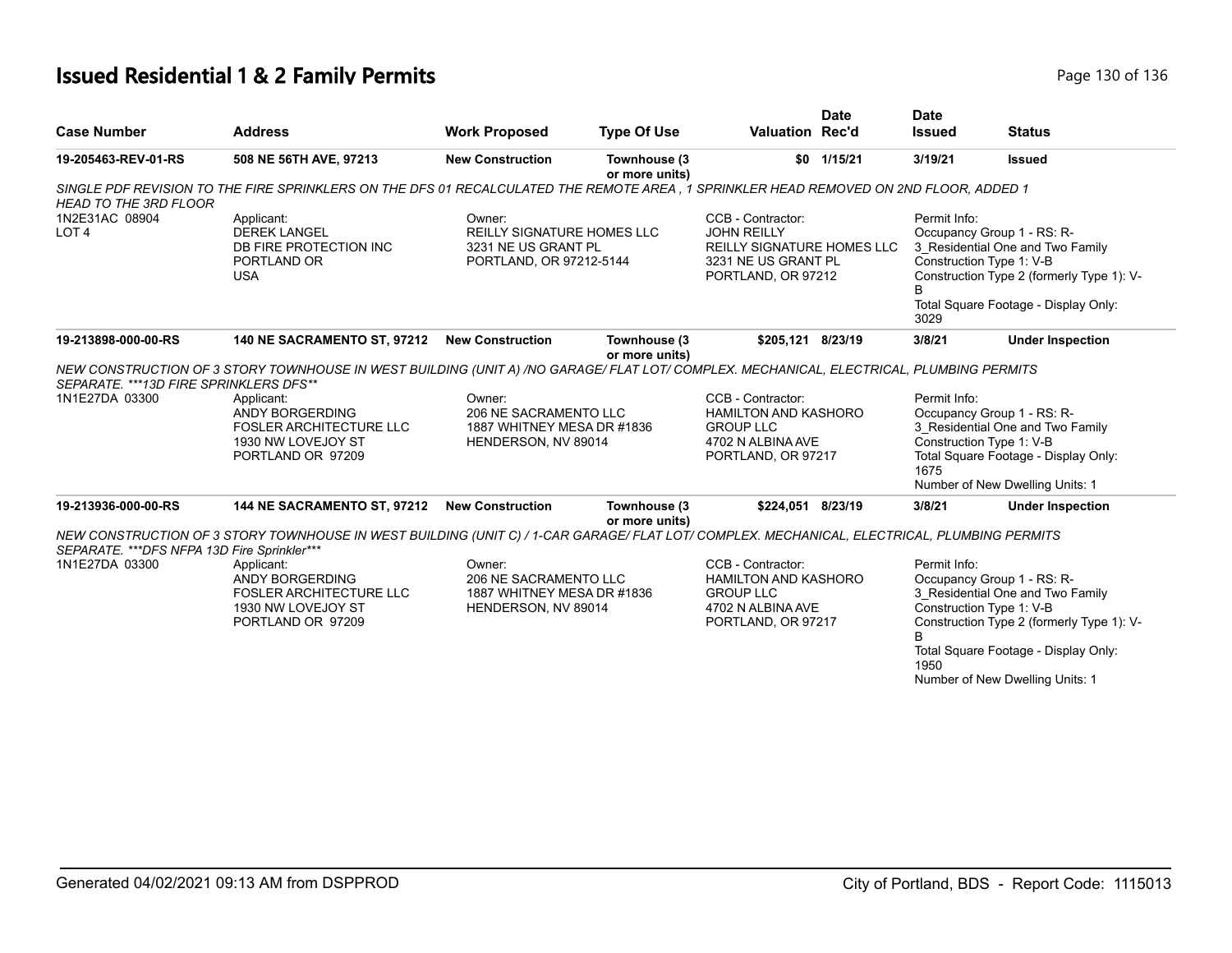# **Issued Residential 1 & 2 Family Permits Page 130 of 136** Page 130 of 136

| <b>Case Number</b>                                             | <b>Address</b>                                                                                                                                                                                                                                            | <b>Work Proposed</b>                                                                   | <b>Type Of Use</b>             | Valuation Rec'd                                                                                                           | <b>Date</b> | <b>Date</b><br><b>Issued</b> | <b>Status</b>                                                                                                                                                                                                      |
|----------------------------------------------------------------|-----------------------------------------------------------------------------------------------------------------------------------------------------------------------------------------------------------------------------------------------------------|----------------------------------------------------------------------------------------|--------------------------------|---------------------------------------------------------------------------------------------------------------------------|-------------|------------------------------|--------------------------------------------------------------------------------------------------------------------------------------------------------------------------------------------------------------------|
| 19-205463-REV-01-RS                                            | 508 NE 56TH AVE, 97213                                                                                                                                                                                                                                    | <b>New Construction</b>                                                                | Townhouse (3<br>or more units) |                                                                                                                           | \$0 1/15/21 | 3/19/21                      | <b>Issued</b>                                                                                                                                                                                                      |
| <b>HEAD TO THE 3RD FLOOR</b>                                   | SINGLE PDF REVISION TO THE FIRE SPRINKLERS ON THE DFS 01 RECALCULATED THE REMOTE AREA . 1 SPRINKLER HEAD REMOVED ON 2ND FLOOR. ADDED 1                                                                                                                    |                                                                                        |                                |                                                                                                                           |             |                              |                                                                                                                                                                                                                    |
| 1N2E31AC 08904<br>LOT <sub>4</sub>                             | Applicant:<br><b>DEREK LANGEL</b><br>DB FIRE PROTECTION INC<br>PORTLAND OR<br><b>USA</b>                                                                                                                                                                  | Owner:<br>REILLY SIGNATURE HOMES LLC<br>3231 NE US GRANT PL<br>PORTLAND, OR 97212-5144 |                                | CCB - Contractor:<br><b>JOHN REILLY</b><br><b>REILLY SIGNATURE HOMES LLC</b><br>3231 NE US GRANT PL<br>PORTLAND, OR 97212 |             | Permit Info:<br>3029         | Occupancy Group 1 - RS: R-<br>3 Residential One and Two Family<br>Construction Type 1: V-B<br>Construction Type 2 (formerly Type 1): V-<br>Total Square Footage - Display Only:                                    |
| 19-213898-000-00-RS                                            | 140 NE SACRAMENTO ST, 97212                                                                                                                                                                                                                               | <b>New Construction</b>                                                                | Townhouse (3                   | \$205,121 8/23/19                                                                                                         |             | 3/8/21                       | <b>Under Inspection</b>                                                                                                                                                                                            |
| SEPARATE. ***13D FIRE SPRINKLERS DFS**                         | NEW CONSTRUCTION OF 3 STORY TOWNHOUSE IN WEST BUILDING (UNIT A) /NO GARAGE/ FLAT LOT/ COMPLEX. MECHANICAL, ELECTRICAL, PLUMBING PERMITS                                                                                                                   |                                                                                        | or more units)                 |                                                                                                                           |             |                              |                                                                                                                                                                                                                    |
| 1N1E27DA 03300                                                 | Applicant:<br>ANDY BORGERDING<br><b>FOSLER ARCHITECTURE LLC</b><br>1930 NW LOVEJOY ST<br>PORTLAND OR 97209                                                                                                                                                | Owner:<br>206 NE SACRAMENTO LLC<br>1887 WHITNEY MESA DR #1836<br>HENDERSON, NV 89014   |                                | CCB - Contractor:<br><b>HAMILTON AND KASHORO</b><br><b>GROUP LLC</b><br>4702 N ALBINA AVE<br>PORTLAND, OR 97217           |             | Permit Info:<br>1675         | Occupancy Group 1 - RS: R-<br>3 Residential One and Two Family<br>Construction Type 1: V-B<br>Total Square Footage - Display Only:<br>Number of New Dwelling Units: 1                                              |
| 19-213936-000-00-RS                                            | 144 NE SACRAMENTO ST, 97212                                                                                                                                                                                                                               | <b>New Construction</b>                                                                | Townhouse (3<br>or more units) | \$224.051 8/23/19                                                                                                         |             | 3/8/21                       | <b>Under Inspection</b>                                                                                                                                                                                            |
| SEPARATE. *** DFS NFPA 13D Fire Sprinkler***<br>1N1E27DA 03300 | NEW CONSTRUCTION OF 3 STORY TOWNHOUSE IN WEST BUILDING (UNIT C) / 1-CAR GARAGE/ FLAT LOT/ COMPLEX. MECHANICAL, ELECTRICAL, PLUMBING PERMITS<br>Applicant:<br>ANDY BORGERDING<br><b>FOSLER ARCHITECTURE LLC</b><br>1930 NW LOVEJOY ST<br>PORTLAND OR 97209 | Owner:<br>206 NE SACRAMENTO LLC<br>1887 WHITNEY MESA DR #1836<br>HENDERSON, NV 89014   |                                | CCB - Contractor:<br><b>HAMILTON AND KASHORO</b><br><b>GROUP LLC</b><br>4702 N ALBINA AVE<br>PORTLAND, OR 97217           |             | Permit Info:<br>1950         | Occupancy Group 1 - RS: R-<br>3 Residential One and Two Family<br>Construction Type 1: V-B<br>Construction Type 2 (formerly Type 1): V-<br>Total Square Footage - Display Only:<br>Number of New Dwelling Units: 1 |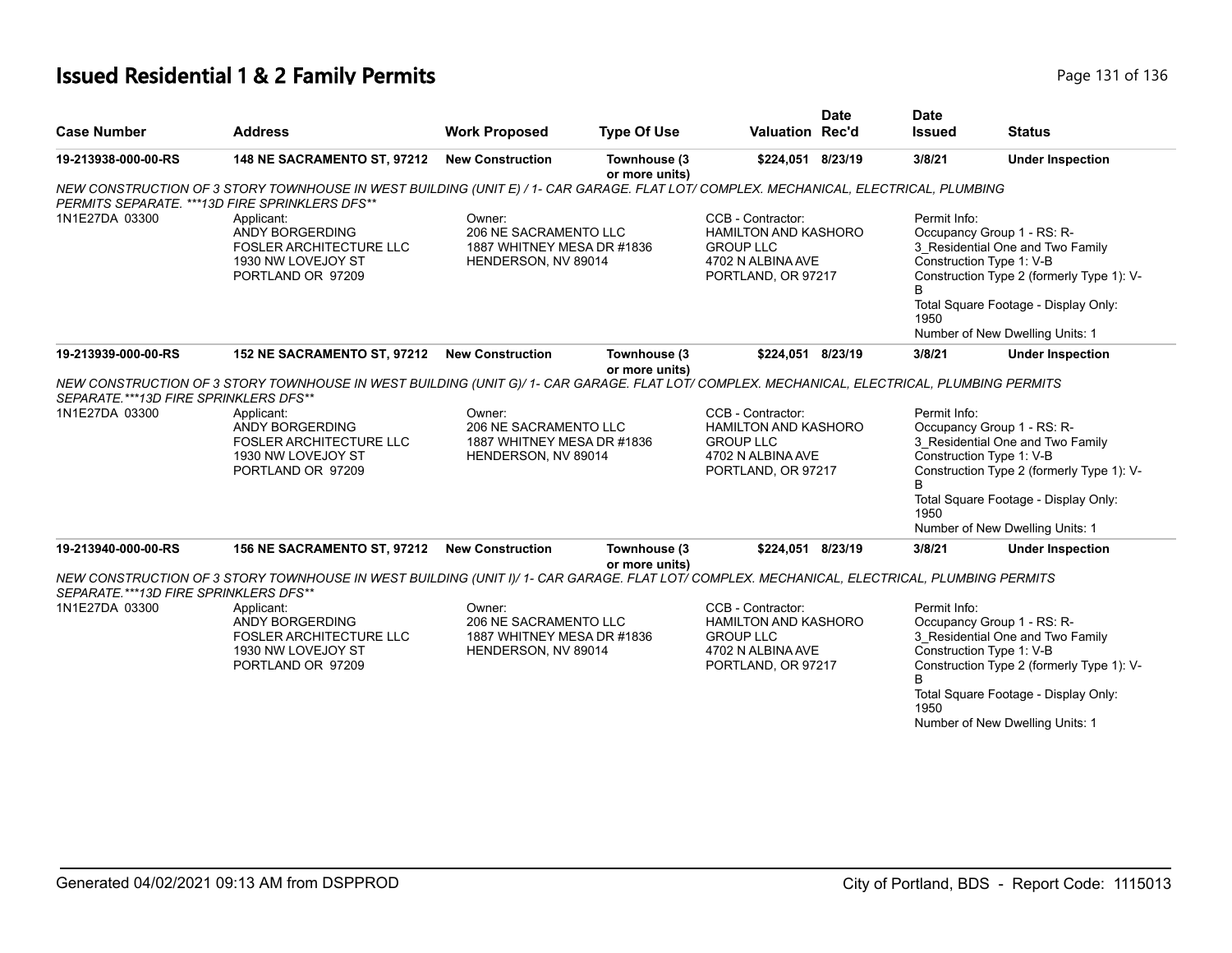# **Issued Residential 1 & 2 Family Permits Page 131 of 136** Page 131 of 136

| <b>Case Number</b>                                      | <b>Address</b>                                                                                                                                                                                                                                            | <b>Work Proposed</b>                                                                 | <b>Type Of Use</b>             | <b>Valuation Rec'd</b>                                                                                          | <b>Date</b> | <b>Date</b><br><b>Issued</b> | <b>Status</b>                                                                                                                                                                                                      |
|---------------------------------------------------------|-----------------------------------------------------------------------------------------------------------------------------------------------------------------------------------------------------------------------------------------------------------|--------------------------------------------------------------------------------------|--------------------------------|-----------------------------------------------------------------------------------------------------------------|-------------|------------------------------|--------------------------------------------------------------------------------------------------------------------------------------------------------------------------------------------------------------------|
| 19-213938-000-00-RS                                     | 148 NE SACRAMENTO ST, 97212                                                                                                                                                                                                                               | <b>New Construction</b>                                                              | Townhouse (3<br>or more units) | \$224,051 8/23/19                                                                                               |             | 3/8/21                       | <b>Under Inspection</b>                                                                                                                                                                                            |
| PERMITS SEPARATE. ***13D FIRE SPRINKLERS DFS**          | NEW CONSTRUCTION OF 3 STORY TOWNHOUSE IN WEST BUILDING (UNIT E) / 1- CAR GARAGE. FLAT LOT/ COMPLEX. MECHANICAL, ELECTRICAL, PLUMBING                                                                                                                      |                                                                                      |                                |                                                                                                                 |             |                              |                                                                                                                                                                                                                    |
| 1N1E27DA 03300                                          | Applicant:<br>ANDY BORGERDING<br><b>FOSLER ARCHITECTURE LLC</b><br>1930 NW LOVEJOY ST<br>PORTLAND OR 97209                                                                                                                                                | Owner:<br>206 NE SACRAMENTO LLC<br>1887 WHITNEY MESA DR #1836<br>HENDERSON, NV 89014 |                                | CCB - Contractor:<br><b>HAMILTON AND KASHORO</b><br><b>GROUP LLC</b><br>4702 N ALBINA AVE<br>PORTLAND, OR 97217 |             | Permit Info:<br>1950         | Occupancy Group 1 - RS: R-<br>3_Residential One and Two Family<br>Construction Type 1: V-B<br>Construction Type 2 (formerly Type 1): V-<br>Total Square Footage - Display Only:<br>Number of New Dwelling Units: 1 |
| 19-213939-000-00-RS                                     | 152 NE SACRAMENTO ST, 97212                                                                                                                                                                                                                               | <b>New Construction</b>                                                              | Townhouse (3                   | \$224,051 8/23/19                                                                                               |             | 3/8/21                       | <b>Under Inspection</b>                                                                                                                                                                                            |
| SEPARATE.***13D FIRE SPRINKLERS DFS**<br>1N1E27DA 03300 | NEW CONSTRUCTION OF 3 STORY TOWNHOUSE IN WEST BUILDING (UNIT G)/ 1- CAR GARAGE. FLAT LOT/ COMPLEX. MECHANICAL, ELECTRICAL, PLUMBING PERMITS<br>Applicant:<br>ANDY BORGERDING<br><b>FOSLER ARCHITECTURE LLC</b><br>1930 NW LOVEJOY ST<br>PORTLAND OR 97209 | Owner:<br>206 NE SACRAMENTO LLC<br>1887 WHITNEY MESA DR #1836<br>HENDERSON, NV 89014 | or more units)                 | CCB - Contractor:<br><b>HAMILTON AND KASHORO</b><br><b>GROUP LLC</b><br>4702 N ALBINA AVE<br>PORTLAND, OR 97217 |             | Permit Info:<br>B<br>1950    | Occupancy Group 1 - RS: R-<br>3 Residential One and Two Family<br>Construction Type 1: V-B<br>Construction Type 2 (formerly Type 1): V-<br>Total Square Footage - Display Only:<br>Number of New Dwelling Units: 1 |
| 19-213940-000-00-RS                                     | 156 NE SACRAMENTO ST, 97212                                                                                                                                                                                                                               | <b>New Construction</b>                                                              | Townhouse (3<br>or more units) | \$224,051 8/23/19                                                                                               |             | 3/8/21                       | <b>Under Inspection</b>                                                                                                                                                                                            |
| SEPARATE.***13D FIRE SPRINKLERS DFS**                   | NEW CONSTRUCTION OF 3 STORY TOWNHOUSE IN WEST BUILDING (UNIT I)/ 1- CAR GARAGE. FLAT LOT/ COMPLEX. MECHANICAL, ELECTRICAL, PLUMBING PERMITS                                                                                                               |                                                                                      |                                |                                                                                                                 |             |                              |                                                                                                                                                                                                                    |
| 1N1E27DA 03300                                          | Applicant:<br>ANDY BORGERDING<br><b>FOSLER ARCHITECTURE LLC</b><br>1930 NW LOVEJOY ST<br>PORTLAND OR 97209                                                                                                                                                | Owner:<br>206 NE SACRAMENTO LLC<br>1887 WHITNEY MESA DR #1836<br>HENDERSON, NV 89014 |                                | CCB - Contractor:<br><b>HAMILTON AND KASHORO</b><br><b>GROUP LLC</b><br>4702 N ALBINA AVE<br>PORTLAND, OR 97217 |             | Permit Info:<br>1950         | Occupancy Group 1 - RS: R-<br>3 Residential One and Two Family<br>Construction Type 1: V-B<br>Construction Type 2 (formerly Type 1): V-<br>Total Square Footage - Display Only:<br>Number of New Dwelling Units: 1 |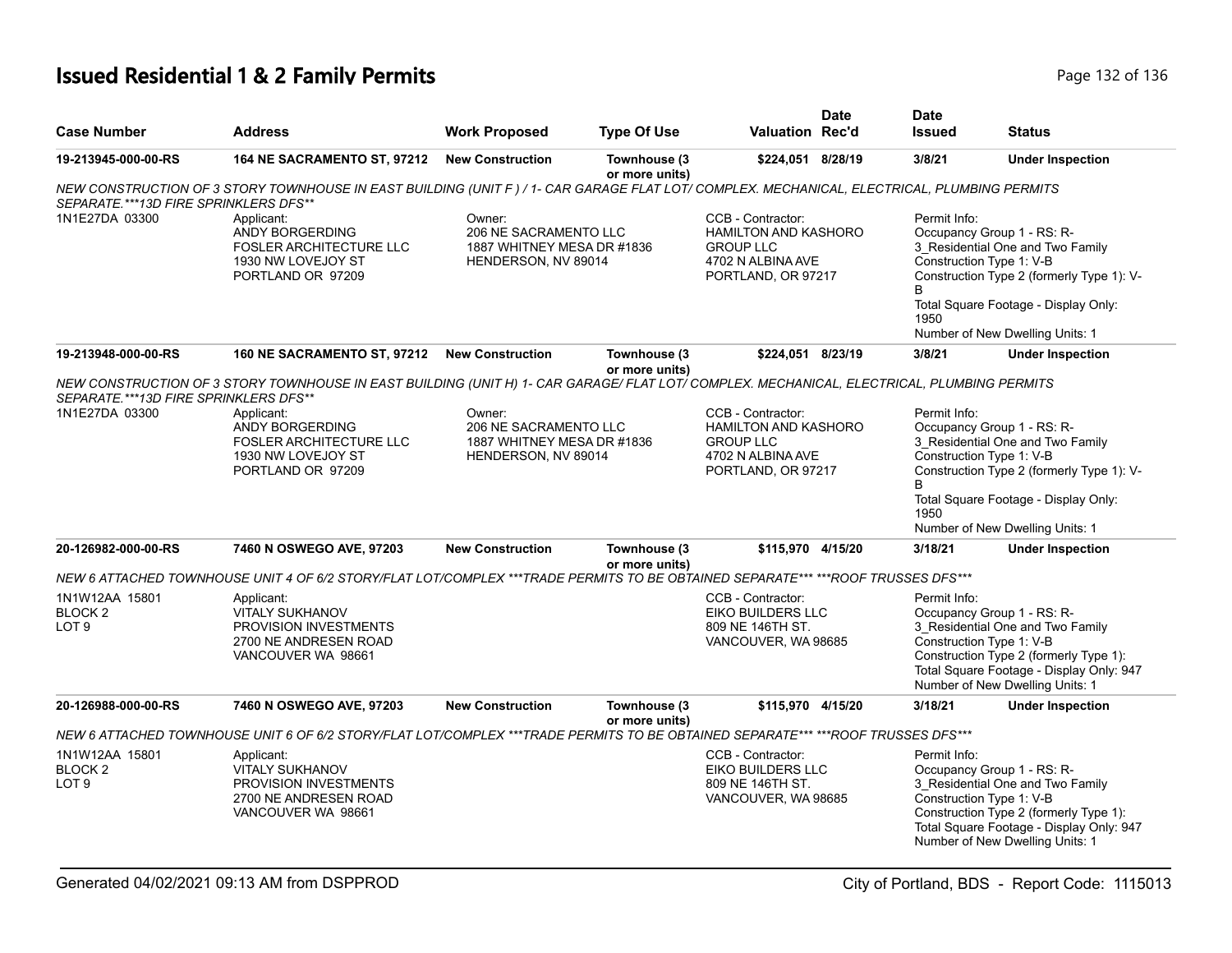# **Issued Residential 1 & 2 Family Permits Page 132 of 136** Page 132 of 136

|                                                          |                                                                                                                                                                                                                                                                                                                       |                                                                                      |                                |                                                                                                                 | <b>Date</b>                                                                                                                                                                                                        | <b>Date</b>                                                                                                                                                                                                                                      |                                                                                                                                                                                                                     |  |
|----------------------------------------------------------|-----------------------------------------------------------------------------------------------------------------------------------------------------------------------------------------------------------------------------------------------------------------------------------------------------------------------|--------------------------------------------------------------------------------------|--------------------------------|-----------------------------------------------------------------------------------------------------------------|--------------------------------------------------------------------------------------------------------------------------------------------------------------------------------------------------------------------|--------------------------------------------------------------------------------------------------------------------------------------------------------------------------------------------------------------------------------------------------|---------------------------------------------------------------------------------------------------------------------------------------------------------------------------------------------------------------------|--|
| <b>Case Number</b>                                       | <b>Address</b>                                                                                                                                                                                                                                                                                                        | <b>Work Proposed</b>                                                                 | <b>Type Of Use</b>             | Valuation Rec'd                                                                                                 |                                                                                                                                                                                                                    | <b>Issued</b>                                                                                                                                                                                                                                    | <b>Status</b>                                                                                                                                                                                                       |  |
| 19-213945-000-00-RS                                      | 164 NE SACRAMENTO ST, 97212                                                                                                                                                                                                                                                                                           | <b>New Construction</b>                                                              | Townhouse (3<br>or more units) | \$224,051 8/28/19                                                                                               |                                                                                                                                                                                                                    | 3/8/21                                                                                                                                                                                                                                           | <b>Under Inspection</b>                                                                                                                                                                                             |  |
| SEPARATE.***13D FIRE SPRINKLERS DFS**                    | NEW CONSTRUCTION OF 3 STORY TOWNHOUSE IN EAST BUILDING (UNIT F) / 1- CAR GARAGE FLAT LOT/ COMPLEX. MECHANICAL, ELECTRICAL, PLUMBING PERMITS                                                                                                                                                                           |                                                                                      |                                |                                                                                                                 |                                                                                                                                                                                                                    |                                                                                                                                                                                                                                                  |                                                                                                                                                                                                                     |  |
| 1N1E27DA 03300                                           | Owner:<br>CCB - Contractor:<br>Applicant:<br>206 NE SACRAMENTO LLC<br>ANDY BORGERDING<br><b>HAMILTON AND KASHORO</b><br><b>FOSLER ARCHITECTURE LLC</b><br>1887 WHITNEY MESA DR #1836<br><b>GROUP LLC</b><br>1930 NW LOVEJOY ST<br>4702 N ALBINA AVE<br>HENDERSON, NV 89014<br>PORTLAND OR 97209<br>PORTLAND, OR 97217 |                                                                                      |                                | Permit Info:<br>B<br>1950                                                                                       | Occupancy Group 1 - RS: R-<br>3 Residential One and Two Family<br>Construction Type 1: V-B<br>Construction Type 2 (formerly Type 1): V-<br>Total Square Footage - Display Only:<br>Number of New Dwelling Units: 1 |                                                                                                                                                                                                                                                  |                                                                                                                                                                                                                     |  |
| 19-213948-000-00-RS                                      | 160 NE SACRAMENTO ST, 97212                                                                                                                                                                                                                                                                                           | <b>New Construction</b>                                                              | Townhouse (3<br>or more units) | \$224,051 8/23/19                                                                                               |                                                                                                                                                                                                                    | 3/8/21                                                                                                                                                                                                                                           | <b>Under Inspection</b>                                                                                                                                                                                             |  |
| SEPARATE.***13D FIRE SPRINKLERS DFS**                    | NEW CONSTRUCTION OF 3 STORY TOWNHOUSE IN EAST BUILDING (UNIT H) 1- CAR GARAGE/ FLAT LOT/ COMPLEX. MECHANICAL, ELECTRICAL, PLUMBING PERMITS                                                                                                                                                                            |                                                                                      |                                |                                                                                                                 |                                                                                                                                                                                                                    |                                                                                                                                                                                                                                                  |                                                                                                                                                                                                                     |  |
| 1N1E27DA 03300                                           | Applicant:<br>ANDY BORGERDING<br><b>FOSLER ARCHITECTURE LLC</b><br>1930 NW LOVEJOY ST<br>PORTLAND OR 97209                                                                                                                                                                                                            | Owner:<br>206 NE SACRAMENTO LLC<br>1887 WHITNEY MESA DR #1836<br>HENDERSON, NV 89014 |                                | CCB - Contractor:<br><b>HAMILTON AND KASHORO</b><br><b>GROUP LLC</b><br>4702 N ALBINA AVE<br>PORTLAND, OR 97217 |                                                                                                                                                                                                                    | Permit Info:<br>Occupancy Group 1 - RS: R-<br>3 Residential One and Two Family<br>Construction Type 1: V-B<br>Construction Type 2 (formerly Type 1): V-<br>B.<br>Total Square Footage - Display Only:<br>1950<br>Number of New Dwelling Units: 1 |                                                                                                                                                                                                                     |  |
| 20-126982-000-00-RS                                      | 7460 N OSWEGO AVE, 97203                                                                                                                                                                                                                                                                                              | <b>New Construction</b>                                                              | Townhouse (3<br>or more units) | \$115,970 4/15/20                                                                                               |                                                                                                                                                                                                                    | 3/18/21                                                                                                                                                                                                                                          | <b>Under Inspection</b>                                                                                                                                                                                             |  |
|                                                          | NEW 6 ATTACHED TOWNHOUSE UNIT 4 OF 6/2 STORY/FLAT LOT/COMPLEX ***TRADE PERMITS TO BE OBTAINED SEPARATE*** ***ROOF TRUSSES DFS***                                                                                                                                                                                      |                                                                                      |                                |                                                                                                                 |                                                                                                                                                                                                                    |                                                                                                                                                                                                                                                  |                                                                                                                                                                                                                     |  |
| 1N1W12AA 15801<br>BLOCK <sub>2</sub><br>LOT <sub>9</sub> | Applicant:<br><b>VITALY SUKHANOV</b><br>PROVISION INVESTMENTS<br>2700 NE ANDRESEN ROAD<br>VANCOUVER WA 98661                                                                                                                                                                                                          |                                                                                      |                                | CCB - Contractor:<br>EIKO BUILDERS LLC<br>809 NE 146TH ST.<br>VANCOUVER, WA 98685                               |                                                                                                                                                                                                                    | Permit Info:                                                                                                                                                                                                                                     | Occupancy Group 1 - RS: R-<br>3 Residential One and Two Family<br>Construction Type 1: V-B<br>Construction Type 2 (formerly Type 1):<br>Total Square Footage - Display Only: 947<br>Number of New Dwelling Units: 1 |  |
| 20-126988-000-00-RS                                      | 7460 N OSWEGO AVE, 97203                                                                                                                                                                                                                                                                                              | <b>New Construction</b>                                                              | Townhouse (3<br>or more units) | \$115,970 4/15/20                                                                                               |                                                                                                                                                                                                                    | 3/18/21                                                                                                                                                                                                                                          | <b>Under Inspection</b>                                                                                                                                                                                             |  |
|                                                          | NEW 6 ATTACHED TOWNHOUSE UNIT 6 OF 6/2 STORY/FLAT LOT/COMPLEX ***TRADE PERMITS TO BE OBTAINED SEPARATE*** ***ROOF TRUSSES DFS***                                                                                                                                                                                      |                                                                                      |                                |                                                                                                                 |                                                                                                                                                                                                                    |                                                                                                                                                                                                                                                  |                                                                                                                                                                                                                     |  |
| 1N1W12AA 15801<br>BLOCK <sub>2</sub><br>LOT <sub>9</sub> | Applicant:<br><b>VITALY SUKHANOV</b><br>PROVISION INVESTMENTS<br>2700 NE ANDRESEN ROAD<br>VANCOUVER WA 98661                                                                                                                                                                                                          |                                                                                      |                                | CCB - Contractor:<br>EIKO BUILDERS LLC<br>809 NE 146TH ST.<br>VANCOUVER, WA 98685                               |                                                                                                                                                                                                                    | Permit Info:                                                                                                                                                                                                                                     | Occupancy Group 1 - RS: R-<br>3_Residential One and Two Family<br>Construction Type 1: V-B<br>Construction Type 2 (formerly Type 1):<br>Total Square Footage - Display Only: 947<br>Number of New Dwelling Units: 1 |  |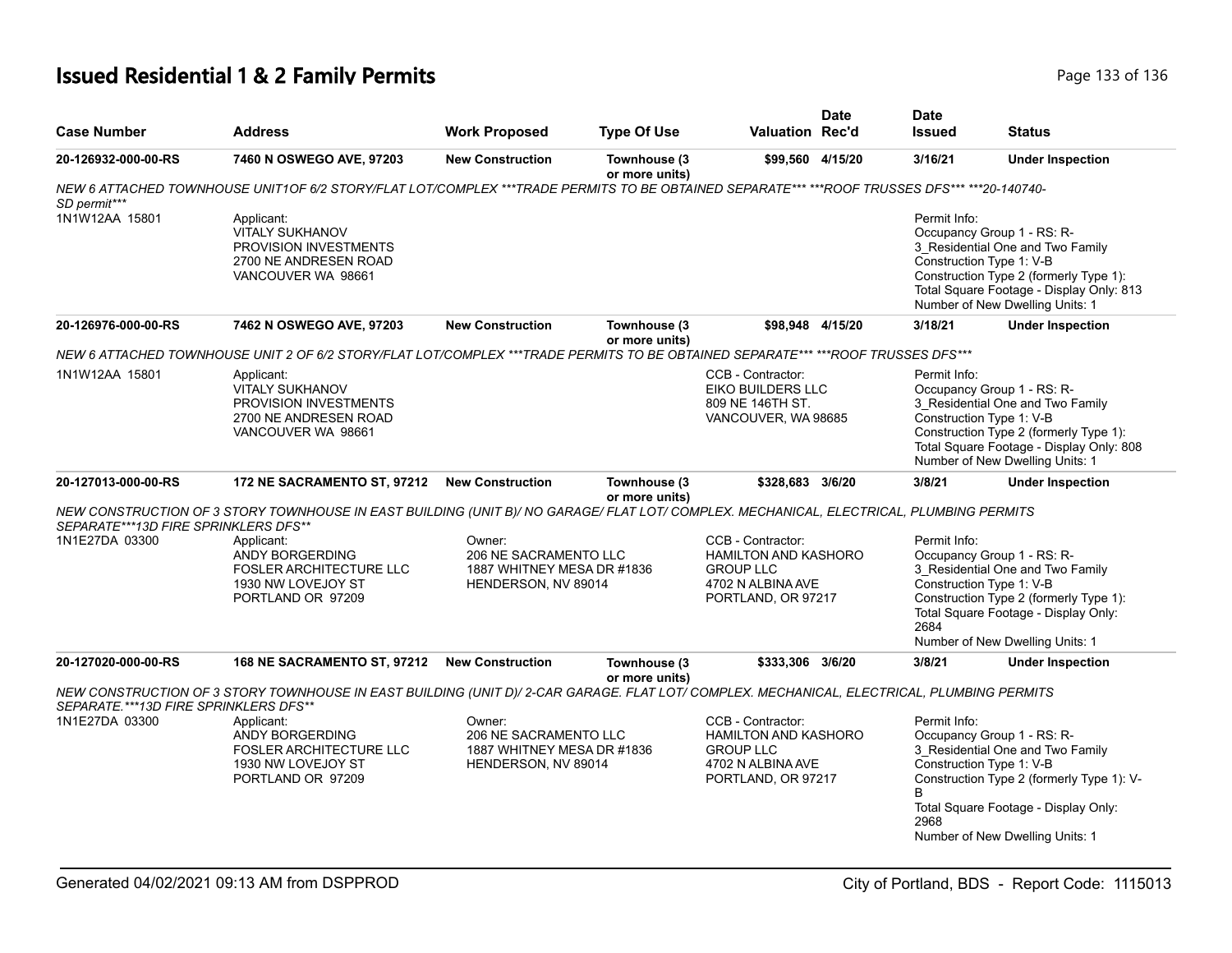# **Issued Residential 1 & 2 Family Permits Page 133 of 136** Page 133 of 136

| <b>Case Number</b>                    | <b>Address</b>                                                                                                                               | <b>Work Proposed</b>                                                                 | <b>Type Of Use</b>             | Valuation Rec'd                                                                                                 | <b>Date</b>                                                                                                                                                                                                                             | <b>Date</b><br><b>Issued</b>                                                                                                                                                                                                                    | <b>Status</b>                                                                                                                                                                                                       |  |
|---------------------------------------|----------------------------------------------------------------------------------------------------------------------------------------------|--------------------------------------------------------------------------------------|--------------------------------|-----------------------------------------------------------------------------------------------------------------|-----------------------------------------------------------------------------------------------------------------------------------------------------------------------------------------------------------------------------------------|-------------------------------------------------------------------------------------------------------------------------------------------------------------------------------------------------------------------------------------------------|---------------------------------------------------------------------------------------------------------------------------------------------------------------------------------------------------------------------|--|
| 20-126932-000-00-RS                   | 7460 N OSWEGO AVE, 97203                                                                                                                     | <b>New Construction</b>                                                              | Townhouse (3<br>or more units) | \$99,560 4/15/20                                                                                                |                                                                                                                                                                                                                                         | 3/16/21                                                                                                                                                                                                                                         | <b>Under Inspection</b>                                                                                                                                                                                             |  |
| SD permit***                          | NEW 6 ATTACHED TOWNHOUSE UNIT1OF 6/2 STORY/FLAT LOT/COMPLEX ***TRADE PERMITS TO BE OBTAINED SEPARATE*** ***ROOF TRUSSES DFS*** ***20-140740- |                                                                                      |                                |                                                                                                                 |                                                                                                                                                                                                                                         |                                                                                                                                                                                                                                                 |                                                                                                                                                                                                                     |  |
| 1N1W12AA 15801                        | Applicant:<br><b>VITALY SUKHANOV</b><br><b>PROVISION INVESTMENTS</b><br>2700 NE ANDRESEN ROAD<br>VANCOUVER WA 98661                          |                                                                                      |                                |                                                                                                                 |                                                                                                                                                                                                                                         | Permit Info:                                                                                                                                                                                                                                    | Occupancy Group 1 - RS: R-<br>3_Residential One and Two Family<br>Construction Type 1: V-B<br>Construction Type 2 (formerly Type 1):<br>Total Square Footage - Display Only: 813<br>Number of New Dwelling Units: 1 |  |
| 20-126976-000-00-RS                   | 7462 N OSWEGO AVE, 97203                                                                                                                     | <b>New Construction</b>                                                              | Townhouse (3<br>or more units) | \$98,948 4/15/20                                                                                                |                                                                                                                                                                                                                                         | 3/18/21                                                                                                                                                                                                                                         | <b>Under Inspection</b>                                                                                                                                                                                             |  |
|                                       | NEW 6 ATTACHED TOWNHOUSE UNIT 2 OF 6/2 STORY/FLAT LOT/COMPLEX ***TRADE PERMITS TO BE OBTAINED SEPARATE*** ***ROOF TRUSSES DFS***             |                                                                                      |                                |                                                                                                                 |                                                                                                                                                                                                                                         |                                                                                                                                                                                                                                                 |                                                                                                                                                                                                                     |  |
| 1N1W12AA 15801                        | Applicant:<br>VITALY SUKHANOV<br>PROVISION INVESTMENTS<br>2700 NE ANDRESEN ROAD<br>VANCOUVER WA 98661                                        |                                                                                      |                                | CCB - Contractor:<br><b>EIKO BUILDERS LLC</b><br>809 NE 146TH ST.<br>VANCOUVER, WA 98685                        |                                                                                                                                                                                                                                         | Permit Info:<br>Occupancy Group 1 - RS: R-<br>3_Residential One and Two Family<br>Construction Type 1: V-B<br>Construction Type 2 (formerly Type 1):<br>Total Square Footage - Display Only: 808<br>Number of New Dwelling Units: 1             |                                                                                                                                                                                                                     |  |
| 20-127013-000-00-RS                   | 172 NE SACRAMENTO ST, 97212                                                                                                                  | <b>New Construction</b>                                                              | Townhouse (3<br>or more units) | \$328,683 3/6/20                                                                                                |                                                                                                                                                                                                                                         | 3/8/21                                                                                                                                                                                                                                          | <b>Under Inspection</b>                                                                                                                                                                                             |  |
| SEPARATE***13D FIRE SPRINKLERS DFS**  | NEW CONSTRUCTION OF 3 STORY TOWNHOUSE IN EAST BUILDING (UNIT B)/ NO GARAGE/ FLAT LOT/ COMPLEX. MECHANICAL, ELECTRICAL, PLUMBING PERMITS      |                                                                                      |                                |                                                                                                                 |                                                                                                                                                                                                                                         |                                                                                                                                                                                                                                                 |                                                                                                                                                                                                                     |  |
| 1N1E27DA 03300                        | Applicant:<br>ANDY BORGERDING<br>FOSLER ARCHITECTURE LLC<br>1930 NW LOVEJOY ST<br>PORTLAND OR 97209                                          | Owner:<br>206 NE SACRAMENTO LLC<br>1887 WHITNEY MESA DR #1836<br>HENDERSON, NV 89014 |                                | CCB - Contractor:<br><b>HAMILTON AND KASHORO</b><br><b>GROUP LLC</b><br>4702 N ALBINA AVE<br>PORTLAND, OR 97217 | Permit Info:<br>Occupancy Group 1 - RS: R-<br>3 Residential One and Two Family<br>Construction Type 1: V-B<br>Construction Type 2 (formerly Type 1):<br>Total Square Footage - Display Only:<br>2684<br>Number of New Dwelling Units: 1 |                                                                                                                                                                                                                                                 |                                                                                                                                                                                                                     |  |
| 20-127020-000-00-RS                   | 168 NE SACRAMENTO ST, 97212                                                                                                                  | <b>New Construction</b>                                                              | Townhouse (3<br>or more units) | \$333,306 3/6/20                                                                                                |                                                                                                                                                                                                                                         | 3/8/21                                                                                                                                                                                                                                          | <b>Under Inspection</b>                                                                                                                                                                                             |  |
| SEPARATE.***13D FIRE SPRINKLERS DFS** | NEW CONSTRUCTION OF 3 STORY TOWNHOUSE IN EAST BUILDING (UNIT D)/ 2-CAR GARAGE. FLAT LOT/ COMPLEX. MECHANICAL, ELECTRICAL, PLUMBING PERMITS   |                                                                                      |                                |                                                                                                                 |                                                                                                                                                                                                                                         |                                                                                                                                                                                                                                                 |                                                                                                                                                                                                                     |  |
| 1N1E27DA 03300                        | Applicant:<br>ANDY BORGERDING<br><b>FOSLER ARCHITECTURE LLC</b><br>1930 NW LOVEJOY ST<br>PORTLAND OR 97209                                   | Owner:<br>206 NE SACRAMENTO LLC<br>1887 WHITNEY MESA DR #1836<br>HENDERSON, NV 89014 |                                | CCB - Contractor:<br><b>HAMILTON AND KASHORO</b><br><b>GROUP LLC</b><br>4702 N ALBINA AVE<br>PORTLAND, OR 97217 |                                                                                                                                                                                                                                         | Permit Info:<br>Occupancy Group 1 - RS: R-<br>3_Residential One and Two Family<br>Construction Type 1: V-B<br>Construction Type 2 (formerly Type 1): V-<br>B<br>Total Square Footage - Display Only:<br>2968<br>Number of New Dwelling Units: 1 |                                                                                                                                                                                                                     |  |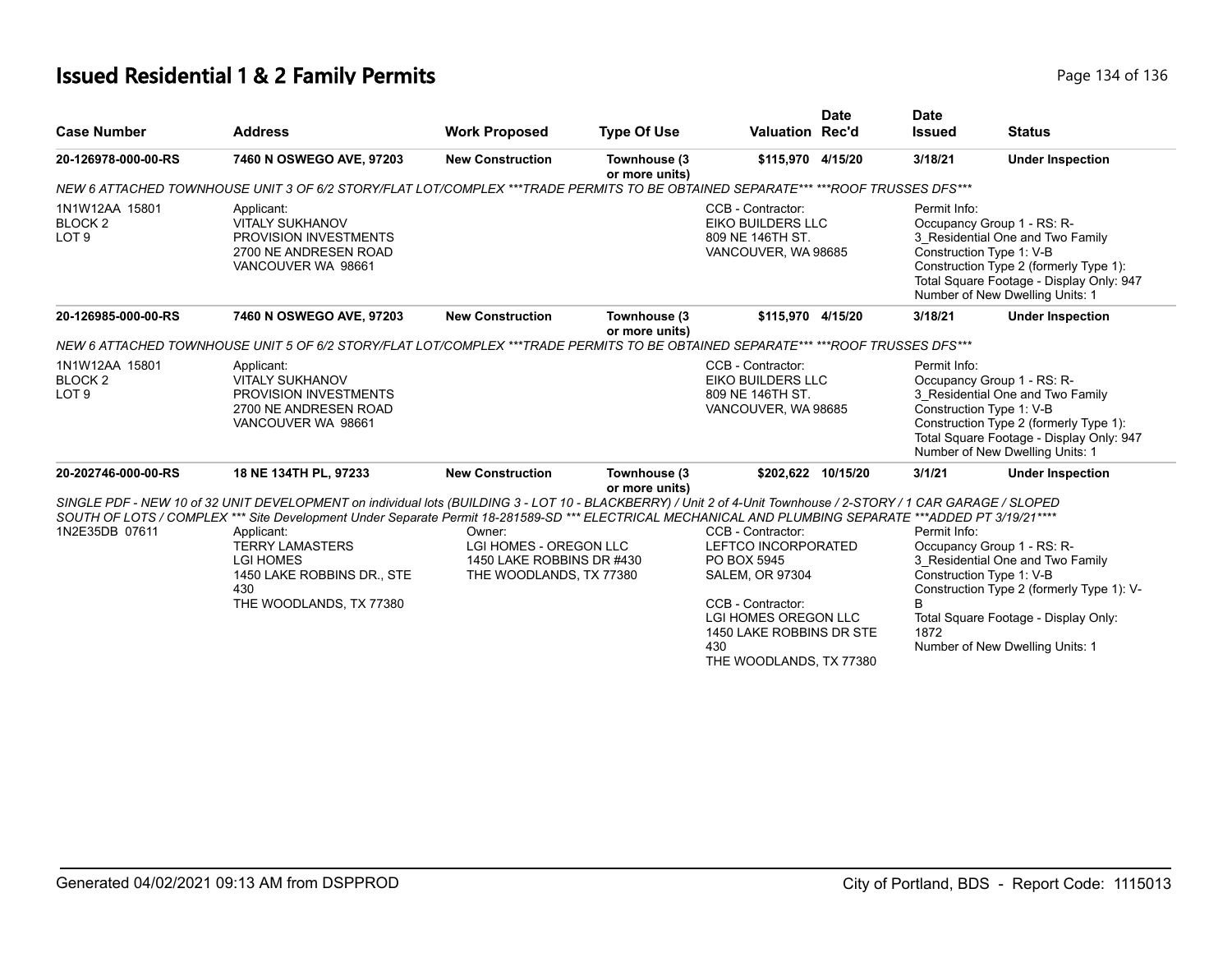# **Issued Residential 1 & 2 Family Permits Page 134 of 136** Page 134 of 136

|                                                          |                                                                                                                                  |                                                                                          |                                |                                                                                                                                                                                                                                                                                                                                                                                                                  | <b>Date</b> | <b>Date</b>                                                                                                                                                                                                                         |                                                                                                                      |  |
|----------------------------------------------------------|----------------------------------------------------------------------------------------------------------------------------------|------------------------------------------------------------------------------------------|--------------------------------|------------------------------------------------------------------------------------------------------------------------------------------------------------------------------------------------------------------------------------------------------------------------------------------------------------------------------------------------------------------------------------------------------------------|-------------|-------------------------------------------------------------------------------------------------------------------------------------------------------------------------------------------------------------------------------------|----------------------------------------------------------------------------------------------------------------------|--|
| <b>Case Number</b>                                       | <b>Address</b>                                                                                                                   | <b>Work Proposed</b>                                                                     | <b>Type Of Use</b>             | <b>Valuation Rec'd</b>                                                                                                                                                                                                                                                                                                                                                                                           |             | <b>Issued</b>                                                                                                                                                                                                                       | <b>Status</b>                                                                                                        |  |
| 20-126978-000-00-RS                                      | 7460 N OSWEGO AVE, 97203                                                                                                         | <b>New Construction</b>                                                                  | Townhouse (3<br>or more units) | \$115,970 4/15/20                                                                                                                                                                                                                                                                                                                                                                                                |             | 3/18/21                                                                                                                                                                                                                             | <b>Under Inspection</b>                                                                                              |  |
|                                                          | NEW 6 ATTACHED TOWNHOUSE UNIT 3 OF 6/2 STORY/FLAT LOT/COMPLEX ***TRADE PERMITS TO BE OBTAINED SEPARATE*** ***ROOF TRUSSES DFS*** |                                                                                          |                                |                                                                                                                                                                                                                                                                                                                                                                                                                  |             |                                                                                                                                                                                                                                     |                                                                                                                      |  |
| 1N1W12AA 15801<br>BLOCK <sub>2</sub><br>LOT <sub>9</sub> | Applicant:<br><b>VITALY SUKHANOV</b><br>PROVISION INVESTMENTS<br>2700 NE ANDRESEN ROAD<br>VANCOUVER WA 98661                     |                                                                                          |                                | CCB - Contractor:<br>Permit Info:<br>EIKO BUILDERS LLC<br>Occupancy Group 1 - RS: R-<br>809 NE 146TH ST.<br>VANCOUVER, WA 98685<br>Construction Type 1: V-B<br>Number of New Dwelling Units: 1                                                                                                                                                                                                                   |             | 3_Residential One and Two Family<br>Construction Type 2 (formerly Type 1):<br>Total Square Footage - Display Only: 947                                                                                                              |                                                                                                                      |  |
| 20-126985-000-00-RS                                      | 7460 N OSWEGO AVE, 97203                                                                                                         | <b>New Construction</b>                                                                  | Townhouse (3<br>or more units) | \$115,970 4/15/20                                                                                                                                                                                                                                                                                                                                                                                                |             | 3/18/21                                                                                                                                                                                                                             | <b>Under Inspection</b>                                                                                              |  |
|                                                          | NEW 6 ATTACHED TOWNHOUSE UNIT 5 OF 6/2 STORY/FLAT LOT/COMPLEX ***TRADE PERMITS TO BE OBTAINED SEPARATE*** ***ROOF TRUSSES DFS*** |                                                                                          |                                |                                                                                                                                                                                                                                                                                                                                                                                                                  |             |                                                                                                                                                                                                                                     |                                                                                                                      |  |
| 1N1W12AA 15801<br>BLOCK <sub>2</sub><br>LOT <sub>9</sub> | Applicant:<br><b>VITALY SUKHANOV</b><br>PROVISION INVESTMENTS<br>2700 NE ANDRESEN ROAD<br>VANCOUVER WA 98661                     |                                                                                          |                                | CCB - Contractor:<br>EIKO BUILDERS LLC<br>809 NE 146TH ST.<br>VANCOUVER, WA 98685                                                                                                                                                                                                                                                                                                                                |             | Permit Info:<br>Occupancy Group 1 - RS: R-<br>3 Residential One and Two Family<br>Construction Type 1: V-B<br>Construction Type 2 (formerly Type 1):<br>Total Square Footage - Display Only: 947<br>Number of New Dwelling Units: 1 |                                                                                                                      |  |
| 20-202746-000-00-RS                                      | 18 NE 134TH PL, 97233                                                                                                            | <b>New Construction</b>                                                                  | Townhouse (3<br>or more units) | \$202,622 10/15/20                                                                                                                                                                                                                                                                                                                                                                                               |             | 3/1/21                                                                                                                                                                                                                              | <b>Under Inspection</b>                                                                                              |  |
| 1N2E35DB 07611                                           | Applicant:<br><b>TERRY LAMASTERS</b><br><b>LGI HOMES</b><br>1450 LAKE ROBBINS DR., STE                                           | Owner:<br>LGI HOMES - OREGON LLC<br>1450 LAKE ROBBINS DR #430<br>THE WOODLANDS, TX 77380 |                                | SINGLE PDF - NEW 10 of 32 UNIT DEVELOPMENT on individual lots (BUILDING 3 - LOT 10 - BLACKBERRY) / Unit 2 of 4-Unit Townhouse / 2-STORY / 1 CAR GARAGE / SLOPED<br>SOUTH OF LOTS / COMPLEX *** Site Development Under Separate Permit 18-281589-SD *** ELECTRICAL MECHANICAL AND PLUMBING SEPARATE ***ADDED PT 3/19/21 ****<br>CCB - Contractor:<br>LEFTCO INCORPORATED<br>PO BOX 5945<br><b>SALEM, OR 97304</b> |             | Permit Info:<br>Occupancy Group 1 - RS: R-<br>3 Residential One and Two Family<br>Construction Type 1: V-B                                                                                                                          |                                                                                                                      |  |
|                                                          | 430<br>THE WOODLANDS, TX 77380                                                                                                   |                                                                                          |                                | CCB - Contractor:<br><b>LGI HOMES OREGON LLC</b><br>1450 LAKE ROBBINS DR STE<br>430<br>THE WOODLANDS, TX 77380                                                                                                                                                                                                                                                                                                   |             | B<br>1872                                                                                                                                                                                                                           | Construction Type 2 (formerly Type 1): V-<br>Total Square Footage - Display Only:<br>Number of New Dwelling Units: 1 |  |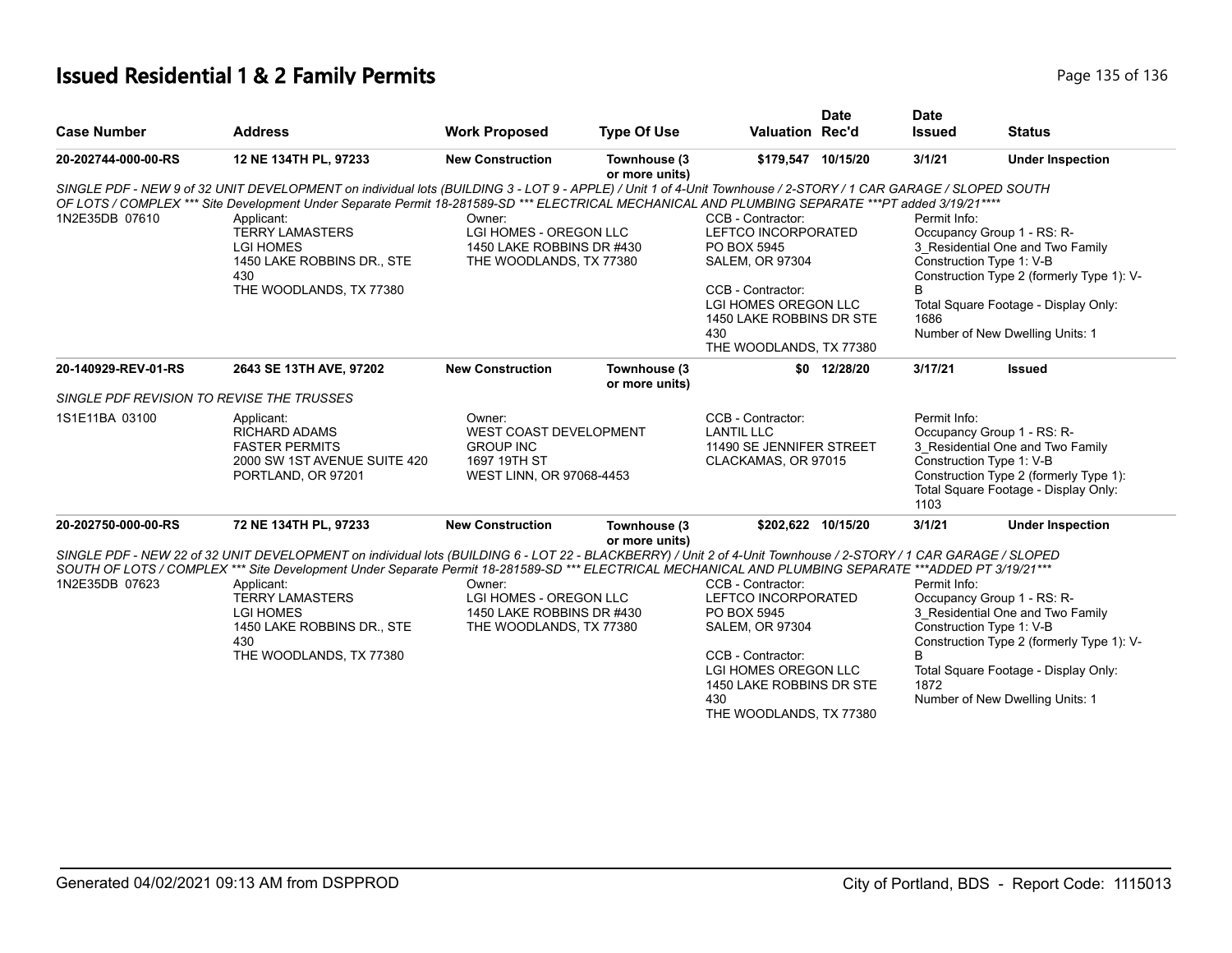# **Issued Residential 1 & 2 Family Permits Page 135 of 136** Page 135 of 136

|                                                                                                                                                                                                                                                |                                                                                                                                                                                                                                                                                                                                                                                                                                                       |                                                                                          |                                                                                           |                                                                                                                                                                                              | <b>Date</b>                                                                                                                                                                                          | <b>Date</b>               |                                                                                                                                                                                                                    |
|------------------------------------------------------------------------------------------------------------------------------------------------------------------------------------------------------------------------------------------------|-------------------------------------------------------------------------------------------------------------------------------------------------------------------------------------------------------------------------------------------------------------------------------------------------------------------------------------------------------------------------------------------------------------------------------------------------------|------------------------------------------------------------------------------------------|-------------------------------------------------------------------------------------------|----------------------------------------------------------------------------------------------------------------------------------------------------------------------------------------------|------------------------------------------------------------------------------------------------------------------------------------------------------------------------------------------------------|---------------------------|--------------------------------------------------------------------------------------------------------------------------------------------------------------------------------------------------------------------|
| <b>Case Number</b>                                                                                                                                                                                                                             | <b>Address</b>                                                                                                                                                                                                                                                                                                                                                                                                                                        | <b>Work Proposed</b>                                                                     | <b>Type Of Use</b>                                                                        | <b>Valuation Rec'd</b>                                                                                                                                                                       |                                                                                                                                                                                                      | <b>Issued</b>             | <b>Status</b>                                                                                                                                                                                                      |
| 20-202744-000-00-RS                                                                                                                                                                                                                            | 12 NE 134TH PL, 97233                                                                                                                                                                                                                                                                                                                                                                                                                                 | <b>New Construction</b>                                                                  | Townhouse (3<br>or more units)                                                            | \$179,547 10/15/20                                                                                                                                                                           |                                                                                                                                                                                                      | 3/1/21                    | <b>Under Inspection</b>                                                                                                                                                                                            |
| 1N2E35DB 07610                                                                                                                                                                                                                                 | SINGLE PDF - NEW 9 of 32 UNIT DEVELOPMENT on individual lots (BUILDING 3 - LOT 9 - APPLE) / Unit 1 of 4-Unit Townhouse / 2-STORY / 1 CAR GARAGE / SLOPED SOUTH<br>OF LOTS / COMPLEX *** Site Development Under Separate Permit 18-281589-SD *** ELECTRICAL MECHANICAL AND PLUMBING SEPARATE ***PT added 3/19/21 ****<br>Applicant:<br><b>TERRY LAMASTERS</b><br><b>LGI HOMES</b><br>1450 LAKE ROBBINS DR., STE<br>430<br>THE WOODLANDS, TX 77380      | Owner:<br>LGI HOMES - OREGON LLC<br>1450 LAKE ROBBINS DR #430<br>THE WOODLANDS, TX 77380 |                                                                                           | CCB - Contractor:<br>LEFTCO INCORPORATED<br>PO BOX 5945<br><b>SALEM, OR 97304</b><br>CCB - Contractor:<br>LGI HOMES OREGON LLC<br>1450 LAKE ROBBINS DR STE<br>430<br>THE WOODLANDS, TX 77380 |                                                                                                                                                                                                      | Permit Info:<br>B<br>1686 | Occupancy Group 1 - RS: R-<br>3 Residential One and Two Family<br>Construction Type 1: V-B<br>Construction Type 2 (formerly Type 1): V-<br>Total Square Footage - Display Only:<br>Number of New Dwelling Units: 1 |
| 20-140929-REV-01-RS                                                                                                                                                                                                                            | 2643 SE 13TH AVE, 97202                                                                                                                                                                                                                                                                                                                                                                                                                               | <b>New Construction</b>                                                                  | Townhouse (3                                                                              |                                                                                                                                                                                              | \$0 12/28/20                                                                                                                                                                                         | 3/17/21                   | <b>Issued</b>                                                                                                                                                                                                      |
| SINGLE PDF REVISION TO REVISE THE TRUSSES                                                                                                                                                                                                      |                                                                                                                                                                                                                                                                                                                                                                                                                                                       |                                                                                          | or more units)                                                                            |                                                                                                                                                                                              |                                                                                                                                                                                                      |                           |                                                                                                                                                                                                                    |
| 1S1E11BA 03100<br>Owner:<br>Applicant:<br><b>WEST COAST DEVELOPMENT</b><br><b>RICHARD ADAMS</b><br><b>FASTER PERMITS</b><br><b>GROUP INC</b><br>2000 SW 1ST AVENUE SUITE 420<br>1697 19TH ST<br>PORTLAND, OR 97201<br>WEST LINN, OR 97068-4453 |                                                                                                                                                                                                                                                                                                                                                                                                                                                       |                                                                                          | CCB - Contractor:<br><b>LANTIL LLC</b><br>11490 SE JENNIFER STREET<br>CLACKAMAS, OR 97015 |                                                                                                                                                                                              | Permit Info:<br>Occupancy Group 1 - RS: R-<br>3_Residential One and Two Family<br>Construction Type 1: V-B<br>Construction Type 2 (formerly Type 1):<br>Total Square Footage - Display Only:<br>1103 |                           |                                                                                                                                                                                                                    |
| 20-202750-000-00-RS                                                                                                                                                                                                                            | 72 NE 134TH PL, 97233                                                                                                                                                                                                                                                                                                                                                                                                                                 | <b>New Construction</b>                                                                  | Townhouse (3<br>or more units)                                                            | \$202,622 10/15/20                                                                                                                                                                           |                                                                                                                                                                                                      | 3/1/21                    | <b>Under Inspection</b>                                                                                                                                                                                            |
| 1N2E35DB 07623                                                                                                                                                                                                                                 | SINGLE PDF - NEW 22 of 32 UNIT DEVELOPMENT on individual lots (BUILDING 6 - LOT 22 - BLACKBERRY) / Unit 2 of 4-Unit Townhouse / 2-STORY / 1 CAR GARAGE / SLOPED<br>SOUTH OF LOTS / COMPLEX *** Site Development Under Separate Permit 18-281589-SD *** ELECTRICAL MECHANICAL AND PLUMBING SEPARATE ***ADDED PT 3/19/21***<br>Applicant:<br><b>TERRY LAMASTERS</b><br><b>LGI HOMES</b><br>1450 LAKE ROBBINS DR., STE<br>430<br>THE WOODLANDS, TX 77380 | Owner:<br>LGI HOMES - OREGON LLC<br>1450 LAKE ROBBINS DR #430<br>THE WOODLANDS, TX 77380 |                                                                                           | CCB - Contractor:<br>LEFTCO INCORPORATED<br>PO BOX 5945<br><b>SALEM, OR 97304</b><br>CCB - Contractor:<br>LGI HOMES OREGON LLC<br>1450 LAKE ROBBINS DR STE<br>430<br>THE WOODLANDS, TX 77380 |                                                                                                                                                                                                      | Permit Info:<br>1872      | Occupancy Group 1 - RS: R-<br>3 Residential One and Two Family<br>Construction Type 1: V-B<br>Construction Type 2 (formerly Type 1): V-<br>Total Square Footage - Display Only:<br>Number of New Dwelling Units: 1 |